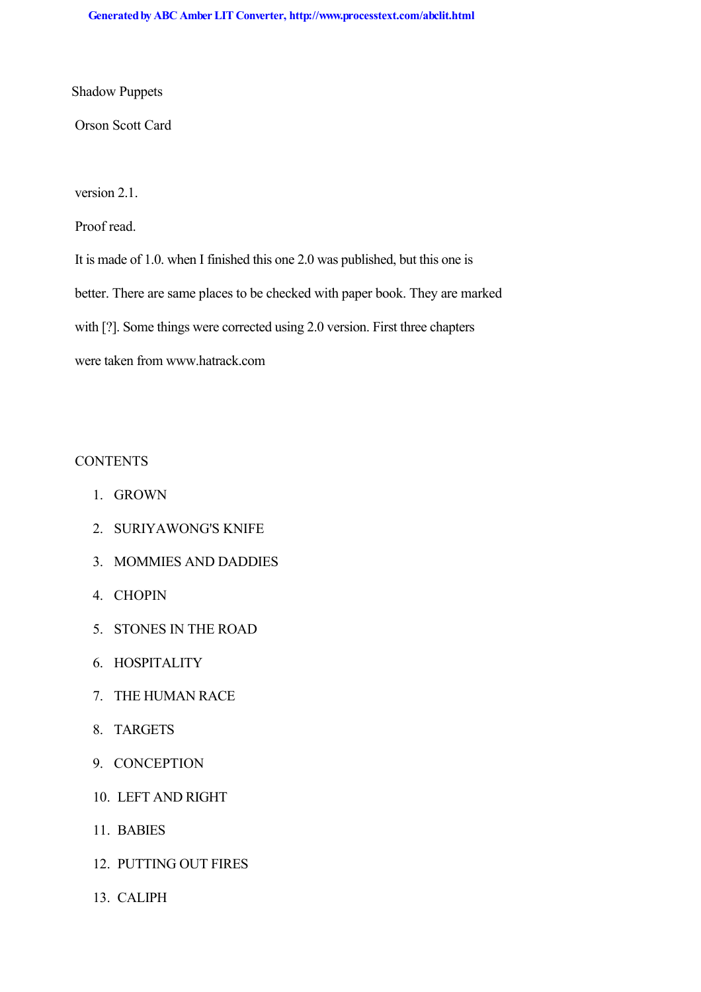Shadow Puppets

Orson Scott Card

version 2.1

Proof read.

It is made of 1.0. when I finished this one 2.0 was published, but this one is

better. There are same places to be checked with paper book. They are marked

with [?]. Some things were corrected using 2.0 version. First three chapters

were taken from www.hatrack.com

### **CONTENTS**

- 1. GROWN
- 2. SURIYAWONG'S KNIFE
- 3. MOMMIES AND DADDIES
- 4. CHOPIN
- 5. STONES IN THE ROAD
- 6. HOSPITALITY
- 7. THE HUMAN RACE
- 8. TARGETS
- 9. CONCEPTION
- 10. LEFT AND RIGHT
- 11. BABIES
- 12. PUTTING OUT FIRES
- 13. CALIPH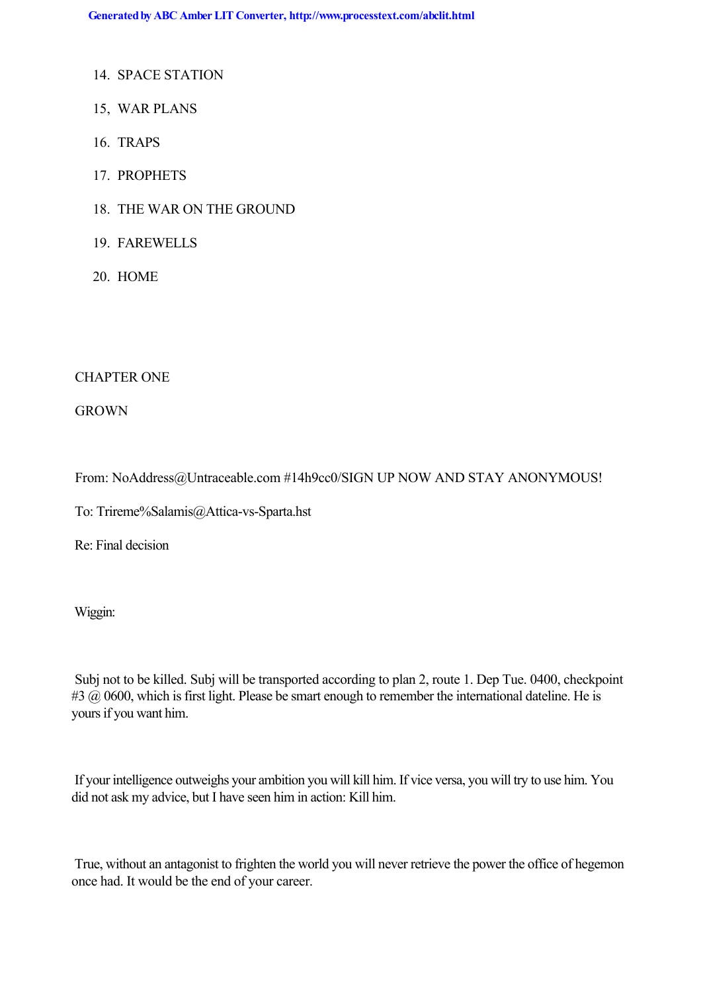- 14. SPACE STATION
- 15, WAR PLANS
- 16. TRAPS
- 17. PROPHETS
- 18. THE WAR ON THE GROUND
- 19. FAREWELLS
- 20. HOME

# CHAPTER ONE

GROWN

From: NoAddress@Untraceable.com #14h9cc0/SIGN UP NOW AND STAY ANONYMOUS!

To: Trireme%Salamis@Attica-vs-Sparta.hst

Re: Final decision

Wiggin:

 Subj not to be killed. Subj will be transported according to plan 2, route 1. Dep Tue. 0400, checkpoint  $#3$   $@$  0600, which is first light. Please be smart enough to remember the international dateline. He is yours if you want him.

 If your intelligence outweighs your ambition you will kill him. If vice versa, you will try to use him. You did not ask my advice, but I have seen him in action: Kill him.

 True, without an antagonist to frighten the world you will never retrieve the power the office of hegemon once had. It would be the end of your career.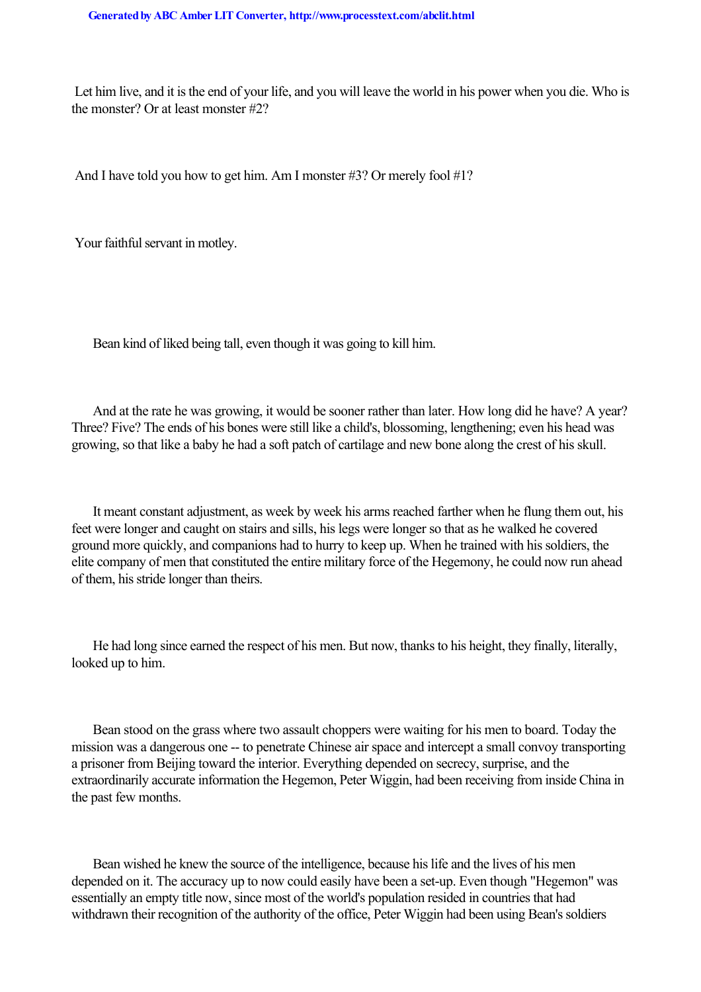Let him live, and it is the end of your life, and you will leave the world in his power when you die. Who is the monster? Or at least monster #2?

And I have told you how to get him. Am I monster #3? Or merely fool #1?

Your faithful servant in motley.

Bean kind of liked being tall, even though it was going to kill him.

 And at the rate he was growing, it would be sooner rather than later. How long did he have? A year? Three? Five? The ends of his bones were still like a child's, blossoming, lengthening; even his head was growing, so that like a baby he had a soft patch of cartilage and new bone along the crest of his skull.

 It meant constant adjustment, as week by week his arms reached farther when he flung them out, his feet were longer and caught on stairs and sills, his legs were longer so that as he walked he covered ground more quickly, and companions had to hurry to keep up. When he trained with his soldiers, the elite company of men that constituted the entire military force of the Hegemony, he could now run ahead of them, his stride longer than theirs.

 He had long since earned the respect of his men. But now, thanks to his height, they finally, literally, looked up to him.

 Bean stood on the grass where two assault choppers were waiting for his men to board. Today the mission was a dangerous one -- to penetrate Chinese air space and intercept a small convoy transporting a prisoner from Beijing toward the interior. Everything depended on secrecy, surprise, and the extraordinarily accurate information the Hegemon, Peter Wiggin, had been receiving from inside China in the past few months.

 Bean wished he knew the source of the intelligence, because his life and the lives of his men depended on it. The accuracy up to now could easily have been a set-up. Even though "Hegemon" was essentially an empty title now, since most of the world's population resided in countries that had withdrawn their recognition of the authority of the office, Peter Wiggin had been using Bean's soldiers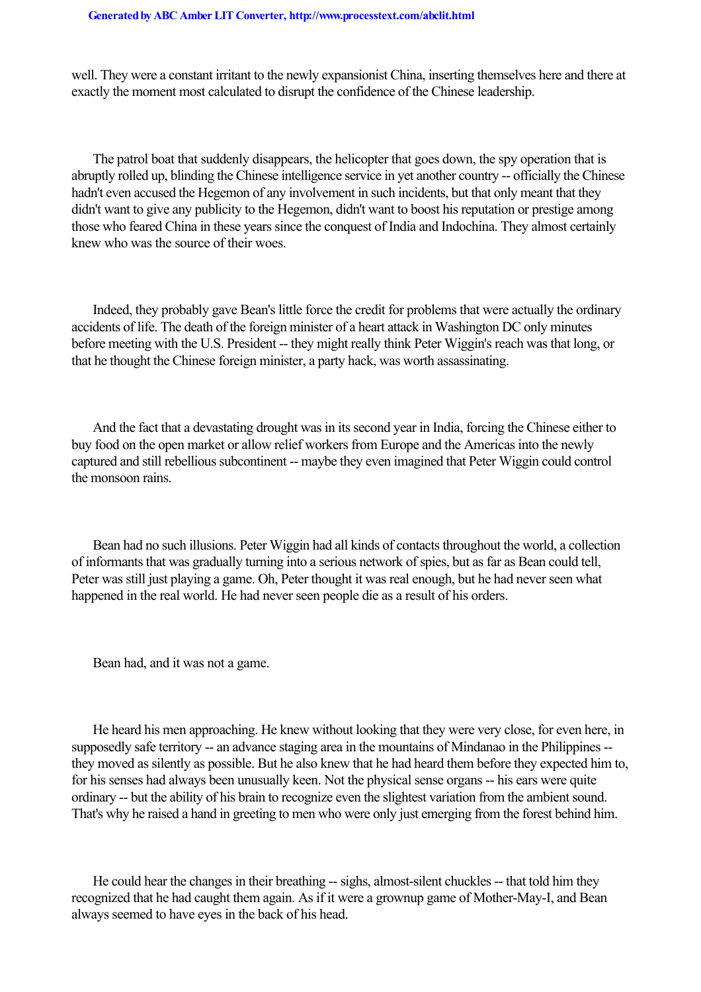well. They were a constant irritant to the newly expansionist China, inserting themselves here and there at exactly the moment most calculated to disrupt the confidence of the Chinese leadership.

 The patrol boat that suddenly disappears, the helicopter that goes down, the spy operation that is abruptly rolled up, blinding the Chinese intelligence service in yet another country -- officially the Chinese hadn't even accused the Hegemon of any involvement in such incidents, but that only meant that they didn't want to give any publicity to the Hegemon, didn't want to boost his reputation or prestige among those who feared China in these years since the conquest of India and Indochina. They almost certainly knew who was the source of their woes.

 Indeed, they probably gave Bean's little force the credit for problems that were actually the ordinary accidents of life. The death of the foreign minister of a heart attack in Washington DC only minutes before meeting with the U.S. President -- they might really think Peter Wiggin's reach was that long, or that he thought the Chinese foreign minister, a party hack, was worth assassinating.

 And the fact that a devastating drought was in its second year in India, forcing the Chinese either to buy food on the open market or allow relief workers from Europe and the Americas into the newly captured and still rebellious subcontinent -- maybe they even imagined that Peter Wiggin could control the monsoon rains.

 Bean had no such illusions. Peter Wiggin had all kinds of contacts throughout the world, a collection of informants that was gradually turning into a serious network of spies, but as far as Bean could tell, Peter was still just playing a game. Oh, Peter thought it was real enough, but he had never seen what happened in the real world. He had never seen people die as a result of his orders.

Bean had, and it was not a game.

 He heard his men approaching. He knew without looking that they were very close, for even here, in supposedly safe territory -- an advance staging area in the mountains of Mindanao in the Philippines - they moved as silently as possible. But he also knew that he had heard them before they expected him to, for his senses had always been unusually keen. Not the physical sense organs -- his ears were quite ordinary -- but the ability of his brain to recognize even the slightest variation from the ambient sound. That's why he raised a hand in greeting to men who were only just emerging from the forest behind him.

 He could hear the changes in their breathing -- sighs, almost-silent chuckles -- that told him they recognized that he had caught them again. As if it were a grownup game of Mother-May-I, and Bean always seemed to have eyes in the back of his head.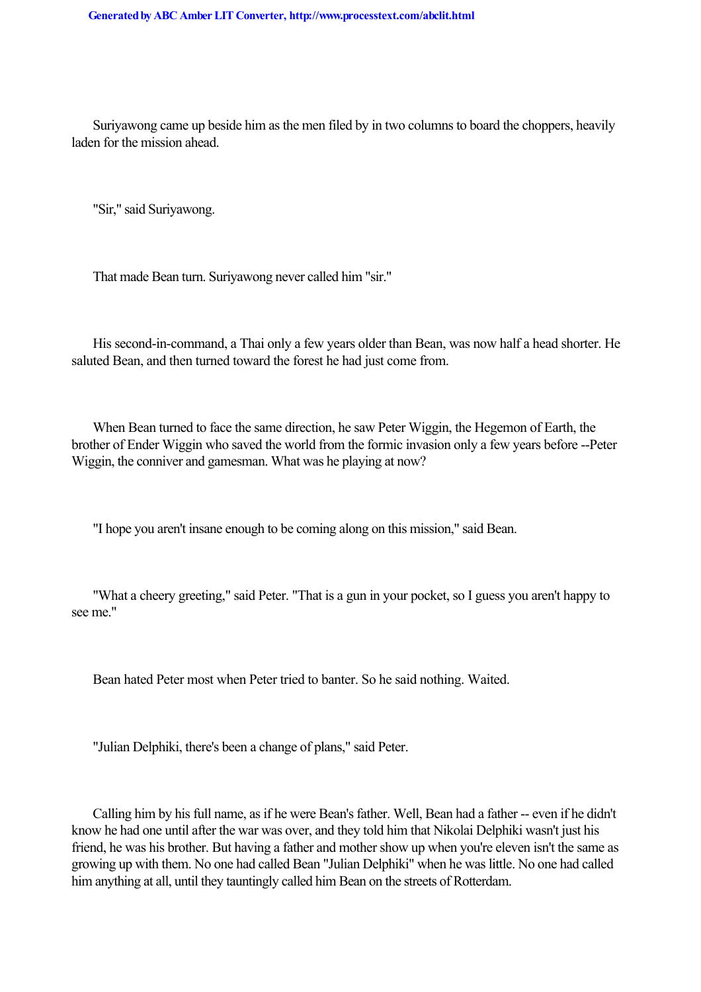Suriyawong came up beside him as the men filed by in two columns to board the choppers, heavily laden for the mission ahead.

"Sir," said Suriyawong.

That made Bean turn. Suriyawong never called him "sir."

 His second-in-command, a Thai only a few years older than Bean, was now half a head shorter. He saluted Bean, and then turned toward the forest he had just come from.

 When Bean turned to face the same direction, he saw Peter Wiggin, the Hegemon of Earth, the brother of Ender Wiggin who saved the world from the formic invasion only a few years before --Peter Wiggin, the conniver and gamesman. What was he playing at now?

"I hope you aren't insane enough to be coming along on this mission," said Bean.

 "What a cheery greeting," said Peter. "That is a gun in your pocket, so I guess you aren't happy to see me."

Bean hated Peter most when Peter tried to banter. So he said nothing. Waited.

"Julian Delphiki, there's been a change of plans," said Peter.

 Calling him by his full name, as if he were Bean's father. Well, Bean had a father -- even if he didn't know he had one until after the war was over, and they told him that Nikolai Delphiki wasn't just his friend, he was his brother. But having a father and mother show up when you're eleven isn't the same as growing up with them. No one had called Bean "Julian Delphiki" when he was little. No one had called him anything at all, until they tauntingly called him Bean on the streets of Rotterdam.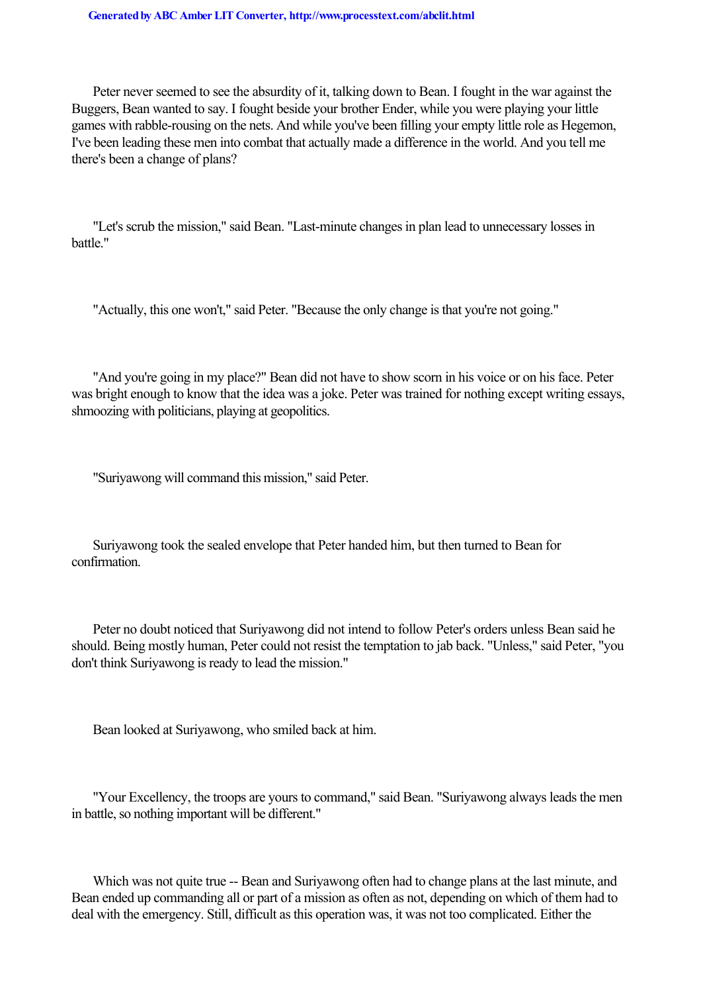Peter never seemed to see the absurdity of it, talking down to Bean. I fought in the war against the Buggers, Bean wanted to say. I fought beside your brother Ender, while you were playing your little games with rabble-rousing on the nets. And while you've been filling your empty little role as Hegemon, I've been leading these men into combat that actually made a difference in the world. And you tell me there's been a change of plans?

 "Let's scrub the mission," said Bean. "Last-minute changes in plan lead to unnecessary losses in battle."

"Actually, this one won't," said Peter. "Because the only change is that you're not going."

 "And you're going in my place?" Bean did not have to show scorn in his voice or on his face. Peter was bright enough to know that the idea was a joke. Peter was trained for nothing except writing essays, shmoozing with politicians, playing at geopolitics.

"Suriyawong will command this mission," said Peter.

 Suriyawong took the sealed envelope that Peter handed him, but then turned to Bean for confirmation.

 Peter no doubt noticed that Suriyawong did not intend to follow Peter's orders unless Bean said he should. Being mostly human, Peter could not resist the temptation to jab back. "Unless," said Peter, "you don't think Suriyawong is ready to lead the mission."

Bean looked at Suriyawong, who smiled back at him.

 "Your Excellency, the troops are yours to command," said Bean. "Suriyawong always leads the men in battle, so nothing important will be different."

 Which was not quite true -- Bean and Suriyawong often had to change plans at the last minute, and Bean ended up commanding all or part of a mission as often as not, depending on which of them had to deal with the emergency. Still, difficult as this operation was, it was not too complicated. Either the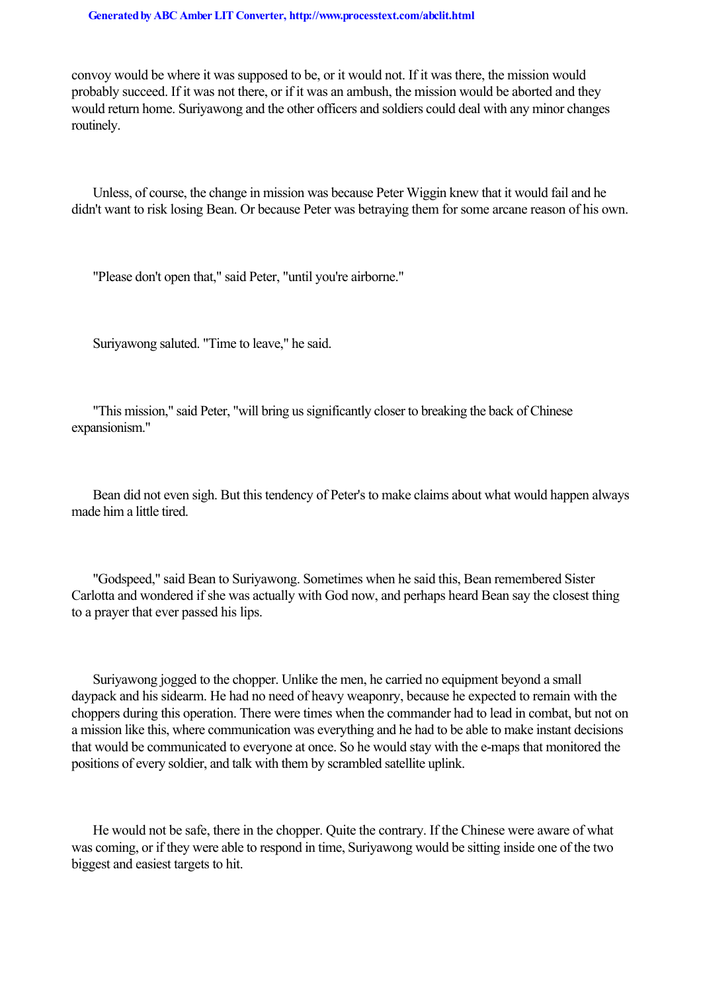convoy would be where it was supposed to be, or it would not. If it was there, the mission would probably succeed. If it was not there, or if it was an ambush, the mission would be aborted and they would return home. Suriyawong and the other officers and soldiers could deal with any minor changes routinely.

 Unless, of course, the change in mission was because Peter Wiggin knew that it would fail and he didn't want to risk losing Bean. Or because Peter was betraying them for some arcane reason of his own.

"Please don't open that," said Peter, "until you're airborne."

Suriyawong saluted. "Time to leave," he said.

 "This mission," said Peter, "will bring us significantly closer to breaking the back of Chinese expansionism."

 Bean did not even sigh. But this tendency of Peter's to make claims about what would happen always made him a little tired.

 "Godspeed," said Bean to Suriyawong. Sometimes when he said this, Bean remembered Sister Carlotta and wondered if she was actually with God now, and perhaps heard Bean say the closest thing to a prayer that ever passed his lips.

 Suriyawong jogged to the chopper. Unlike the men, he carried no equipment beyond a small daypack and his sidearm. He had no need of heavy weaponry, because he expected to remain with the choppers during this operation. There were times when the commander had to lead in combat, but not on a mission like this, where communication was everything and he had to be able to make instant decisions that would be communicated to everyone at once. So he would stay with the e-maps that monitored the positions of every soldier, and talk with them by scrambled satellite uplink.

 He would not be safe, there in the chopper. Quite the contrary. If the Chinese were aware of what was coming, or if they were able to respond in time, Suriyawong would be sitting inside one of the two biggest and easiest targets to hit.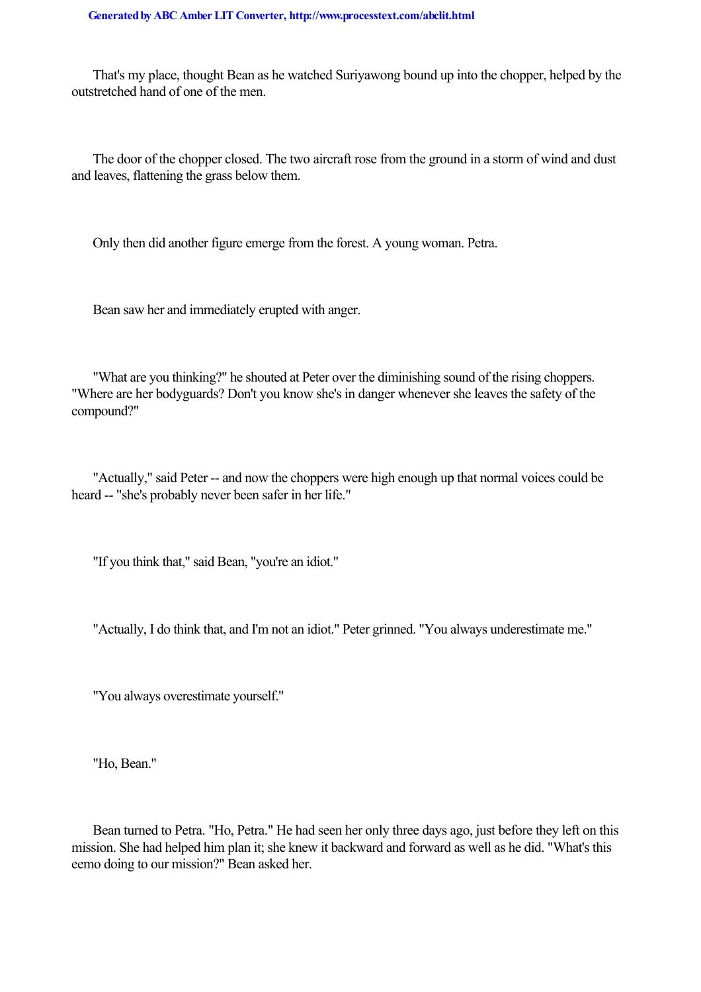That's my place, thought Bean as he watched Suriyawong bound up into the chopper, helped by the outstretched hand of one of the men.

 The door of the chopper closed. The two aircraft rose from the ground in a storm of wind and dust and leaves, flattening the grass below them.

Only then did another figure emerge from the forest. A young woman. Petra.

Bean saw her and immediately erupted with anger.

 "What are you thinking?" he shouted at Peter over the diminishing sound of the rising choppers. "Where are her bodyguards? Don't you know she's in danger whenever she leaves the safety of the compound?"

 "Actually," said Peter -- and now the choppers were high enough up that normal voices could be heard -- "she's probably never been safer in her life."

"If you think that," said Bean, "you're an idiot."

"Actually, I do think that, and I'm not an idiot." Peter grinned. "You always underestimate me."

"You always overestimate yourself."

"Ho, Bean."

 Bean turned to Petra. "Ho, Petra." He had seen her only three days ago, just before they left on this mission. She had helped him plan it; she knew it backward and forward as well as he did. "What's this eemo doing to our mission?" Bean asked her.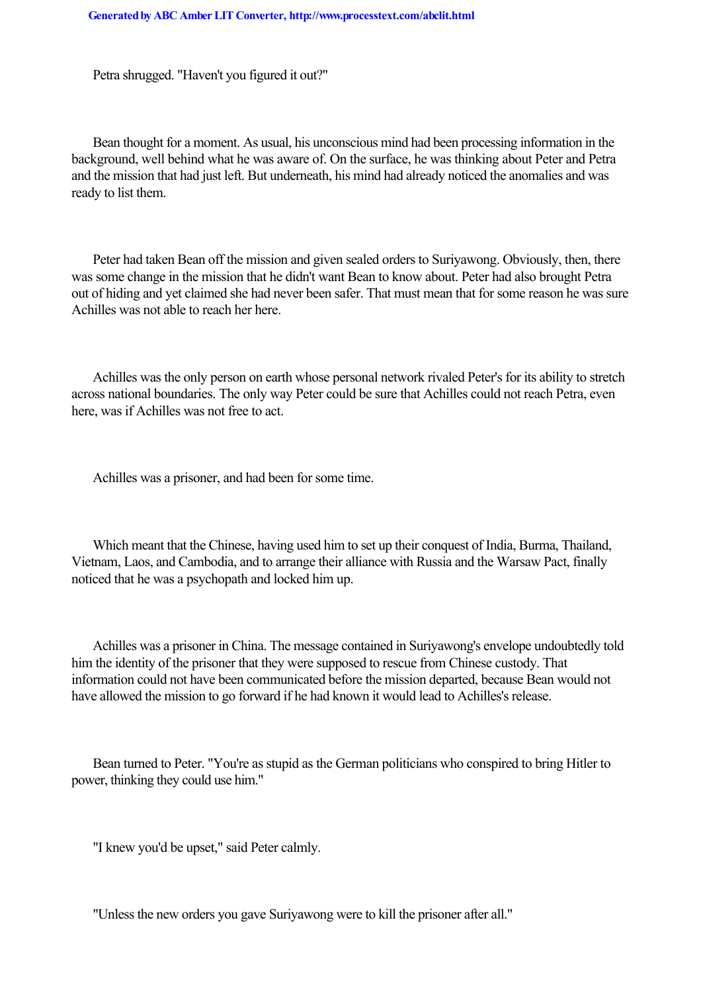Petra shrugged. "Haven't you figured it out?"

 Bean thought for a moment. As usual, his unconscious mind had been processing information in the background, well behind what he was aware of. On the surface, he was thinking about Peter and Petra and the mission that had just left. But underneath, his mind had already noticed the anomalies and was ready to list them.

 Peter had taken Bean off the mission and given sealed orders to Suriyawong. Obviously, then, there was some change in the mission that he didn't want Bean to know about. Peter had also brought Petra out of hiding and yet claimed she had never been safer. That must mean that for some reason he was sure Achilles was not able to reach her here.

 Achilles was the only person on earth whose personal network rivaled Peter's for its ability to stretch across national boundaries. The only way Peter could be sure that Achilles could not reach Petra, even here, was if Achilles was not free to act.

Achilles was a prisoner, and had been for some time.

 Which meant that the Chinese, having used him to set up their conquest of India, Burma, Thailand, Vietnam, Laos, and Cambodia, and to arrange their alliance with Russia and the Warsaw Pact, finally noticed that he was a psychopath and locked him up.

 Achilles was a prisoner in China. The message contained in Suriyawong's envelope undoubtedly told him the identity of the prisoner that they were supposed to rescue from Chinese custody. That information could not have been communicated before the mission departed, because Bean would not have allowed the mission to go forward if he had known it would lead to Achilles's release.

 Bean turned to Peter. "You're as stupid as the German politicians who conspired to bring Hitler to power, thinking they could use him."

"I knew you'd be upset," said Peter calmly.

"Unless the new orders you gave Suriyawong were to kill the prisoner after all."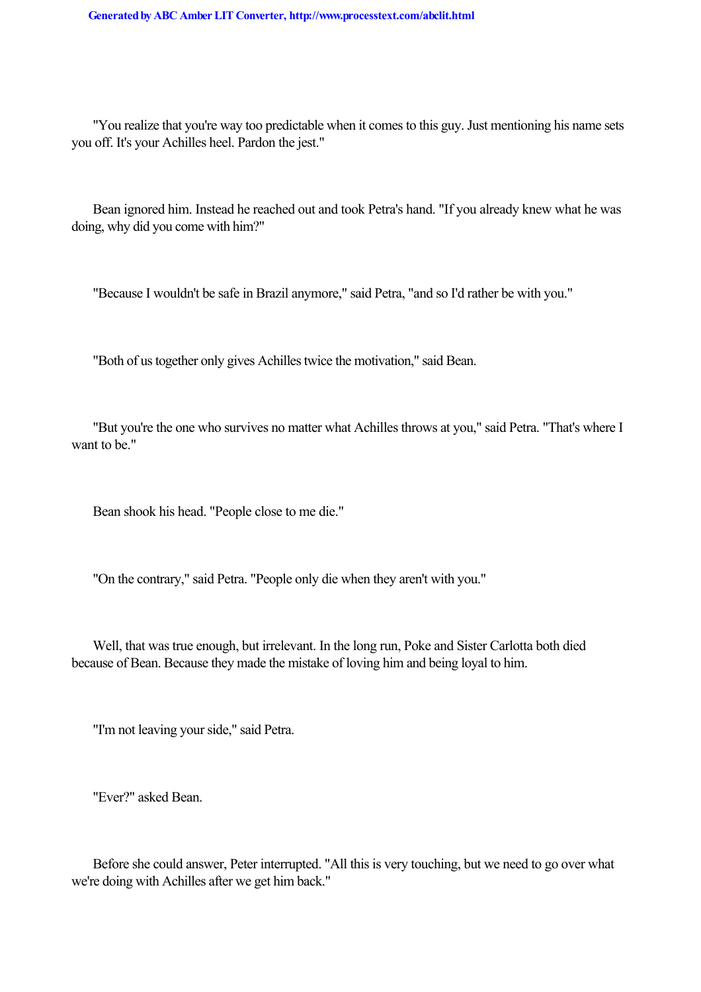"You realize that you're way too predictable when it comes to this guy. Just mentioning his name sets you off. It's your Achilles heel. Pardon the jest."

 Bean ignored him. Instead he reached out and took Petra's hand. "If you already knew what he was doing, why did you come with him?"

"Because I wouldn't be safe in Brazil anymore," said Petra, "and so I'd rather be with you."

"Both of us together only gives Achilles twice the motivation," said Bean.

 "But you're the one who survives no matter what Achilles throws at you," said Petra. "That's where I want to be."

Bean shook his head. "People close to me die."

"On the contrary," said Petra. "People only die when they aren't with you."

 Well, that was true enough, but irrelevant. In the long run, Poke and Sister Carlotta both died because of Bean. Because they made the mistake of loving him and being loyal to him.

"I'm not leaving your side," said Petra.

"Ever?" asked Bean.

 Before she could answer, Peter interrupted. "All this is very touching, but we need to go over what we're doing with Achilles after we get him back."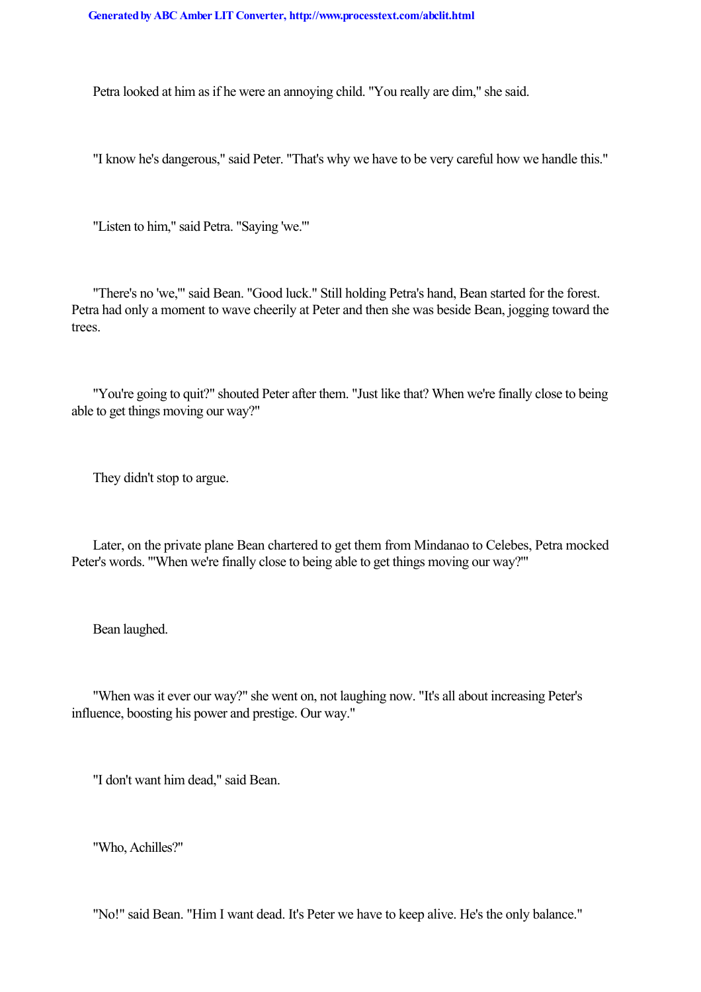Petra looked at him as if he were an annoying child. "You really are dim," she said.

"I know he's dangerous," said Peter. "That's why we have to be very careful how we handle this."

"Listen to him," said Petra. "Saying 'we.'"

 "There's no 'we,'" said Bean. "Good luck." Still holding Petra's hand, Bean started for the forest. Petra had only a moment to wave cheerily at Peter and then she was beside Bean, jogging toward the trees.

 "You're going to quit?" shouted Peter after them. "Just like that? When we're finally close to being able to get things moving our way?"

They didn't stop to argue.

 Later, on the private plane Bean chartered to get them from Mindanao to Celebes, Petra mocked Peter's words. "'When we're finally close to being able to get things moving our way?'"

Bean laughed.

 "When was it ever our way?" she went on, not laughing now. "It's all about increasing Peter's influence, boosting his power and prestige. Our way."

"I don't want him dead," said Bean.

"Who, Achilles?"

"No!" said Bean. "Him I want dead. It's Peter we have to keep alive. He's the only balance."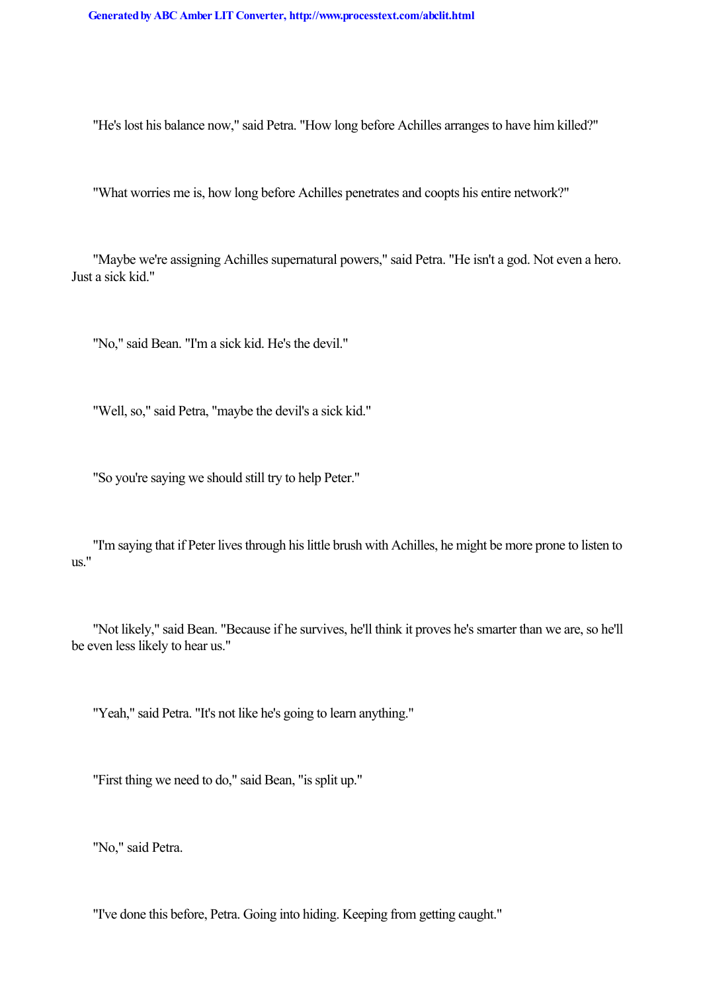"He's lost his balance now," said Petra. "How long before Achilles arranges to have him killed?"

"What worries me is, how long before Achilles penetrates and coopts his entire network?"

 "Maybe we're assigning Achilles supernatural powers," said Petra. "He isn't a god. Not even a hero. Just a sick kid."

"No," said Bean. "I'm a sick kid. He's the devil."

"Well, so," said Petra, "maybe the devil's a sick kid."

"So you're saying we should still try to help Peter."

 "I'm saying that if Peter lives through his little brush with Achilles, he might be more prone to listen to us."

 "Not likely," said Bean. "Because if he survives, he'll think it proves he's smarter than we are, so he'll be even less likely to hear us."

"Yeah," said Petra. "It's not like he's going to learn anything."

"First thing we need to do," said Bean, "is split up."

"No," said Petra.

"I've done this before, Petra. Going into hiding. Keeping from getting caught."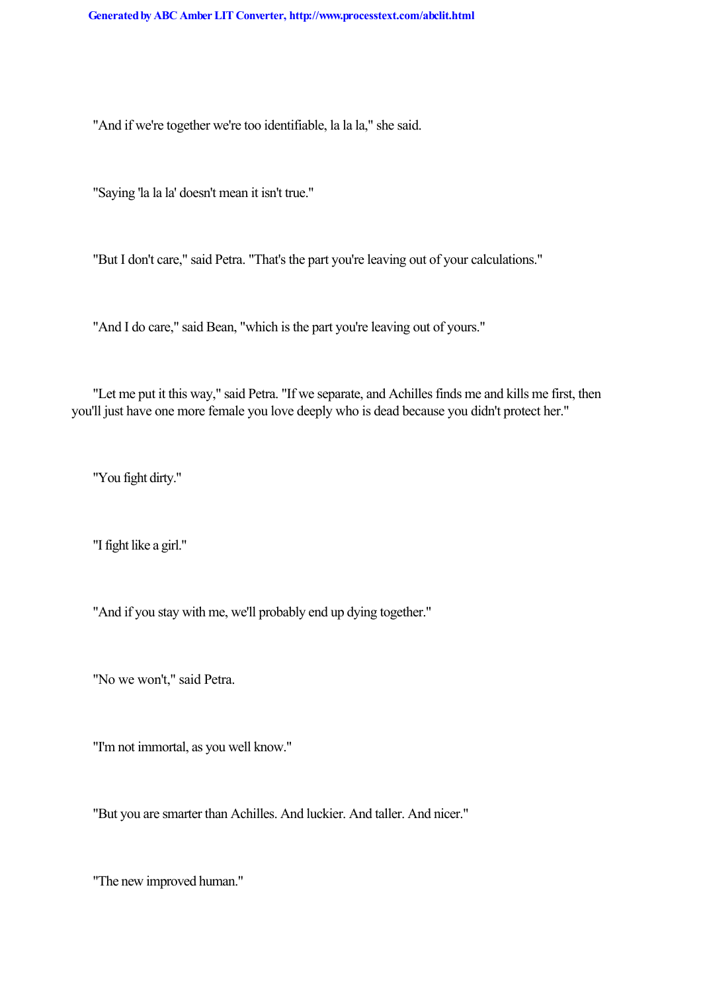"And if we're together we're too identifiable, la la la," she said.

"Saying 'la la la' doesn't mean it isn't true."

"But I don't care," said Petra. "That's the part you're leaving out of your calculations."

"And I do care," said Bean, "which is the part you're leaving out of yours."

 "Let me put it this way," said Petra. "If we separate, and Achilles finds me and kills me first, then you'll just have one more female you love deeply who is dead because you didn't protect her."

"You fight dirty."

"I fight like a girl."

"And if you stay with me, we'll probably end up dying together."

"No we won't," said Petra.

"I'm not immortal, as you well know."

"But you are smarter than Achilles. And luckier. And taller. And nicer."

"The new improved human."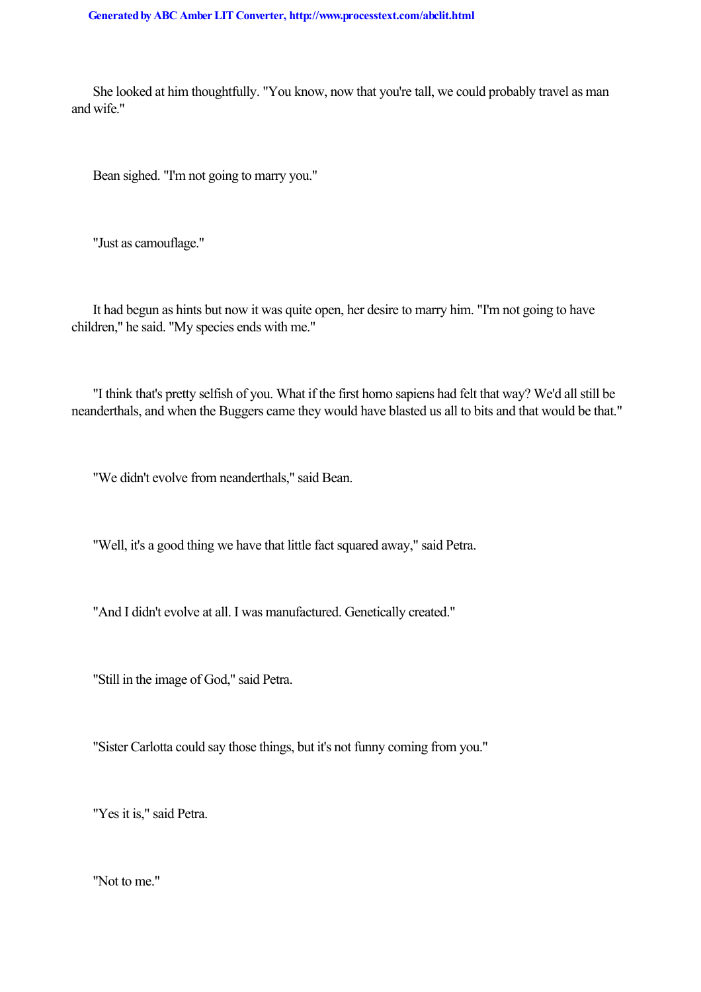She looked at him thoughtfully. "You know, now that you're tall, we could probably travel as man and wife."

Bean sighed. "I'm not going to marry you."

"Just as camouflage."

 It had begun as hints but now it was quite open, her desire to marry him. "I'm not going to have children," he said. "My species ends with me."

 "I think that's pretty selfish of you. What if the first homo sapiens had felt that way? We'd all still be neanderthals, and when the Buggers came they would have blasted us all to bits and that would be that."

"We didn't evolve from neanderthals," said Bean.

"Well, it's a good thing we have that little fact squared away," said Petra.

"And I didn't evolve at all. I was manufactured. Genetically created."

"Still in the image of God," said Petra.

"Sister Carlotta could say those things, but it's not funny coming from you."

"Yes it is," said Petra.

"Not to me."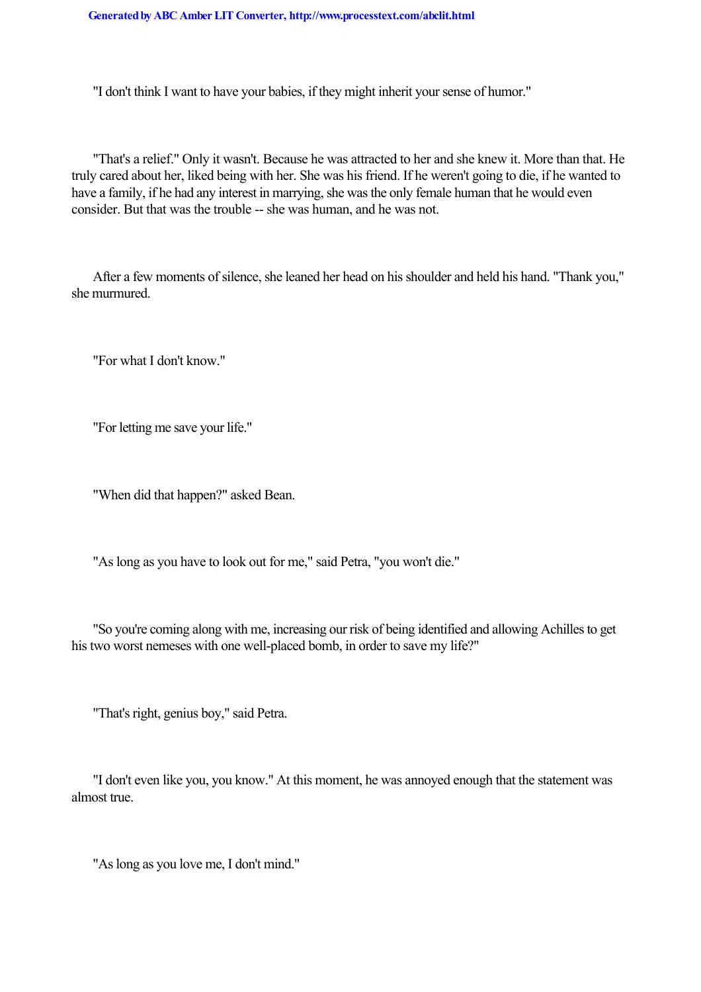"I don't think I want to have your babies, if they might inherit your sense of humor."

 "That's a relief." Only it wasn't. Because he was attracted to her and she knew it. More than that. He truly cared about her, liked being with her. She was his friend. If he weren't going to die, if he wanted to have a family, if he had any interest in marrying, she was the only female human that he would even consider. But that was the trouble -- she was human, and he was not.

 After a few moments of silence, she leaned her head on his shoulder and held his hand. "Thank you," she murmured.

"For what I don't know."

"For letting me save your life."

"When did that happen?" asked Bean.

"As long as you have to look out for me," said Petra, "you won't die."

 "So you're coming along with me, increasing our risk of being identified and allowing Achilles to get his two worst nemeses with one well-placed bomb, in order to save my life?"

"That's right, genius boy," said Petra.

 "I don't even like you, you know." At this moment, he was annoyed enough that the statement was almost true.

"As long as you love me, I don't mind."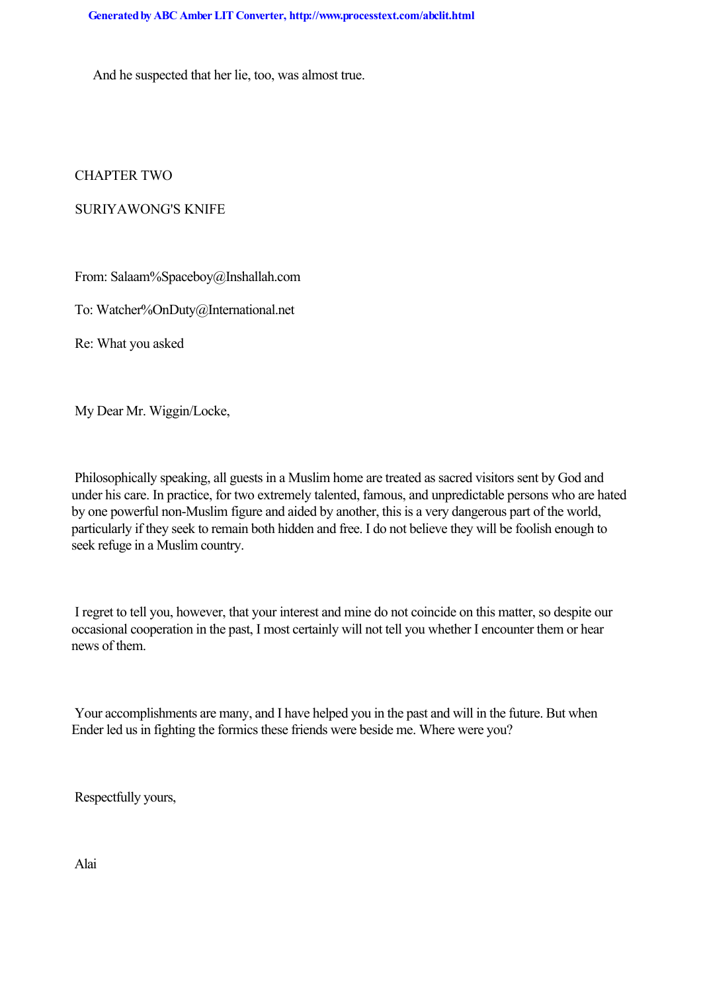And he suspected that her lie, too, was almost true.

CHAPTER TWO

## SURIYAWONG'S KNIFE

From: Salaam%Spaceboy@Inshallah.com

To: Watcher%OnDuty@International.net

Re: What you asked

My Dear Mr. Wiggin/Locke,

 Philosophically speaking, all guests in a Muslim home are treated as sacred visitors sent by God and under his care. In practice, for two extremely talented, famous, and unpredictable persons who are hated by one powerful non-Muslim figure and aided by another, this is a very dangerous part of the world, particularly if they seek to remain both hidden and free. I do not believe they will be foolish enough to seek refuge in a Muslim country.

 I regret to tell you, however, that your interest and mine do not coincide on this matter, so despite our occasional cooperation in the past, I most certainly will not tell you whether I encounter them or hear news of them.

 Your accomplishments are many, and I have helped you in the past and will in the future. But when Ender led us in fighting the formics these friends were beside me. Where were you?

Respectfully yours,

Alai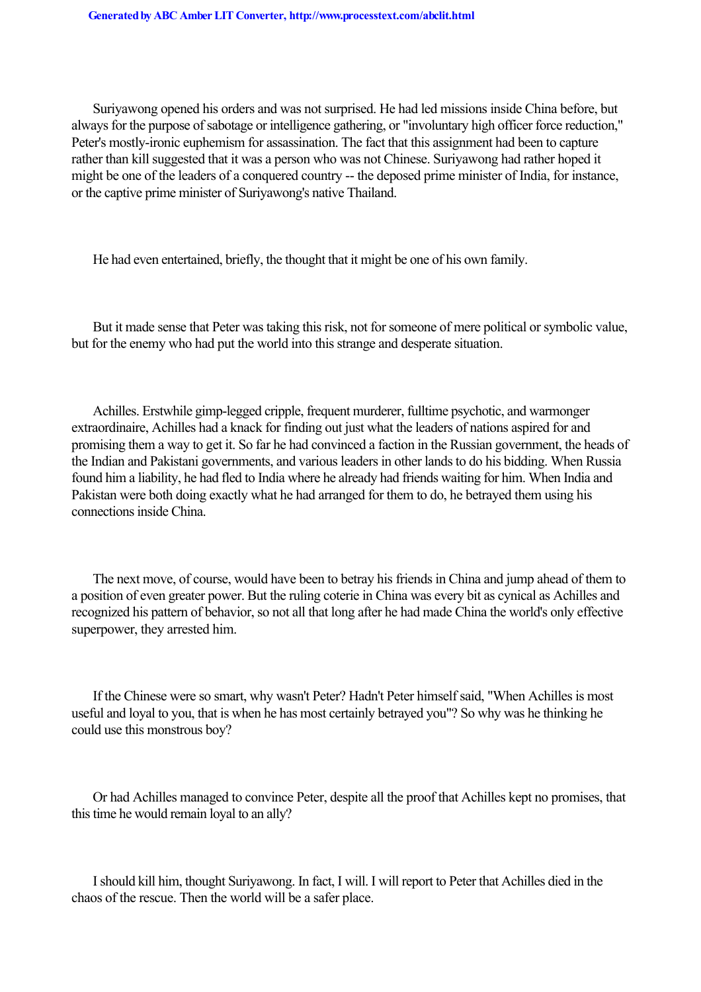Suriyawong opened his orders and was not surprised. He had led missions inside China before, but always for the purpose of sabotage or intelligence gathering, or "involuntary high officer force reduction," Peter's mostly-ironic euphemism for assassination. The fact that this assignment had been to capture rather than kill suggested that it was a person who was not Chinese. Suriyawong had rather hoped it might be one of the leaders of a conquered country -- the deposed prime minister of India, for instance, or the captive prime minister of Suriyawong's native Thailand.

He had even entertained, briefly, the thought that it might be one of his own family.

 But it made sense that Peter was taking this risk, not for someone of mere political or symbolic value, but for the enemy who had put the world into this strange and desperate situation.

 Achilles. Erstwhile gimp-legged cripple, frequent murderer, fulltime psychotic, and warmonger extraordinaire, Achilles had a knack for finding out just what the leaders of nations aspired for and promising them a way to get it. So far he had convinced a faction in the Russian government, the heads of the Indian and Pakistani governments, and various leaders in other lands to do his bidding. When Russia found him a liability, he had fled to India where he already had friends waiting for him. When India and Pakistan were both doing exactly what he had arranged for them to do, he betrayed them using his connections inside China.

 The next move, of course, would have been to betray his friends in China and jump ahead of them to a position of even greater power. But the ruling coterie in China was every bit as cynical as Achilles and recognized his pattern of behavior, so not all that long after he had made China the world's only effective superpower, they arrested him.

 If the Chinese were so smart, why wasn't Peter? Hadn't Peter himself said, "When Achilles is most useful and loyal to you, that is when he has most certainly betrayed you"? So why was he thinking he could use this monstrous boy?

 Or had Achilles managed to convince Peter, despite all the proof that Achilles kept no promises, that this time he would remain loyal to an ally?

 I should kill him, thought Suriyawong. In fact, I will. I will report to Peter that Achilles died in the chaos of the rescue. Then the world will be a safer place.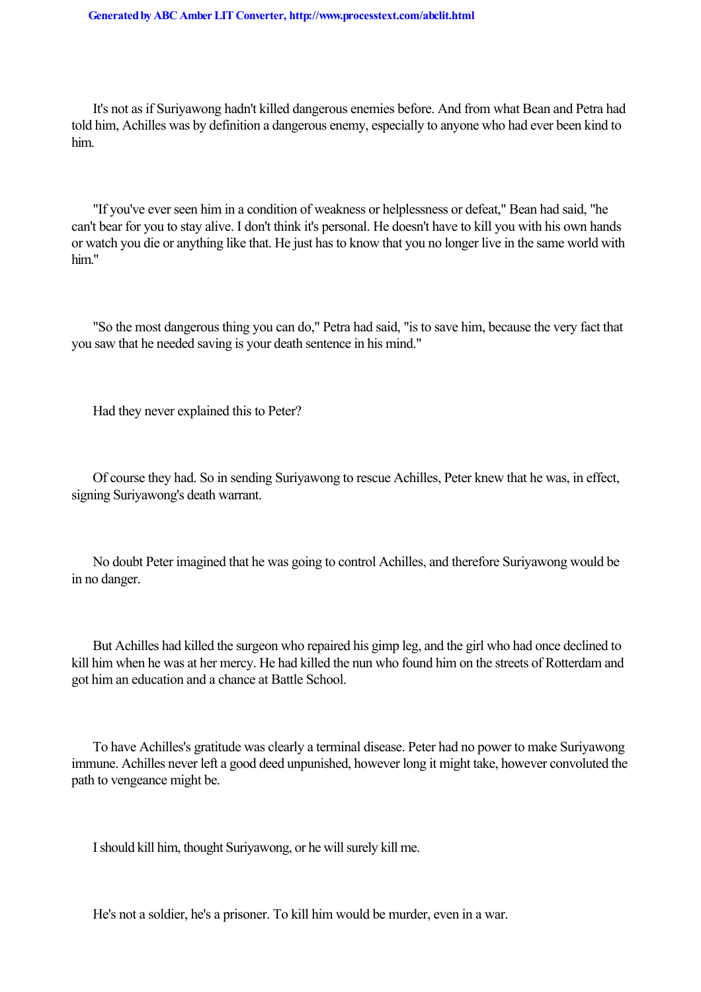It's not as if Suriyawong hadn't killed dangerous enemies before. And from what Bean and Petra had told him, Achilles was by definition a dangerous enemy, especially to anyone who had ever been kind to him.

 "If you've ever seen him in a condition of weakness or helplessness or defeat," Bean had said, "he can't bear for you to stay alive. I don't think it's personal. He doesn't have to kill you with his own hands or watch you die or anything like that. He just has to know that you no longer live in the same world with him."

 "So the most dangerous thing you can do," Petra had said, "is to save him, because the very fact that you saw that he needed saving is your death sentence in his mind."

Had they never explained this to Peter?

 Of course they had. So in sending Suriyawong to rescue Achilles, Peter knew that he was, in effect, signing Suriyawong's death warrant.

 No doubt Peter imagined that he was going to control Achilles, and therefore Suriyawong would be in no danger.

 But Achilles had killed the surgeon who repaired his gimp leg, and the girl who had once declined to kill him when he was at her mercy. He had killed the nun who found him on the streets of Rotterdam and got him an education and a chance at Battle School.

 To have Achilles's gratitude was clearly a terminal disease. Peter had no power to make Suriyawong immune. Achilles never left a good deed unpunished, however long it might take, however convoluted the path to vengeance might be.

I should kill him, thought Suriyawong, or he will surely kill me.

He's not a soldier, he's a prisoner. To kill him would be murder, even in a war.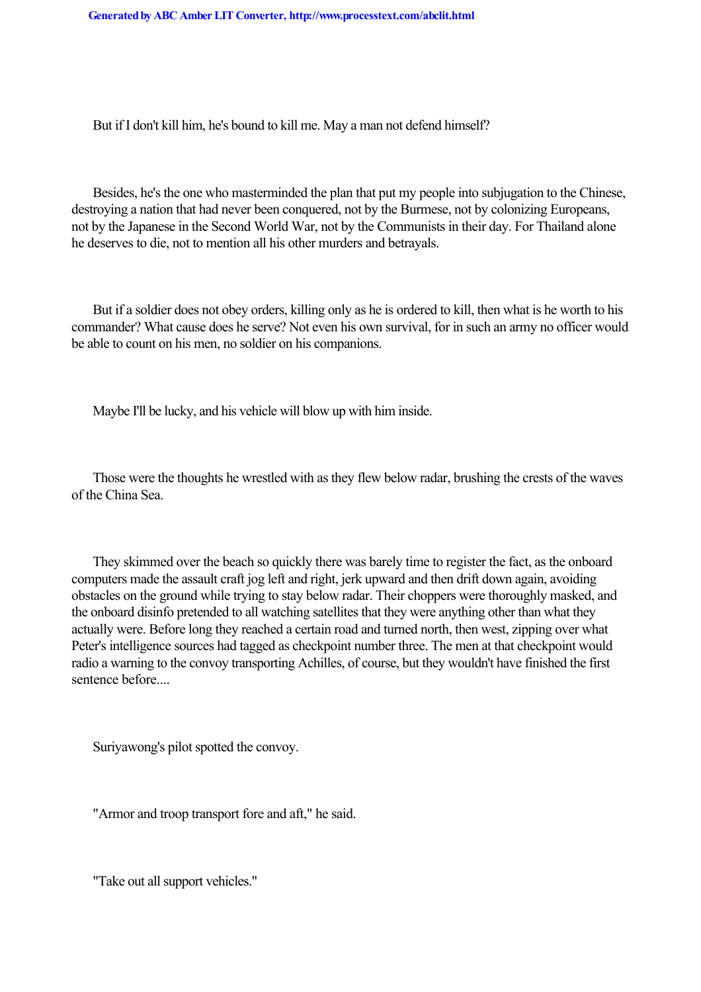But if I don't kill him, he's bound to kill me. May a man not defend himself?

 Besides, he's the one who masterminded the plan that put my people into subjugation to the Chinese, destroying a nation that had never been conquered, not by the Burmese, not by colonizing Europeans, not by the Japanese in the Second World War, not by the Communists in their day. For Thailand alone he deserves to die, not to mention all his other murders and betrayals.

 But if a soldier does not obey orders, killing only as he is ordered to kill, then what is he worth to his commander? What cause does he serve? Not even his own survival, for in such an army no officer would be able to count on his men, no soldier on his companions.

Maybe I'll be lucky, and his vehicle will blow up with him inside.

 Those were the thoughts he wrestled with as they flew below radar, brushing the crests of the waves of the China Sea.

 They skimmed over the beach so quickly there was barely time to register the fact, as the onboard computers made the assault craft jog left and right, jerk upward and then drift down again, avoiding obstacles on the ground while trying to stay below radar. Their choppers were thoroughly masked, and the onboard disinfo pretended to all watching satellites that they were anything other than what they actually were. Before long they reached a certain road and turned north, then west, zipping over what Peter's intelligence sources had tagged as checkpoint number three. The men at that checkpoint would radio a warning to the convoy transporting Achilles, of course, but they wouldn't have finished the first sentence before.

Suriyawong's pilot spotted the convoy.

"Armor and troop transport fore and aft," he said.

"Take out all support vehicles."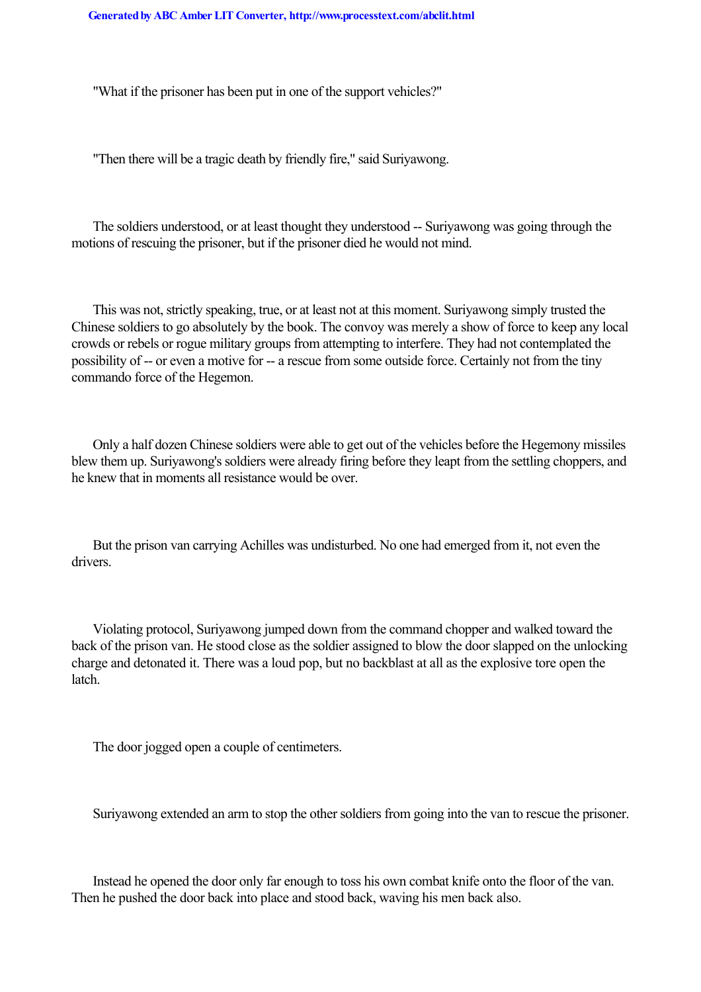"What if the prisoner has been put in one of the support vehicles?"

"Then there will be a tragic death by friendly fire," said Suriyawong.

 The soldiers understood, or at least thought they understood -- Suriyawong was going through the motions of rescuing the prisoner, but if the prisoner died he would not mind.

 This was not, strictly speaking, true, or at least not at this moment. Suriyawong simply trusted the Chinese soldiers to go absolutely by the book. The convoy was merely a show of force to keep any local crowds or rebels or rogue military groups from attempting to interfere. They had not contemplated the possibility of -- or even a motive for -- a rescue from some outside force. Certainly not from the tiny commando force of the Hegemon.

 Only a half dozen Chinese soldiers were able to get out of the vehicles before the Hegemony missiles blew them up. Suriyawong's soldiers were already firing before they leapt from the settling choppers, and he knew that in moments all resistance would be over.

 But the prison van carrying Achilles was undisturbed. No one had emerged from it, not even the drivers.

 Violating protocol, Suriyawong jumped down from the command chopper and walked toward the back of the prison van. He stood close as the soldier assigned to blow the door slapped on the unlocking charge and detonated it. There was a loud pop, but no backblast at all as the explosive tore open the latch.

The door jogged open a couple of centimeters.

Suriyawong extended an arm to stop the other soldiers from going into the van to rescue the prisoner.

 Instead he opened the door only far enough to toss his own combat knife onto the floor of the van. Then he pushed the door back into place and stood back, waving his men back also.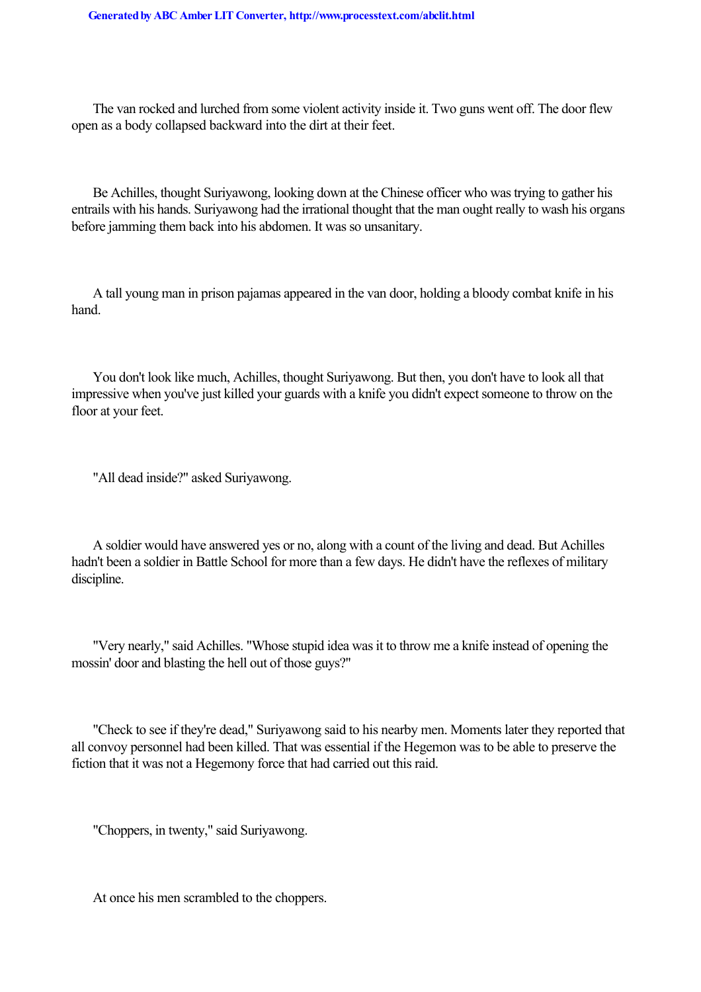The van rocked and lurched from some violent activity inside it. Two guns went off. The door flew open as a body collapsed backward into the dirt at their feet.

 Be Achilles, thought Suriyawong, looking down at the Chinese officer who was trying to gather his entrails with his hands. Suriyawong had the irrational thought that the man ought really to wash his organs before jamming them back into his abdomen. It was so unsanitary.

 A tall young man in prison pajamas appeared in the van door, holding a bloody combat knife in his hand.

 You don't look like much, Achilles, thought Suriyawong. But then, you don't have to look all that impressive when you've just killed your guards with a knife you didn't expect someone to throw on the floor at your feet.

"All dead inside?" asked Suriyawong.

 A soldier would have answered yes or no, along with a count of the living and dead. But Achilles hadn't been a soldier in Battle School for more than a few days. He didn't have the reflexes of military discipline.

 "Very nearly," said Achilles. "Whose stupid idea was it to throw me a knife instead of opening the mossin' door and blasting the hell out of those guys?"

 "Check to see if they're dead," Suriyawong said to his nearby men. Moments later they reported that all convoy personnel had been killed. That was essential if the Hegemon was to be able to preserve the fiction that it was not a Hegemony force that had carried out this raid.

"Choppers, in twenty," said Suriyawong.

At once his men scrambled to the choppers.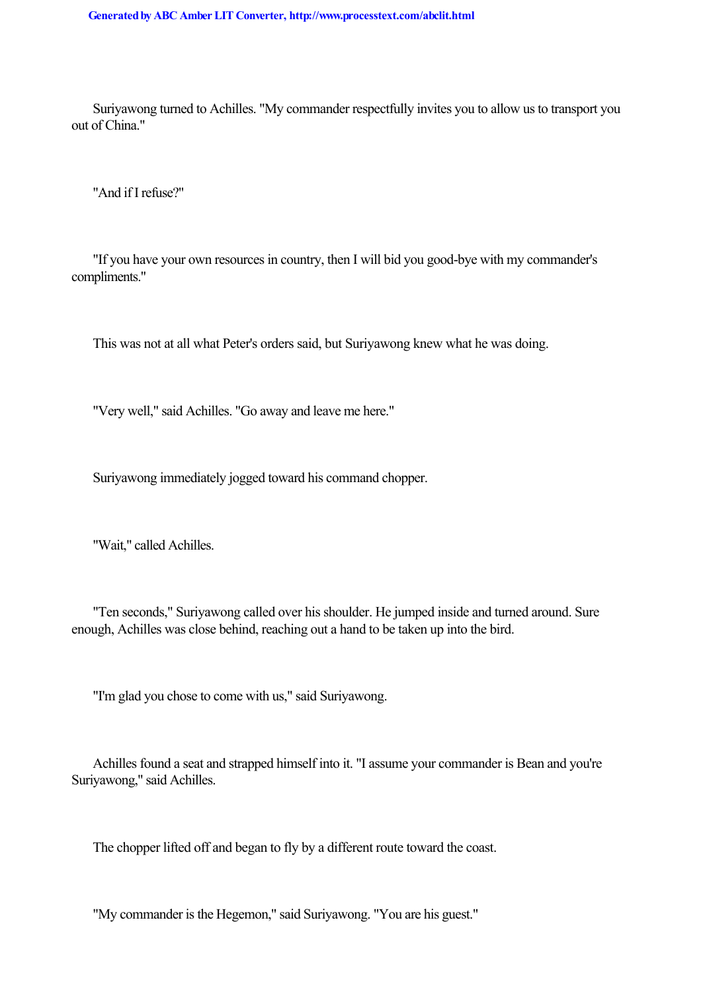Suriyawong turned to Achilles. "My commander respectfully invites you to allow us to transport you out of China"

"And if I refuse?"

 "If you have your own resources in country, then I will bid you good-bye with my commander's compliments."

This was not at all what Peter's orders said, but Suriyawong knew what he was doing.

"Very well," said Achilles. "Go away and leave me here."

Suriyawong immediately jogged toward his command chopper.

"Wait," called Achilles.

 "Ten seconds," Suriyawong called over his shoulder. He jumped inside and turned around. Sure enough, Achilles was close behind, reaching out a hand to be taken up into the bird.

"I'm glad you chose to come with us," said Suriyawong.

 Achilles found a seat and strapped himself into it. "I assume your commander is Bean and you're Suriyawong," said Achilles.

The chopper lifted off and began to fly by a different route toward the coast.

"My commander is the Hegemon," said Suriyawong. "You are his guest."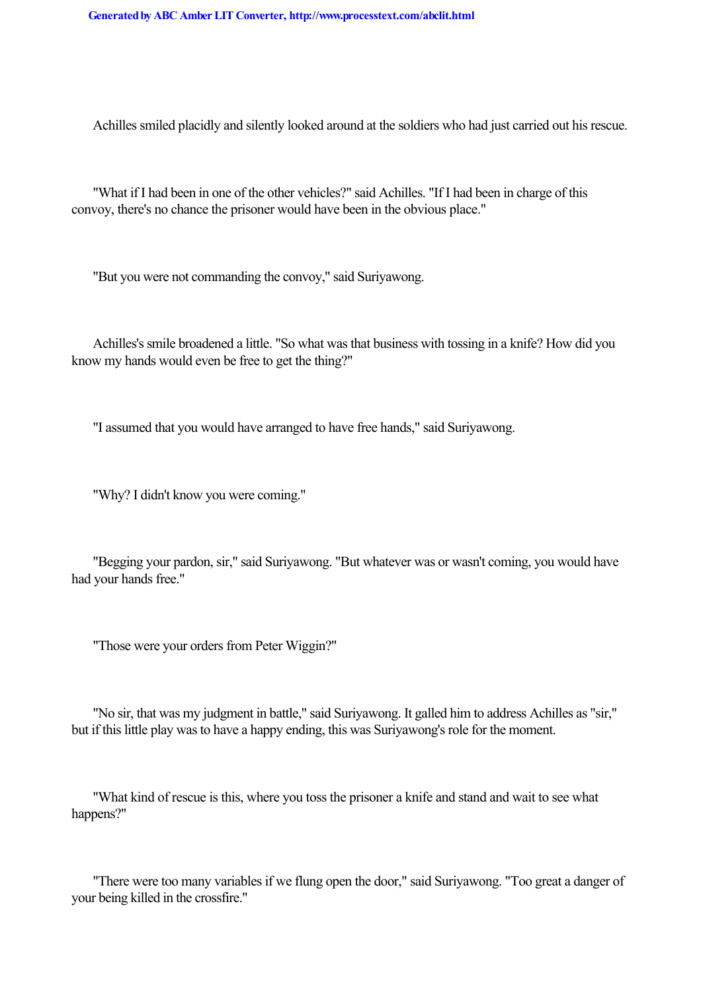Achilles smiled placidly and silently looked around at the soldiers who had just carried out his rescue.

 "What if I had been in one of the other vehicles?" said Achilles. "If I had been in charge of this convoy, there's no chance the prisoner would have been in the obvious place."

"But you were not commanding the convoy," said Suriyawong.

 Achilles's smile broadened a little. "So what was that business with tossing in a knife? How did you know my hands would even be free to get the thing?"

"I assumed that you would have arranged to have free hands," said Suriyawong.

"Why? I didn't know you were coming."

 "Begging your pardon, sir," said Suriyawong. "But whatever was or wasn't coming, you would have had your hands free."

"Those were your orders from Peter Wiggin?"

 "No sir, that was my judgment in battle," said Suriyawong. It galled him to address Achilles as "sir," but if this little play was to have a happy ending, this was Suriyawong's role for the moment.

 "What kind of rescue is this, where you toss the prisoner a knife and stand and wait to see what happens?"

 "There were too many variables if we flung open the door," said Suriyawong. "Too great a danger of your being killed in the crossfire."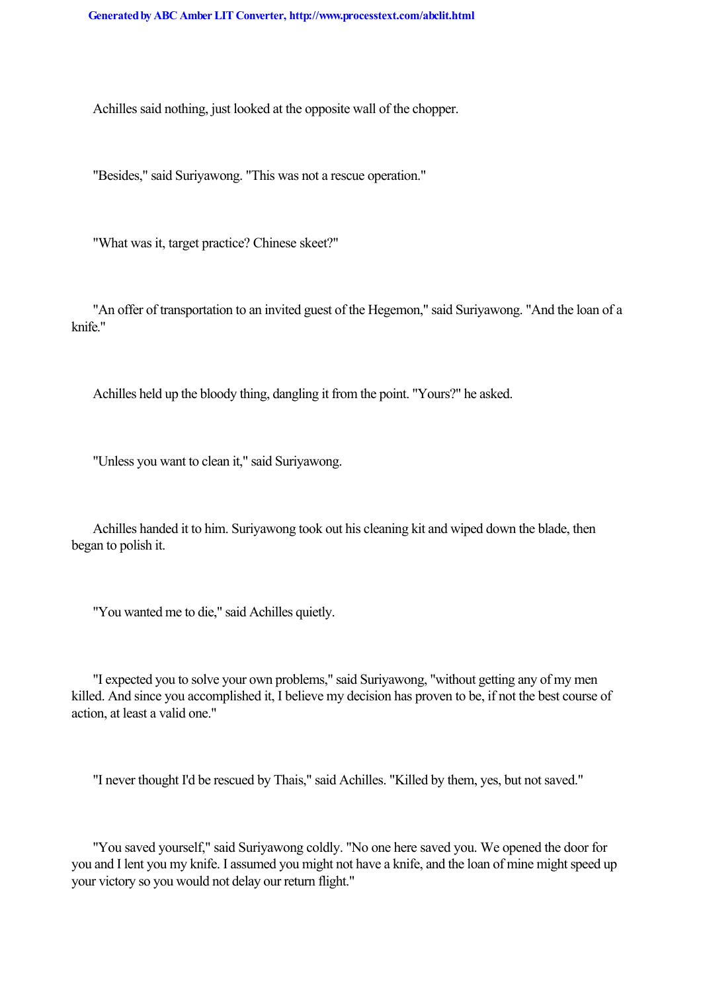Achilles said nothing, just looked at the opposite wall of the chopper.

"Besides," said Suriyawong. "This was not a rescue operation."

"What was it, target practice? Chinese skeet?"

 "An offer of transportation to an invited guest of the Hegemon," said Suriyawong. "And the loan of a knife"

Achilles held up the bloody thing, dangling it from the point. "Yours?" he asked.

"Unless you want to clean it," said Suriyawong.

 Achilles handed it to him. Suriyawong took out his cleaning kit and wiped down the blade, then began to polish it.

"You wanted me to die," said Achilles quietly.

 "I expected you to solve your own problems," said Suriyawong, "without getting any of my men killed. And since you accomplished it, I believe my decision has proven to be, if not the best course of action, at least a valid one."

"I never thought I'd be rescued by Thais," said Achilles. "Killed by them, yes, but not saved."

 "You saved yourself," said Suriyawong coldly. "No one here saved you. We opened the door for you and I lent you my knife. I assumed you might not have a knife, and the loan of mine might speed up your victory so you would not delay our return flight."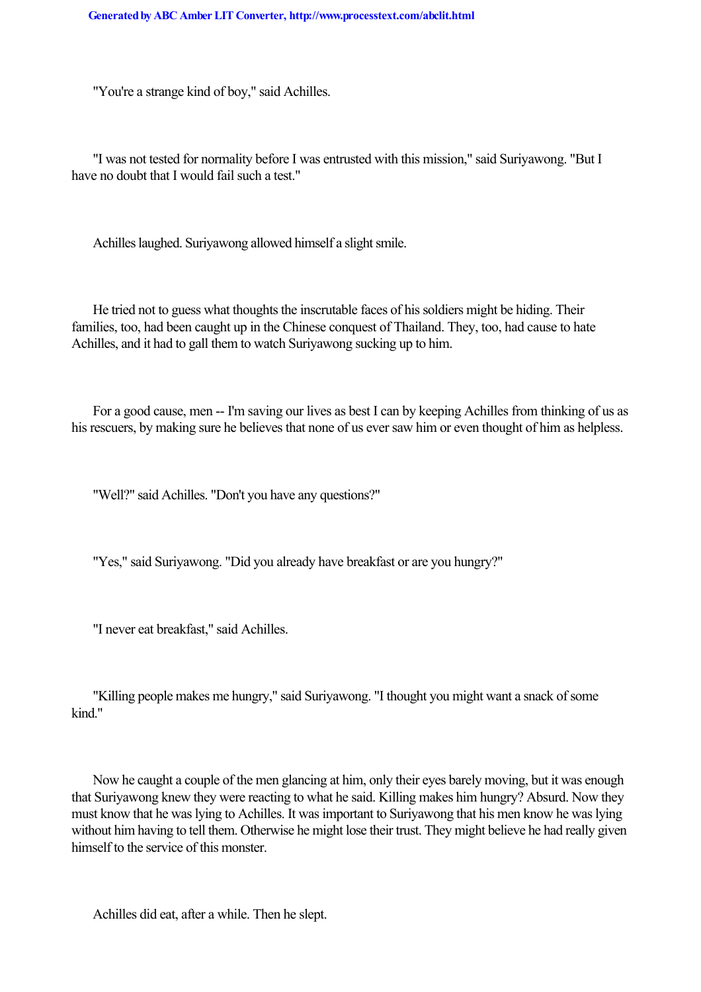"You're a strange kind of boy," said Achilles.

 "I was not tested for normality before I was entrusted with this mission," said Suriyawong. "But I have no doubt that I would fail such a test."

Achilles laughed. Suriyawong allowed himself a slight smile.

 He tried not to guess what thoughts the inscrutable faces of his soldiers might be hiding. Their families, too, had been caught up in the Chinese conquest of Thailand. They, too, had cause to hate Achilles, and it had to gall them to watch Suriyawong sucking up to him.

 For a good cause, men -- I'm saving our lives as best I can by keeping Achilles from thinking of us as his rescuers, by making sure he believes that none of us ever saw him or even thought of him as helpless.

"Well?" said Achilles. "Don't you have any questions?"

"Yes," said Suriyawong. "Did you already have breakfast or are you hungry?"

"I never eat breakfast," said Achilles.

 "Killing people makes me hungry," said Suriyawong. "I thought you might want a snack of some kind"

 Now he caught a couple of the men glancing at him, only their eyes barely moving, but it was enough that Suriyawong knew they were reacting to what he said. Killing makes him hungry? Absurd. Now they must know that he was lying to Achilles. It was important to Suriyawong that his men know he was lying without him having to tell them. Otherwise he might lose their trust. They might believe he had really given himself to the service of this monster.

Achilles did eat, after a while. Then he slept.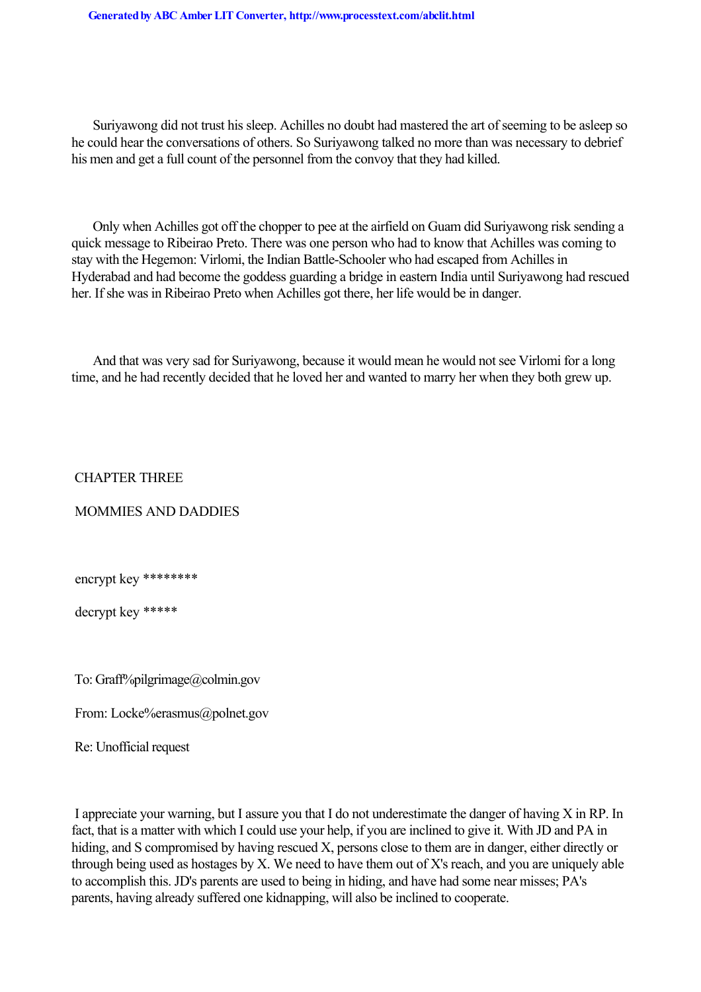Suriyawong did not trust his sleep. Achilles no doubt had mastered the art of seeming to be asleep so he could hear the conversations of others. So Suriyawong talked no more than was necessary to debrief his men and get a full count of the personnel from the convoy that they had killed.

 Only when Achilles got off the chopper to pee at the airfield on Guam did Suriyawong risk sending a quick message to Ribeirao Preto. There was one person who had to know that Achilles was coming to stay with the Hegemon: Virlomi, the Indian Battle-Schooler who had escaped from Achilles in Hyderabad and had become the goddess guarding a bridge in eastern India until Suriyawong had rescued her. If she was in Ribeirao Preto when Achilles got there, her life would be in danger.

 And that was very sad for Suriyawong, because it would mean he would not see Virlomi for a long time, and he had recently decided that he loved her and wanted to marry her when they both grew up.

CHAPTER THREE

MOMMIES AND DADDIES

encrypt key \*\*\*\*\*\*\*\*

decrypt key \*\*\*\*\*

To: Graff%pilgrimage@colmin.gov

From: Locke%erasmus@polnet.gov

Re: Unofficial request

 I appreciate your warning, but I assure you that I do not underestimate the danger of having X in RP. In fact, that is a matter with which I could use your help, if you are inclined to give it. With JD and PA in hiding, and S compromised by having rescued X, persons close to them are in danger, either directly or through being used as hostages by X. We need to have them out of X's reach, and you are uniquely able to accomplish this. JD's parents are used to being in hiding, and have had some near misses; PA's parents, having already suffered one kidnapping, will also be inclined to cooperate.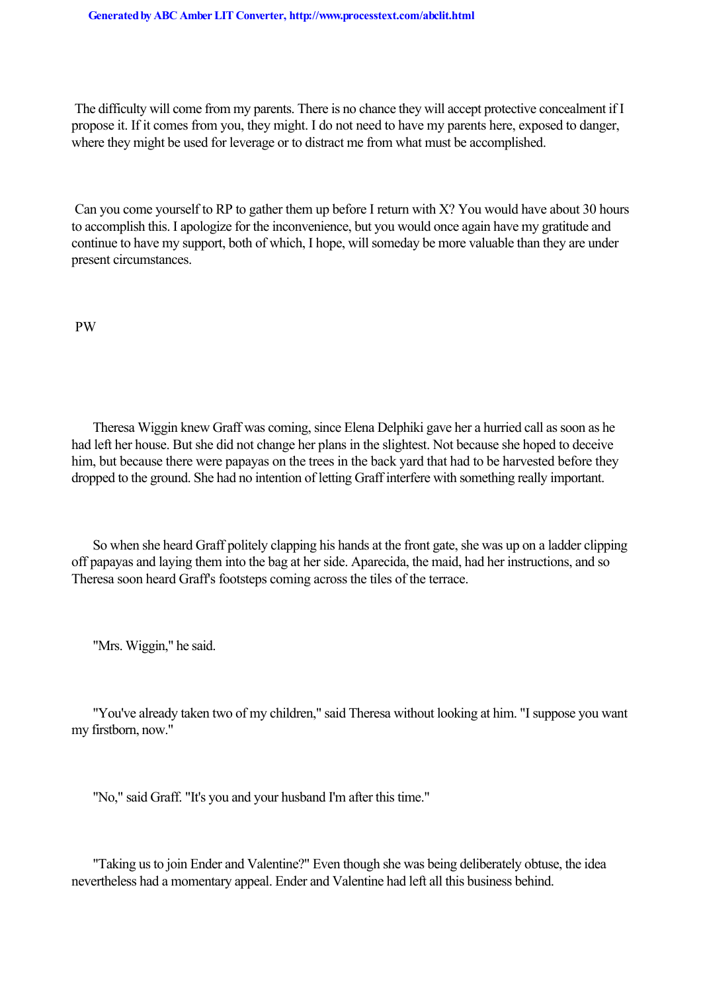The difficulty will come from my parents. There is no chance they will accept protective concealment if I propose it. If it comes from you, they might. I do not need to have my parents here, exposed to danger, where they might be used for leverage or to distract me from what must be accomplished.

 Can you come yourself to RP to gather them up before I return with X? You would have about 30 hours to accomplish this. I apologize for the inconvenience, but you would once again have my gratitude and continue to have my support, both of which, I hope, will someday be more valuable than they are under present circumstances.

PW

 Theresa Wiggin knew Graff was coming, since Elena Delphiki gave her a hurried call as soon as he had left her house. But she did not change her plans in the slightest. Not because she hoped to deceive him, but because there were papayas on the trees in the back yard that had to be harvested before they dropped to the ground. She had no intention of letting Graff interfere with something really important.

 So when she heard Graff politely clapping his hands at the front gate, she was up on a ladder clipping off papayas and laying them into the bag at her side. Aparecida, the maid, had her instructions, and so Theresa soon heard Graff's footsteps coming across the tiles of the terrace.

"Mrs. Wiggin," he said.

 "You've already taken two of my children," said Theresa without looking at him. "I suppose you want my firstborn, now."

"No," said Graff. "It's you and your husband I'm after this time."

 "Taking us to join Ender and Valentine?" Even though she was being deliberately obtuse, the idea nevertheless had a momentary appeal. Ender and Valentine had left all this business behind.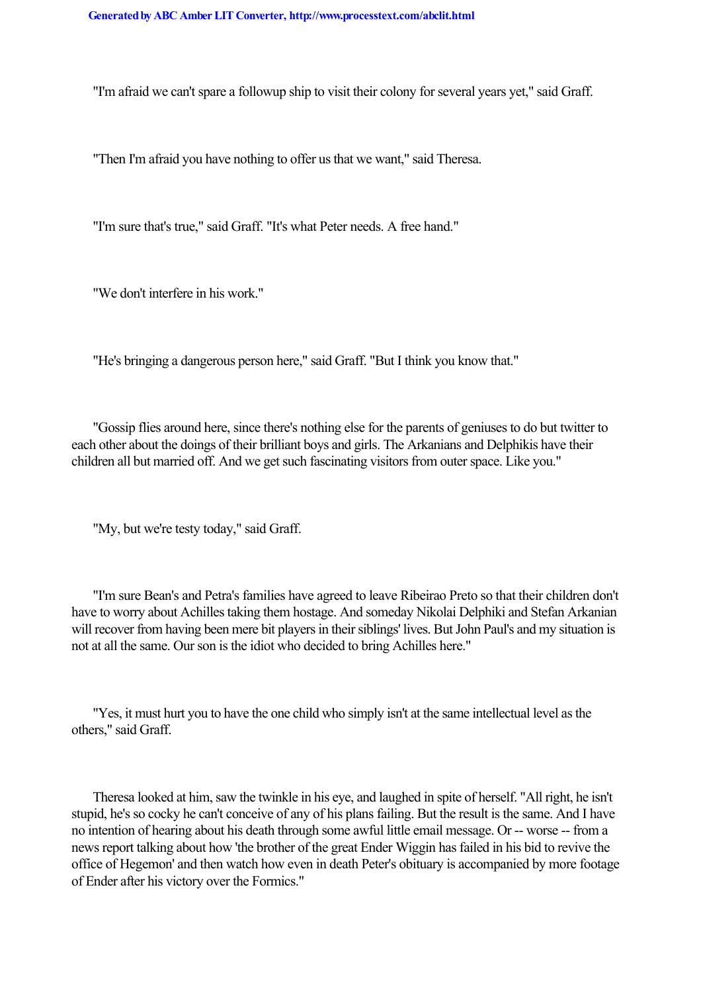"I'm afraid we can't spare a followup ship to visit their colony for several years yet," said Graff.

"Then I'm afraid you have nothing to offer us that we want," said Theresa.

"I'm sure that's true," said Graff. "It's what Peter needs. A free hand."

"We don't interfere in his work."

"He's bringing a dangerous person here," said Graff. "But I think you know that."

 "Gossip flies around here, since there's nothing else for the parents of geniuses to do but twitter to each other about the doings of their brilliant boys and girls. The Arkanians and Delphikis have their children all but married off. And we get such fascinating visitors from outer space. Like you."

"My, but we're testy today," said Graff.

 "I'm sure Bean's and Petra's families have agreed to leave Ribeirao Preto so that their children don't have to worry about Achilles taking them hostage. And someday Nikolai Delphiki and Stefan Arkanian will recover from having been mere bit players in their siblings' lives. But John Paul's and my situation is not at all the same. Our son is the idiot who decided to bring Achilles here."

 "Yes, it must hurt you to have the one child who simply isn't at the same intellectual level as the others," said Graff.

 Theresa looked at him, saw the twinkle in his eye, and laughed in spite of herself. "All right, he isn't stupid, he's so cocky he can't conceive of any of his plans failing. But the result is the same. And I have no intention of hearing about his death through some awful little email message. Or -- worse -- from a news report talking about how 'the brother of the great Ender Wiggin has failed in his bid to revive the office of Hegemon' and then watch how even in death Peter's obituary is accompanied by more footage of Ender after his victory over the Formics."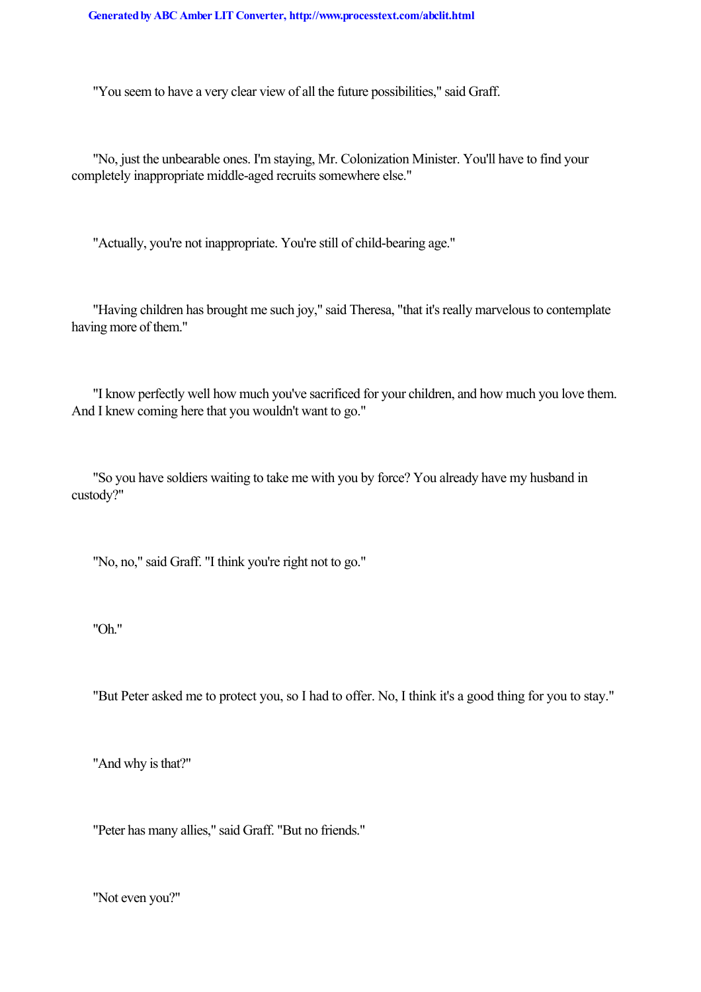"You seem to have a very clear view of all the future possibilities," said Graff.

 "No, just the unbearable ones. I'm staying, Mr. Colonization Minister. You'll have to find your completely inappropriate middle-aged recruits somewhere else."

"Actually, you're not inappropriate. You're still of child-bearing age."

 "Having children has brought me such joy," said Theresa, "that it's really marvelous to contemplate having more of them."

 "I know perfectly well how much you've sacrificed for your children, and how much you love them. And I knew coming here that you wouldn't want to go."

 "So you have soldiers waiting to take me with you by force? You already have my husband in custody?"

"No, no," said Graff. "I think you're right not to go."

"Oh."

"But Peter asked me to protect you, so I had to offer. No, I think it's a good thing for you to stay."

"And why is that?"

"Peter has many allies," said Graff. "But no friends."

"Not even you?"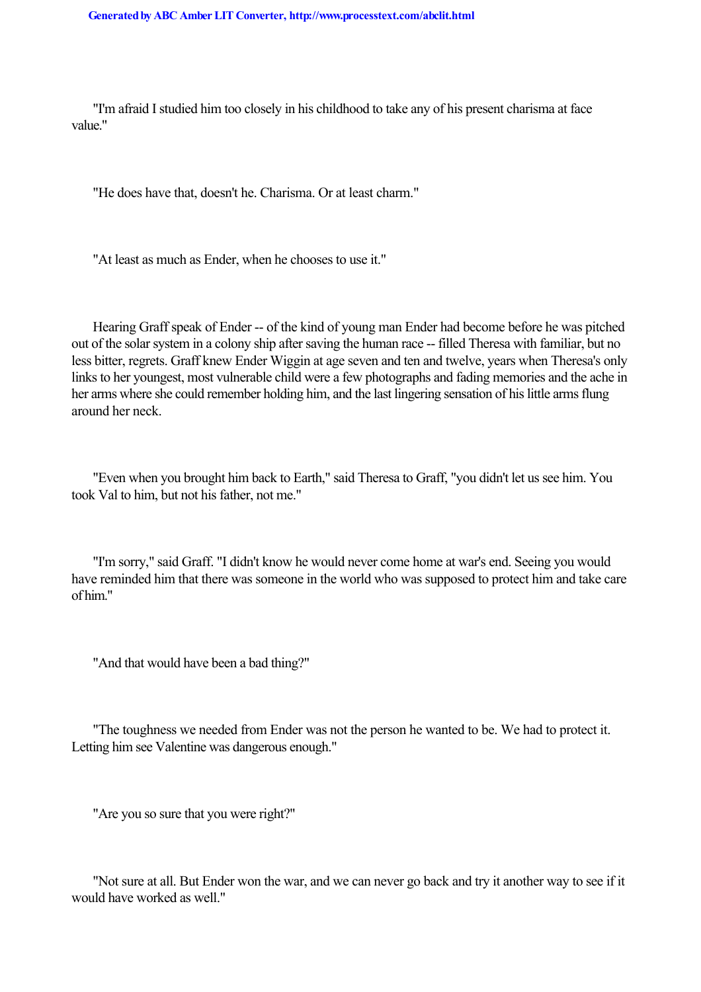"I'm afraid I studied him too closely in his childhood to take any of his present charisma at face value."

"He does have that, doesn't he. Charisma. Or at least charm."

"At least as much as Ender, when he chooses to use it."

 Hearing Graff speak of Ender -- of the kind of young man Ender had become before he was pitched out of the solar system in a colony ship after saving the human race -- filled Theresa with familiar, but no less bitter, regrets. Graff knew Ender Wiggin at age seven and ten and twelve, years when Theresa's only links to her youngest, most vulnerable child were a few photographs and fading memories and the ache in her arms where she could remember holding him, and the last lingering sensation of his little arms flung around her neck.

 "Even when you brought him back to Earth," said Theresa to Graff, "you didn't let us see him. You took Val to him, but not his father, not me."

 "I'm sorry," said Graff. "I didn't know he would never come home at war's end. Seeing you would have reminded him that there was someone in the world who was supposed to protect him and take care of him."

"And that would have been a bad thing?"

 "The toughness we needed from Ender was not the person he wanted to be. We had to protect it. Letting him see Valentine was dangerous enough."

"Are you so sure that you were right?"

 "Not sure at all. But Ender won the war, and we can never go back and try it another way to see if it would have worked as well."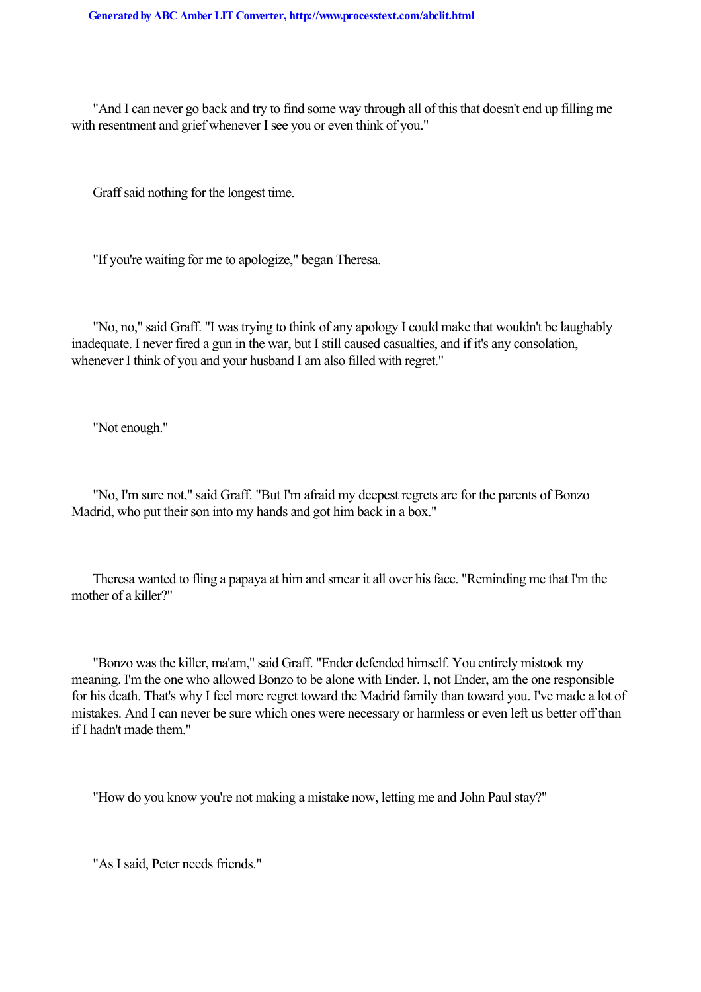"And I can never go back and try to find some way through all of this that doesn't end up filling me with resentment and grief whenever I see you or even think of you."

Graff said nothing for the longest time.

"If you're waiting for me to apologize," began Theresa.

 "No, no," said Graff. "I was trying to think of any apology I could make that wouldn't be laughably inadequate. I never fired a gun in the war, but I still caused casualties, and if it's any consolation, whenever I think of you and your husband I am also filled with regret."

"Not enough."

 "No, I'm sure not," said Graff. "But I'm afraid my deepest regrets are for the parents of Bonzo Madrid, who put their son into my hands and got him back in a box."

 Theresa wanted to fling a papaya at him and smear it all over his face. "Reminding me that I'm the mother of a killer?"

 "Bonzo was the killer, ma'am," said Graff. "Ender defended himself. You entirely mistook my meaning. I'm the one who allowed Bonzo to be alone with Ender. I, not Ender, am the one responsible for his death. That's why I feel more regret toward the Madrid family than toward you. I've made a lot of mistakes. And I can never be sure which ones were necessary or harmless or even left us better off than if I hadn't made them."

"How do you know you're not making a mistake now, letting me and John Paul stay?"

"As I said, Peter needs friends."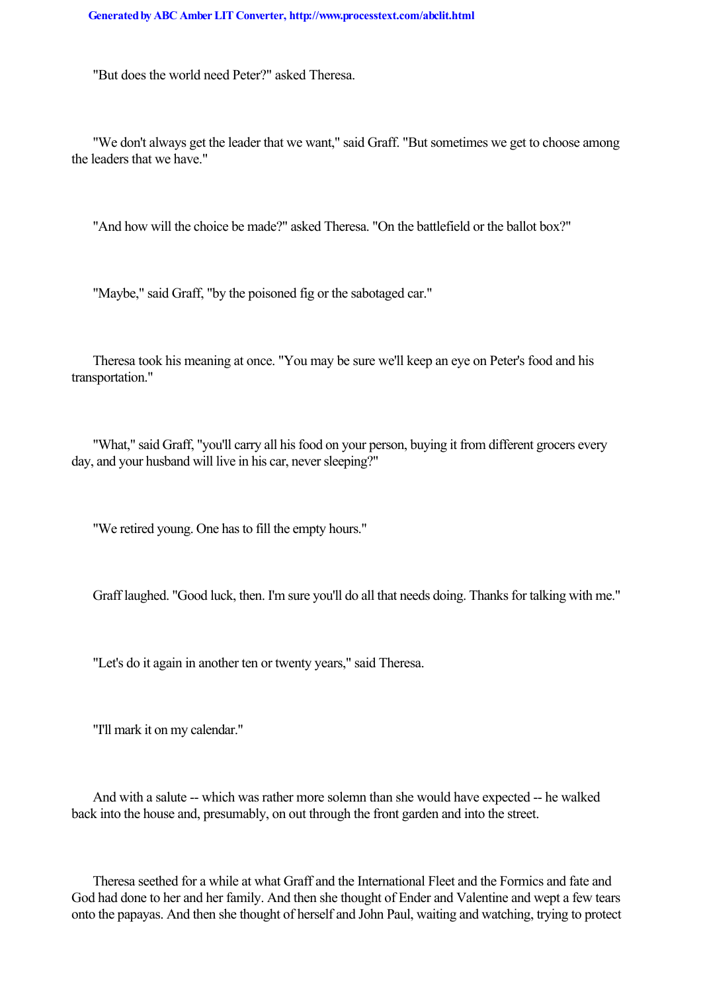"But does the world need Peter?" asked Theresa.

 "We don't always get the leader that we want," said Graff. "But sometimes we get to choose among the leaders that we have."

"And how will the choice be made?" asked Theresa. "On the battlefield or the ballot box?"

"Maybe," said Graff, "by the poisoned fig or the sabotaged car."

 Theresa took his meaning at once. "You may be sure we'll keep an eye on Peter's food and his transportation."

 "What," said Graff, "you'll carry all his food on your person, buying it from different grocers every day, and your husband will live in his car, never sleeping?"

"We retired young. One has to fill the empty hours."

Graff laughed. "Good luck, then. I'm sure you'll do all that needs doing. Thanks for talking with me."

"Let's do it again in another ten or twenty years," said Theresa.

"I'll mark it on my calendar."

 And with a salute -- which was rather more solemn than she would have expected -- he walked back into the house and, presumably, on out through the front garden and into the street.

 Theresa seethed for a while at what Graff and the International Fleet and the Formics and fate and God had done to her and her family. And then she thought of Ender and Valentine and wept a few tears onto the papayas. And then she thought of herself and John Paul, waiting and watching, trying to protect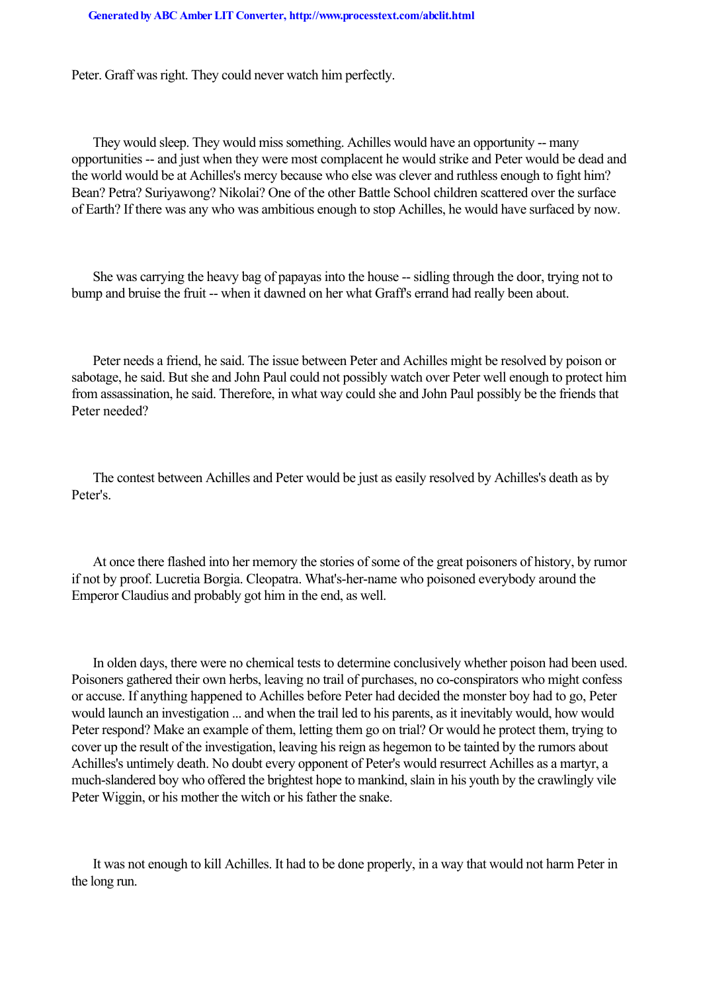Peter. Graff was right. They could never watch him perfectly.

 They would sleep. They would miss something. Achilles would have an opportunity -- many opportunities -- and just when they were most complacent he would strike and Peter would be dead and the world would be at Achilles's mercy because who else was clever and ruthless enough to fight him? Bean? Petra? Suriyawong? Nikolai? One of the other Battle School children scattered over the surface of Earth? If there was any who was ambitious enough to stop Achilles, he would have surfaced by now.

 She was carrying the heavy bag of papayas into the house -- sidling through the door, trying not to bump and bruise the fruit -- when it dawned on her what Graff's errand had really been about.

 Peter needs a friend, he said. The issue between Peter and Achilles might be resolved by poison or sabotage, he said. But she and John Paul could not possibly watch over Peter well enough to protect him from assassination, he said. Therefore, in what way could she and John Paul possibly be the friends that Peter needed?

 The contest between Achilles and Peter would be just as easily resolved by Achilles's death as by Peter's.

 At once there flashed into her memory the stories of some of the great poisoners of history, by rumor if not by proof. Lucretia Borgia. Cleopatra. What's-her-name who poisoned everybody around the Emperor Claudius and probably got him in the end, as well.

 In olden days, there were no chemical tests to determine conclusively whether poison had been used. Poisoners gathered their own herbs, leaving no trail of purchases, no co-conspirators who might confess or accuse. If anything happened to Achilles before Peter had decided the monster boy had to go, Peter would launch an investigation ... and when the trail led to his parents, as it inevitably would, how would Peter respond? Make an example of them, letting them go on trial? Or would he protect them, trying to cover up the result of the investigation, leaving his reign as hegemon to be tainted by the rumors about Achilles's untimely death. No doubt every opponent of Peter's would resurrect Achilles as a martyr, a much-slandered boy who offered the brightest hope to mankind, slain in his youth by the crawlingly vile Peter Wiggin, or his mother the witch or his father the snake.

 It was not enough to kill Achilles. It had to be done properly, in a way that would not harm Peter in the long run.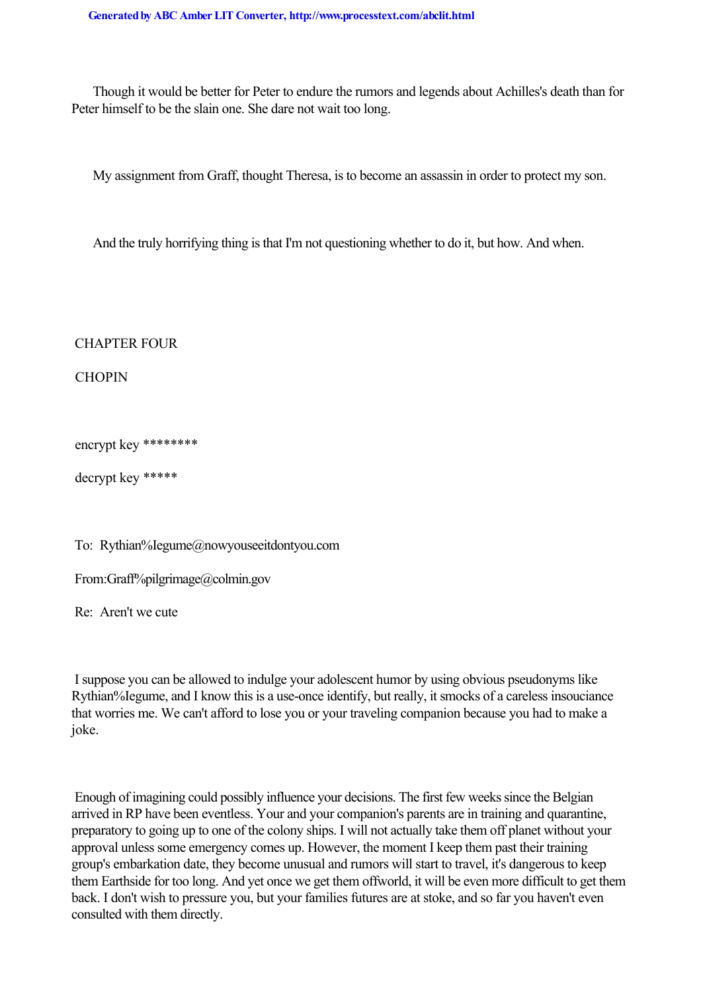Though it would be better for Peter to endure the rumors and legends about Achilles's death than for Peter himself to be the slain one. She dare not wait too long.

My assignment from Graff, thought Theresa, is to become an assassin in order to protect my son.

And the truly horrifying thing is that I'm not questioning whether to do it, but how. And when.

CHAPTER FOUR

**CHOPIN** 

encrypt key \*\*\*\*\*\*\*\*

decrypt key \*\*\*\*\*

To: Rythian%Iegume@nowyouseeitdontyou.com

From:Graff%pilgrimage@colmin.gov

Re: Aren't we cute

 I suppose you can be allowed to indulge your adolescent humor by using obvious pseudonyms like Rythian%Iegume, and I know this is a use-once identify, but really, it smocks of a careless insouciance that worries me. We can't afford to lose you or your traveling companion because you had to make a joke.

 Enough of imagining could possibly influence your decisions. The first few weeks since the Belgian arrived in RP have been eventless. Your and your companion's parents are in training and quarantine, preparatory to going up to one of the colony ships. I will not actually take them off planet without your approval unless some emergency comes up. However, the moment I keep them past their training group's embarkation date, they become unusual and rumors will start to travel, it's dangerous to keep them Earthside for too long. And yet once we get them offworld, it will be even more difficult to get them back. I don't wish to pressure you, but your families futures are at stoke, and so far you haven't even consulted with them directly.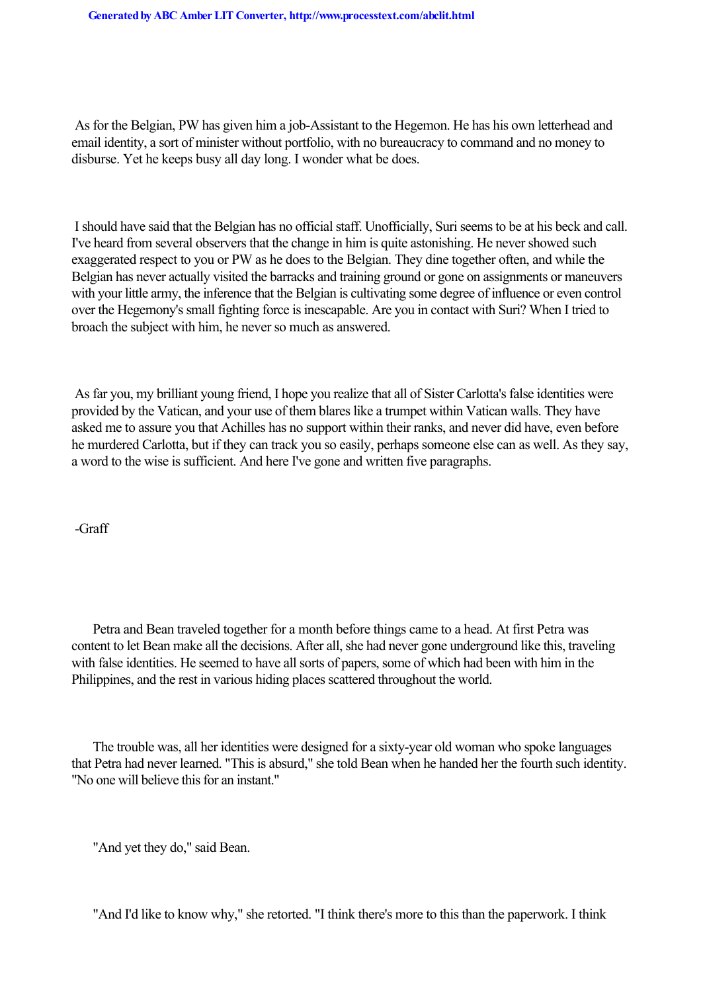As for the Belgian, PW has given him a job-Assistant to the Hegemon. He has his own letterhead and email identity, a sort of minister without portfolio, with no bureaucracy to command and no money to disburse. Yet he keeps busy all day long. I wonder what be does.

 I should have said that the Belgian has no official staff. Unofficially, Suri seems to be at his beck and call. I've heard from several observers that the change in him is quite astonishing. He never showed such exaggerated respect to you or PW as he does to the Belgian. They dine together often, and while the Belgian has never actually visited the barracks and training ground or gone on assignments or maneuvers with your little army, the inference that the Belgian is cultivating some degree of influence or even control over the Hegemony's small fighting force is inescapable. Are you in contact with Suri? When I tried to broach the subject with him, he never so much as answered.

 As far you, my brilliant young friend, I hope you realize that all of Sister Carlotta's false identities were provided by the Vatican, and your use of them blares like a trumpet within Vatican walls. They have asked me to assure you that Achilles has no support within their ranks, and never did have, even before he murdered Carlotta, but if they can track you so easily, perhaps someone else can as well. As they say, a word to the wise is sufficient. And here I've gone and written five paragraphs.

-Graff

 Petra and Bean traveled together for a month before things came to a head. At first Petra was content to let Bean make all the decisions. After all, she had never gone underground like this, traveling with false identities. He seemed to have all sorts of papers, some of which had been with him in the Philippines, and the rest in various hiding places scattered throughout the world.

 The trouble was, all her identities were designed for a sixty-year old woman who spoke languages that Petra had never learned. "This is absurd," she told Bean when he handed her the fourth such identity. "No one will believe this for an instant."

"And yet they do," said Bean.

"And I'd like to know why," she retorted. "I think there's more to this than the paperwork. I think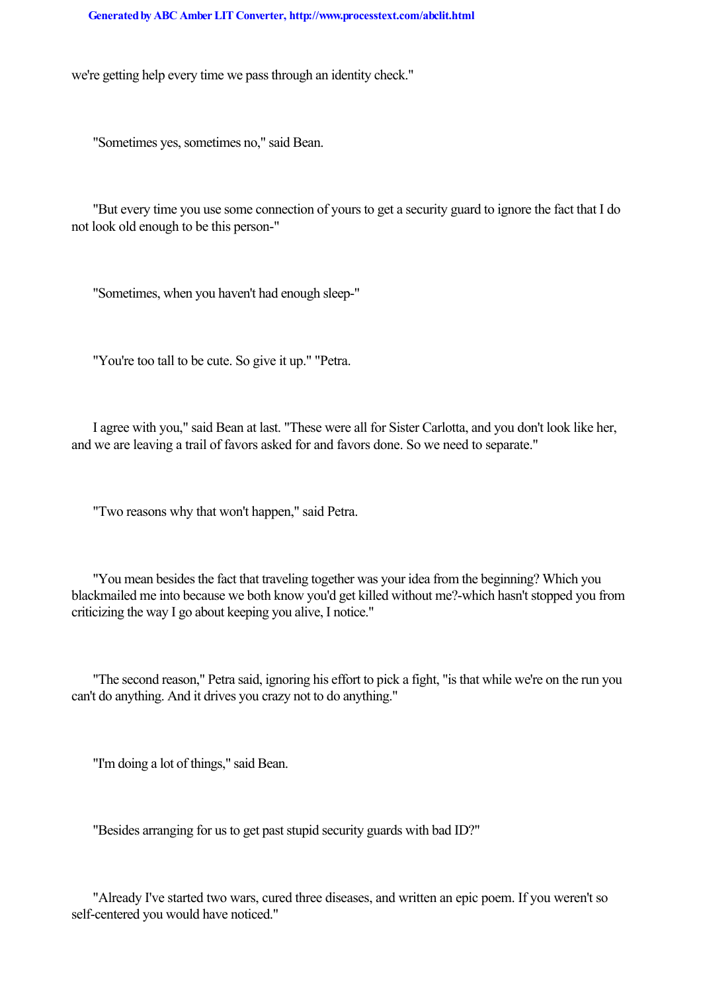we're getting help every time we pass through an identity check."

"Sometimes yes, sometimes no," said Bean.

 "But every time you use some connection of yours to get a security guard to ignore the fact that I do not look old enough to be this person-"

"Sometimes, when you haven't had enough sleep-"

"You're too tall to be cute. So give it up." "Petra.

 I agree with you," said Bean at last. "These were all for Sister Carlotta, and you don't look like her, and we are leaving a trail of favors asked for and favors done. So we need to separate."

"Two reasons why that won't happen," said Petra.

 "You mean besides the fact that traveling together was your idea from the beginning? Which you blackmailed me into because we both know you'd get killed without me?-which hasn't stopped you from criticizing the way I go about keeping you alive, I notice."

 "The second reason," Petra said, ignoring his effort to pick a fight, "is that while we're on the run you can't do anything. And it drives you crazy not to do anything."

"I'm doing a lot of things," said Bean.

"Besides arranging for us to get past stupid security guards with bad ID?"

 "Already I've started two wars, cured three diseases, and written an epic poem. If you weren't so self-centered you would have noticed."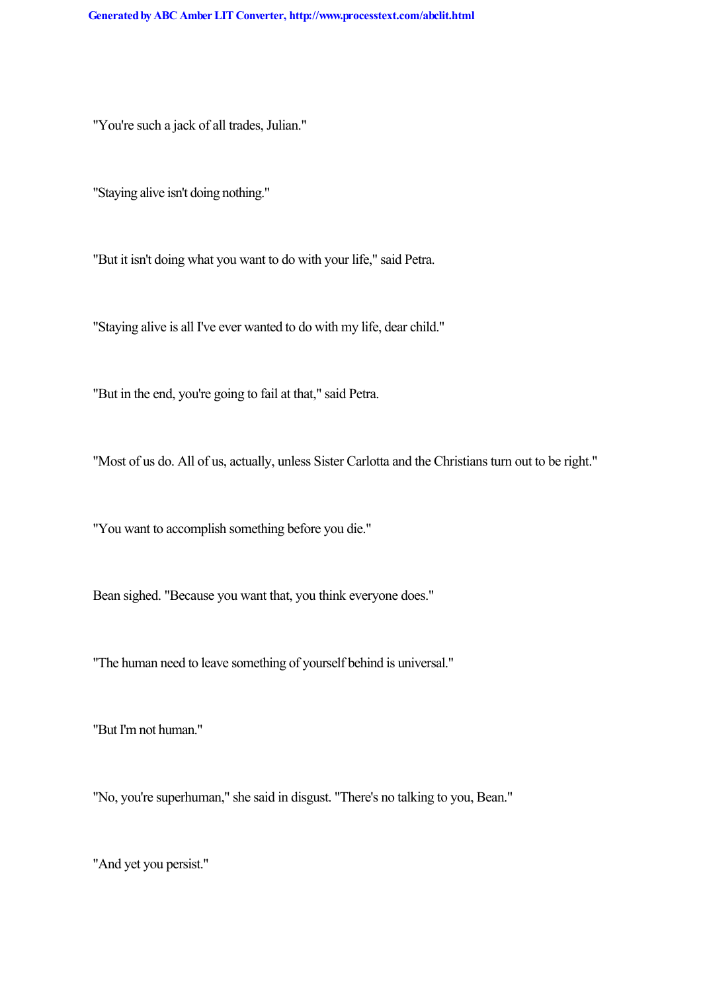"You're such a jack of all trades, Julian."

"Staying alive isn't doing nothing."

"But it isn't doing what you want to do with your life," said Petra.

"Staying alive is all I've ever wanted to do with my life, dear child."

"But in the end, you're going to fail at that," said Petra.

"Most of us do. All of us, actually, unless Sister Carlotta and the Christians turn out to be right."

"You want to accomplish something before you die."

Bean sighed. "Because you want that, you think everyone does."

"The human need to leave something of yourself behind is universal."

"But I'm not human."

"No, you're superhuman," she said in disgust. "There's no talking to you, Bean."

"And yet you persist."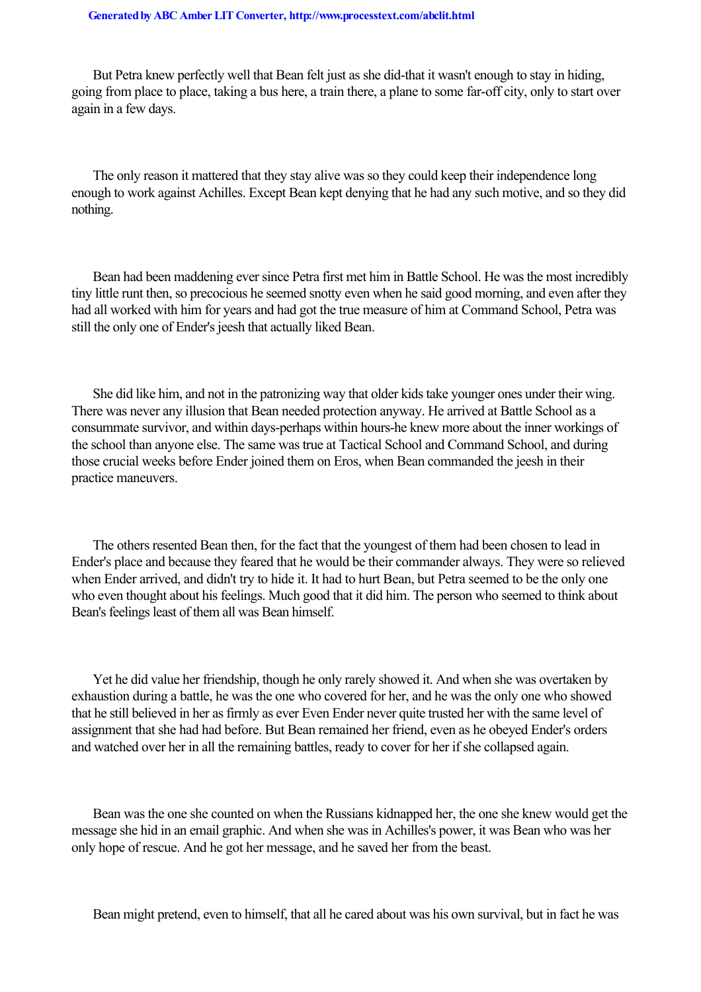But Petra knew perfectly well that Bean felt just as she did-that it wasn't enough to stay in hiding, going from place to place, taking a bus here, a train there, a plane to some far-off city, only to start over again in a few days.

 The only reason it mattered that they stay alive was so they could keep their independence long enough to work against Achilles. Except Bean kept denying that he had any such motive, and so they did nothing.

 Bean had been maddening ever since Petra first met him in Battle School. He was the most incredibly tiny little runt then, so precocious he seemed snotty even when he said good morning, and even after they had all worked with him for years and had got the true measure of him at Command School, Petra was still the only one of Ender's jeesh that actually liked Bean.

 She did like him, and not in the patronizing way that older kids take younger ones under their wing. There was never any illusion that Bean needed protection anyway. He arrived at Battle School as a consummate survivor, and within days-perhaps within hours-he knew more about the inner workings of the school than anyone else. The same was true at Tactical School and Command School, and during those crucial weeks before Ender joined them on Eros, when Bean commanded the jeesh in their practice maneuvers.

 The others resented Bean then, for the fact that the youngest of them had been chosen to lead in Ender's place and because they feared that he would be their commander always. They were so relieved when Ender arrived, and didn't try to hide it. It had to hurt Bean, but Petra seemed to be the only one who even thought about his feelings. Much good that it did him. The person who seemed to think about Bean's feelings least of them all was Bean himself.

 Yet he did value her friendship, though he only rarely showed it. And when she was overtaken by exhaustion during a battle, he was the one who covered for her, and he was the only one who showed that he still believed in her as firmly as ever Even Ender never quite trusted her with the same level of assignment that she had had before. But Bean remained her friend, even as he obeyed Ender's orders and watched over her in all the remaining battles, ready to cover for her if she collapsed again.

 Bean was the one she counted on when the Russians kidnapped her, the one she knew would get the message she hid in an email graphic. And when she was in Achilles's power, it was Bean who was her only hope of rescue. And he got her message, and he saved her from the beast.

Bean might pretend, even to himself, that all he cared about was his own survival, but in fact he was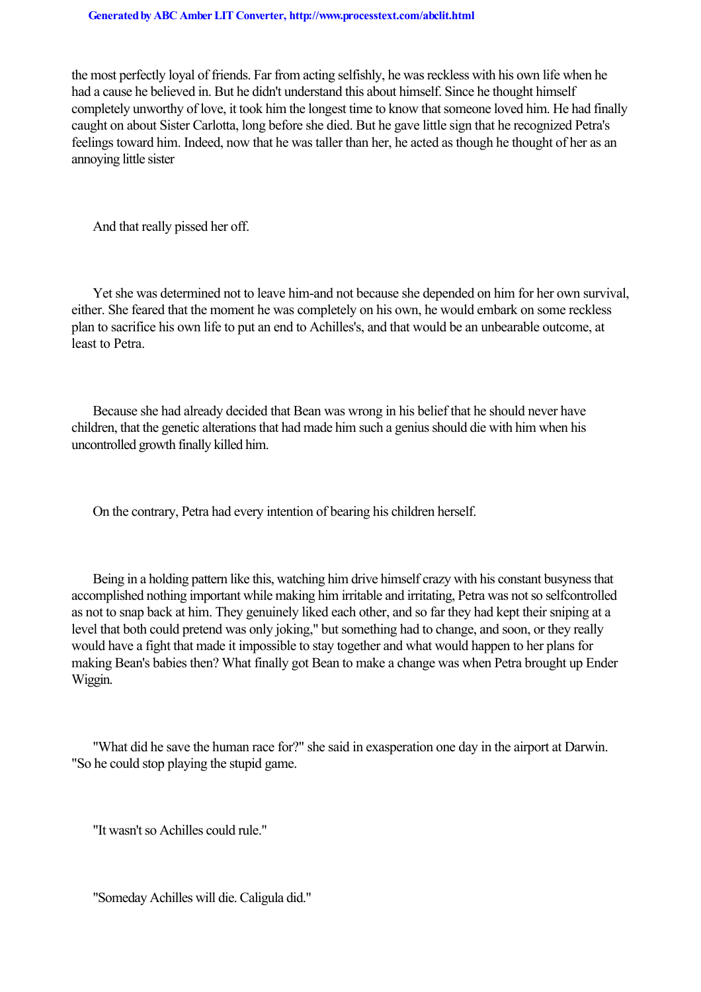the most perfectly loyal of friends. Far from acting selfishly, he was reckless with his own life when he had a cause he believed in. But he didn't understand this about himself. Since he thought himself completely unworthy of love, it took him the longest time to know that someone loved him. He had finally caught on about Sister Carlotta, long before she died. But he gave little sign that he recognized Petra's feelings toward him. Indeed, now that he was taller than her, he acted as though he thought of her as an annoying little sister

And that really pissed her off.

 Yet she was determined not to leave him-and not because she depended on him for her own survival, either. She feared that the moment he was completely on his own, he would embark on some reckless plan to sacrifice his own life to put an end to Achilles's, and that would be an unbearable outcome, at least to Petra.

 Because she had already decided that Bean was wrong in his belief that he should never have children, that the genetic alterations that had made him such a genius should die with him when his uncontrolled growth finally killed him.

On the contrary, Petra had every intention of bearing his children herself.

 Being in a holding pattern like this, watching him drive himself crazy with his constant busyness that accomplished nothing important while making him irritable and irritating, Petra was not so selfcontrolled as not to snap back at him. They genuinely liked each other, and so far they had kept their sniping at a level that both could pretend was only joking," but something had to change, and soon, or they really would have a fight that made it impossible to stay together and what would happen to her plans for making Bean's babies then? What finally got Bean to make a change was when Petra brought up Ender Wiggin.

 "What did he save the human race for?" she said in exasperation one day in the airport at Darwin. "So he could stop playing the stupid game.

"It wasn't so Achilles could rule."

"Someday Achilles will die. Caligula did."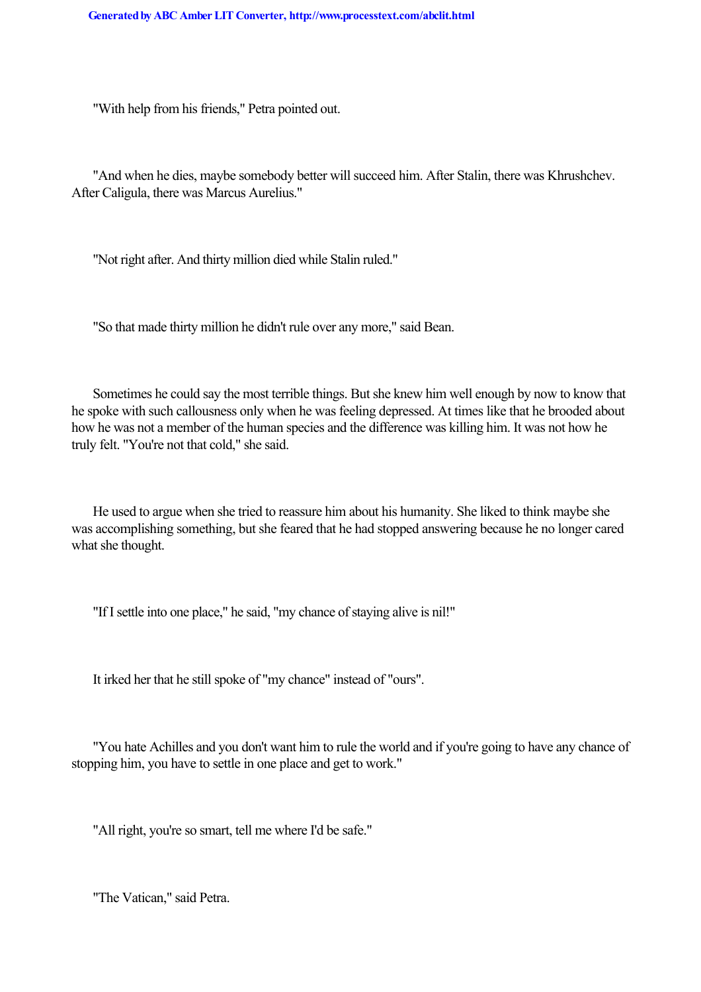"With help from his friends," Petra pointed out.

 "And when he dies, maybe somebody better will succeed him. After Stalin, there was Khrushchev. After Caligula, there was Marcus Aurelius."

"Not right after. And thirty million died while Stalin ruled."

"So that made thirty million he didn't rule over any more," said Bean.

 Sometimes he could say the most terrible things. But she knew him well enough by now to know that he spoke with such callousness only when he was feeling depressed. At times like that he brooded about how he was not a member of the human species and the difference was killing him. It was not how he truly felt. "You're not that cold," she said.

 He used to argue when she tried to reassure him about his humanity. She liked to think maybe she was accomplishing something, but she feared that he had stopped answering because he no longer cared what she thought.

"If I settle into one place," he said, "my chance of staying alive is nil!"

It irked her that he still spoke of "my chance" instead of "ours".

 "You hate Achilles and you don't want him to rule the world and if you're going to have any chance of stopping him, you have to settle in one place and get to work."

"All right, you're so smart, tell me where I'd be safe."

"The Vatican," said Petra.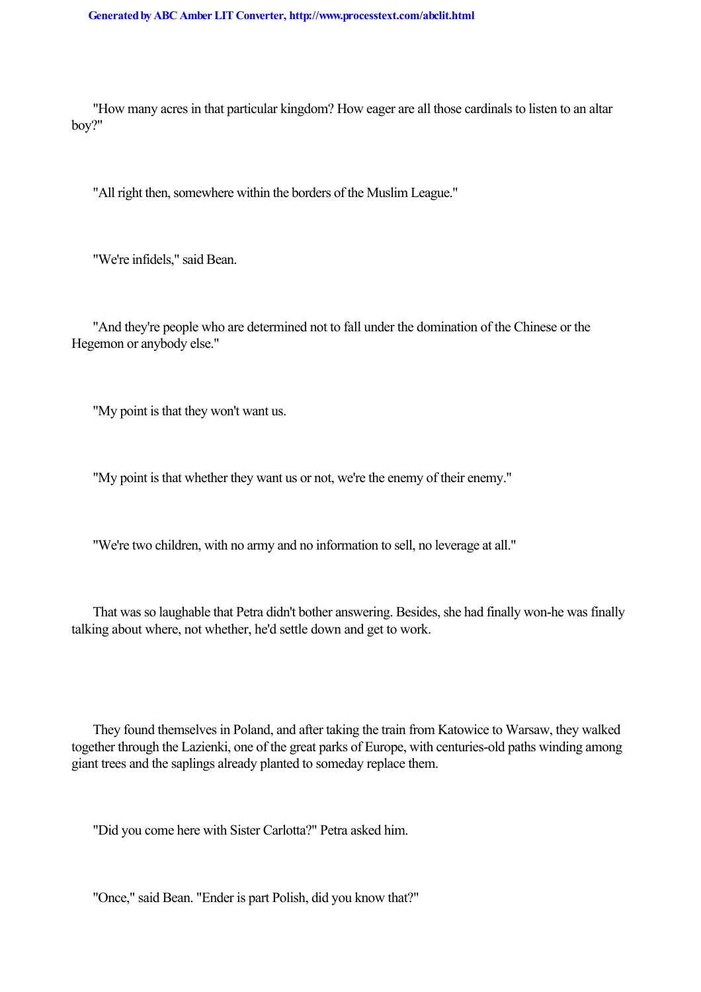"How many acres in that particular kingdom? How eager are all those cardinals to listen to an altar boy?"

"All right then, somewhere within the borders of the Muslim League."

"We're infidels," said Bean.

 "And they're people who are determined not to fall under the domination of the Chinese or the Hegemon or anybody else."

"My point is that they won't want us.

"My point is that whether they want us or not, we're the enemy of their enemy."

"We're two children, with no army and no information to sell, no leverage at all."

 That was so laughable that Petra didn't bother answering. Besides, she had finally won-he was finally talking about where, not whether, he'd settle down and get to work.

 They found themselves in Poland, and after taking the train from Katowice to Warsaw, they walked together through the Lazienki, one of the great parks of Europe, with centuries-old paths winding among giant trees and the saplings already planted to someday replace them.

"Did you come here with Sister Carlotta?" Petra asked him.

"Once," said Bean. "Ender is part Polish, did you know that?"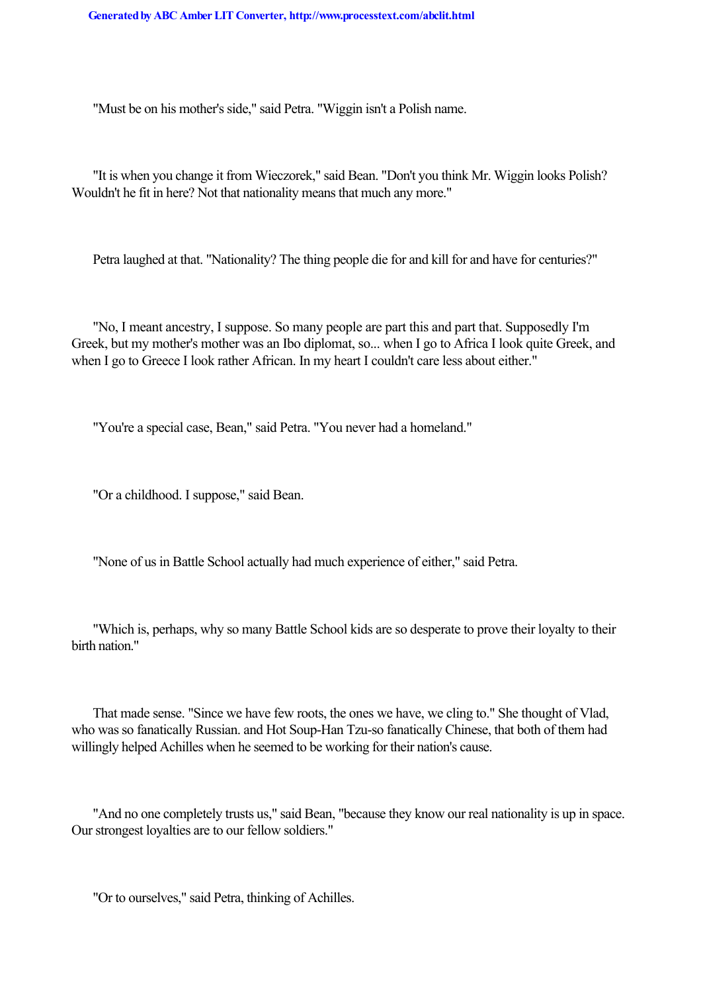"Must be on his mother's side," said Petra. "Wiggin isn't a Polish name.

 "It is when you change it from Wieczorek," said Bean. "Don't you think Mr. Wiggin looks Polish? Wouldn't he fit in here? Not that nationality means that much any more."

Petra laughed at that. "Nationality? The thing people die for and kill for and have for centuries?"

 "No, I meant ancestry, I suppose. So many people are part this and part that. Supposedly I'm Greek, but my mother's mother was an Ibo diplomat, so... when I go to Africa I look quite Greek, and when I go to Greece I look rather African. In my heart I couldn't care less about either."

"You're a special case, Bean," said Petra. "You never had a homeland."

"Or a childhood. I suppose," said Bean.

"None of us in Battle School actually had much experience of either," said Petra.

 "Which is, perhaps, why so many Battle School kids are so desperate to prove their loyalty to their birth nation."

 That made sense. "Since we have few roots, the ones we have, we cling to." She thought of Vlad, who was so fanatically Russian. and Hot Soup-Han Tzu-so fanatically Chinese, that both of them had willingly helped Achilles when he seemed to be working for their nation's cause.

 "And no one completely trusts us," said Bean, "because they know our real nationality is up in space. Our strongest loyalties are to our fellow soldiers."

"Or to ourselves," said Petra, thinking of Achilles.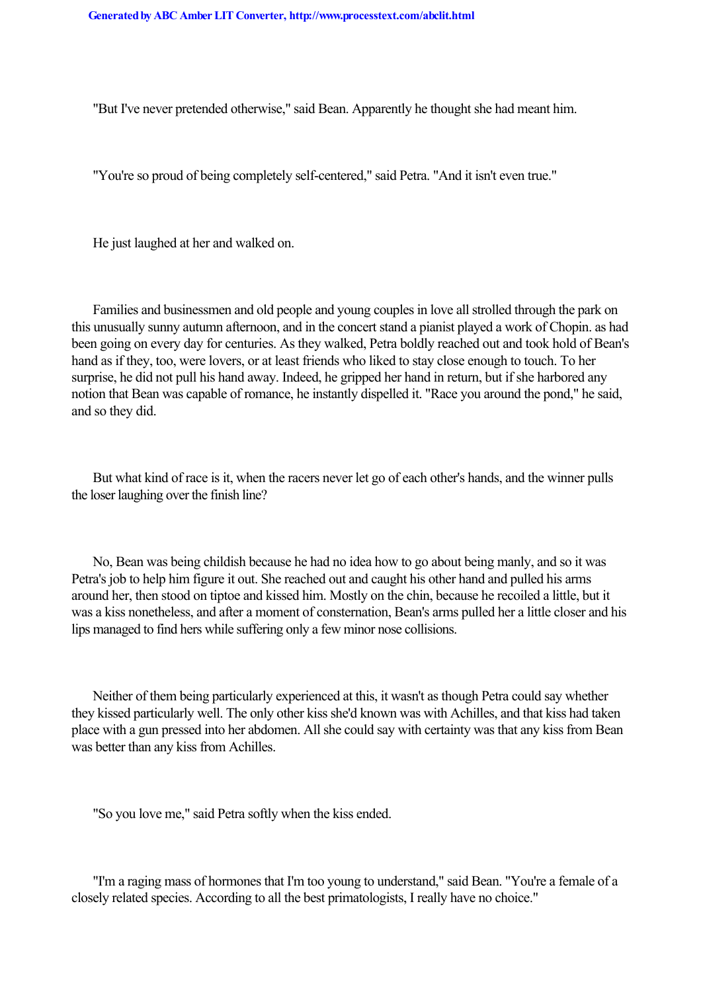"But I've never pretended otherwise," said Bean. Apparently he thought she had meant him.

"You're so proud of being completely self-centered," said Petra. "And it isn't even true."

He just laughed at her and walked on.

 Families and businessmen and old people and young couples in love all strolled through the park on this unusually sunny autumn afternoon, and in the concert stand a pianist played a work of Chopin. as had been going on every day for centuries. As they walked, Petra boldly reached out and took hold of Bean's hand as if they, too, were lovers, or at least friends who liked to stay close enough to touch. To her surprise, he did not pull his hand away. Indeed, he gripped her hand in return, but if she harbored any notion that Bean was capable of romance, he instantly dispelled it. "Race you around the pond," he said, and so they did.

 But what kind of race is it, when the racers never let go of each other's hands, and the winner pulls the loser laughing over the finish line?

 No, Bean was being childish because he had no idea how to go about being manly, and so it was Petra's job to help him figure it out. She reached out and caught his other hand and pulled his arms around her, then stood on tiptoe and kissed him. Mostly on the chin, because he recoiled a little, but it was a kiss nonetheless, and after a moment of consternation, Bean's arms pulled her a little closer and his lips managed to find hers while suffering only a few minor nose collisions.

 Neither of them being particularly experienced at this, it wasn't as though Petra could say whether they kissed particularly well. The only other kiss she'd known was with Achilles, and that kiss had taken place with a gun pressed into her abdomen. All she could say with certainty was that any kiss from Bean was better than any kiss from Achilles.

"So you love me," said Petra softly when the kiss ended.

 "I'm a raging mass of hormones that I'm too young to understand," said Bean. "You're a female of a closely related species. According to all the best primatologists, I really have no choice."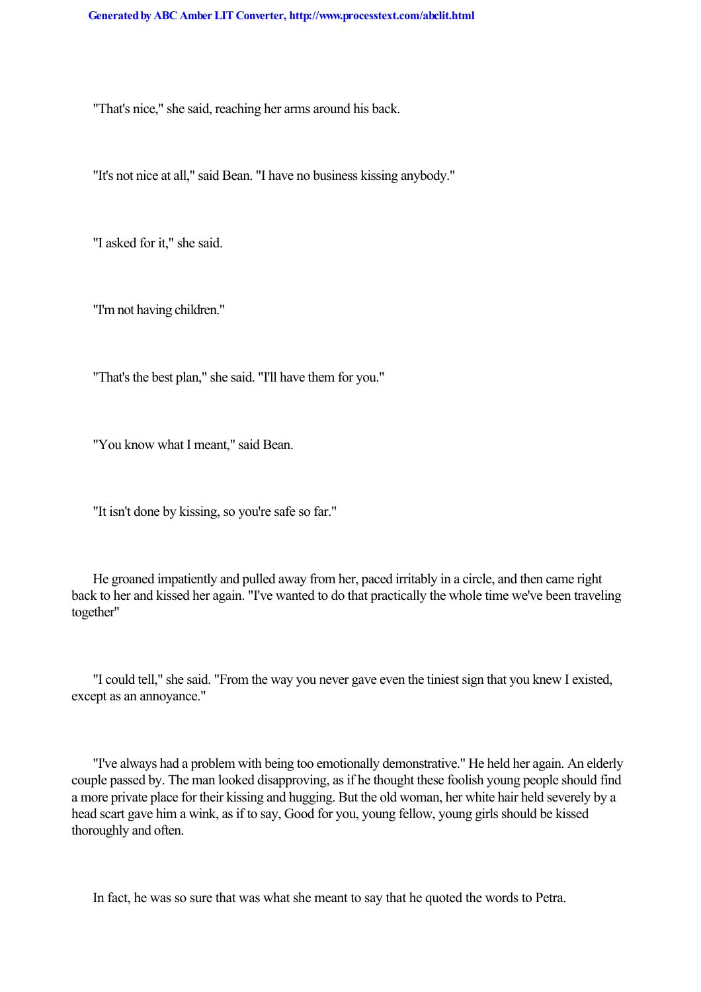"That's nice," she said, reaching her arms around his back.

"It's not nice at all," said Bean. "I have no business kissing anybody."

"I asked for it," she said.

"I'm not having children."

"That's the best plan," she said. "I'll have them for you."

"You know what I meant," said Bean.

"It isn't done by kissing, so you're safe so far."

 He groaned impatiently and pulled away from her, paced irritably in a circle, and then came right back to her and kissed her again. "I've wanted to do that practically the whole time we've been traveling together"

 "I could tell," she said. "From the way you never gave even the tiniest sign that you knew I existed, except as an annoyance."

 "I've always had a problem with being too emotionally demonstrative." He held her again. An elderly couple passed by. The man looked disapproving, as if he thought these foolish young people should find a more private place for their kissing and hugging. But the old woman, her white hair held severely by a head scart gave him a wink, as if to say, Good for you, young fellow, young girls should be kissed thoroughly and often.

In fact, he was so sure that was what she meant to say that he quoted the words to Petra.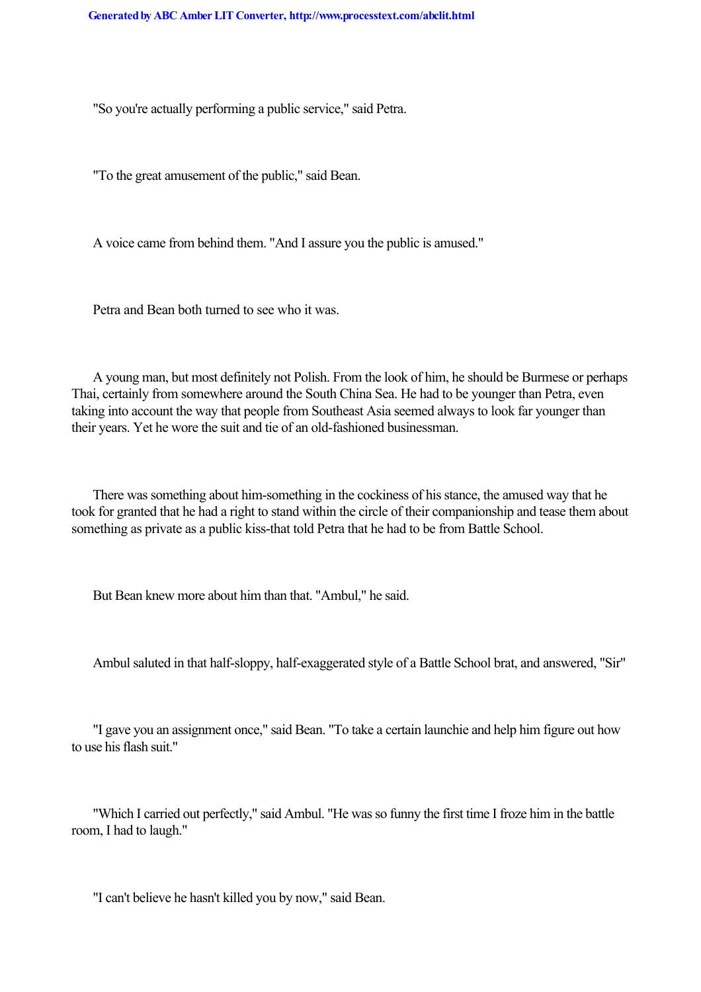"So you're actually performing a public service," said Petra.

"To the great amusement of the public," said Bean.

A voice came from behind them. "And I assure you the public is amused."

Petra and Bean both turned to see who it was.

 A young man, but most definitely not Polish. From the look of him, he should be Burmese or perhaps Thai, certainly from somewhere around the South China Sea. He had to be younger than Petra, even taking into account the way that people from Southeast Asia seemed always to look far younger than their years. Yet he wore the suit and tie of an old-fashioned businessman.

 There was something about him-something in the cockiness of his stance, the amused way that he took for granted that he had a right to stand within the circle of their companionship and tease them about something as private as a public kiss-that told Petra that he had to be from Battle School.

But Bean knew more about him than that. "Ambul," he said.

Ambul saluted in that half-sloppy, half-exaggerated style of a Battle School brat, and answered, "Sir"

 "I gave you an assignment once," said Bean. "To take a certain launchie and help him figure out how to use his flash suit."

 "Which I carried out perfectly," said Ambul. "He was so funny the first time I froze him in the battle room, I had to laugh."

"I can't believe he hasn't killed you by now," said Bean.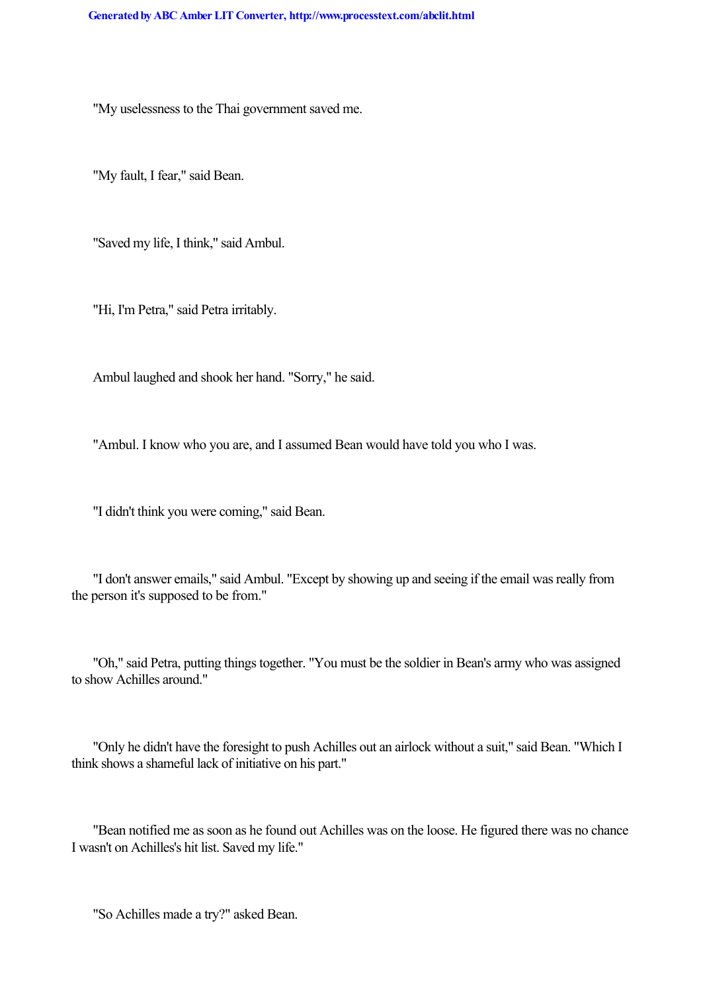"My uselessness to the Thai government saved me.

"My fault, I fear," said Bean.

"Saved my life, I think," said Ambul.

"Hi, I'm Petra," said Petra irritably.

Ambul laughed and shook her hand. "Sorry," he said.

"Ambul. I know who you are, and I assumed Bean would have told you who I was.

"I didn't think you were coming," said Bean.

 "I don't answer emails," said Ambul. "Except by showing up and seeing if the email was really from the person it's supposed to be from."

 "Oh," said Petra, putting things together. "You must be the soldier in Bean's army who was assigned to show Achilles around."

 "Only he didn't have the foresight to push Achilles out an airlock without a suit," said Bean. "Which I think shows a shameful lack of initiative on his part."

 "Bean notified me as soon as he found out Achilles was on the loose. He figured there was no chance I wasn't on Achilles's hit list. Saved my life."

"So Achilles made a try?" asked Bean.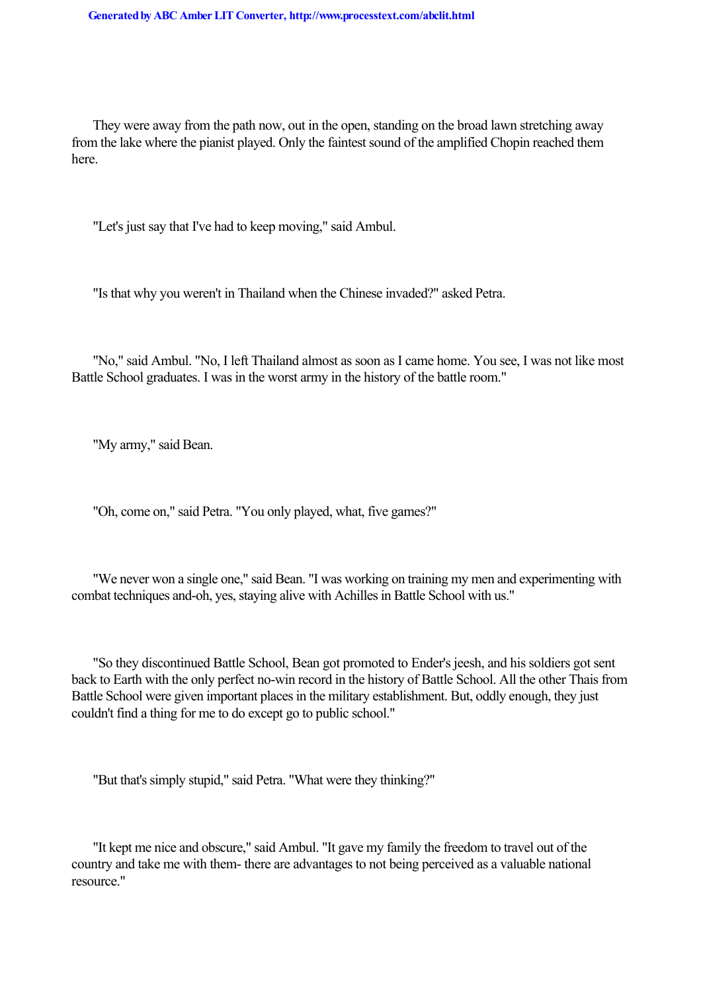They were away from the path now, out in the open, standing on the broad lawn stretching away from the lake where the pianist played. Only the faintest sound of the amplified Chopin reached them here.

"Let's just say that I've had to keep moving," said Ambul.

"Is that why you weren't in Thailand when the Chinese invaded?" asked Petra.

 "No," said Ambul. "No, I left Thailand almost as soon as I came home. You see, I was not like most Battle School graduates. I was in the worst army in the history of the battle room."

"My army," said Bean.

"Oh, come on," said Petra. "You only played, what, five games?"

 "We never won a single one," said Bean. "I was working on training my men and experimenting with combat techniques and-oh, yes, staying alive with Achilles in Battle School with us."

 "So they discontinued Battle School, Bean got promoted to Ender's jeesh, and his soldiers got sent back to Earth with the only perfect no-win record in the history of Battle School. All the other Thais from Battle School were given important places in the military establishment. But, oddly enough, they just couldn't find a thing for me to do except go to public school."

"But that's simply stupid," said Petra. "What were they thinking?"

 "It kept me nice and obscure," said Ambul. "It gave my family the freedom to travel out of the country and take me with them- there are advantages to not being perceived as a valuable national resource."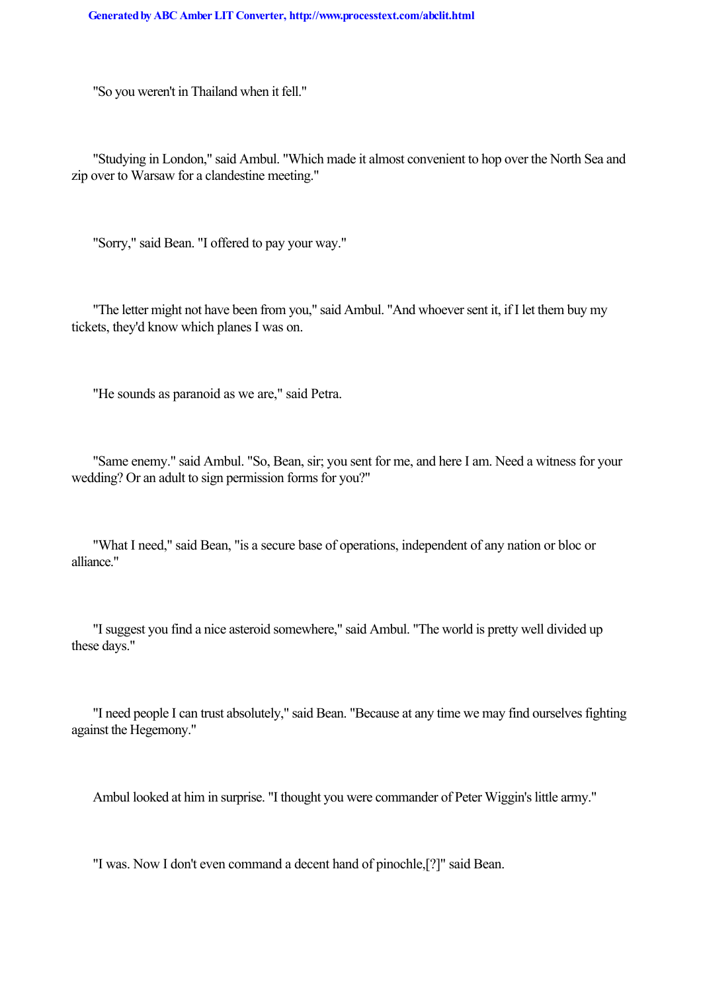"So you weren't in Thailand when it fell."

 "Studying in London," said Ambul. "Which made it almost convenient to hop over the North Sea and zip over to Warsaw for a clandestine meeting."

"Sorry," said Bean. "I offered to pay your way."

 "The letter might not have been from you," said Ambul. "And whoever sent it, if I let them buy my tickets, they'd know which planes I was on.

"He sounds as paranoid as we are," said Petra.

 "Same enemy." said Ambul. "So, Bean, sir; you sent for me, and here I am. Need a witness for your wedding? Or an adult to sign permission forms for you?"

 "What I need," said Bean, "is a secure base of operations, independent of any nation or bloc or alliance."

 "I suggest you find a nice asteroid somewhere," said Ambul. "The world is pretty well divided up these days."

 "I need people I can trust absolutely," said Bean. "Because at any time we may find ourselves fighting against the Hegemony."

Ambul looked at him in surprise. "I thought you were commander of Peter Wiggin's little army."

"I was. Now I don't even command a decent hand of pinochle,[?]" said Bean.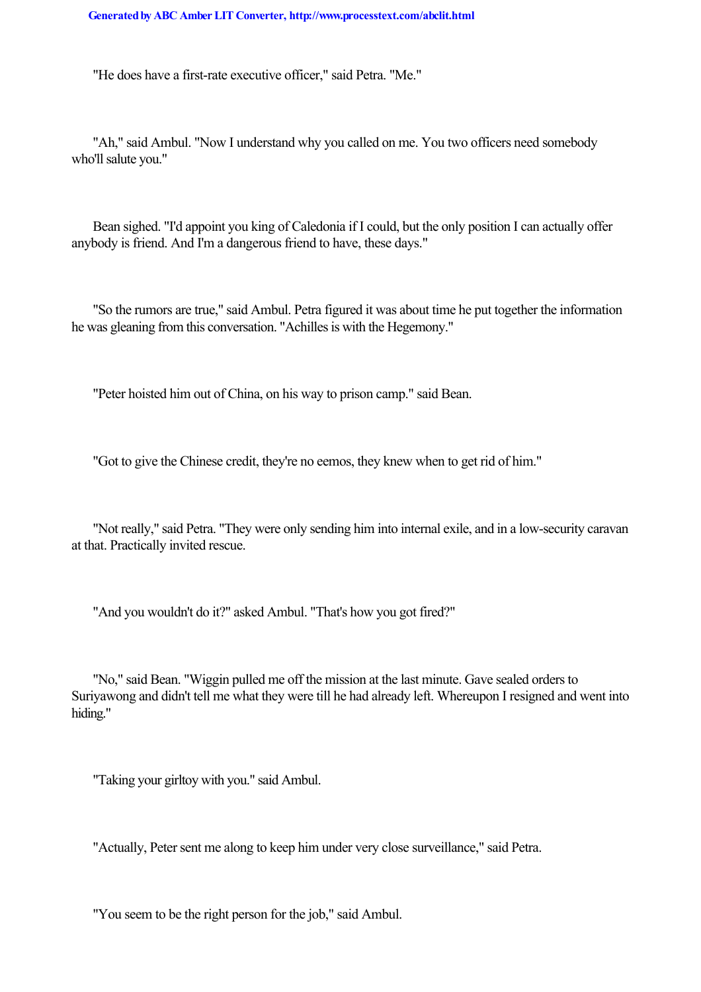"He does have a first-rate executive officer," said Petra. "Me."

 "Ah," said Ambul. "Now I understand why you called on me. You two officers need somebody who'll salute you."

 Bean sighed. "I'd appoint you king of Caledonia if I could, but the only position I can actually offer anybody is friend. And I'm a dangerous friend to have, these days."

 "So the rumors are true," said Ambul. Petra figured it was about time he put together the information he was gleaning from this conversation. "Achilles is with the Hegemony."

"Peter hoisted him out of China, on his way to prison camp." said Bean.

"Got to give the Chinese credit, they're no eemos, they knew when to get rid of him."

 "Not really," said Petra. "They were only sending him into internal exile, and in a low-security caravan at that. Practically invited rescue.

"And you wouldn't do it?" asked Ambul. "That's how you got fired?"

 "No," said Bean. "Wiggin pulled me off the mission at the last minute. Gave sealed orders to Suriyawong and didn't tell me what they were till he had already left. Whereupon I resigned and went into hiding."

"Taking your girltoy with you." said Ambul.

"Actually, Peter sent me along to keep him under very close surveillance," said Petra.

"You seem to be the right person for the job," said Ambul.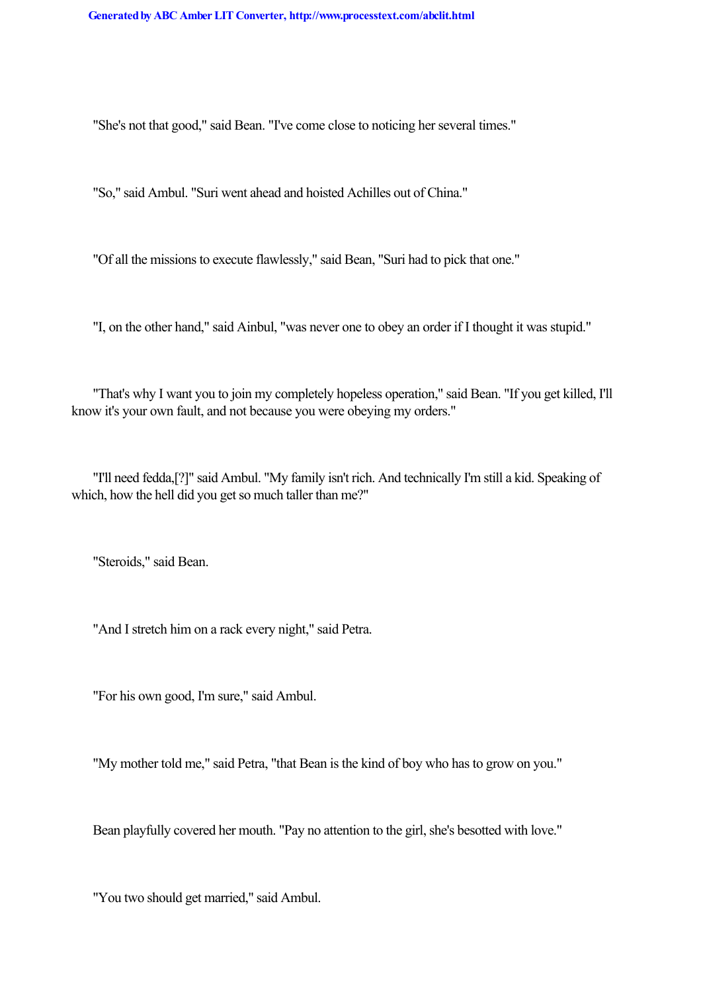"She's not that good," said Bean. "I've come close to noticing her several times."

"So," said Ambul. "Suri went ahead and hoisted Achilles out of China."

"Of all the missions to execute flawlessly," said Bean, "Suri had to pick that one."

"I, on the other hand," said Ainbul, "was never one to obey an order if I thought it was stupid."

 "That's why I want you to join my completely hopeless operation," said Bean. "If you get killed, I'll know it's your own fault, and not because you were obeying my orders."

 "I'll need fedda,[?]" said Ambul. "My family isn't rich. And technically I'm still a kid. Speaking of which, how the hell did you get so much taller than me?"

"Steroids," said Bean.

"And I stretch him on a rack every night," said Petra.

"For his own good, I'm sure," said Ambul.

"My mother told me," said Petra, "that Bean is the kind of boy who has to grow on you."

Bean playfully covered her mouth. "Pay no attention to the girl, she's besotted with love."

"You two should get married," said Ambul.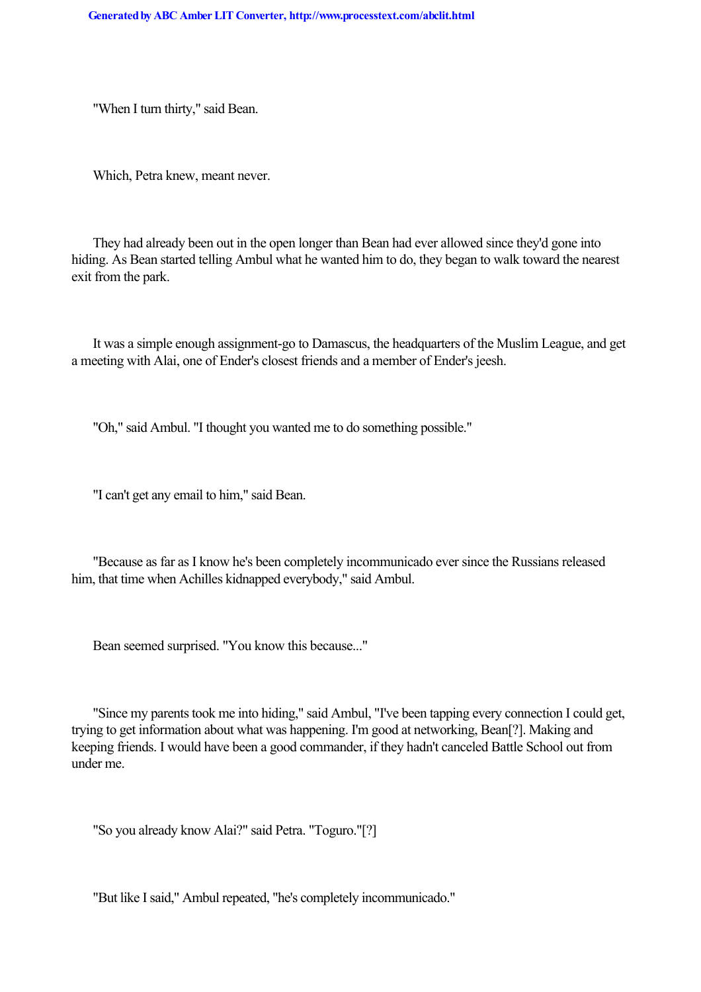"When I turn thirty," said Bean.

Which, Petra knew, meant never.

 They had already been out in the open longer than Bean had ever allowed since they'd gone into hiding. As Bean started telling Ambul what he wanted him to do, they began to walk toward the nearest exit from the park.

 It was a simple enough assignment-go to Damascus, the headquarters of the Muslim League, and get a meeting with Alai, one of Ender's closest friends and a member of Ender's jeesh.

"Oh," said Ambul. "I thought you wanted me to do something possible."

"I can't get any email to him," said Bean.

 "Because as far as I know he's been completely incommunicado ever since the Russians released him, that time when Achilles kidnapped everybody," said Ambul.

Bean seemed surprised. "You know this because..."

 "Since my parents took me into hiding," said Ambul, "I've been tapping every connection I could get, trying to get information about what was happening. I'm good at networking, Bean[?]. Making and keeping friends. I would have been a good commander, if they hadn't canceled Battle School out from under me.

"So you already know Alai?" said Petra. "Toguro."[?]

"But like I said," Ambul repeated, "he's completely incommunicado."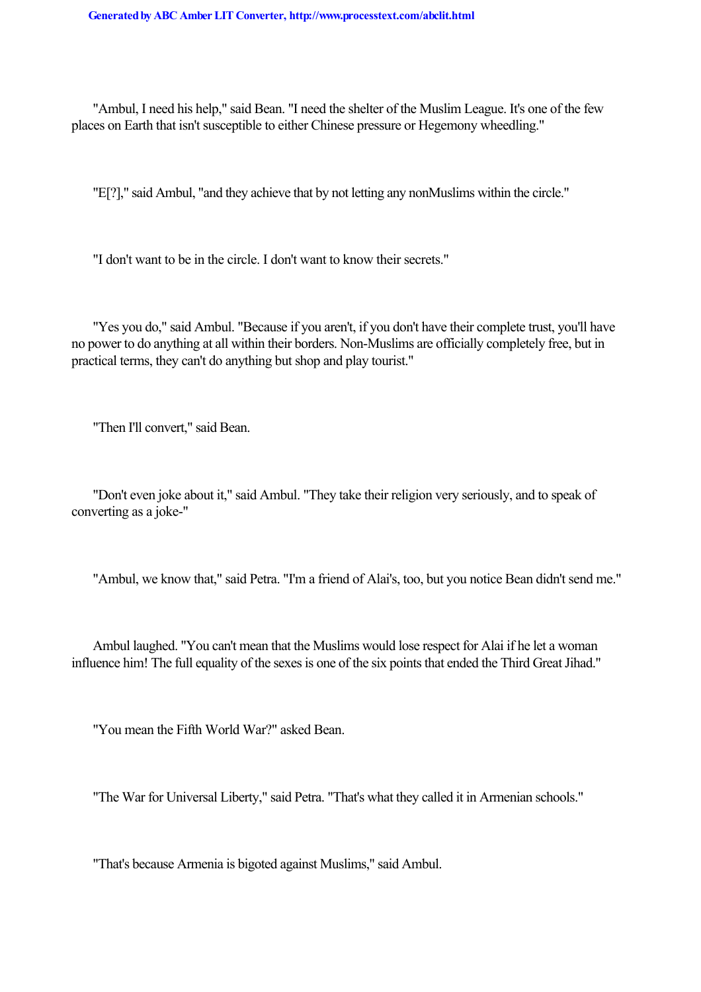"Ambul, I need his help," said Bean. "I need the shelter of the Muslim League. It's one of the few places on Earth that isn't susceptible to either Chinese pressure or Hegemony wheedling."

"E[?]," said Ambul, "and they achieve that by not letting any nonMuslims within the circle."

"I don't want to be in the circle. I don't want to know their secrets."

 "Yes you do," said Ambul. "Because if you aren't, if you don't have their complete trust, you'll have no power to do anything at all within their borders. Non-Muslims are officially completely free, but in practical terms, they can't do anything but shop and play tourist."

"Then I'll convert," said Bean.

 "Don't even joke about it," said Ambul. "They take their religion very seriously, and to speak of converting as a joke-"

"Ambul, we know that," said Petra. "I'm a friend of Alai's, too, but you notice Bean didn't send me."

 Ambul laughed. "You can't mean that the Muslims would lose respect for Alai if he let a woman influence him! The full equality of the sexes is one of the six points that ended the Third Great Jihad."

"You mean the Fifth World War?" asked Bean.

"The War for Universal Liberty," said Petra. "That's what they called it in Armenian schools."

"That's because Armenia is bigoted against Muslims," said Ambul.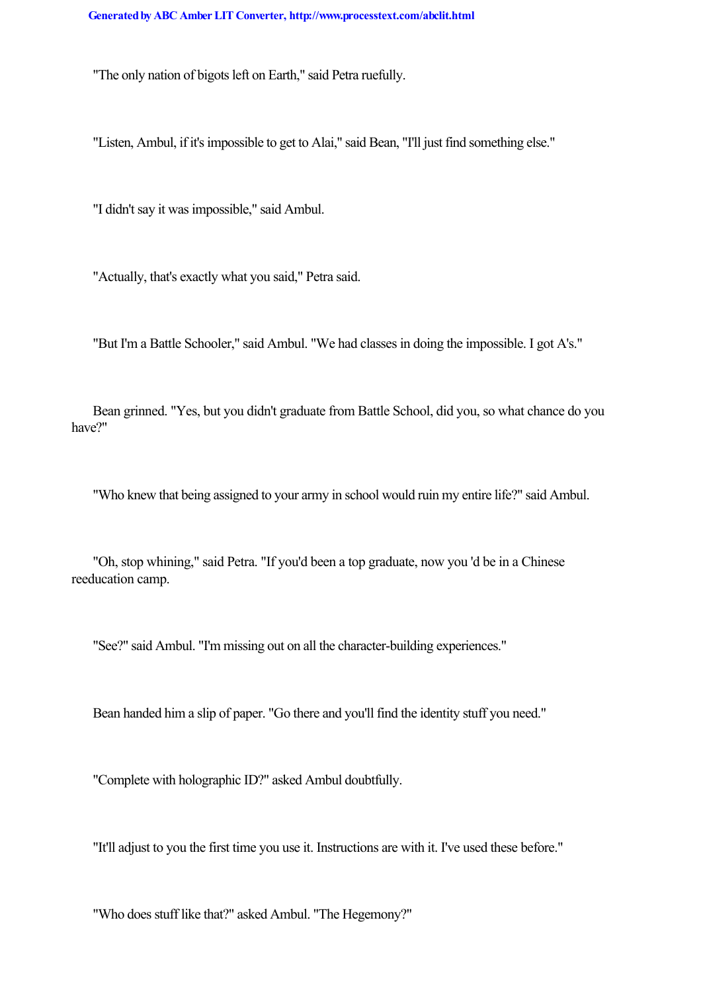"The only nation of bigots left on Earth," said Petra ruefully.

"Listen, Ambul, if it's impossible to get to Alai," said Bean, "I'll just find something else."

"I didn't say it was impossible," said Ambul.

"Actually, that's exactly what you said," Petra said.

"But I'm a Battle Schooler," said Ambul. "We had classes in doing the impossible. I got A's."

 Bean grinned. "Yes, but you didn't graduate from Battle School, did you, so what chance do you have?"

"Who knew that being assigned to your army in school would ruin my entire life?" said Ambul.

 "Oh, stop whining," said Petra. "If you'd been a top graduate, now you 'd be in a Chinese reeducation camp.

"See?" said Ambul. "I'm missing out on all the character-building experiences."

Bean handed him a slip of paper. "Go there and you'll find the identity stuff you need."

"Complete with holographic ID?" asked Ambul doubtfully.

"It'll adjust to you the first time you use it. Instructions are with it. I've used these before."

"Who does stuff like that?" asked Ambul. "The Hegemony?"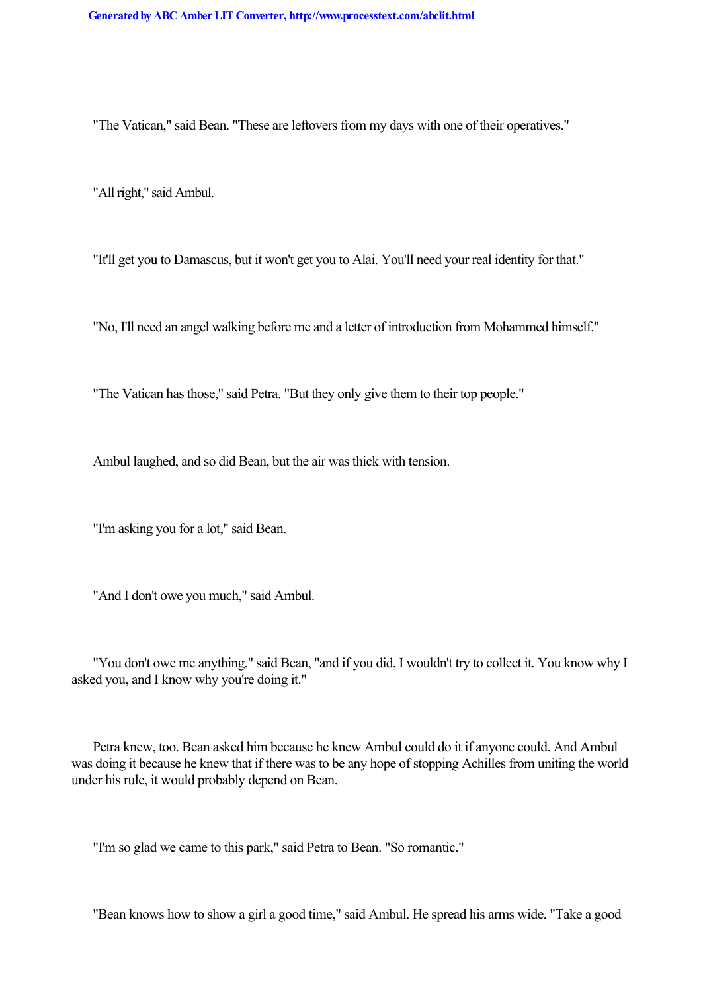"The Vatican," said Bean. "These are leftovers from my days with one of their operatives."

"All right," said Ambul.

"It'll get you to Damascus, but it won't get you to Alai. You'll need your real identity for that."

"No, I'll need an angel walking before me and a letter of introduction from Mohammed himself."

"The Vatican has those," said Petra. "But they only give them to their top people."

Ambul laughed, and so did Bean, but the air was thick with tension.

"I'm asking you for a lot," said Bean.

"And I don't owe you much," said Ambul.

 "You don't owe me anything," said Bean, "and if you did, I wouldn't try to collect it. You know why I asked you, and I know why you're doing it."

 Petra knew, too. Bean asked him because he knew Ambul could do it if anyone could. And Ambul was doing it because he knew that if there was to be any hope of stopping Achilles from uniting the world under his rule, it would probably depend on Bean.

"I'm so glad we came to this park," said Petra to Bean. "So romantic."

"Bean knows how to show a girl a good time," said Ambul. He spread his arms wide. "Take a good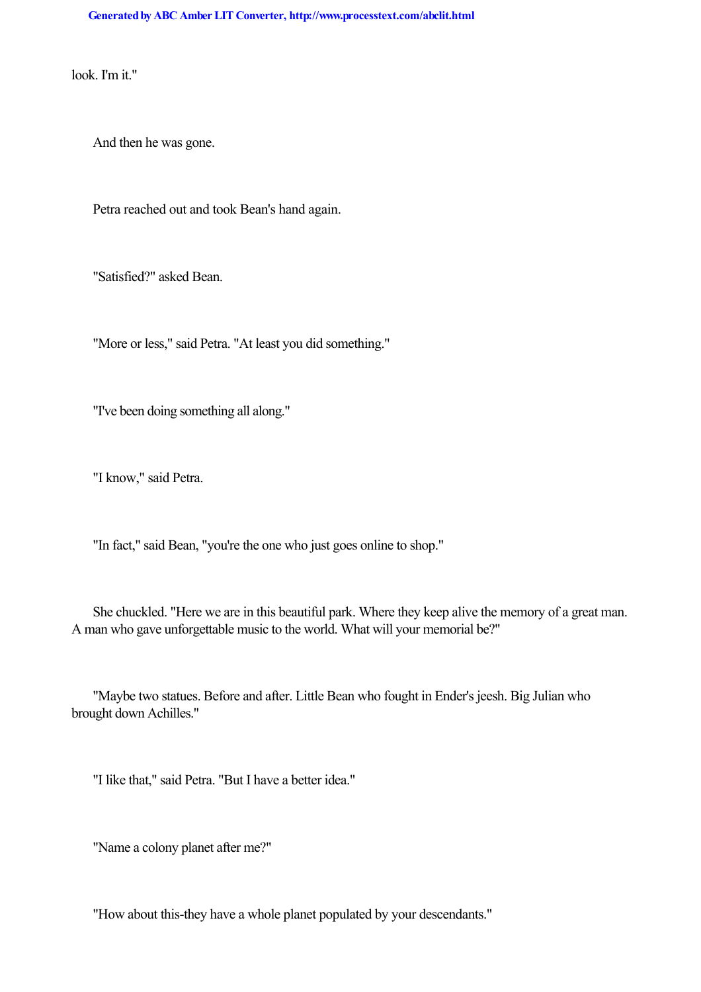look. I'm it."

And then he was gone.

Petra reached out and took Bean's hand again.

"Satisfied?" asked Bean.

"More or less," said Petra. "At least you did something."

"I've been doing something all along."

"I know," said Petra.

"In fact," said Bean, "you're the one who just goes online to shop."

 She chuckled. "Here we are in this beautiful park. Where they keep alive the memory of a great man. A man who gave unforgettable music to the world. What will your memorial be?"

 "Maybe two statues. Before and after. Little Bean who fought in Ender's jeesh. Big Julian who brought down Achilles."

"I like that," said Petra. "But I have a better idea."

"Name a colony planet after me?"

"How about this-they have a whole planet populated by your descendants."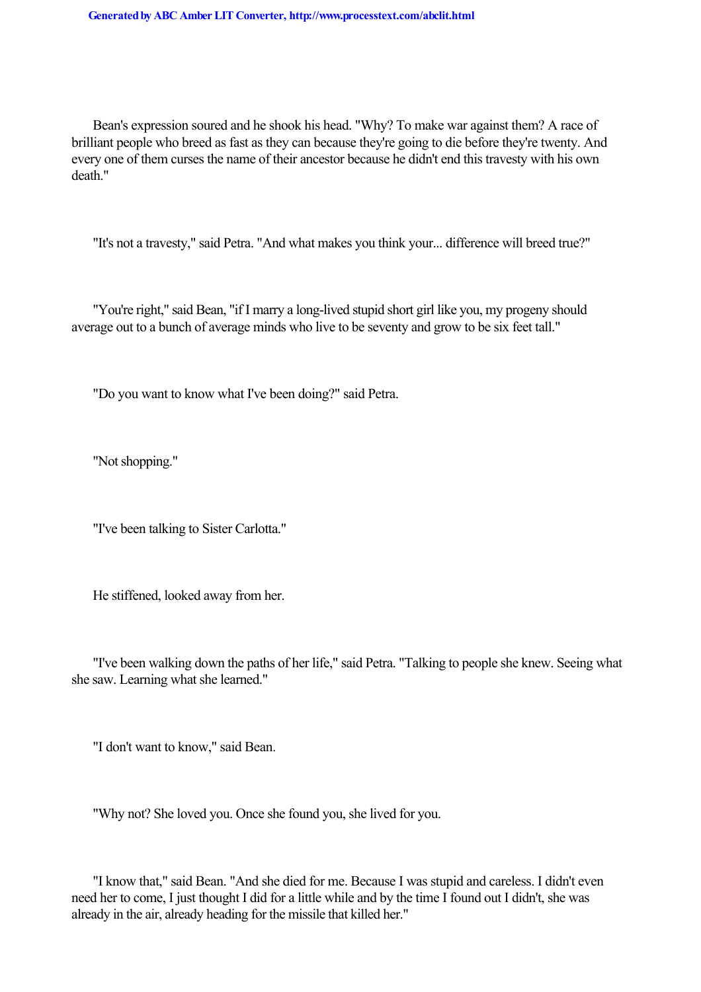Bean's expression soured and he shook his head. "Why? To make war against them? A race of brilliant people who breed as fast as they can because they're going to die before they're twenty. And every one of them curses the name of their ancestor because he didn't end this travesty with his own death"

"It's not a travesty," said Petra. "And what makes you think your... difference will breed true?"

 "You're right," said Bean, "if I marry a long-lived stupid short girl like you, my progeny should average out to a bunch of average minds who live to be seventy and grow to be six feet tall."

"Do you want to know what I've been doing?" said Petra.

"Not shopping."

"I've been talking to Sister Carlotta."

He stiffened, looked away from her.

 "I've been walking down the paths of her life," said Petra. "Talking to people she knew. Seeing what she saw. Learning what she learned."

"I don't want to know," said Bean.

"Why not? She loved you. Once she found you, she lived for you.

 "I know that," said Bean. "And she died for me. Because I was stupid and careless. I didn't even need her to come, I just thought I did for a little while and by the time I found out I didn't, she was already in the air, already heading for the missile that killed her."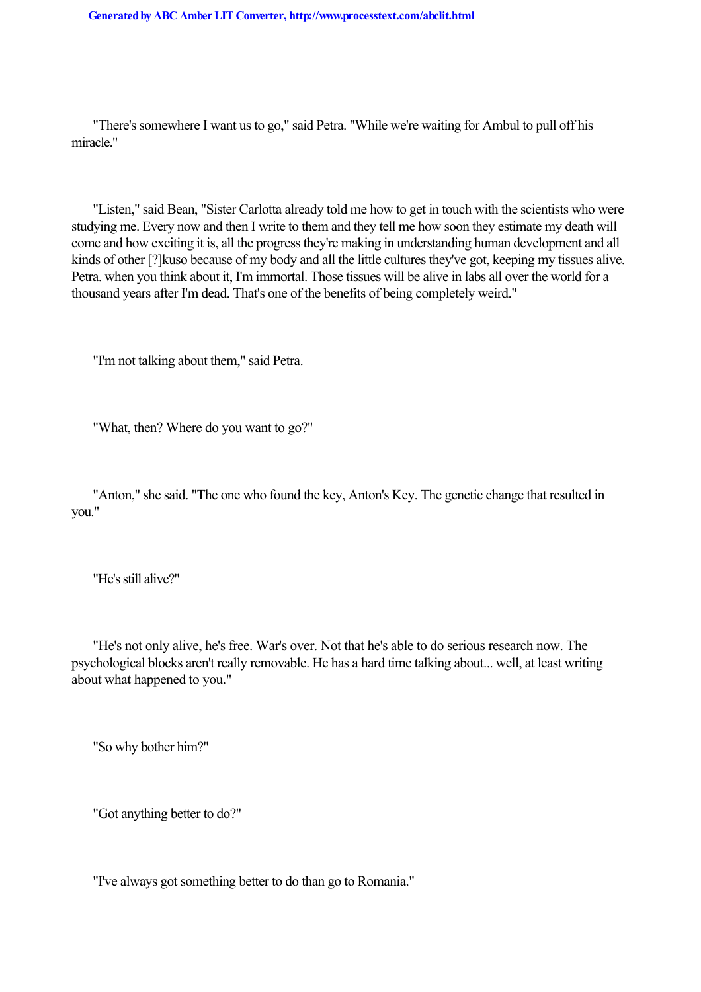"There's somewhere I want us to go," said Petra. "While we're waiting for Ambul to pull off his miracle."

 "Listen," said Bean, "Sister Carlotta already told me how to get in touch with the scientists who were studying me. Every now and then I write to them and they tell me how soon they estimate my death will come and how exciting it is, all the progress they're making in understanding human development and all kinds of other [?]kuso because of my body and all the little cultures they've got, keeping my tissues alive. Petra. when you think about it, I'm immortal. Those tissues will be alive in labs all over the world for a thousand years after I'm dead. That's one of the benefits of being completely weird."

"I'm not talking about them," said Petra.

"What, then? Where do you want to go?"

 "Anton," she said. "The one who found the key, Anton's Key. The genetic change that resulted in you."

"He's still alive?"

 "He's not only alive, he's free. War's over. Not that he's able to do serious research now. The psychological blocks aren't really removable. He has a hard time talking about... well, at least writing about what happened to you."

"So why bother him?"

"Got anything better to do?"

"I've always got something better to do than go to Romania."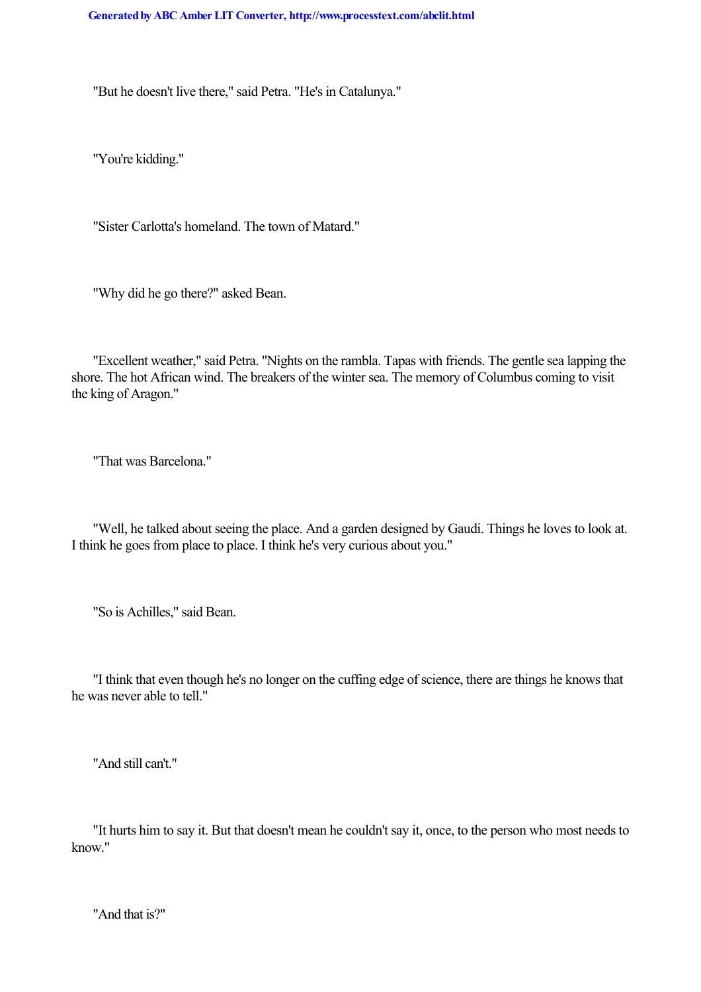"But he doesn't live there," said Petra. "He's in Catalunya."

"You're kidding."

"Sister Carlotta's homeland. The town of Matard."

"Why did he go there?" asked Bean.

 "Excellent weather," said Petra. "Nights on the rambla. Tapas with friends. The gentle sea lapping the shore. The hot African wind. The breakers of the winter sea. The memory of Columbus coming to visit the king of Aragon."

"That was Barcelona."

 "Well, he talked about seeing the place. And a garden designed by Gaudi. Things he loves to look at. I think he goes from place to place. I think he's very curious about you."

"So is Achilles," said Bean.

 "I think that even though he's no longer on the cuffing edge of science, there are things he knows that he was never able to tell."

"And still can't."

 "It hurts him to say it. But that doesn't mean he couldn't say it, once, to the person who most needs to know."

"And that is?"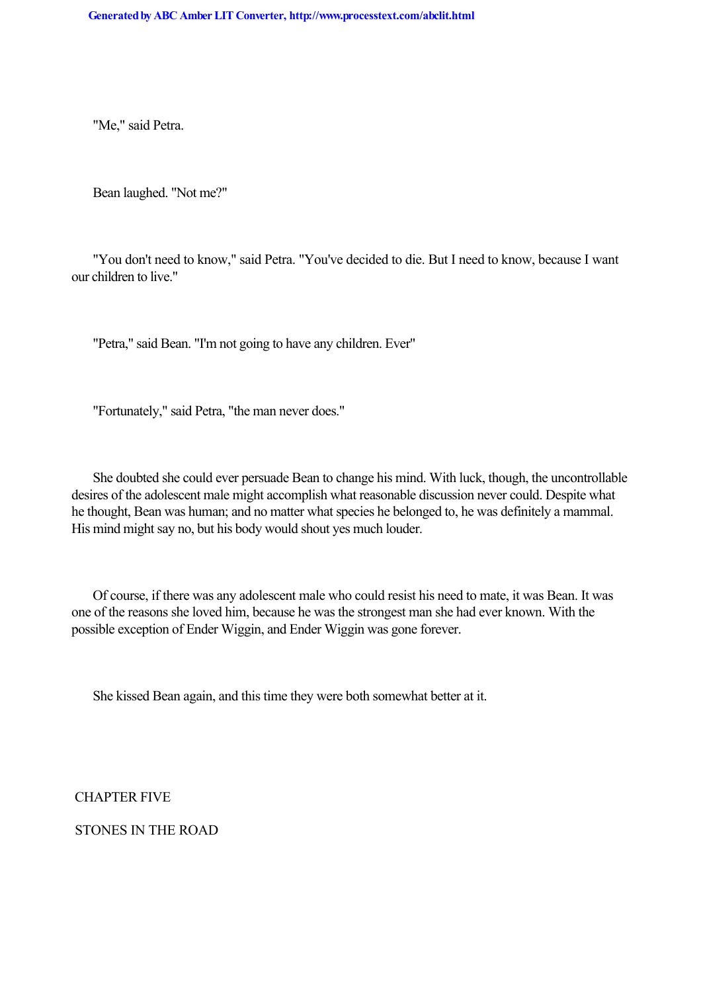"Me," said Petra.

Bean laughed. "Not me?"

 "You don't need to know," said Petra. "You've decided to die. But I need to know, because I want our children to live."

"Petra," said Bean. "I'm not going to have any children. Ever"

"Fortunately," said Petra, "the man never does."

 She doubted she could ever persuade Bean to change his mind. With luck, though, the uncontrollable desires of the adolescent male might accomplish what reasonable discussion never could. Despite what he thought, Bean was human; and no matter what species he belonged to, he was definitely a mammal. His mind might say no, but his body would shout yes much louder.

 Of course, if there was any adolescent male who could resist his need to mate, it was Bean. It was one of the reasons she loved him, because he was the strongest man she had ever known. With the possible exception of Ender Wiggin, and Ender Wiggin was gone forever.

She kissed Bean again, and this time they were both somewhat better at it.

CHAPTER FIVE

STONES IN THE ROAD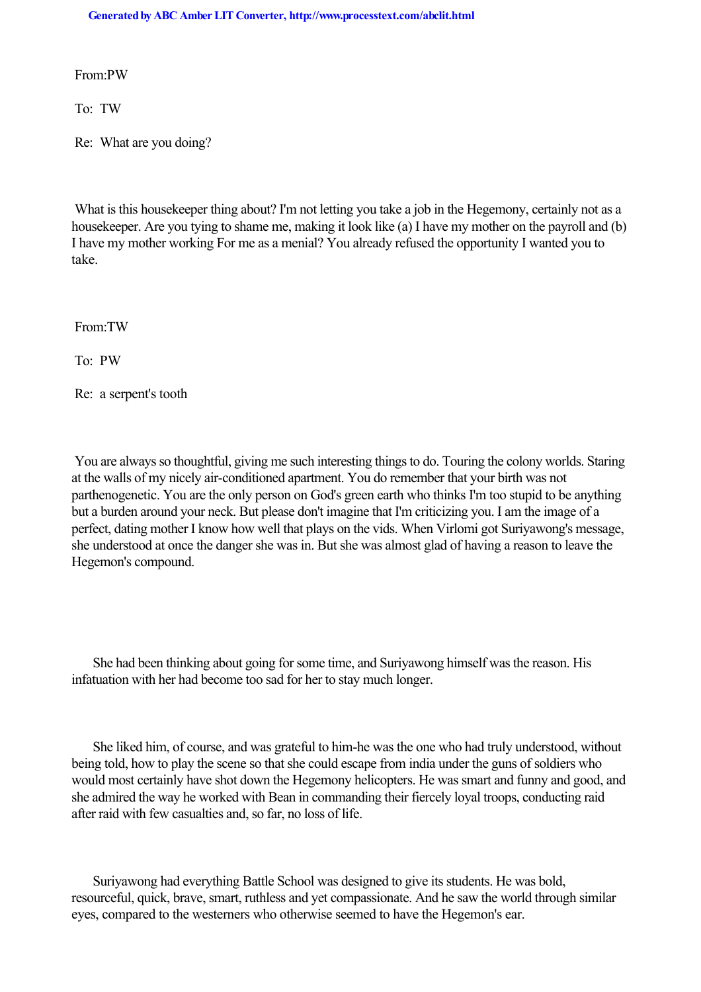From:PW

To: TW

Re: What are you doing?

What is this housekeeper thing about? I'm not letting you take a job in the Hegemony, certainly not as a housekeeper. Are you tying to shame me, making it look like (a) I have my mother on the payroll and (b) I have my mother working For me as a menial? You already refused the opportunity I wanted you to take.

From:TW

To: PW

Re: a serpent's tooth

 You are always so thoughtful, giving me such interesting things to do. Touring the colony worlds. Staring at the walls of my nicely air-conditioned apartment. You do remember that your birth was not parthenogenetic. You are the only person on God's green earth who thinks I'm too stupid to be anything but a burden around your neck. But please don't imagine that I'm criticizing you. I am the image of a perfect, dating mother I know how well that plays on the vids. When Virlomi got Suriyawong's message, she understood at once the danger she was in. But she was almost glad of having a reason to leave the Hegemon's compound.

 She had been thinking about going for some time, and Suriyawong himself was the reason. His infatuation with her had become too sad for her to stay much longer.

 She liked him, of course, and was grateful to him-he was the one who had truly understood, without being told, how to play the scene so that she could escape from india under the guns of soldiers who would most certainly have shot down the Hegemony helicopters. He was smart and funny and good, and she admired the way he worked with Bean in commanding their fiercely loyal troops, conducting raid after raid with few casualties and, so far, no loss of life.

 Suriyawong had everything Battle School was designed to give its students. He was bold, resourceful, quick, brave, smart, ruthless and yet compassionate. And he saw the world through similar eyes, compared to the westerners who otherwise seemed to have the Hegemon's ear.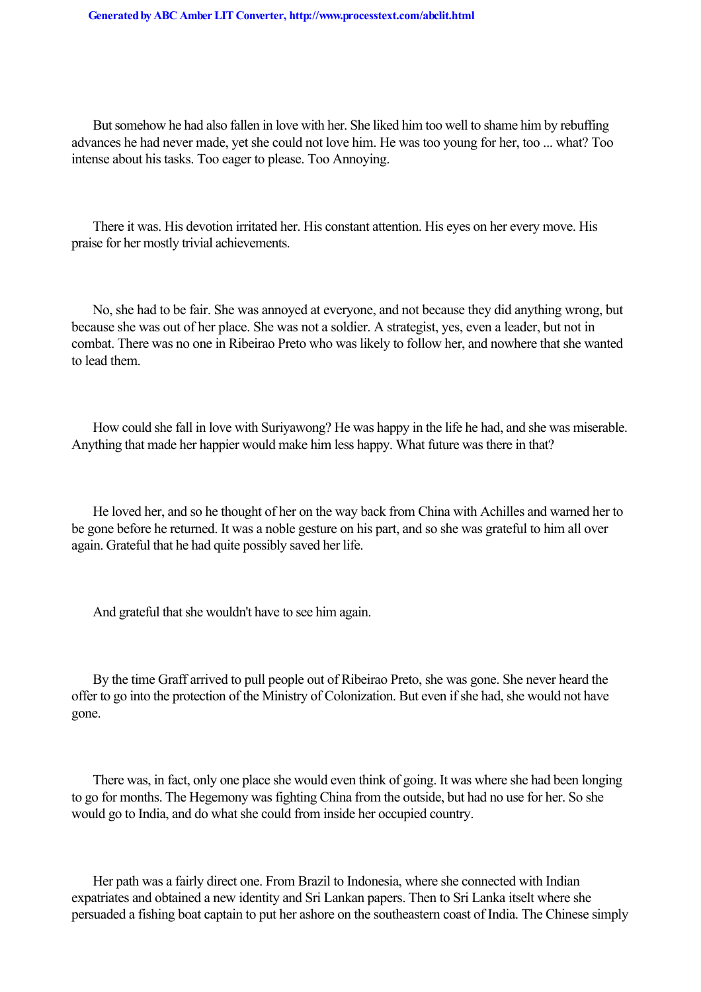But somehow he had also fallen in love with her. She liked him too well to shame him by rebuffing advances he had never made, yet she could not love him. He was too young for her, too ... what? Too intense about his tasks. Too eager to please. Too Annoying.

 There it was. His devotion irritated her. His constant attention. His eyes on her every move. His praise for her mostly trivial achievements.

 No, she had to be fair. She was annoyed at everyone, and not because they did anything wrong, but because she was out of her place. She was not a soldier. A strategist, yes, even a leader, but not in combat. There was no one in Ribeirao Preto who was likely to follow her, and nowhere that she wanted to lead them.

 How could she fall in love with Suriyawong? He was happy in the life he had, and she was miserable. Anything that made her happier would make him less happy. What future was there in that?

 He loved her, and so he thought of her on the way back from China with Achilles and warned her to be gone before he returned. It was a noble gesture on his part, and so she was grateful to him all over again. Grateful that he had quite possibly saved her life.

And grateful that she wouldn't have to see him again.

 By the time Graff arrived to pull people out of Ribeirao Preto, she was gone. She never heard the offer to go into the protection of the Ministry of Colonization. But even if she had, she would not have gone.

 There was, in fact, only one place she would even think of going. It was where she had been longing to go for months. The Hegemony was fighting China from the outside, but had no use for her. So she would go to India, and do what she could from inside her occupied country.

 Her path was a fairly direct one. From Brazil to Indonesia, where she connected with Indian expatriates and obtained a new identity and Sri Lankan papers. Then to Sri Lanka itselt where she persuaded a fishing boat captain to put her ashore on the southeastern coast of India. The Chinese simply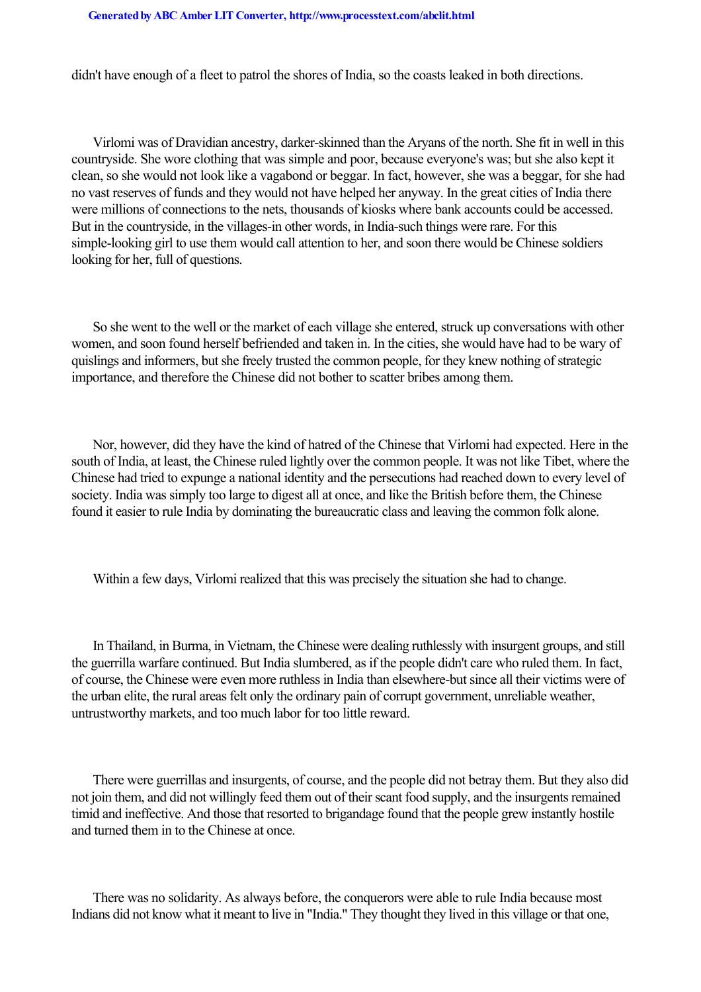didn't have enough of a fleet to patrol the shores of India, so the coasts leaked in both directions.

 Virlomi was of Dravidian ancestry, darker-skinned than the Aryans of the north. She fit in well in this countryside. She wore clothing that was simple and poor, because everyone's was; but she also kept it clean, so she would not look like a vagabond or beggar. In fact, however, she was a beggar, for she had no vast reserves of funds and they would not have helped her anyway. In the great cities of India there were millions of connections to the nets, thousands of kiosks where bank accounts could be accessed. But in the countryside, in the villages-in other words, in India-such things were rare. For this simple-looking girl to use them would call attention to her, and soon there would be Chinese soldiers looking for her, full of questions.

 So she went to the well or the market of each village she entered, struck up conversations with other women, and soon found herself befriended and taken in. In the cities, she would have had to be wary of quislings and informers, but she freely trusted the common people, for they knew nothing of strategic importance, and therefore the Chinese did not bother to scatter bribes among them.

 Nor, however, did they have the kind of hatred of the Chinese that Virlomi had expected. Here in the south of India, at least, the Chinese ruled lightly over the common people. It was not like Tibet, where the Chinese had tried to expunge a national identity and the persecutions had reached down to every level of society. India was simply too large to digest all at once, and like the British before them, the Chinese found it easier to rule India by dominating the bureaucratic class and leaving the common folk alone.

Within a few days, Virlomi realized that this was precisely the situation she had to change.

 In Thailand, in Burma, in Vietnam, the Chinese were dealing ruthlessly with insurgent groups, and still the guerrilla warfare continued. But India slumbered, as if the people didn't care who ruled them. In fact, of course, the Chinese were even more ruthless in India than elsewhere-but since all their victims were of the urban elite, the rural areas felt only the ordinary pain of corrupt government, unreliable weather, untrustworthy markets, and too much labor for too little reward.

 There were guerrillas and insurgents, of course, and the people did not betray them. But they also did not join them, and did not willingly feed them out of their scant food supply, and the insurgents remained timid and ineffective. And those that resorted to brigandage found that the people grew instantly hostile and turned them in to the Chinese at once.

 There was no solidarity. As always before, the conquerors were able to rule India because most Indians did not know what it meant to live in "India." They thought they lived in this village or that one,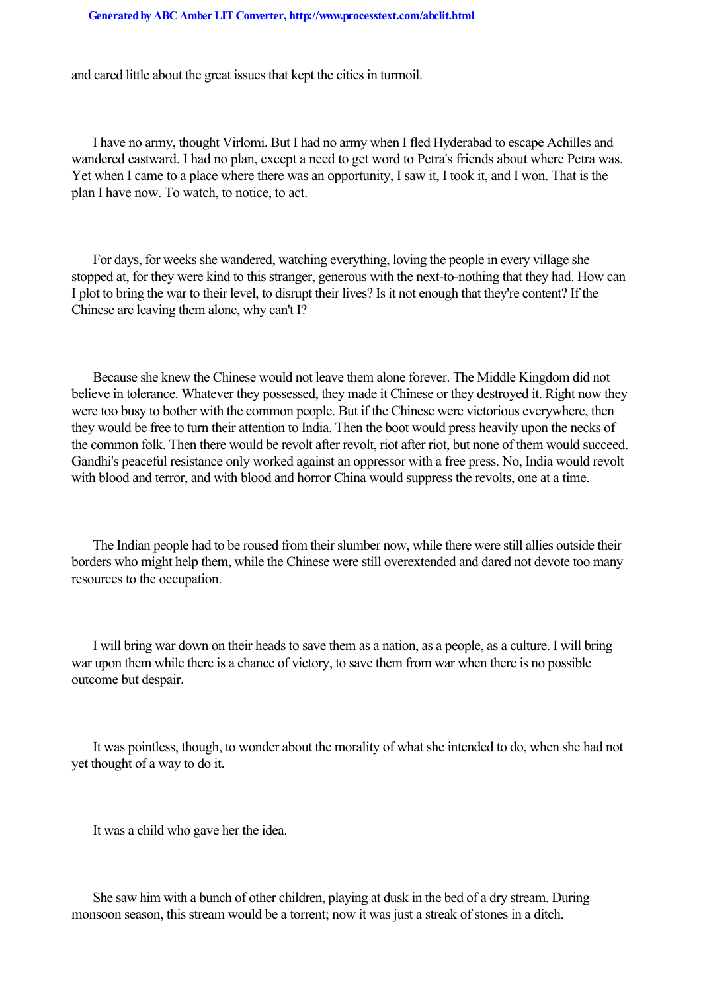and cared little about the great issues that kept the cities in turmoil.

 I have no army, thought Virlomi. But I had no army when I fled Hyderabad to escape Achilles and wandered eastward. I had no plan, except a need to get word to Petra's friends about where Petra was. Yet when I came to a place where there was an opportunity, I saw it, I took it, and I won. That is the plan I have now. To watch, to notice, to act.

 For days, for weeks she wandered, watching everything, loving the people in every village she stopped at, for they were kind to this stranger, generous with the next-to-nothing that they had. How can I plot to bring the war to their level, to disrupt their lives? Is it not enough that they're content? If the Chinese are leaving them alone, why can't I?

 Because she knew the Chinese would not leave them alone forever. The Middle Kingdom did not believe in tolerance. Whatever they possessed, they made it Chinese or they destroyed it. Right now they were too busy to bother with the common people. But if the Chinese were victorious everywhere, then they would be free to turn their attention to India. Then the boot would press heavily upon the necks of the common folk. Then there would be revolt after revolt, riot after riot, but none of them would succeed. Gandhi's peaceful resistance only worked against an oppressor with a free press. No, India would revolt with blood and terror, and with blood and horror China would suppress the revolts, one at a time.

 The Indian people had to be roused from their slumber now, while there were still allies outside their borders who might help them, while the Chinese were still overextended and dared not devote too many resources to the occupation.

 I will bring war down on their heads to save them as a nation, as a people, as a culture. I will bring war upon them while there is a chance of victory, to save them from war when there is no possible outcome but despair.

 It was pointless, though, to wonder about the morality of what she intended to do, when she had not yet thought of a way to do it.

It was a child who gave her the idea.

 She saw him with a bunch of other children, playing at dusk in the bed of a dry stream. During monsoon season, this stream would be a torrent; now it was just a streak of stones in a ditch.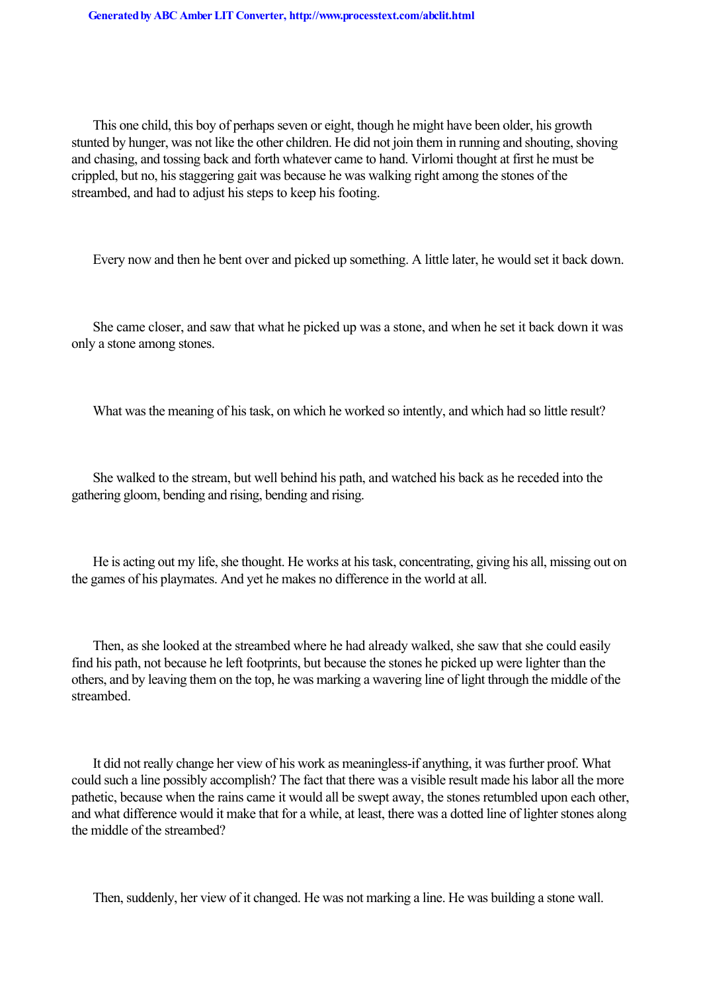This one child, this boy of perhaps seven or eight, though he might have been older, his growth stunted by hunger, was not like the other children. He did not join them in running and shouting, shoving and chasing, and tossing back and forth whatever came to hand. Virlomi thought at first he must be crippled, but no, his staggering gait was because he was walking right among the stones of the streambed, and had to adjust his steps to keep his footing.

Every now and then he bent over and picked up something. A little later, he would set it back down.

 She came closer, and saw that what he picked up was a stone, and when he set it back down it was only a stone among stones.

What was the meaning of his task, on which he worked so intently, and which had so little result?

 She walked to the stream, but well behind his path, and watched his back as he receded into the gathering gloom, bending and rising, bending and rising.

 He is acting out my life, she thought. He works at his task, concentrating, giving his all, missing out on the games of his playmates. And yet he makes no difference in the world at all.

 Then, as she looked at the streambed where he had already walked, she saw that she could easily find his path, not because he left footprints, but because the stones he picked up were lighter than the others, and by leaving them on the top, he was marking a wavering line of light through the middle of the streambed.

 It did not really change her view of his work as meaningless-if anything, it was further proof. What could such a line possibly accomplish? The fact that there was a visible result made his labor all the more pathetic, because when the rains came it would all be swept away, the stones retumbled upon each other, and what difference would it make that for a while, at least, there was a dotted line of lighter stones along the middle of the streambed?

Then, suddenly, her view of it changed. He was not marking a line. He was building a stone wall.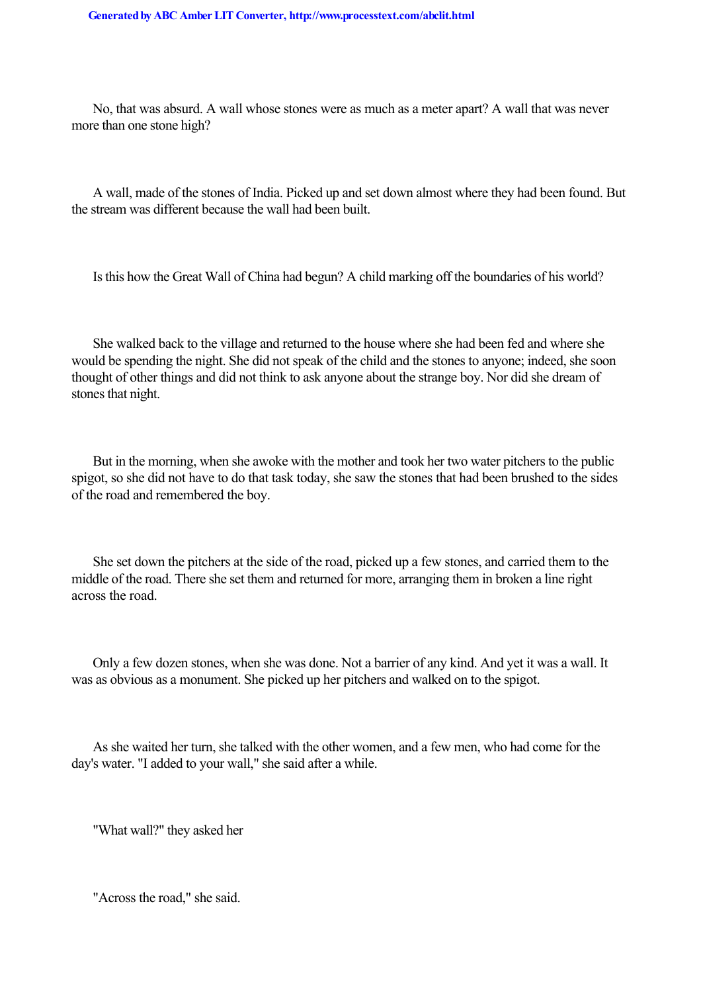No, that was absurd. A wall whose stones were as much as a meter apart? A wall that was never more than one stone high?

 A wall, made of the stones of India. Picked up and set down almost where they had been found. But the stream was different because the wall had been built.

Is this how the Great Wall of China had begun? A child marking off the boundaries of his world?

 She walked back to the village and returned to the house where she had been fed and where she would be spending the night. She did not speak of the child and the stones to anyone; indeed, she soon thought of other things and did not think to ask anyone about the strange boy. Nor did she dream of stones that night.

 But in the morning, when she awoke with the mother and took her two water pitchers to the public spigot, so she did not have to do that task today, she saw the stones that had been brushed to the sides of the road and remembered the boy.

 She set down the pitchers at the side of the road, picked up a few stones, and carried them to the middle of the road. There she set them and returned for more, arranging them in broken a line right across the road.

 Only a few dozen stones, when she was done. Not a barrier of any kind. And yet it was a wall. It was as obvious as a monument. She picked up her pitchers and walked on to the spigot.

 As she waited her turn, she talked with the other women, and a few men, who had come for the day's water. "I added to your wall," she said after a while.

"What wall?" they asked her

"Across the road," she said.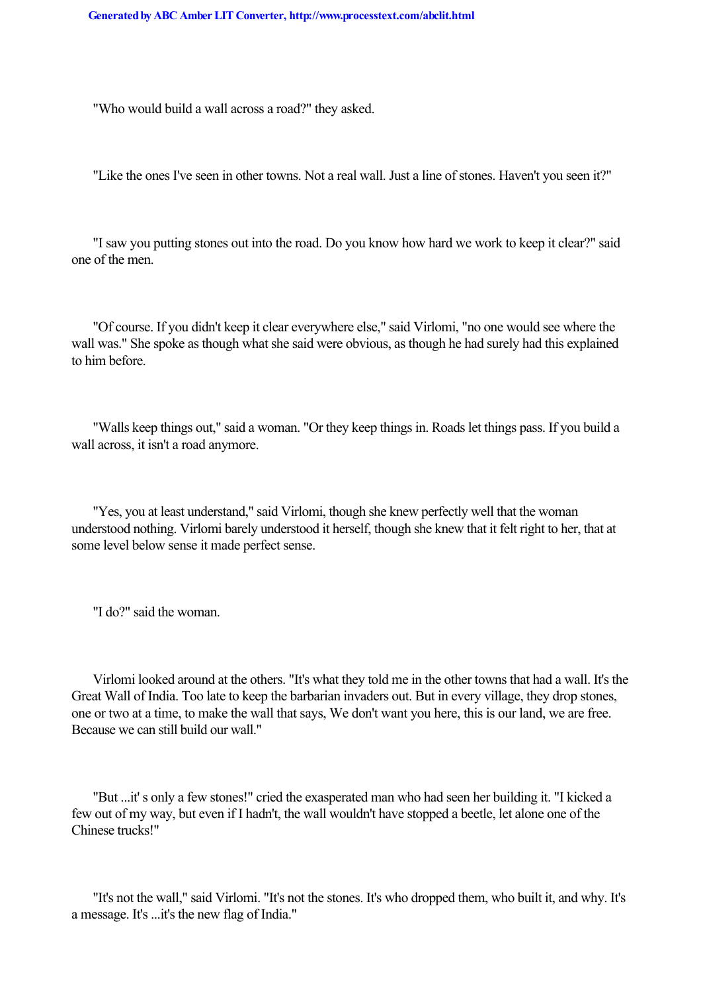"Who would build a wall across a road?" they asked.

"Like the ones I've seen in other towns. Not a real wall. Just a line of stones. Haven't you seen it?"

 "I saw you putting stones out into the road. Do you know how hard we work to keep it clear?" said one of the men.

 "Of course. If you didn't keep it clear everywhere else," said Virlomi, "no one would see where the wall was." She spoke as though what she said were obvious, as though he had surely had this explained to him before.

 "Walls keep things out," said a woman. "Or they keep things in. Roads let things pass. If you build a wall across, it isn't a road anymore.

 "Yes, you at least understand," said Virlomi, though she knew perfectly well that the woman understood nothing. Virlomi barely understood it herself, though she knew that it felt right to her, that at some level below sense it made perfect sense.

"I do?" said the woman.

 Virlomi looked around at the others. "It's what they told me in the other towns that had a wall. It's the Great Wall of India. Too late to keep the barbarian invaders out. But in every village, they drop stones, one or two at a time, to make the wall that says, We don't want you here, this is our land, we are free. Because we can still build our wall."

 "But ...it' s only a few stones!" cried the exasperated man who had seen her building it. "I kicked a few out of my way, but even if I hadn't, the wall wouldn't have stopped a beetle, let alone one of the Chinese trucks!"

 "It's not the wall," said Virlomi. "It's not the stones. It's who dropped them, who built it, and why. It's a message. It's ...it's the new flag of India."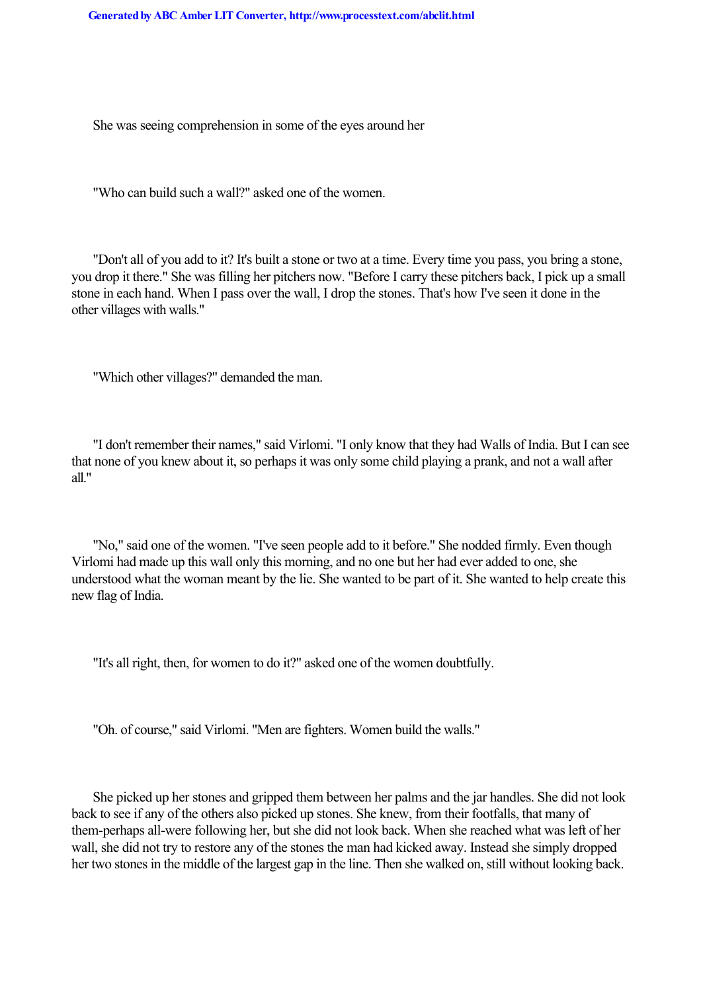She was seeing comprehension in some of the eyes around her

"Who can build such a wall?" asked one of the women.

 "Don't all of you add to it? It's built a stone or two at a time. Every time you pass, you bring a stone, you drop it there." She was filling her pitchers now. "Before I carry these pitchers back, I pick up a small stone in each hand. When I pass over the wall, I drop the stones. That's how I've seen it done in the other villages with walls."

"Which other villages?" demanded the man.

 "I don't remember their names," said Virlomi. "I only know that they had Walls of India. But I can see that none of you knew about it, so perhaps it was only some child playing a prank, and not a wall after all"

 "No," said one of the women. "I've seen people add to it before." She nodded firmly. Even though Virlomi had made up this wall only this morning, and no one but her had ever added to one, she understood what the woman meant by the lie. She wanted to be part of it. She wanted to help create this new flag of India.

"It's all right, then, for women to do it?" asked one of the women doubtfully.

"Oh. of course," said Virlomi. "Men are fighters. Women build the walls."

 She picked up her stones and gripped them between her palms and the jar handles. She did not look back to see if any of the others also picked up stones. She knew, from their footfalls, that many of them-perhaps all-were following her, but she did not look back. When she reached what was left of her wall, she did not try to restore any of the stones the man had kicked away. Instead she simply dropped her two stones in the middle of the largest gap in the line. Then she walked on, still without looking back.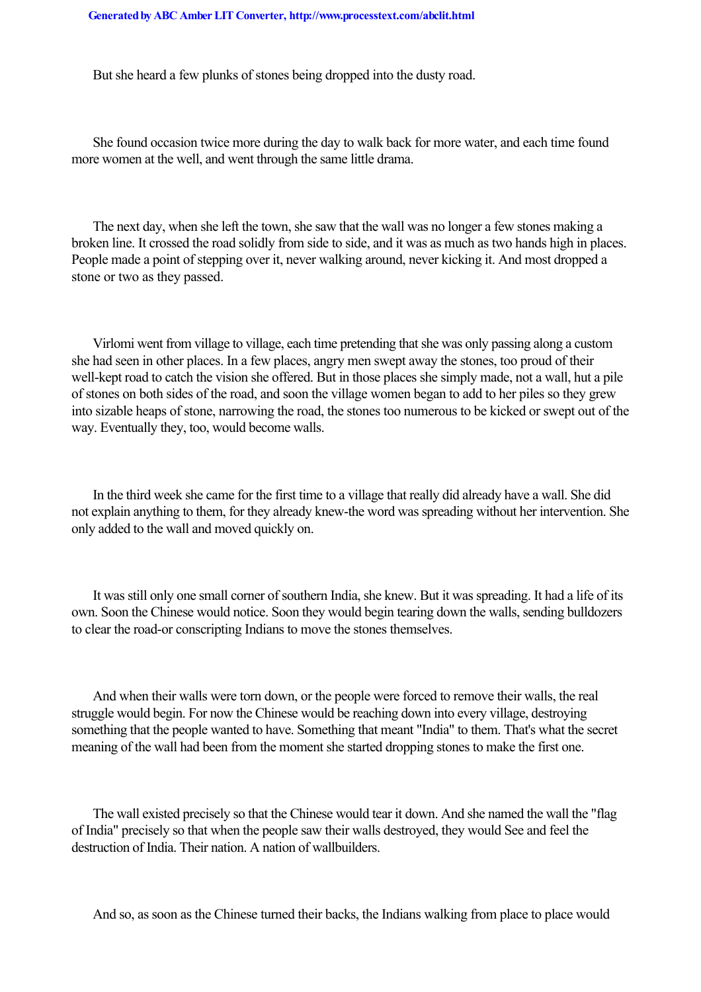But she heard a few plunks of stones being dropped into the dusty road.

 She found occasion twice more during the day to walk back for more water, and each time found more women at the well, and went through the same little drama.

 The next day, when she left the town, she saw that the wall was no longer a few stones making a broken line. It crossed the road solidly from side to side, and it was as much as two hands high in places. People made a point of stepping over it, never walking around, never kicking it. And most dropped a stone or two as they passed.

 Virlomi went from village to village, each time pretending that she was only passing along a custom she had seen in other places. In a few places, angry men swept away the stones, too proud of their well-kent road to catch the vision she offered. But in those places she simply made, not a wall, hut a pile of stones on both sides of the road, and soon the village women began to add to her piles so they grew into sizable heaps of stone, narrowing the road, the stones too numerous to be kicked or swept out of the way. Eventually they, too, would become walls.

 In the third week she came for the first time to a village that really did already have a wall. She did not explain anything to them, for they already knew-the word was spreading without her intervention. She only added to the wall and moved quickly on.

 It was still only one small corner of southern India, she knew. But it was spreading. It had a life of its own. Soon the Chinese would notice. Soon they would begin tearing down the walls, sending bulldozers to clear the road-or conscripting Indians to move the stones themselves.

 And when their walls were torn down, or the people were forced to remove their walls, the real struggle would begin. For now the Chinese would be reaching down into every village, destroying something that the people wanted to have. Something that meant "India" to them. That's what the secret meaning of the wall had been from the moment she started dropping stones to make the first one.

 The wall existed precisely so that the Chinese would tear it down. And she named the wall the "flag of India" precisely so that when the people saw their walls destroyed, they would See and feel the destruction of India. Their nation. A nation of wallbuilders.

And so, as soon as the Chinese turned their backs, the Indians walking from place to place would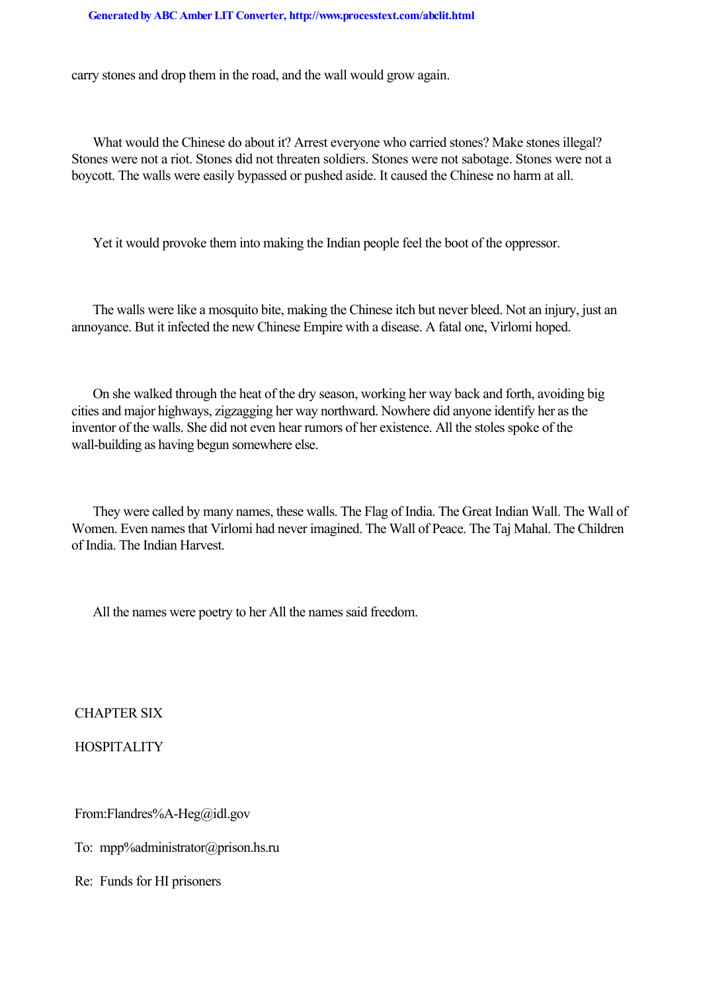carry stones and drop them in the road, and the wall would grow again.

What would the Chinese do about it? Arrest everyone who carried stones? Make stones illegal? Stones were not a riot. Stones did not threaten soldiers. Stones were not sabotage. Stones were not a boycott. The walls were easily bypassed or pushed aside. It caused the Chinese no harm at all.

Yet it would provoke them into making the Indian people feel the boot of the oppressor.

 The walls were like a mosquito bite, making the Chinese itch but never bleed. Not an injury, just an annoyance. But it infected the new Chinese Empire with a disease. A fatal one, Virlomi hoped.

 On she walked through the heat of the dry season, working her way back and forth, avoiding big cities and major highways, zigzagging her way northward. Nowhere did anyone identify her as the inventor of the walls. She did not even hear rumors of her existence. All the stoles spoke of the wall-building as having begun somewhere else.

 They were called by many names, these walls. The Flag of India. The Great Indian Wall. The Wall of Women. Even names that Virlomi had never imagined. The Wall of Peace. The Taj Mahal. The Children of India. The Indian Harvest.

All the names were poetry to her All the names said freedom.

CHAPTER SIX

**HOSPITALITY** 

From:Flandres%A-Heg@idl.gov

To: mpp%administrator@prison.hs.ru

Re: Funds for HI prisoners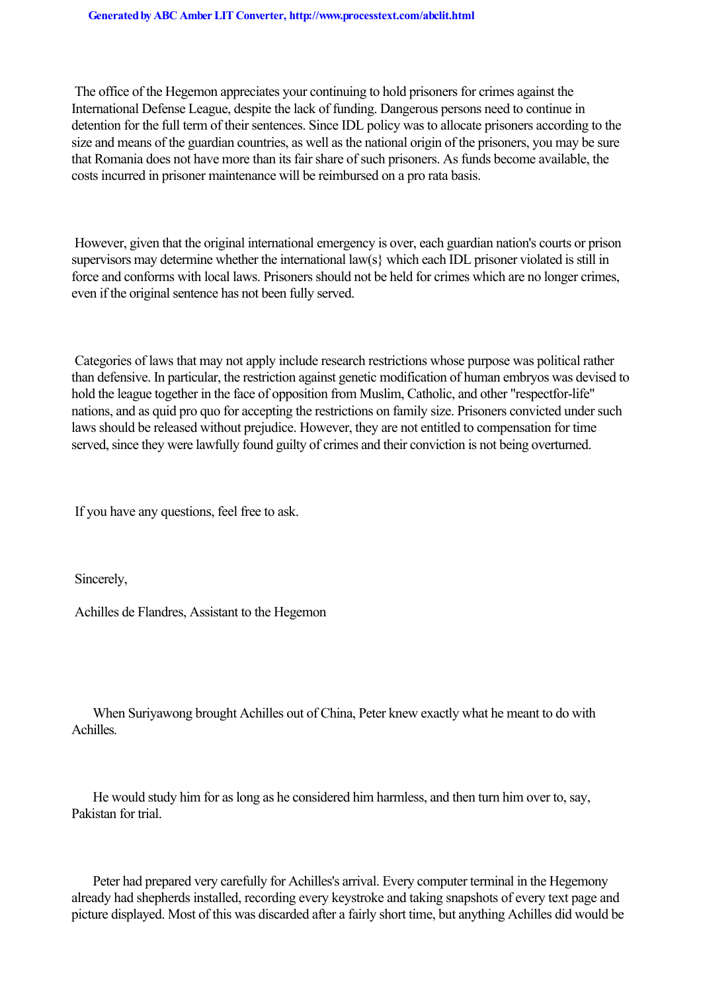The office of the Hegemon appreciates your continuing to hold prisoners for crimes against the International Defense League, despite the lack of funding. Dangerous persons need to continue in detention for the full term of their sentences. Since IDL policy was to allocate prisoners according to the size and means of the guardian countries, as well as the national origin of the prisoners, you may be sure that Romania does not have more than its fair share of such prisoners. As funds become available, the costs incurred in prisoner maintenance will be reimbursed on a pro rata basis.

 However, given that the original international emergency is over, each guardian nation's courts or prison supervisors may determine whether the international law(s} which each IDL prisoner violated is still in force and conforms with local laws. Prisoners should not be held for crimes which are no longer crimes, even if the original sentence has not been fully served.

 Categories of laws that may not apply include research restrictions whose purpose was political rather than defensive. In particular, the restriction against genetic modification of human embryos was devised to hold the league together in the face of opposition from Muslim, Catholic, and other "respectfor-life" nations, and as quid pro quo for accepting the restrictions on family size. Prisoners convicted under such laws should be released without prejudice. However, they are not entitled to compensation for time served, since they were lawfully found guilty of crimes and their conviction is not being overturned.

If you have any questions, feel free to ask.

Sincerely,

Achilles de Flandres, Assistant to the Hegemon

 When Suriyawong brought Achilles out of China, Peter knew exactly what he meant to do with **Achilles** 

 He would study him for as long as he considered him harmless, and then turn him over to, say, Pakistan for trial.

 Peter had prepared very carefully for Achilles's arrival. Every computer terminal in the Hegemony already had shepherds installed, recording every keystroke and taking snapshots of every text page and picture displayed. Most of this was discarded after a fairly short time, but anything Achilles did would be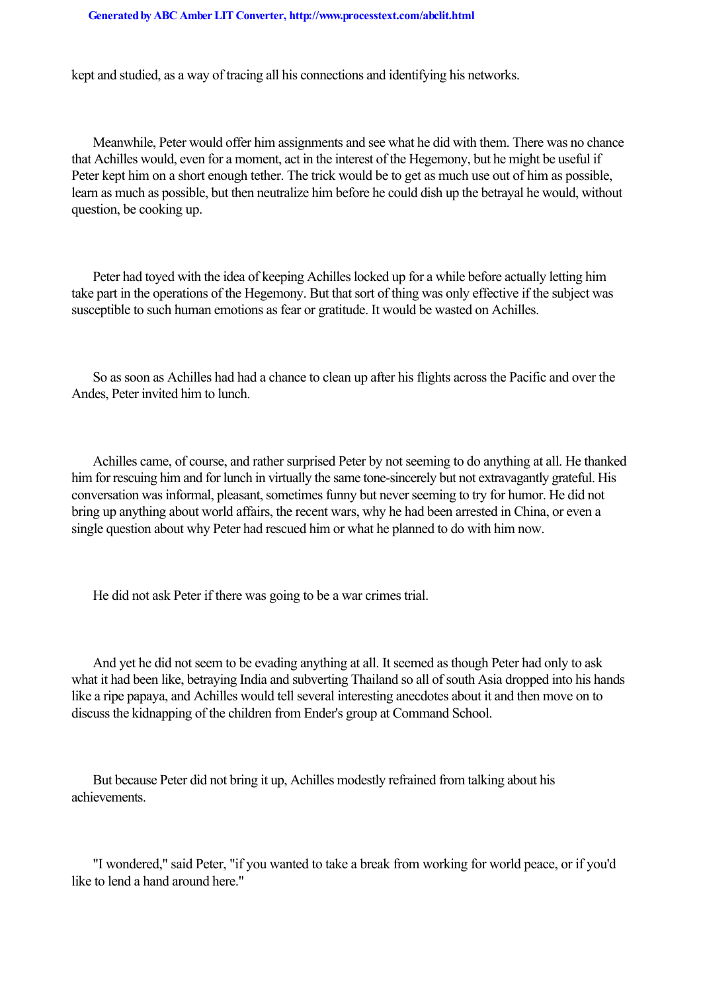kept and studied, as a way of tracing all his connections and identifying his networks.

 Meanwhile, Peter would offer him assignments and see what he did with them. There was no chance that Achilles would, even for a moment, act in the interest of the Hegemony, but he might be useful if Peter kept him on a short enough tether. The trick would be to get as much use out of him as possible, learn as much as possible, but then neutralize him before he could dish up the betrayal he would, without question, be cooking up.

 Peter had toyed with the idea of keeping Achilles locked up for a while before actually letting him take part in the operations of the Hegemony. But that sort of thing was only effective if the subject was susceptible to such human emotions as fear or gratitude. It would be wasted on Achilles.

 So as soon as Achilles had had a chance to clean up after his flights across the Pacific and over the Andes, Peter invited him to lunch.

 Achilles came, of course, and rather surprised Peter by not seeming to do anything at all. He thanked him for rescuing him and for lunch in virtually the same tone-sincerely but not extravagantly grateful. His conversation was informal, pleasant, sometimes funny but never seeming to try for humor. He did not bring up anything about world affairs, the recent wars, why he had been arrested in China, or even a single question about why Peter had rescued him or what he planned to do with him now.

He did not ask Peter if there was going to be a war crimes trial.

 And yet he did not seem to be evading anything at all. It seemed as though Peter had only to ask what it had been like, betraying India and subverting Thailand so all of south Asia dropped into his hands like a ripe papaya, and Achilles would tell several interesting anecdotes about it and then move on to discuss the kidnapping of the children from Ender's group at Command School.

 But because Peter did not bring it up, Achilles modestly refrained from talking about his achievements.

 "I wondered," said Peter, "if you wanted to take a break from working for world peace, or if you'd like to lend a hand around here."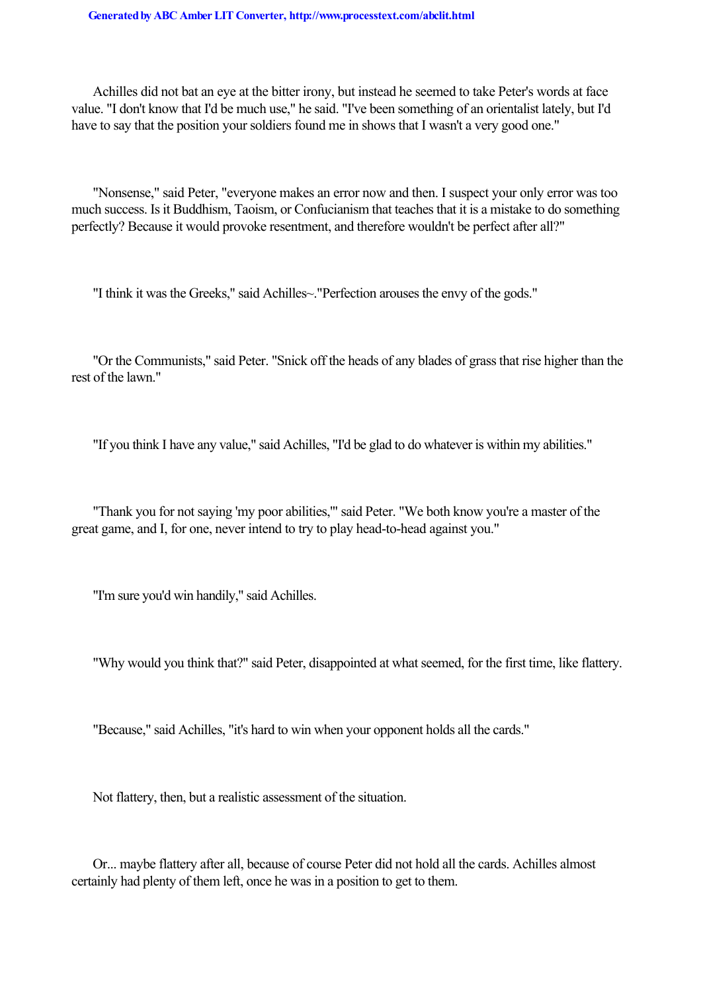Achilles did not bat an eye at the bitter irony, but instead he seemed to take Peter's words at face value. "I don't know that I'd be much use," he said. "I've been something of an orientalist lately, but I'd have to say that the position your soldiers found me in shows that I wasn't a very good one."

 "Nonsense," said Peter, "everyone makes an error now and then. I suspect your only error was too much success. Is it Buddhism, Taoism, or Confucianism that teaches that it is a mistake to do something perfectly? Because it would provoke resentment, and therefore wouldn't be perfect after all?"

"I think it was the Greeks," said Achilles~."Perfection arouses the envy of the gods."

 "Or the Communists," said Peter. "Snick off the heads of any blades of grass that rise higher than the rest of the lawn."

"If you think I have any value," said Achilles, "I'd be glad to do whatever is within my abilities."

 "Thank you for not saying 'my poor abilities,'" said Peter. "We both know you're a master of the great game, and I, for one, never intend to try to play head-to-head against you."

"I'm sure you'd win handily," said Achilles.

"Why would you think that?" said Peter, disappointed at what seemed, for the first time, like flattery.

"Because," said Achilles, "it's hard to win when your opponent holds all the cards."

Not flattery, then, but a realistic assessment of the situation.

 Or... maybe flattery after all, because of course Peter did not hold all the cards. Achilles almost certainly had plenty of them left, once he was in a position to get to them.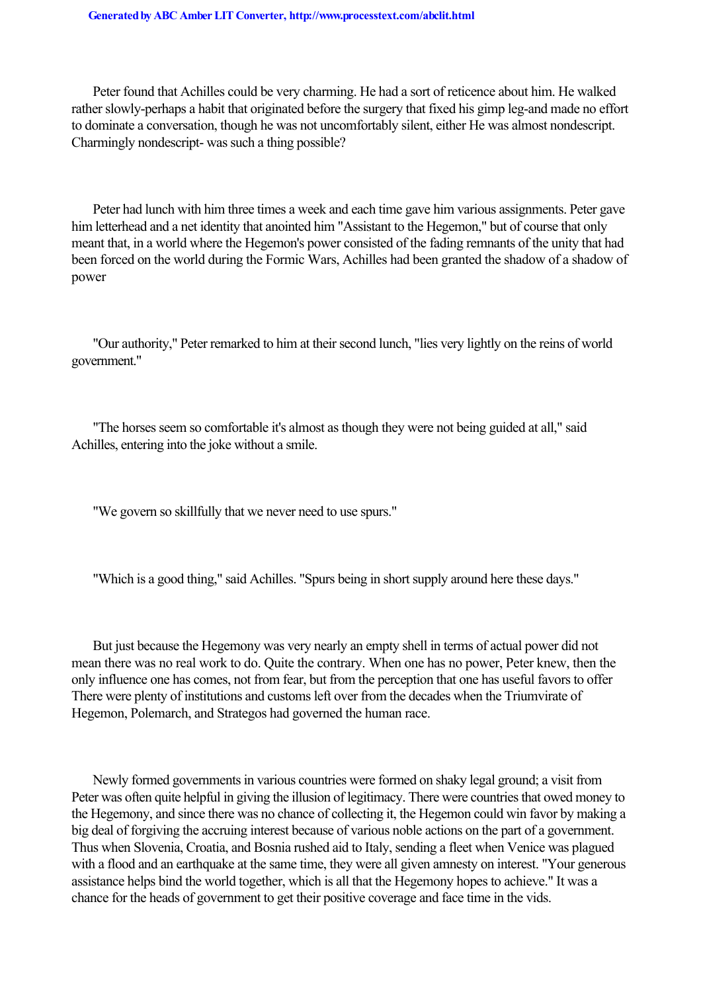Peter found that Achilles could be very charming. He had a sort of reticence about him. He walked rather slowly-perhaps a habit that originated before the surgery that fixed his gimp leg-and made no effort to dominate a conversation, though he was not uncomfortably silent, either He was almost nondescript. Charmingly nondescript- was such a thing possible?

 Peter had lunch with him three times a week and each time gave him various assignments. Peter gave him letterhead and a net identity that anointed him "Assistant to the Hegemon," but of course that only meant that, in a world where the Hegemon's power consisted of the fading remnants of the unity that had been forced on the world during the Formic Wars, Achilles had been granted the shadow of a shadow of power

 "Our authority," Peter remarked to him at their second lunch, "lies very lightly on the reins of world government."

 "The horses seem so comfortable it's almost as though they were not being guided at all," said Achilles, entering into the joke without a smile.

"We govern so skillfully that we never need to use spurs."

"Which is a good thing," said Achilles. "Spurs being in short supply around here these days."

 But just because the Hegemony was very nearly an empty shell in terms of actual power did not mean there was no real work to do. Quite the contrary. When one has no power, Peter knew, then the only influence one has comes, not from fear, but from the perception that one has useful favors to offer There were plenty of institutions and customs left over from the decades when the Triumvirate of Hegemon, Polemarch, and Strategos had governed the human race.

 Newly formed governments in various countries were formed on shaky legal ground; a visit from Peter was often quite helpful in giving the illusion of legitimacy. There were countries that owed money to the Hegemony, and since there was no chance of collecting it, the Hegemon could win favor by making a big deal of forgiving the accruing interest because of various noble actions on the part of a government. Thus when Slovenia, Croatia, and Bosnia rushed aid to Italy, sending a fleet when Venice was plagued with a flood and an earthquake at the same time, they were all given amnesty on interest. "Your generous assistance helps bind the world together, which is all that the Hegemony hopes to achieve." It was a chance for the heads of government to get their positive coverage and face time in the vids.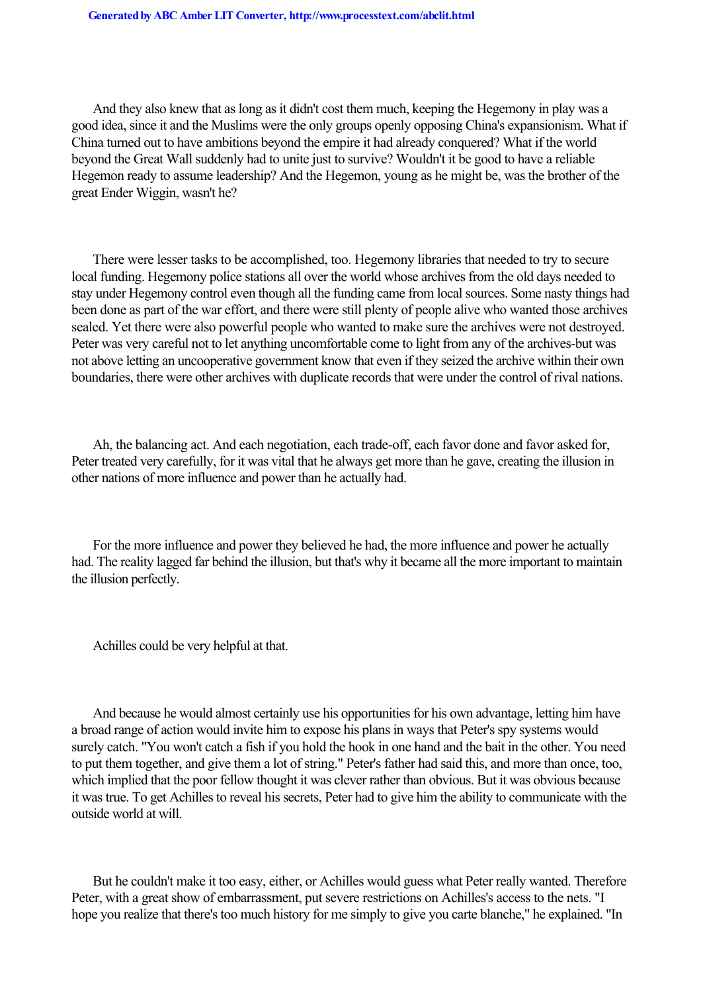And they also knew that as long as it didn't cost them much, keeping the Hegemony in play was a good idea, since it and the Muslims were the only groups openly opposing China's expansionism. What if China turned out to have ambitions beyond the empire it had already conquered? What if the world beyond the Great Wall suddenly had to unite just to survive? Wouldn't it be good to have a reliable Hegemon ready to assume leadership? And the Hegemon, young as he might be, was the brother of the great Ender Wiggin, wasn't he?

 There were lesser tasks to be accomplished, too. Hegemony libraries that needed to try to secure local funding. Hegemony police stations all over the world whose archives from the old days needed to stay under Hegemony control even though all the funding came from local sources. Some nasty things had been done as part of the war effort, and there were still plenty of people alive who wanted those archives sealed. Yet there were also powerful people who wanted to make sure the archives were not destroyed. Peter was very careful not to let anything uncomfortable come to light from any of the archives-but was not above letting an uncooperative government know that even if they seized the archive within their own boundaries, there were other archives with duplicate records that were under the control of rival nations.

 Ah, the balancing act. And each negotiation, each trade-off, each favor done and favor asked for, Peter treated very carefully, for it was vital that he always get more than he gave, creating the illusion in other nations of more influence and power than he actually had.

 For the more influence and power they believed he had, the more influence and power he actually had. The reality lagged far behind the illusion, but that's why it became all the more important to maintain the illusion perfectly.

Achilles could be very helpful at that.

 And because he would almost certainly use his opportunities for his own advantage, letting him have a broad range of action would invite him to expose his plans in ways that Peter's spy systems would surely catch. "You won't catch a fish if you hold the hook in one hand and the bait in the other. You need to put them together, and give them a lot of string." Peter's father had said this, and more than once, too, which implied that the poor fellow thought it was clever rather than obvious. But it was obvious because it was true. To get Achilles to reveal his secrets, Peter had to give him the ability to communicate with the outside world at will.

 But he couldn't make it too easy, either, or Achilles would guess what Peter really wanted. Therefore Peter, with a great show of embarrassment, put severe restrictions on Achilles's access to the nets. "I hope you realize that there's too much history for me simply to give you carte blanche," he explained. "In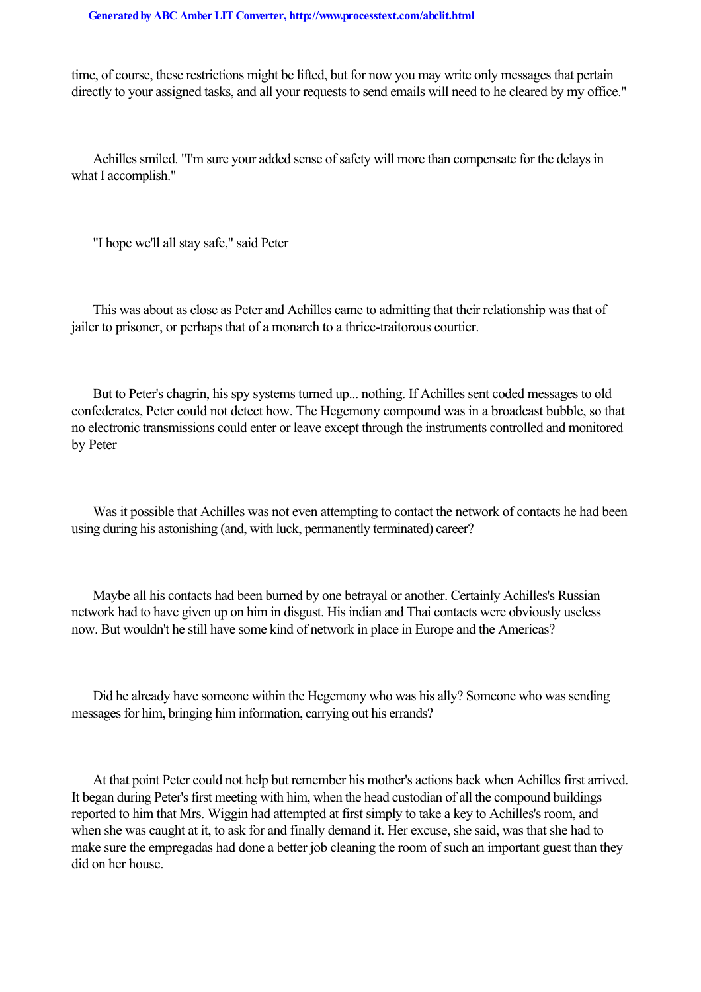time, of course, these restrictions might be lifted, but for now you may write only messages that pertain directly to your assigned tasks, and all your requests to send emails will need to he cleared by my office."

 Achilles smiled. "I'm sure your added sense of safety will more than compensate for the delays in what I accomplish."

"I hope we'll all stay safe," said Peter

 This was about as close as Peter and Achilles came to admitting that their relationship was that of jailer to prisoner, or perhaps that of a monarch to a thrice-traitorous courtier.

 But to Peter's chagrin, his spy systems turned up... nothing. If Achilles sent coded messages to old confederates, Peter could not detect how. The Hegemony compound was in a broadcast bubble, so that no electronic transmissions could enter or leave except through the instruments controlled and monitored by Peter

Was it possible that Achilles was not even attempting to contact the network of contacts he had been using during his astonishing (and, with luck, permanently terminated) career?

 Maybe all his contacts had been burned by one betrayal or another. Certainly Achilles's Russian network had to have given up on him in disgust. His indian and Thai contacts were obviously useless now. But wouldn't he still have some kind of network in place in Europe and the Americas?

 Did he already have someone within the Hegemony who was his ally? Someone who was sending messages for him, bringing him information, carrying out his errands?

 At that point Peter could not help but remember his mother's actions back when Achilles first arrived. It began during Peter's first meeting with him, when the head custodian of all the compound buildings reported to him that Mrs. Wiggin had attempted at first simply to take a key to Achilles's room, and when she was caught at it, to ask for and finally demand it. Her excuse, she said, was that she had to make sure the empregadas had done a better job cleaning the room of such an important guest than they did on her house.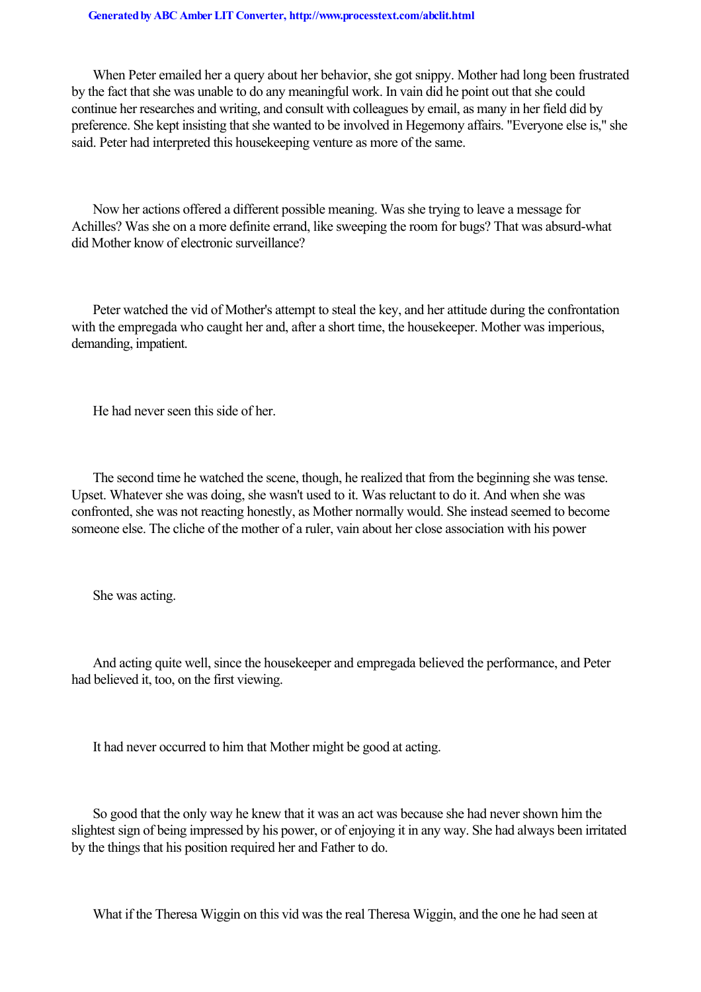When Peter emailed her a query about her behavior, she got snippy. Mother had long been frustrated by the fact that she was unable to do any meaningful work. In vain did he point out that she could continue her researches and writing, and consult with colleagues by email, as many in her field did by preference. She kept insisting that she wanted to be involved in Hegemony affairs. "Everyone else is," she said. Peter had interpreted this housekeeping venture as more of the same.

 Now her actions offered a different possible meaning. Was she trying to leave a message for Achilles? Was she on a more definite errand, like sweeping the room for bugs? That was absurd-what did Mother know of electronic surveillance?

 Peter watched the vid of Mother's attempt to steal the key, and her attitude during the confrontation with the empregada who caught her and, after a short time, the housekeeper. Mother was imperious, demanding, impatient.

He had never seen this side of her.

 The second time he watched the scene, though, he realized that from the beginning she was tense. Upset. Whatever she was doing, she wasn't used to it. Was reluctant to do it. And when she was confronted, she was not reacting honestly, as Mother normally would. She instead seemed to become someone else. The cliche of the mother of a ruler, vain about her close association with his power

She was acting.

 And acting quite well, since the housekeeper and empregada believed the performance, and Peter had believed it, too, on the first viewing.

It had never occurred to him that Mother might be good at acting.

 So good that the only way he knew that it was an act was because she had never shown him the slightest sign of being impressed by his power, or of enjoying it in any way. She had always been irritated by the things that his position required her and Father to do.

What if the Theresa Wiggin on this vid was the real Theresa Wiggin, and the one he had seen at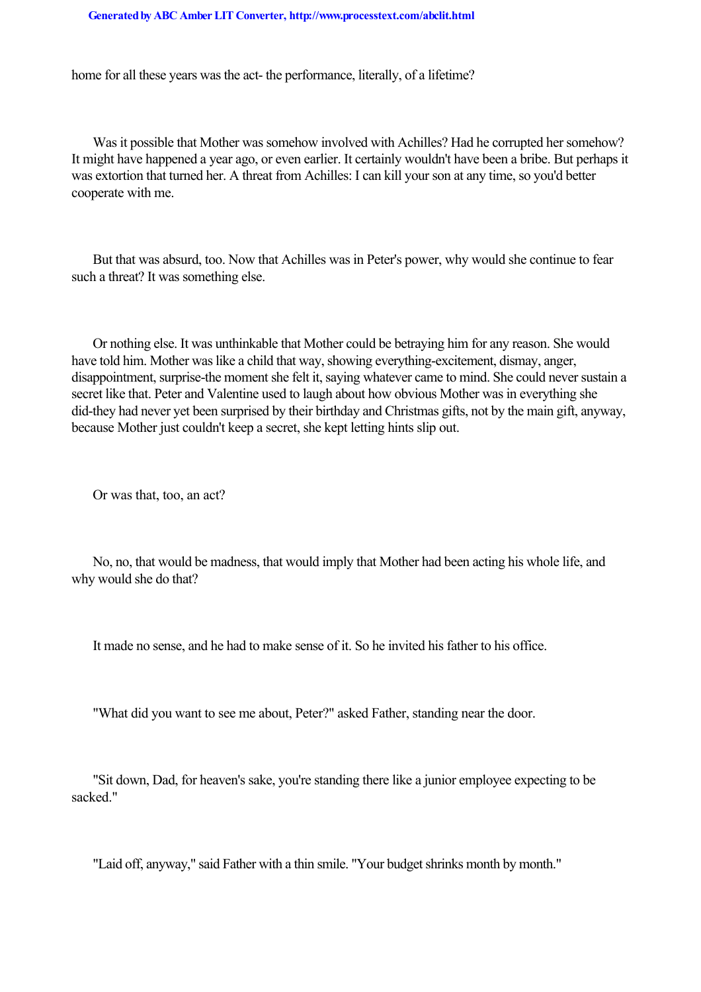home for all these years was the act- the performance, literally, of a lifetime?

 Was it possible that Mother was somehow involved with Achilles? Had he corrupted her somehow? It might have happened a year ago, or even earlier. It certainly wouldn't have been a bribe. But perhaps it was extortion that turned her. A threat from Achilles: I can kill your son at any time, so you'd better cooperate with me.

 But that was absurd, too. Now that Achilles was in Peter's power, why would she continue to fear such a threat? It was something else.

 Or nothing else. It was unthinkable that Mother could be betraying him for any reason. She would have told him. Mother was like a child that way, showing everything-excitement, dismay, anger, disappointment, surprise-the moment she felt it, saying whatever came to mind. She could never sustain a secret like that. Peter and Valentine used to laugh about how obvious Mother was in everything she did-they had never yet been surprised by their birthday and Christmas gifts, not by the main gift, anyway, because Mother just couldn't keep a secret, she kept letting hints slip out.

Or was that, too, an act?

 No, no, that would be madness, that would imply that Mother had been acting his whole life, and why would she do that?

It made no sense, and he had to make sense of it. So he invited his father to his office.

"What did you want to see me about, Peter?" asked Father, standing near the door.

 "Sit down, Dad, for heaven's sake, you're standing there like a junior employee expecting to be sacked."

"Laid off, anyway," said Father with a thin smile. "Your budget shrinks month by month."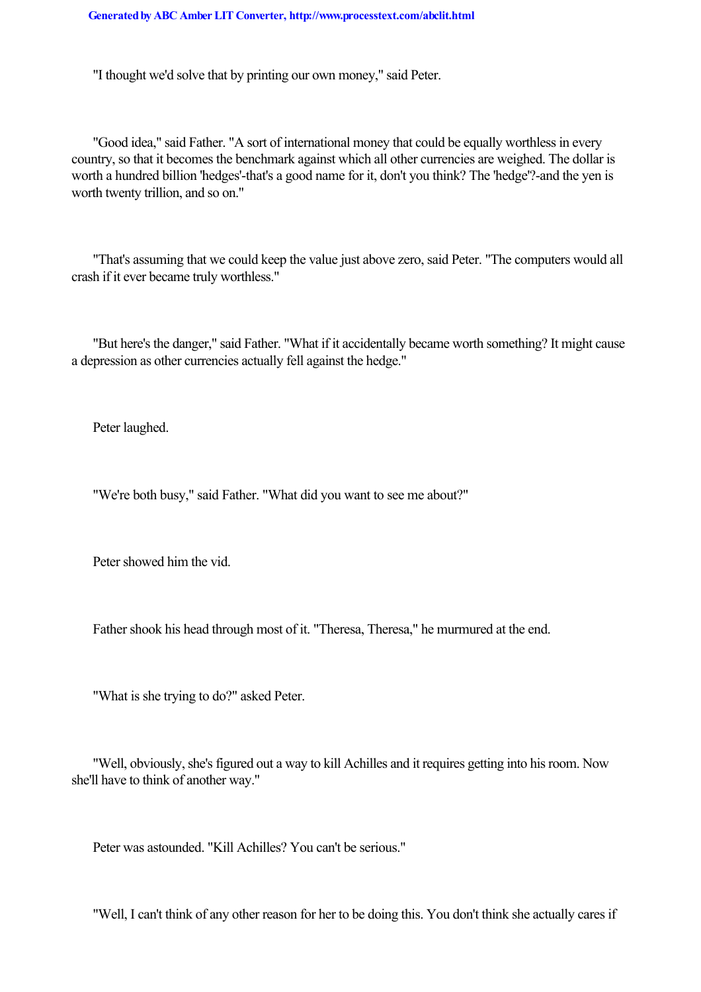"I thought we'd solve that by printing our own money," said Peter.

 "Good idea," said Father. "A sort of international money that could be equally worthless in every country, so that it becomes the benchmark against which all other currencies are weighed. The dollar is worth a hundred billion 'hedges'-that's a good name for it, don't you think? The 'hedge'?-and the yen is worth twenty trillion, and so on."

 "That's assuming that we could keep the value just above zero, said Peter. "The computers would all crash if it ever became truly worthless."

 "But here's the danger," said Father. "What if it accidentally became worth something? It might cause a depression as other currencies actually fell against the hedge."

Peter laughed.

"We're both busy," said Father. "What did you want to see me about?"

Peter showed him the vid.

Father shook his head through most of it. "Theresa, Theresa," he murmured at the end.

"What is she trying to do?" asked Peter.

 "Well, obviously, she's figured out a way to kill Achilles and it requires getting into his room. Now she'll have to think of another way."

Peter was astounded. "Kill Achilles? You can't be serious."

"Well, I can't think of any other reason for her to be doing this. You don't think she actually cares if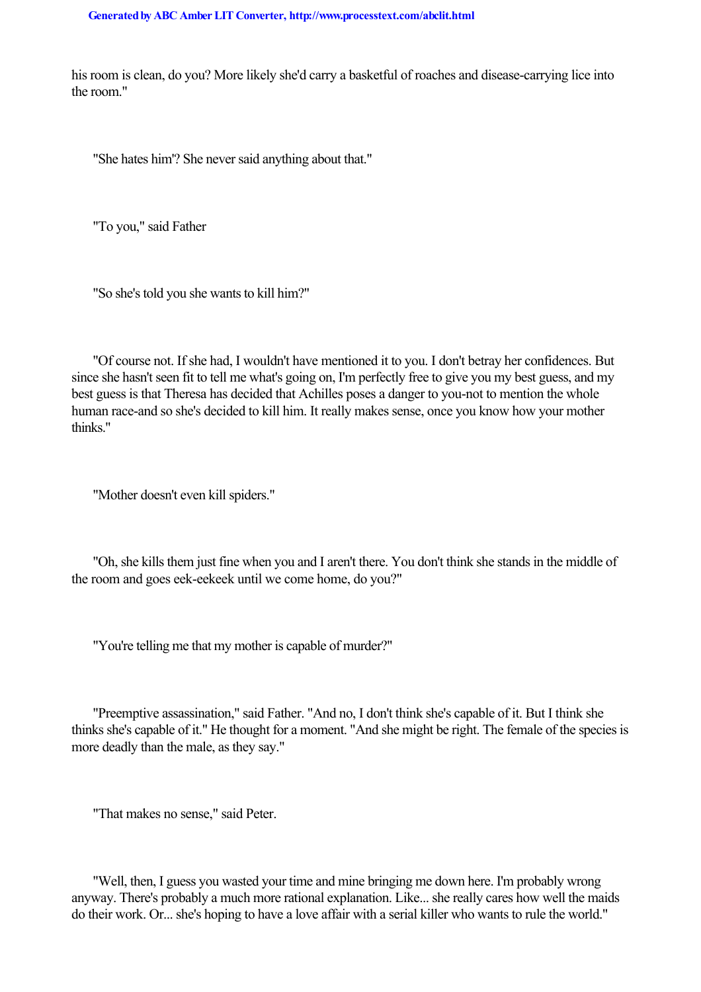his room is clean, do you? More likely she'd carry a basketful of roaches and disease-carrying lice into the room."

"She hates him'? She never said anything about that."

"To you," said Father

"So she's told you she wants to kill him?"

 "Of course not. If she had, I wouldn't have mentioned it to you. I don't betray her confidences. But since she hasn't seen fit to tell me what's going on, I'm perfectly free to give you my best guess, and my best guess is that Theresa has decided that Achilles poses a danger to you-not to mention the whole human race-and so she's decided to kill him. It really makes sense, once you know how your mother thinks."

"Mother doesn't even kill spiders."

 "Oh, she kills them just fine when you and I aren't there. You don't think she stands in the middle of the room and goes eek-eekeek until we come home, do you?"

"You're telling me that my mother is capable of murder?"

 "Preemptive assassination," said Father. "And no, I don't think she's capable of it. But I think she thinks she's capable of it." He thought for a moment. "And she might be right. The female of the species is more deadly than the male, as they say."

"That makes no sense," said Peter.

 "Well, then, I guess you wasted your time and mine bringing me down here. I'm probably wrong anyway. There's probably a much more rational explanation. Like... she really cares how well the maids do their work. Or... she's hoping to have a love affair with a serial killer who wants to rule the world."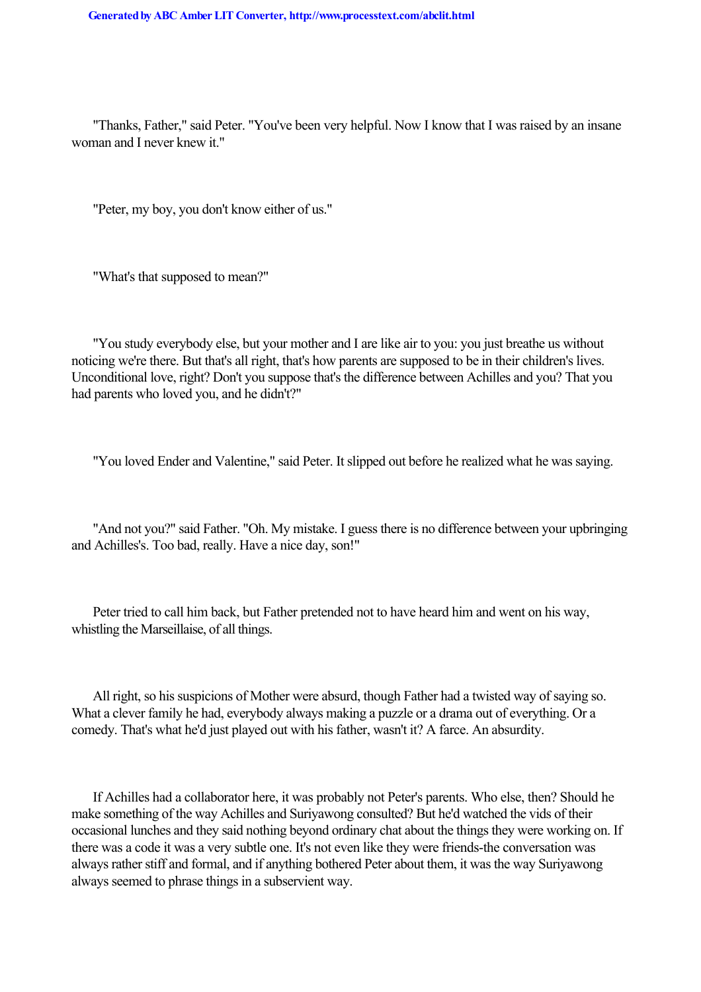"Thanks, Father," said Peter. "You've been very helpful. Now I know that I was raised by an insane woman and I never knew it."

"Peter, my boy, you don't know either of us."

"What's that supposed to mean?"

 "You study everybody else, but your mother and I are like air to you: you just breathe us without noticing we're there. But that's all right, that's how parents are supposed to be in their children's lives. Unconditional love, right? Don't you suppose that's the difference between Achilles and you? That you had parents who loved you, and he didn't?"

"You loved Ender and Valentine," said Peter. It slipped out before he realized what he was saying.

 "And not you?" said Father. "Oh. My mistake. I guess there is no difference between your upbringing and Achilles's. Too bad, really. Have a nice day, son!"

 Peter tried to call him back, but Father pretended not to have heard him and went on his way, whistling the Marseillaise, of all things.

 All right, so his suspicions of Mother were absurd, though Father had a twisted way of saying so. What a clever family he had, everybody always making a puzzle or a drama out of everything. Or a comedy. That's what he'd just played out with his father, wasn't it? A farce. An absurdity.

 If Achilles had a collaborator here, it was probably not Peter's parents. Who else, then? Should he make something of the way Achilles and Suriyawong consulted? But he'd watched the vids of their occasional lunches and they said nothing beyond ordinary chat about the things they were working on. If there was a code it was a very subtle one. It's not even like they were friends-the conversation was always rather stiff and formal, and if anything bothered Peter about them, it was the way Suriyawong always seemed to phrase things in a subservient way.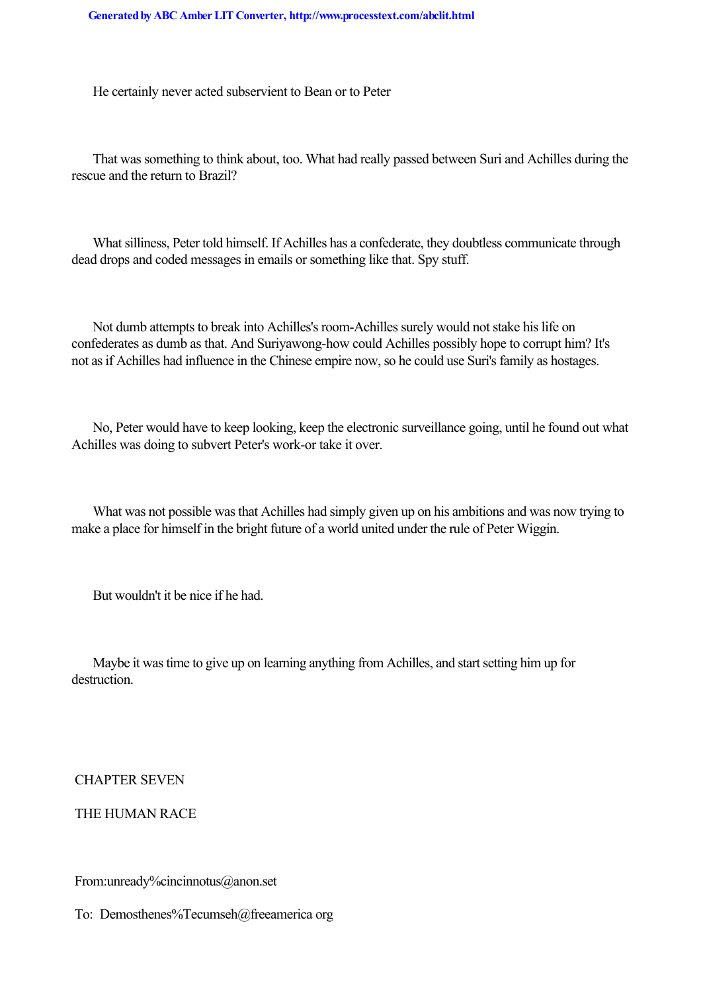He certainly never acted subservient to Bean or to Peter

 That was something to think about, too. What had really passed between Suri and Achilles during the rescue and the return to Brazil?

 What silliness, Peter told himself. If Achilles has a confederate, they doubtless communicate through dead drops and coded messages in emails or something like that. Spy stuff.

 Not dumb attempts to break into Achilles's room-Achilles surely would not stake his life on confederates as dumb as that. And Suriyawong-how could Achilles possibly hope to corrupt him? It's not as if Achilles had influence in the Chinese empire now, so he could use Suri's family as hostages.

 No, Peter would have to keep looking, keep the electronic surveillance going, until he found out what Achilles was doing to subvert Peter's work-or take it over.

What was not possible was that Achilles had simply given up on his ambitions and was now trying to make a place for himself in the bright future of a world united under the rule of Peter Wiggin.

But wouldn't it be nice if he had.

 Maybe it was time to give up on learning anything from Achilles, and start setting him up for destruction.

CHAPTER SEVEN

THE HUMAN RACE

From:unready%cincinnotus@anon.set

To: Demosthenes%Tecumseh@freeamerica org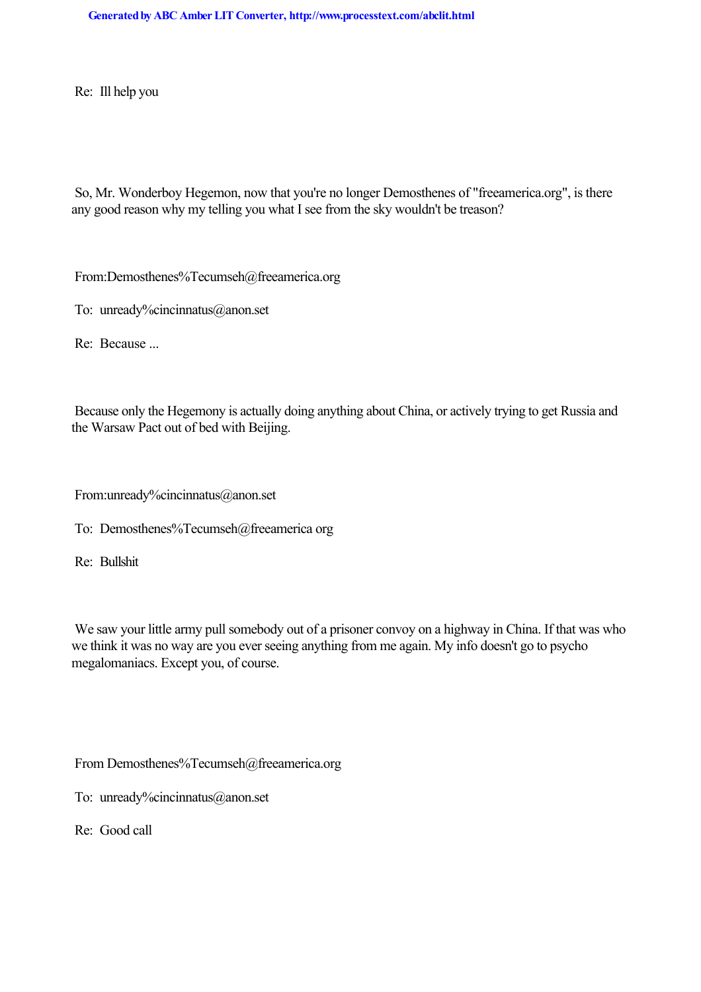Re: Ill help you

 So, Mr. Wonderboy Hegemon, now that you're no longer Demosthenes of "freeamerica.org", is there any good reason why my telling you what I see from the sky wouldn't be treason?

From:Demosthenes%Tecumseh@freeamerica.org

To: unready%cincinnatus@anon.set

Re: Because ...

 Because only the Hegemony is actually doing anything about China, or actively trying to get Russia and the Warsaw Pact out of bed with Beijing.

From:unready%cincinnatus@anon.set

To: Demosthenes%Tecumseh@freeamerica org

Re: Bullshit

We saw your little army pull somebody out of a prisoner convoy on a highway in China. If that was who we think it was no way are you ever seeing anything from me again. My info doesn't go to psycho megalomaniacs. Except you, of course.

From Demosthenes%Tecumseh@freeamerica.org

To: unready%cincinnatus@anon.set

Re: Good call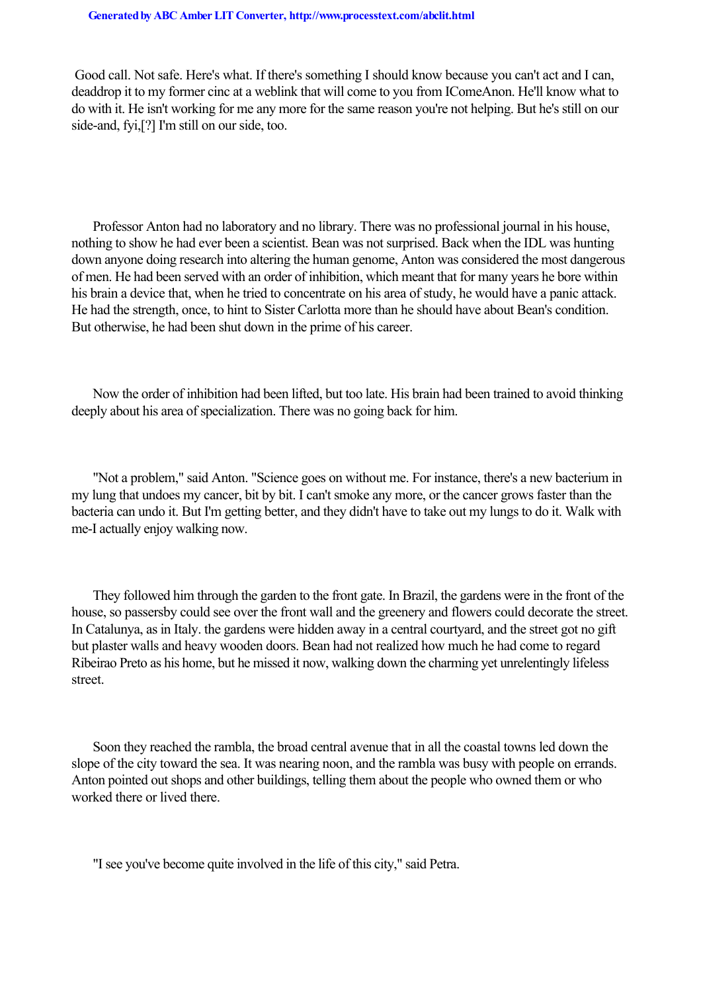Good call. Not safe. Here's what. If there's something I should know because you can't act and I can, deaddrop it to my former cinc at a weblink that will come to you from IComeAnon. He'll know what to do with it. He isn't working for me any more for the same reason you're not helping. But he's still on our side-and, fyi,[?] I'm still on our side, too.

 Professor Anton had no laboratory and no library. There was no professional journal in his house, nothing to show he had ever been a scientist. Bean was not surprised. Back when the IDL was hunting down anyone doing research into altering the human genome, Anton was considered the most dangerous of men. He had been served with an order of inhibition, which meant that for many years he bore within his brain a device that, when he tried to concentrate on his area of study, he would have a panic attack. He had the strength, once, to hint to Sister Carlotta more than he should have about Bean's condition. But otherwise, he had been shut down in the prime of his career.

 Now the order of inhibition had been lifted, but too late. His brain had been trained to avoid thinking deeply about his area of specialization. There was no going back for him.

 "Not a problem," said Anton. "Science goes on without me. For instance, there's a new bacterium in my lung that undoes my cancer, bit by bit. I can't smoke any more, or the cancer grows faster than the bacteria can undo it. But I'm getting better, and they didn't have to take out my lungs to do it. Walk with me-I actually enjoy walking now.

 They followed him through the garden to the front gate. In Brazil, the gardens were in the front of the house, so passersby could see over the front wall and the greenery and flowers could decorate the street. In Catalunya, as in Italy. the gardens were hidden away in a central courtyard, and the street got no gift but plaster walls and heavy wooden doors. Bean had not realized how much he had come to regard Ribeirao Preto as his home, but he missed it now, walking down the charming yet unrelentingly lifeless street.

 Soon they reached the rambla, the broad central avenue that in all the coastal towns led down the slope of the city toward the sea. It was nearing noon, and the rambla was busy with people on errands. Anton pointed out shops and other buildings, telling them about the people who owned them or who worked there or lived there.

"I see you've become quite involved in the life of this city," said Petra.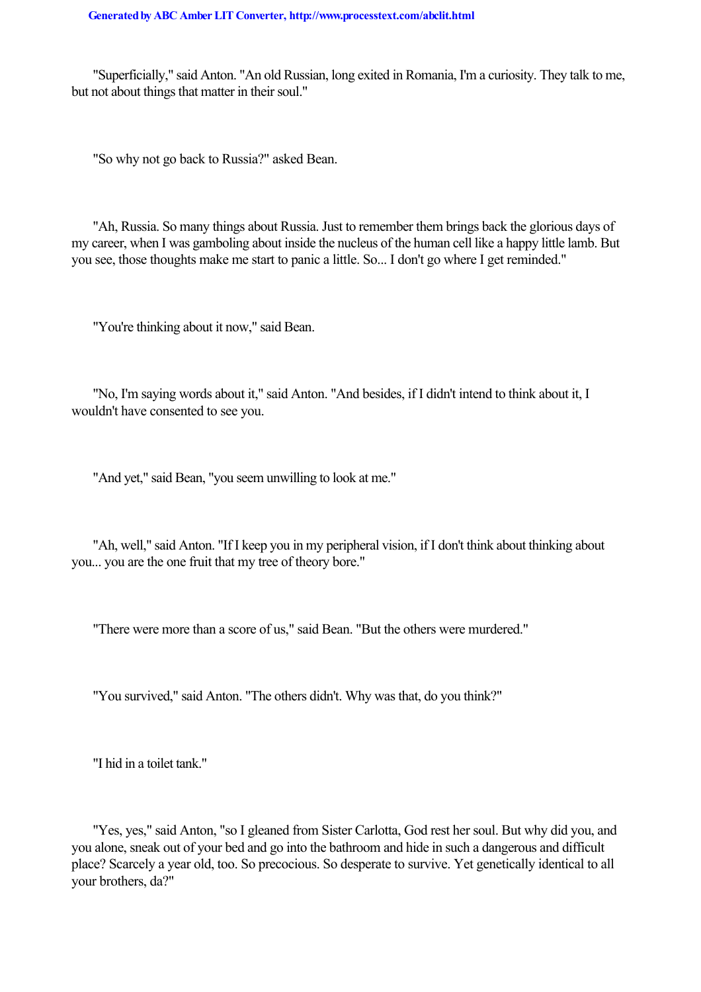"Superficially," said Anton. "An old Russian, long exited in Romania, I'm a curiosity. They talk to me, but not about things that matter in their soul."

"So why not go back to Russia?" asked Bean.

 "Ah, Russia. So many things about Russia. Just to remember them brings back the glorious days of my career, when I was gamboling about inside the nucleus of the human cell like a happy little lamb. But you see, those thoughts make me start to panic a little. So... I don't go where I get reminded."

"You're thinking about it now," said Bean.

 "No, I'm saying words about it," said Anton. "And besides, if I didn't intend to think about it, I wouldn't have consented to see you.

"And yet," said Bean, "you seem unwilling to look at me."

 "Ah, well," said Anton. "If I keep you in my peripheral vision, if I don't think about thinking about you... you are the one fruit that my tree of theory bore."

"There were more than a score of us," said Bean. "But the others were murdered."

"You survived," said Anton. "The others didn't. Why was that, do you think?"

"I hid in a toilet tank."

 "Yes, yes," said Anton, "so I gleaned from Sister Carlotta, God rest her soul. But why did you, and you alone, sneak out of your bed and go into the bathroom and hide in such a dangerous and difficult place? Scarcely a year old, too. So precocious. So desperate to survive. Yet genetically identical to all your brothers, da?"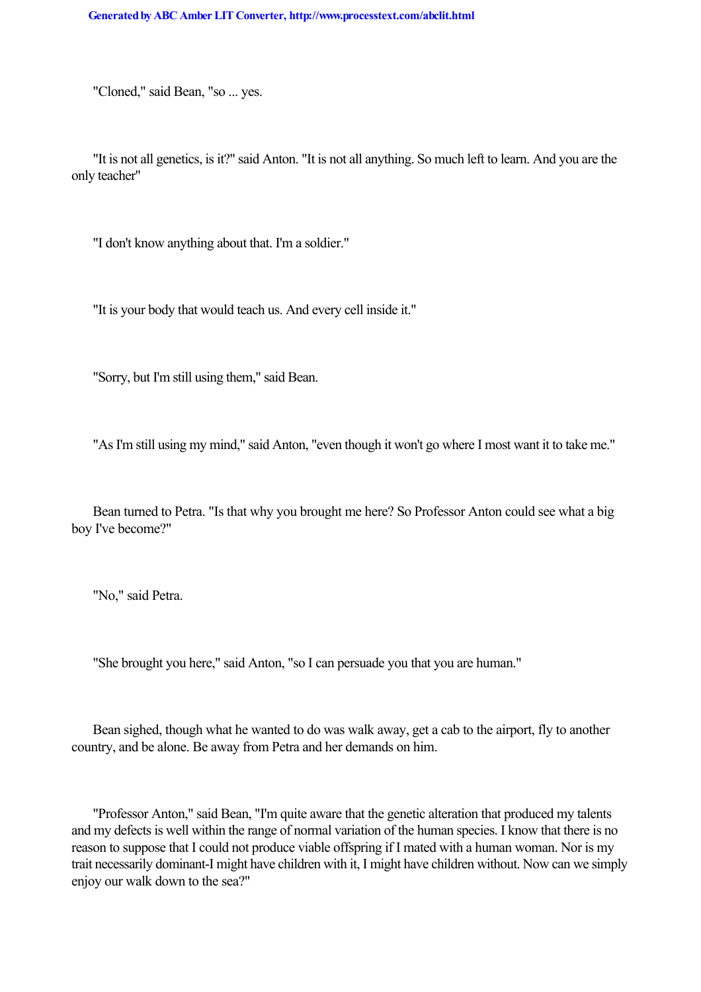"Cloned," said Bean, "so ... yes.

 "It is not all genetics, is it?" said Anton. "It is not all anything. So much left to learn. And you are the only teacher"

"I don't know anything about that. I'm a soldier."

"It is your body that would teach us. And every cell inside it."

"Sorry, but I'm still using them," said Bean.

"As I'm still using my mind," said Anton, "even though it won't go where I most want it to take me."

 Bean turned to Petra. "Is that why you brought me here? So Professor Anton could see what a big boy I've become?"

"No," said Petra.

"She brought you here," said Anton, "so I can persuade you that you are human."

 Bean sighed, though what he wanted to do was walk away, get a cab to the airport, fly to another country, and be alone. Be away from Petra and her demands on him.

 "Professor Anton," said Bean, "I'm quite aware that the genetic alteration that produced my talents and my defects is well within the range of normal variation of the human species. I know that there is no reason to suppose that I could not produce viable offspring if I mated with a human woman. Nor is my trait necessarily dominant-I might have children with it, I might have children without. Now can we simply enjoy our walk down to the sea?"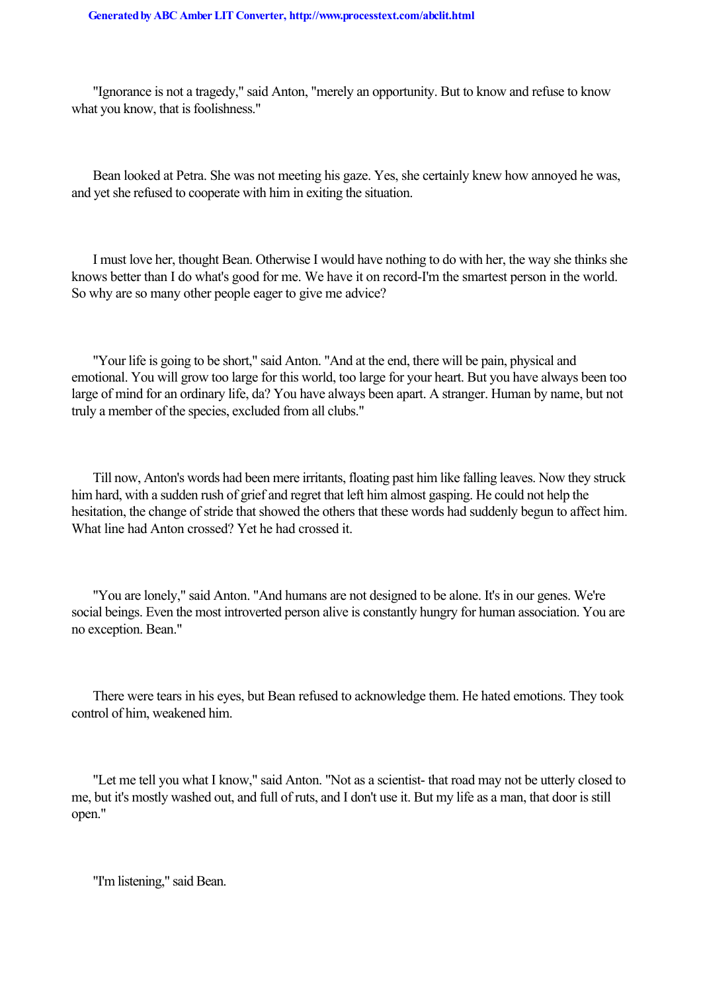"Ignorance is not a tragedy," said Anton, "merely an opportunity. But to know and refuse to know what you know, that is foolishness."

 Bean looked at Petra. She was not meeting his gaze. Yes, she certainly knew how annoyed he was, and yet she refused to cooperate with him in exiting the situation.

 I must love her, thought Bean. Otherwise I would have nothing to do with her, the way she thinks she knows better than I do what's good for me. We have it on record-I'm the smartest person in the world. So why are so many other people eager to give me advice?

 "Your life is going to be short," said Anton. "And at the end, there will be pain, physical and emotional. You will grow too large for this world, too large for your heart. But you have always been too large of mind for an ordinary life, da? You have always been apart. A stranger. Human by name, but not truly a member of the species, excluded from all clubs."

 Till now, Anton's words had been mere irritants, floating past him like falling leaves. Now they struck him hard, with a sudden rush of grief and regret that left him almost gasping. He could not help the hesitation, the change of stride that showed the others that these words had suddenly begun to affect him. What line had Anton crossed? Yet he had crossed it.

 "You are lonely," said Anton. "And humans are not designed to be alone. It's in our genes. We're social beings. Even the most introverted person alive is constantly hungry for human association. You are no exception. Bean."

 There were tears in his eyes, but Bean refused to acknowledge them. He hated emotions. They took control of him, weakened him.

 "Let me tell you what I know," said Anton. "Not as a scientist- that road may not be utterly closed to me, but it's mostly washed out, and full of ruts, and I don't use it. But my life as a man, that door is still open."

"I'm listening," said Bean.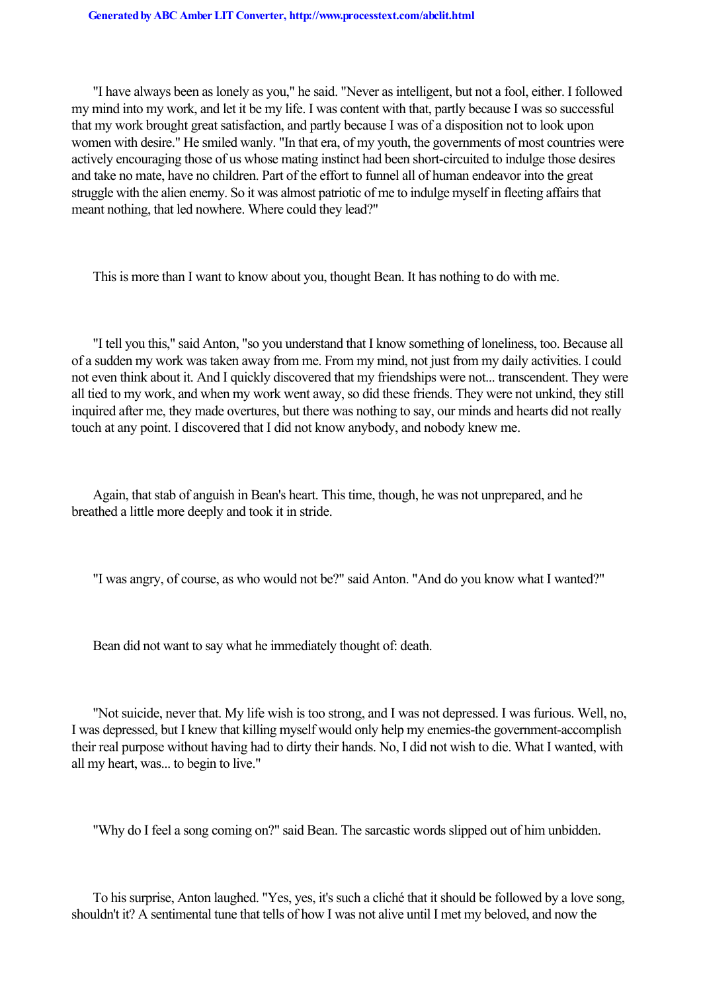"I have always been as lonely as you," he said. "Never as intelligent, but not a fool, either. I followed my mind into my work, and let it be my life. I was content with that, partly because I was so successful that my work brought great satisfaction, and partly because I was of a disposition not to look upon women with desire." He smiled wanly. "In that era, of my youth, the governments of most countries were actively encouraging those of us whose mating instinct had been short-circuited to indulge those desires and take no mate, have no children. Part of the effort to funnel all of human endeavor into the great struggle with the alien enemy. So it was almost patriotic of me to indulge myself in fleeting affairs that meant nothing, that led nowhere. Where could they lead?"

This is more than I want to know about you, thought Bean. It has nothing to do with me.

 "I tell you this," said Anton, "so you understand that I know something of loneliness, too. Because all of a sudden my work was taken away from me. From my mind, not just from my daily activities. I could not even think about it. And I quickly discovered that my friendships were not... transcendent. They were all tied to my work, and when my work went away, so did these friends. They were not unkind, they still inquired after me, they made overtures, but there was nothing to say, our minds and hearts did not really touch at any point. I discovered that I did not know anybody, and nobody knew me.

 Again, that stab of anguish in Bean's heart. This time, though, he was not unprepared, and he breathed a little more deeply and took it in stride.

"I was angry, of course, as who would not be?" said Anton. "And do you know what I wanted?"

Bean did not want to say what he immediately thought of: death.

 "Not suicide, never that. My life wish is too strong, and I was not depressed. I was furious. Well, no, I was depressed, but I knew that killing myself would only help my enemies-the government-accomplish their real purpose without having had to dirty their hands. No, I did not wish to die. What I wanted, with all my heart, was... to begin to live."

"Why do I feel a song coming on?" said Bean. The sarcastic words slipped out of him unbidden.

 To his surprise, Anton laughed. "Yes, yes, it's such a cliché that it should be followed by a love song, shouldn't it? A sentimental tune that tells of how I was not alive until I met my beloved, and now the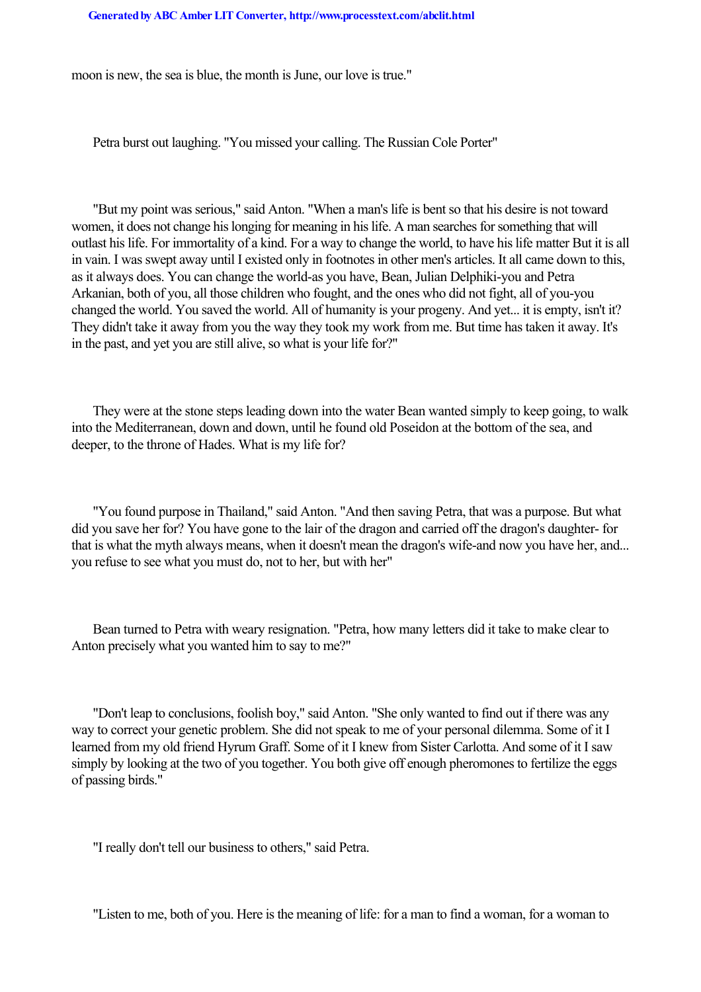moon is new, the sea is blue, the month is June, our love is true."

Petra burst out laughing. "You missed your calling. The Russian Cole Porter"

 "But my point was serious," said Anton. "When a man's life is bent so that his desire is not toward women, it does not change his longing for meaning in his life. A man searches for something that will outlast his life. For immortality of a kind. For a way to change the world, to have his life matter But it is all in vain. I was swept away until I existed only in footnotes in other men's articles. It all came down to this, as it always does. You can change the world-as you have, Bean, Julian Delphiki-you and Petra Arkanian, both of you, all those children who fought, and the ones who did not fight, all of you-you changed the world. You saved the world. All of humanity is your progeny. And yet... it is empty, isn't it? They didn't take it away from you the way they took my work from me. But time has taken it away. It's in the past, and yet you are still alive, so what is your life for?"

 They were at the stone steps leading down into the water Bean wanted simply to keep going, to walk into the Mediterranean, down and down, until he found old Poseidon at the bottom of the sea, and deeper, to the throne of Hades. What is my life for?

 "You found purpose in Thailand," said Anton. "And then saving Petra, that was a purpose. But what did you save her for? You have gone to the lair of the dragon and carried off the dragon's daughter- for that is what the myth always means, when it doesn't mean the dragon's wife-and now you have her, and... you refuse to see what you must do, not to her, but with her"

 Bean turned to Petra with weary resignation. "Petra, how many letters did it take to make clear to Anton precisely what you wanted him to say to me?"

 "Don't leap to conclusions, foolish boy," said Anton. "She only wanted to find out if there was any way to correct your genetic problem. She did not speak to me of your personal dilemma. Some of it I learned from my old friend Hyrum Graff. Some of it I knew from Sister Carlotta. And some of it I saw simply by looking at the two of you together. You both give off enough pheromones to fertilize the eggs of passing birds."

"I really don't tell our business to others," said Petra.

"Listen to me, both of you. Here is the meaning of life: for a man to find a woman, for a woman to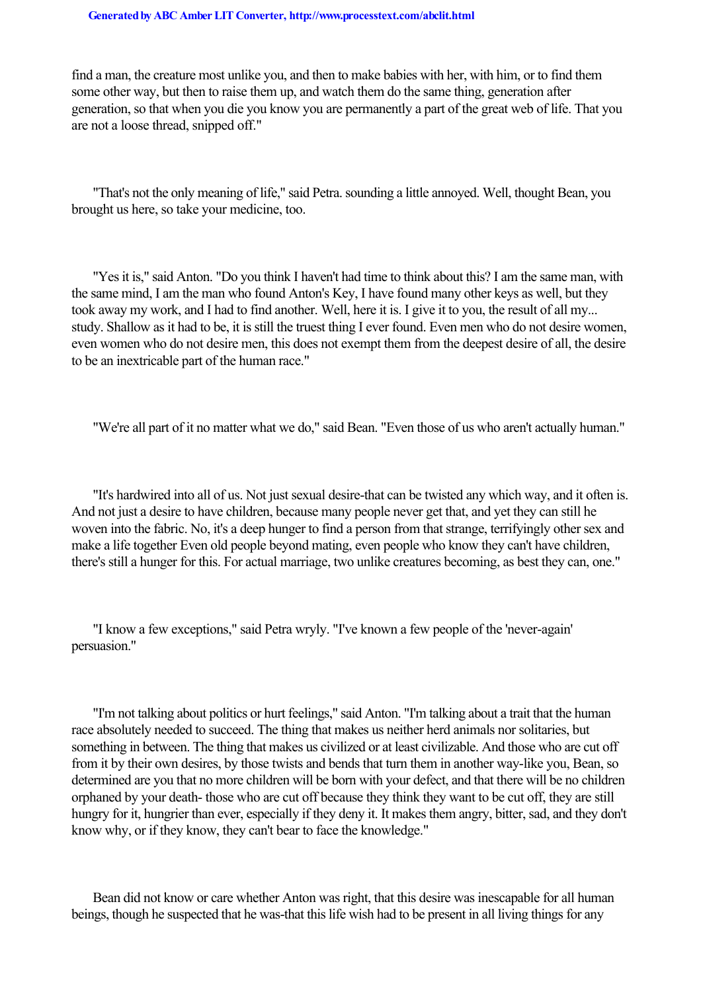find a man, the creature most unlike you, and then to make babies with her, with him, or to find them some other way, but then to raise them up, and watch them do the same thing, generation after generation, so that when you die you know you are permanently a part of the great web of life. That you are not a loose thread, snipped off."

 "That's not the only meaning of life," said Petra. sounding a little annoyed. Well, thought Bean, you brought us here, so take your medicine, too.

 "Yes it is," said Anton. "Do you think I haven't had time to think about this? I am the same man, with the same mind, I am the man who found Anton's Key, I have found many other keys as well, but they took away my work, and I had to find another. Well, here it is. I give it to you, the result of all my... study. Shallow as it had to be, it is still the truest thing I ever found. Even men who do not desire women, even women who do not desire men, this does not exempt them from the deepest desire of all, the desire to be an inextricable part of the human race."

"We're all part of it no matter what we do," said Bean. "Even those of us who aren't actually human."

 "It's hardwired into all of us. Not just sexual desire-that can be twisted any which way, and it often is. And not just a desire to have children, because many people never get that, and yet they can still he woven into the fabric. No, it's a deep hunger to find a person from that strange, terrifyingly other sex and make a life together Even old people beyond mating, even people who know they can't have children, there's still a hunger for this. For actual marriage, two unlike creatures becoming, as best they can, one."

 "I know a few exceptions," said Petra wryly. "I've known a few people of the 'never-again' persuasion."

 "I'm not talking about politics or hurt feelings," said Anton. "I'm talking about a trait that the human race absolutely needed to succeed. The thing that makes us neither herd animals nor solitaries, but something in between. The thing that makes us civilized or at least civilizable. And those who are cut off from it by their own desires, by those twists and bends that turn them in another way-like you, Bean, so determined are you that no more children will be born with your defect, and that there will be no children orphaned by your death- those who are cut off because they think they want to be cut off, they are still hungry for it, hungrier than ever, especially if they deny it. It makes them angry, bitter, sad, and they don't know why, or if they know, they can't bear to face the knowledge."

 Bean did not know or care whether Anton was right, that this desire was inescapable for all human beings, though he suspected that he was-that this life wish had to be present in all living things for any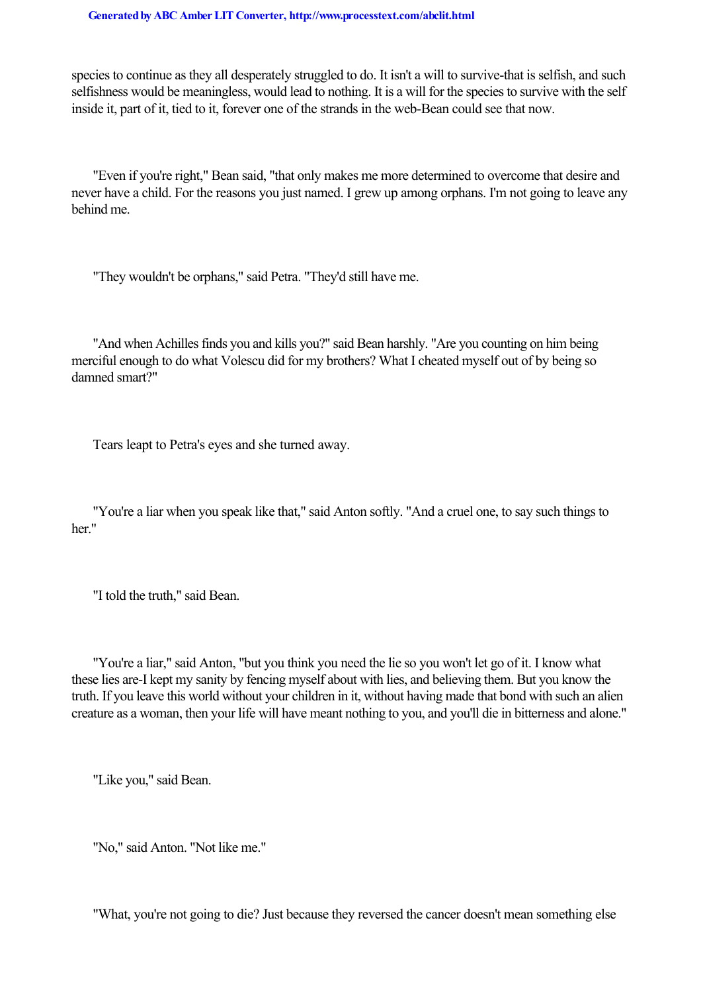species to continue as they all desperately struggled to do. It isn't a will to survive-that is selfish, and such selfishness would be meaningless, would lead to nothing. It is a will for the species to survive with the self inside it, part of it, tied to it, forever one of the strands in the web-Bean could see that now.

 "Even if you're right," Bean said, "that only makes me more determined to overcome that desire and never have a child. For the reasons you just named. I grew up among orphans. I'm not going to leave any behind me.

"They wouldn't be orphans," said Petra. "They'd still have me.

 "And when Achilles finds you and kills you?" said Bean harshly. "Are you counting on him being merciful enough to do what Volescu did for my brothers? What I cheated myself out of by being so damned smart?"

Tears leapt to Petra's eyes and she turned away.

 "You're a liar when you speak like that," said Anton softly. "And a cruel one, to say such things to her."

"I told the truth," said Bean.

 "You're a liar," said Anton, "but you think you need the lie so you won't let go of it. I know what these lies are-I kept my sanity by fencing myself about with lies, and believing them. But you know the truth. If you leave this world without your children in it, without having made that bond with such an alien creature as a woman, then your life will have meant nothing to you, and you'll die in bitterness and alone."

"Like you," said Bean.

"No," said Anton. "Not like me."

"What, you're not going to die? Just because they reversed the cancer doesn't mean something else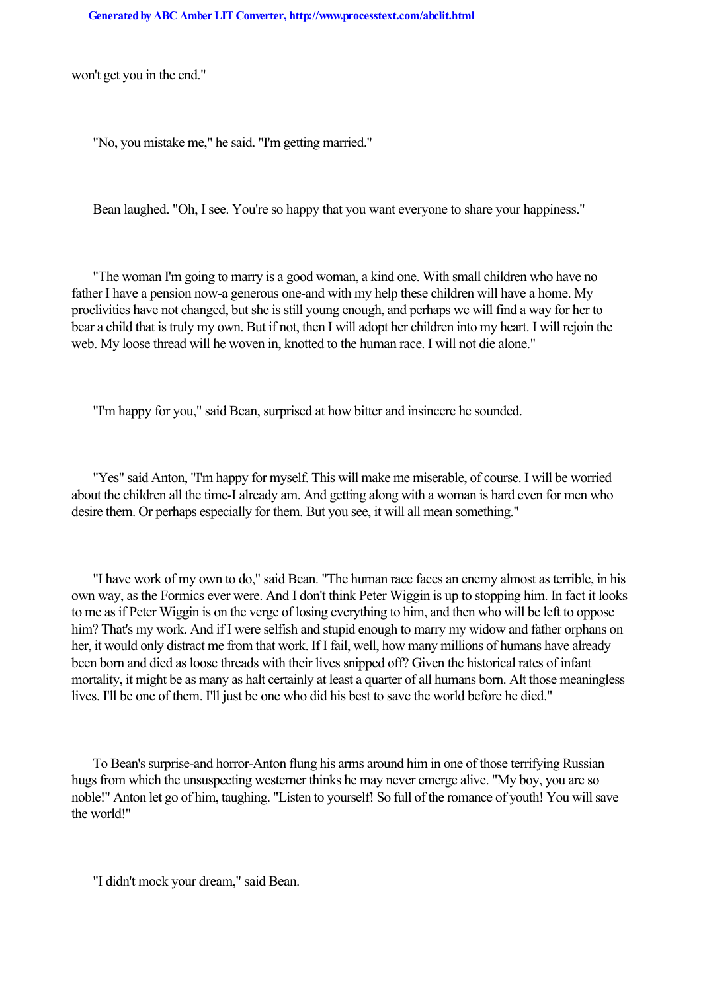won't get you in the end."

"No, you mistake me," he said. "I'm getting married."

Bean laughed. "Oh, I see. You're so happy that you want everyone to share your happiness."

 "The woman I'm going to marry is a good woman, a kind one. With small children who have no father I have a pension now-a generous one-and with my help these children will have a home. My proclivities have not changed, but she is still young enough, and perhaps we will find a way for her to bear a child that is truly my own. But if not, then I will adopt her children into my heart. I will rejoin the web. My loose thread will he woven in, knotted to the human race. I will not die alone."

"I'm happy for you," said Bean, surprised at how bitter and insincere he sounded.

 "Yes" said Anton, "I'm happy for myself. This will make me miserable, of course. I will be worried about the children all the time-I already am. And getting along with a woman is hard even for men who desire them. Or perhaps especially for them. But you see, it will all mean something."

 "I have work of my own to do," said Bean. "The human race faces an enemy almost as terrible, in his own way, as the Formics ever were. And I don't think Peter Wiggin is up to stopping him. In fact it looks to me as if Peter Wiggin is on the verge of losing everything to him, and then who will be left to oppose him? That's my work. And if I were selfish and stupid enough to marry my widow and father orphans on her, it would only distract me from that work. If I fail, well, how many millions of humans have already been born and died as loose threads with their lives snipped off? Given the historical rates of infant mortality, it might be as many as halt certainly at least a quarter of all humans born. Alt those meaningless lives. I'll be one of them. I'll just be one who did his best to save the world before he died."

 To Bean's surprise-and horror-Anton flung his arms around him in one of those terrifying Russian hugs from which the unsuspecting westerner thinks he may never emerge alive. "My boy, you are so noble!" Anton let go of him, taughing. "Listen to yourself! So full of the romance of youth! You will save the world!"

"I didn't mock your dream," said Bean.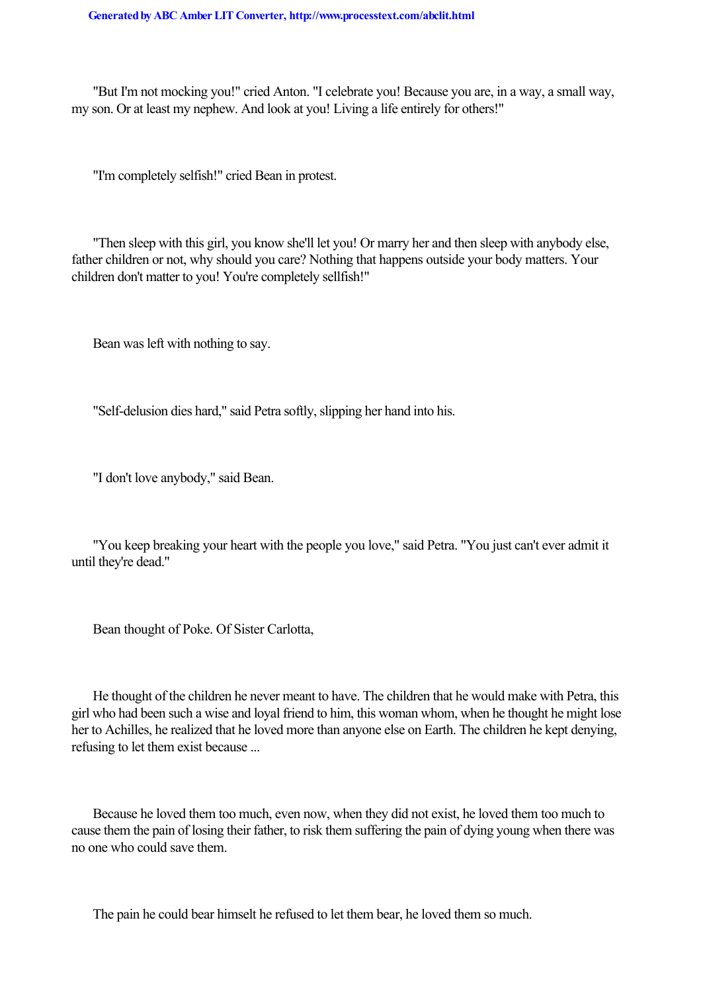"But I'm not mocking you!" cried Anton. "I celebrate you! Because you are, in a way, a small way, my son. Or at least my nephew. And look at you! Living a life entirely for others!"

"I'm completely selfish!" cried Bean in protest.

 "Then sleep with this girl, you know she'll let you! Or marry her and then sleep with anybody else, father children or not, why should you care? Nothing that happens outside your body matters. Your children don't matter to you! You're completely sellfish!"

Bean was left with nothing to say.

"Self-delusion dies hard," said Petra softly, slipping her hand into his.

"I don't love anybody," said Bean.

 "You keep breaking your heart with the people you love," said Petra. "You just can't ever admit it until they're dead."

Bean thought of Poke. Of Sister Carlotta,

 He thought of the children he never meant to have. The children that he would make with Petra, this girl who had been such a wise and loyal friend to him, this woman whom, when he thought he might lose her to Achilles, he realized that he loved more than anyone else on Earth. The children he kept denying, refusing to let them exist because ...

 Because he loved them too much, even now, when they did not exist, he loved them too much to cause them the pain of losing their father, to risk them suffering the pain of dying young when there was no one who could save them.

The pain he could bear himselt he refused to let them bear, he loved them so much.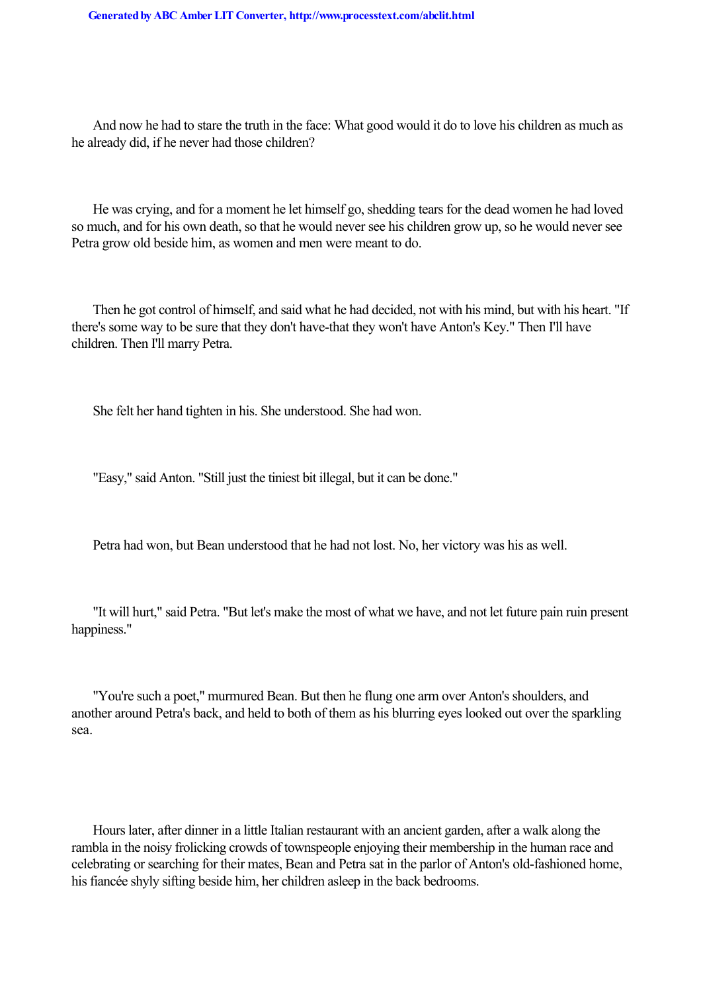And now he had to stare the truth in the face: What good would it do to love his children as much as he already did, if he never had those children?

 He was crying, and for a moment he let himself go, shedding tears for the dead women he had loved so much, and for his own death, so that he would never see his children grow up, so he would never see Petra grow old beside him, as women and men were meant to do.

 Then he got control of himself, and said what he had decided, not with his mind, but with his heart. "If there's some way to be sure that they don't have-that they won't have Anton's Key." Then I'll have children. Then I'll marry Petra.

She felt her hand tighten in his. She understood. She had won.

"Easy," said Anton. "Still just the tiniest bit illegal, but it can be done."

Petra had won, but Bean understood that he had not lost. No, her victory was his as well.

 "It will hurt," said Petra. "But let's make the most of what we have, and not let future pain ruin present happiness."

 "You're such a poet," murmured Bean. But then he flung one arm over Anton's shoulders, and another around Petra's back, and held to both of them as his blurring eyes looked out over the sparkling sea.

 Hours later, after dinner in a little Italian restaurant with an ancient garden, after a walk along the rambla in the noisy frolicking crowds of townspeople enjoying their membership in the human race and celebrating or searching for their mates, Bean and Petra sat in the parlor of Anton's old-fashioned home, his fiancée shyly sifting beside him, her children asleep in the back bedrooms.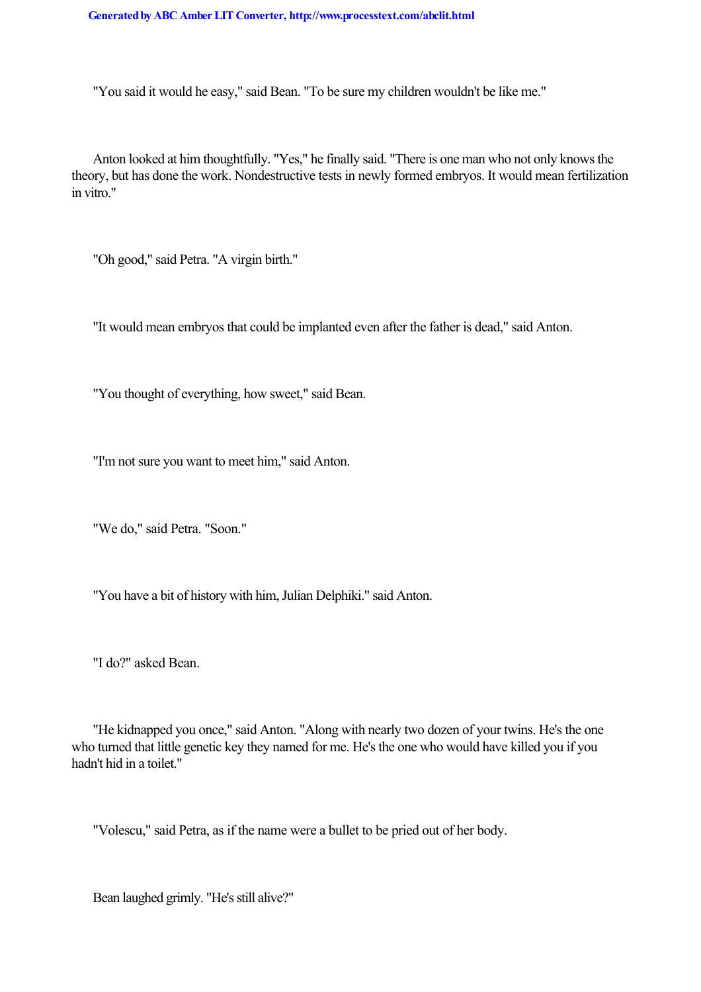"You said it would he easy," said Bean. "To be sure my children wouldn't be like me."

 Anton looked at him thoughtfully. "Yes," he finally said. "There is one man who not only knows the theory, but has done the work. Nondestructive tests in newly formed embryos. It would mean fertilization in vitro."

"Oh good," said Petra. "A virgin birth."

"It would mean embryos that could be implanted even after the father is dead," said Anton.

"You thought of everything, how sweet," said Bean.

"I'm not sure you want to meet him," said Anton.

"We do," said Petra. "Soon."

"You have a bit of history with him, Julian Delphiki." said Anton.

"I do?" asked Bean.

 "He kidnapped you once," said Anton. "Along with nearly two dozen of your twins. He's the one who turned that little genetic key they named for me. He's the one who would have killed you if you hadn't hid in a toilet."

"Volescu," said Petra, as if the name were a bullet to be pried out of her body.

Bean laughed grimly. "He's still alive?"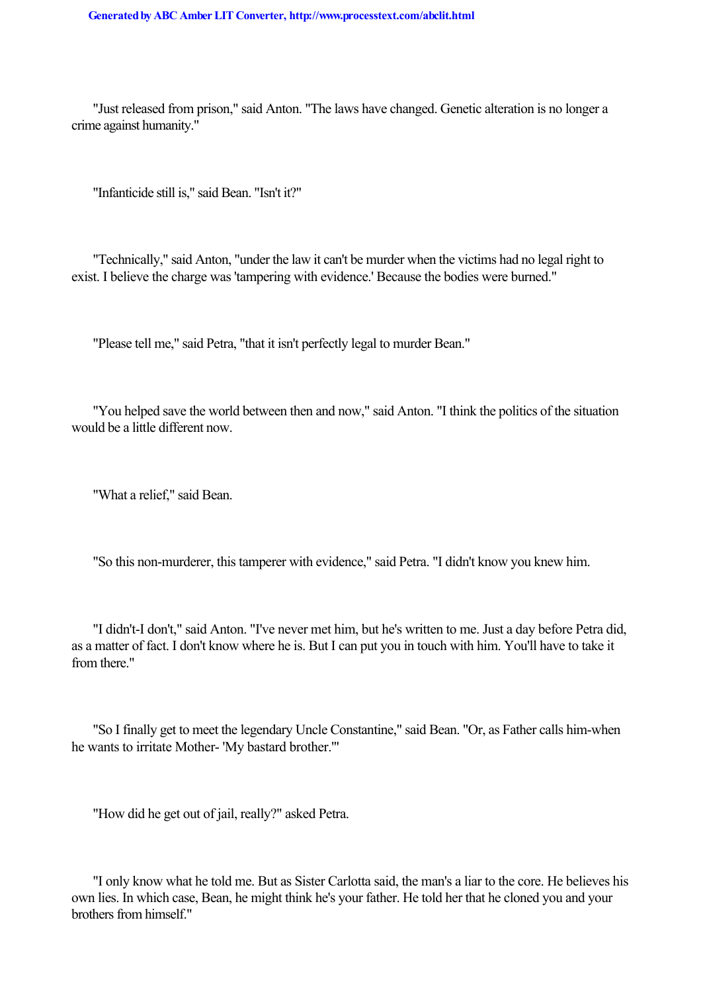"Just released from prison," said Anton. "The laws have changed. Genetic alteration is no longer a crime against humanity."

"Infanticide still is," said Bean. "Isn't it?"

 "Technically," said Anton, "under the law it can't be murder when the victims had no legal right to exist. I believe the charge was 'tampering with evidence.' Because the bodies were burned."

"Please tell me," said Petra, "that it isn't perfectly legal to murder Bean."

 "You helped save the world between then and now," said Anton. "I think the politics of the situation would be a little different now.

"What a relief," said Bean.

"So this non-murderer, this tamperer with evidence," said Petra. "I didn't know you knew him.

 "I didn't-I don't," said Anton. "I've never met him, but he's written to me. Just a day before Petra did, as a matter of fact. I don't know where he is. But I can put you in touch with him. You'll have to take it from there."

 "So I finally get to meet the legendary Uncle Constantine," said Bean. "Or, as Father calls him-when he wants to irritate Mother- 'My bastard brother.'"

"How did he get out of jail, really?" asked Petra.

 "I only know what he told me. But as Sister Carlotta said, the man's a liar to the core. He believes his own lies. In which case, Bean, he might think he's your father. He told her that he cloned you and your brothers from himself."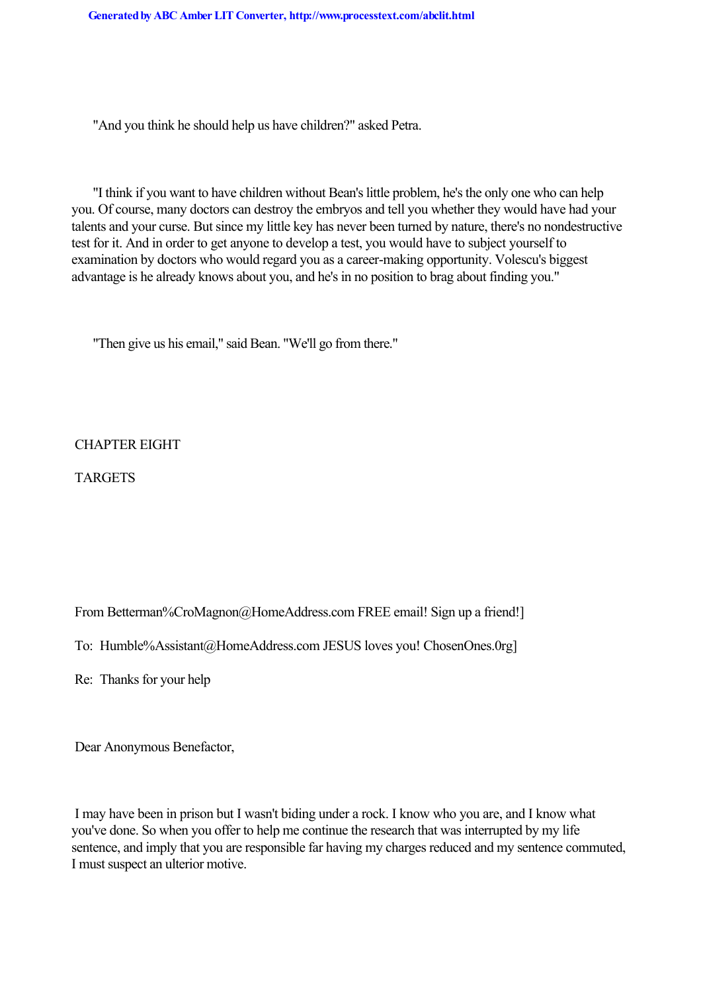"And you think he should help us have children?" asked Petra.

 "I think if you want to have children without Bean's little problem, he's the only one who can help you. Of course, many doctors can destroy the embryos and tell you whether they would have had your talents and your curse. But since my little key has never been turned by nature, there's no nondestructive test for it. And in order to get anyone to develop a test, you would have to subject yourself to examination by doctors who would regard you as a career-making opportunity. Volescu's biggest advantage is he already knows about you, and he's in no position to brag about finding you."

"Then give us his email," said Bean. "We'll go from there."

# CHAPTER EIGHT

## **TARGETS**

From Betterman%CroMagnon@HomeAddress.com FREE email! Sign up a friend!]

To: Humble%Assistant@HomeAddress.com JESUS loves you! ChosenOnes.0rg]

Re: Thanks for your help

Dear Anonymous Benefactor,

 I may have been in prison but I wasn't biding under a rock. I know who you are, and I know what you've done. So when you offer to help me continue the research that was interrupted by my life sentence, and imply that you are responsible far having my charges reduced and my sentence commuted, I must suspect an ulterior motive.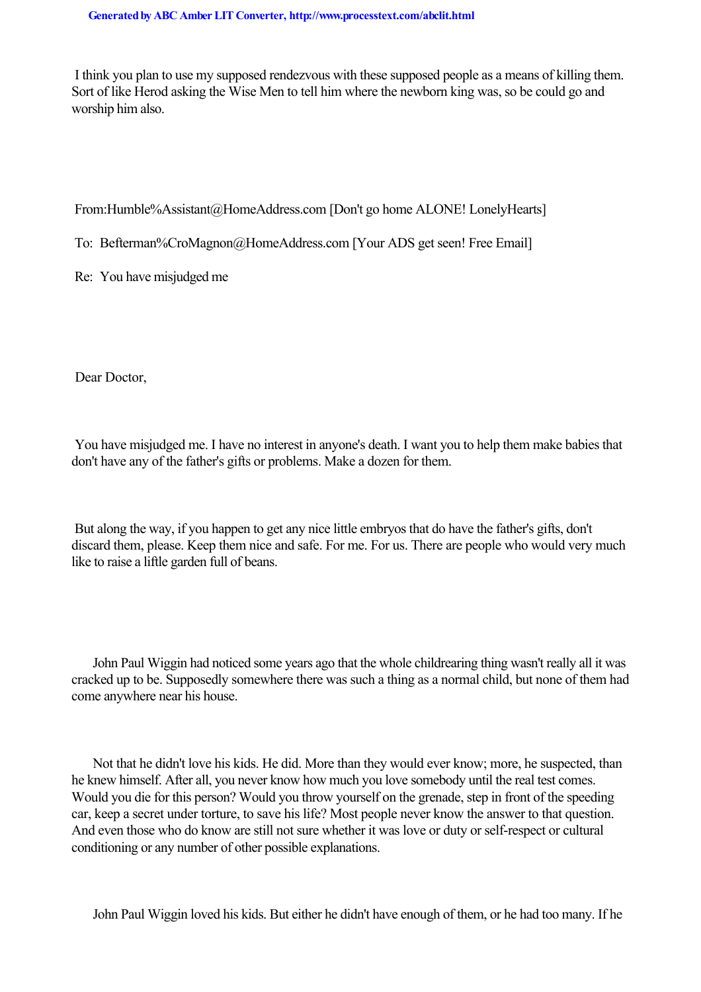I think you plan to use my supposed rendezvous with these supposed people as a means of killing them. Sort of like Herod asking the Wise Men to tell him where the newborn king was, so be could go and worship him also.

From:Humble%Assistant@HomeAddress.com [Don't go home ALONE! LonelyHearts]

To: Befterman%CroMagnon@HomeAddress.com [Your ADS get seen! Free Email]

Re: You have misjudged me

Dear Doctor,

 You have misjudged me. I have no interest in anyone's death. I want you to help them make babies that don't have any of the father's gifts or problems. Make a dozen for them.

 But along the way, if you happen to get any nice little embryos that do have the father's gifts, don't discard them, please. Keep them nice and safe. For me. For us. There are people who would very much like to raise a liftle garden full of beans.

 John Paul Wiggin had noticed some years ago that the whole childrearing thing wasn't really all it was cracked up to be. Supposedly somewhere there was such a thing as a normal child, but none of them had come anywhere near his house.

Not that he didn't love his kids. He did. More than they would ever know; more, he suspected, than he knew himself. After all, you never know how much you love somebody until the real test comes. Would you die for this person? Would you throw yourself on the grenade, step in front of the speeding car, keep a secret under torture, to save his life? Most people never know the answer to that question. And even those who do know are still not sure whether it was love or duty or self-respect or cultural conditioning or any number of other possible explanations.

John Paul Wiggin loved his kids. But either he didn't have enough of them, or he had too many. If he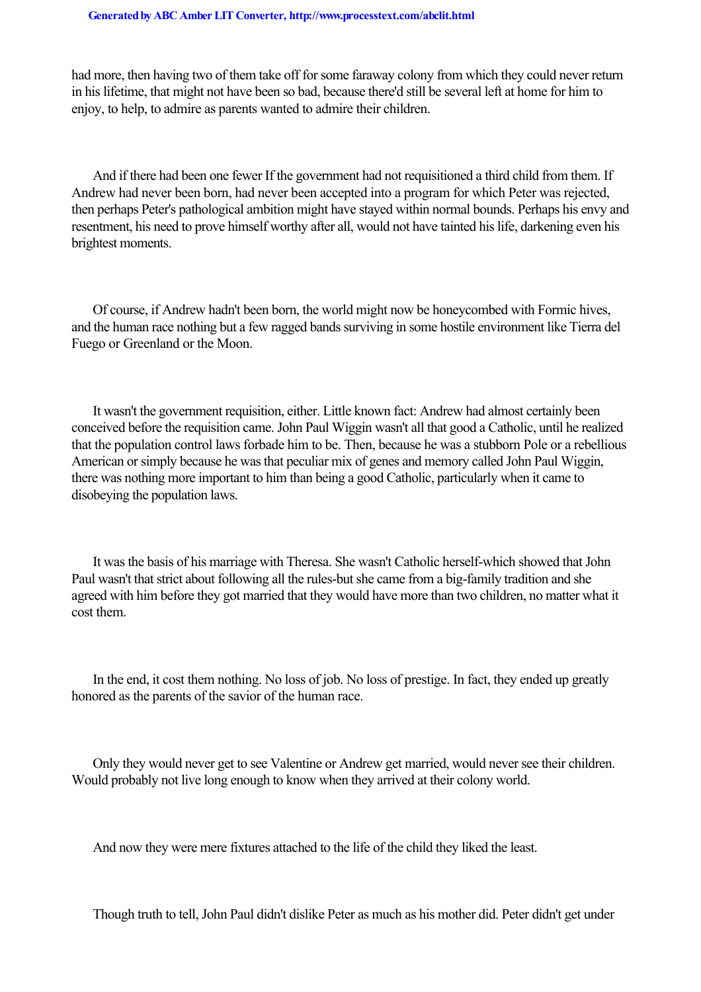had more, then having two of them take off for some faraway colony from which they could never return in his lifetime, that might not have been so bad, because there'd still be several left at home for him to enjoy, to help, to admire as parents wanted to admire their children.

 And if there had been one fewer If the government had not requisitioned a third child from them. If Andrew had never been born, had never been accepted into a program for which Peter was rejected, then perhaps Peter's pathological ambition might have stayed within normal bounds. Perhaps his envy and resentment, his need to prove himself worthy after all, would not have tainted his life, darkening even his brightest moments.

 Of course, if Andrew hadn't been born, the world might now be honeycombed with Formic hives, and the human race nothing but a few ragged bands surviving in some hostile environment like Tierra del Fuego or Greenland or the Moon.

 It wasn't the government requisition, either. Little known fact: Andrew had almost certainly been conceived before the requisition came. John Paul Wiggin wasn't all that good a Catholic, until he realized that the population control laws forbade him to be. Then, because he was a stubborn Pole or a rebellious American or simply because he was that peculiar mix of genes and memory called John Paul Wiggin, there was nothing more important to him than being a good Catholic, particularly when it came to disobeying the population laws.

 It was the basis of his marriage with Theresa. She wasn't Catholic herself-which showed that John Paul wasn't that strict about following all the rules-but she came from a big-family tradition and she agreed with him before they got married that they would have more than two children, no matter what it cost them.

 In the end, it cost them nothing. No loss of job. No loss of prestige. In fact, they ended up greatly honored as the parents of the savior of the human race.

 Only they would never get to see Valentine or Andrew get married, would never see their children. Would probably not live long enough to know when they arrived at their colony world.

And now they were mere fixtures attached to the life of the child they liked the least.

Though truth to tell, John Paul didn't dislike Peter as much as his mother did. Peter didn't get under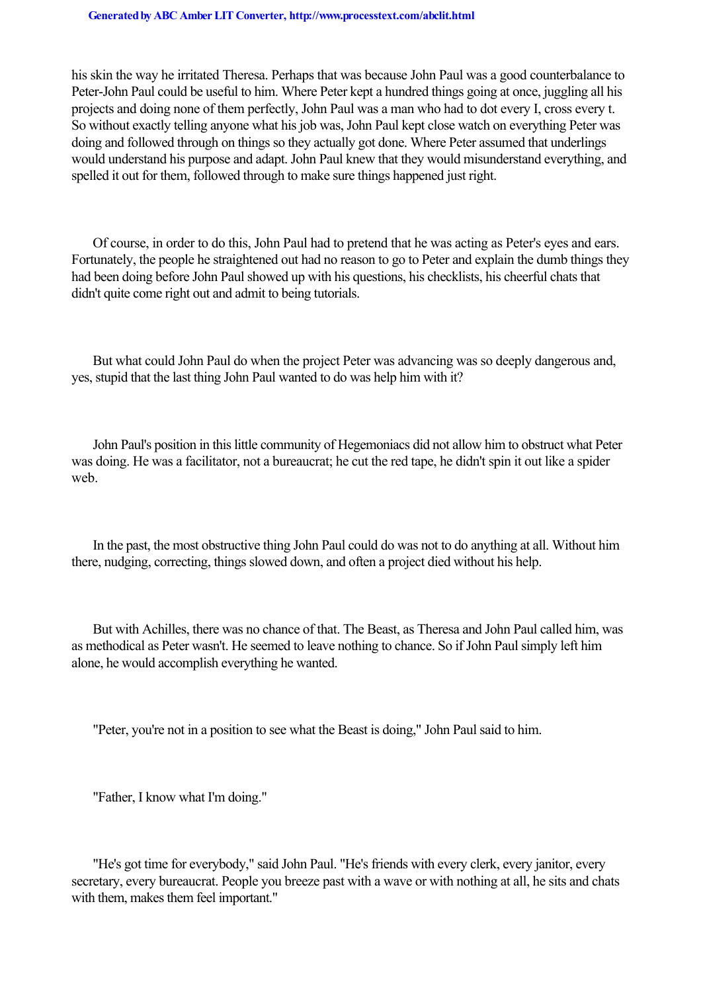his skin the way he irritated Theresa. Perhaps that was because John Paul was a good counterbalance to Peter-John Paul could be useful to him. Where Peter kept a hundred things going at once, juggling all his projects and doing none of them perfectly, John Paul was a man who had to dot every I, cross every t. So without exactly telling anyone what his job was, John Paul kept close watch on everything Peter was doing and followed through on things so they actually got done. Where Peter assumed that underlings would understand his purpose and adapt. John Paul knew that they would misunderstand everything, and spelled it out for them, followed through to make sure things happened just right.

 Of course, in order to do this, John Paul had to pretend that he was acting as Peter's eyes and ears. Fortunately, the people he straightened out had no reason to go to Peter and explain the dumb things they had been doing before John Paul showed up with his questions, his checklists, his cheerful chats that didn't quite come right out and admit to being tutorials.

 But what could John Paul do when the project Peter was advancing was so deeply dangerous and, yes, stupid that the last thing John Paul wanted to do was help him with it?

 John Paul's position in this little community of Hegemoniacs did not allow him to obstruct what Peter was doing. He was a facilitator, not a bureaucrat; he cut the red tape, he didn't spin it out like a spider web.

 In the past, the most obstructive thing John Paul could do was not to do anything at all. Without him there, nudging, correcting, things slowed down, and often a project died without his help.

 But with Achilles, there was no chance of that. The Beast, as Theresa and John Paul called him, was as methodical as Peter wasn't. He seemed to leave nothing to chance. So if John Paul simply left him alone, he would accomplish everything he wanted.

"Peter, you're not in a position to see what the Beast is doing," John Paul said to him.

"Father, I know what I'm doing."

 "He's got time for everybody," said John Paul. "He's friends with every clerk, every janitor, every secretary, every bureaucrat. People you breeze past with a wave or with nothing at all, he sits and chats with them, makes them feel important."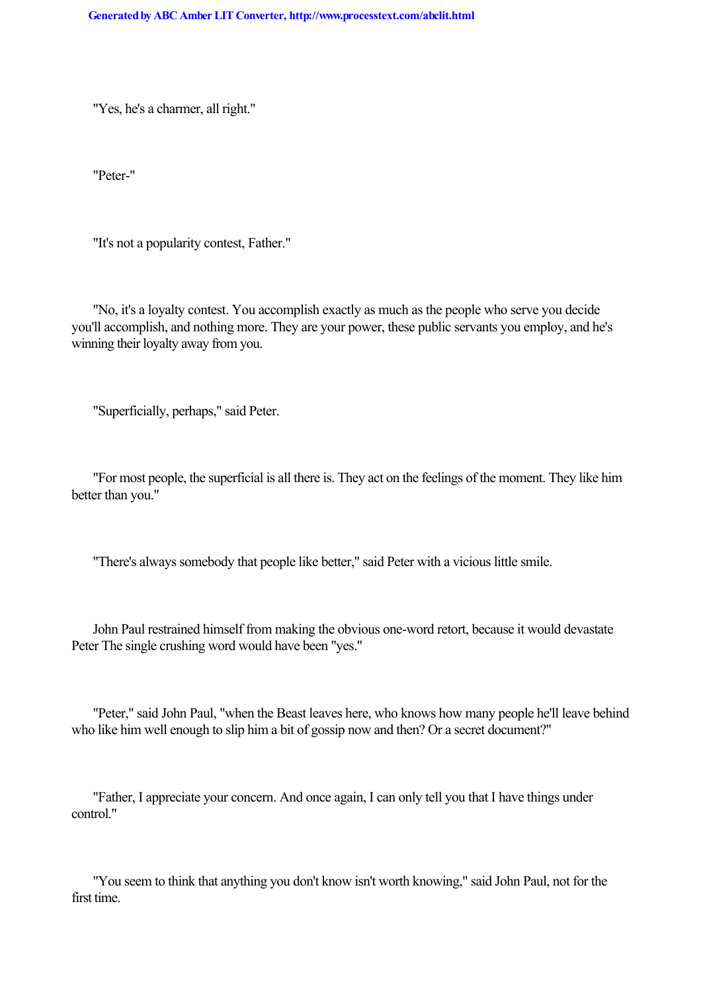"Yes, he's a charmer, all right."

"Peter-"

"It's not a popularity contest, Father."

 "No, it's a loyalty contest. You accomplish exactly as much as the people who serve you decide you'll accomplish, and nothing more. They are your power, these public servants you employ, and he's winning their loyalty away from you.

"Superficially, perhaps," said Peter.

 "For most people, the superficial is all there is. They act on the feelings of the moment. They like him better than you."

"There's always somebody that people like better," said Peter with a vicious little smile.

 John Paul restrained himself from making the obvious one-word retort, because it would devastate Peter The single crushing word would have been "yes."

 "Peter," said John Paul, "when the Beast leaves here, who knows how many people he'll leave behind who like him well enough to slip him a bit of gossip now and then? Or a secret document?"

 "Father, I appreciate your concern. And once again, I can only tell you that I have things under control."

 "You seem to think that anything you don't know isn't worth knowing," said John Paul, not for the first time.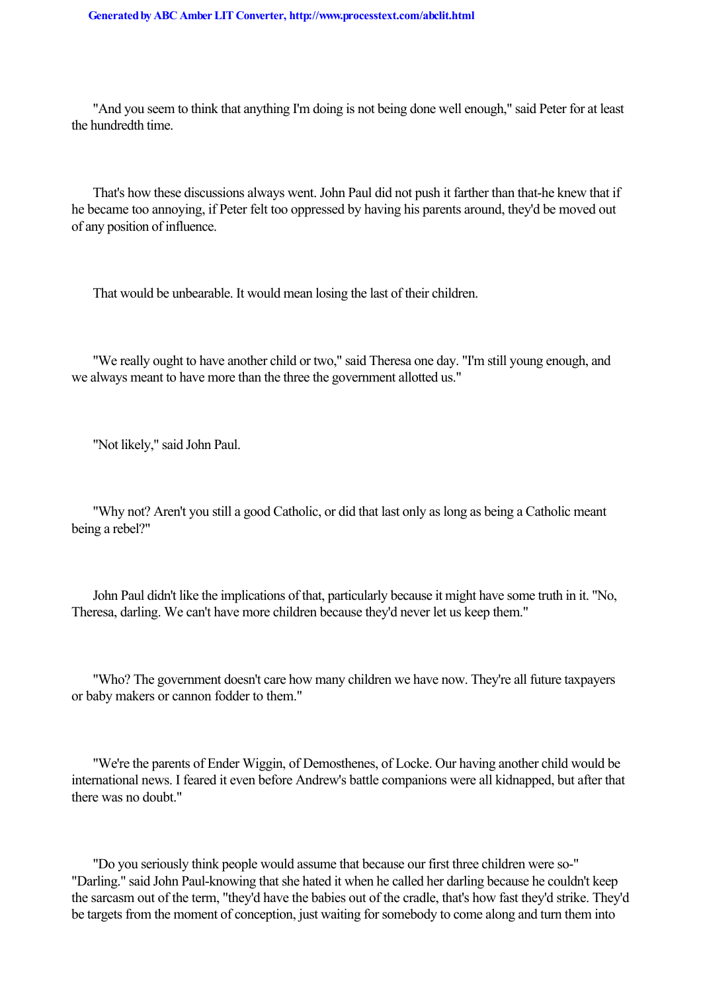"And you seem to think that anything I'm doing is not being done well enough," said Peter for at least the hundredth time.

 That's how these discussions always went. John Paul did not push it farther than that-he knew that if he became too annoying, if Peter felt too oppressed by having his parents around, they'd be moved out of any position of influence.

That would be unbearable. It would mean losing the last of their children.

 "We really ought to have another child or two," said Theresa one day. "I'm still young enough, and we always meant to have more than the three the government allotted us."

"Not likely," said John Paul.

 "Why not? Aren't you still a good Catholic, or did that last only as long as being a Catholic meant being a rebel?"

 John Paul didn't like the implications of that, particularly because it might have some truth in it. "No, Theresa, darling. We can't have more children because they'd never let us keep them."

 "Who? The government doesn't care how many children we have now. They're all future taxpayers or baby makers or cannon fodder to them."

 "We're the parents of Ender Wiggin, of Demosthenes, of Locke. Our having another child would be international news. I feared it even before Andrew's battle companions were all kidnapped, but after that there was no doubt."

 "Do you seriously think people would assume that because our first three children were so-" "Darling." said John Paul-knowing that she hated it when he called her darling because he couldn't keep the sarcasm out of the term, "they'd have the babies out of the cradle, that's how fast they'd strike. They'd be targets from the moment of conception, just waiting for somebody to come along and turn them into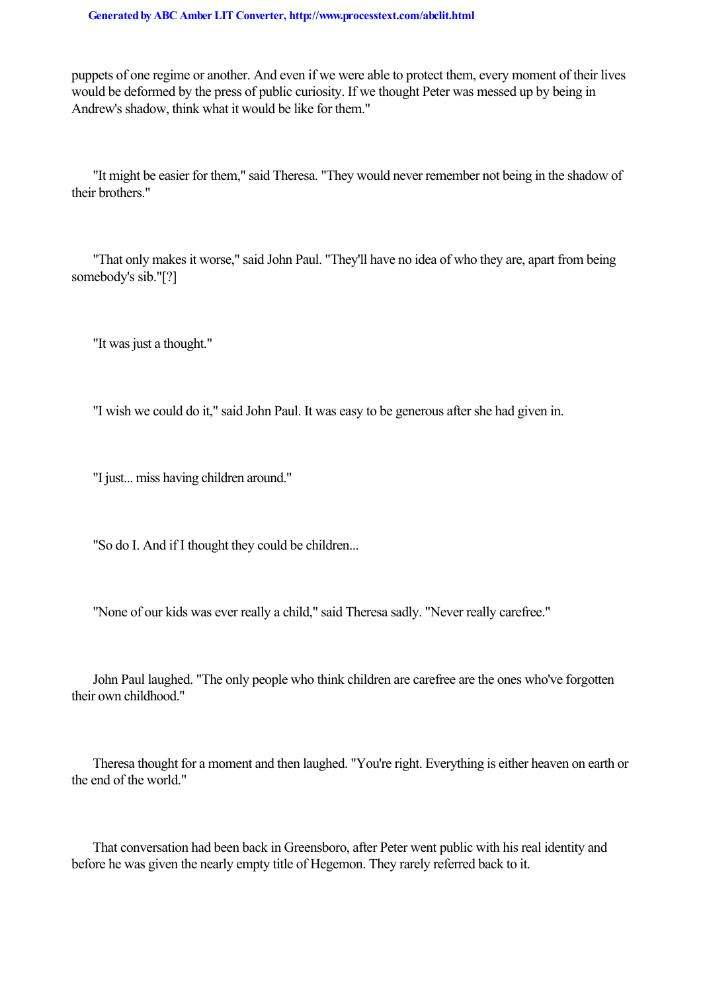puppets of one regime or another. And even if we were able to protect them, every moment of their lives would be deformed by the press of public curiosity. If we thought Peter was messed up by being in Andrew's shadow, think what it would be like for them."

 "It might be easier for them," said Theresa. "They would never remember not being in the shadow of their brothers."

 "That only makes it worse," said John Paul. "They'll have no idea of who they are, apart from being somebody's sib."[?]

"It was just a thought."

"I wish we could do it," said John Paul. It was easy to be generous after she had given in.

"I just... miss having children around."

"So do I. And if I thought they could be children...

"None of our kids was ever really a child," said Theresa sadly. "Never really carefree."

 John Paul laughed. "The only people who think children are carefree are the ones who've forgotten their own childhood."

 Theresa thought for a moment and then laughed. "You're right. Everything is either heaven on earth or the end of the world."

 That conversation had been back in Greensboro, after Peter went public with his real identity and before he was given the nearly empty title of Hegemon. They rarely referred back to it.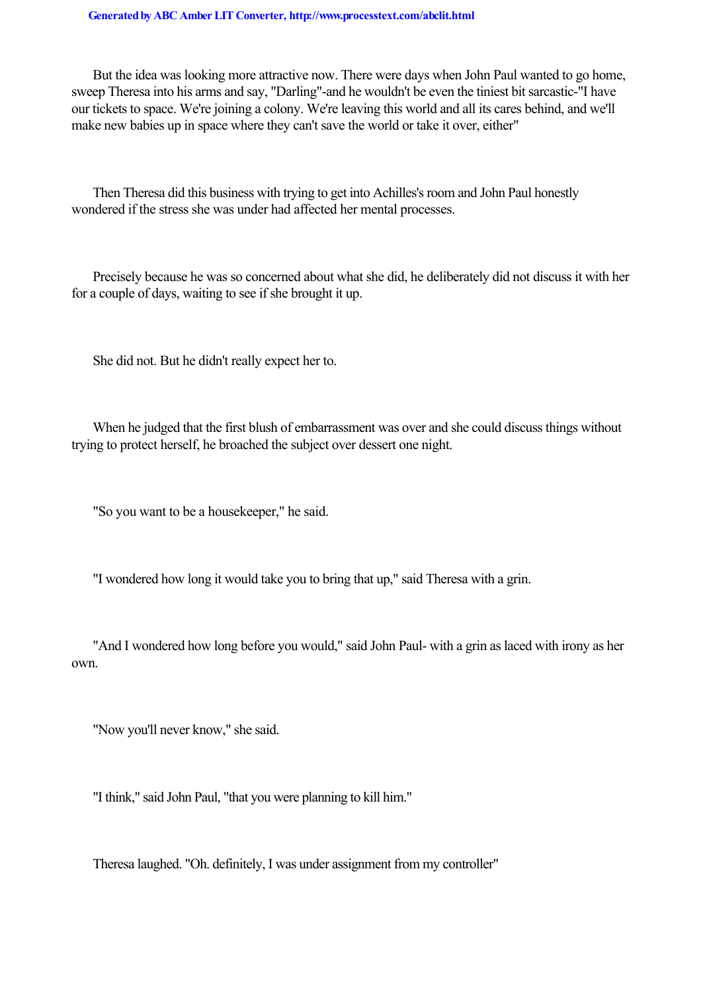But the idea was looking more attractive now. There were days when John Paul wanted to go home, sweep Theresa into his arms and say, "Darling"-and he wouldn't be even the tiniest bit sarcastic-"I have our tickets to space. We're joining a colony. We're leaving this world and all its cares behind, and we'll make new babies up in space where they can't save the world or take it over, either"

 Then Theresa did this business with trying to get into Achilles's room and John Paul honestly wondered if the stress she was under had affected her mental processes.

 Precisely because he was so concerned about what she did, he deliberately did not discuss it with her for a couple of days, waiting to see if she brought it up.

She did not. But he didn't really expect her to.

 When he judged that the first blush of embarrassment was over and she could discuss things without trying to protect herself, he broached the subject over dessert one night.

"So you want to be a housekeeper," he said.

"I wondered how long it would take you to bring that up," said Theresa with a grin.

 "And I wondered how long before you would," said John Paul- with a grin as laced with irony as her own.

"Now you'll never know," she said.

"I think," said John Paul, "that you were planning to kill him."

Theresa laughed. "Oh. definitely, I was under assignment from my controller"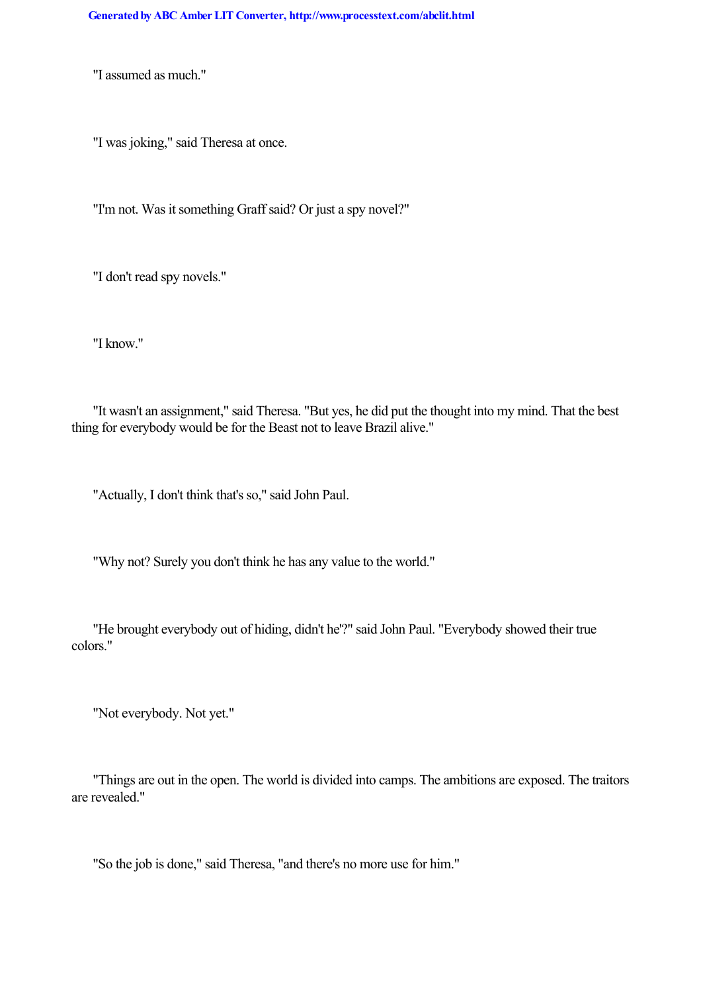"I assumed as much."

"I was joking," said Theresa at once.

"I'm not. Was it something Graff said? Or just a spy novel?"

"I don't read spy novels."

"I know."

 "It wasn't an assignment," said Theresa. "But yes, he did put the thought into my mind. That the best thing for everybody would be for the Beast not to leave Brazil alive."

"Actually, I don't think that's so," said John Paul.

"Why not? Surely you don't think he has any value to the world."

 "He brought everybody out of hiding, didn't he'?" said John Paul. "Everybody showed their true colors."

"Not everybody. Not yet."

 "Things are out in the open. The world is divided into camps. The ambitions are exposed. The traitors are revealed."

"So the job is done," said Theresa, "and there's no more use for him."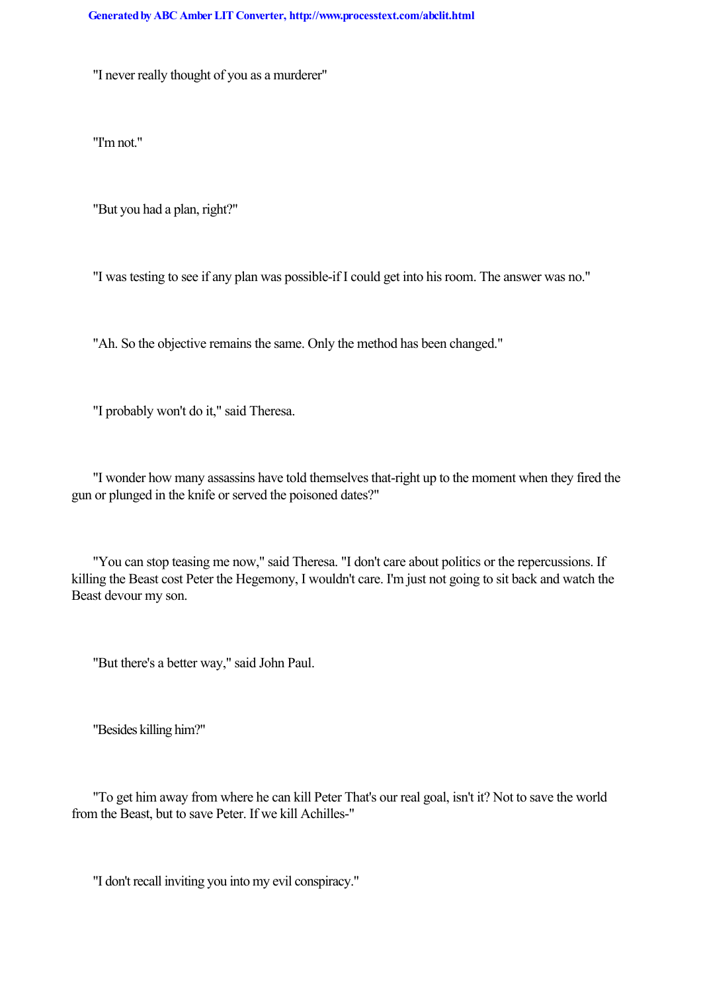"I never really thought of you as a murderer"

"I'm not."

"But you had a plan, right?"

"I was testing to see if any plan was possible-if I could get into his room. The answer was no."

"Ah. So the objective remains the same. Only the method has been changed."

"I probably won't do it," said Theresa.

 "I wonder how many assassins have told themselves that-right up to the moment when they fired the gun or plunged in the knife or served the poisoned dates?"

 "You can stop teasing me now," said Theresa. "I don't care about politics or the repercussions. If killing the Beast cost Peter the Hegemony, I wouldn't care. I'm just not going to sit back and watch the Beast devour my son.

"But there's a better way," said John Paul.

"Besides killing him?"

 "To get him away from where he can kill Peter That's our real goal, isn't it? Not to save the world from the Beast, but to save Peter. If we kill Achilles-"

"I don't recall inviting you into my evil conspiracy."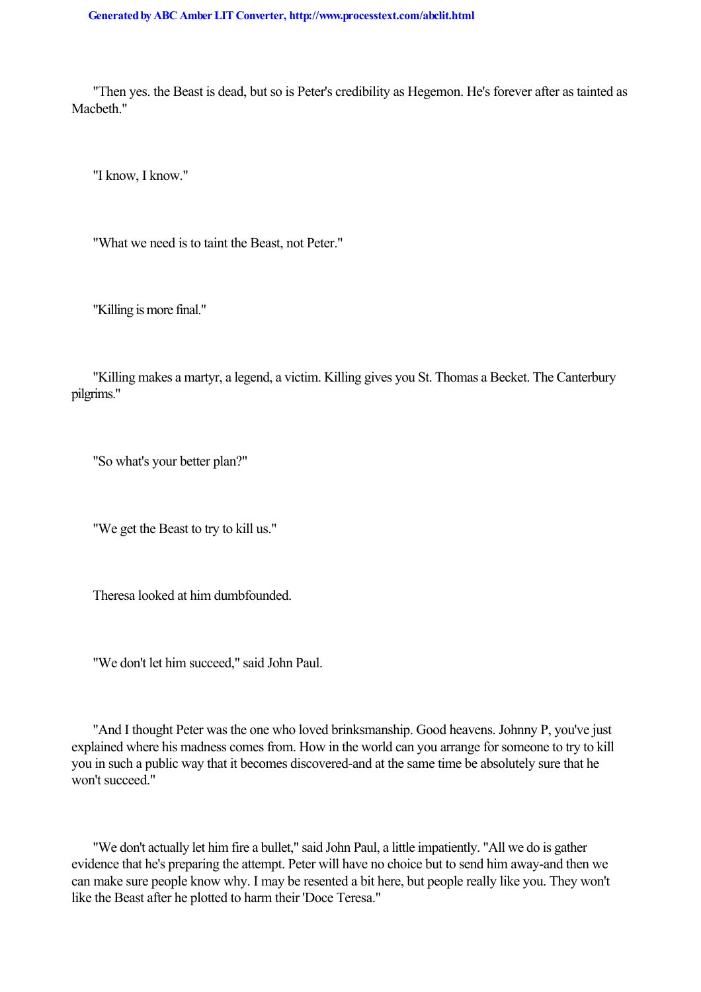"Then yes. the Beast is dead, but so is Peter's credibility as Hegemon. He's forever after as tainted as Macheth<sup>"</sup>

"I know I know."

"What we need is to taint the Beast, not Peter."

"Killing is more final."

 "Killing makes a martyr, a legend, a victim. Killing gives you St. Thomas a Becket. The Canterbury pilgrims."

"So what's your better plan?"

"We get the Beast to try to kill us."

Theresa looked at him dumbfounded.

"We don't let him succeed," said John Paul.

 "And I thought Peter was the one who loved brinksmanship. Good heavens. Johnny P, you've just explained where his madness comes from. How in the world can you arrange for someone to try to kill you in such a public way that it becomes discovered-and at the same time be absolutely sure that he won't succeed."

 "We don't actually let him fire a bullet," said John Paul, a little impatiently. "All we do is gather evidence that he's preparing the attempt. Peter will have no choice but to send him away-and then we can make sure people know why. I may be resented a bit here, but people really like you. They won't like the Beast after he plotted to harm their 'Doce Teresa."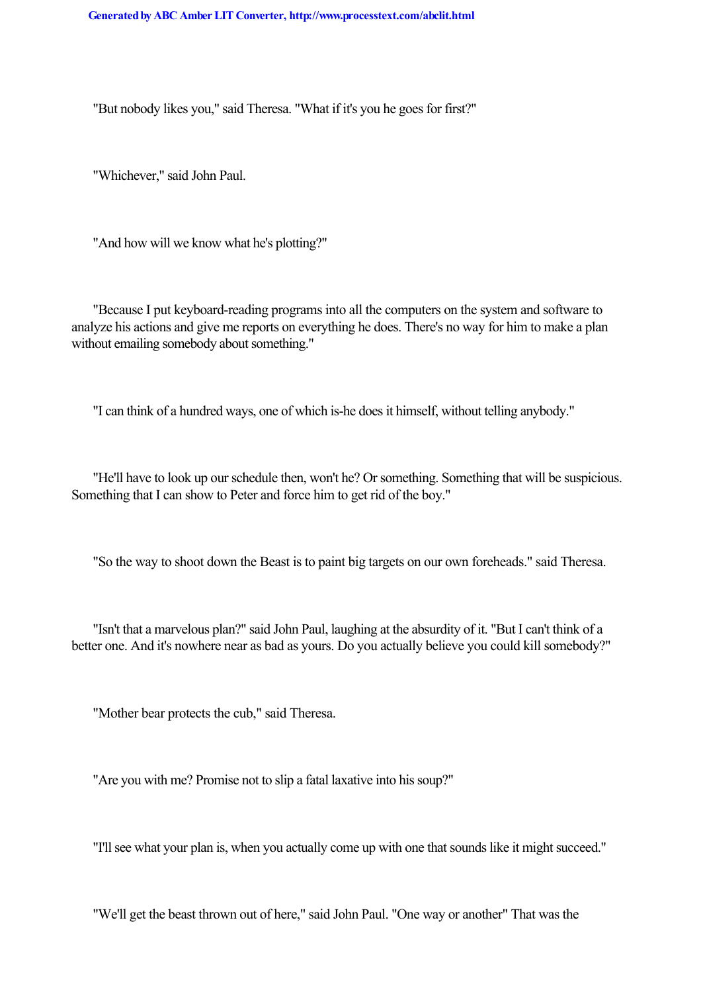"But nobody likes you," said Theresa. "What if it's you he goes for first?"

"Whichever," said John Paul.

"And how will we know what he's plotting?"

 "Because I put keyboard-reading programs into all the computers on the system and software to analyze his actions and give me reports on everything he does. There's no way for him to make a plan without emailing somebody about something."

"I can think of a hundred ways, one of which is-he does it himself, without telling anybody."

 "He'll have to look up our schedule then, won't he? Or something. Something that will be suspicious. Something that I can show to Peter and force him to get rid of the boy."

"So the way to shoot down the Beast is to paint big targets on our own foreheads." said Theresa.

 "Isn't that a marvelous plan?" said John Paul, laughing at the absurdity of it. "But I can't think of a better one. And it's nowhere near as bad as yours. Do you actually believe you could kill somebody?"

"Mother bear protects the cub," said Theresa.

"Are you with me? Promise not to slip a fatal laxative into his soup?"

"I'll see what your plan is, when you actually come up with one that sounds like it might succeed."

"We'll get the beast thrown out of here," said John Paul. "One way or another" That was the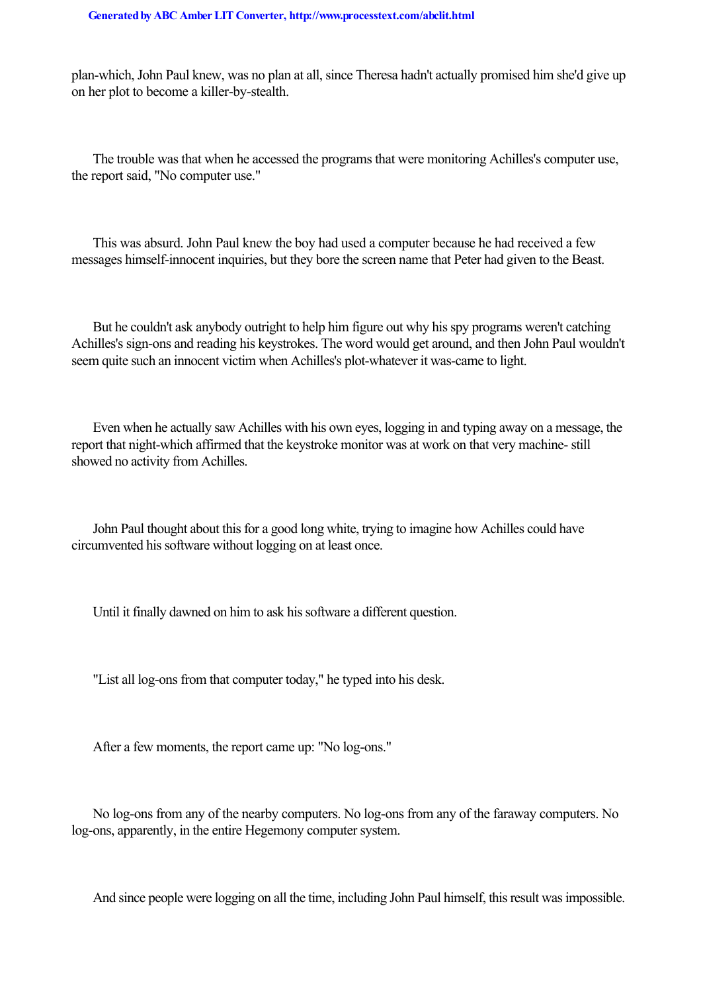plan-which, John Paul knew, was no plan at all, since Theresa hadn't actually promised him she'd give up on her plot to become a killer-by-stealth.

 The trouble was that when he accessed the programs that were monitoring Achilles's computer use, the report said, "No computer use."

 This was absurd. John Paul knew the boy had used a computer because he had received a few messages himself-innocent inquiries, but they bore the screen name that Peter had given to the Beast.

 But he couldn't ask anybody outright to help him figure out why his spy programs weren't catching Achilles's sign-ons and reading his keystrokes. The word would get around, and then John Paul wouldn't seem quite such an innocent victim when Achilles's plot-whatever it was-came to light.

 Even when he actually saw Achilles with his own eyes, logging in and typing away on a message, the report that night-which affirmed that the keystroke monitor was at work on that very machine- still showed no activity from Achilles.

 John Paul thought about this for a good long white, trying to imagine how Achilles could have circumvented his software without logging on at least once.

Until it finally dawned on him to ask his software a different question.

"List all log-ons from that computer today," he typed into his desk.

After a few moments, the report came up: "No log-ons."

 No log-ons from any of the nearby computers. No log-ons from any of the faraway computers. No log-ons, apparently, in the entire Hegemony computer system.

And since people were logging on all the time, including John Paul himself, this result was impossible.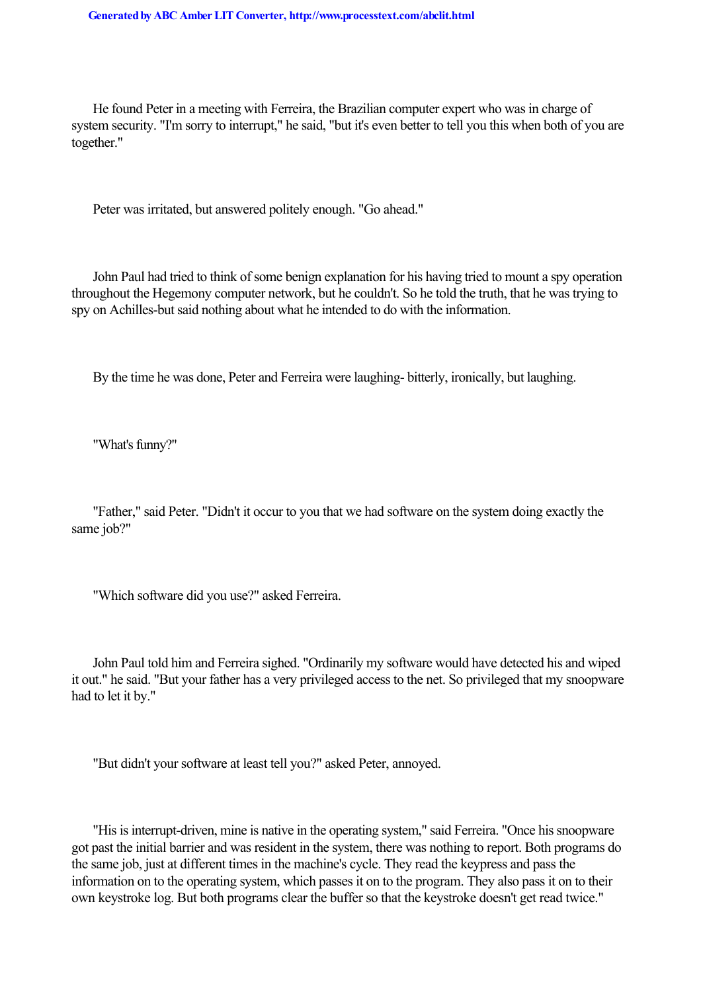He found Peter in a meeting with Ferreira, the Brazilian computer expert who was in charge of system security. "I'm sorry to interrupt," he said, "but it's even better to tell you this when both of you are together."

Peter was irritated, but answered politely enough. "Go ahead."

 John Paul had tried to think of some benign explanation for his having tried to mount a spy operation throughout the Hegemony computer network, but he couldn't. So he told the truth, that he was trying to spy on Achilles-but said nothing about what he intended to do with the information.

By the time he was done, Peter and Ferreira were laughing- bitterly, ironically, but laughing.

"What's funny?"

 "Father," said Peter. "Didn't it occur to you that we had software on the system doing exactly the same iob?"

"Which software did you use?" asked Ferreira.

 John Paul told him and Ferreira sighed. "Ordinarily my software would have detected his and wiped it out." he said. "But your father has a very privileged access to the net. So privileged that my snoopware had to let it by."

"But didn't your software at least tell you?" asked Peter, annoyed.

 "His is interrupt-driven, mine is native in the operating system," said Ferreira. "Once his snoopware got past the initial barrier and was resident in the system, there was nothing to report. Both programs do the same job, just at different times in the machine's cycle. They read the keypress and pass the information on to the operating system, which passes it on to the program. They also pass it on to their own keystroke log. But both programs clear the buffer so that the keystroke doesn't get read twice."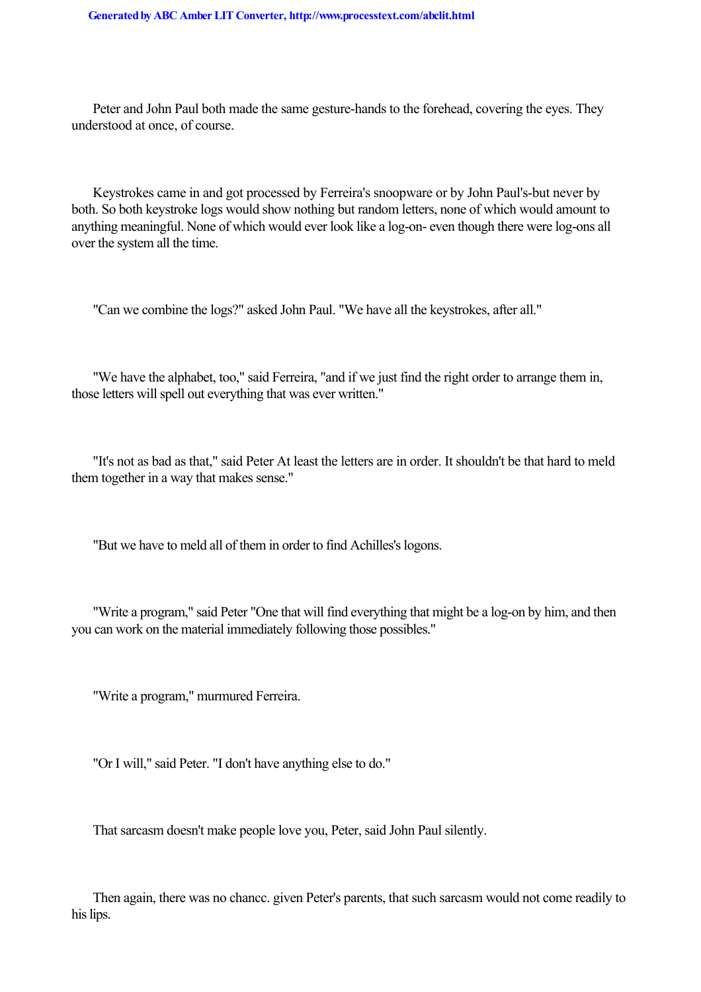Peter and John Paul both made the same gesture-hands to the forehead, covering the eyes. They understood at once, of course.

 Keystrokes came in and got processed by Ferreira's snoopware or by John Paul's-but never by both. So both keystroke logs would show nothing but random letters, none of which would amount to anything meaningful. None of which would ever look like a log-on- even though there were log-ons all over the system all the time.

"Can we combine the logs?" asked John Paul. "We have all the keystrokes, after all."

 "We have the alphabet, too," said Ferreira, "and if we just find the right order to arrange them in, those letters will spell out everything that was ever written."

 "It's not as bad as that," said Peter At least the letters are in order. It shouldn't be that hard to meld them together in a way that makes sense."

"But we have to meld all of them in order to find Achilles's logons.

 "Write a program," said Peter "One that will find everything that might be a log-on by him, and then you can work on the material immediately following those possibles."

"Write a program," murmured Ferreira.

"Or I will," said Peter. "I don't have anything else to do."

That sarcasm doesn't make people love you, Peter, said John Paul silently.

 Then again, there was no chancc. given Peter's parents, that such sarcasm would not come readily to his lips.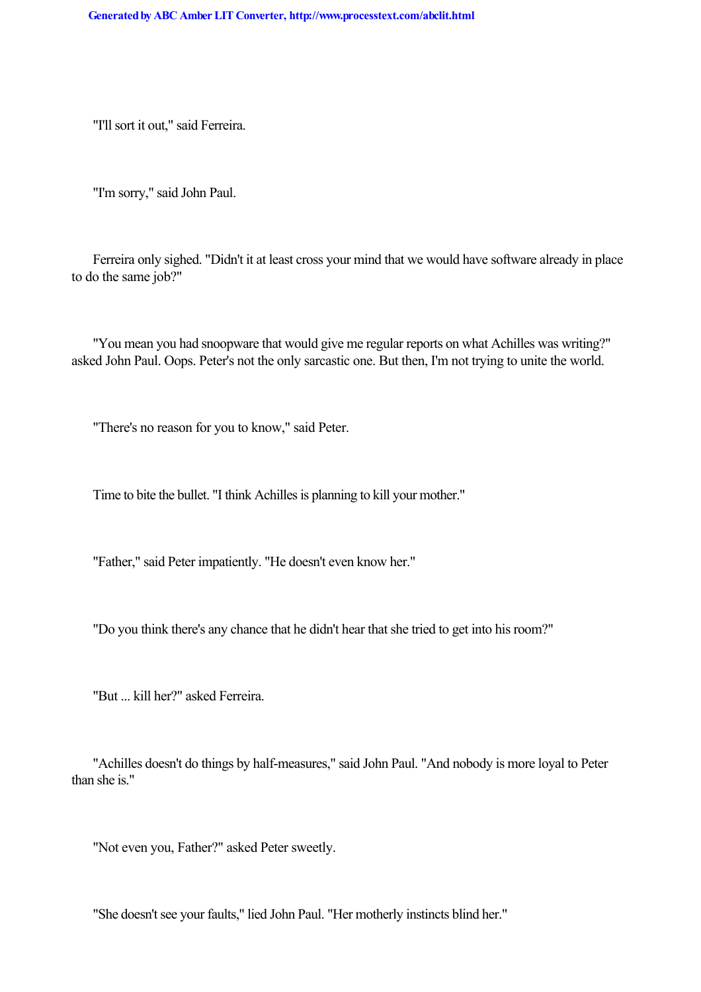"I'll sort it out," said Ferreira.

"I'm sorry," said John Paul.

 Ferreira only sighed. "Didn't it at least cross your mind that we would have software already in place to do the same job?"

 "You mean you had snoopware that would give me regular reports on what Achilles was writing?" asked John Paul. Oops. Peter's not the only sarcastic one. But then, I'm not trying to unite the world.

"There's no reason for you to know," said Peter.

Time to bite the bullet. "I think Achilles is planning to kill your mother."

"Father," said Peter impatiently. "He doesn't even know her."

"Do you think there's any chance that he didn't hear that she tried to get into his room?"

"But ... kill her?" asked Ferreira.

 "Achilles doesn't do things by half-measures," said John Paul. "And nobody is more loyal to Peter than she is."

"Not even you, Father?" asked Peter sweetly.

"She doesn't see your faults," lied John Paul. "Her motherly instincts blind her."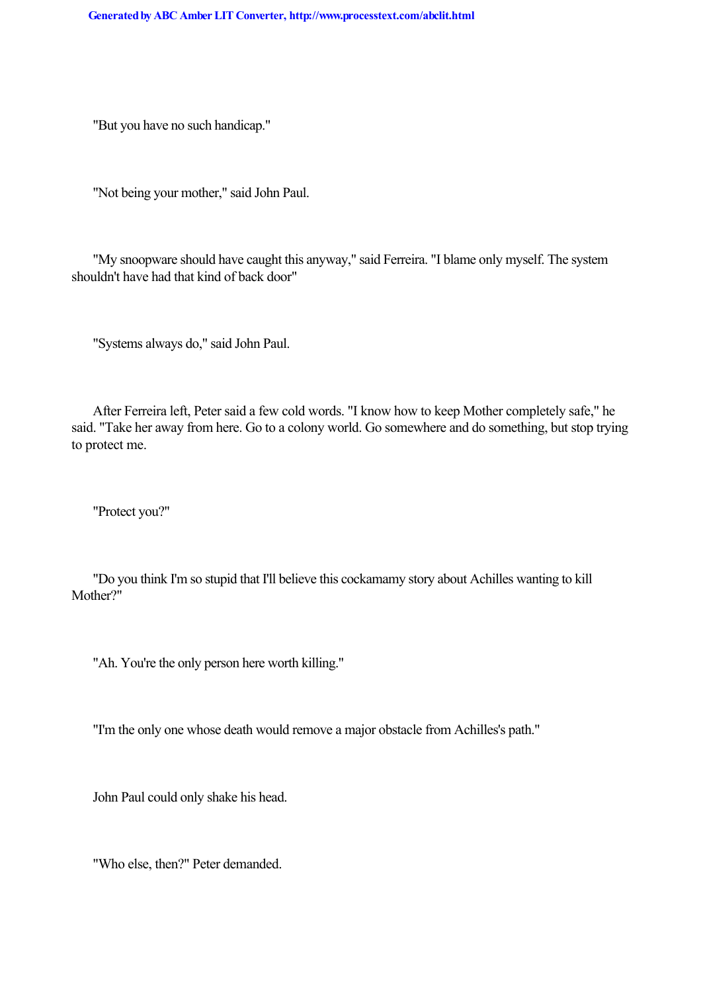"But you have no such handicap."

"Not being your mother," said John Paul.

 "My snoopware should have caught this anyway," said Ferreira. "I blame only myself. The system shouldn't have had that kind of back door"

"Systems always do," said John Paul.

 After Ferreira left, Peter said a few cold words. "I know how to keep Mother completely safe," he said. "Take her away from here. Go to a colony world. Go somewhere and do something, but stop trying to protect me.

"Protect you?"

 "Do you think I'm so stupid that I'll believe this cockamamy story about Achilles wanting to kill Mother?"

"Ah. You're the only person here worth killing."

"I'm the only one whose death would remove a major obstacle from Achilles's path."

John Paul could only shake his head.

"Who else, then?" Peter demanded.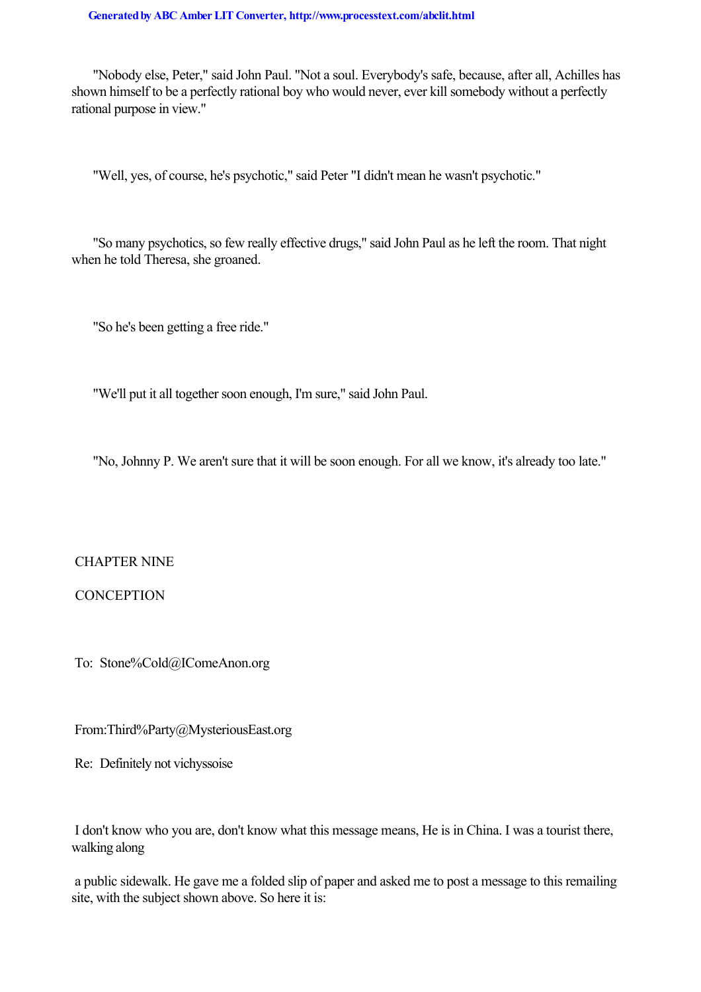"Nobody else, Peter," said John Paul. "Not a soul. Everybody's safe, because, after all, Achilles has shown himself to be a perfectly rational boy who would never, ever kill somebody without a perfectly rational purpose in view."

"Well, yes, of course, he's psychotic," said Peter "I didn't mean he wasn't psychotic."

 "So many psychotics, so few really effective drugs," said John Paul as he left the room. That night when he told Theresa, she groaned.

"So he's been getting a free ride."

"We'll put it all together soon enough, I'm sure," said John Paul.

"No, Johnny P. We aren't sure that it will be soon enough. For all we know, it's already too late."

CHAPTER NINE

## **CONCEPTION**

To: Stone%Cold@IComeAnon.org

From:Third%Party@MysteriousEast.org

Re: Definitely not vichyssoise

 I don't know who you are, don't know what this message means, He is in China. I was a tourist there, walking along

 a public sidewalk. He gave me a folded slip of paper and asked me to post a message to this remailing site, with the subject shown above. So here it is: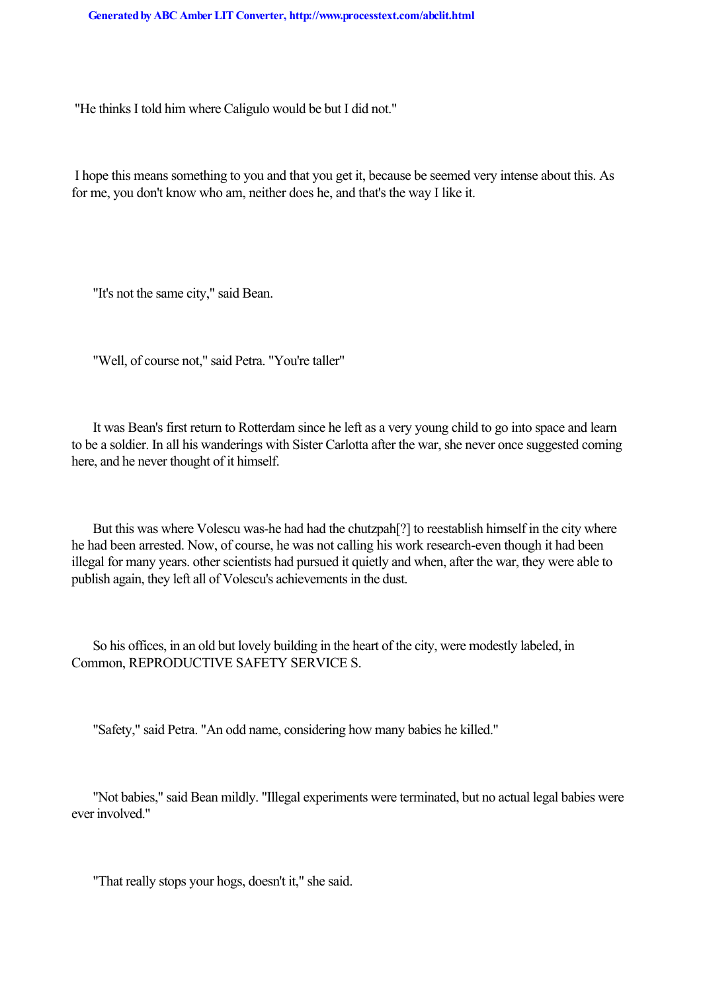"He thinks I told him where Caligulo would be but I did not."

 I hope this means something to you and that you get it, because be seemed very intense about this. As for me, you don't know who am, neither does he, and that's the way I like it.

"It's not the same city," said Bean.

"Well, of course not," said Petra. "You're taller"

 It was Bean's first return to Rotterdam since he left as a very young child to go into space and learn to be a soldier. In all his wanderings with Sister Carlotta after the war, she never once suggested coming here, and he never thought of it himself.

 But this was where Volescu was-he had had the chutzpah[?] to reestablish himself in the city where he had been arrested. Now, of course, he was not calling his work research-even though it had been illegal for many years. other scientists had pursued it quietly and when, after the war, they were able to publish again, they left all of Volescu's achievements in the dust.

 So his offices, in an old but lovely building in the heart of the city, were modestly labeled, in Common, REPRODUCTIVE SAFETY SERVICE S.

"Safety," said Petra. "An odd name, considering how many babies he killed."

 "Not babies," said Bean mildly. "Illegal experiments were terminated, but no actual legal babies were ever involved."

"That really stops your hogs, doesn't it," she said.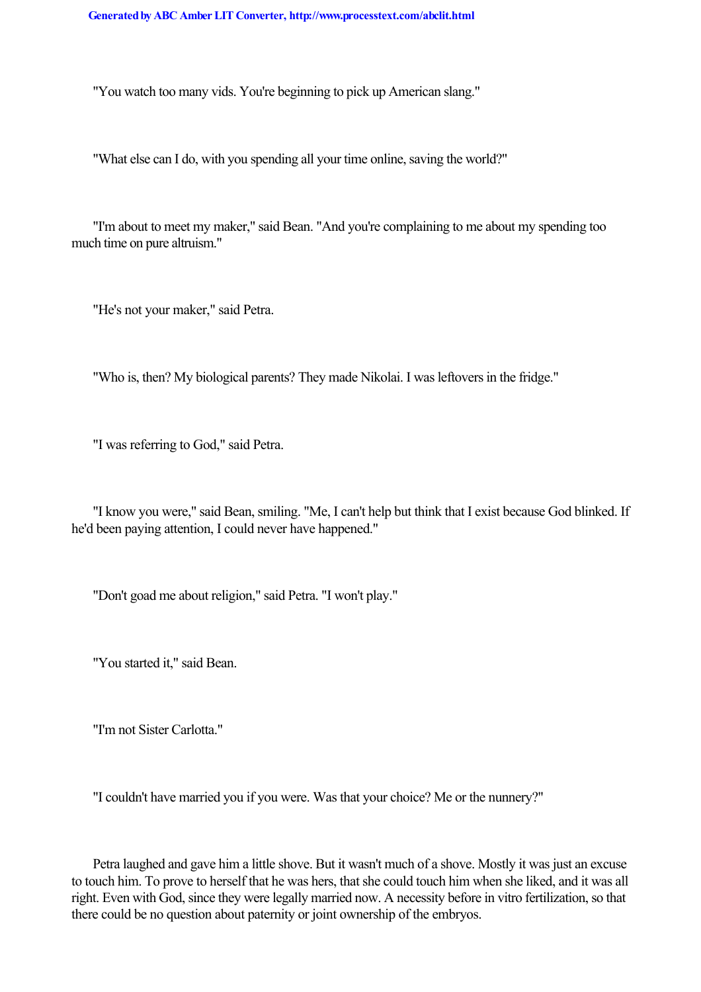"You watch too many vids. You're beginning to pick up American slang."

"What else can I do, with you spending all your time online, saving the world?"

 "I'm about to meet my maker," said Bean. "And you're complaining to me about my spending too much time on pure altruism."

"He's not your maker," said Petra.

"Who is, then? My biological parents? They made Nikolai. I was leftovers in the fridge."

"I was referring to God," said Petra.

 "I know you were," said Bean, smiling. "Me, I can't help but think that I exist because God blinked. If he'd been paying attention, I could never have happened."

"Don't goad me about religion," said Petra. "I won't play."

"You started it," said Bean.

"I'm not Sister Carlotta."

"I couldn't have married you if you were. Was that your choice? Me or the nunnery?"

 Petra laughed and gave him a little shove. But it wasn't much of a shove. Mostly it was just an excuse to touch him. To prove to herself that he was hers, that she could touch him when she liked, and it was all right. Even with God, since they were legally married now. A necessity before in vitro fertilization, so that there could be no question about paternity or joint ownership of the embryos.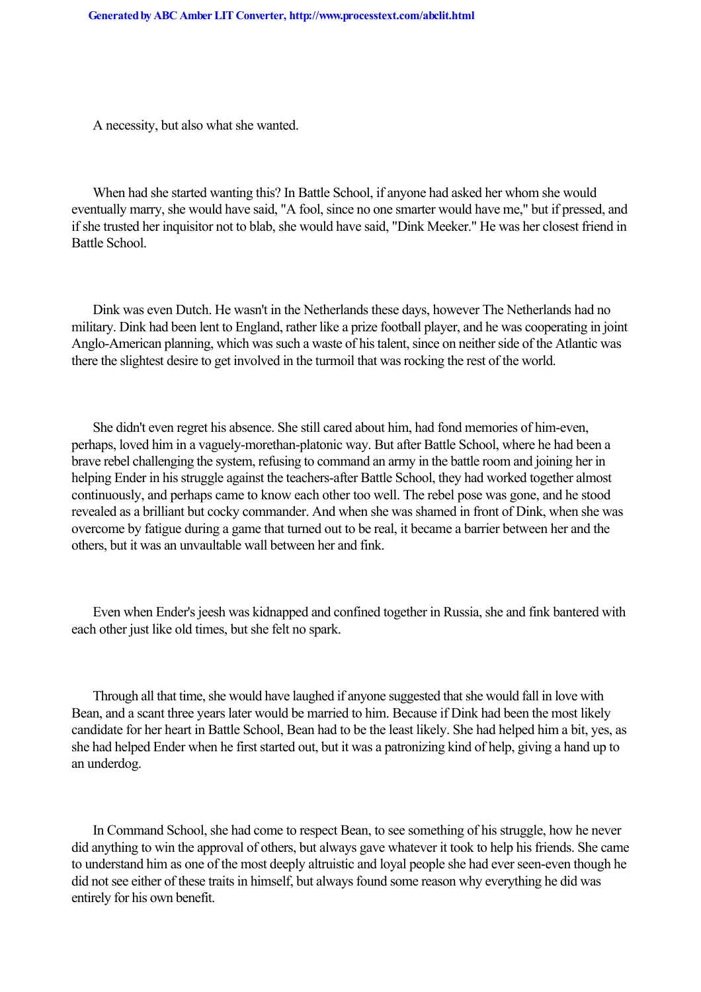A necessity, but also what she wanted.

 When had she started wanting this? In Battle School, if anyone had asked her whom she would eventually marry, she would have said, "A fool, since no one smarter would have me," but if pressed, and if she trusted her inquisitor not to blab, she would have said, "Dink Meeker." He was her closest friend in Battle School.

 Dink was even Dutch. He wasn't in the Netherlands these days, however The Netherlands had no military. Dink had been lent to England, rather like a prize football player, and he was cooperating in joint Anglo-American planning, which was such a waste of his talent, since on neither side of the Atlantic was there the slightest desire to get involved in the turmoil that was rocking the rest of the world.

 She didn't even regret his absence. She still cared about him, had fond memories of him-even, perhaps, loved him in a vaguely-morethan-platonic way. But after Battle School, where he had been a brave rebel challenging the system, refusing to command an army in the battle room and joining her in helping Ender in his struggle against the teachers-after Battle School, they had worked together almost continuously, and perhaps came to know each other too well. The rebel pose was gone, and he stood revealed as a brilliant but cocky commander. And when she was shamed in front of Dink, when she was overcome by fatigue during a game that turned out to be real, it became a barrier between her and the others, but it was an unvaultable wall between her and fink.

 Even when Ender's jeesh was kidnapped and confined together in Russia, she and fink bantered with each other just like old times, but she felt no spark.

 Through all that time, she would have laughed if anyone suggested that she would fall in love with Bean, and a scant three years later would be married to him. Because if Dink had been the most likely candidate for her heart in Battle School, Bean had to be the least likely. She had helped him a bit, yes, as she had helped Ender when he first started out, but it was a patronizing kind of help, giving a hand up to an underdog.

 In Command School, she had come to respect Bean, to see something of his struggle, how he never did anything to win the approval of others, but always gave whatever it took to help his friends. She came to understand him as one of the most deeply altruistic and loyal people she had ever seen-even though he did not see either of these traits in himself, but always found some reason why everything he did was entirely for his own benefit.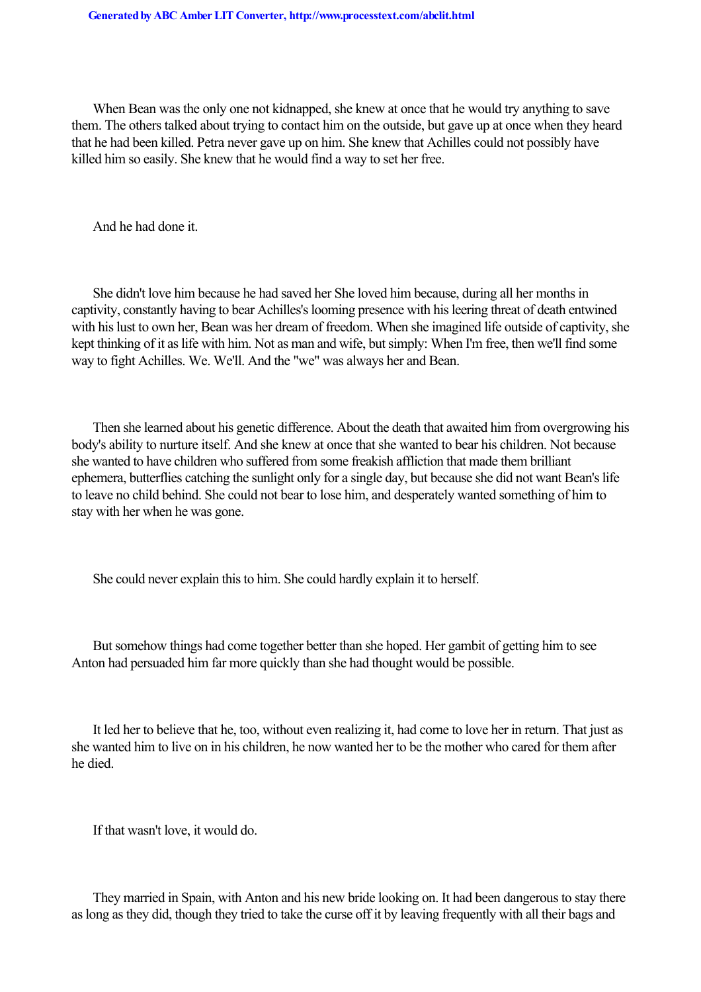When Bean was the only one not kidnapped, she knew at once that he would try anything to save them. The others talked about trying to contact him on the outside, but gave up at once when they heard that he had been killed. Petra never gave up on him. She knew that Achilles could not possibly have killed him so easily. She knew that he would find a way to set her free.

And he had done it.

 She didn't love him because he had saved her She loved him because, during all her months in captivity, constantly having to bear Achilles's looming presence with his leering threat of death entwined with his lust to own her, Bean was her dream of freedom. When she imagined life outside of captivity, she kept thinking of it as life with him. Not as man and wife, but simply: When I'm free, then we'll find some way to fight Achilles. We. We'll. And the "we" was always her and Bean.

 Then she learned about his genetic difference. About the death that awaited him from overgrowing his body's ability to nurture itself. And she knew at once that she wanted to bear his children. Not because she wanted to have children who suffered from some freakish affliction that made them brilliant ephemera, butterflies catching the sunlight only for a single day, but because she did not want Bean's life to leave no child behind. She could not bear to lose him, and desperately wanted something of him to stay with her when he was gone.

She could never explain this to him. She could hardly explain it to herself.

 But somehow things had come together better than she hoped. Her gambit of getting him to see Anton had persuaded him far more quickly than she had thought would be possible.

 It led her to believe that he, too, without even realizing it, had come to love her in return. That just as she wanted him to live on in his children, he now wanted her to be the mother who cared for them after he died.

If that wasn't love, it would do.

 They married in Spain, with Anton and his new bride looking on. It had been dangerous to stay there as long as they did, though they tried to take the curse off it by leaving frequently with all their bags and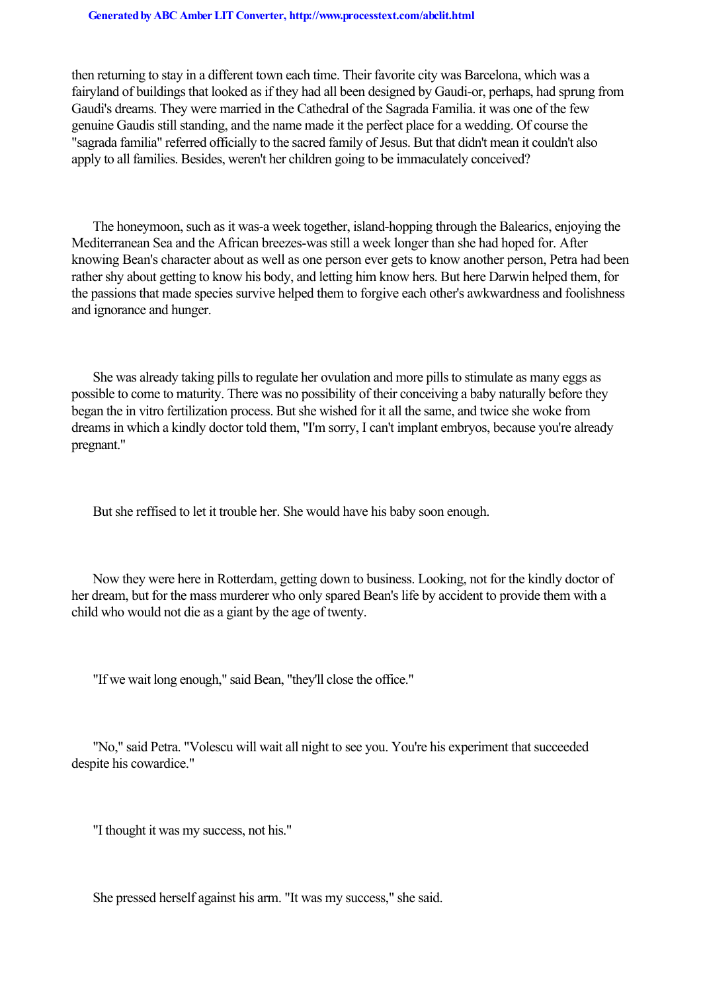then returning to stay in a different town each time. Their favorite city was Barcelona, which was a fairyland of buildings that looked as if they had all been designed by Gaudi-or, perhaps, had sprung from Gaudi's dreams. They were married in the Cathedral of the Sagrada Familia. it was one of the few genuine Gaudis still standing, and the name made it the perfect place for a wedding. Of course the "sagrada familia" referred officially to the sacred family of Jesus. But that didn't mean it couldn't also apply to all families. Besides, weren't her children going to be immaculately conceived?

 The honeymoon, such as it was-a week together, island-hopping through the Balearics, enjoying the Mediterranean Sea and the African breezes-was still a week longer than she had hoped for. After knowing Bean's character about as well as one person ever gets to know another person, Petra had been rather shy about getting to know his body, and letting him know hers. But here Darwin helped them, for the passions that made species survive helped them to forgive each other's awkwardness and foolishness and ignorance and hunger.

 She was already taking pills to regulate her ovulation and more pills to stimulate as many eggs as possible to come to maturity. There was no possibility of their conceiving a baby naturally before they began the in vitro fertilization process. But she wished for it all the same, and twice she woke from dreams in which a kindly doctor told them, "I'm sorry, I can't implant embryos, because you're already pregnant."

But she reffised to let it trouble her. She would have his baby soon enough.

 Now they were here in Rotterdam, getting down to business. Looking, not for the kindly doctor of her dream, but for the mass murderer who only spared Bean's life by accident to provide them with a child who would not die as a giant by the age of twenty.

"If we wait long enough," said Bean, "they'll close the office."

 "No," said Petra. "Volescu will wait all night to see you. You're his experiment that succeeded despite his cowardice."

"I thought it was my success, not his."

She pressed herself against his arm. "It was my success," she said.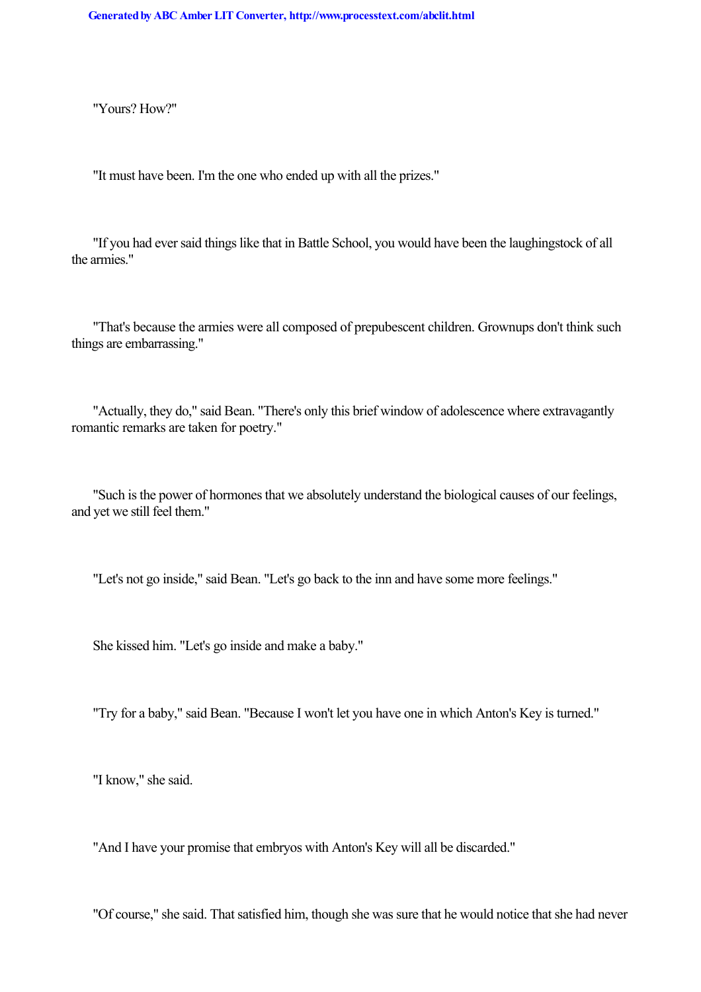"Yours? How?"

"It must have been. I'm the one who ended up with all the prizes."

 "If you had ever said things like that in Battle School, you would have been the laughingstock of all the armies."

 "That's because the armies were all composed of prepubescent children. Grownups don't think such things are embarrassing."

 "Actually, they do," said Bean. "There's only this brief window of adolescence where extravagantly romantic remarks are taken for poetry."

 "Such is the power of hormones that we absolutely understand the biological causes of our feelings, and yet we still feel them."

"Let's not go inside," said Bean. "Let's go back to the inn and have some more feelings."

She kissed him. "Let's go inside and make a baby."

"Try for a baby," said Bean. "Because I won't let you have one in which Anton's Key is turned."

"I know," she said.

"And I have your promise that embryos with Anton's Key will all be discarded."

"Of course," she said. That satisfied him, though she was sure that he would notice that she had never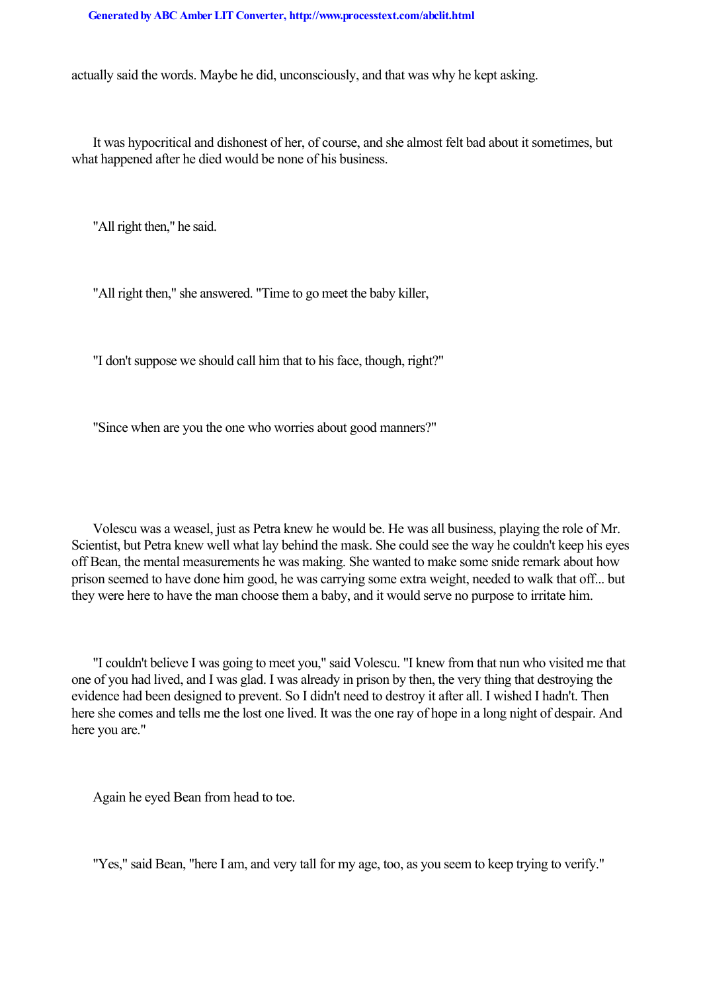actually said the words. Maybe he did, unconsciously, and that was why he kept asking.

 It was hypocritical and dishonest of her, of course, and she almost felt bad about it sometimes, but what happened after he died would be none of his business.

"All right then," he said.

"All right then," she answered. "Time to go meet the baby killer,

"I don't suppose we should call him that to his face, though, right?"

"Since when are you the one who worries about good manners?"

 Volescu was a weasel, just as Petra knew he would be. He was all business, playing the role of Mr. Scientist, but Petra knew well what lay behind the mask. She could see the way he couldn't keep his eyes off Bean, the mental measurements he was making. She wanted to make some snide remark about how prison seemed to have done him good, he was carrying some extra weight, needed to walk that off... but they were here to have the man choose them a baby, and it would serve no purpose to irritate him.

 "I couldn't believe I was going to meet you," said Volescu. "I knew from that nun who visited me that one of you had lived, and I was glad. I was already in prison by then, the very thing that destroying the evidence had been designed to prevent. So I didn't need to destroy it after all. I wished I hadn't. Then here she comes and tells me the lost one lived. It was the one ray of hope in a long night of despair. And here you are."

Again he eyed Bean from head to toe.

"Yes," said Bean, "here I am, and very tall for my age, too, as you seem to keep trying to verify."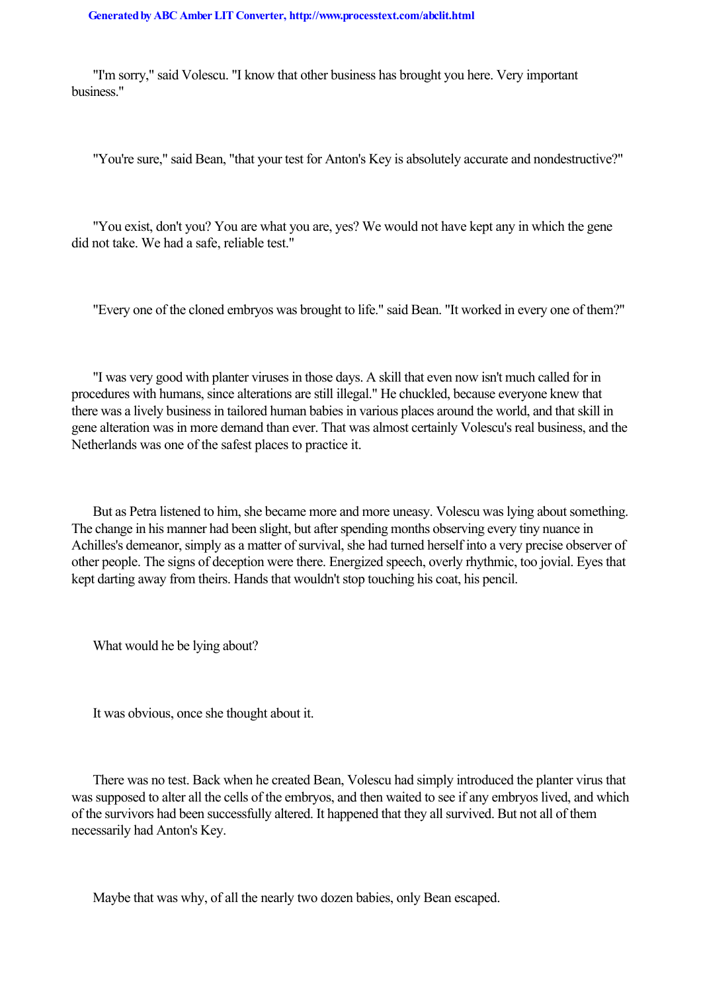"I'm sorry," said Volescu. "I know that other business has brought you here. Very important business."

"You're sure," said Bean, "that your test for Anton's Key is absolutely accurate and nondestructive?"

 "You exist, don't you? You are what you are, yes? We would not have kept any in which the gene did not take. We had a safe, reliable test."

"Every one of the cloned embryos was brought to life." said Bean. "It worked in every one of them?"

 "I was very good with planter viruses in those days. A skill that even now isn't much called for in procedures with humans, since alterations are still illegal." He chuckled, because everyone knew that there was a lively business in tailored human babies in various places around the world, and that skill in gene alteration was in more demand than ever. That was almost certainly Volescu's real business, and the Netherlands was one of the safest places to practice it.

 But as Petra listened to him, she became more and more uneasy. Volescu was lying about something. The change in his manner had been slight, but after spending months observing every tiny nuance in Achilles's demeanor, simply as a matter of survival, she had turned herself into a very precise observer of other people. The signs of deception were there. Energized speech, overly rhythmic, too jovial. Eyes that kept darting away from theirs. Hands that wouldn't stop touching his coat, his pencil.

What would he be lying about?

It was obvious, once she thought about it.

 There was no test. Back when he created Bean, Volescu had simply introduced the planter virus that was supposed to alter all the cells of the embryos, and then waited to see if any embryos lived, and which of the survivors had been successfully altered. It happened that they all survived. But not all of them necessarily had Anton's Key.

Maybe that was why, of all the nearly two dozen babies, only Bean escaped.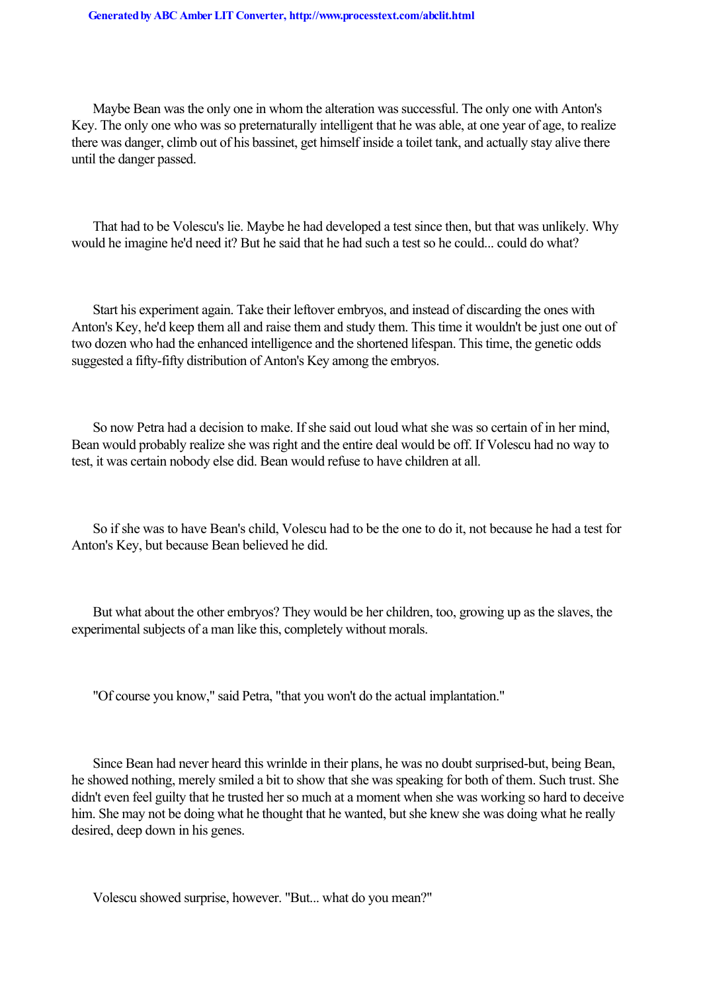Maybe Bean was the only one in whom the alteration was successful. The only one with Anton's Key. The only one who was so preternaturally intelligent that he was able, at one year of age, to realize there was danger, climb out of his bassinet, get himself inside a toilet tank, and actually stay alive there until the danger passed.

 That had to be Volescu's lie. Maybe he had developed a test since then, but that was unlikely. Why would he imagine he'd need it? But he said that he had such a test so he could... could do what?

 Start his experiment again. Take their leftover embryos, and instead of discarding the ones with Anton's Key, he'd keep them all and raise them and study them. This time it wouldn't be just one out of two dozen who had the enhanced intelligence and the shortened lifespan. This time, the genetic odds suggested a fifty-fifty distribution of Anton's Key among the embryos.

 So now Petra had a decision to make. If she said out loud what she was so certain of in her mind, Bean would probably realize she was right and the entire deal would be off. If Volescu had no way to test, it was certain nobody else did. Bean would refuse to have children at all.

 So if she was to have Bean's child, Volescu had to be the one to do it, not because he had a test for Anton's Key, but because Bean believed he did.

 But what about the other embryos? They would be her children, too, growing up as the slaves, the experimental subjects of a man like this, completely without morals.

"Of course you know," said Petra, "that you won't do the actual implantation."

 Since Bean had never heard this wrinlde in their plans, he was no doubt surprised-but, being Bean, he showed nothing, merely smiled a bit to show that she was speaking for both of them. Such trust. She didn't even feel guilty that he trusted her so much at a moment when she was working so hard to deceive him. She may not be doing what he thought that he wanted, but she knew she was doing what he really desired, deep down in his genes.

Volescu showed surprise, however. "But... what do you mean?"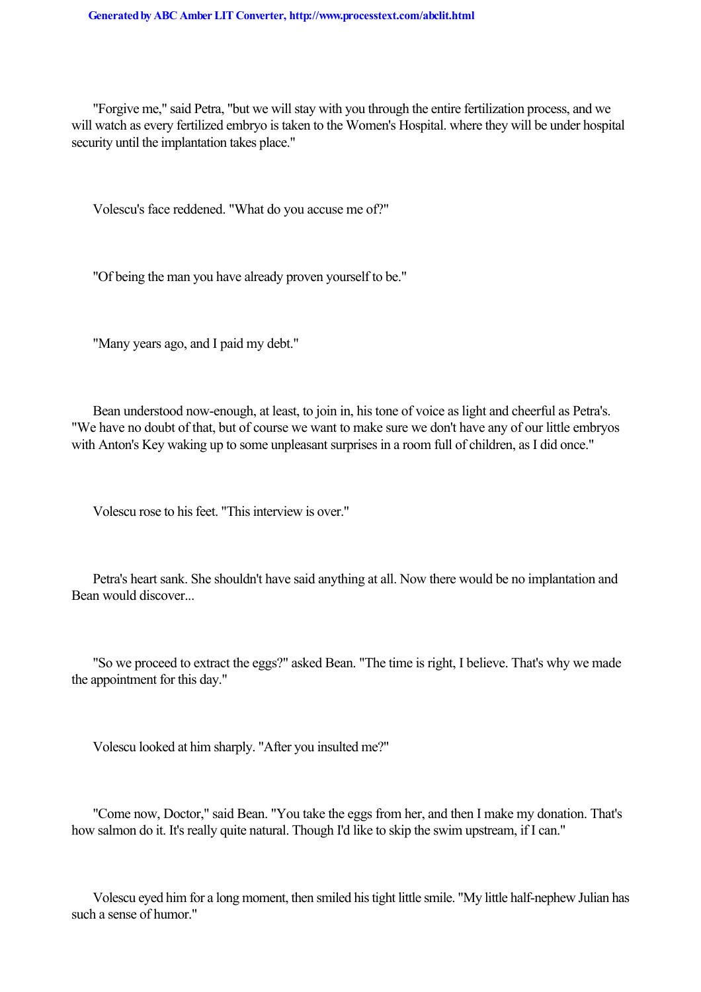"Forgive me," said Petra, "but we will stay with you through the entire fertilization process, and we will watch as every fertilized embryo is taken to the Women's Hospital, where they will be under hospital security until the implantation takes place."

Volescu's face reddened. "What do you accuse me of?"

"Of being the man you have already proven yourself to be."

"Many years ago, and I paid my debt."

 Bean understood now-enough, at least, to join in, his tone of voice as light and cheerful as Petra's. "We have no doubt of that, but of course we want to make sure we don't have any of our little embryos with Anton's Key waking up to some unpleasant surprises in a room full of children, as I did once."

Volescu rose to his feet. "This interview is over."

 Petra's heart sank. She shouldn't have said anything at all. Now there would be no implantation and Bean would discover...

 "So we proceed to extract the eggs?" asked Bean. "The time is right, I believe. That's why we made the appointment for this day."

Volescu looked at him sharply. "After you insulted me?"

 "Come now, Doctor," said Bean. "You take the eggs from her, and then I make my donation. That's how salmon do it. It's really quite natural. Though I'd like to skip the swim upstream, if I can."

 Volescu eyed him for a long moment, then smiled his tight little smile. "My little half-nephew Julian has such a sense of humor."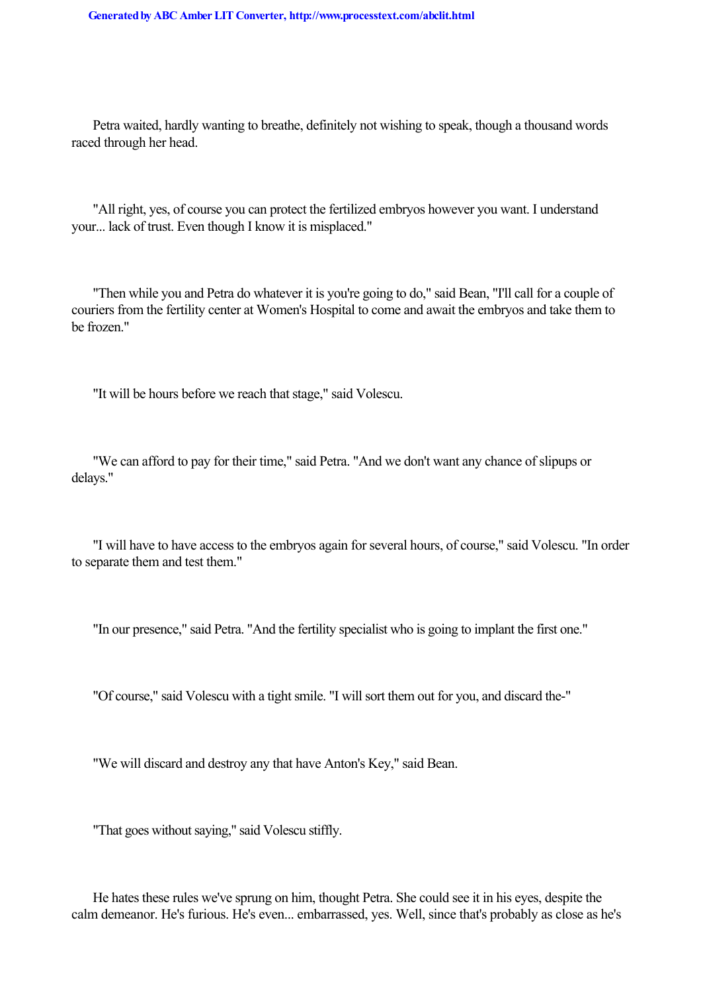Petra waited, hardly wanting to breathe, definitely not wishing to speak, though a thousand words raced through her head.

 "All right, yes, of course you can protect the fertilized embryos however you want. I understand your... lack of trust. Even though I know it is misplaced."

 "Then while you and Petra do whatever it is you're going to do," said Bean, "I'll call for a couple of couriers from the fertility center at Women's Hospital to come and await the embryos and take them to be frozen"

"It will be hours before we reach that stage," said Volescu.

 "We can afford to pay for their time," said Petra. "And we don't want any chance of slipups or delays."

 "I will have to have access to the embryos again for several hours, of course," said Volescu. "In order to separate them and test them."

"In our presence," said Petra. "And the fertility specialist who is going to implant the first one."

"Of course," said Volescu with a tight smile. "I will sort them out for you, and discard the-"

"We will discard and destroy any that have Anton's Key," said Bean.

"That goes without saying," said Volescu stiffly.

 He hates these rules we've sprung on him, thought Petra. She could see it in his eyes, despite the calm demeanor. He's furious. He's even... embarrassed, yes. Well, since that's probably as close as he's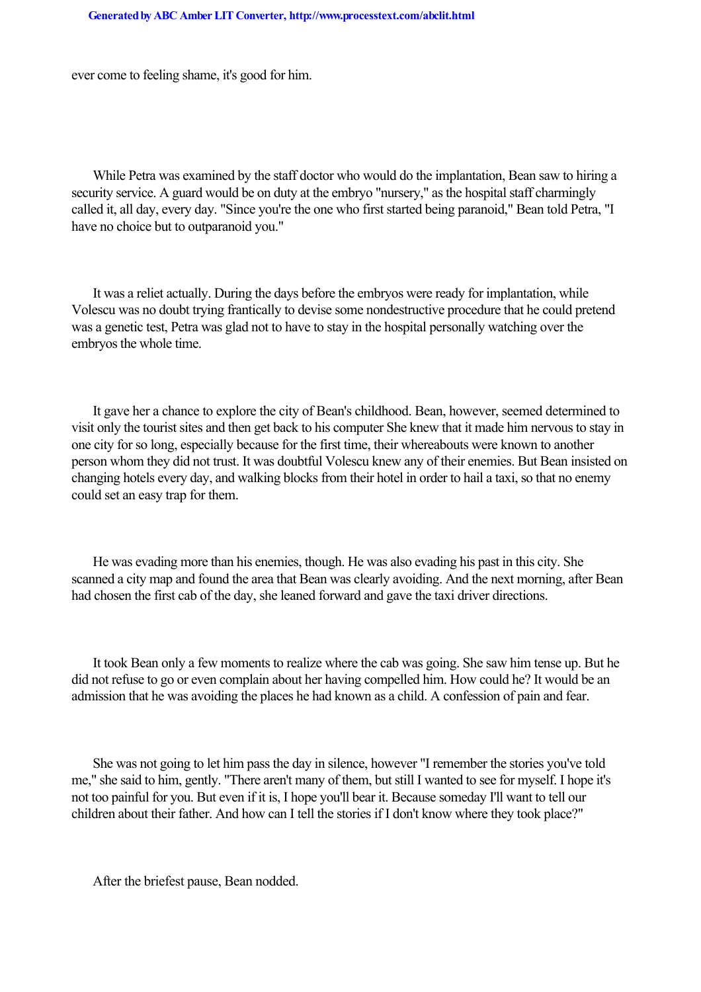ever come to feeling shame, it's good for him.

 While Petra was examined by the staff doctor who would do the implantation, Bean saw to hiring a security service. A guard would be on duty at the embryo "nursery," as the hospital staff charmingly called it, all day, every day. "Since you're the one who first started being paranoid," Bean told Petra, "I have no choice but to outparanoid you."

 It was a reliet actually. During the days before the embryos were ready for implantation, while Volescu was no doubt trying frantically to devise some nondestructive procedure that he could pretend was a genetic test, Petra was glad not to have to stay in the hospital personally watching over the embryos the whole time.

 It gave her a chance to explore the city of Bean's childhood. Bean, however, seemed determined to visit only the tourist sites and then get back to his computer She knew that it made him nervous to stay in one city for so long, especially because for the first time, their whereabouts were known to another person whom they did not trust. It was doubtful Volescu knew any of their enemies. But Bean insisted on changing hotels every day, and walking blocks from their hotel in order to hail a taxi, so that no enemy could set an easy trap for them.

 He was evading more than his enemies, though. He was also evading his past in this city. She scanned a city map and found the area that Bean was clearly avoiding. And the next morning, after Bean had chosen the first cab of the day, she leaned forward and gave the taxi driver directions.

 It took Bean only a few moments to realize where the cab was going. She saw him tense up. But he did not refuse to go or even complain about her having compelled him. How could he? It would be an admission that he was avoiding the places he had known as a child. A confession of pain and fear.

 She was not going to let him pass the day in silence, however "I remember the stories you've told me," she said to him, gently. "There aren't many of them, but still I wanted to see for myself. I hope it's not too painful for you. But even if it is, I hope you'll bear it. Because someday I'll want to tell our children about their father. And how can I tell the stories if I don't know where they took place?"

After the briefest pause, Bean nodded.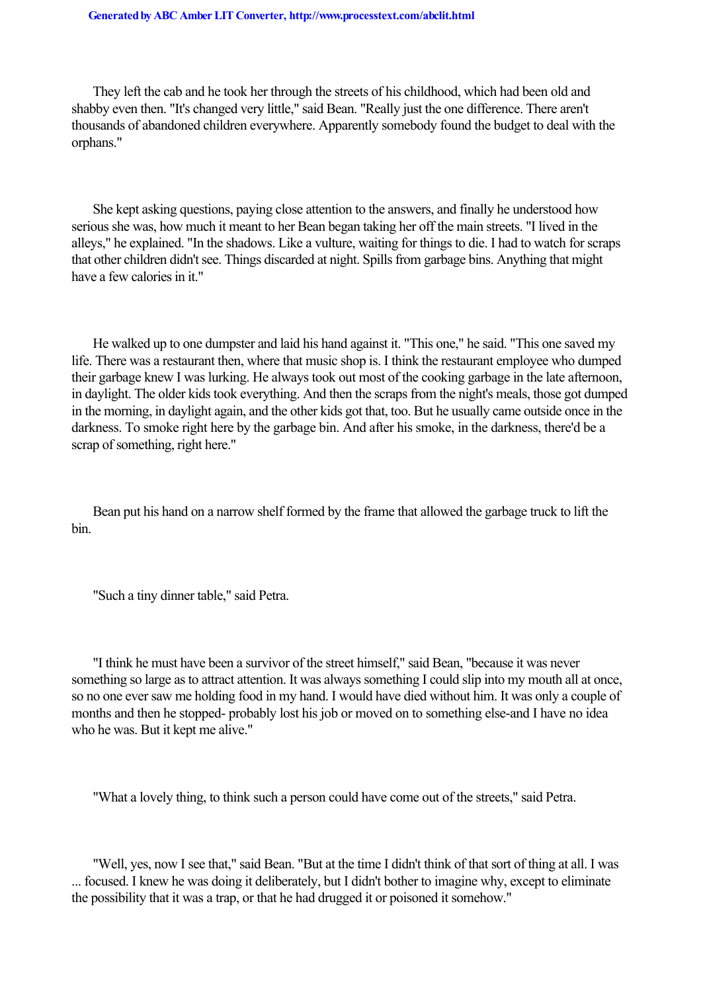They left the cab and he took her through the streets of his childhood, which had been old and shabby even then. "It's changed very little," said Bean. "Really just the one difference. There aren't thousands of abandoned children everywhere. Apparently somebody found the budget to deal with the orphans."

 She kept asking questions, paying close attention to the answers, and finally he understood how serious she was, how much it meant to her Bean began taking her off the main streets. "I lived in the alleys," he explained. "In the shadows. Like a vulture, waiting for things to die. I had to watch for scraps that other children didn't see. Things discarded at night. Spills from garbage bins. Anything that might have a few calories in it."

 He walked up to one dumpster and laid his hand against it. "This one," he said. "This one saved my life. There was a restaurant then, where that music shop is. I think the restaurant employee who dumped their garbage knew I was lurking. He always took out most of the cooking garbage in the late afternoon, in daylight. The older kids took everything. And then the scraps from the night's meals, those got dumped in the morning, in daylight again, and the other kids got that, too. But he usually came outside once in the darkness. To smoke right here by the garbage bin. And after his smoke, in the darkness, there'd be a scrap of something, right here."

 Bean put his hand on a narrow shelf formed by the frame that allowed the garbage truck to lift the bin.

"Such a tiny dinner table," said Petra.

 "I think he must have been a survivor of the street himself," said Bean, "because it was never something so large as to attract attention. It was always something I could slip into my mouth all at once, so no one ever saw me holding food in my hand. I would have died without him. It was only a couple of months and then he stopped- probably lost his job or moved on to something else-and I have no idea who he was. But it kept me alive."

"What a lovely thing, to think such a person could have come out of the streets," said Petra.

 "Well, yes, now I see that," said Bean. "But at the time I didn't think of that sort of thing at all. I was ... focused. I knew he was doing it deliberately, but I didn't bother to imagine why, except to eliminate the possibility that it was a trap, or that he had drugged it or poisoned it somehow."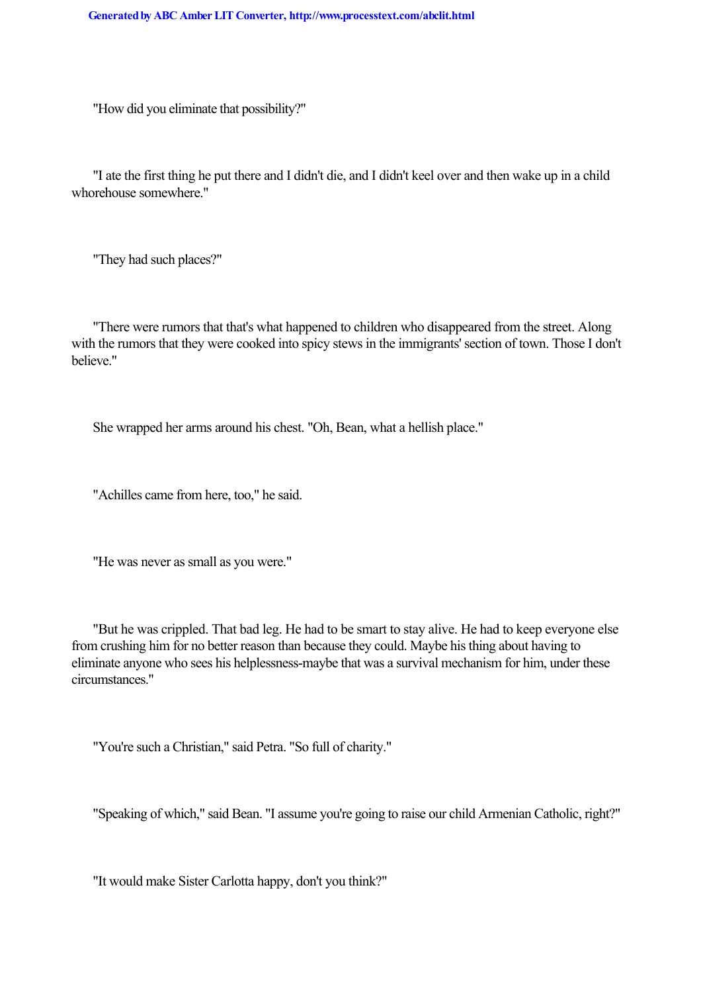"How did you eliminate that possibility?"

 "I ate the first thing he put there and I didn't die, and I didn't keel over and then wake up in a child whorehouse somewhere."

"They had such places?"

 "There were rumors that that's what happened to children who disappeared from the street. Along with the rumors that they were cooked into spicy stews in the immigrants' section of town. Those I don't believe."

She wrapped her arms around his chest. "Oh, Bean, what a hellish place."

"Achilles came from here, too," he said.

"He was never as small as you were."

 "But he was crippled. That bad leg. He had to be smart to stay alive. He had to keep everyone else from crushing him for no better reason than because they could. Maybe his thing about having to eliminate anyone who sees his helplessness-maybe that was a survival mechanism for him, under these circumstances."

"You're such a Christian," said Petra. "So full of charity."

"Speaking of which," said Bean. "I assume you're going to raise our child Armenian Catholic, right?"

"It would make Sister Carlotta happy, don't you think?"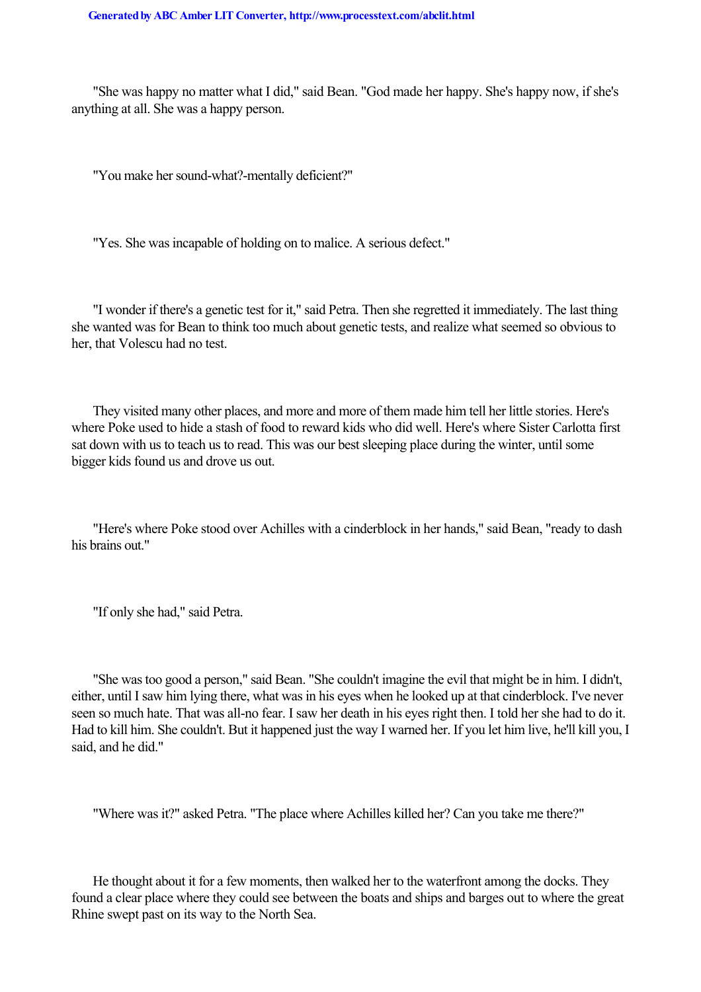"She was happy no matter what I did," said Bean. "God made her happy. She's happy now, if she's anything at all. She was a happy person.

"You make her sound-what?-mentally deficient?"

"Yes. She was incapable of holding on to malice. A serious defect."

 "I wonder if there's a genetic test for it," said Petra. Then she regretted it immediately. The last thing she wanted was for Bean to think too much about genetic tests, and realize what seemed so obvious to her, that Volescu had no test.

 They visited many other places, and more and more of them made him tell her little stories. Here's where Poke used to hide a stash of food to reward kids who did well. Here's where Sister Carlotta first sat down with us to teach us to read. This was our best sleeping place during the winter, until some bigger kids found us and drove us out.

 "Here's where Poke stood over Achilles with a cinderblock in her hands," said Bean, "ready to dash his brains out."

"If only she had," said Petra.

 "She was too good a person," said Bean. "She couldn't imagine the evil that might be in him. I didn't, either, until I saw him lying there, what was in his eyes when he looked up at that cinderblock. I've never seen so much hate. That was all-no fear. I saw her death in his eyes right then. I told her she had to do it. Had to kill him. She couldn't. But it happened just the way I warned her. If you let him live, he'll kill you, I said, and he did."

"Where was it?" asked Petra. "The place where Achilles killed her? Can you take me there?"

 He thought about it for a few moments, then walked her to the waterfront among the docks. They found a clear place where they could see between the boats and ships and barges out to where the great Rhine swept past on its way to the North Sea.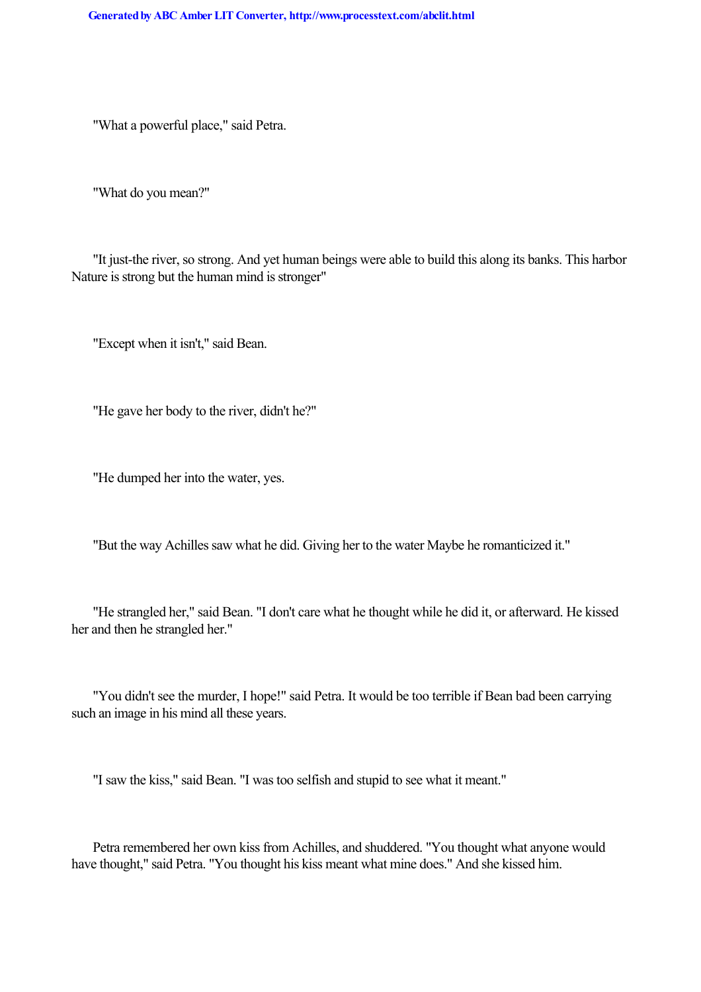"What a powerful place," said Petra.

"What do you mean?"

 "It just-the river, so strong. And yet human beings were able to build this along its banks. This harbor Nature is strong but the human mind is stronger"

"Except when it isn't," said Bean.

"He gave her body to the river, didn't he?"

"He dumped her into the water, yes.

"But the way Achilles saw what he did. Giving her to the water Maybe he romanticized it."

 "He strangled her," said Bean. "I don't care what he thought while he did it, or afterward. He kissed her and then he strangled her."

 "You didn't see the murder, I hope!" said Petra. It would be too terrible if Bean bad been carrying such an image in his mind all these years.

"I saw the kiss," said Bean. "I was too selfish and stupid to see what it meant."

 Petra remembered her own kiss from Achilles, and shuddered. "You thought what anyone would have thought," said Petra. "You thought his kiss meant what mine does." And she kissed him.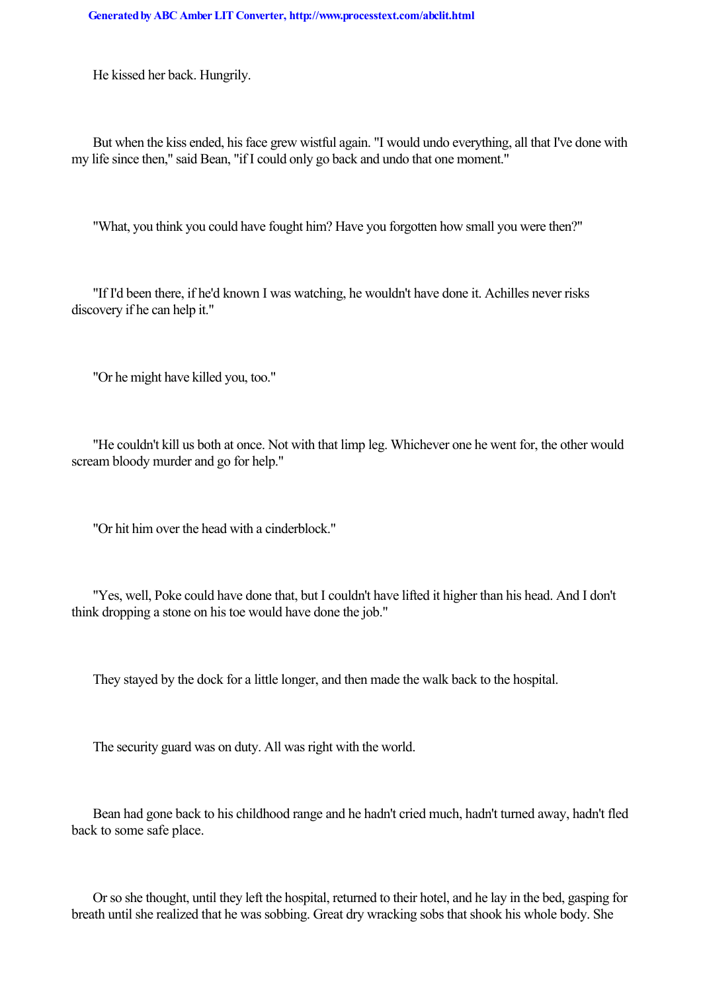He kissed her back. Hungrily.

 But when the kiss ended, his face grew wistful again. "I would undo everything, all that I've done with my life since then," said Bean, "if I could only go back and undo that one moment."

"What, you think you could have fought him? Have you forgotten how small you were then?"

 "If I'd been there, if he'd known I was watching, he wouldn't have done it. Achilles never risks discovery if he can help it."

"Or he might have killed you, too."

 "He couldn't kill us both at once. Not with that limp leg. Whichever one he went for, the other would scream bloody murder and go for help."

"Or hit him over the head with a cinderblock."

 "Yes, well, Poke could have done that, but I couldn't have lifted it higher than his head. And I don't think dropping a stone on his toe would have done the job."

They stayed by the dock for a little longer, and then made the walk back to the hospital.

The security guard was on duty. All was right with the world.

 Bean had gone back to his childhood range and he hadn't cried much, hadn't turned away, hadn't fled back to some safe place.

 Or so she thought, until they left the hospital, returned to their hotel, and he lay in the bed, gasping for breath until she realized that he was sobbing. Great dry wracking sobs that shook his whole body. She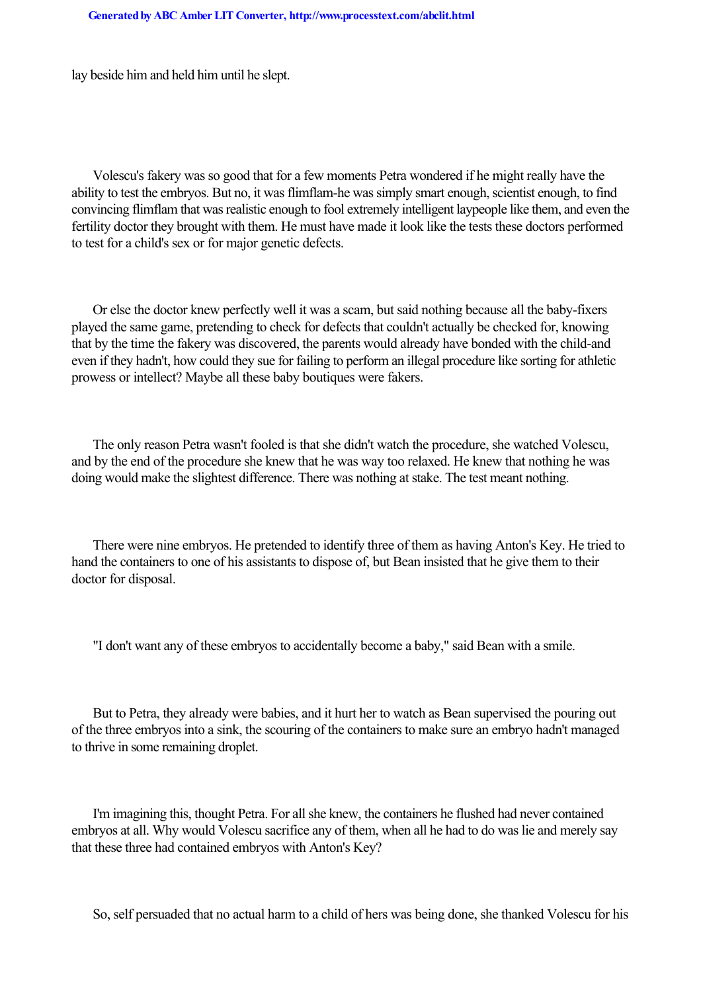lay beside him and held him until he slept.

 Volescu's fakery was so good that for a few moments Petra wondered if he might really have the ability to test the embryos. But no, it was flimflam-he was simply smart enough, scientist enough, to find convincing flimflam that was realistic enough to fool extremely intelligent laypeople like them, and even the fertility doctor they brought with them. He must have made it look like the tests these doctors performed to test for a child's sex or for major genetic defects.

 Or else the doctor knew perfectly well it was a scam, but said nothing because all the baby-fixers played the same game, pretending to check for defects that couldn't actually be checked for, knowing that by the time the fakery was discovered, the parents would already have bonded with the child-and even if they hadn't, how could they sue for failing to perform an illegal procedure like sorting for athletic prowess or intellect? Maybe all these baby boutiques were fakers.

 The only reason Petra wasn't fooled is that she didn't watch the procedure, she watched Volescu, and by the end of the procedure she knew that he was way too relaxed. He knew that nothing he was doing would make the slightest difference. There was nothing at stake. The test meant nothing.

 There were nine embryos. He pretended to identify three of them as having Anton's Key. He tried to hand the containers to one of his assistants to dispose of, but Bean insisted that he give them to their doctor for disposal.

"I don't want any of these embryos to accidentally become a baby," said Bean with a smile.

 But to Petra, they already were babies, and it hurt her to watch as Bean supervised the pouring out of the three embryos into a sink, the scouring of the containers to make sure an embryo hadn't managed to thrive in some remaining droplet.

 I'm imagining this, thought Petra. For all she knew, the containers he flushed had never contained embryos at all. Why would Volescu sacrifice any of them, when all he had to do was lie and merely say that these three had contained embryos with Anton's Key?

So, self persuaded that no actual harm to a child of hers was being done, she thanked Volescu for his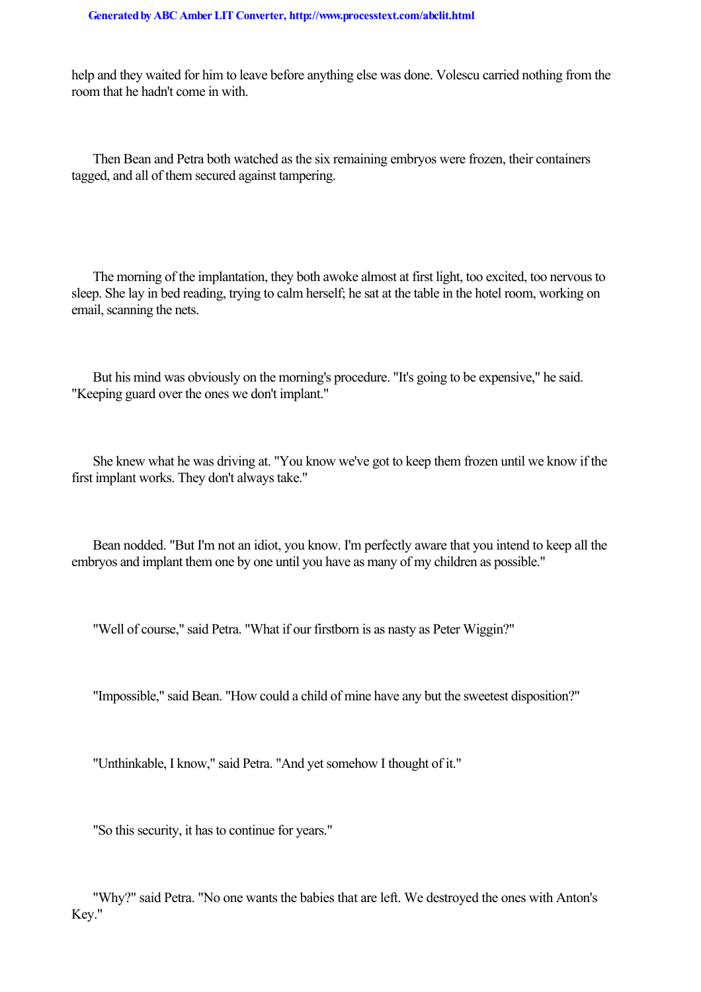help and they waited for him to leave before anything else was done. Volescu carried nothing from the room that he hadn't come in with.

 Then Bean and Petra both watched as the six remaining embryos were frozen, their containers tagged, and all of them secured against tampering.

 The morning of the implantation, they both awoke almost at first light, too excited, too nervous to sleep. She lay in bed reading, trying to calm herself; he sat at the table in the hotel room, working on email, scanning the nets.

 But his mind was obviously on the morning's procedure. "It's going to be expensive," he said. "Keeping guard over the ones we don't implant."

 She knew what he was driving at. "You know we've got to keep them frozen until we know if the first implant works. They don't always take."

 Bean nodded. "But I'm not an idiot, you know. I'm perfectly aware that you intend to keep all the embryos and implant them one by one until you have as many of my children as possible."

"Well of course," said Petra. "What if our firstborn is as nasty as Peter Wiggin?"

"Impossible," said Bean. "How could a child of mine have any but the sweetest disposition?"

"Unthinkable, I know," said Petra. "And yet somehow I thought of it."

"So this security, it has to continue for years."

 "Why?" said Petra. "No one wants the babies that are left. We destroyed the ones with Anton's Key."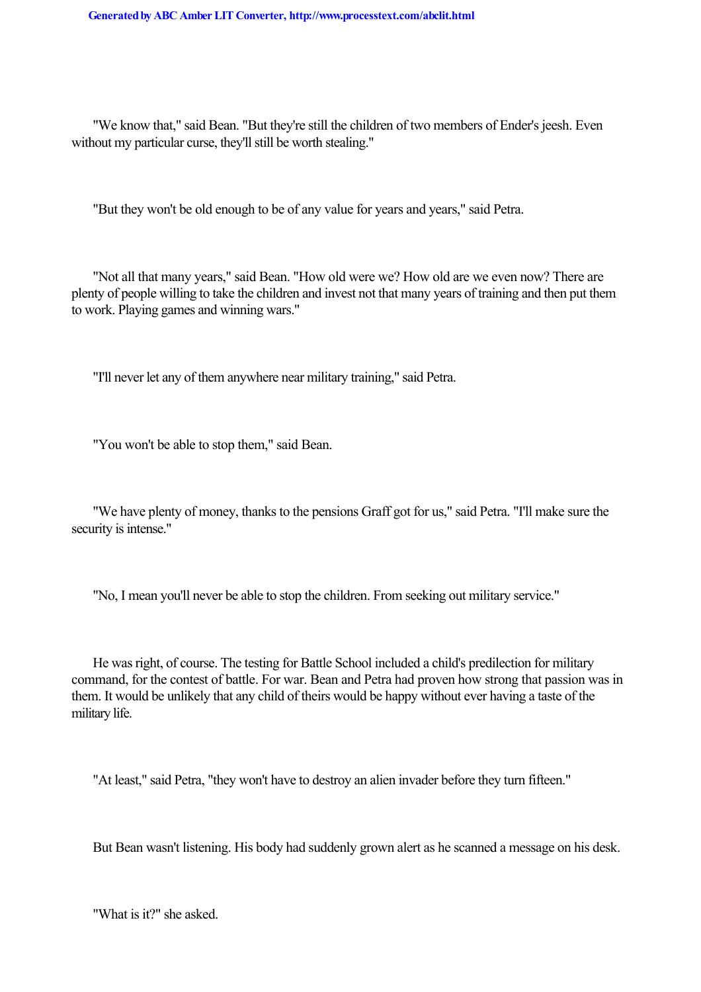"We know that," said Bean. "But they're still the children of two members of Ender's jeesh. Even without my particular curse, they'll still be worth stealing."

"But they won't be old enough to be of any value for years and years," said Petra.

 "Not all that many years," said Bean. "How old were we? How old are we even now? There are plenty of people willing to take the children and invest not that many years of training and then put them to work. Playing games and winning wars."

"I'll never let any of them anywhere near military training," said Petra.

"You won't be able to stop them," said Bean.

 "We have plenty of money, thanks to the pensions Graff got for us," said Petra. "I'll make sure the security is intense."

"No, I mean you'll never be able to stop the children. From seeking out military service."

 He was right, of course. The testing for Battle School included a child's predilection for military command, for the contest of battle. For war. Bean and Petra had proven how strong that passion was in them. It would be unlikely that any child of theirs would be happy without ever having a taste of the military life.

"At least," said Petra, "they won't have to destroy an alien invader before they turn fifteen."

But Bean wasn't listening. His body had suddenly grown alert as he scanned a message on his desk.

"What is it?" she asked.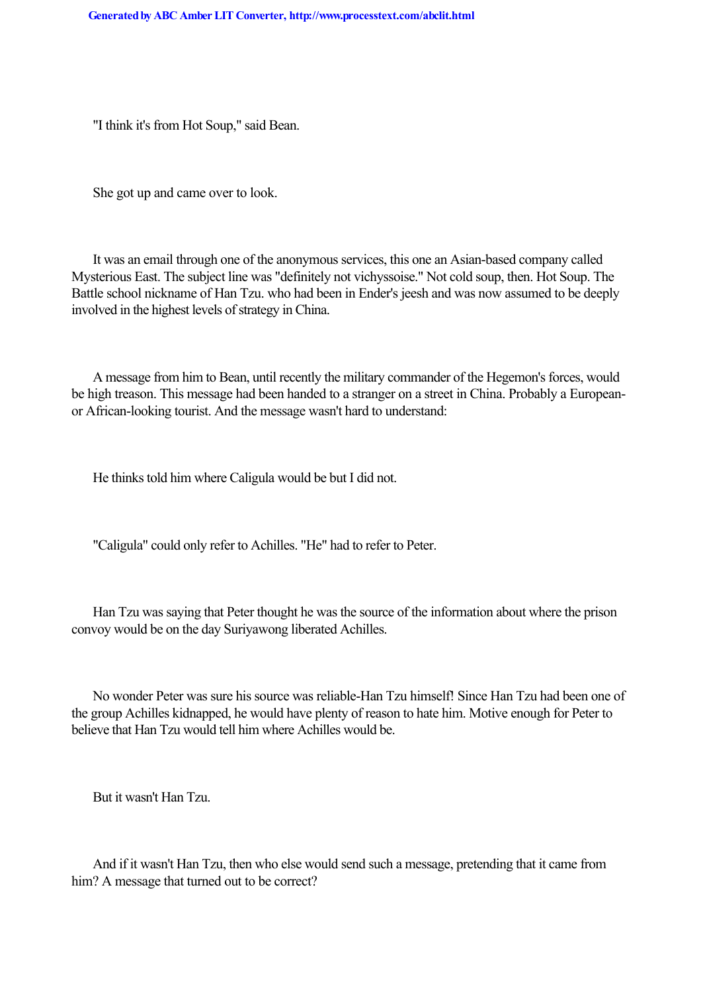"I think it's from Hot Soup," said Bean.

She got up and came over to look.

 It was an email through one of the anonymous services, this one an Asian-based company called Mysterious East. The subject line was "definitely not vichyssoise." Not cold soup, then. Hot Soup. The Battle school nickname of Han Tzu. who had been in Ender's jeesh and was now assumed to be deeply involved in the highest levels of strategy in China.

 A message from him to Bean, until recently the military commander of the Hegemon's forces, would be high treason. This message had been handed to a stranger on a street in China. Probably a Europeanor African-looking tourist. And the message wasn't hard to understand:

He thinks told him where Caligula would be but I did not.

"Caligula" could only refer to Achilles. "He" had to refer to Peter.

 Han Tzu was saying that Peter thought he was the source of the information about where the prison convoy would be on the day Suriyawong liberated Achilles.

 No wonder Peter was sure his source was reliable-Han Tzu himself! Since Han Tzu had been one of the group Achilles kidnapped, he would have plenty of reason to hate him. Motive enough for Peter to believe that Han Tzu would tell him where Achilles would be.

But it wasn't Han Tzu.

 And if it wasn't Han Tzu, then who else would send such a message, pretending that it came from him? A message that turned out to be correct?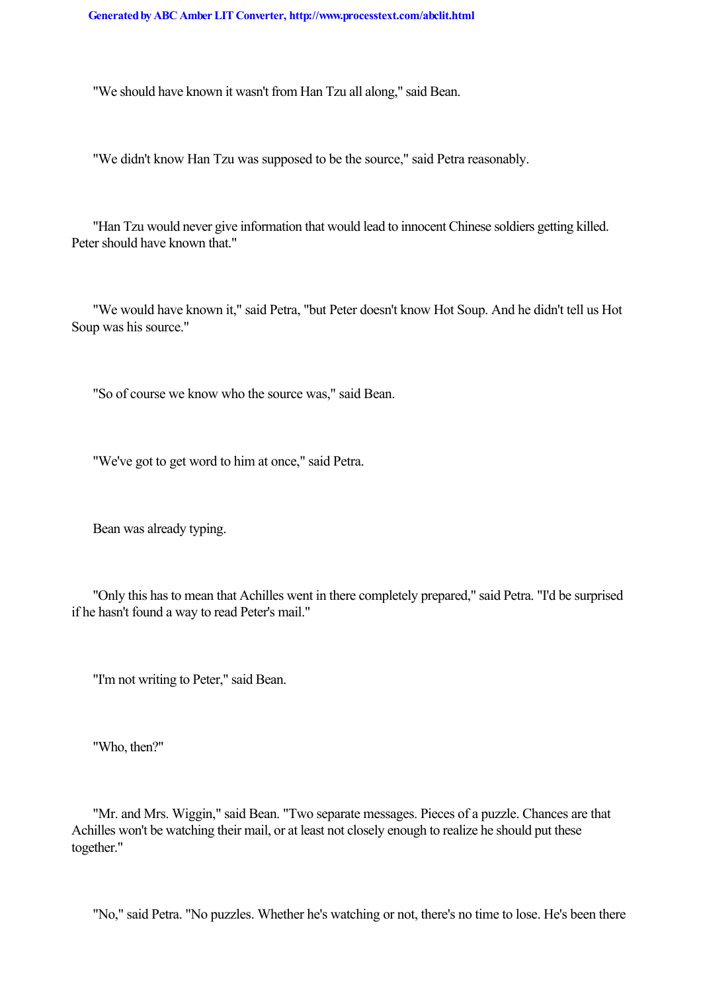"We should have known it wasn't from Han Tzu all along," said Bean.

"We didn't know Han Tzu was supposed to be the source," said Petra reasonably.

 "Han Tzu would never give information that would lead to innocent Chinese soldiers getting killed. Peter should have known that."

 "We would have known it," said Petra, "but Peter doesn't know Hot Soup. And he didn't tell us Hot Soup was his source."

"So of course we know who the source was," said Bean.

"We've got to get word to him at once," said Petra.

Bean was already typing.

 "Only this has to mean that Achilles went in there completely prepared," said Petra. "I'd be surprised if he hasn't found a way to read Peter's mail."

"I'm not writing to Peter," said Bean.

"Who, then?"

 "Mr. and Mrs. Wiggin," said Bean. "Two separate messages. Pieces of a puzzle. Chances are that Achilles won't be watching their mail, or at least not closely enough to realize he should put these together."

"No," said Petra. "No puzzles. Whether he's watching or not, there's no time to lose. He's been there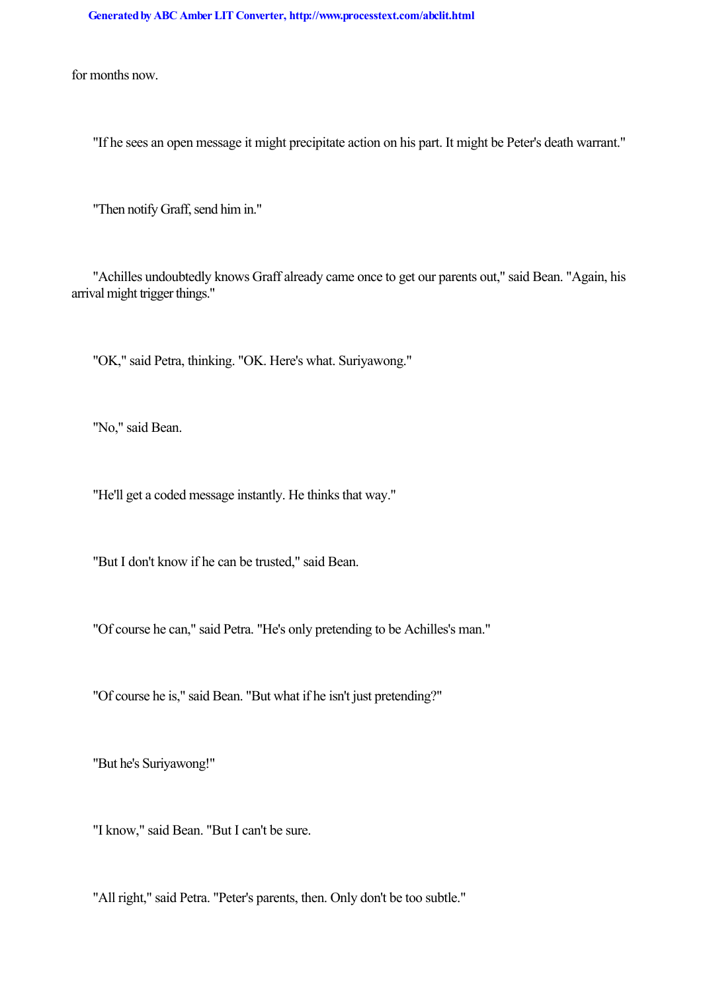for months now.

"If he sees an open message it might precipitate action on his part. It might be Peter's death warrant."

"Then notify Graff, send him in."

 "Achilles undoubtedly knows Graff already came once to get our parents out," said Bean. "Again, his arrival might trigger things."

"OK," said Petra, thinking. "OK. Here's what. Suriyawong."

"No," said Bean.

"He'll get a coded message instantly. He thinks that way."

"But I don't know if he can be trusted," said Bean.

"Of course he can," said Petra. "He's only pretending to be Achilles's man."

"Of course he is," said Bean. "But what if he isn't just pretending?"

"But he's Suriyawong!"

"I know," said Bean. "But I can't be sure.

"All right," said Petra. "Peter's parents, then. Only don't be too subtle."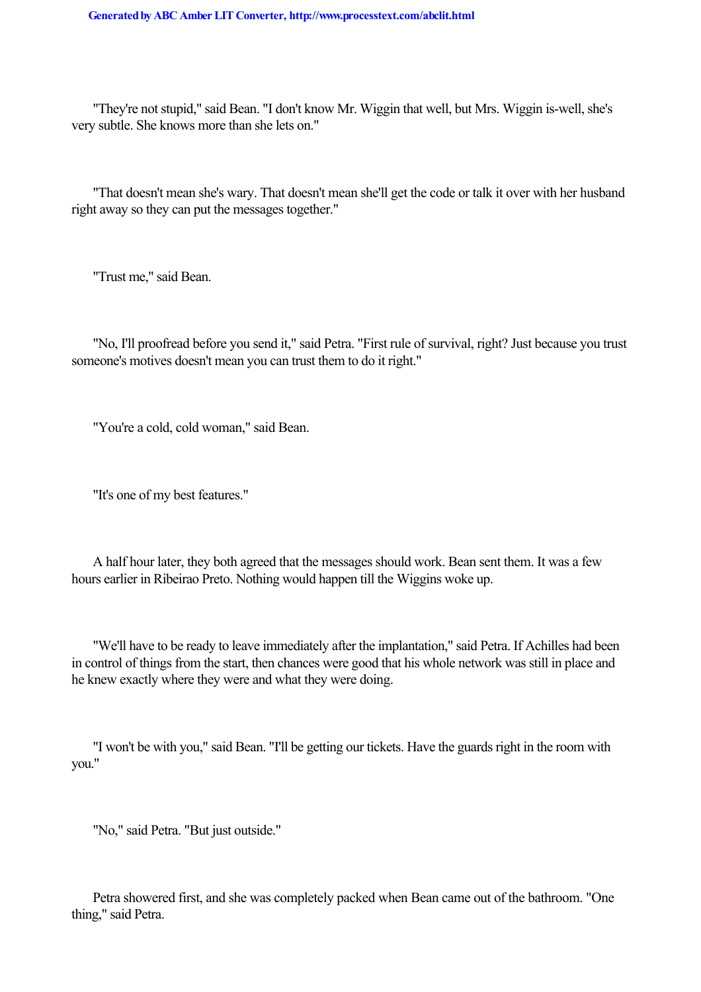"They're not stupid," said Bean. "I don't know Mr. Wiggin that well, but Mrs. Wiggin is-well, she's very subtle. She knows more than she lets on."

 "That doesn't mean she's wary. That doesn't mean she'll get the code or talk it over with her husband right away so they can put the messages together."

"Trust me," said Bean.

 "No, I'll proofread before you send it," said Petra. "First rule of survival, right? Just because you trust someone's motives doesn't mean you can trust them to do it right."

"You're a cold, cold woman," said Bean.

"It's one of my best features."

 A half hour later, they both agreed that the messages should work. Bean sent them. It was a few hours earlier in Ribeirao Preto. Nothing would happen till the Wiggins woke up.

 "We'll have to be ready to leave immediately after the implantation," said Petra. If Achilles had been in control of things from the start, then chances were good that his whole network was still in place and he knew exactly where they were and what they were doing.

 "I won't be with you," said Bean. "I'll be getting our tickets. Have the guards right in the room with you."

"No," said Petra. "But just outside."

 Petra showered first, and she was completely packed when Bean came out of the bathroom. "One thing," said Petra.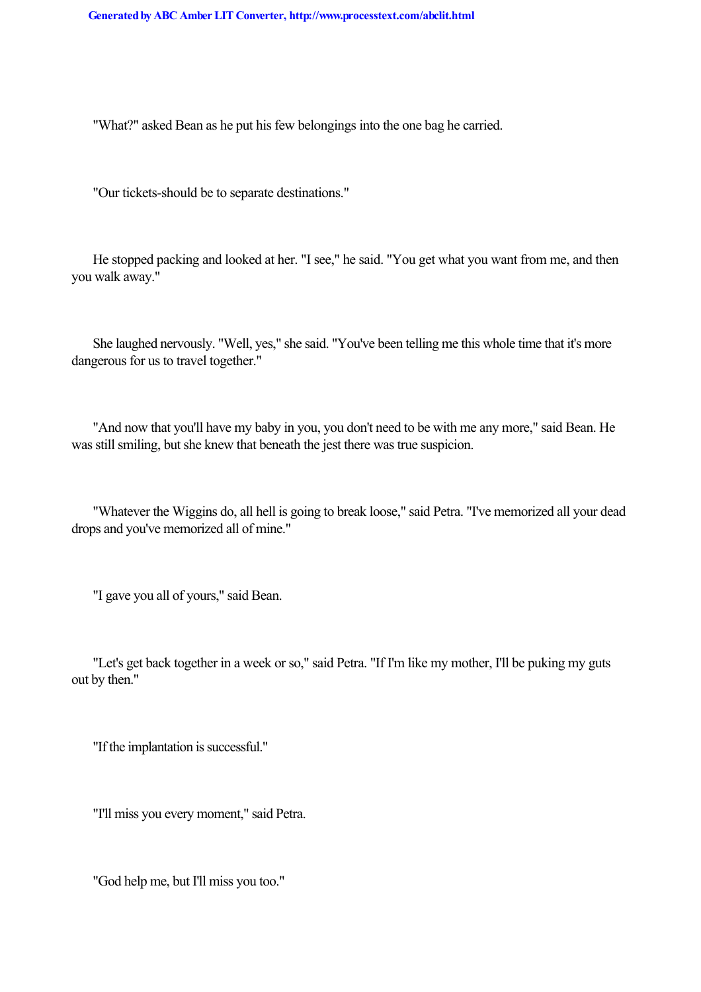"What?" asked Bean as he put his few belongings into the one bag he carried.

"Our tickets-should be to separate destinations."

 He stopped packing and looked at her. "I see," he said. "You get what you want from me, and then you walk away."

 She laughed nervously. "Well, yes," she said. "You've been telling me this whole time that it's more dangerous for us to travel together."

 "And now that you'll have my baby in you, you don't need to be with me any more," said Bean. He was still smiling, but she knew that beneath the jest there was true suspicion.

 "Whatever the Wiggins do, all hell is going to break loose," said Petra. "I've memorized all your dead drops and you've memorized all of mine."

"I gave you all of yours," said Bean.

 "Let's get back together in a week or so," said Petra. "If I'm like my mother, I'll be puking my guts out by then."

"If the implantation is successful."

"I'll miss you every moment," said Petra.

"God help me, but I'll miss you too."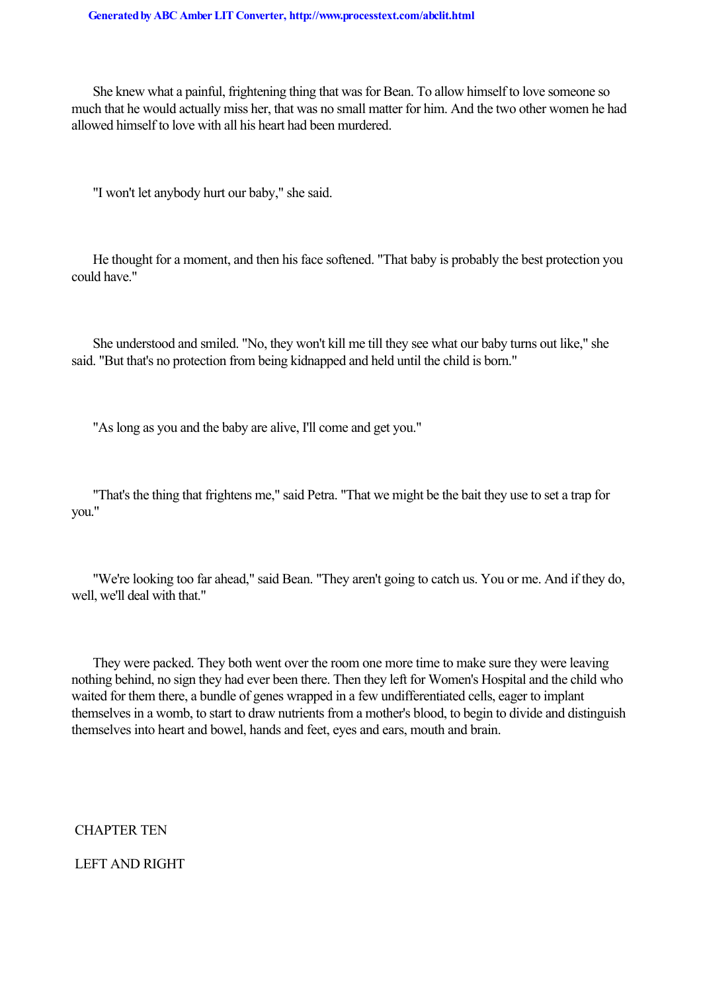She knew what a painful, frightening thing that was for Bean. To allow himself to love someone so much that he would actually miss her, that was no small matter for him. And the two other women he had allowed himself to love with all his heart had been murdered.

"I won't let anybody hurt our baby," she said.

 He thought for a moment, and then his face softened. "That baby is probably the best protection you could have."

 She understood and smiled. "No, they won't kill me till they see what our baby turns out like," she said. "But that's no protection from being kidnapped and held until the child is born."

"As long as you and the baby are alive, I'll come and get you."

 "That's the thing that frightens me," said Petra. "That we might be the bait they use to set a trap for you."

 "We're looking too far ahead," said Bean. "They aren't going to catch us. You or me. And if they do, well, we'll deal with that."

 They were packed. They both went over the room one more time to make sure they were leaving nothing behind, no sign they had ever been there. Then they left for Women's Hospital and the child who waited for them there, a bundle of genes wrapped in a few undifferentiated cells, eager to implant themselves in a womb, to start to draw nutrients from a mother's blood, to begin to divide and distinguish themselves into heart and bowel, hands and feet, eyes and ears, mouth and brain.

CHAPTER TEN

LEFT AND RIGHT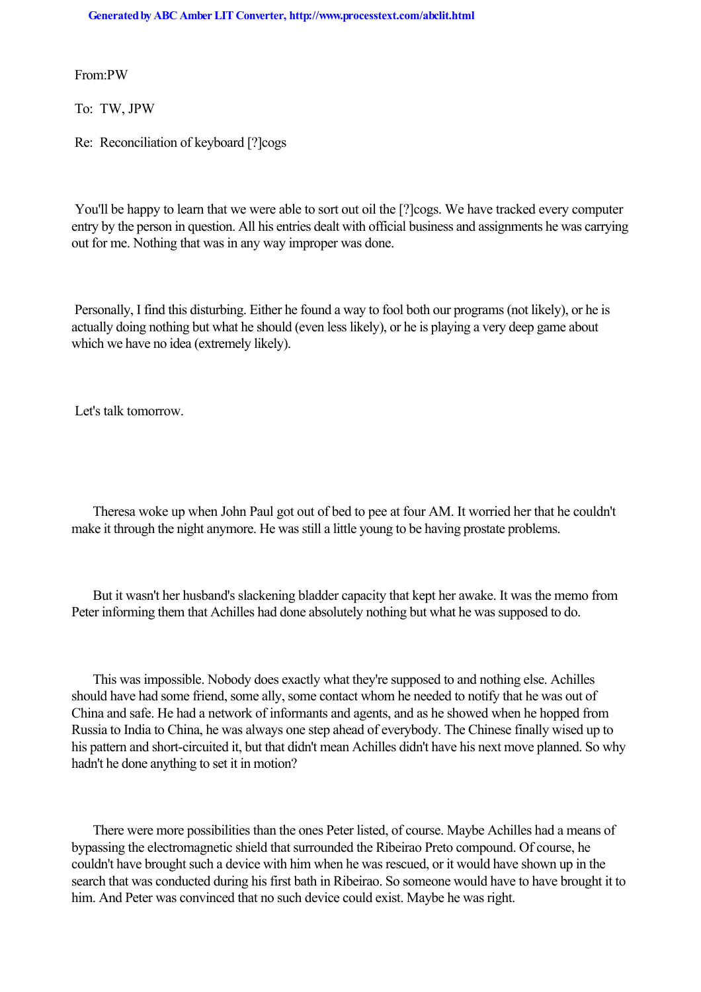From:PW

To: TW, JPW

Re: Reconciliation of keyboard [?]cogs

 You'll be happy to learn that we were able to sort out oil the [?]cogs. We have tracked every computer entry by the person in question. All his entries dealt with official business and assignments he was carrying out for me. Nothing that was in any way improper was done.

 Personally, I find this disturbing. Either he found a way to fool both our programs (not likely), or he is actually doing nothing but what he should (even less likely), or he is playing a very deep game about which we have no idea (extremely likely).

Let's talk tomorrow.

 Theresa woke up when John Paul got out of bed to pee at four AM. It worried her that he couldn't make it through the night anymore. He was still a little young to be having prostate problems.

 But it wasn't her husband's slackening bladder capacity that kept her awake. It was the memo from Peter informing them that Achilles had done absolutely nothing but what he was supposed to do.

 This was impossible. Nobody does exactly what they're supposed to and nothing else. Achilles should have had some friend, some ally, some contact whom he needed to notify that he was out of China and safe. He had a network of informants and agents, and as he showed when he hopped from Russia to India to China, he was always one step ahead of everybody. The Chinese finally wised up to his pattern and short-circuited it, but that didn't mean Achilles didn't have his next move planned. So why hadn't he done anything to set it in motion?

 There were more possibilities than the ones Peter listed, of course. Maybe Achilles had a means of bypassing the electromagnetic shield that surrounded the Ribeirao Preto compound. Of course, he couldn't have brought such a device with him when he was rescued, or it would have shown up in the search that was conducted during his first bath in Ribeirao. So someone would have to have brought it to him. And Peter was convinced that no such device could exist. Maybe he was right.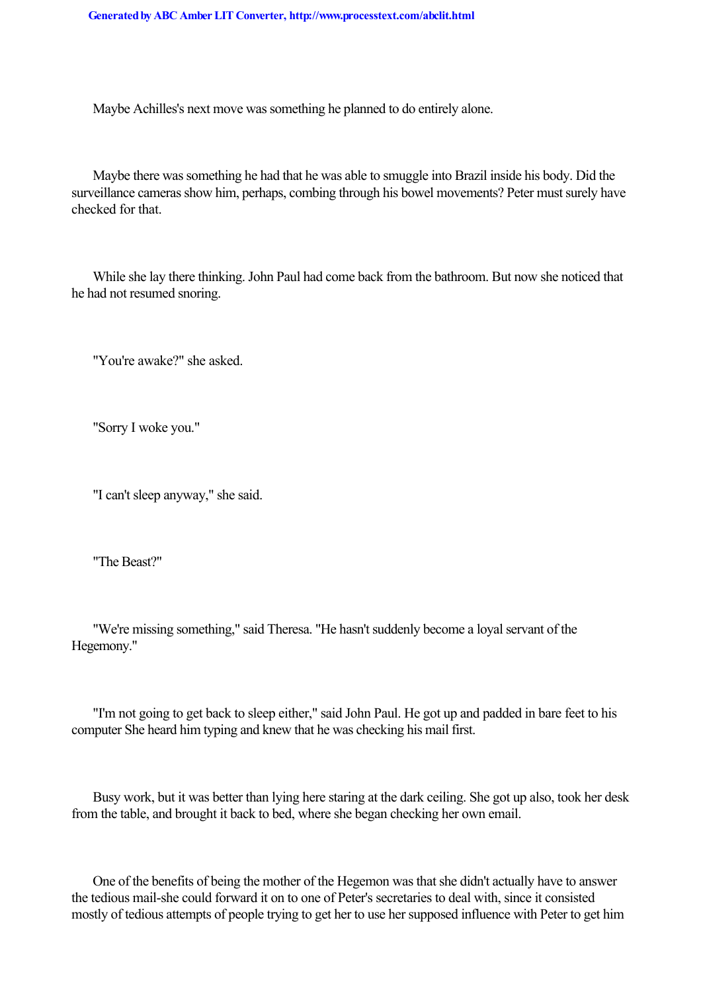Maybe Achilles's next move was something he planned to do entirely alone.

 Maybe there was something he had that he was able to smuggle into Brazil inside his body. Did the surveillance cameras show him, perhaps, combing through his bowel movements? Peter must surely have checked for that.

 While she lay there thinking. John Paul had come back from the bathroom. But now she noticed that he had not resumed snoring.

"You're awake?" she asked.

"Sorry I woke you."

"I can't sleep anyway," she said.

"The Beast?"

 "We're missing something," said Theresa. "He hasn't suddenly become a loyal servant of the Hegemony."

 "I'm not going to get back to sleep either," said John Paul. He got up and padded in bare feet to his computer She heard him typing and knew that he was checking his mail first.

 Busy work, but it was better than lying here staring at the dark ceiling. She got up also, took her desk from the table, and brought it back to bed, where she began checking her own email.

 One of the benefits of being the mother of the Hegemon was that she didn't actually have to answer the tedious mail-she could forward it on to one of Peter's secretaries to deal with, since it consisted mostly of tedious attempts of people trying to get her to use her supposed influence with Peter to get him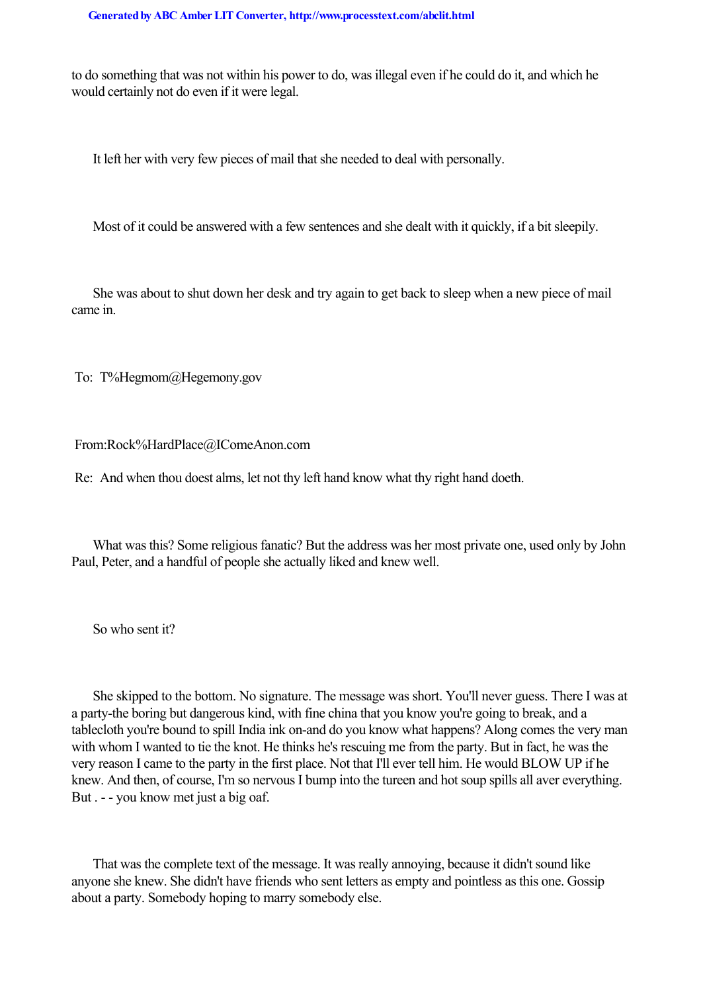to do something that was not within his power to do, was illegal even if he could do it, and which he would certainly not do even if it were legal.

It left her with very few pieces of mail that she needed to deal with personally.

Most of it could be answered with a few sentences and she dealt with it quickly, if a bit sleepily.

 She was about to shut down her desk and try again to get back to sleep when a new piece of mail came in.

To: T%Hegmom@Hegemony.gov

From:Rock%HardPlace@IComeAnon.com

Re: And when thou doest alms, let not thy left hand know what thy right hand doeth.

 What was this? Some religious fanatic? But the address was her most private one, used only by John Paul, Peter, and a handful of people she actually liked and knew well.

So who sent it?

 She skipped to the bottom. No signature. The message was short. You'll never guess. There I was at a party-the boring but dangerous kind, with fine china that you know you're going to break, and a tablecloth you're bound to spill India ink on-and do you know what happens? Along comes the very man with whom I wanted to tie the knot. He thinks he's rescuing me from the party. But in fact, he was the very reason I came to the party in the first place. Not that I'll ever tell him. He would BLOW UP if he knew. And then, of course, I'm so nervous I bump into the tureen and hot soup spills all aver everything. But . - - you know met just a big oaf.

 That was the complete text of the message. It was really annoying, because it didn't sound like anyone she knew. She didn't have friends who sent letters as empty and pointless as this one. Gossip about a party. Somebody hoping to marry somebody else.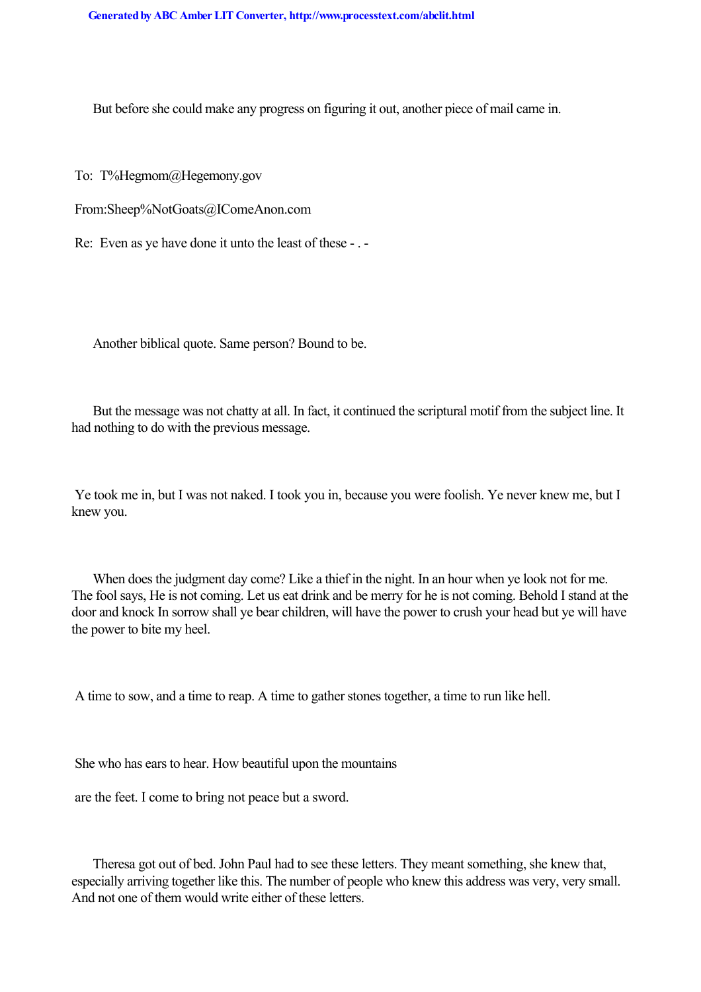But before she could make any progress on figuring it out, another piece of mail came in.

To: T%Hegmom@Hegemony.gov

From:Sheep%NotGoats@IComeAnon.com

Re: Even as ye have done it unto the least of these - . -

Another biblical quote. Same person? Bound to be.

 But the message was not chatty at all. In fact, it continued the scriptural motif from the subject line. It had nothing to do with the previous message.

 Ye took me in, but I was not naked. I took you in, because you were foolish. Ye never knew me, but I knew you.

 When does the judgment day come? Like a thief in the night. In an hour when ye look not for me. The fool says, He is not coming. Let us eat drink and be merry for he is not coming. Behold I stand at the door and knock In sorrow shall ye bear children, will have the power to crush your head but ye will have the power to bite my heel.

A time to sow, and a time to reap. A time to gather stones together, a time to run like hell.

She who has ears to hear. How beautiful upon the mountains

are the feet. I come to bring not peace but a sword.

 Theresa got out of bed. John Paul had to see these letters. They meant something, she knew that, especially arriving together like this. The number of people who knew this address was very, very small. And not one of them would write either of these letters.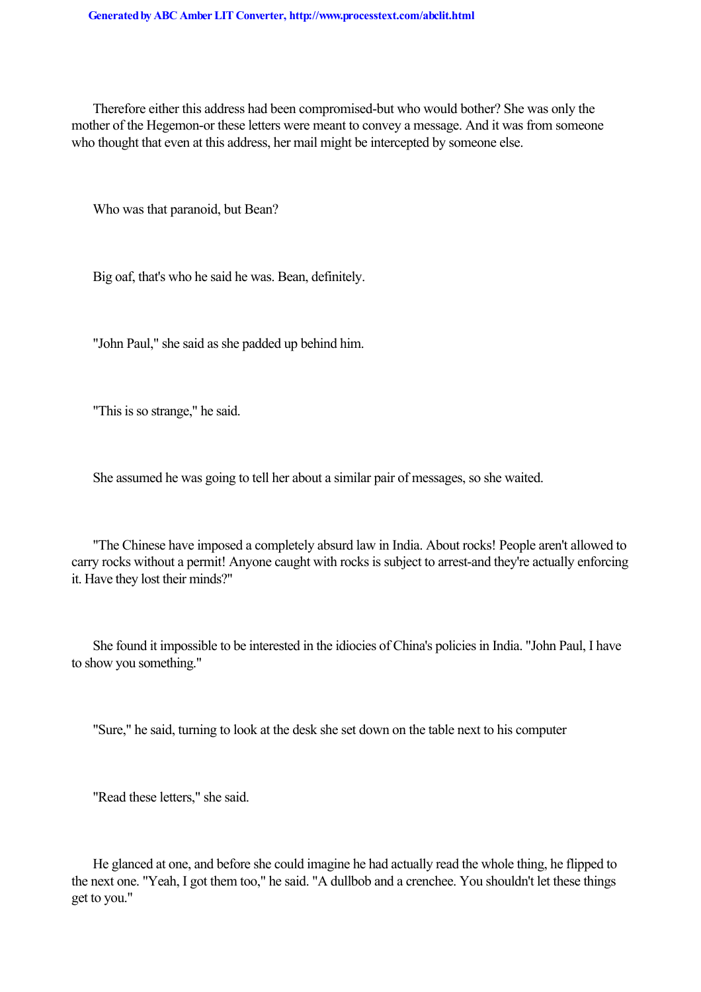Therefore either this address had been compromised-but who would bother? She was only the mother of the Hegemon-or these letters were meant to convey a message. And it was from someone who thought that even at this address, her mail might be intercepted by someone else.

Who was that paranoid, but Bean?

Big oaf, that's who he said he was. Bean, definitely.

"John Paul," she said as she padded up behind him.

"This is so strange," he said.

She assumed he was going to tell her about a similar pair of messages, so she waited.

 "The Chinese have imposed a completely absurd law in India. About rocks! People aren't allowed to carry rocks without a permit! Anyone caught with rocks is subject to arrest-and they're actually enforcing it. Have they lost their minds?"

 She found it impossible to be interested in the idiocies of China's policies in India. "John Paul, I have to show you something."

"Sure," he said, turning to look at the desk she set down on the table next to his computer

"Read these letters," she said.

 He glanced at one, and before she could imagine he had actually read the whole thing, he flipped to the next one. "Yeah, I got them too," he said. "A dullbob and a crenchee. You shouldn't let these things get to you."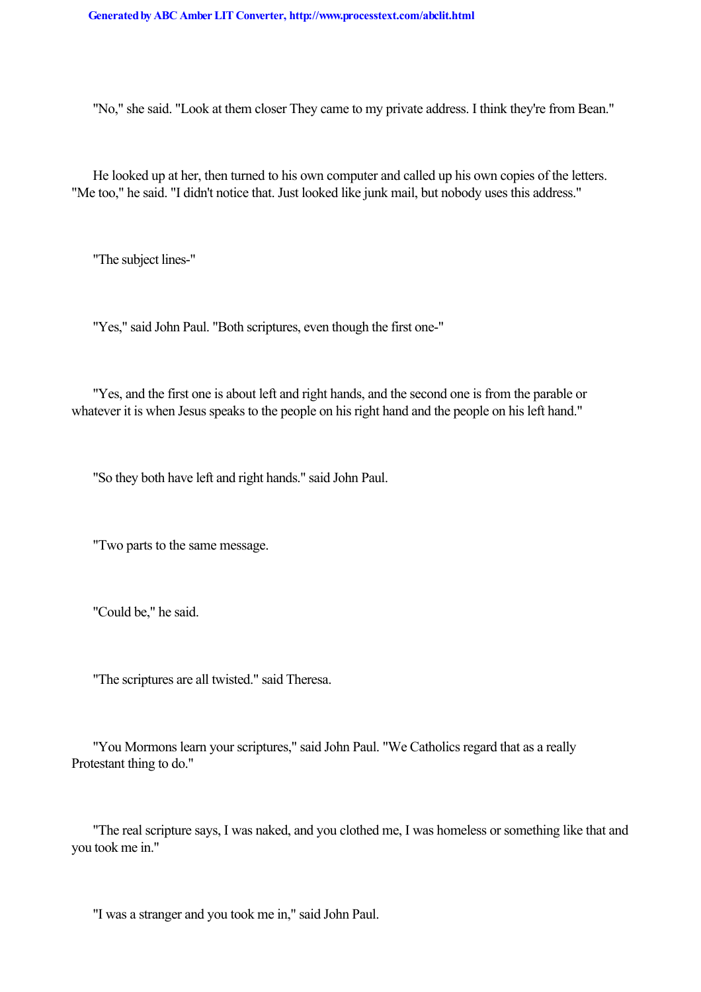"No," she said. "Look at them closer They came to my private address. I think they're from Bean."

 He looked up at her, then turned to his own computer and called up his own copies of the letters. "Me too," he said. "I didn't notice that. Just looked like junk mail, but nobody uses this address."

"The subject lines-"

"Yes," said John Paul. "Both scriptures, even though the first one-"

 "Yes, and the first one is about left and right hands, and the second one is from the parable or whatever it is when Jesus speaks to the people on his right hand and the people on his left hand."

"So they both have left and right hands." said John Paul.

"Two parts to the same message.

"Could be," he said.

"The scriptures are all twisted." said Theresa.

 "You Mormons learn your scriptures," said John Paul. "We Catholics regard that as a really Protestant thing to do."

 "The real scripture says, I was naked, and you clothed me, I was homeless or something like that and you took me in."

"I was a stranger and you took me in," said John Paul.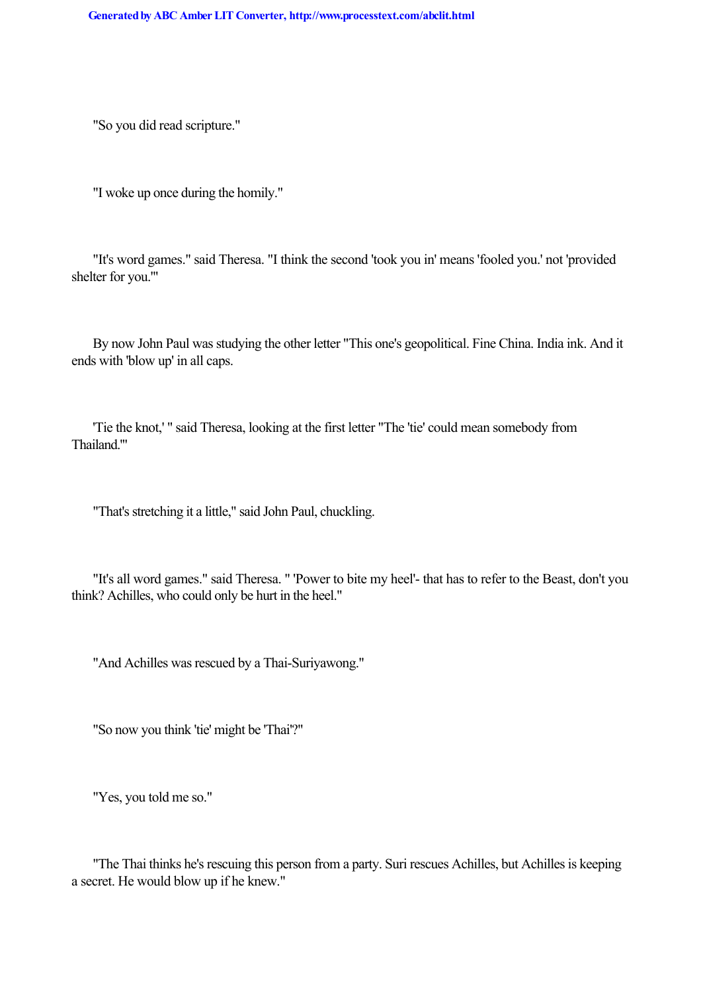"So you did read scripture."

"I woke up once during the homily."

 "It's word games." said Theresa. "I think the second 'took you in' means 'fooled you.' not 'provided shelter for you.'"

 By now John Paul was studying the other letter "This one's geopolitical. Fine China. India ink. And it ends with 'blow up' in all caps.

 'Tie the knot,' " said Theresa, looking at the first letter "The 'tie' could mean somebody from Thailand.'"

"That's stretching it a little," said John Paul, chuckling.

 "It's all word games." said Theresa. " 'Power to bite my heel'- that has to refer to the Beast, don't you think? Achilles, who could only be hurt in the heel."

"And Achilles was rescued by a Thai-Suriyawong."

"So now you think 'tie' might be 'Thai'?"

"Yes, you told me so."

 "The Thai thinks he's rescuing this person from a party. Suri rescues Achilles, but Achilles is keeping a secret. He would blow up if he knew."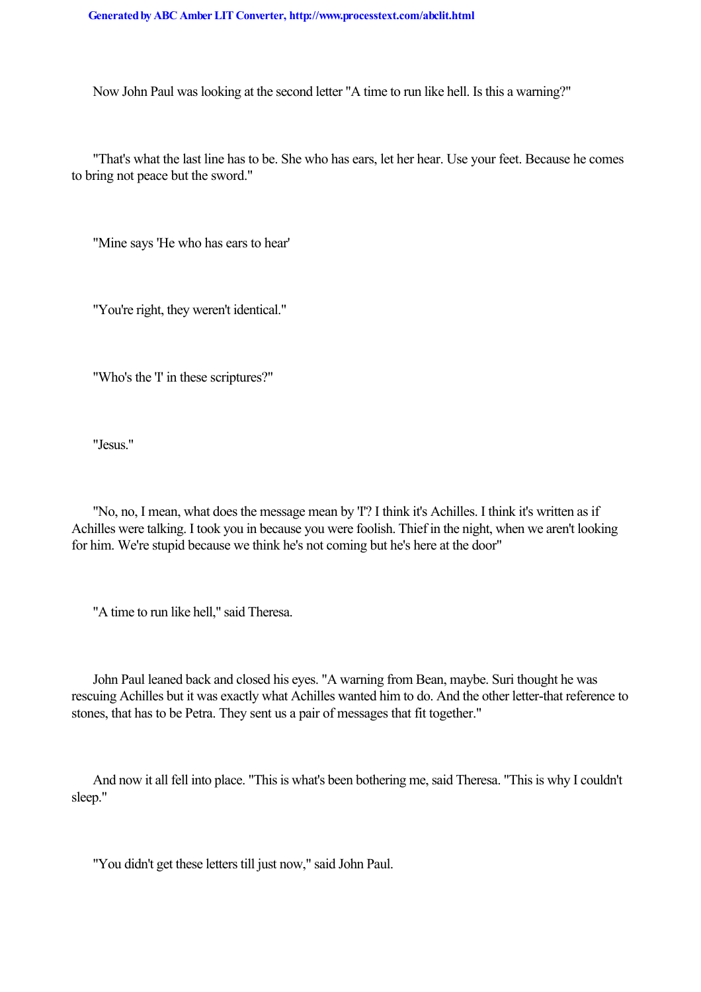Now John Paul was looking at the second letter "A time to run like hell. Is this a warning?"

 "That's what the last line has to be. She who has ears, let her hear. Use your feet. Because he comes to bring not peace but the sword."

"Mine says 'He who has ears to hear'

"You're right, they weren't identical."

"Who's the 'I' in these scriptures?"

"Jesus."

 "No, no, I mean, what does the message mean by 'I'? I think it's Achilles. I think it's written as if Achilles were talking. I took you in because you were foolish. Thief in the night, when we aren't looking for him. We're stupid because we think he's not coming but he's here at the door"

"A time to run like hell," said Theresa.

 John Paul leaned back and closed his eyes. "A warning from Bean, maybe. Suri thought he was rescuing Achilles but it was exactly what Achilles wanted him to do. And the other letter-that reference to stones, that has to be Petra. They sent us a pair of messages that fit together."

 And now it all fell into place. "This is what's been bothering me, said Theresa. "This is why I couldn't sleep."

"You didn't get these letters till just now," said John Paul.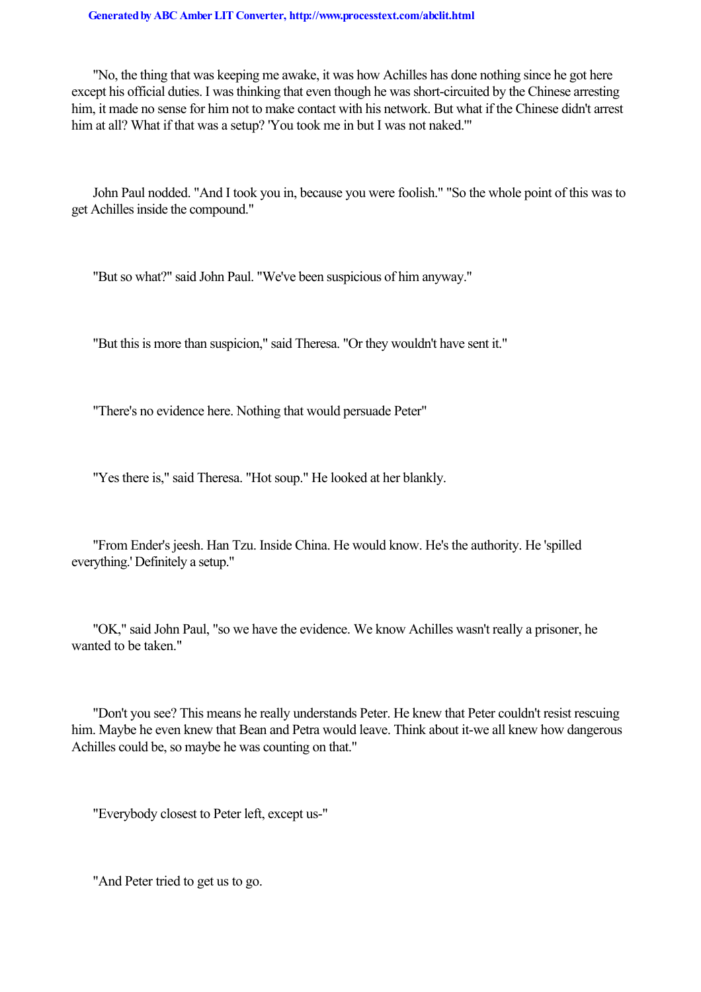"No, the thing that was keeping me awake, it was how Achilles has done nothing since he got here except his official duties. I was thinking that even though he was short-circuited by the Chinese arresting him, it made no sense for him not to make contact with his network. But what if the Chinese didn't arrest him at all? What if that was a setup? 'You took me in but I was not naked.'"

 John Paul nodded. "And I took you in, because you were foolish." "So the whole point of this was to get Achilles inside the compound."

"But so what?" said John Paul. "We've been suspicious of him anyway."

"But this is more than suspicion," said Theresa. "Or they wouldn't have sent it."

"There's no evidence here. Nothing that would persuade Peter"

"Yes there is," said Theresa. "Hot soup." He looked at her blankly.

 "From Ender's jeesh. Han Tzu. Inside China. He would know. He's the authority. He 'spilled everything.' Definitely a setup."

 "OK," said John Paul, "so we have the evidence. We know Achilles wasn't really a prisoner, he wanted to be taken."

 "Don't you see? This means he really understands Peter. He knew that Peter couldn't resist rescuing him. Maybe he even knew that Bean and Petra would leave. Think about it-we all knew how dangerous Achilles could be, so maybe he was counting on that."

"Everybody closest to Peter left, except us-"

"And Peter tried to get us to go.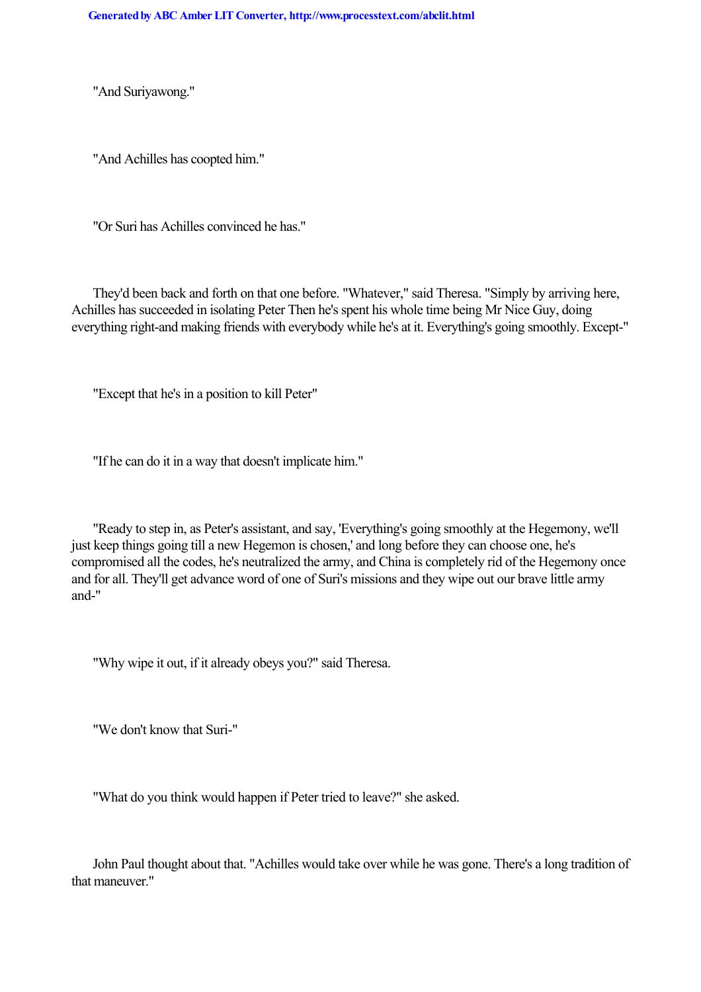"And Suriyawong."

"And Achilles has coopted him."

"Or Suri has Achilles convinced he has."

 They'd been back and forth on that one before. "Whatever," said Theresa. "Simply by arriving here, Achilles has succeeded in isolating Peter Then he's spent his whole time being Mr Nice Guy, doing everything right-and making friends with everybody while he's at it. Everything's going smoothly. Except-"

"Except that he's in a position to kill Peter"

"If he can do it in a way that doesn't implicate him."

 "Ready to step in, as Peter's assistant, and say, 'Everything's going smoothly at the Hegemony, we'll just keep things going till a new Hegemon is chosen,' and long before they can choose one, he's compromised all the codes, he's neutralized the army, and China is completely rid of the Hegemony once and for all. They'll get advance word of one of Suri's missions and they wipe out our brave little army and-"

"Why wipe it out, if it already obeys you?" said Theresa.

"We don't know that Suri-"

"What do you think would happen if Peter tried to leave?" she asked.

 John Paul thought about that. "Achilles would take over while he was gone. There's a long tradition of that maneuver."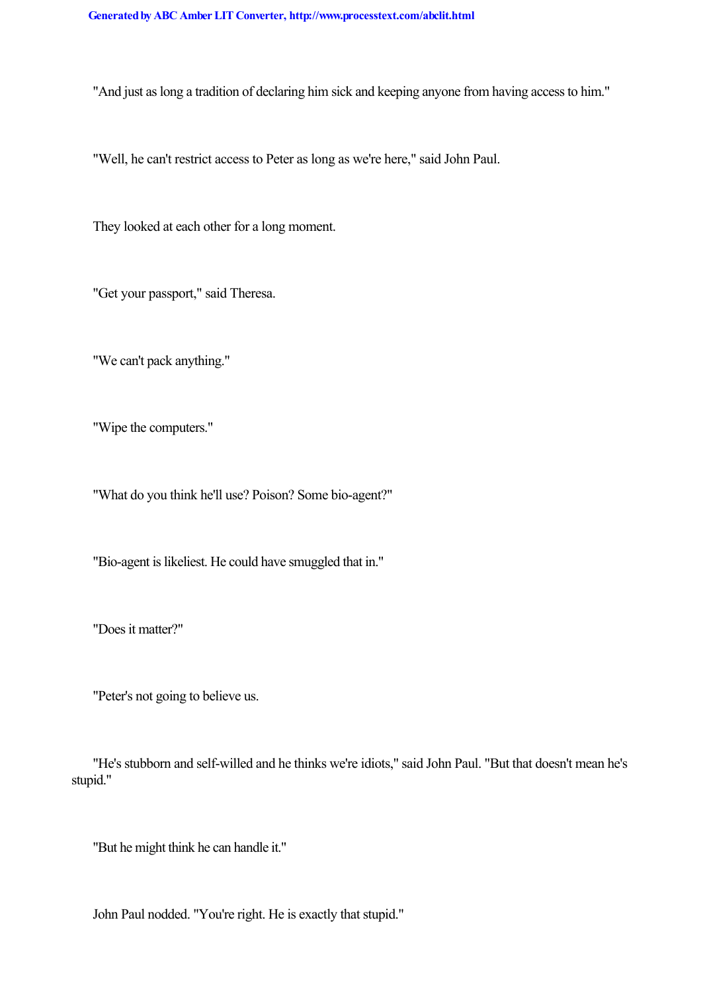"And just as long a tradition of declaring him sick and keeping anyone from having access to him."

"Well, he can't restrict access to Peter as long as we're here," said John Paul.

They looked at each other for a long moment.

"Get your passport," said Theresa.

"We can't pack anything."

"Wipe the computers."

"What do you think he'll use? Poison? Some bio-agent?"

"Bio-agent is likeliest. He could have smuggled that in."

"Does it matter?"

"Peter's not going to believe us.

 "He's stubborn and self-willed and he thinks we're idiots," said John Paul. "But that doesn't mean he's stupid."

"But he might think he can handle it."

John Paul nodded. "You're right. He is exactly that stupid."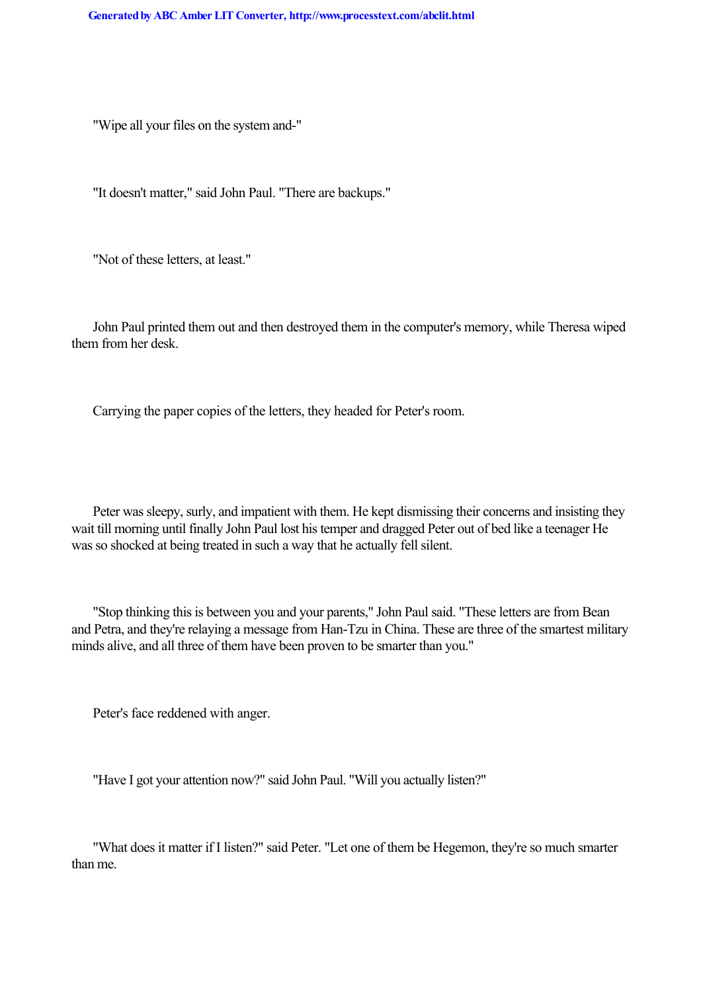"Wipe all your files on the system and-"

"It doesn't matter," said John Paul. "There are backups."

"Not of these letters, at least."

 John Paul printed them out and then destroyed them in the computer's memory, while Theresa wiped them from her desk.

Carrying the paper copies of the letters, they headed for Peter's room.

 Peter was sleepy, surly, and impatient with them. He kept dismissing their concerns and insisting they wait till morning until finally John Paul lost his temper and dragged Peter out of bed like a teenager He was so shocked at being treated in such a way that he actually fell silent.

 "Stop thinking this is between you and your parents," John Paul said. "These letters are from Bean and Petra, and they're relaying a message from Han-Tzu in China. These are three of the smartest military minds alive, and all three of them have been proven to be smarter than you."

Peter's face reddened with anger.

"Have I got your attention now?" said John Paul. "Will you actually listen?"

 "What does it matter if I listen?" said Peter. "Let one of them be Hegemon, they're so much smarter than me.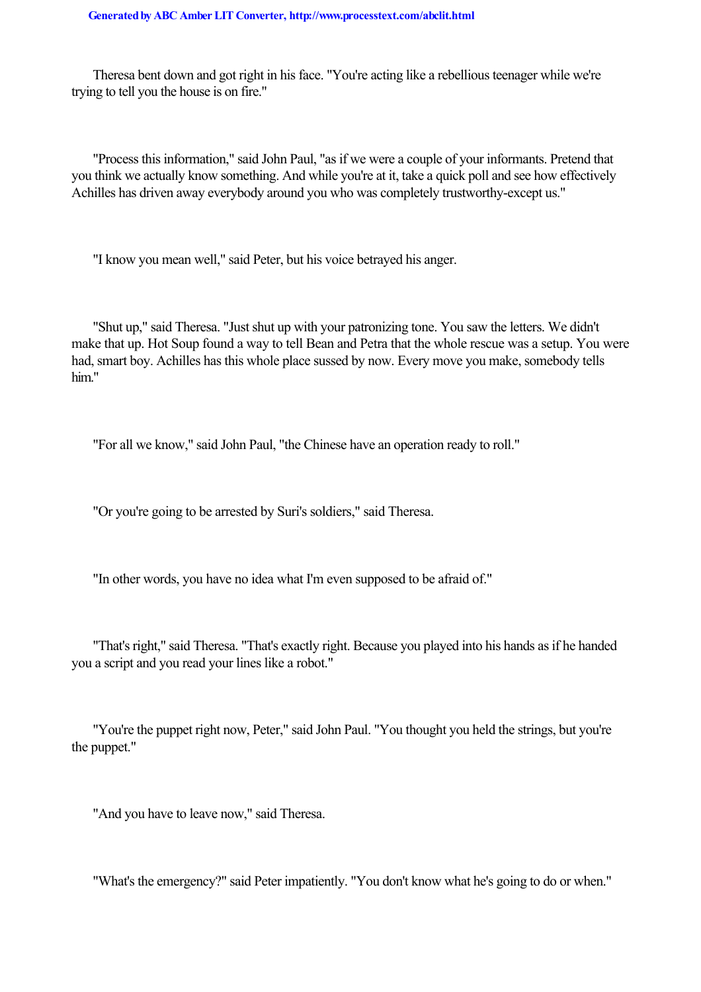Theresa bent down and got right in his face. "You're acting like a rebellious teenager while we're trying to tell you the house is on fire."

 "Process this information," said John Paul, "as if we were a couple of your informants. Pretend that you think we actually know something. And while you're at it, take a quick poll and see how effectively Achilles has driven away everybody around you who was completely trustworthy-except us."

"I know you mean well," said Peter, but his voice betrayed his anger.

 "Shut up," said Theresa. "Just shut up with your patronizing tone. You saw the letters. We didn't make that up. Hot Soup found a way to tell Bean and Petra that the whole rescue was a setup. You were had, smart boy. Achilles has this whole place sussed by now. Every move you make, somebody tells him."

"For all we know," said John Paul, "the Chinese have an operation ready to roll."

"Or you're going to be arrested by Suri's soldiers," said Theresa.

"In other words, you have no idea what I'm even supposed to be afraid of."

 "That's right," said Theresa. "That's exactly right. Because you played into his hands as if he handed you a script and you read your lines like a robot."

 "You're the puppet right now, Peter," said John Paul. "You thought you held the strings, but you're the puppet."

"And you have to leave now," said Theresa.

"What's the emergency?" said Peter impatiently. "You don't know what he's going to do or when."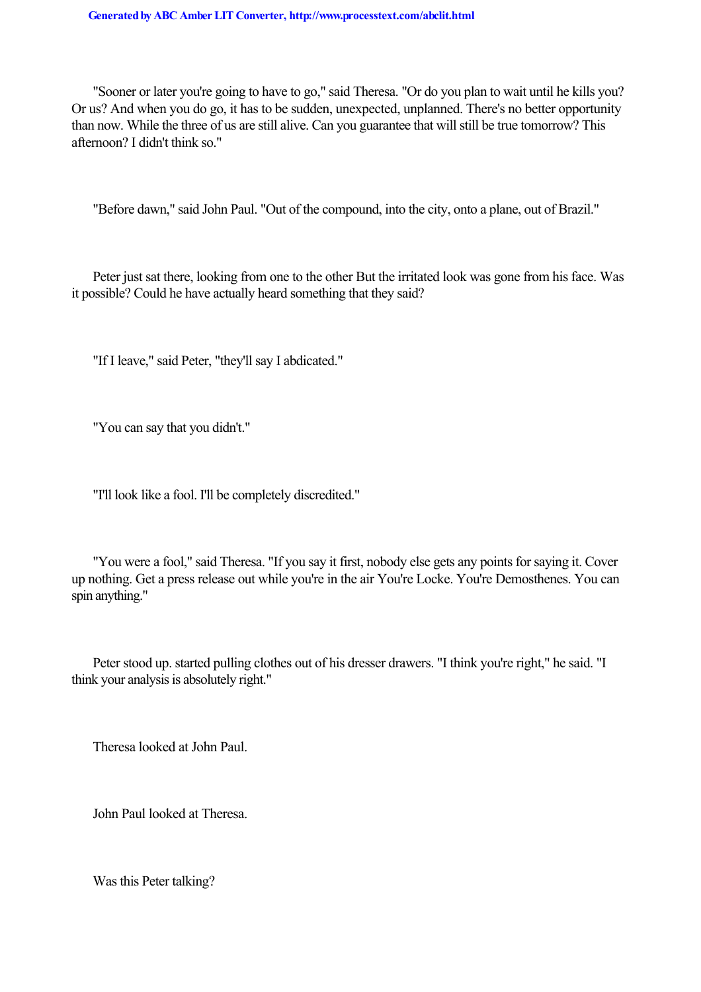"Sooner or later you're going to have to go," said Theresa. "Or do you plan to wait until he kills you? Or us? And when you do go, it has to be sudden, unexpected, unplanned. There's no better opportunity than now. While the three of us are still alive. Can you guarantee that will still be true tomorrow? This afternoon? I didn't think so."

"Before dawn," said John Paul. "Out of the compound, into the city, onto a plane, out of Brazil."

 Peter just sat there, looking from one to the other But the irritated look was gone from his face. Was it possible? Could he have actually heard something that they said?

"If I leave," said Peter, "they'll say I abdicated."

"You can say that you didn't."

"I'll look like a fool. I'll be completely discredited."

 "You were a fool," said Theresa. "If you say it first, nobody else gets any points for saying it. Cover up nothing. Get a press release out while you're in the air You're Locke. You're Demosthenes. You can spin anything."

 Peter stood up. started pulling clothes out of his dresser drawers. "I think you're right," he said. "I think your analysis is absolutely right."

Theresa looked at John Paul.

John Paul looked at Theresa.

Was this Peter talking?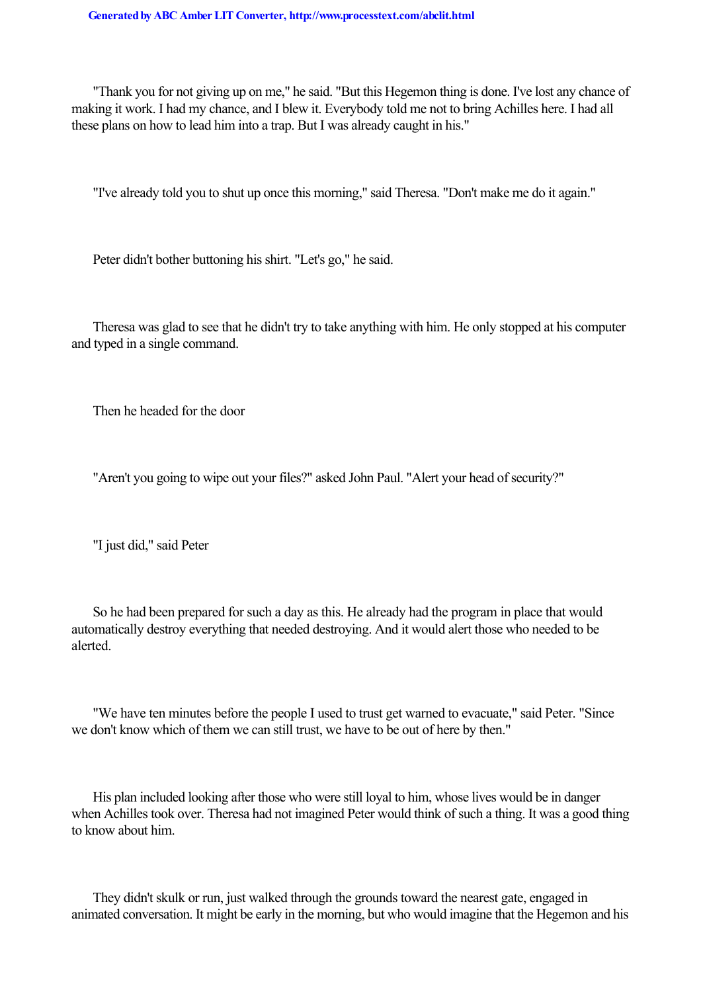"Thank you for not giving up on me," he said. "But this Hegemon thing is done. I've lost any chance of making it work. I had my chance, and I blew it. Everybody told me not to bring Achilles here. I had all these plans on how to lead him into a trap. But I was already caught in his."

"I've already told you to shut up once this morning," said Theresa. "Don't make me do it again."

Peter didn't bother buttoning his shirt. "Let's go," he said.

 Theresa was glad to see that he didn't try to take anything with him. He only stopped at his computer and typed in a single command.

Then he headed for the door

"Aren't you going to wipe out your files?" asked John Paul. "Alert your head of security?"

"I just did," said Peter

 So he had been prepared for such a day as this. He already had the program in place that would automatically destroy everything that needed destroying. And it would alert those who needed to be alerted.

 "We have ten minutes before the people I used to trust get warned to evacuate," said Peter. "Since we don't know which of them we can still trust, we have to be out of here by then."

 His plan included looking after those who were still loyal to him, whose lives would be in danger when Achilles took over. Theresa had not imagined Peter would think of such a thing. It was a good thing to know about him.

 They didn't skulk or run, just walked through the grounds toward the nearest gate, engaged in animated conversation. It might be early in the morning, but who would imagine that the Hegemon and his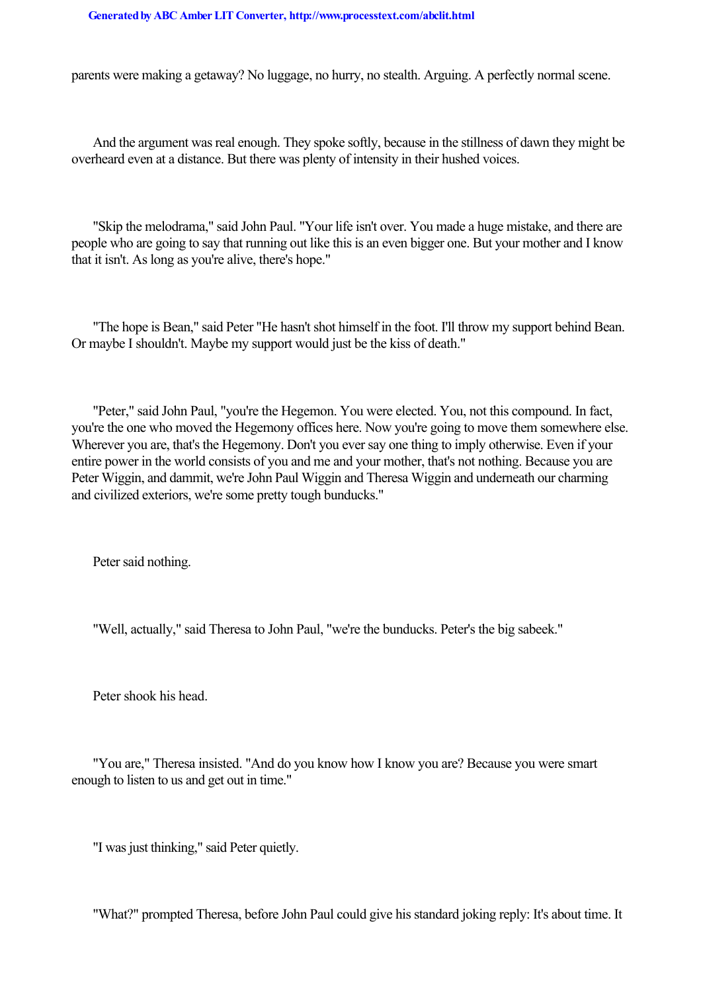parents were making a getaway? No luggage, no hurry, no stealth. Arguing. A perfectly normal scene.

 And the argument was real enough. They spoke softly, because in the stillness of dawn they might be overheard even at a distance. But there was plenty of intensity in their hushed voices.

 "Skip the melodrama," said John Paul. "Your life isn't over. You made a huge mistake, and there are people who are going to say that running out like this is an even bigger one. But your mother and I know that it isn't. As long as you're alive, there's hope."

 "The hope is Bean," said Peter "He hasn't shot himself in the foot. I'll throw my support behind Bean. Or maybe I shouldn't. Maybe my support would just be the kiss of death."

 "Peter," said John Paul, "you're the Hegemon. You were elected. You, not this compound. In fact, you're the one who moved the Hegemony offices here. Now you're going to move them somewhere else. Wherever you are, that's the Hegemony. Don't you ever say one thing to imply otherwise. Even if your entire power in the world consists of you and me and your mother, that's not nothing. Because you are Peter Wiggin, and dammit, we're John Paul Wiggin and Theresa Wiggin and underneath our charming and civilized exteriors, we're some pretty tough bunducks."

Peter said nothing.

"Well, actually," said Theresa to John Paul, "we're the bunducks. Peter's the big sabeek."

Peter shook his head.

 "You are," Theresa insisted. "And do you know how I know you are? Because you were smart enough to listen to us and get out in time."

"I was just thinking," said Peter quietly.

"What?" prompted Theresa, before John Paul could give his standard joking reply: It's about time. It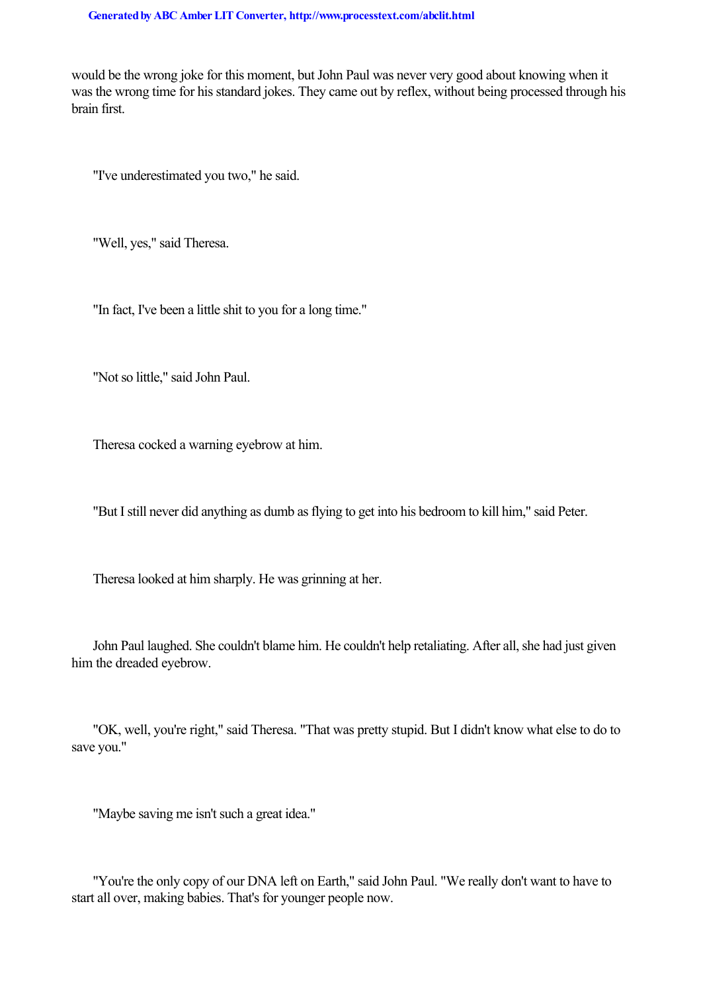would be the wrong joke for this moment, but John Paul was never very good about knowing when it was the wrong time for his standard jokes. They came out by reflex, without being processed through his brain first.

"I've underestimated you two," he said.

"Well, yes," said Theresa.

"In fact, I've been a little shit to you for a long time."

"Not so little," said John Paul.

Theresa cocked a warning eyebrow at him.

"But I still never did anything as dumb as flying to get into his bedroom to kill him," said Peter.

Theresa looked at him sharply. He was grinning at her.

 John Paul laughed. She couldn't blame him. He couldn't help retaliating. After all, she had just given him the dreaded eyebrow.

 "OK, well, you're right," said Theresa. "That was pretty stupid. But I didn't know what else to do to save you."

"Maybe saving me isn't such a great idea."

 "You're the only copy of our DNA left on Earth," said John Paul. "We really don't want to have to start all over, making babies. That's for younger people now.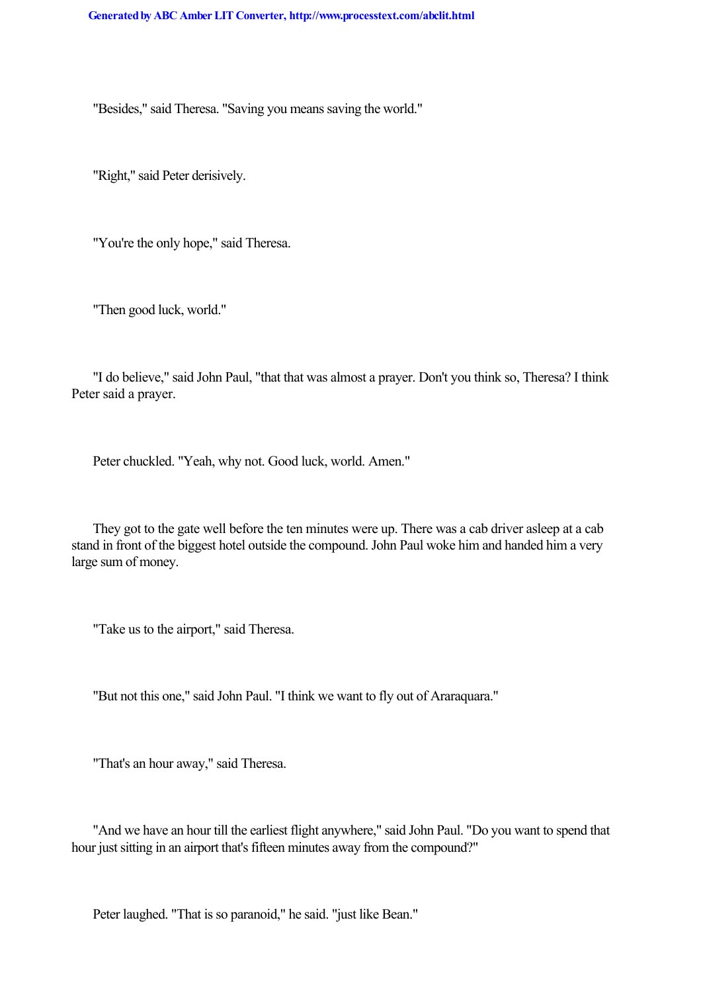"Besides," said Theresa. "Saving you means saving the world."

"Right," said Peter derisively.

"You're the only hope," said Theresa.

"Then good luck, world."

 "I do believe," said John Paul, "that that was almost a prayer. Don't you think so, Theresa? I think Peter said a prayer.

Peter chuckled. "Yeah, why not. Good luck, world. Amen."

 They got to the gate well before the ten minutes were up. There was a cab driver asleep at a cab stand in front of the biggest hotel outside the compound. John Paul woke him and handed him a very large sum of money.

"Take us to the airport," said Theresa.

"But not this one," said John Paul. "I think we want to fly out of Araraquara."

"That's an hour away," said Theresa.

 "And we have an hour till the earliest flight anywhere," said John Paul. "Do you want to spend that hour just sitting in an airport that's fifteen minutes away from the compound?"

Peter laughed. "That is so paranoid," he said. "just like Bean."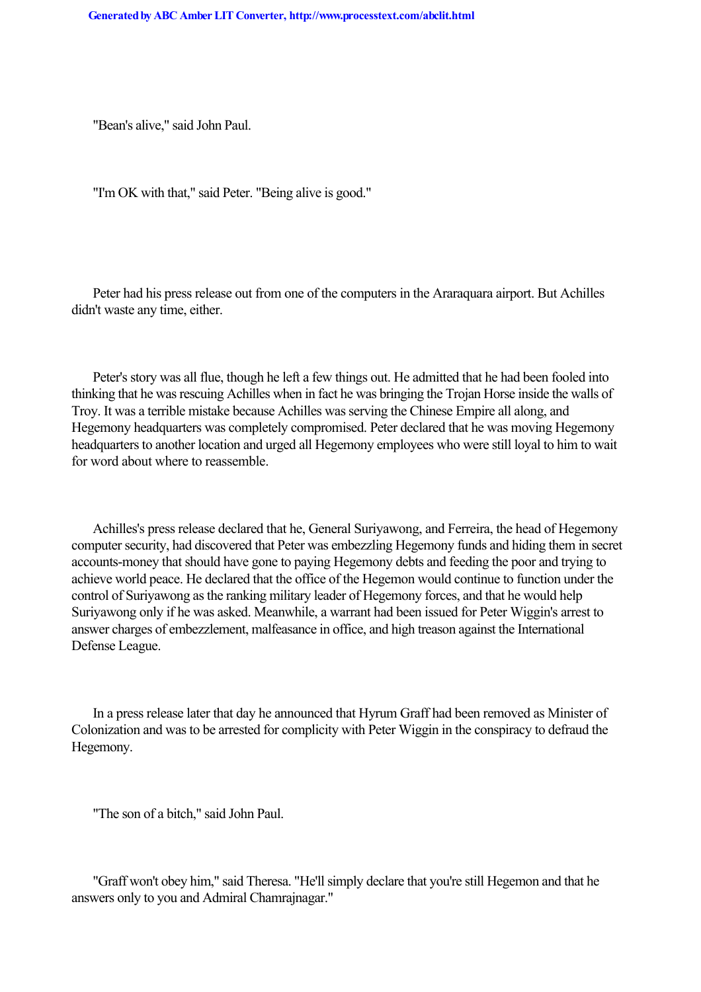"Bean's alive," said John Paul.

"I'm OK with that," said Peter. "Being alive is good."

 Peter had his press release out from one of the computers in the Araraquara airport. But Achilles didn't waste any time, either.

 Peter's story was all flue, though he left a few things out. He admitted that he had been fooled into thinking that he was rescuing Achilles when in fact he was bringing the Trojan Horse inside the walls of Troy. It was a terrible mistake because Achilles was serving the Chinese Empire all along, and Hegemony headquarters was completely compromised. Peter declared that he was moving Hegemony headquarters to another location and urged all Hegemony employees who were still loyal to him to wait for word about where to reassemble.

 Achilles's press release declared that he, General Suriyawong, and Ferreira, the head of Hegemony computer security, had discovered that Peter was embezzling Hegemony funds and hiding them in secret accounts-money that should have gone to paying Hegemony debts and feeding the poor and trying to achieve world peace. He declared that the office of the Hegemon would continue to function under the control of Suriyawong as the ranking military leader of Hegemony forces, and that he would help Suriyawong only if he was asked. Meanwhile, a warrant had been issued for Peter Wiggin's arrest to answer charges of embezzlement, malfeasance in office, and high treason against the International Defense League.

 In a press release later that day he announced that Hyrum Graff had been removed as Minister of Colonization and was to be arrested for complicity with Peter Wiggin in the conspiracy to defraud the Hegemony.

"The son of a bitch," said John Paul.

 "Graff won't obey him," said Theresa. "He'll simply declare that you're still Hegemon and that he answers only to you and Admiral Chamrajnagar."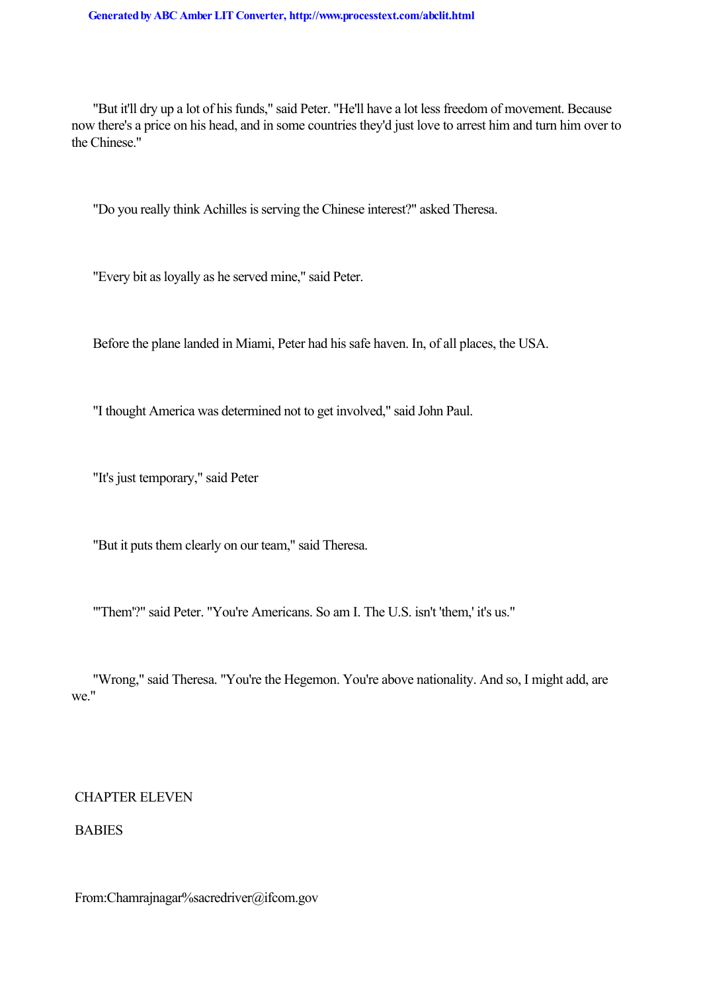"But it'll dry up a lot of his funds," said Peter. "He'll have a lot less freedom of movement. Because now there's a price on his head, and in some countries they'd just love to arrest him and turn him over to the Chinese."

"Do you really think Achilles is serving the Chinese interest?" asked Theresa.

"Every bit as loyally as he served mine," said Peter.

Before the plane landed in Miami, Peter had his safe haven. In, of all places, the USA.

"I thought America was determined not to get involved," said John Paul.

"It's just temporary," said Peter

"But it puts them clearly on our team," said Theresa.

"Them'?" said Peter. "You're Americans. So am I. The U.S. isn't 'them,' it's us."

"Wrong," said Theresa. "You're the Hegemon. You're above nationality. And so, I might add, are we"

CHAPTER ELEVEN

**BABIES** 

From:Chamrajnagar%sacredriver@ifcom.gov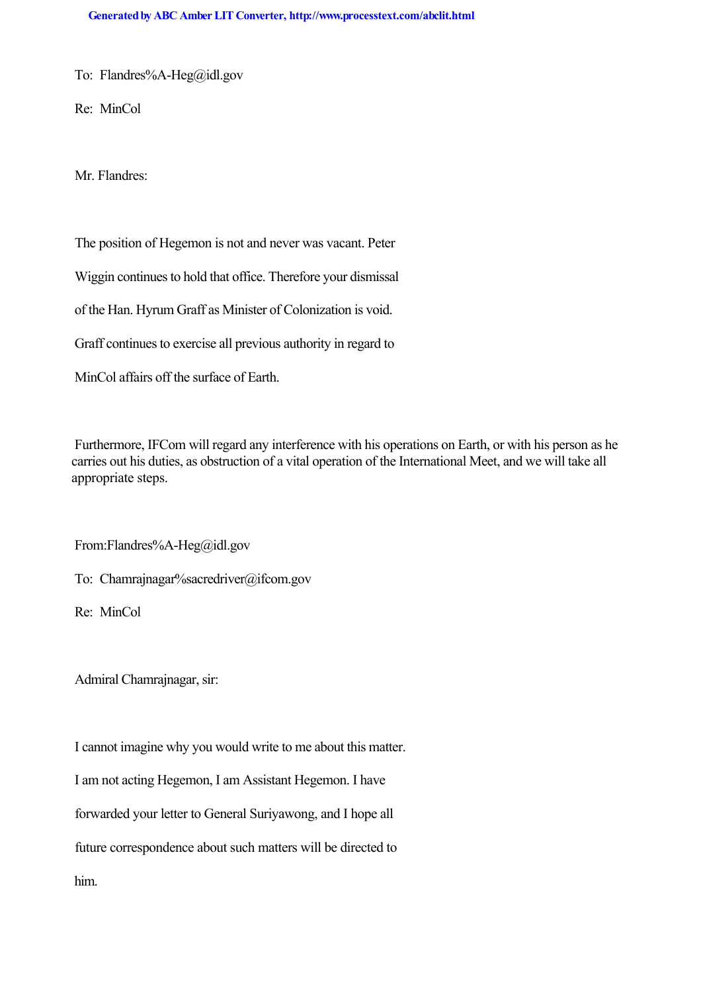To: Flandres%A-Heg@idl.gov

Re: MinCol

Mr. Flandres:

The position of Hegemon is not and never was vacant. Peter

Wiggin continues to hold that office. Therefore your dismissal

of the Han. Hyrum Graff as Minister of Colonization is void.

Graff continues to exercise all previous authority in regard to

MinCol affairs off the surface of Earth.

 Furthermore, IFCom will regard any interference with his operations on Earth, or with his person as he carries out his duties, as obstruction of a vital operation of the International Meet, and we will take all appropriate steps.

From:Flandres%A-Heg@idl.gov

To: Chamrajnagar%sacredriver@ifcom.gov

Re: MinCol

Admiral Chamrajnagar, sir:

I cannot imagine why you would write to me about this matter.

I am not acting Hegemon, I am Assistant Hegemon. I have

forwarded your letter to General Suriyawong, and I hope all

future correspondence about such matters will be directed to

him.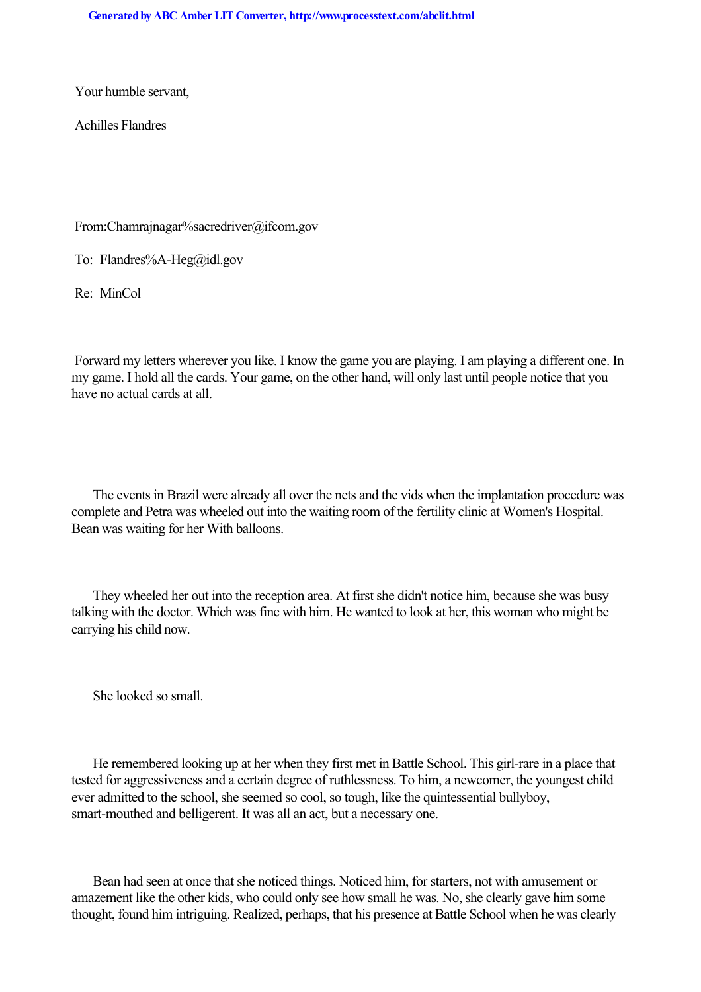Your humble servant,

Achilles Flandres

From:Chamrajnagar%sacredriver@ifcom.gov

To: Flandres%A-Heg@idl.gov

Re: MinCol

 Forward my letters wherever you like. I know the game you are playing. I am playing a different one. In my game. I hold all the cards. Your game, on the other hand, will only last until people notice that you have no actual cards at all.

 The events in Brazil were already all over the nets and the vids when the implantation procedure was complete and Petra was wheeled out into the waiting room of the fertility clinic at Women's Hospital. Bean was waiting for her With balloons.

 They wheeled her out into the reception area. At first she didn't notice him, because she was busy talking with the doctor. Which was fine with him. He wanted to look at her, this woman who might be carrying his child now.

She looked so small.

 He remembered looking up at her when they first met in Battle School. This girl-rare in a place that tested for aggressiveness and a certain degree of ruthlessness. To him, a newcomer, the youngest child ever admitted to the school, she seemed so cool, so tough, like the quintessential bullyboy, smart-mouthed and belligerent. It was all an act, but a necessary one.

 Bean had seen at once that she noticed things. Noticed him, for starters, not with amusement or amazement like the other kids, who could only see how small he was. No, she clearly gave him some thought, found him intriguing. Realized, perhaps, that his presence at Battle School when he was clearly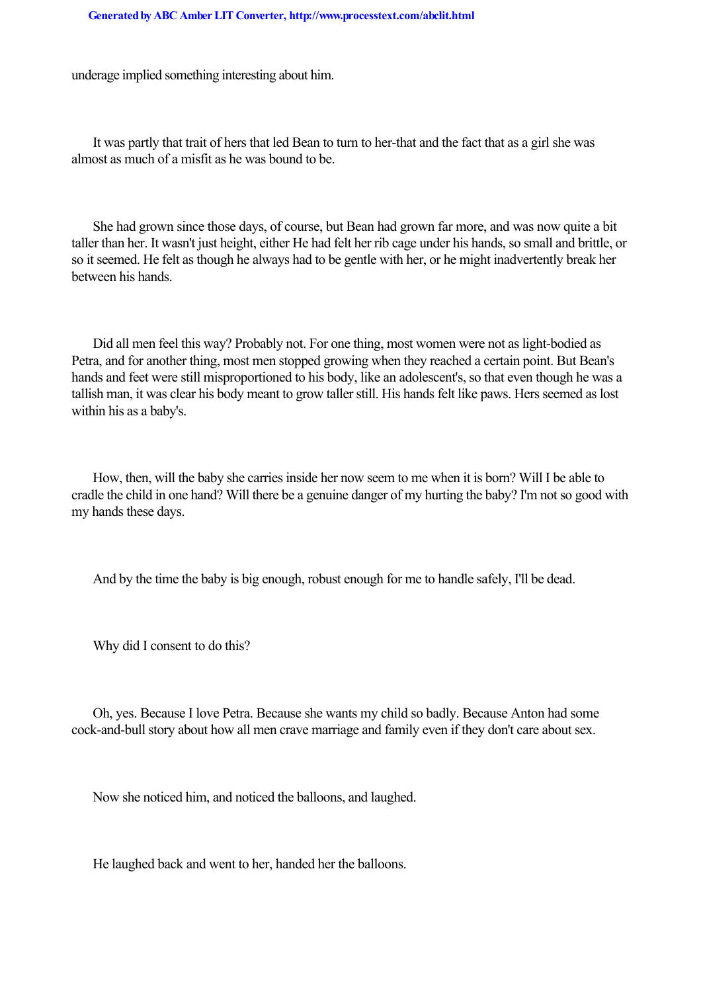underage implied something interesting about him.

 It was partly that trait of hers that led Bean to turn to her-that and the fact that as a girl she was almost as much of a misfit as he was bound to be.

 She had grown since those days, of course, but Bean had grown far more, and was now quite a bit taller than her. It wasn't just height, either He had felt her rib cage under his hands, so small and brittle, or so it seemed. He felt as though he always had to be gentle with her, or he might inadvertently break her between his hands.

 Did all men feel this way? Probably not. For one thing, most women were not as light-bodied as Petra, and for another thing, most men stopped growing when they reached a certain point. But Bean's hands and feet were still misproportioned to his body, like an adolescent's, so that even though he was a tallish man, it was clear his body meant to grow taller still. His hands felt like paws. Hers seemed as lost within his as a baby's.

 How, then, will the baby she carries inside her now seem to me when it is born? Will I be able to cradle the child in one hand? Will there be a genuine danger of my hurting the baby? I'm not so good with my hands these days.

And by the time the baby is big enough, robust enough for me to handle safely, I'll be dead.

Why did I consent to do this?

 Oh, yes. Because I love Petra. Because she wants my child so badly. Because Anton had some cock-and-bull story about how all men crave marriage and family even if they don't care about sex.

Now she noticed him, and noticed the balloons, and laughed.

He laughed back and went to her, handed her the balloons.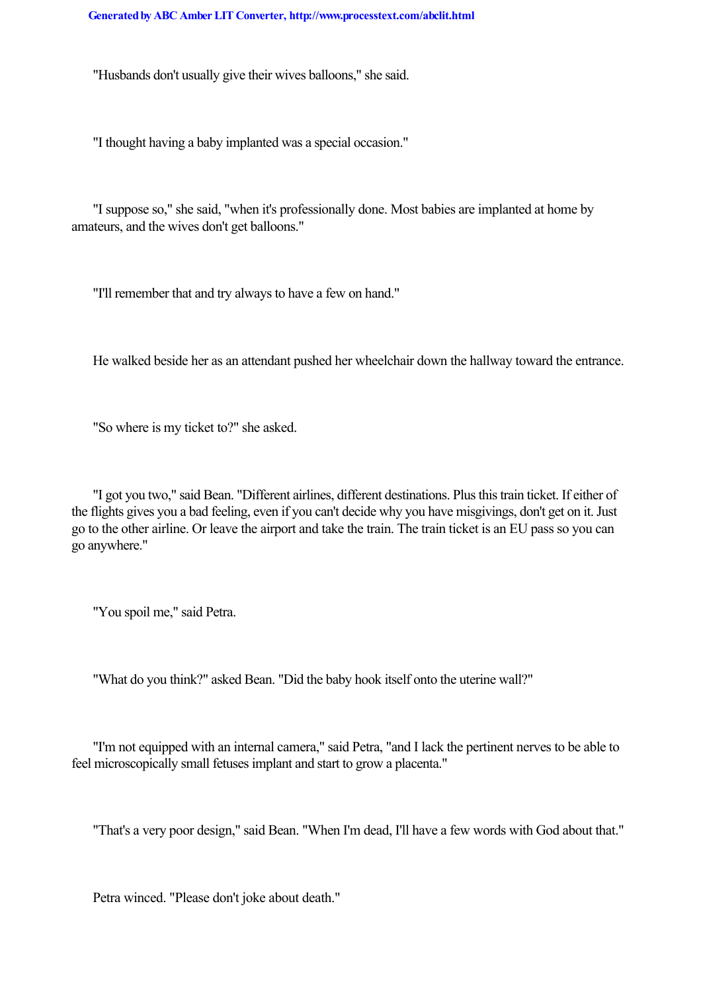"Husbands don't usually give their wives balloons," she said.

"I thought having a baby implanted was a special occasion."

 "I suppose so," she said, "when it's professionally done. Most babies are implanted at home by amateurs, and the wives don't get balloons."

"I'll remember that and try always to have a few on hand."

He walked beside her as an attendant pushed her wheelchair down the hallway toward the entrance.

"So where is my ticket to?" she asked.

 "I got you two," said Bean. "Different airlines, different destinations. Plus this train ticket. If either of the flights gives you a bad feeling, even if you can't decide why you have misgivings, don't get on it. Just go to the other airline. Or leave the airport and take the train. The train ticket is an EU pass so you can go anywhere."

"You spoil me," said Petra.

"What do you think?" asked Bean. "Did the baby hook itself onto the uterine wall?"

 "I'm not equipped with an internal camera," said Petra, "and I lack the pertinent nerves to be able to feel microscopically small fetuses implant and start to grow a placenta."

"That's a very poor design," said Bean. "When I'm dead, I'll have a few words with God about that."

Petra winced. "Please don't joke about death."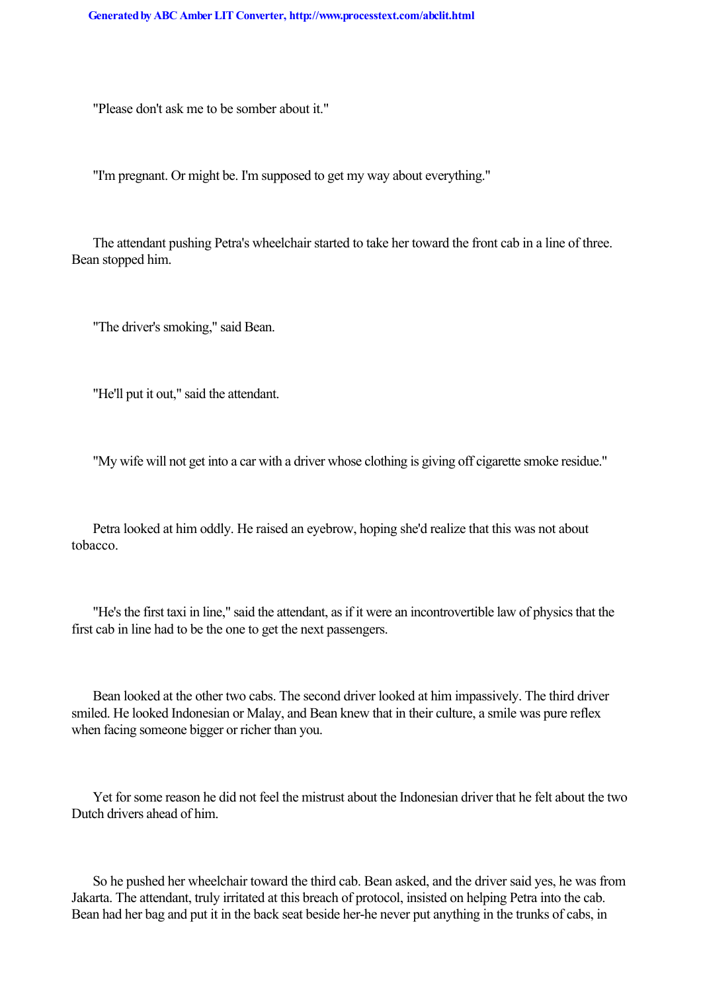"Please don't ask me to be somber about it."

"I'm pregnant. Or might be. I'm supposed to get my way about everything."

 The attendant pushing Petra's wheelchair started to take her toward the front cab in a line of three. Bean stopped him.

"The driver's smoking," said Bean.

"He'll put it out," said the attendant.

"My wife will not get into a car with a driver whose clothing is giving off cigarette smoke residue."

 Petra looked at him oddly. He raised an eyebrow, hoping she'd realize that this was not about tobacco.

 "He's the first taxi in line," said the attendant, as if it were an incontrovertible law of physics that the first cab in line had to be the one to get the next passengers.

 Bean looked at the other two cabs. The second driver looked at him impassively. The third driver smiled. He looked Indonesian or Malay, and Bean knew that in their culture, a smile was pure reflex when facing someone bigger or richer than you.

 Yet for some reason he did not feel the mistrust about the Indonesian driver that he felt about the two Dutch drivers ahead of him.

 So he pushed her wheelchair toward the third cab. Bean asked, and the driver said yes, he was from Jakarta. The attendant, truly irritated at this breach of protocol, insisted on helping Petra into the cab. Bean had her bag and put it in the back seat beside her-he never put anything in the trunks of cabs, in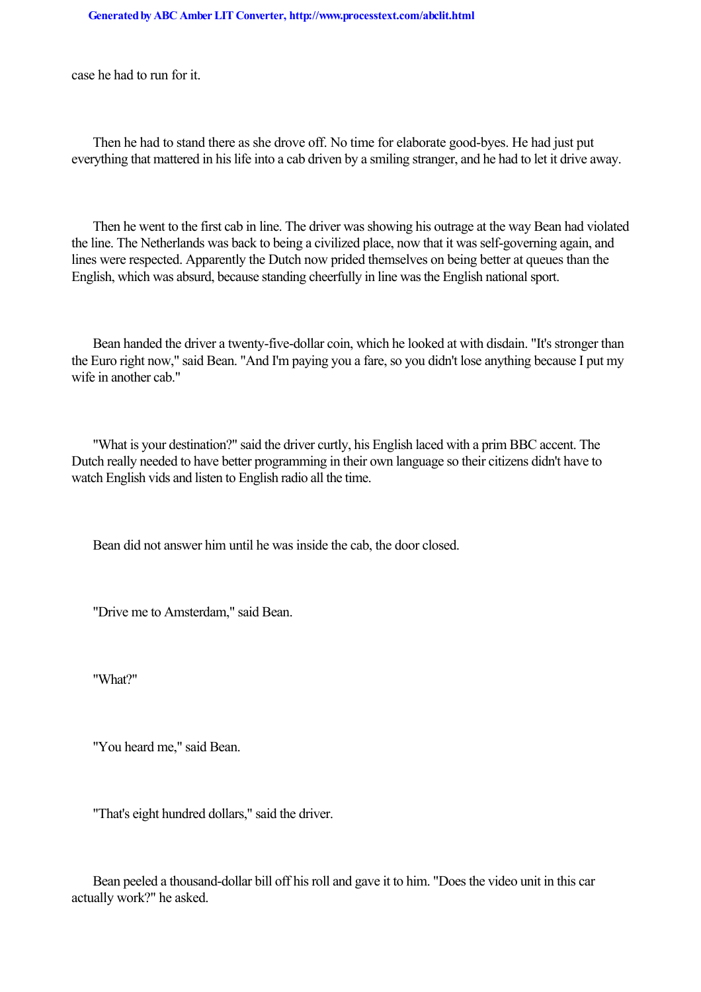case he had to run for it.

 Then he had to stand there as she drove off. No time for elaborate good-byes. He had just put everything that mattered in his life into a cab driven by a smiling stranger, and he had to let it drive away.

 Then he went to the first cab in line. The driver was showing his outrage at the way Bean had violated the line. The Netherlands was back to being a civilized place, now that it was self-governing again, and lines were respected. Apparently the Dutch now prided themselves on being better at queues than the English, which was absurd, because standing cheerfully in line was the English national sport.

 Bean handed the driver a twenty-five-dollar coin, which he looked at with disdain. "It's stronger than the Euro right now," said Bean. "And I'm paying you a fare, so you didn't lose anything because I put my wife in another cab."

 "What is your destination?" said the driver curtly, his English laced with a prim BBC accent. The Dutch really needed to have better programming in their own language so their citizens didn't have to watch English vids and listen to English radio all the time.

Bean did not answer him until he was inside the cab, the door closed.

"Drive me to Amsterdam," said Bean.

"What?"

"You heard me," said Bean.

"That's eight hundred dollars," said the driver.

 Bean peeled a thousand-dollar bill off his roll and gave it to him. "Does the video unit in this car actually work?" he asked.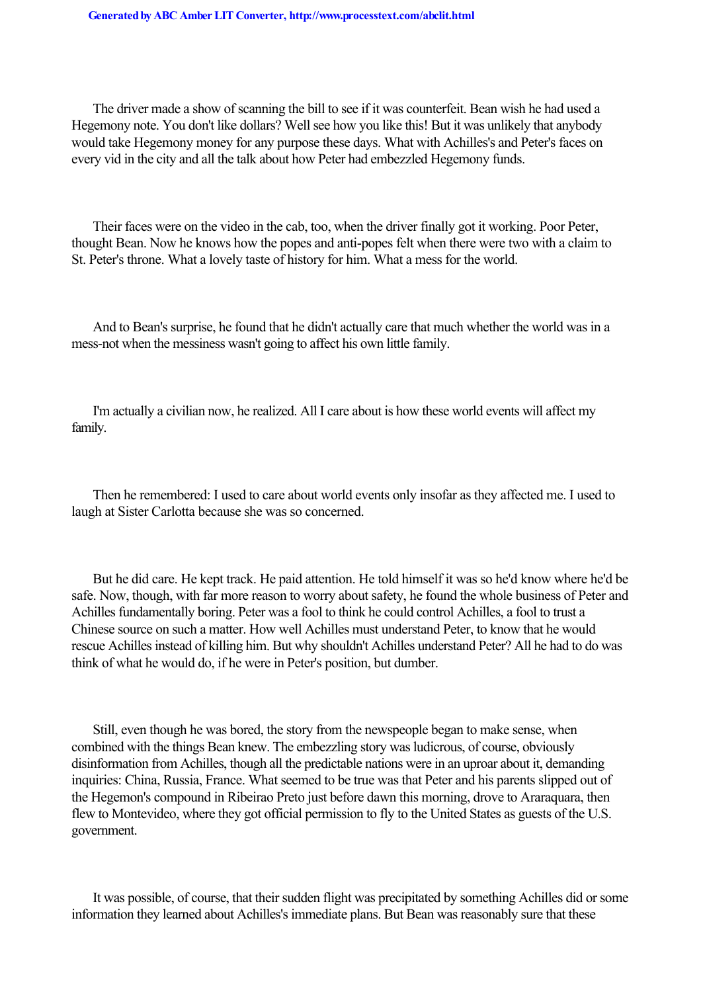The driver made a show of scanning the bill to see if it was counterfeit. Bean wish he had used a Hegemony note. You don't like dollars? Well see how you like this! But it was unlikely that anybody would take Hegemony money for any purpose these days. What with Achilles's and Peter's faces on every vid in the city and all the talk about how Peter had embezzled Hegemony funds.

 Their faces were on the video in the cab, too, when the driver finally got it working. Poor Peter, thought Bean. Now he knows how the popes and anti-popes felt when there were two with a claim to St. Peter's throne. What a lovely taste of history for him. What a mess for the world.

 And to Bean's surprise, he found that he didn't actually care that much whether the world was in a mess-not when the messiness wasn't going to affect his own little family.

 I'm actually a civilian now, he realized. All I care about is how these world events will affect my family.

 Then he remembered: I used to care about world events only insofar as they affected me. I used to laugh at Sister Carlotta because she was so concerned.

 But he did care. He kept track. He paid attention. He told himself it was so he'd know where he'd be safe. Now, though, with far more reason to worry about safety, he found the whole business of Peter and Achilles fundamentally boring. Peter was a fool to think he could control Achilles, a fool to trust a Chinese source on such a matter. How well Achilles must understand Peter, to know that he would rescue Achilles instead of killing him. But why shouldn't Achilles understand Peter? All he had to do was think of what he would do, if he were in Peter's position, but dumber.

 Still, even though he was bored, the story from the newspeople began to make sense, when combined with the things Bean knew. The embezzling story was ludicrous, of course, obviously disinformation from Achilles, though all the predictable nations were in an uproar about it, demanding inquiries: China, Russia, France. What seemed to be true was that Peter and his parents slipped out of the Hegemon's compound in Ribeirao Preto just before dawn this morning, drove to Araraquara, then flew to Montevideo, where they got official permission to fly to the United States as guests of the U.S. government.

 It was possible, of course, that their sudden flight was precipitated by something Achilles did or some information they learned about Achilles's immediate plans. But Bean was reasonably sure that these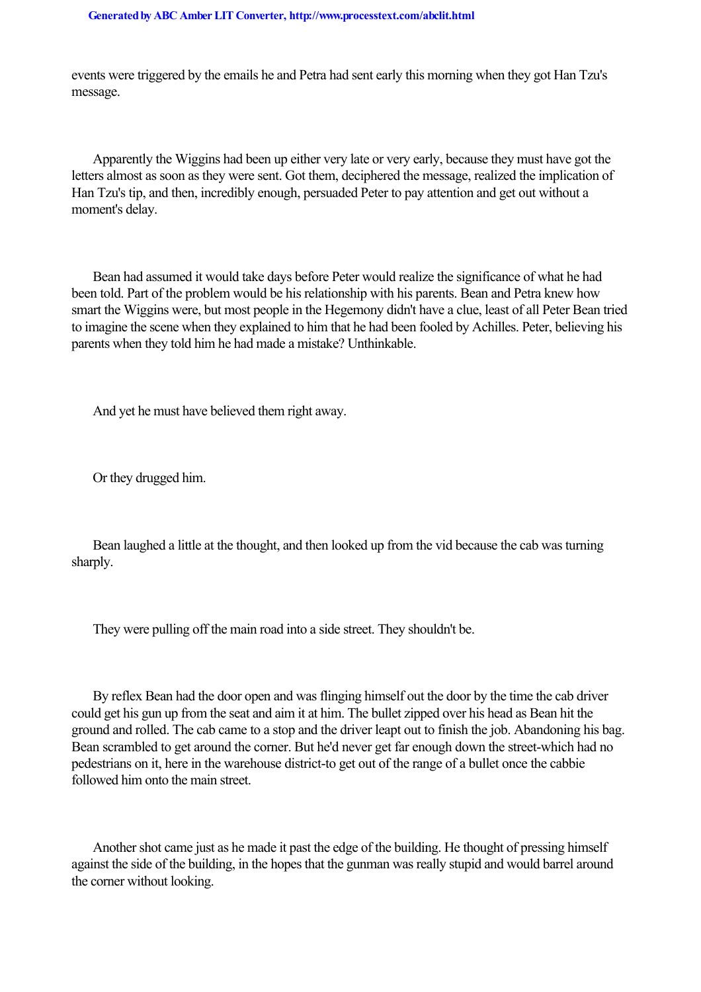events were triggered by the emails he and Petra had sent early this morning when they got Han Tzu's message.

 Apparently the Wiggins had been up either very late or very early, because they must have got the letters almost as soon as they were sent. Got them, deciphered the message, realized the implication of Han Tzu's tip, and then, incredibly enough, persuaded Peter to pay attention and get out without a moment's delay.

 Bean had assumed it would take days before Peter would realize the significance of what he had been told. Part of the problem would be his relationship with his parents. Bean and Petra knew how smart the Wiggins were, but most people in the Hegemony didn't have a clue, least of all Peter Bean tried to imagine the scene when they explained to him that he had been fooled by Achilles. Peter, believing his parents when they told him he had made a mistake? Unthinkable.

And yet he must have believed them right away.

Or they drugged him.

 Bean laughed a little at the thought, and then looked up from the vid because the cab was turning sharply.

They were pulling off the main road into a side street. They shouldn't be.

 By reflex Bean had the door open and was flinging himself out the door by the time the cab driver could get his gun up from the seat and aim it at him. The bullet zipped over his head as Bean hit the ground and rolled. The cab came to a stop and the driver leapt out to finish the job. Abandoning his bag. Bean scrambled to get around the corner. But he'd never get far enough down the street-which had no pedestrians on it, here in the warehouse district-to get out of the range of a bullet once the cabbie followed him onto the main street.

 Another shot came just as he made it past the edge of the building. He thought of pressing himself against the side of the building, in the hopes that the gunman was really stupid and would barrel around the corner without looking.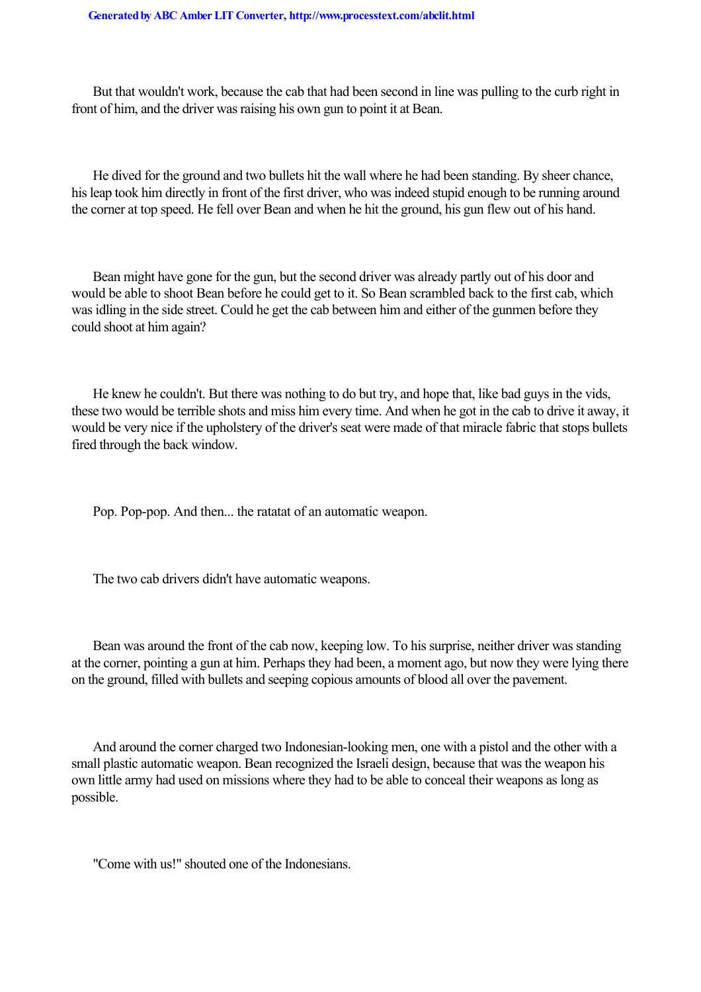But that wouldn't work, because the cab that had been second in line was pulling to the curb right in front of him, and the driver was raising his own gun to point it at Bean.

 He dived for the ground and two bullets hit the wall where he had been standing. By sheer chance, his leap took him directly in front of the first driver, who was indeed stupid enough to be running around the corner at top speed. He fell over Bean and when he hit the ground, his gun flew out of his hand.

 Bean might have gone for the gun, but the second driver was already partly out of his door and would be able to shoot Bean before he could get to it. So Bean scrambled back to the first cab, which was idling in the side street. Could he get the cab between him and either of the gunmen before they could shoot at him again?

 He knew he couldn't. But there was nothing to do but try, and hope that, like bad guys in the vids, these two would be terrible shots and miss him every time. And when he got in the cab to drive it away, it would be very nice if the upholstery of the driver's seat were made of that miracle fabric that stops bullets fired through the back window.

Pop. Pop-pop. And then... the ratatat of an automatic weapon.

The two cab drivers didn't have automatic weapons.

 Bean was around the front of the cab now, keeping low. To his surprise, neither driver was standing at the corner, pointing a gun at him. Perhaps they had been, a moment ago, but now they were lying there on the ground, filled with bullets and seeping copious amounts of blood all over the pavement.

 And around the corner charged two Indonesian-looking men, one with a pistol and the other with a small plastic automatic weapon. Bean recognized the Israeli design, because that was the weapon his own little army had used on missions where they had to be able to conceal their weapons as long as possible.

"Come with us!" shouted one of the Indonesians.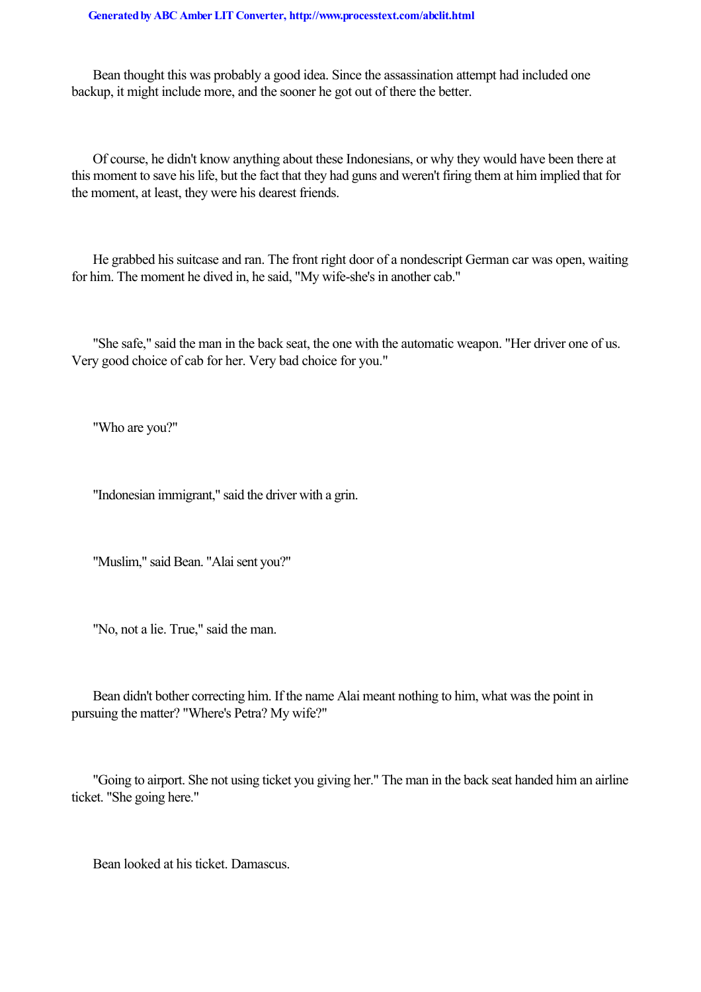Bean thought this was probably a good idea. Since the assassination attempt had included one backup, it might include more, and the sooner he got out of there the better.

 Of course, he didn't know anything about these Indonesians, or why they would have been there at this moment to save his life, but the fact that they had guns and weren't firing them at him implied that for the moment, at least, they were his dearest friends.

 He grabbed his suitcase and ran. The front right door of a nondescript German car was open, waiting for him. The moment he dived in, he said, "My wife-she's in another cab."

 "She safe," said the man in the back seat, the one with the automatic weapon. "Her driver one of us. Very good choice of cab for her. Very bad choice for you."

"Who are you?"

"Indonesian immigrant," said the driver with a grin.

"Muslim," said Bean. "Alai sent you?"

"No, not a lie. True," said the man.

 Bean didn't bother correcting him. If the name Alai meant nothing to him, what was the point in pursuing the matter? "Where's Petra? My wife?"

 "Going to airport. She not using ticket you giving her." The man in the back seat handed him an airline ticket. "She going here."

Bean looked at his ticket. Damascus.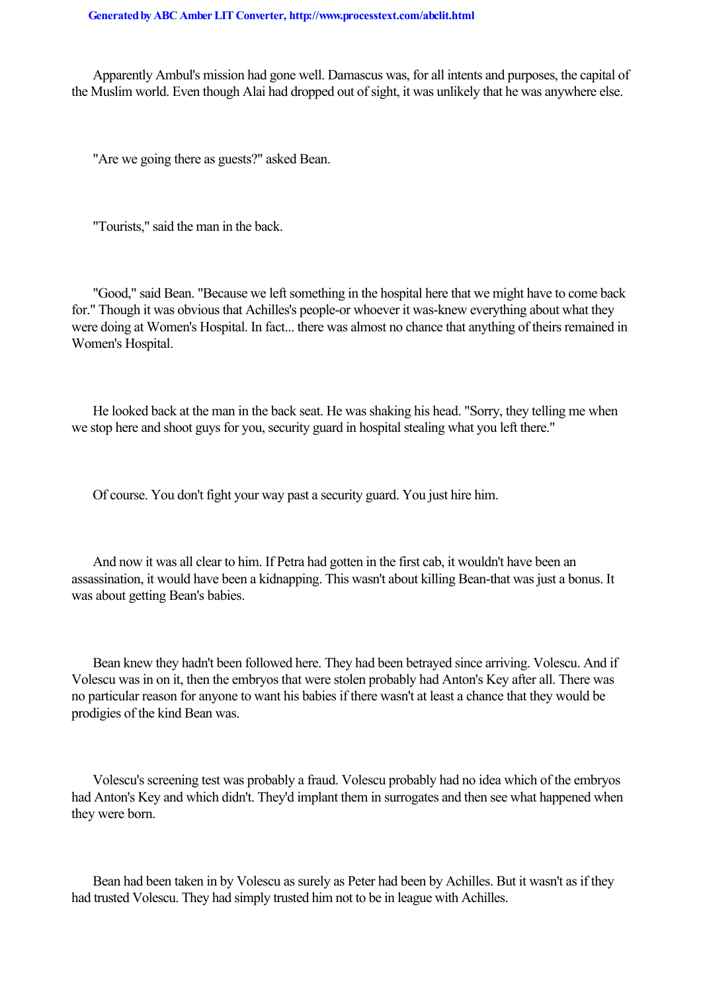Apparently Ambul's mission had gone well. Damascus was, for all intents and purposes, the capital of the Muslim world. Even though Alai had dropped out of sight, it was unlikely that he was anywhere else.

"Are we going there as guests?" asked Bean.

"Tourists," said the man in the back.

 "Good," said Bean. "Because we left something in the hospital here that we might have to come back for." Though it was obvious that Achilles's people-or whoever it was-knew everything about what they were doing at Women's Hospital. In fact... there was almost no chance that anything of theirs remained in Women's Hospital.

 He looked back at the man in the back seat. He was shaking his head. "Sorry, they telling me when we stop here and shoot guys for you, security guard in hospital stealing what you left there."

Of course. You don't fight your way past a security guard. You just hire him.

 And now it was all clear to him. If Petra had gotten in the first cab, it wouldn't have been an assassination, it would have been a kidnapping. This wasn't about killing Bean-that was just a bonus. It was about getting Bean's babies.

 Bean knew they hadn't been followed here. They had been betrayed since arriving. Volescu. And if Volescu was in on it, then the embryos that were stolen probably had Anton's Key after all. There was no particular reason for anyone to want his babies if there wasn't at least a chance that they would be prodigies of the kind Bean was.

 Volescu's screening test was probably a fraud. Volescu probably had no idea which of the embryos had Anton's Key and which didn't. They'd implant them in surrogates and then see what happened when they were born.

 Bean had been taken in by Volescu as surely as Peter had been by Achilles. But it wasn't as if they had trusted Volescu. They had simply trusted him not to be in league with Achilles.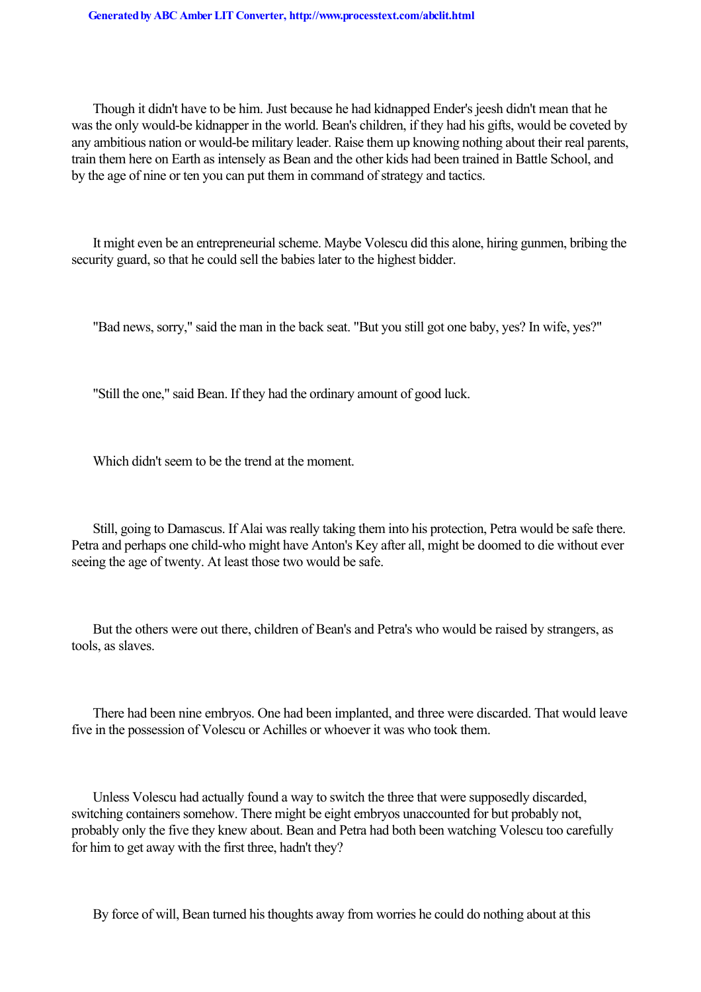Though it didn't have to be him. Just because he had kidnapped Ender's jeesh didn't mean that he was the only would-be kidnapper in the world. Bean's children, if they had his gifts, would be coveted by any ambitious nation or would-be military leader. Raise them up knowing nothing about their real parents, train them here on Earth as intensely as Bean and the other kids had been trained in Battle School, and by the age of nine or ten you can put them in command of strategy and tactics.

 It might even be an entrepreneurial scheme. Maybe Volescu did this alone, hiring gunmen, bribing the security guard, so that he could sell the babies later to the highest bidder.

"Bad news, sorry," said the man in the back seat. "But you still got one baby, yes? In wife, yes?"

"Still the one," said Bean. If they had the ordinary amount of good luck.

Which didn't seem to be the trend at the moment.

 Still, going to Damascus. If Alai was really taking them into his protection, Petra would be safe there. Petra and perhaps one child-who might have Anton's Key after all, might be doomed to die without ever seeing the age of twenty. At least those two would be safe.

 But the others were out there, children of Bean's and Petra's who would be raised by strangers, as tools, as slaves.

 There had been nine embryos. One had been implanted, and three were discarded. That would leave five in the possession of Volescu or Achilles or whoever it was who took them.

 Unless Volescu had actually found a way to switch the three that were supposedly discarded, switching containers somehow. There might be eight embryos unaccounted for but probably not, probably only the five they knew about. Bean and Petra had both been watching Volescu too carefully for him to get away with the first three, hadn't they?

By force of will, Bean turned his thoughts away from worries he could do nothing about at this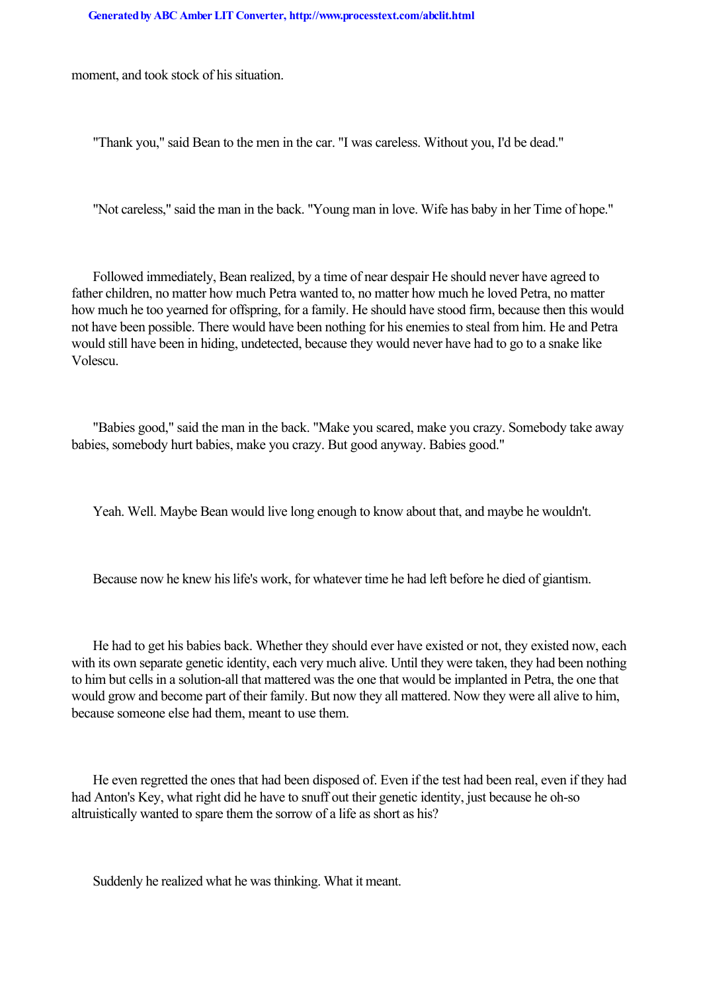moment, and took stock of his situation.

"Thank you," said Bean to the men in the car. "I was careless. Without you, I'd be dead."

"Not careless," said the man in the back. "Young man in love. Wife has baby in her Time of hope."

 Followed immediately, Bean realized, by a time of near despair He should never have agreed to father children, no matter how much Petra wanted to, no matter how much he loved Petra, no matter how much he too yearned for offspring, for a family. He should have stood firm, because then this would not have been possible. There would have been nothing for his enemies to steal from him. He and Petra would still have been in hiding, undetected, because they would never have had to go to a snake like Volescu.

 "Babies good," said the man in the back. "Make you scared, make you crazy. Somebody take away babies, somebody hurt babies, make you crazy. But good anyway. Babies good."

Yeah. Well. Maybe Bean would live long enough to know about that, and maybe he wouldn't.

Because now he knew his life's work, for whatever time he had left before he died of giantism.

 He had to get his babies back. Whether they should ever have existed or not, they existed now, each with its own separate genetic identity, each very much alive. Until they were taken, they had been nothing to him but cells in a solution-all that mattered was the one that would be implanted in Petra, the one that would grow and become part of their family. But now they all mattered. Now they were all alive to him, because someone else had them, meant to use them.

 He even regretted the ones that had been disposed of. Even if the test had been real, even if they had had Anton's Key, what right did he have to snuff out their genetic identity, just because he oh-so altruistically wanted to spare them the sorrow of a life as short as his?

Suddenly he realized what he was thinking. What it meant.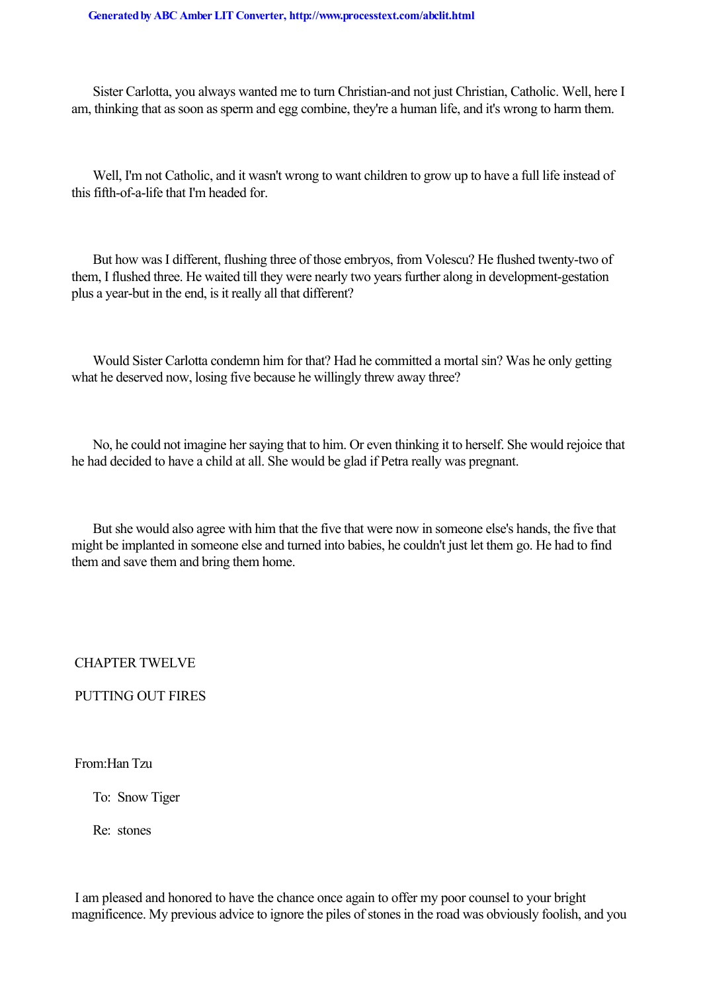Sister Carlotta, you always wanted me to turn Christian-and not just Christian, Catholic. Well, here I am, thinking that as soon as sperm and egg combine, they're a human life, and it's wrong to harm them.

Well. I'm not Catholic, and it wasn't wrong to want children to grow up to have a full life instead of this fifth-of-a-life that I'm headed for.

 But how was I different, flushing three of those embryos, from Volescu? He flushed twenty-two of them, I flushed three. He waited till they were nearly two years further along in development-gestation plus a year-but in the end, is it really all that different?

 Would Sister Carlotta condemn him for that? Had he committed a mortal sin? Was he only getting what he deserved now, losing five because he willingly threw away three?

 No, he could not imagine her saying that to him. Or even thinking it to herself. She would rejoice that he had decided to have a child at all. She would be glad if Petra really was pregnant.

 But she would also agree with him that the five that were now in someone else's hands, the five that might be implanted in someone else and turned into babies, he couldn't just let them go. He had to find them and save them and bring them home.

## CHAPTER TWELVE

# PUTTING OUT FIRES

From:Han Tzu

To: Snow Tiger

Re: stones

 I am pleased and honored to have the chance once again to offer my poor counsel to your bright magnificence. My previous advice to ignore the piles of stones in the road was obviously foolish, and you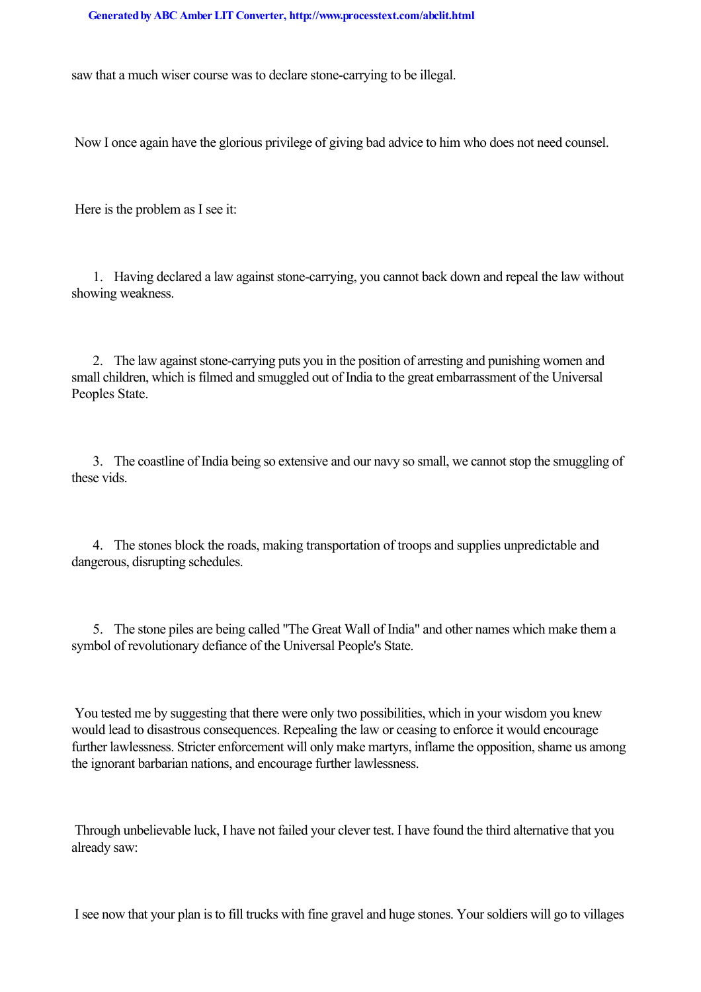saw that a much wiser course was to declare stone-carrying to be illegal.

Now I once again have the glorious privilege of giving bad advice to him who does not need counsel.

Here is the problem as I see it:

 1. Having declared a law against stone-carrying, you cannot back down and repeal the law without showing weakness.

 2. The law against stone-carrying puts you in the position of arresting and punishing women and small children, which is filmed and smuggled out of India to the great embarrassment of the Universal Peoples State.

 3. The coastline of India being so extensive and our navy so small, we cannot stop the smuggling of these vids.

 4. The stones block the roads, making transportation of troops and supplies unpredictable and dangerous, disrupting schedules.

 5. The stone piles are being called "The Great Wall of India" and other names which make them a symbol of revolutionary defiance of the Universal People's State.

 You tested me by suggesting that there were only two possibilities, which in your wisdom you knew would lead to disastrous consequences. Repealing the law or ceasing to enforce it would encourage further lawlessness. Stricter enforcement will only make martyrs, inflame the opposition, shame us among the ignorant barbarian nations, and encourage further lawlessness.

 Through unbelievable luck, I have not failed your clever test. I have found the third alternative that you already saw:

I see now that your plan is to fill trucks with fine gravel and huge stones. Your soldiers will go to villages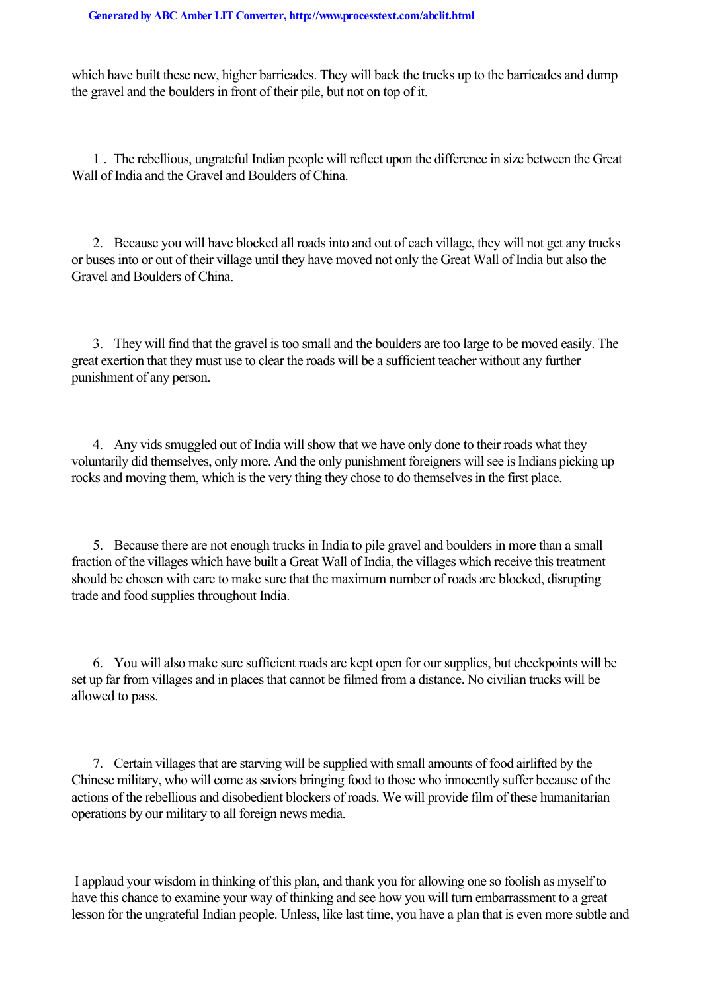which have built these new, higher barricades. They will back the trucks up to the barricades and dump the gravel and the boulders in front of their pile, but not on top of it.

 1 . The rebellious, ungrateful Indian people will reflect upon the difference in size between the Great Wall of India and the Gravel and Boulders of China.

 2. Because you will have blocked all roads into and out of each village, they will not get any trucks or buses into or out of their village until they have moved not only the Great Wall of India but also the Gravel and Boulders of China.

 3. They will find that the gravel is too small and the boulders are too large to be moved easily. The great exertion that they must use to clear the roads will be a sufficient teacher without any further punishment of any person.

 4. Any vids smuggled out of India will show that we have only done to their roads what they voluntarily did themselves, only more. And the only punishment foreigners will see is Indians picking up rocks and moving them, which is the very thing they chose to do themselves in the first place.

 5. Because there are not enough trucks in India to pile gravel and boulders in more than a small fraction of the villages which have built a Great Wall of India, the villages which receive this treatment should be chosen with care to make sure that the maximum number of roads are blocked, disrupting trade and food supplies throughout India.

 6. You will also make sure sufficient roads are kept open for our supplies, but checkpoints will be set up far from villages and in places that cannot be filmed from a distance. No civilian trucks will be allowed to pass.

 7. Certain villages that are starving will be supplied with small amounts of food airlifted by the Chinese military, who will come as saviors bringing food to those who innocently suffer because of the actions of the rebellious and disobedient blockers of roads. We will provide film of these humanitarian operations by our military to all foreign news media.

 I applaud your wisdom in thinking of this plan, and thank you for allowing one so foolish as myself to have this chance to examine your way of thinking and see how you will turn embarrassment to a great lesson for the ungrateful Indian people. Unless, like last time, you have a plan that is even more subtle and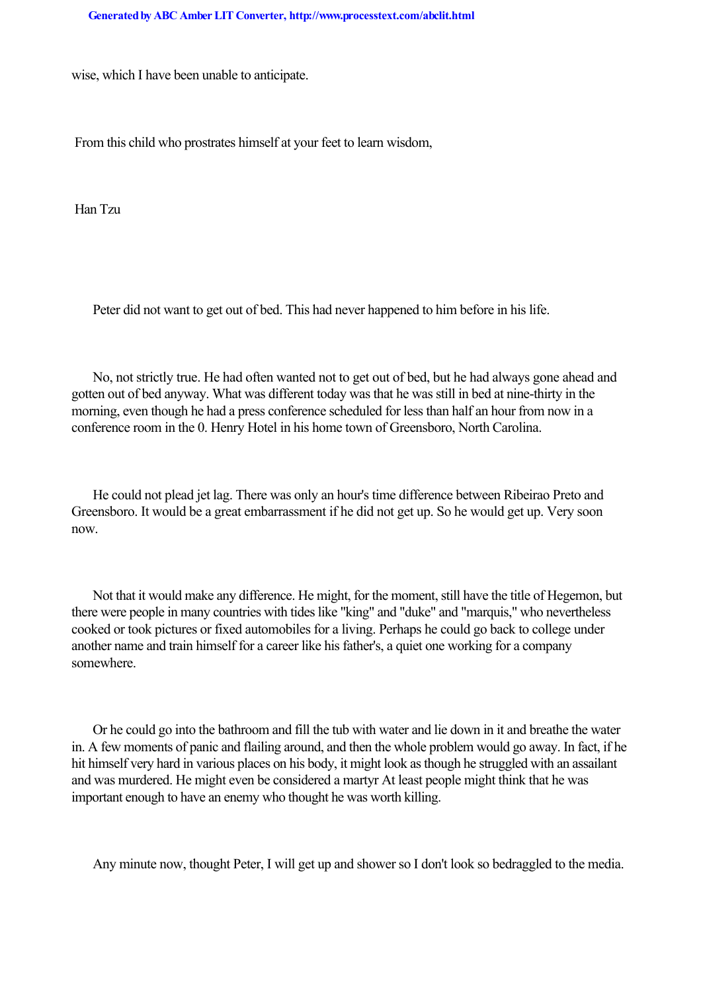wise, which I have been unable to anticipate.

From this child who prostrates himself at your feet to learn wisdom,

Han Tzu

Peter did not want to get out of bed. This had never happened to him before in his life.

 No, not strictly true. He had often wanted not to get out of bed, but he had always gone ahead and gotten out of bed anyway. What was different today was that he was still in bed at nine-thirty in the morning, even though he had a press conference scheduled for less than half an hour from now in a conference room in the 0. Henry Hotel in his home town of Greensboro, North Carolina.

 He could not plead jet lag. There was only an hour's time difference between Ribeirao Preto and Greensboro. It would be a great embarrassment if he did not get up. So he would get up. Very soon now.

 Not that it would make any difference. He might, for the moment, still have the title of Hegemon, but there were people in many countries with tides like "king" and "duke" and "marquis," who nevertheless cooked or took pictures or fixed automobiles for a living. Perhaps he could go back to college under another name and train himself for a career like his father's, a quiet one working for a company somewhere.

 Or he could go into the bathroom and fill the tub with water and lie down in it and breathe the water in. A few moments of panic and flailing around, and then the whole problem would go away. In fact, if he hit himself very hard in various places on his body, it might look as though he struggled with an assailant and was murdered. He might even be considered a martyr At least people might think that he was important enough to have an enemy who thought he was worth killing.

Any minute now, thought Peter, I will get up and shower so I don't look so bedraggled to the media.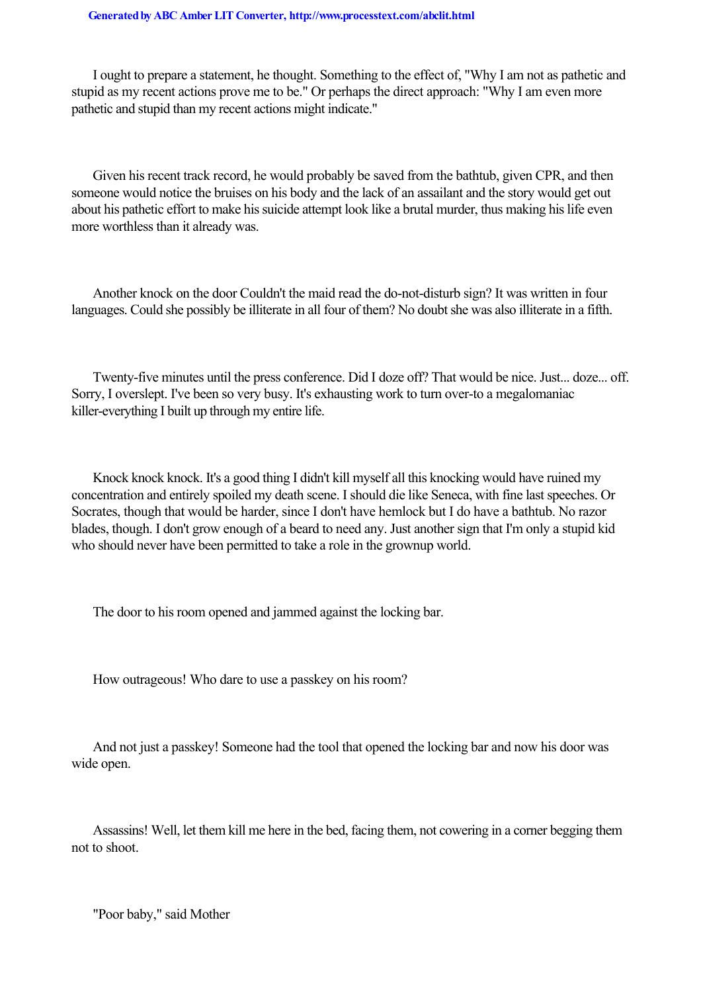I ought to prepare a statement, he thought. Something to the effect of, "Why I am not as pathetic and stupid as my recent actions prove me to be." Or perhaps the direct approach: "Why I am even more pathetic and stupid than my recent actions might indicate."

 Given his recent track record, he would probably be saved from the bathtub, given CPR, and then someone would notice the bruises on his body and the lack of an assailant and the story would get out about his pathetic effort to make his suicide attempt look like a brutal murder, thus making his life even more worthless than it already was.

 Another knock on the door Couldn't the maid read the do-not-disturb sign? It was written in four languages. Could she possibly be illiterate in all four of them? No doubt she was also illiterate in a fifth.

 Twenty-five minutes until the press conference. Did I doze off? That would be nice. Just... doze... off. Sorry, I overslept. I've been so very busy. It's exhausting work to turn over-to a megalomaniac killer-everything I built up through my entire life.

 Knock knock knock. It's a good thing I didn't kill myself all this knocking would have ruined my concentration and entirely spoiled my death scene. I should die like Seneca, with fine last speeches. Or Socrates, though that would be harder, since I don't have hemlock but I do have a bathtub. No razor blades, though. I don't grow enough of a beard to need any. Just another sign that I'm only a stupid kid who should never have been permitted to take a role in the grownup world.

The door to his room opened and jammed against the locking bar.

How outrageous! Who dare to use a passkey on his room?

 And not just a passkey! Someone had the tool that opened the locking bar and now his door was wide open.

 Assassins! Well, let them kill me here in the bed, facing them, not cowering in a corner begging them not to shoot.

"Poor baby," said Mother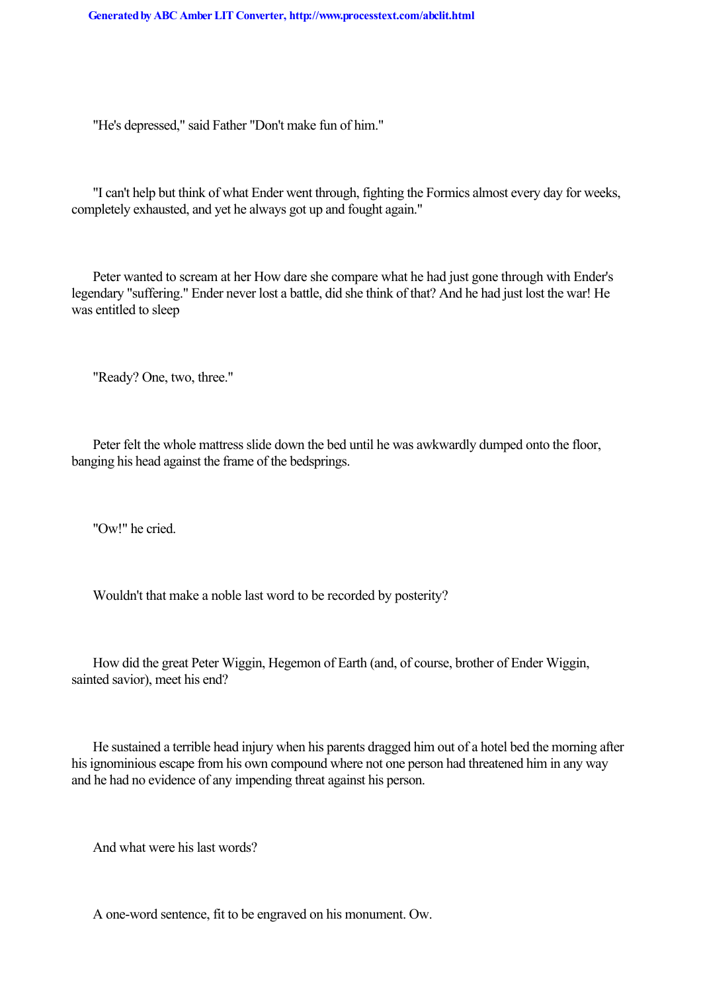"He's depressed," said Father "Don't make fun of him."

 "I can't help but think of what Ender went through, fighting the Formics almost every day for weeks, completely exhausted, and yet he always got up and fought again."

 Peter wanted to scream at her How dare she compare what he had just gone through with Ender's legendary "suffering." Ender never lost a battle, did she think of that? And he had just lost the war! He was entitled to sleep

"Ready? One, two, three."

 Peter felt the whole mattress slide down the bed until he was awkwardly dumped onto the floor, banging his head against the frame of the bedsprings.

"Ow!" he cried.

Wouldn't that make a noble last word to be recorded by posterity?

 How did the great Peter Wiggin, Hegemon of Earth (and, of course, brother of Ender Wiggin, sainted savior), meet his end?

 He sustained a terrible head injury when his parents dragged him out of a hotel bed the morning after his ignominious escape from his own compound where not one person had threatened him in any way and he had no evidence of any impending threat against his person.

And what were his last words?

A one-word sentence, fit to be engraved on his monument. Ow.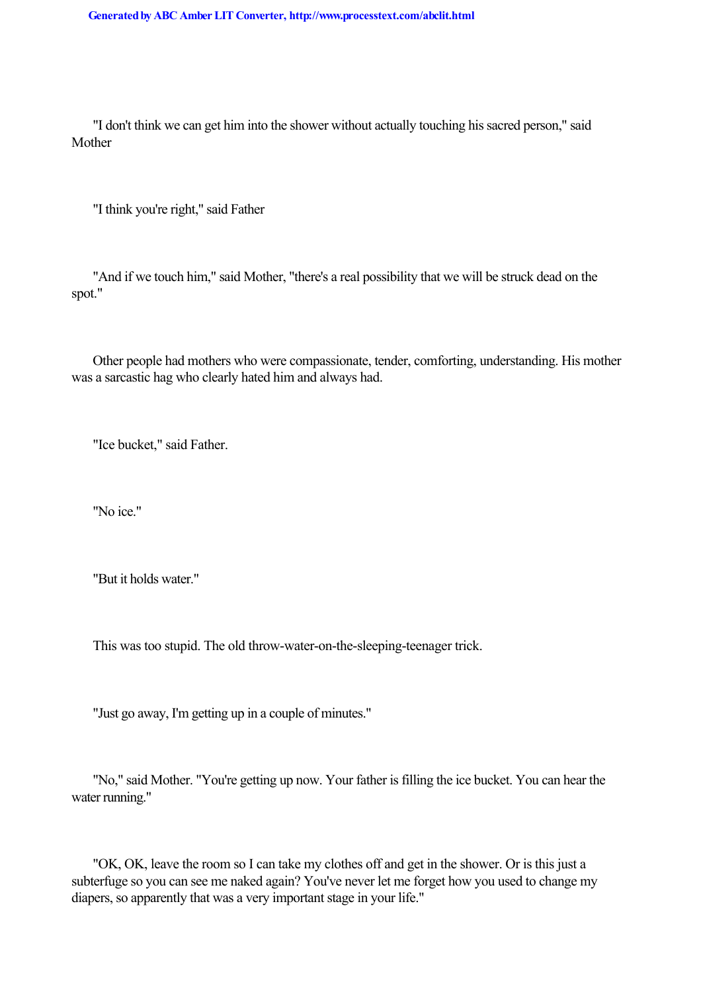"I don't think we can get him into the shower without actually touching his sacred person," said Mother

"I think you're right," said Father

 "And if we touch him," said Mother, "there's a real possibility that we will be struck dead on the spot."

 Other people had mothers who were compassionate, tender, comforting, understanding. His mother was a sarcastic hag who clearly hated him and always had.

"Ice bucket," said Father.

"No ice."

"But it holds water."

This was too stupid. The old throw-water-on-the-sleeping-teenager trick.

"Just go away, I'm getting up in a couple of minutes."

 "No," said Mother. "You're getting up now. Your father is filling the ice bucket. You can hear the water running."

 "OK, OK, leave the room so I can take my clothes off and get in the shower. Or is this just a subterfuge so you can see me naked again? You've never let me forget how you used to change my diapers, so apparently that was a very important stage in your life."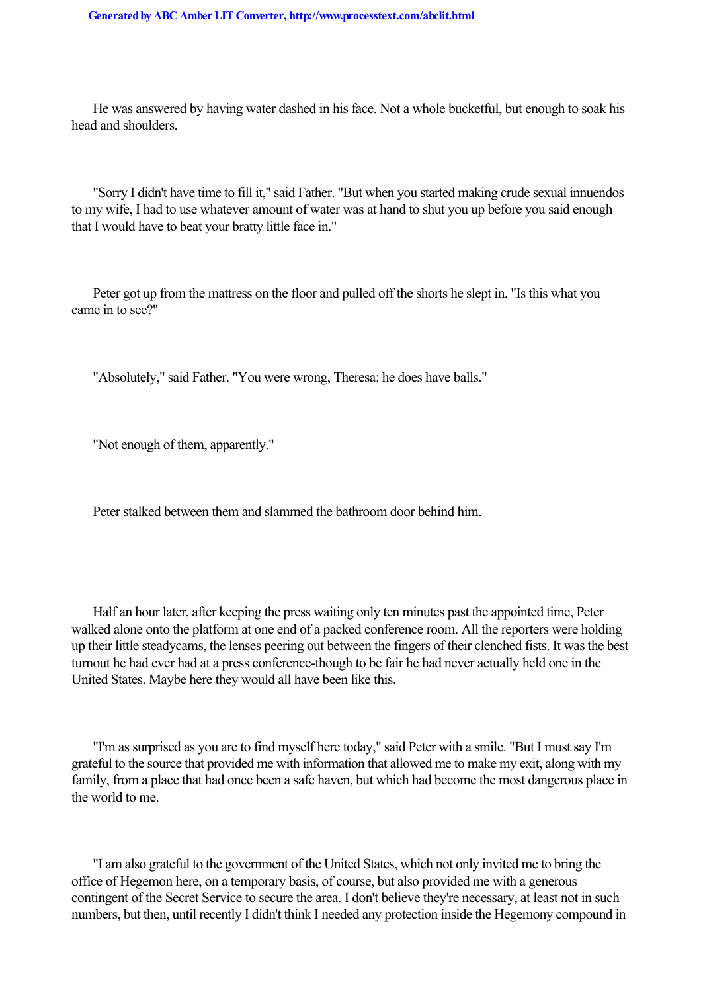He was answered by having water dashed in his face. Not a whole bucketful, but enough to soak his head and shoulders.

 "Sorry I didn't have time to fill it," said Father. "But when you started making crude sexual innuendos to my wife, I had to use whatever amount of water was at hand to shut you up before you said enough that I would have to beat your bratty little face in."

 Peter got up from the mattress on the floor and pulled off the shorts he slept in. "Is this what you came in to see?"

"Absolutely," said Father. "You were wrong, Theresa: he does have balls."

"Not enough of them, apparently."

Peter stalked between them and slammed the bathroom door behind him.

 Half an hour later, after keeping the press waiting only ten minutes past the appointed time, Peter walked alone onto the platform at one end of a packed conference room. All the reporters were holding up their little steadycams, the lenses peering out between the fingers of their clenched fists. It was the best turnout he had ever had at a press conference-though to be fair he had never actually held one in the United States. Maybe here they would all have been like this.

 "I'm as surprised as you are to find myself here today," said Peter with a smile. "But I must say I'm grateful to the source that provided me with information that allowed me to make my exit, along with my family, from a place that had once been a safe haven, but which had become the most dangerous place in the world to me.

 "I am also grateful to the government of the United States, which not only invited me to bring the office of Hegemon here, on a temporary basis, of course, but also provided me with a generous contingent of the Secret Service to secure the area. I don't believe they're necessary, at least not in such numbers, but then, until recently I didn't think I needed any protection inside the Hegemony compound in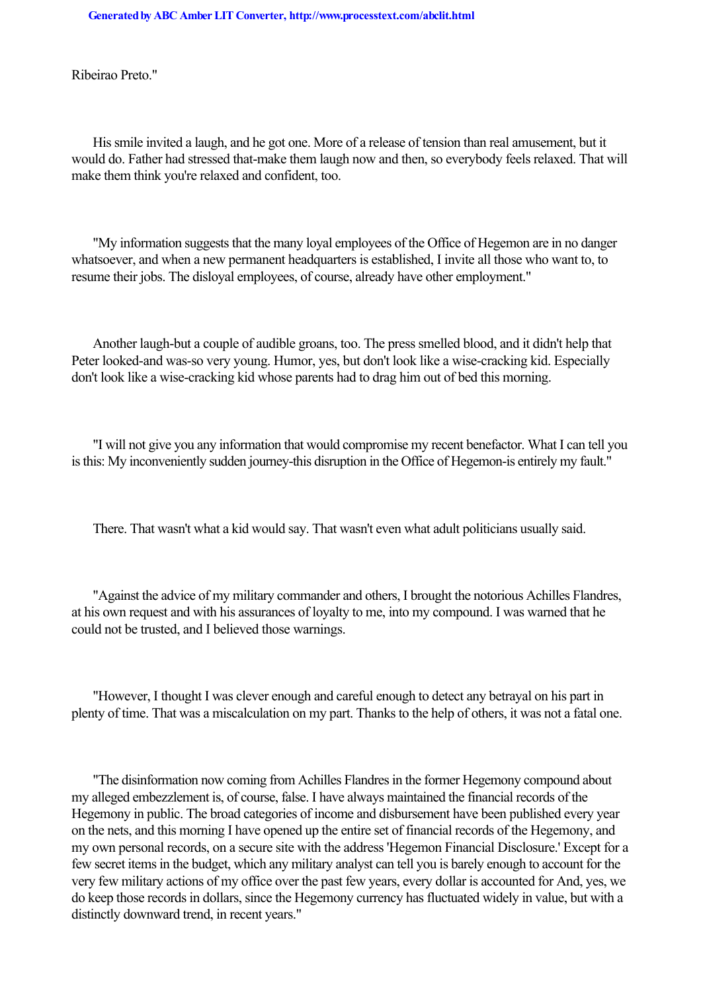Ribeirao Preto."

 His smile invited a laugh, and he got one. More of a release of tension than real amusement, but it would do. Father had stressed that-make them laugh now and then, so everybody feels relaxed. That will make them think you're relaxed and confident, too.

 "My information suggests that the many loyal employees of the Office of Hegemon are in no danger whatsoever, and when a new permanent headquarters is established, I invite all those who want to, to resume their jobs. The disloyal employees, of course, already have other employment."

 Another laugh-but a couple of audible groans, too. The press smelled blood, and it didn't help that Peter looked-and was-so very young. Humor, yes, but don't look like a wise-cracking kid. Especially don't look like a wise-cracking kid whose parents had to drag him out of bed this morning.

 "I will not give you any information that would compromise my recent benefactor. What I can tell you is this: My inconveniently sudden journey-this disruption in the Office of Hegemon-is entirely my fault."

There. That wasn't what a kid would say. That wasn't even what adult politicians usually said.

 "Against the advice of my military commander and others, I brought the notorious Achilles Flandres, at his own request and with his assurances of loyalty to me, into my compound. I was warned that he could not be trusted, and I believed those warnings.

 "However, I thought I was clever enough and careful enough to detect any betrayal on his part in plenty of time. That was a miscalculation on my part. Thanks to the help of others, it was not a fatal one.

 "The disinformation now coming from Achilles Flandres in the former Hegemony compound about my alleged embezzlement is, of course, false. I have always maintained the financial records of the Hegemony in public. The broad categories of income and disbursement have been published every year on the nets, and this morning I have opened up the entire set of financial records of the Hegemony, and my own personal records, on a secure site with the address 'Hegemon Financial Disclosure.' Except for a few secret items in the budget, which any military analyst can tell you is barely enough to account for the very few military actions of my office over the past few years, every dollar is accounted for And, yes, we do keep those records in dollars, since the Hegemony currency has fluctuated widely in value, but with a distinctly downward trend, in recent years."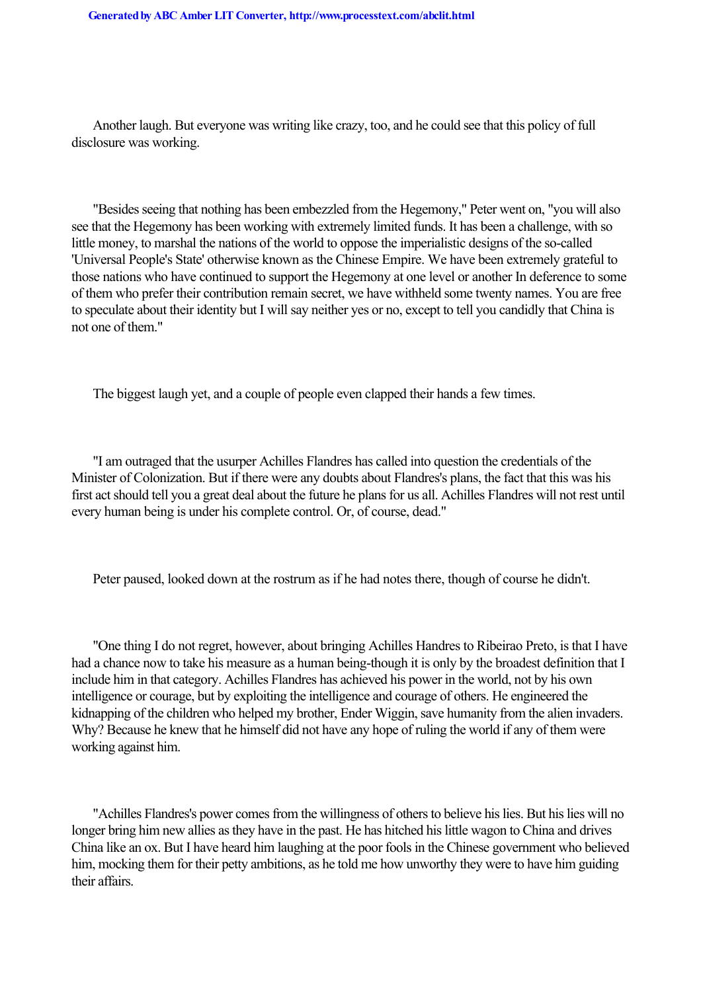Another laugh. But everyone was writing like crazy, too, and he could see that this policy of full disclosure was working.

 "Besides seeing that nothing has been embezzled from the Hegemony," Peter went on, "you will also see that the Hegemony has been working with extremely limited funds. It has been a challenge, with so little money, to marshal the nations of the world to oppose the imperialistic designs of the so-called 'Universal People's State' otherwise known as the Chinese Empire. We have been extremely grateful to those nations who have continued to support the Hegemony at one level or another In deference to some of them who prefer their contribution remain secret, we have withheld some twenty names. You are free to speculate about their identity but I will say neither yes or no, except to tell you candidly that China is not one of them."

The biggest laugh yet, and a couple of people even clapped their hands a few times.

 "I am outraged that the usurper Achilles Flandres has called into question the credentials of the Minister of Colonization. But if there were any doubts about Flandres's plans, the fact that this was his first act should tell you a great deal about the future he plans for us all. Achilles Flandres will not rest until every human being is under his complete control. Or, of course, dead."

Peter paused, looked down at the rostrum as if he had notes there, though of course he didn't.

 "One thing I do not regret, however, about bringing Achilles Handres to Ribeirao Preto, is that I have had a chance now to take his measure as a human being-though it is only by the broadest definition that I include him in that category. Achilles Flandres has achieved his power in the world, not by his own intelligence or courage, but by exploiting the intelligence and courage of others. He engineered the kidnapping of the children who helped my brother, Ender Wiggin, save humanity from the alien invaders. Why? Because he knew that he himself did not have any hope of ruling the world if any of them were working against him.

 "Achilles Flandres's power comes from the willingness of others to believe his lies. But his lies will no longer bring him new allies as they have in the past. He has hitched his little wagon to China and drives China like an ox. But I have heard him laughing at the poor fools in the Chinese government who believed him, mocking them for their petty ambitions, as he told me how unworthy they were to have him guiding their affairs.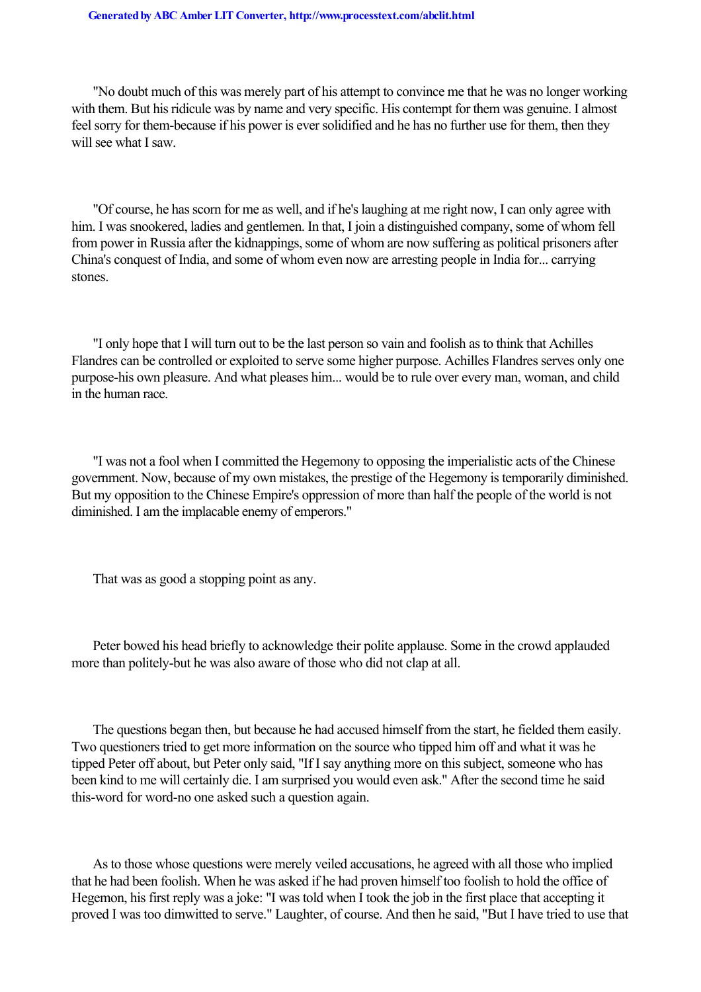"No doubt much of this was merely part of his attempt to convince me that he was no longer working with them. But his ridicule was by name and very specific. His contempt for them was genuine. I almost feel sorry for them-because if his power is ever solidified and he has no further use for them, then they will see what I saw.

 "Of course, he has scorn for me as well, and if he's laughing at me right now, I can only agree with him. I was snookered, ladies and gentlemen. In that, I join a distinguished company, some of whom fell from power in Russia after the kidnappings, some of whom are now suffering as political prisoners after China's conquest of India, and some of whom even now are arresting people in India for... carrying stones.

 "I only hope that I will turn out to be the last person so vain and foolish as to think that Achilles Flandres can be controlled or exploited to serve some higher purpose. Achilles Flandres serves only one purpose-his own pleasure. And what pleases him... would be to rule over every man, woman, and child in the human race.

 "I was not a fool when I committed the Hegemony to opposing the imperialistic acts of the Chinese government. Now, because of my own mistakes, the prestige of the Hegemony is temporarily diminished. But my opposition to the Chinese Empire's oppression of more than half the people of the world is not diminished. I am the implacable enemy of emperors."

That was as good a stopping point as any.

 Peter bowed his head briefly to acknowledge their polite applause. Some in the crowd applauded more than politely-but he was also aware of those who did not clap at all.

 The questions began then, but because he had accused himself from the start, he fielded them easily. Two questioners tried to get more information on the source who tipped him off and what it was he tipped Peter off about, but Peter only said, "If I say anything more on this subject, someone who has been kind to me will certainly die. I am surprised you would even ask." After the second time he said this-word for word-no one asked such a question again.

 As to those whose questions were merely veiled accusations, he agreed with all those who implied that he had been foolish. When he was asked if he had proven himself too foolish to hold the office of Hegemon, his first reply was a joke: "I was told when I took the job in the first place that accepting it proved I was too dimwitted to serve." Laughter, of course. And then he said, "But I have tried to use that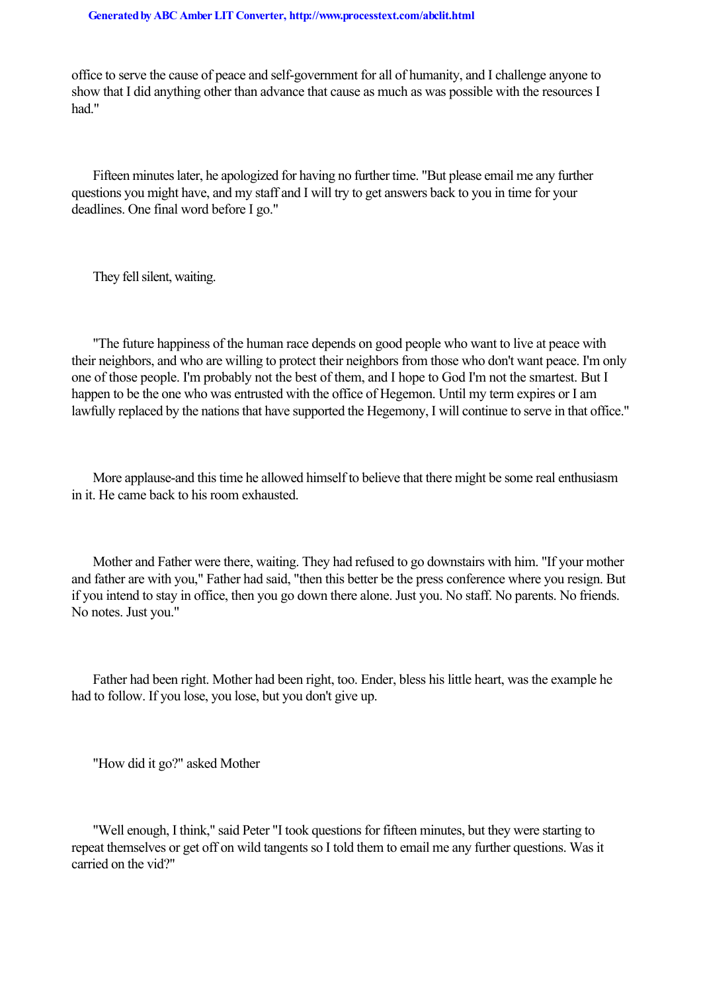office to serve the cause of peace and self-government for all of humanity, and I challenge anyone to show that I did anything other than advance that cause as much as was possible with the resources I had"

 Fifteen minutes later, he apologized for having no further time. "But please email me any further questions you might have, and my staff and I will try to get answers back to you in time for your deadlines. One final word before I go."

They fell silent, waiting.

 "The future happiness of the human race depends on good people who want to live at peace with their neighbors, and who are willing to protect their neighbors from those who don't want peace. I'm only one of those people. I'm probably not the best of them, and I hope to God I'm not the smartest. But I happen to be the one who was entrusted with the office of Hegemon. Until my term expires or I am lawfully replaced by the nations that have supported the Hegemony, I will continue to serve in that office."

 More applause-and this time he allowed himself to believe that there might be some real enthusiasm in it. He came back to his room exhausted.

 Mother and Father were there, waiting. They had refused to go downstairs with him. "If your mother and father are with you," Father had said, "then this better be the press conference where you resign. But if you intend to stay in office, then you go down there alone. Just you. No staff. No parents. No friends. No notes. Just you."

 Father had been right. Mother had been right, too. Ender, bless his little heart, was the example he had to follow. If you lose, you lose, but you don't give up.

"How did it go?" asked Mother

 "Well enough, I think," said Peter "I took questions for fifteen minutes, but they were starting to repeat themselves or get off on wild tangents so I told them to email me any further questions. Was it carried on the vid?"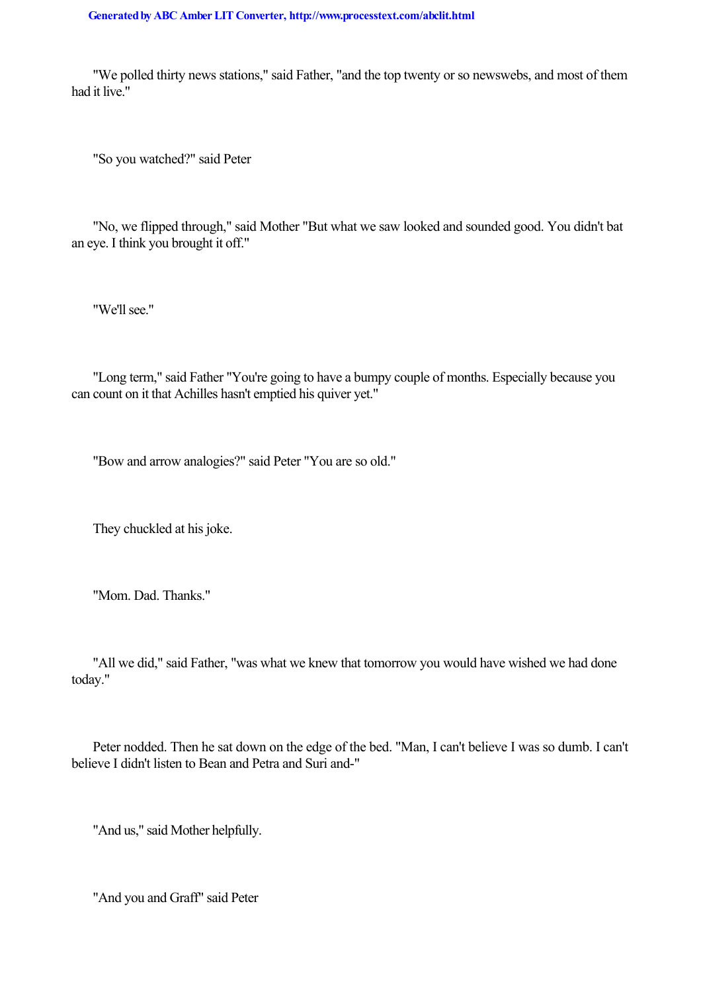"We polled thirty news stations," said Father, "and the top twenty or so newswebs, and most of them had it live."

"So you watched?" said Peter

 "No, we flipped through," said Mother "But what we saw looked and sounded good. You didn't bat an eye. I think you brought it off."

"We'll see."

 "Long term," said Father "You're going to have a bumpy couple of months. Especially because you can count on it that Achilles hasn't emptied his quiver yet."

"Bow and arrow analogies?" said Peter "You are so old."

They chuckled at his joke.

"Mom. Dad. Thanks."

 "All we did," said Father, "was what we knew that tomorrow you would have wished we had done today."

 Peter nodded. Then he sat down on the edge of the bed. "Man, I can't believe I was so dumb. I can't believe I didn't listen to Bean and Petra and Suri and-"

"And us," said Mother helpfully.

"And you and Graff" said Peter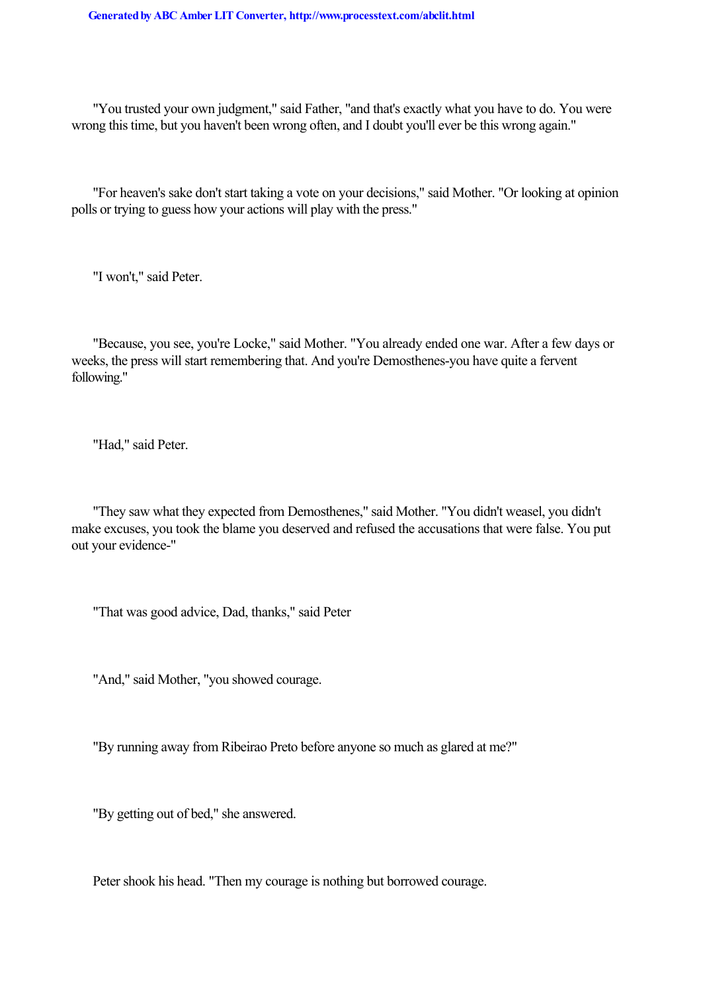"You trusted your own judgment," said Father, "and that's exactly what you have to do. You were wrong this time, but you haven't been wrong often, and I doubt you'll ever be this wrong again."

 "For heaven's sake don't start taking a vote on your decisions," said Mother. "Or looking at opinion polls or trying to guess how your actions will play with the press."

"I won't," said Peter.

 "Because, you see, you're Locke," said Mother. "You already ended one war. After a few days or weeks, the press will start remembering that. And you're Demosthenes-you have quite a fervent following."

"Had," said Peter.

 "They saw what they expected from Demosthenes," said Mother. "You didn't weasel, you didn't make excuses, you took the blame you deserved and refused the accusations that were false. You put out your evidence-"

"That was good advice, Dad, thanks," said Peter

"And," said Mother, "you showed courage.

"By running away from Ribeirao Preto before anyone so much as glared at me?"

"By getting out of bed," she answered.

Peter shook his head. "Then my courage is nothing but borrowed courage.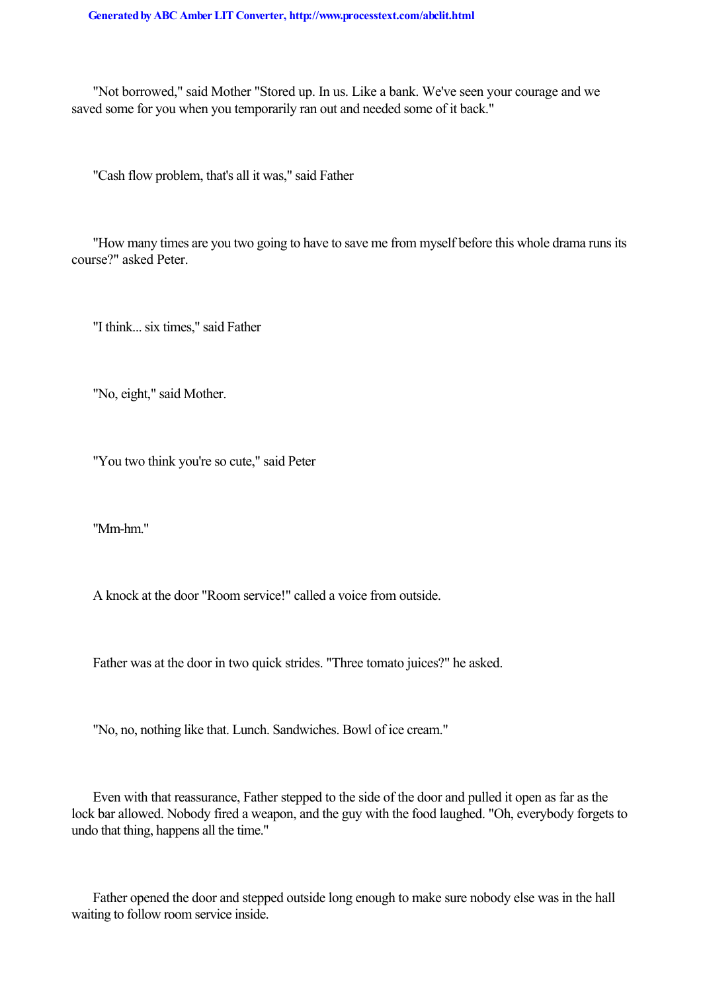"Not borrowed," said Mother "Stored up. In us. Like a bank. We've seen your courage and we saved some for you when you temporarily ran out and needed some of it back."

"Cash flow problem, that's all it was," said Father

 "How many times are you two going to have to save me from myself before this whole drama runs its course?" asked Peter.

"I think... six times," said Father

"No, eight," said Mother.

"You two think you're so cute," said Peter

"Mm-hm."

A knock at the door "Room service!" called a voice from outside.

Father was at the door in two quick strides. "Three tomato juices?" he asked.

"No, no, nothing like that. Lunch. Sandwiches. Bowl of ice cream."

 Even with that reassurance, Father stepped to the side of the door and pulled it open as far as the lock bar allowed. Nobody fired a weapon, and the guy with the food laughed. "Oh, everybody forgets to undo that thing, happens all the time."

 Father opened the door and stepped outside long enough to make sure nobody else was in the hall waiting to follow room service inside.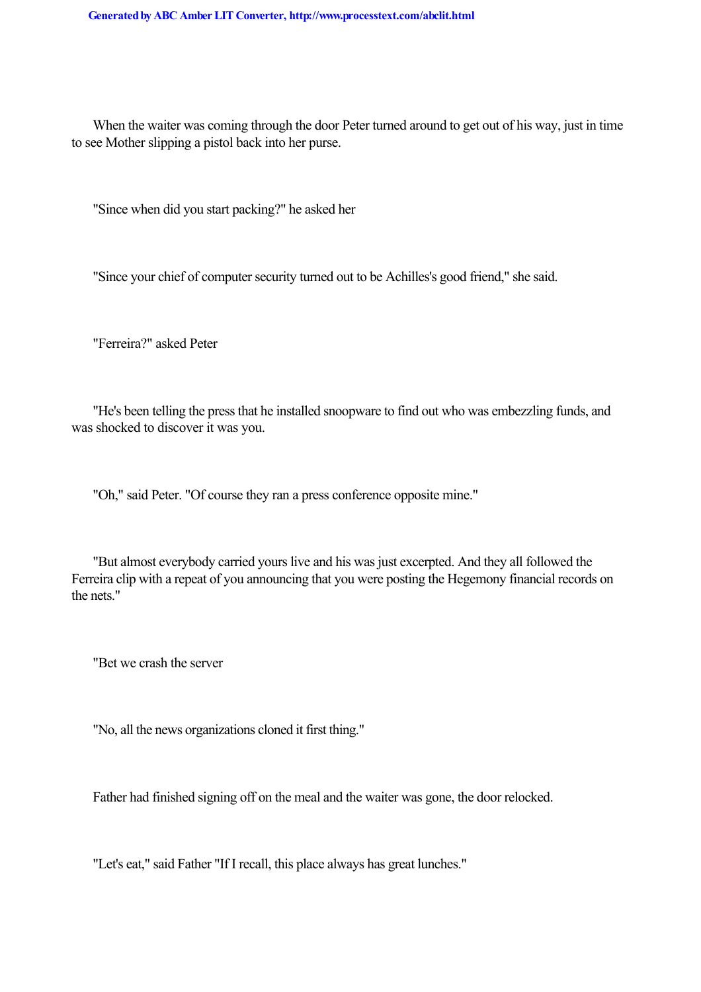When the waiter was coming through the door Peter turned around to get out of his way, just in time to see Mother slipping a pistol back into her purse.

"Since when did you start packing?" he asked her

"Since your chief of computer security turned out to be Achilles's good friend," she said.

"Ferreira?" asked Peter

 "He's been telling the press that he installed snoopware to find out who was embezzling funds, and was shocked to discover it was you.

"Oh," said Peter. "Of course they ran a press conference opposite mine."

 "But almost everybody carried yours live and his was just excerpted. And they all followed the Ferreira clip with a repeat of you announcing that you were posting the Hegemony financial records on the nets."

"Bet we crash the server

"No, all the news organizations cloned it first thing."

Father had finished signing off on the meal and the waiter was gone, the door relocked.

"Let's eat," said Father "If I recall, this place always has great lunches."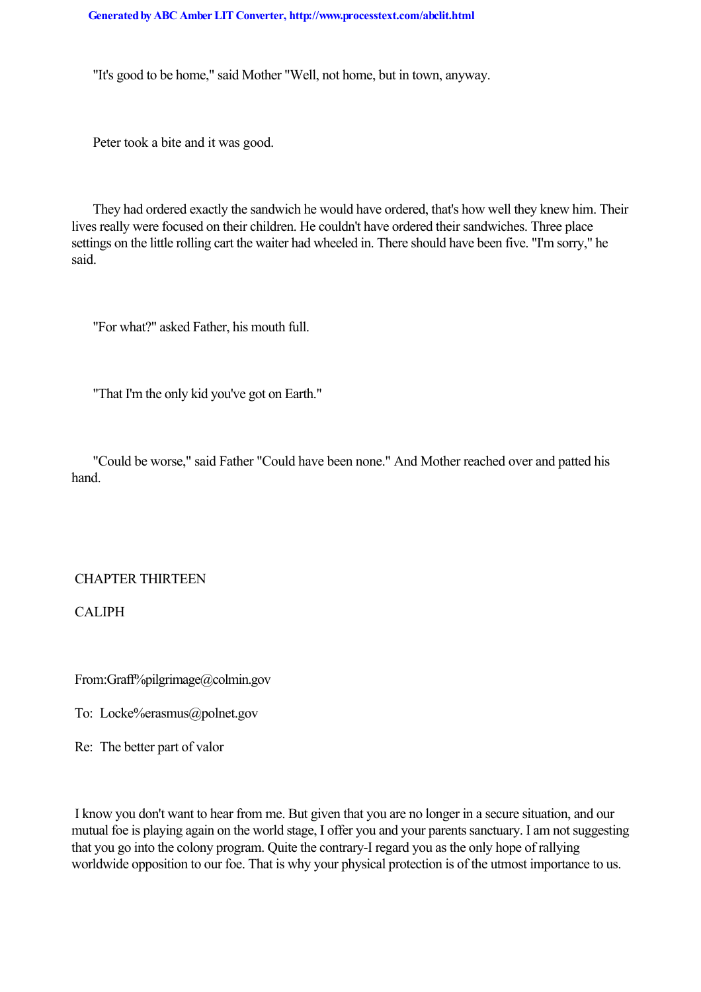"It's good to be home," said Mother "Well, not home, but in town, anyway.

Peter took a bite and it was good.

 They had ordered exactly the sandwich he would have ordered, that's how well they knew him. Their lives really were focused on their children. He couldn't have ordered their sandwiches. Three place settings on the little rolling cart the waiter had wheeled in. There should have been five. "I'm sorry," he said.

"For what?" asked Father, his mouth full.

"That I'm the only kid you've got on Earth."

 "Could be worse," said Father "Could have been none." And Mother reached over and patted his hand.

# CHAPTER THIRTEEN

**CALIPH** 

From:Graff%pilgrimage@colmin.gov

To: Locke%erasmus@polnet.gov

Re: The better part of valor

 I know you don't want to hear from me. But given that you are no longer in a secure situation, and our mutual foe is playing again on the world stage, I offer you and your parents sanctuary. I am not suggesting that you go into the colony program. Quite the contrary-I regard you as the only hope of rallying worldwide opposition to our foe. That is why your physical protection is of the utmost importance to us.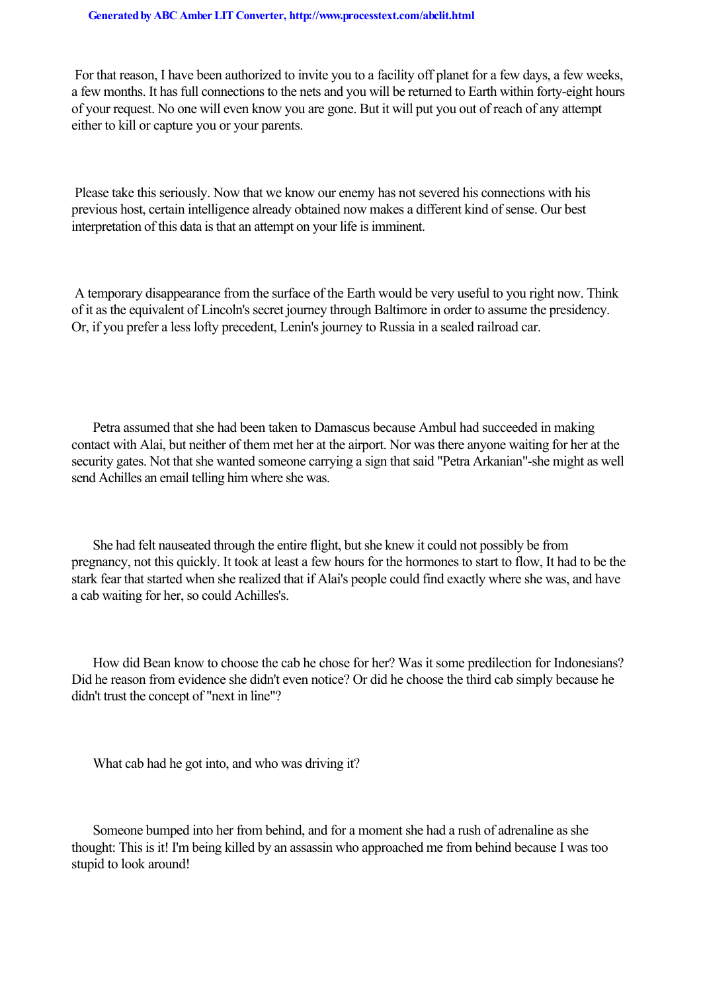For that reason, I have been authorized to invite you to a facility off planet for a few days, a few weeks, a few months. It has full connections to the nets and you will be returned to Earth within forty-eight hours of your request. No one will even know you are gone. But it will put you out of reach of any attempt either to kill or capture you or your parents.

 Please take this seriously. Now that we know our enemy has not severed his connections with his previous host, certain intelligence already obtained now makes a different kind of sense. Our best interpretation of this data is that an attempt on your life is imminent.

 A temporary disappearance from the surface of the Earth would be very useful to you right now. Think of it as the equivalent of Lincoln's secret journey through Baltimore in order to assume the presidency. Or, if you prefer a less lofty precedent, Lenin's journey to Russia in a sealed railroad car.

 Petra assumed that she had been taken to Damascus because Ambul had succeeded in making contact with Alai, but neither of them met her at the airport. Nor was there anyone waiting for her at the security gates. Not that she wanted someone carrying a sign that said "Petra Arkanian"-she might as well send Achilles an email telling him where she was.

 She had felt nauseated through the entire flight, but she knew it could not possibly be from pregnancy, not this quickly. It took at least a few hours for the hormones to start to flow, It had to be the stark fear that started when she realized that if Alai's people could find exactly where she was, and have a cab waiting for her, so could Achilles's.

 How did Bean know to choose the cab he chose for her? Was it some predilection for Indonesians? Did he reason from evidence she didn't even notice? Or did he choose the third cab simply because he didn't trust the concept of "next in line"?

What cab had he got into, and who was driving it?

 Someone bumped into her from behind, and for a moment she had a rush of adrenaline as she thought: This is it! I'm being killed by an assassin who approached me from behind because I was too stupid to look around!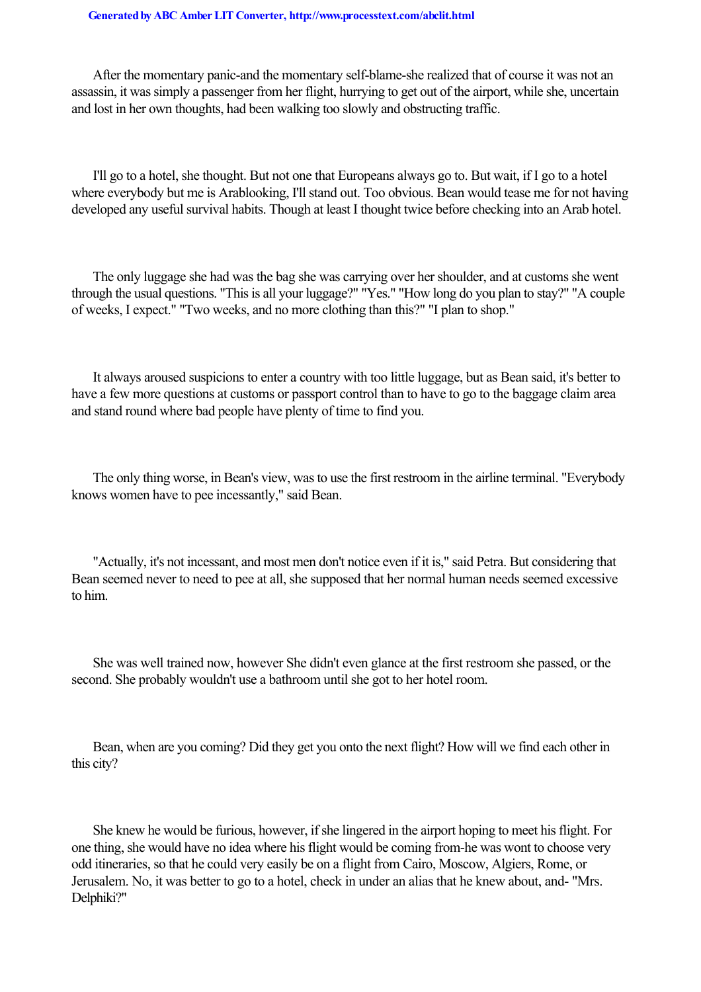After the momentary panic-and the momentary self-blame-she realized that of course it was not an assassin, it was simply a passenger from her flight, hurrying to get out of the airport, while she, uncertain and lost in her own thoughts, had been walking too slowly and obstructing traffic.

 I'll go to a hotel, she thought. But not one that Europeans always go to. But wait, if I go to a hotel where everybody but me is Arablooking, I'll stand out. Too obvious. Bean would tease me for not having developed any useful survival habits. Though at least I thought twice before checking into an Arab hotel.

 The only luggage she had was the bag she was carrying over her shoulder, and at customs she went through the usual questions. "This is all your luggage?" "Yes." "How long do you plan to stay?" "A couple of weeks, I expect." "Two weeks, and no more clothing than this?" "I plan to shop."

 It always aroused suspicions to enter a country with too little luggage, but as Bean said, it's better to have a few more questions at customs or passport control than to have to go to the baggage claim area and stand round where bad people have plenty of time to find you.

 The only thing worse, in Bean's view, was to use the first restroom in the airline terminal. "Everybody knows women have to pee incessantly," said Bean.

 "Actually, it's not incessant, and most men don't notice even if it is," said Petra. But considering that Bean seemed never to need to pee at all, she supposed that her normal human needs seemed excessive to him.

 She was well trained now, however She didn't even glance at the first restroom she passed, or the second. She probably wouldn't use a bathroom until she got to her hotel room.

 Bean, when are you coming? Did they get you onto the next flight? How will we find each other in this city?

 She knew he would be furious, however, if she lingered in the airport hoping to meet his flight. For one thing, she would have no idea where his flight would be coming from-he was wont to choose very odd itineraries, so that he could very easily be on a flight from Cairo, Moscow, Algiers, Rome, or Jerusalem. No, it was better to go to a hotel, check in under an alias that he knew about, and- "Mrs. Delphiki?"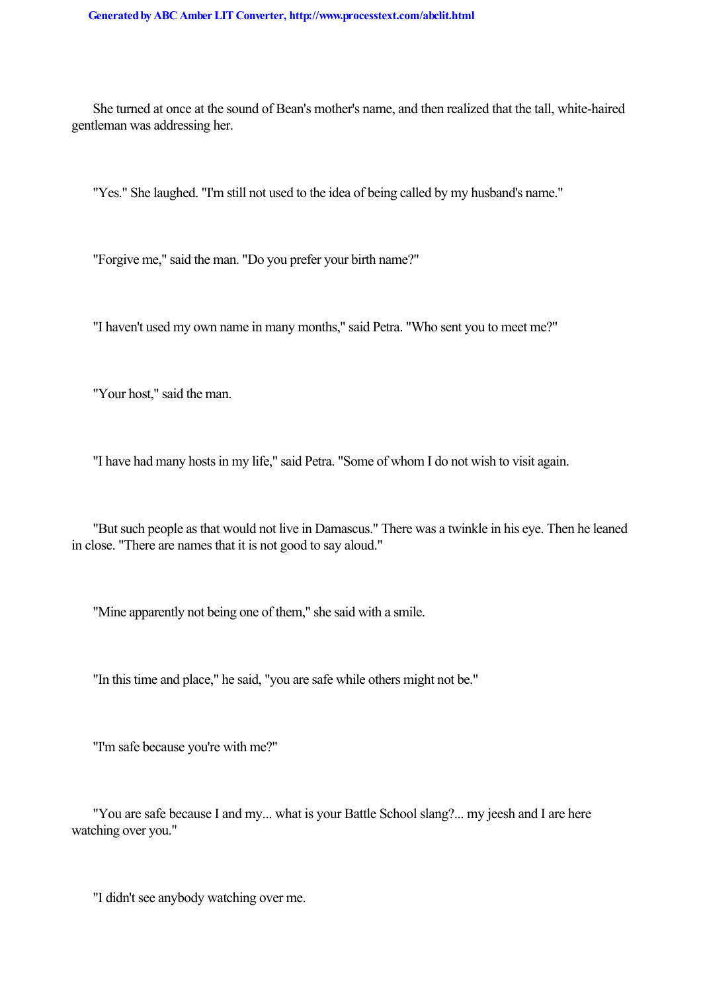She turned at once at the sound of Bean's mother's name, and then realized that the tall, white-haired gentleman was addressing her.

"Yes." She laughed. "I'm still not used to the idea of being called by my husband's name."

"Forgive me," said the man. "Do you prefer your birth name?"

"I haven't used my own name in many months," said Petra. "Who sent you to meet me?"

"Your host," said the man.

"I have had many hosts in my life," said Petra. "Some of whom I do not wish to visit again.

 "But such people as that would not live in Damascus." There was a twinkle in his eye. Then he leaned in close. "There are names that it is not good to say aloud."

"Mine apparently not being one of them," she said with a smile.

"In this time and place," he said, "you are safe while others might not be."

"I'm safe because you're with me?"

 "You are safe because I and my... what is your Battle School slang?... my jeesh and I are here watching over you."

"I didn't see anybody watching over me.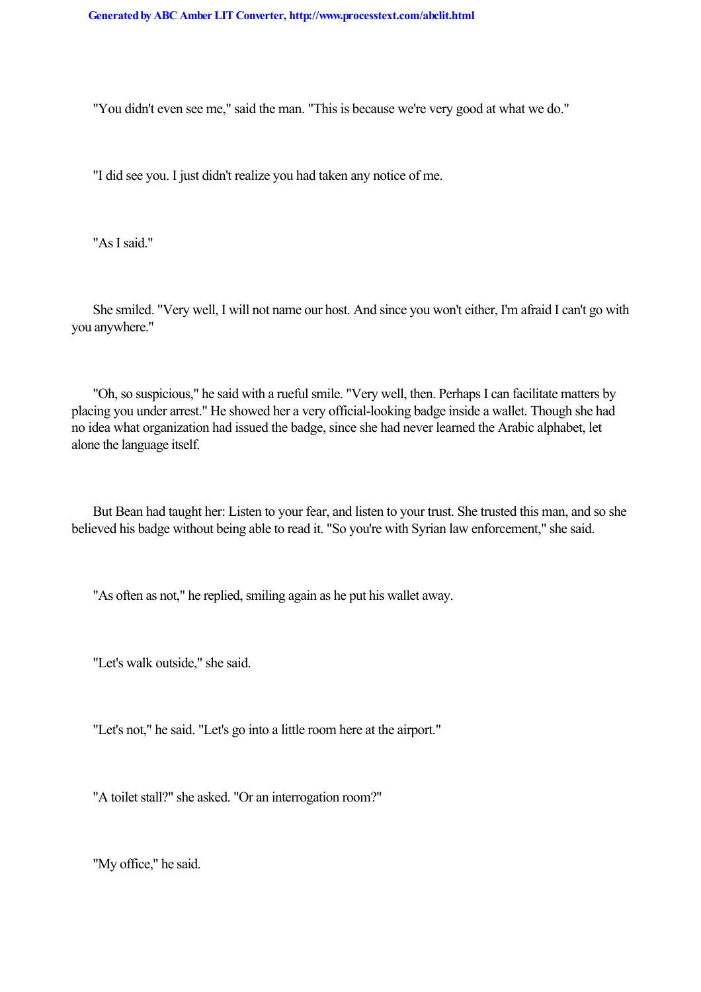"You didn't even see me," said the man. "This is because we're very good at what we do."

"I did see you. I just didn't realize you had taken any notice of me.

"As I said."

 She smiled. "Very well, I will not name our host. And since you won't either, I'm afraid I can't go with you anywhere."

 "Oh, so suspicious," he said with a rueful smile. "Very well, then. Perhaps I can facilitate matters by placing you under arrest." He showed her a very official-looking badge inside a wallet. Though she had no idea what organization had issued the badge, since she had never learned the Arabic alphabet, let alone the language itself.

 But Bean had taught her: Listen to your fear, and listen to your trust. She trusted this man, and so she believed his badge without being able to read it. "So you're with Syrian law enforcement," she said.

"As often as not," he replied, smiling again as he put his wallet away.

"Let's walk outside," she said.

"Let's not," he said. "Let's go into a little room here at the airport."

"A toilet stall?" she asked. "Or an interrogation room?"

"My office," he said.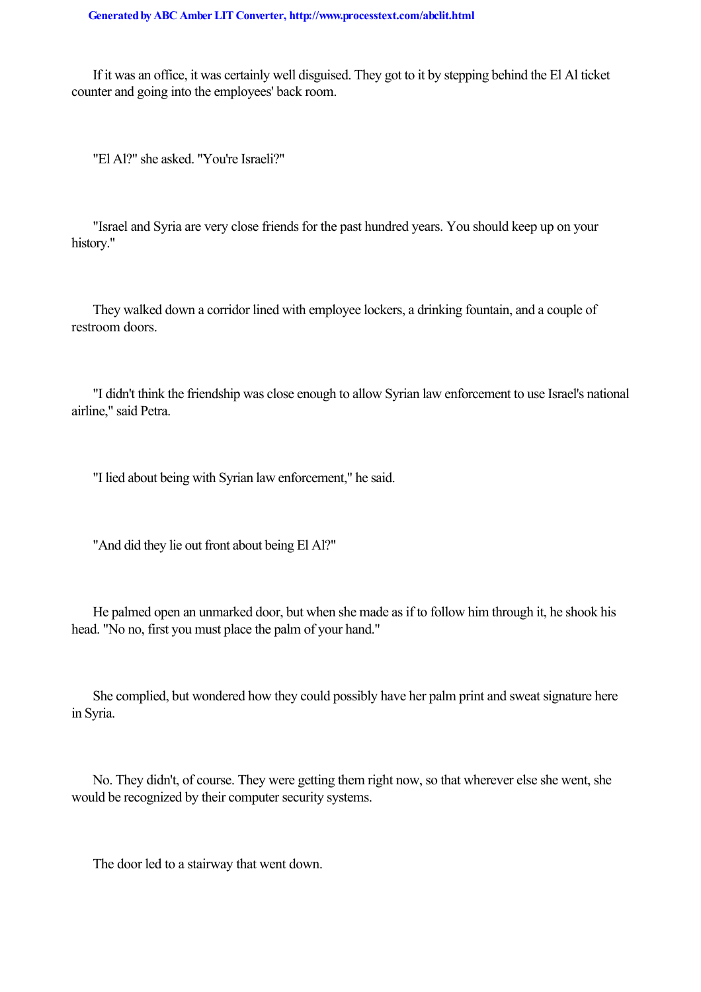If it was an office, it was certainly well disguised. They got to it by stepping behind the El Al ticket counter and going into the employees' back room.

"El Al?" she asked. "You're Israeli?"

 "Israel and Syria are very close friends for the past hundred years. You should keep up on your history."

 They walked down a corridor lined with employee lockers, a drinking fountain, and a couple of restroom doors.

 "I didn't think the friendship was close enough to allow Syrian law enforcement to use Israel's national airline," said Petra.

"I lied about being with Syrian law enforcement," he said.

"And did they lie out front about being El Al?"

 He palmed open an unmarked door, but when she made as if to follow him through it, he shook his head. "No no, first you must place the palm of your hand."

 She complied, but wondered how they could possibly have her palm print and sweat signature here in Syria.

 No. They didn't, of course. They were getting them right now, so that wherever else she went, she would be recognized by their computer security systems.

The door led to a stairway that went down.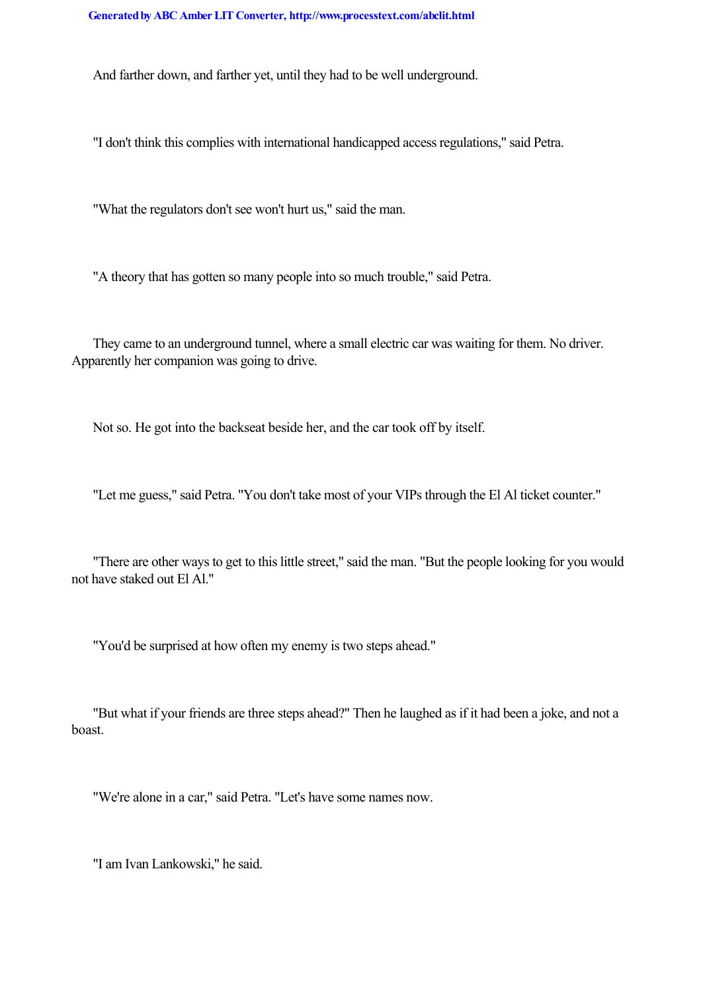And farther down, and farther yet, until they had to be well underground.

"I don't think this complies with international handicapped access regulations," said Petra.

"What the regulators don't see won't hurt us," said the man.

"A theory that has gotten so many people into so much trouble," said Petra.

 They came to an underground tunnel, where a small electric car was waiting for them. No driver. Apparently her companion was going to drive.

Not so. He got into the backseat beside her, and the car took off by itself.

"Let me guess," said Petra. "You don't take most of your VIPs through the El Al ticket counter."

 "There are other ways to get to this little street," said the man. "But the people looking for you would not have staked out El Al."

"You'd be surprised at how often my enemy is two steps ahead."

 "But what if your friends are three steps ahead?" Then he laughed as if it had been a joke, and not a boast.

"We're alone in a car," said Petra. "Let's have some names now.

"I am Ivan Lankowski," he said.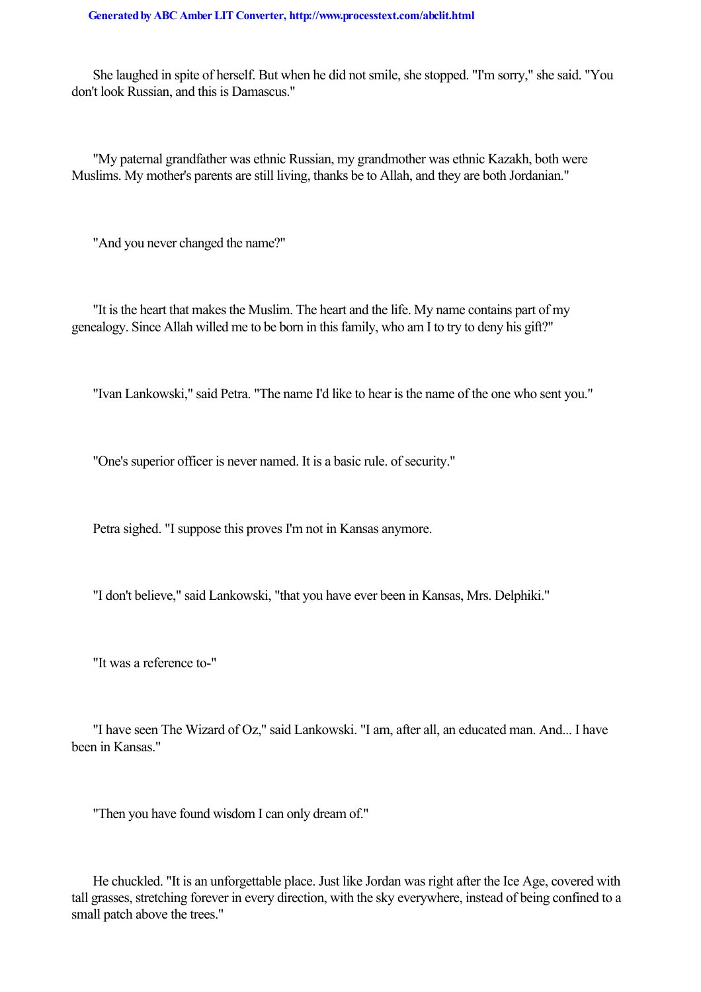She laughed in spite of herself. But when he did not smile, she stopped. "I'm sorry," she said. "You don't look Russian, and this is Damascus."

 "My paternal grandfather was ethnic Russian, my grandmother was ethnic Kazakh, both were Muslims. My mother's parents are still living, thanks be to Allah, and they are both Jordanian."

"And you never changed the name?"

 "It is the heart that makes the Muslim. The heart and the life. My name contains part of my genealogy. Since Allah willed me to be born in this family, who am I to try to deny his gift?"

"Ivan Lankowski," said Petra. "The name I'd like to hear is the name of the one who sent you."

"One's superior officer is never named. It is a basic rule. of security."

Petra sighed. "I suppose this proves I'm not in Kansas anymore.

"I don't believe," said Lankowski, "that you have ever been in Kansas, Mrs. Delphiki."

"It was a reference to-"

 "I have seen The Wizard of Oz," said Lankowski. "I am, after all, an educated man. And... I have been in Kansas."

"Then you have found wisdom I can only dream of."

 He chuckled. "It is an unforgettable place. Just like Jordan was right after the Ice Age, covered with tall grasses, stretching forever in every direction, with the sky everywhere, instead of being confined to a small patch above the trees."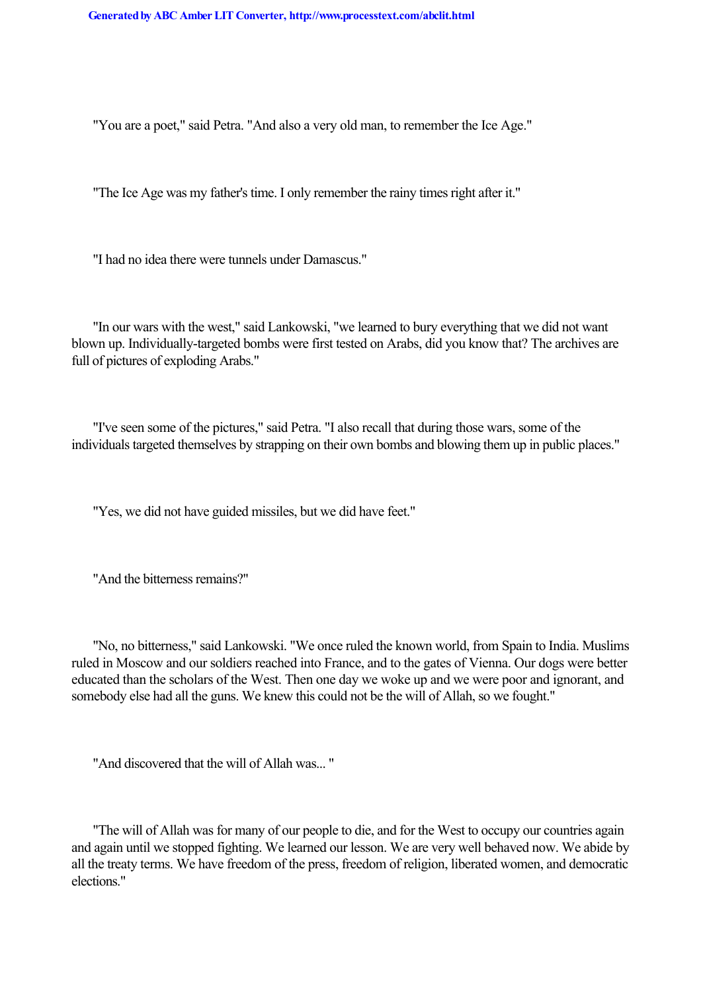"You are a poet," said Petra. "And also a very old man, to remember the Ice Age."

"The Ice Age was my father's time. I only remember the rainy times right after it."

"I had no idea there were tunnels under Damascus."

 "In our wars with the west," said Lankowski, "we learned to bury everything that we did not want blown up. Individually-targeted bombs were first tested on Arabs, did you know that? The archives are full of pictures of exploding Arabs."

 "I've seen some of the pictures," said Petra. "I also recall that during those wars, some of the individuals targeted themselves by strapping on their own bombs and blowing them up in public places."

"Yes, we did not have guided missiles, but we did have feet."

"And the bitterness remains?"

 "No, no bitterness," said Lankowski. "We once ruled the known world, from Spain to India. Muslims ruled in Moscow and our soldiers reached into France, and to the gates of Vienna. Our dogs were better educated than the scholars of the West. Then one day we woke up and we were poor and ignorant, and somebody else had all the guns. We knew this could not be the will of Allah, so we fought."

"And discovered that the will of Allah was... "

 "The will of Allah was for many of our people to die, and for the West to occupy our countries again and again until we stopped fighting. We learned our lesson. We are very well behaved now. We abide by all the treaty terms. We have freedom of the press, freedom of religion, liberated women, and democratic elections."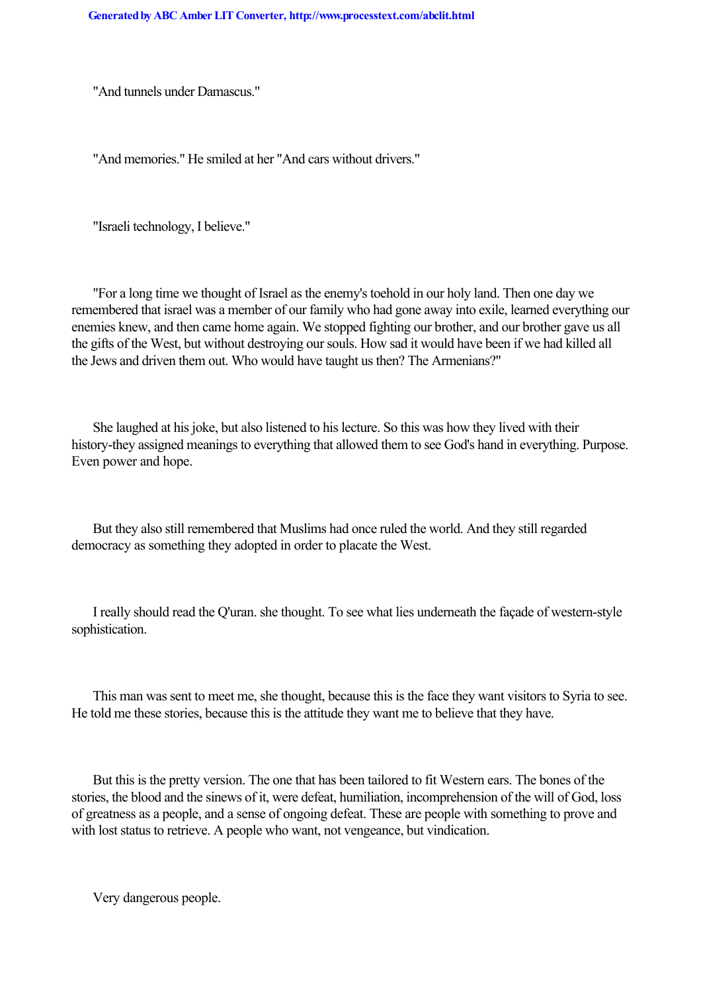"And tunnels under Damascus."

"And memories." He smiled at her "And cars without drivers."

"Israeli technology, I believe."

 "For a long time we thought of Israel as the enemy's toehold in our holy land. Then one day we remembered that israel was a member of our family who had gone away into exile, learned everything our enemies knew, and then came home again. We stopped fighting our brother, and our brother gave us all the gifts of the West, but without destroying our souls. How sad it would have been if we had killed all the Jews and driven them out. Who would have taught us then? The Armenians?"

 She laughed at his joke, but also listened to his lecture. So this was how they lived with their history-they assigned meanings to everything that allowed them to see God's hand in everything. Purpose. Even power and hope.

 But they also still remembered that Muslims had once ruled the world. And they still regarded democracy as something they adopted in order to placate the West.

 I really should read the Q'uran. she thought. To see what lies underneath the façade of western-style sophistication.

 This man was sent to meet me, she thought, because this is the face they want visitors to Syria to see. He told me these stories, because this is the attitude they want me to believe that they have.

 But this is the pretty version. The one that has been tailored to fit Western ears. The bones of the stories, the blood and the sinews of it, were defeat, humiliation, incomprehension of the will of God, loss of greatness as a people, and a sense of ongoing defeat. These are people with something to prove and with lost status to retrieve. A people who want, not vengeance, but vindication.

Very dangerous people.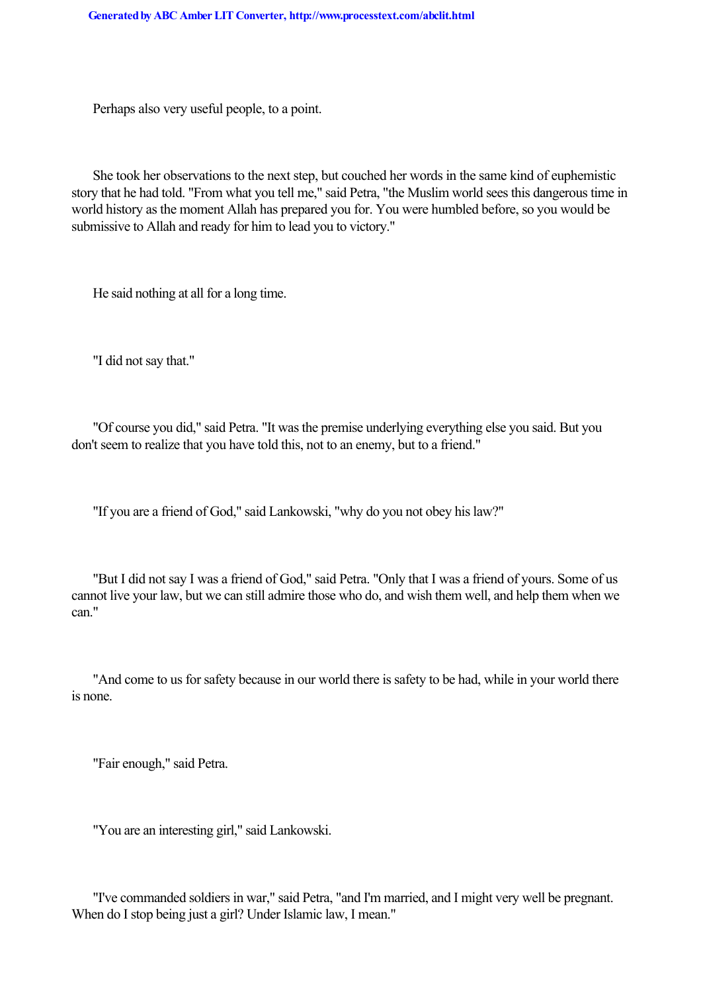Perhaps also very useful people, to a point.

 She took her observations to the next step, but couched her words in the same kind of euphemistic story that he had told. "From what you tell me," said Petra, "the Muslim world sees this dangerous time in world history as the moment Allah has prepared you for. You were humbled before, so you would be submissive to Allah and ready for him to lead you to victory."

He said nothing at all for a long time.

"I did not say that."

 "Of course you did," said Petra. "It was the premise underlying everything else you said. But you don't seem to realize that you have told this, not to an enemy, but to a friend."

"If you are a friend of God," said Lankowski, "why do you not obey his law?"

 "But I did not say I was a friend of God," said Petra. "Only that I was a friend of yours. Some of us cannot live your law, but we can still admire those who do, and wish them well, and help them when we can."

 "And come to us for safety because in our world there is safety to be had, while in your world there is none.

"Fair enough," said Petra.

"You are an interesting girl," said Lankowski.

 "I've commanded soldiers in war," said Petra, "and I'm married, and I might very well be pregnant. When do I stop being just a girl? Under Islamic law, I mean."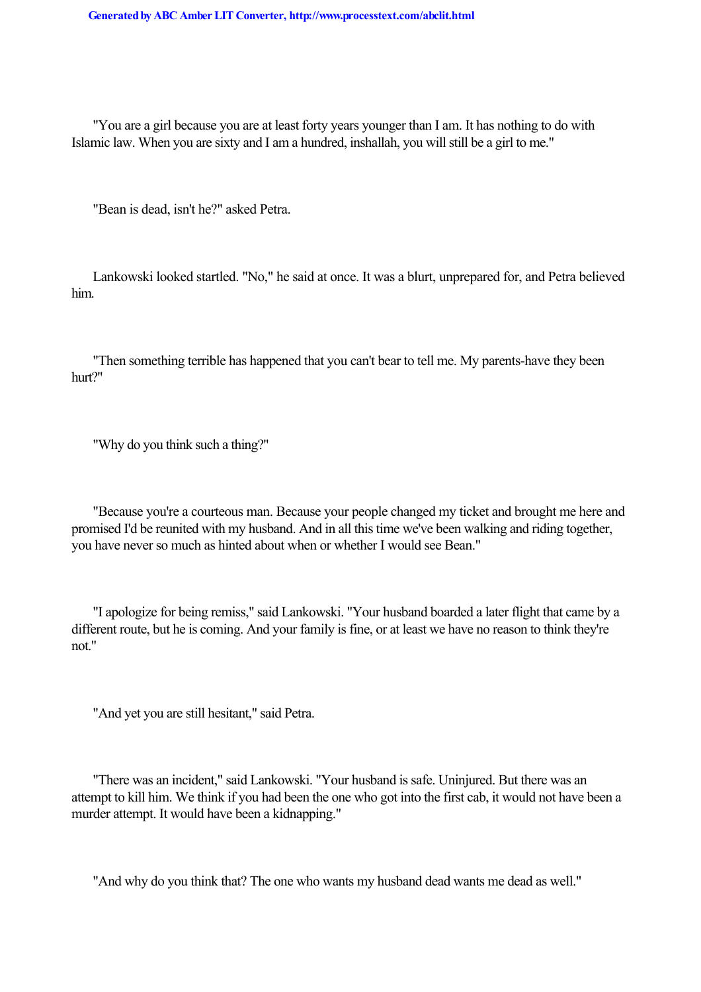"You are a girl because you are at least forty years younger than I am. It has nothing to do with Islamic law. When you are sixty and I am a hundred, inshallah, you will still be a girl to me."

"Bean is dead, isn't he?" asked Petra.

 Lankowski looked startled. "No," he said at once. It was a blurt, unprepared for, and Petra believed him.

 "Then something terrible has happened that you can't bear to tell me. My parents-have they been hurt?"

"Why do you think such a thing?"

 "Because you're a courteous man. Because your people changed my ticket and brought me here and promised I'd be reunited with my husband. And in all this time we've been walking and riding together, you have never so much as hinted about when or whether I would see Bean."

 "I apologize for being remiss," said Lankowski. "Your husband boarded a later flight that came by a different route, but he is coming. And your family is fine, or at least we have no reason to think they're not."

"And yet you are still hesitant," said Petra.

 "There was an incident," said Lankowski. "Your husband is safe. Uninjured. But there was an attempt to kill him. We think if you had been the one who got into the first cab, it would not have been a murder attempt. It would have been a kidnapping."

"And why do you think that? The one who wants my husband dead wants me dead as well."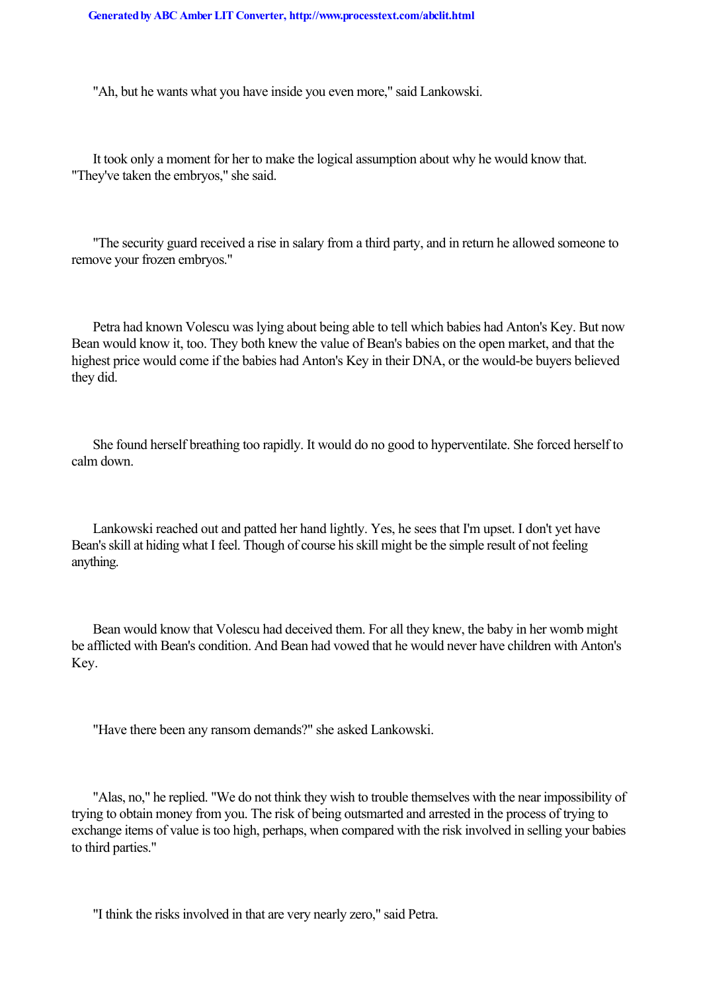"Ah, but he wants what you have inside you even more," said Lankowski.

 It took only a moment for her to make the logical assumption about why he would know that. "They've taken the embryos," she said.

 "The security guard received a rise in salary from a third party, and in return he allowed someone to remove your frozen embryos."

 Petra had known Volescu was lying about being able to tell which babies had Anton's Key. But now Bean would know it, too. They both knew the value of Bean's babies on the open market, and that the highest price would come if the babies had Anton's Key in their DNA, or the would-be buyers believed they did.

 She found herself breathing too rapidly. It would do no good to hyperventilate. She forced herself to calm down.

 Lankowski reached out and patted her hand lightly. Yes, he sees that I'm upset. I don't yet have Bean's skill at hiding what I feel. Though of course his skill might be the simple result of not feeling anything.

 Bean would know that Volescu had deceived them. For all they knew, the baby in her womb might be afflicted with Bean's condition. And Bean had vowed that he would never have children with Anton's Key.

"Have there been any ransom demands?" she asked Lankowski.

 "Alas, no," he replied. "We do not think they wish to trouble themselves with the near impossibility of trying to obtain money from you. The risk of being outsmarted and arrested in the process of trying to exchange items of value is too high, perhaps, when compared with the risk involved in selling your babies to third parties."

"I think the risks involved in that are very nearly zero," said Petra.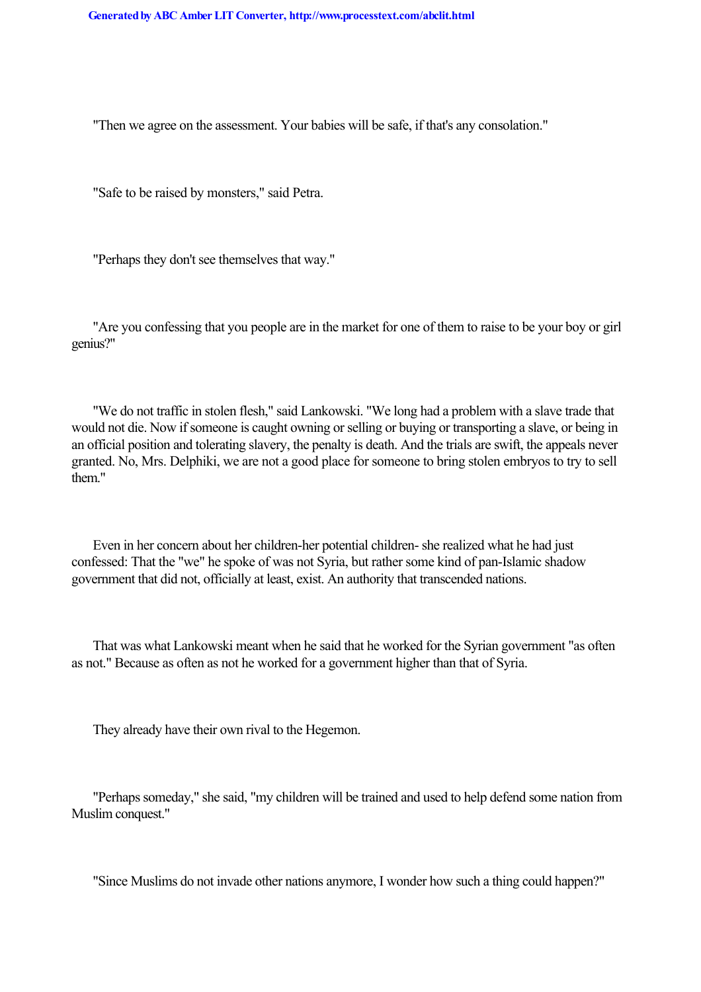"Then we agree on the assessment. Your babies will be safe, if that's any consolation."

"Safe to be raised by monsters," said Petra.

"Perhaps they don't see themselves that way."

 "Are you confessing that you people are in the market for one of them to raise to be your boy or girl genius?"

 "We do not traffic in stolen flesh," said Lankowski. "We long had a problem with a slave trade that would not die. Now if someone is caught owning or selling or buying or transporting a slave, or being in an official position and tolerating slavery, the penalty is death. And the trials are swift, the appeals never granted. No, Mrs. Delphiki, we are not a good place for someone to bring stolen embryos to try to sell them"

 Even in her concern about her children-her potential children- she realized what he had just confessed: That the "we" he spoke of was not Syria, but rather some kind of pan-Islamic shadow government that did not, officially at least, exist. An authority that transcended nations.

 That was what Lankowski meant when he said that he worked for the Syrian government "as often as not." Because as often as not he worked for a government higher than that of Syria.

They already have their own rival to the Hegemon.

 "Perhaps someday," she said, "my children will be trained and used to help defend some nation from Muslim conquest."

"Since Muslims do not invade other nations anymore, I wonder how such a thing could happen?"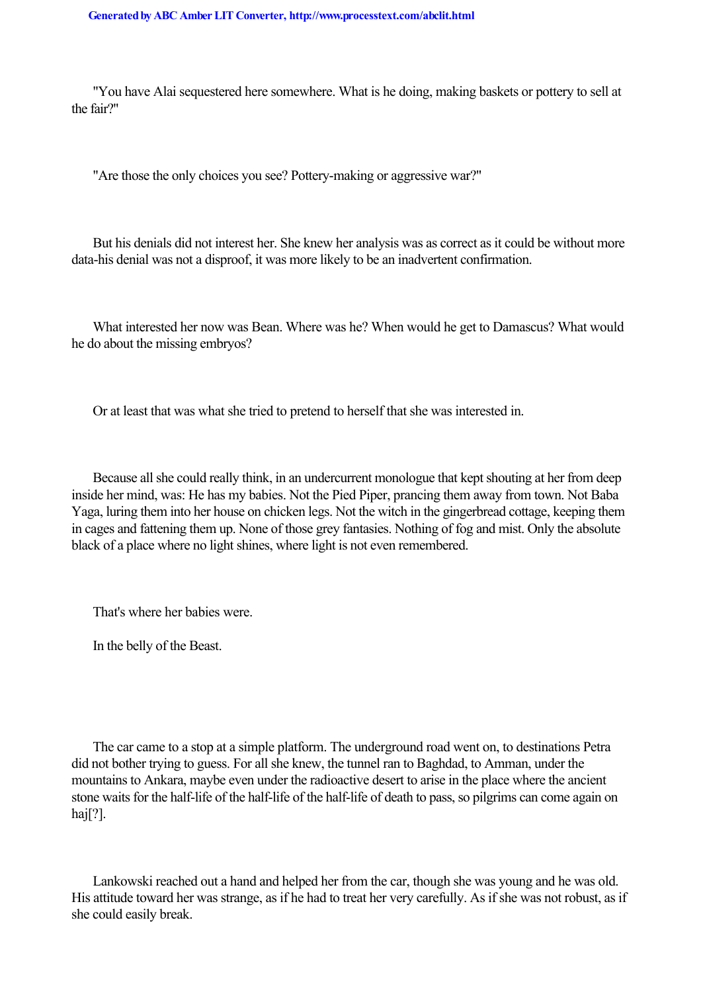"You have Alai sequestered here somewhere. What is he doing, making baskets or pottery to sell at the fair?"

"Are those the only choices you see? Pottery-making or aggressive war?"

 But his denials did not interest her. She knew her analysis was as correct as it could be without more data-his denial was not a disproof, it was more likely to be an inadvertent confirmation.

 What interested her now was Bean. Where was he? When would he get to Damascus? What would he do about the missing embryos?

Or at least that was what she tried to pretend to herself that she was interested in.

 Because all she could really think, in an undercurrent monologue that kept shouting at her from deep inside her mind, was: He has my babies. Not the Pied Piper, prancing them away from town. Not Baba Yaga, luring them into her house on chicken legs. Not the witch in the gingerbread cottage, keeping them in cages and fattening them up. None of those grey fantasies. Nothing of fog and mist. Only the absolute black of a place where no light shines, where light is not even remembered.

That's where her babies were.

In the belly of the Beast.

 The car came to a stop at a simple platform. The underground road went on, to destinations Petra did not bother trying to guess. For all she knew, the tunnel ran to Baghdad, to Amman, under the mountains to Ankara, maybe even under the radioactive desert to arise in the place where the ancient stone waits for the half-life of the half-life of the half-life of death to pass, so pilgrims can come again on haj[?].

 Lankowski reached out a hand and helped her from the car, though she was young and he was old. His attitude toward her was strange, as if he had to treat her very carefully. As if she was not robust, as if she could easily break.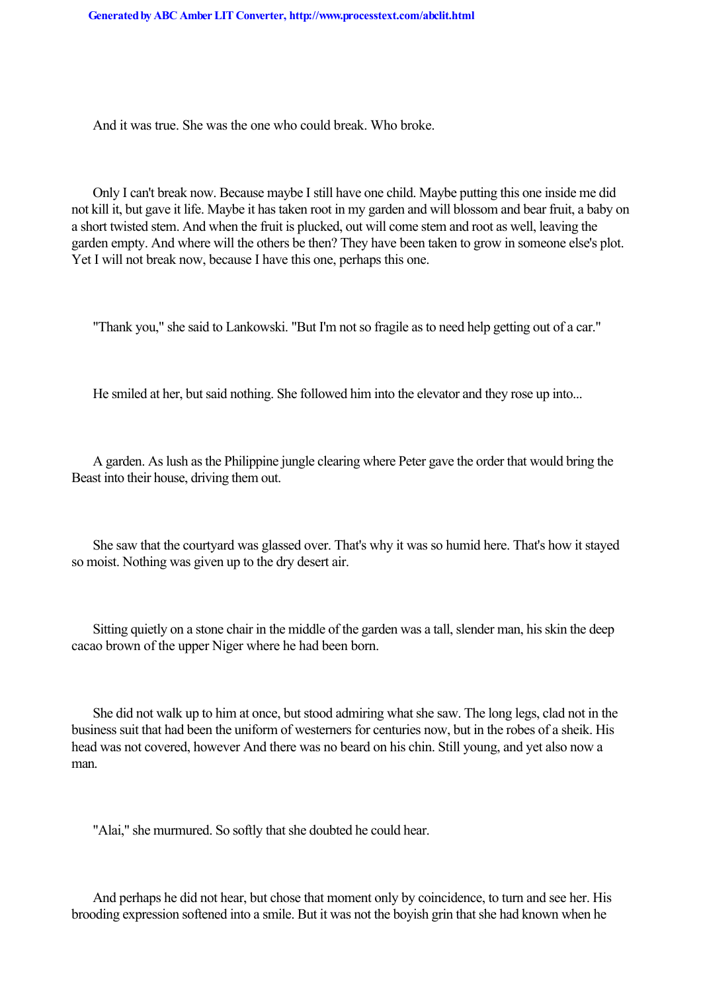And it was true. She was the one who could break. Who broke.

 Only I can't break now. Because maybe I still have one child. Maybe putting this one inside me did not kill it, but gave it life. Maybe it has taken root in my garden and will blossom and bear fruit, a baby on a short twisted stem. And when the fruit is plucked, out will come stem and root as well, leaving the garden empty. And where will the others be then? They have been taken to grow in someone else's plot. Yet I will not break now, because I have this one, perhaps this one.

"Thank you," she said to Lankowski. "But I'm not so fragile as to need help getting out of a car."

He smiled at her, but said nothing. She followed him into the elevator and they rose up into...

 A garden. As lush as the Philippine jungle clearing where Peter gave the order that would bring the Beast into their house, driving them out.

 She saw that the courtyard was glassed over. That's why it was so humid here. That's how it stayed so moist. Nothing was given up to the dry desert air.

 Sitting quietly on a stone chair in the middle of the garden was a tall, slender man, his skin the deep cacao brown of the upper Niger where he had been born.

 She did not walk up to him at once, but stood admiring what she saw. The long legs, clad not in the business suit that had been the uniform of westerners for centuries now, but in the robes of a sheik. His head was not covered, however And there was no beard on his chin. Still young, and yet also now a man.

"Alai," she murmured. So softly that she doubted he could hear.

 And perhaps he did not hear, but chose that moment only by coincidence, to turn and see her. His brooding expression softened into a smile. But it was not the boyish grin that she had known when he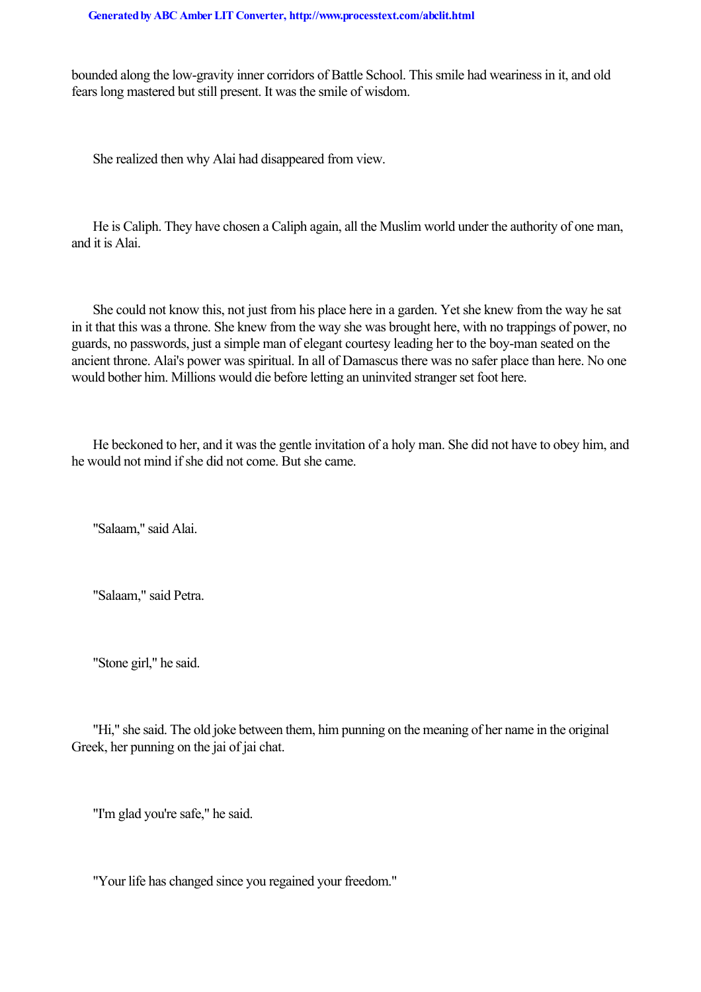bounded along the low-gravity inner corridors of Battle School. This smile had weariness in it, and old fears long mastered but still present. It was the smile of wisdom.

She realized then why Alai had disappeared from view.

 He is Caliph. They have chosen a Caliph again, all the Muslim world under the authority of one man, and it is Alai.

 She could not know this, not just from his place here in a garden. Yet she knew from the way he sat in it that this was a throne. She knew from the way she was brought here, with no trappings of power, no guards, no passwords, just a simple man of elegant courtesy leading her to the boy-man seated on the ancient throne. Alai's power was spiritual. In all of Damascus there was no safer place than here. No one would bother him. Millions would die before letting an uninvited stranger set foot here.

 He beckoned to her, and it was the gentle invitation of a holy man. She did not have to obey him, and he would not mind if she did not come. But she came.

"Salaam," said Alai.

"Salaam," said Petra.

"Stone girl," he said.

 "Hi," she said. The old joke between them, him punning on the meaning of her name in the original Greek, her punning on the jai of jai chat.

"I'm glad you're safe," he said.

"Your life has changed since you regained your freedom."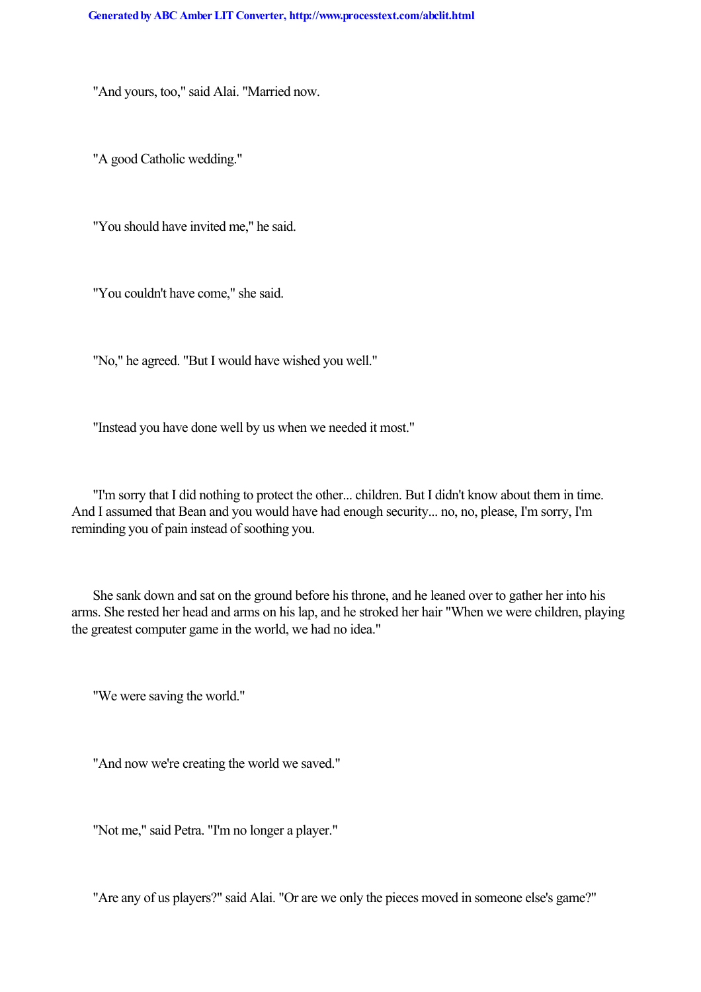"And yours, too," said Alai. "Married now.

"A good Catholic wedding."

"You should have invited me," he said.

"You couldn't have come," she said.

"No," he agreed. "But I would have wished you well."

"Instead you have done well by us when we needed it most."

 "I'm sorry that I did nothing to protect the other... children. But I didn't know about them in time. And I assumed that Bean and you would have had enough security... no, no, please, I'm sorry, I'm reminding you of pain instead of soothing you.

 She sank down and sat on the ground before his throne, and he leaned over to gather her into his arms. She rested her head and arms on his lap, and he stroked her hair "When we were children, playing the greatest computer game in the world, we had no idea."

"We were saving the world."

"And now we're creating the world we saved."

"Not me," said Petra. "I'm no longer a player."

"Are any of us players?" said Alai. "Or are we only the pieces moved in someone else's game?"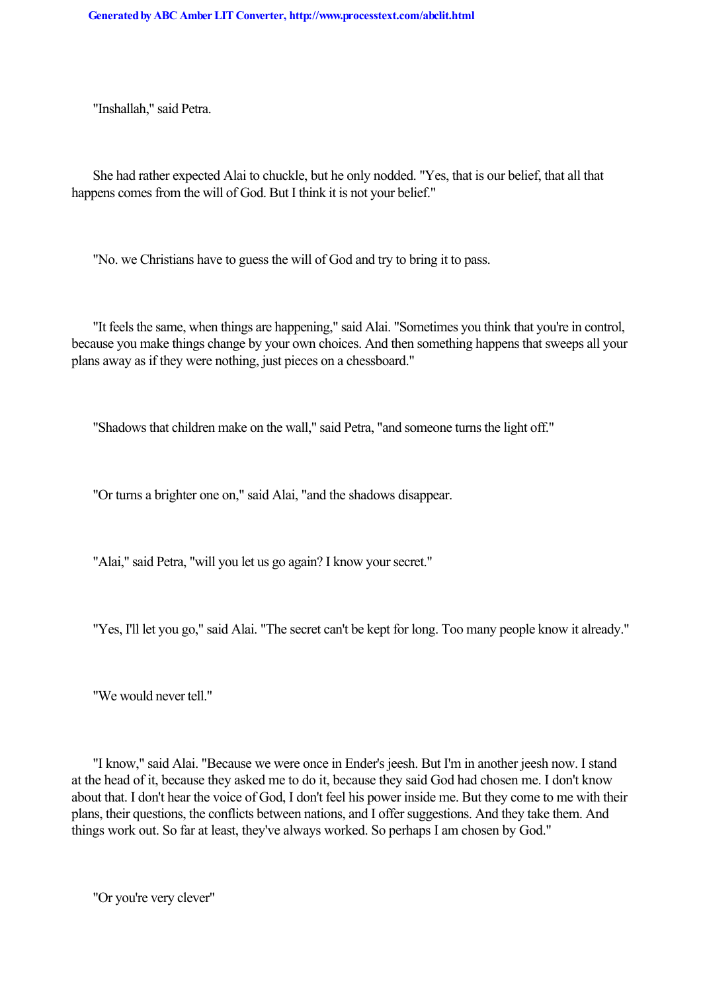"Inshallah," said Petra.

 She had rather expected Alai to chuckle, but he only nodded. "Yes, that is our belief, that all that happens comes from the will of God. But I think it is not your belief."

"No. we Christians have to guess the will of God and try to bring it to pass.

 "It feels the same, when things are happening," said Alai. "Sometimes you think that you're in control, because you make things change by your own choices. And then something happens that sweeps all your plans away as if they were nothing, just pieces on a chessboard."

"Shadows that children make on the wall," said Petra, "and someone turns the light off."

"Or turns a brighter one on," said Alai, "and the shadows disappear.

"Alai," said Petra, "will you let us go again? I know your secret."

"Yes, I'll let you go," said Alai. "The secret can't be kept for long. Too many people know it already."

"We would never tell."

 "I know," said Alai. "Because we were once in Ender's jeesh. But I'm in another jeesh now. I stand at the head of it, because they asked me to do it, because they said God had chosen me. I don't know about that. I don't hear the voice of God, I don't feel his power inside me. But they come to me with their plans, their questions, the conflicts between nations, and I offer suggestions. And they take them. And things work out. So far at least, they've always worked. So perhaps I am chosen by God."

"Or you're very clever"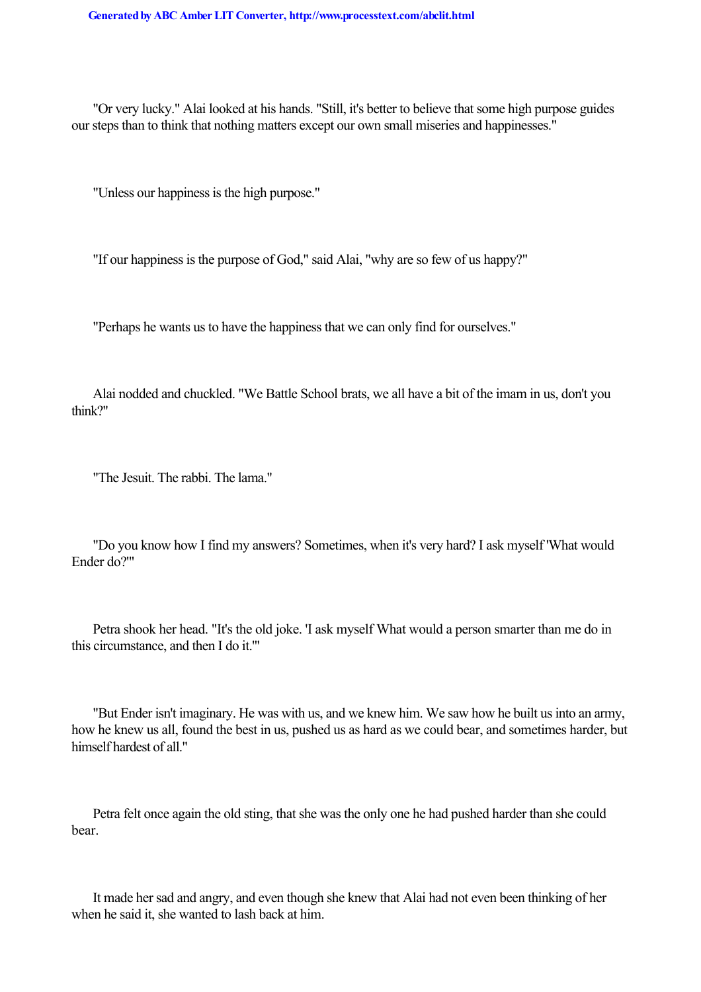"Or very lucky." Alai looked at his hands. "Still, it's better to believe that some high purpose guides our steps than to think that nothing matters except our own small miseries and happinesses."

"Unless our happiness is the high purpose."

"If our happiness is the purpose of God," said Alai, "why are so few of us happy?"

"Perhaps he wants us to have the happiness that we can only find for ourselves."

 Alai nodded and chuckled. "We Battle School brats, we all have a bit of the imam in us, don't you think?"

"The Jesuit. The rabbi. The lama."

 "Do you know how I find my answers? Sometimes, when it's very hard? I ask myself 'What would Ender do?'"

 Petra shook her head. "It's the old joke. 'I ask myself What would a person smarter than me do in this circumstance, and then I do it.'"

 "But Ender isn't imaginary. He was with us, and we knew him. We saw how he built us into an army, how he knew us all, found the best in us, pushed us as hard as we could bear, and sometimes harder, but himself hardest of all."

 Petra felt once again the old sting, that she was the only one he had pushed harder than she could bear.

 It made her sad and angry, and even though she knew that Alai had not even been thinking of her when he said it, she wanted to lash back at him.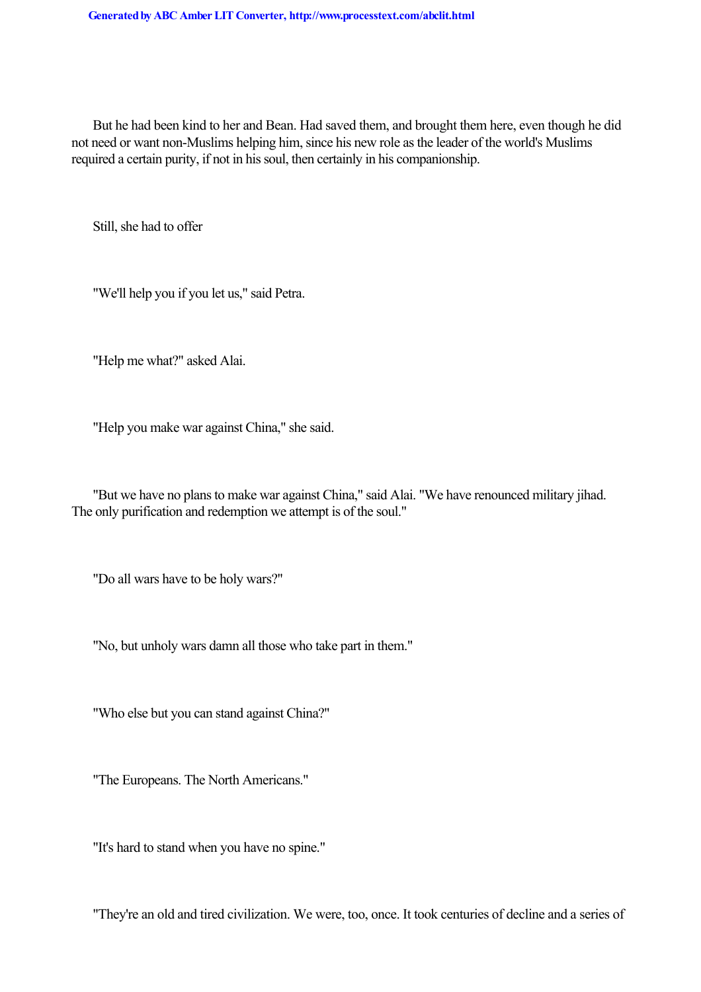But he had been kind to her and Bean. Had saved them, and brought them here, even though he did not need or want non-Muslims helping him, since his new role as the leader of the world's Muslims required a certain purity, if not in his soul, then certainly in his companionship.

Still, she had to offer

"We'll help you if you let us," said Petra.

"Help me what?" asked Alai.

"Help you make war against China," she said.

 "But we have no plans to make war against China," said Alai. "We have renounced military jihad. The only purification and redemption we attempt is of the soul."

"Do all wars have to be holy wars?"

"No, but unholy wars damn all those who take part in them."

"Who else but you can stand against China?"

"The Europeans. The North Americans."

"It's hard to stand when you have no spine."

"They're an old and tired civilization. We were, too, once. It took centuries of decline and a series of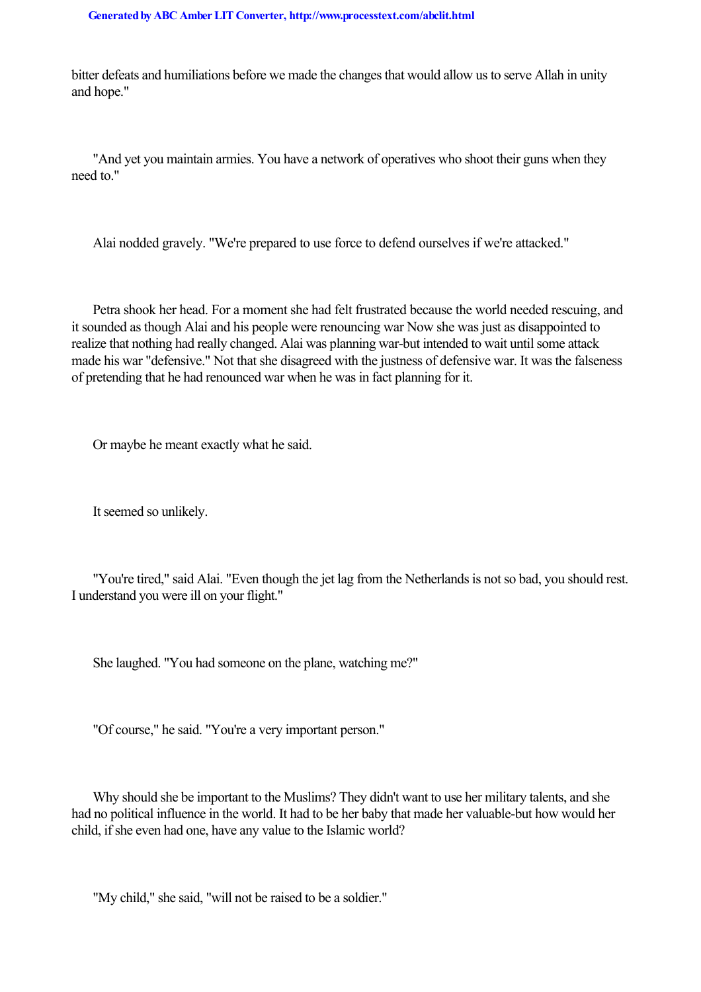bitter defeats and humiliations before we made the changes that would allow us to serve Allah in unity and hope."

 "And yet you maintain armies. You have a network of operatives who shoot their guns when they need to."

Alai nodded gravely. "We're prepared to use force to defend ourselves if we're attacked."

 Petra shook her head. For a moment she had felt frustrated because the world needed rescuing, and it sounded as though Alai and his people were renouncing war Now she was just as disappointed to realize that nothing had really changed. Alai was planning war-but intended to wait until some attack made his war "defensive." Not that she disagreed with the justness of defensive war. It was the falseness of pretending that he had renounced war when he was in fact planning for it.

Or maybe he meant exactly what he said.

It seemed so unlikely.

 "You're tired," said Alai. "Even though the jet lag from the Netherlands is not so bad, you should rest. I understand you were ill on your flight."

She laughed. "You had someone on the plane, watching me?"

"Of course," he said. "You're a very important person."

 Why should she be important to the Muslims? They didn't want to use her military talents, and she had no political influence in the world. It had to be her baby that made her valuable-but how would her child, if she even had one, have any value to the Islamic world?

"My child," she said, "will not be raised to be a soldier."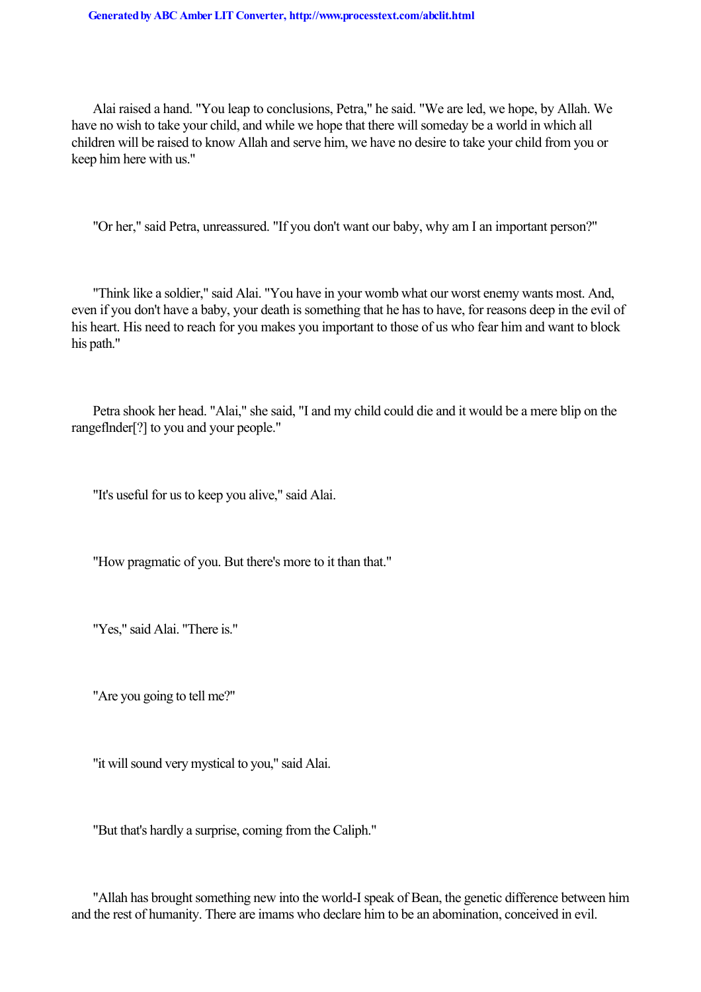Alai raised a hand. "You leap to conclusions, Petra," he said. "We are led, we hope, by Allah. We have no wish to take your child, and while we hope that there will someday be a world in which all children will be raised to know Allah and serve him, we have no desire to take your child from you or keep him here with us."

"Or her," said Petra, unreassured. "If you don't want our baby, why am I an important person?"

 "Think like a soldier," said Alai. "You have in your womb what our worst enemy wants most. And, even if you don't have a baby, your death is something that he has to have, for reasons deep in the evil of his heart. His need to reach for you makes you important to those of us who fear him and want to block his path."

 Petra shook her head. "Alai," she said, "I and my child could die and it would be a mere blip on the rangeflnder[?] to you and your people."

"It's useful for us to keep you alive," said Alai.

"How pragmatic of you. But there's more to it than that."

"Yes," said Alai. "There is."

"Are you going to tell me?"

"it will sound very mystical to you," said Alai.

"But that's hardly a surprise, coming from the Caliph."

 "Allah has brought something new into the world-I speak of Bean, the genetic difference between him and the rest of humanity. There are imams who declare him to be an abomination, conceived in evil.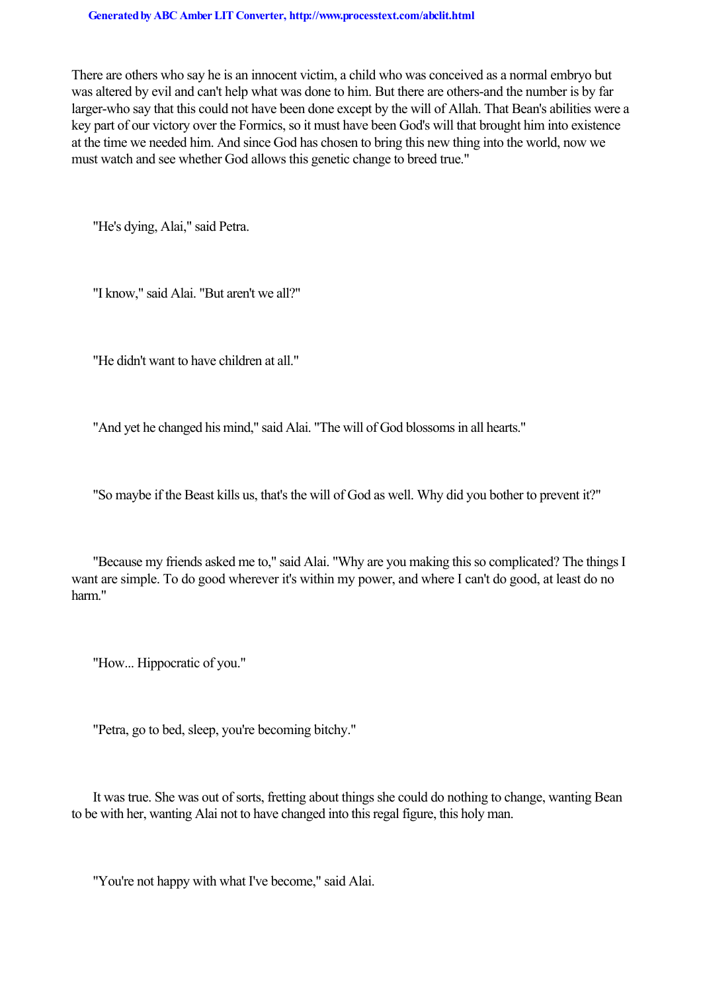There are others who say he is an innocent victim, a child who was conceived as a normal embryo but was altered by evil and can't help what was done to him. But there are others-and the number is by far larger-who say that this could not have been done except by the will of Allah. That Bean's abilities were a key part of our victory over the Formics, so it must have been God's will that brought him into existence at the time we needed him. And since God has chosen to bring this new thing into the world, now we must watch and see whether God allows this genetic change to breed true."

"He's dying, Alai," said Petra.

"I know," said Alai. "But aren't we all?"

"He didn't want to have children at all."

"And yet he changed his mind," said Alai. "The will of God blossoms in all hearts."

"So maybe if the Beast kills us, that's the will of God as well. Why did you bother to prevent it?"

 "Because my friends asked me to," said Alai. "Why are you making this so complicated? The things I want are simple. To do good wherever it's within my power, and where I can't do good, at least do no harm."

"How... Hippocratic of you."

"Petra, go to bed, sleep, you're becoming bitchy."

 It was true. She was out of sorts, fretting about things she could do nothing to change, wanting Bean to be with her, wanting Alai not to have changed into this regal figure, this holy man.

"You're not happy with what I've become," said Alai.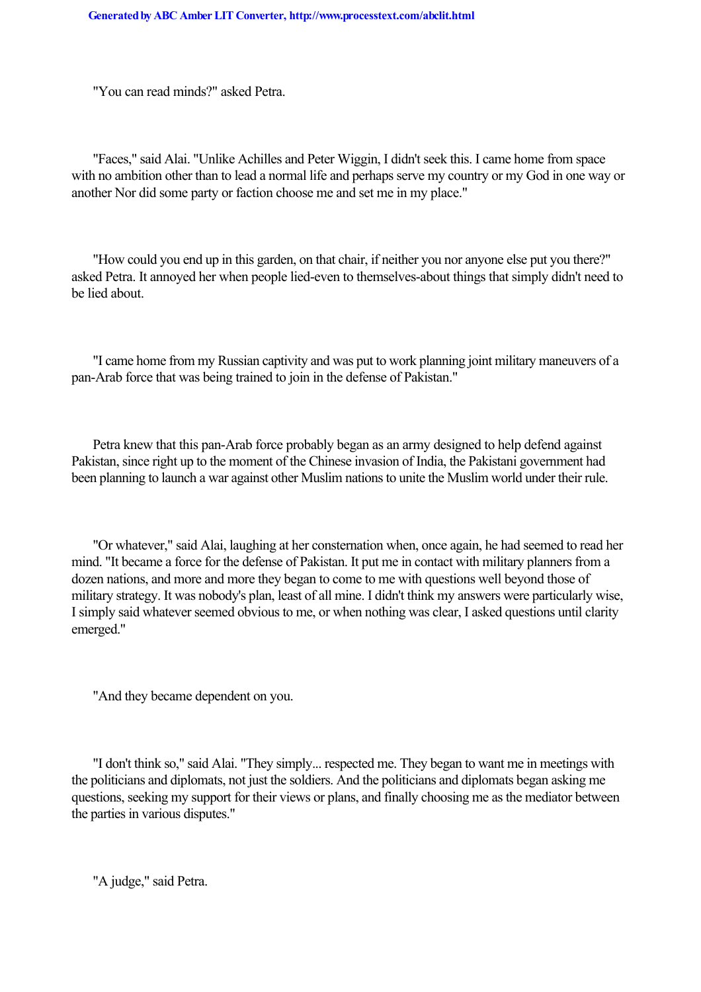"You can read minds?" asked Petra.

 "Faces," said Alai. "Unlike Achilles and Peter Wiggin, I didn't seek this. I came home from space with no ambition other than to lead a normal life and perhaps serve my country or my God in one way or another Nor did some party or faction choose me and set me in my place."

 "How could you end up in this garden, on that chair, if neither you nor anyone else put you there?" asked Petra. It annoyed her when people lied-even to themselves-about things that simply didn't need to be lied about.

 "I came home from my Russian captivity and was put to work planning joint military maneuvers of a pan-Arab force that was being trained to join in the defense of Pakistan."

 Petra knew that this pan-Arab force probably began as an army designed to help defend against Pakistan, since right up to the moment of the Chinese invasion of India, the Pakistani government had been planning to launch a war against other Muslim nations to unite the Muslim world under their rule.

 "Or whatever," said Alai, laughing at her consternation when, once again, he had seemed to read her mind. "It became a force for the defense of Pakistan. It put me in contact with military planners from a dozen nations, and more and more they began to come to me with questions well beyond those of military strategy. It was nobody's plan, least of all mine. I didn't think my answers were particularly wise, I simply said whatever seemed obvious to me, or when nothing was clear, I asked questions until clarity emerged."

"And they became dependent on you.

 "I don't think so," said Alai. "They simply... respected me. They began to want me in meetings with the politicians and diplomats, not just the soldiers. And the politicians and diplomats began asking me questions, seeking my support for their views or plans, and finally choosing me as the mediator between the parties in various disputes."

"A judge," said Petra.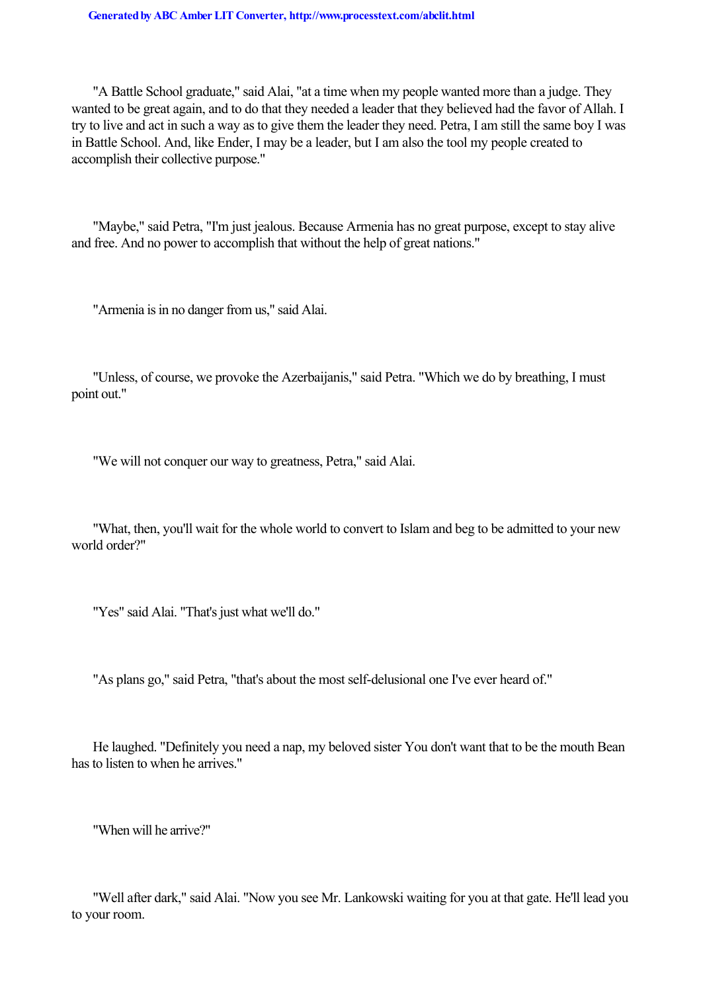"A Battle School graduate," said Alai, "at a time when my people wanted more than a judge. They wanted to be great again, and to do that they needed a leader that they believed had the favor of Allah. I try to live and act in such a way as to give them the leader they need. Petra, I am still the same boy I was in Battle School. And, like Ender, I may be a leader, but I am also the tool my people created to accomplish their collective purpose."

 "Maybe," said Petra, "I'm just jealous. Because Armenia has no great purpose, except to stay alive and free. And no power to accomplish that without the help of great nations."

"Armenia is in no danger from us," said Alai.

 "Unless, of course, we provoke the Azerbaijanis," said Petra. "Which we do by breathing, I must point out."

"We will not conquer our way to greatness, Petra," said Alai.

 "What, then, you'll wait for the whole world to convert to Islam and beg to be admitted to your new world order?"

"Yes" said Alai. "That's just what we'll do."

"As plans go," said Petra, "that's about the most self-delusional one I've ever heard of."

 He laughed. "Definitely you need a nap, my beloved sister You don't want that to be the mouth Bean has to listen to when he arrives."

"When will he arrive?"

 "Well after dark," said Alai. "Now you see Mr. Lankowski waiting for you at that gate. He'll lead you to your room.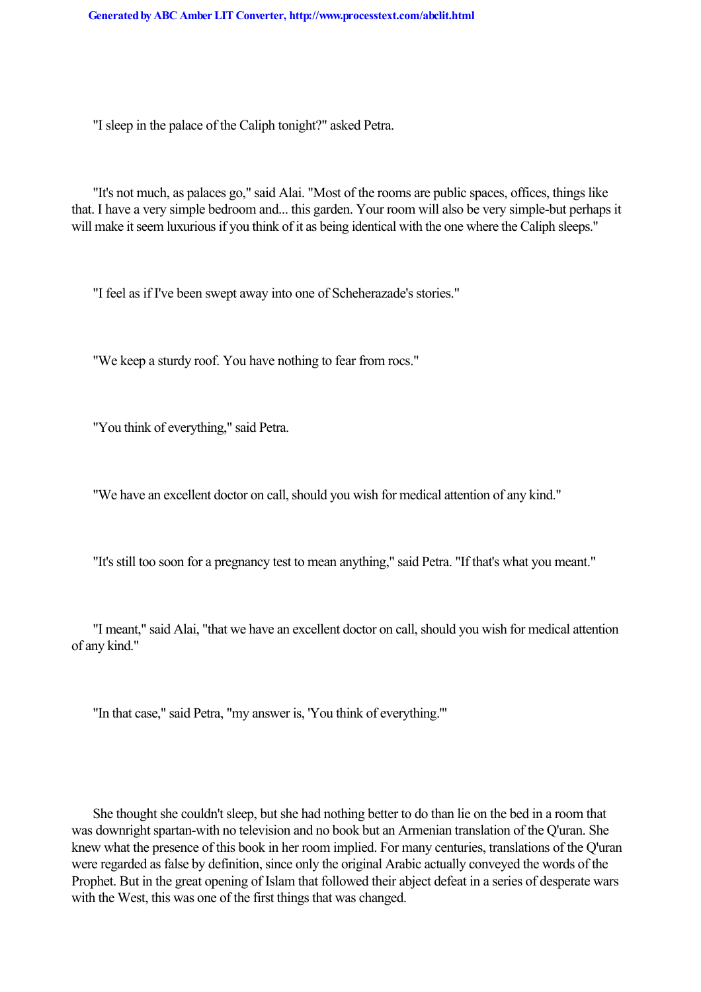"I sleep in the palace of the Caliph tonight?" asked Petra.

 "It's not much, as palaces go," said Alai. "Most of the rooms are public spaces, offices, things like that. I have a very simple bedroom and... this garden. Your room will also be very simple-but perhaps it will make it seem luxurious if you think of it as being identical with the one where the Caliph sleeps."

"I feel as if I've been swept away into one of Scheherazade's stories."

"We keep a sturdy roof. You have nothing to fear from rocs."

"You think of everything," said Petra.

"We have an excellent doctor on call, should you wish for medical attention of any kind."

"It's still too soon for a pregnancy test to mean anything," said Petra. "If that's what you meant."

 "I meant," said Alai, "that we have an excellent doctor on call, should you wish for medical attention of any kind."

"In that case," said Petra, "my answer is, 'You think of everything.'"

 She thought she couldn't sleep, but she had nothing better to do than lie on the bed in a room that was downright spartan-with no television and no book but an Armenian translation of the Q'uran. She knew what the presence of this book in her room implied. For many centuries, translations of the Q'uran were regarded as false by definition, since only the original Arabic actually conveyed the words of the Prophet. But in the great opening of Islam that followed their abject defeat in a series of desperate wars with the West, this was one of the first things that was changed.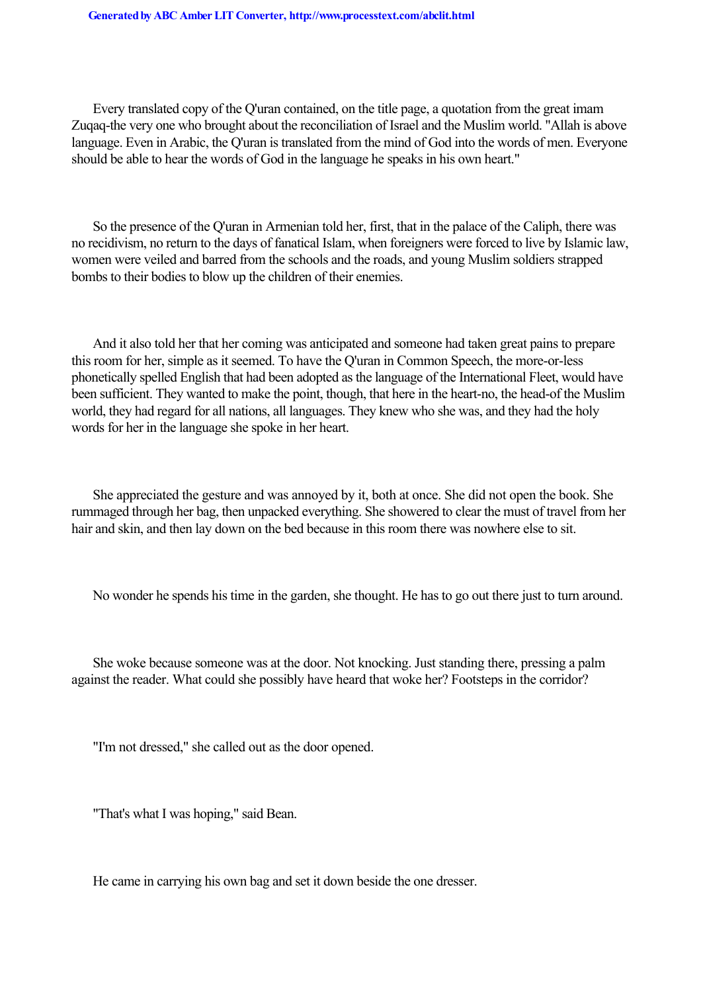Every translated copy of the Q'uran contained, on the title page, a quotation from the great imam Zuqaq-the very one who brought about the reconciliation of Israel and the Muslim world. "Allah is above language. Even in Arabic, the Q'uran is translated from the mind of God into the words of men. Everyone should be able to hear the words of God in the language he speaks in his own heart."

 So the presence of the Q'uran in Armenian told her, first, that in the palace of the Caliph, there was no recidivism, no return to the days of fanatical Islam, when foreigners were forced to live by Islamic law, women were veiled and barred from the schools and the roads, and young Muslim soldiers strapped bombs to their bodies to blow up the children of their enemies.

 And it also told her that her coming was anticipated and someone had taken great pains to prepare this room for her, simple as it seemed. To have the Q'uran in Common Speech, the more-or-less phonetically spelled English that had been adopted as the language of the International Fleet, would have been sufficient. They wanted to make the point, though, that here in the heart-no, the head-of the Muslim world, they had regard for all nations, all languages. They knew who she was, and they had the holy words for her in the language she spoke in her heart.

 She appreciated the gesture and was annoyed by it, both at once. She did not open the book. She rummaged through her bag, then unpacked everything. She showered to clear the must of travel from her hair and skin, and then lay down on the bed because in this room there was nowhere else to sit.

No wonder he spends his time in the garden, she thought. He has to go out there just to turn around.

 She woke because someone was at the door. Not knocking. Just standing there, pressing a palm against the reader. What could she possibly have heard that woke her? Footsteps in the corridor?

"I'm not dressed," she called out as the door opened.

"That's what I was hoping," said Bean.

He came in carrying his own bag and set it down beside the one dresser.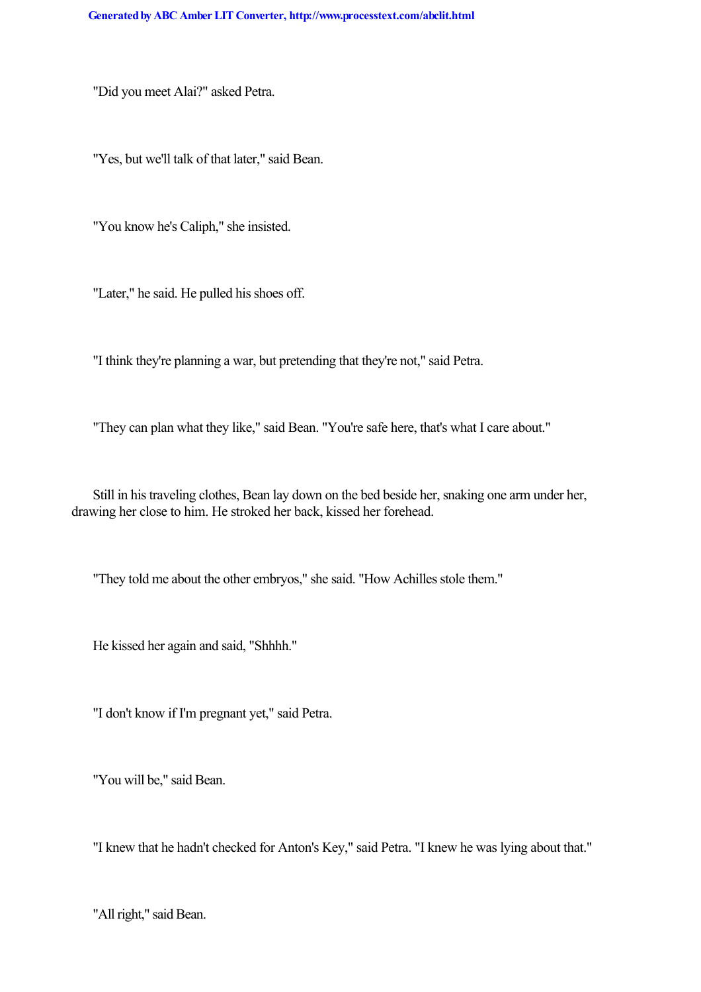"Did you meet Alai?" asked Petra.

"Yes, but we'll talk of that later," said Bean.

"You know he's Caliph," she insisted.

"Later," he said. He pulled his shoes off.

"I think they're planning a war, but pretending that they're not," said Petra.

"They can plan what they like," said Bean. "You're safe here, that's what I care about."

 Still in his traveling clothes, Bean lay down on the bed beside her, snaking one arm under her, drawing her close to him. He stroked her back, kissed her forehead.

"They told me about the other embryos," she said. "How Achilles stole them."

He kissed her again and said, "Shhhh."

"I don't know if I'm pregnant yet," said Petra.

"You will be," said Bean.

"I knew that he hadn't checked for Anton's Key," said Petra. "I knew he was lying about that."

"All right," said Bean.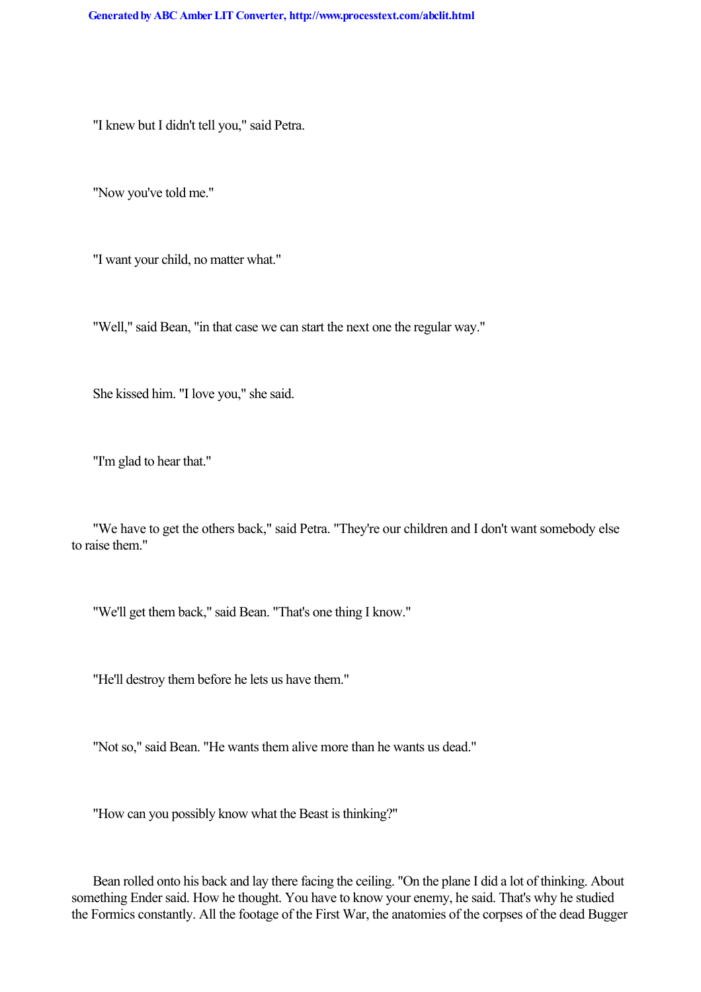"I knew but I didn't tell you," said Petra.

"Now you've told me."

"I want your child, no matter what."

"Well," said Bean, "in that case we can start the next one the regular way."

She kissed him. "I love you," she said.

"I'm glad to hear that."

 "We have to get the others back," said Petra. "They're our children and I don't want somebody else to raise them."

"We'll get them back," said Bean. "That's one thing I know."

"He'll destroy them before he lets us have them."

"Not so," said Bean. "He wants them alive more than he wants us dead."

"How can you possibly know what the Beast is thinking?"

 Bean rolled onto his back and lay there facing the ceiling. "On the plane I did a lot of thinking. About something Ender said. How he thought. You have to know your enemy, he said. That's why he studied the Formics constantly. All the footage of the First War, the anatomies of the corpses of the dead Bugger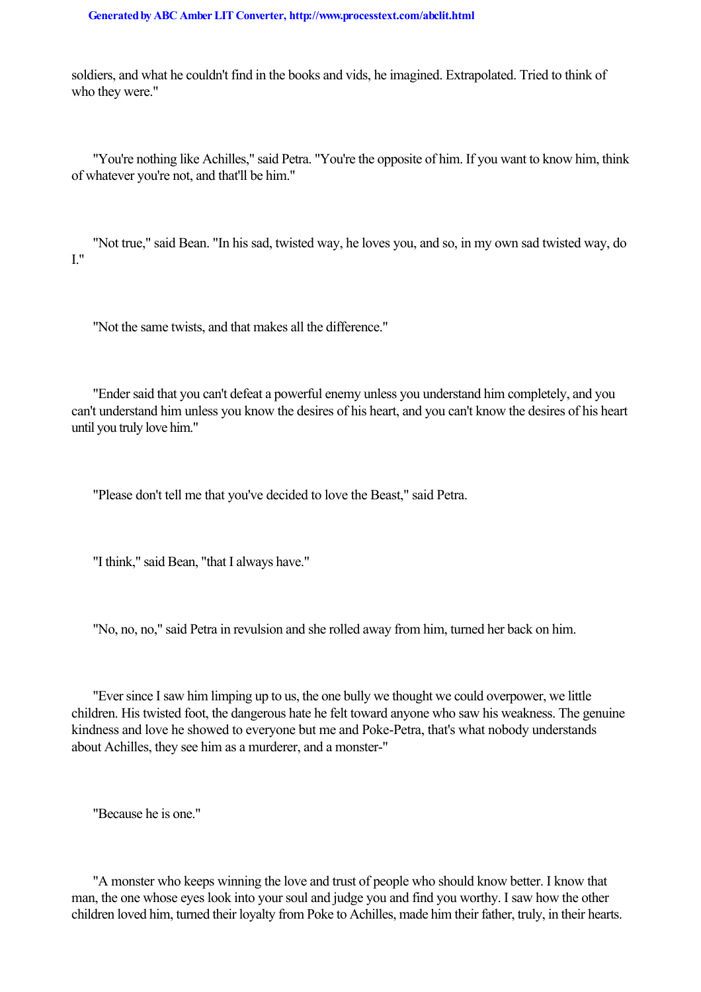soldiers, and what he couldn't find in the books and vids, he imagined. Extrapolated. Tried to think of who they were."

 "You're nothing like Achilles," said Petra. "You're the opposite of him. If you want to know him, think of whatever you're not, and that'll be him."

 "Not true," said Bean. "In his sad, twisted way, he loves you, and so, in my own sad twisted way, do I."

"Not the same twists, and that makes all the difference."

 "Ender said that you can't defeat a powerful enemy unless you understand him completely, and you can't understand him unless you know the desires of his heart, and you can't know the desires of his heart until you truly love him."

"Please don't tell me that you've decided to love the Beast," said Petra.

"I think," said Bean, "that I always have."

"No, no, no," said Petra in revulsion and she rolled away from him, turned her back on him.

 "Ever since I saw him limping up to us, the one bully we thought we could overpower, we little children. His twisted foot, the dangerous hate he felt toward anyone who saw his weakness. The genuine kindness and love he showed to everyone but me and Poke-Petra, that's what nobody understands about Achilles, they see him as a murderer, and a monster-"

"Because he is one."

 "A monster who keeps winning the love and trust of people who should know better. I know that man, the one whose eyes look into your soul and judge you and find you worthy. I saw how the other children loved him, turned their loyalty from Poke to Achilles, made him their father, truly, in their hearts.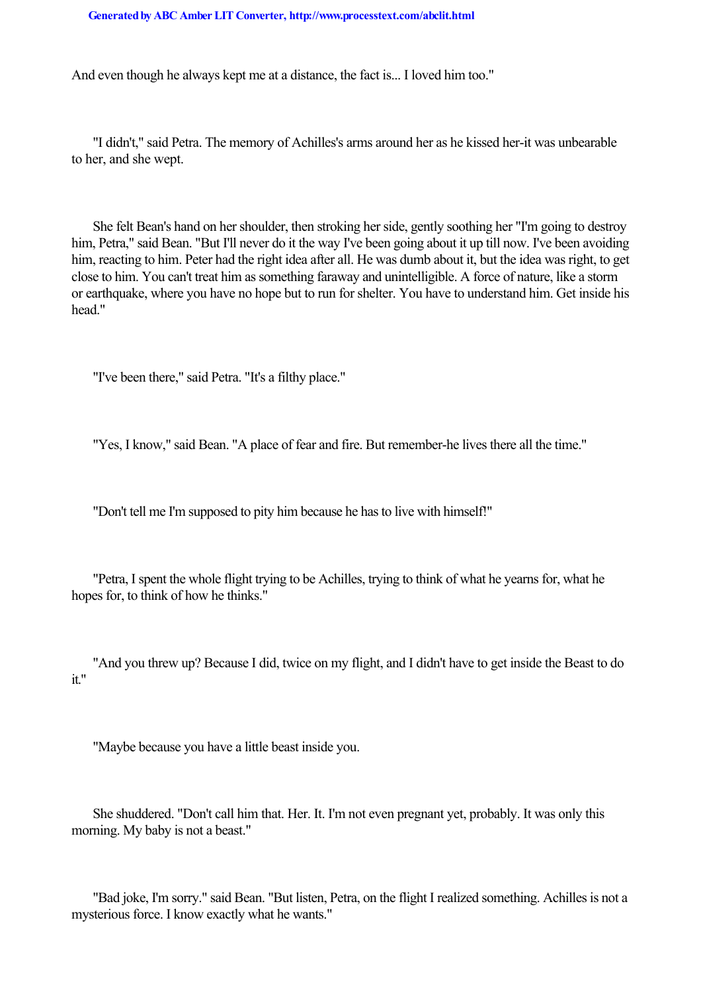And even though he always kept me at a distance, the fact is... I loved him too."

 "I didn't," said Petra. The memory of Achilles's arms around her as he kissed her-it was unbearable to her, and she wept.

 She felt Bean's hand on her shoulder, then stroking her side, gently soothing her "I'm going to destroy him, Petra," said Bean. "But I'll never do it the way I've been going about it up till now. I've been avoiding him, reacting to him. Peter had the right idea after all. He was dumb about it, but the idea was right, to get close to him. You can't treat him as something faraway and unintelligible. A force of nature, like a storm or earthquake, where you have no hope but to run for shelter. You have to understand him. Get inside his head"

"I've been there," said Petra. "It's a filthy place."

"Yes, I know," said Bean. "A place of fear and fire. But remember-he lives there all the time."

"Don't tell me I'm supposed to pity him because he has to live with himself!"

 "Petra, I spent the whole flight trying to be Achilles, trying to think of what he yearns for, what he hopes for, to think of how he thinks."

 "And you threw up? Because I did, twice on my flight, and I didn't have to get inside the Beast to do it."

"Maybe because you have a little beast inside you.

 She shuddered. "Don't call him that. Her. It. I'm not even pregnant yet, probably. It was only this morning. My baby is not a beast."

 "Bad joke, I'm sorry." said Bean. "But listen, Petra, on the flight I realized something. Achilles is not a mysterious force. I know exactly what he wants."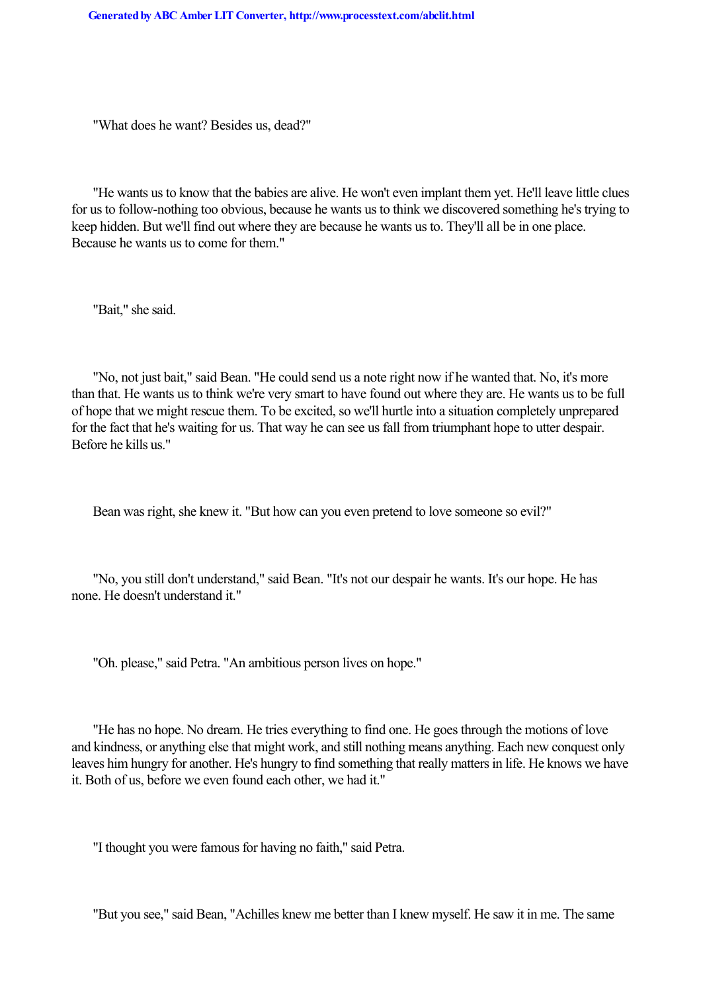"What does he want? Besides us, dead?"

 "He wants us to know that the babies are alive. He won't even implant them yet. He'll leave little clues for us to follow-nothing too obvious, because he wants us to think we discovered something he's trying to keep hidden. But we'll find out where they are because he wants us to. They'll all be in one place. Because he wants us to come for them."

"Bait," she said.

 "No, not just bait," said Bean. "He could send us a note right now if he wanted that. No, it's more than that. He wants us to think we're very smart to have found out where they are. He wants us to be full of hope that we might rescue them. To be excited, so we'll hurtle into a situation completely unprepared for the fact that he's waiting for us. That way he can see us fall from triumphant hope to utter despair. Before he kills us."

Bean was right, she knew it. "But how can you even pretend to love someone so evil?"

 "No, you still don't understand," said Bean. "It's not our despair he wants. It's our hope. He has none. He doesn't understand it."

"Oh. please," said Petra. "An ambitious person lives on hope."

 "He has no hope. No dream. He tries everything to find one. He goes through the motions of love and kindness, or anything else that might work, and still nothing means anything. Each new conquest only leaves him hungry for another. He's hungry to find something that really matters in life. He knows we have it. Both of us, before we even found each other, we had it."

"I thought you were famous for having no faith," said Petra.

"But you see," said Bean, "Achilles knew me better than I knew myself. He saw it in me. The same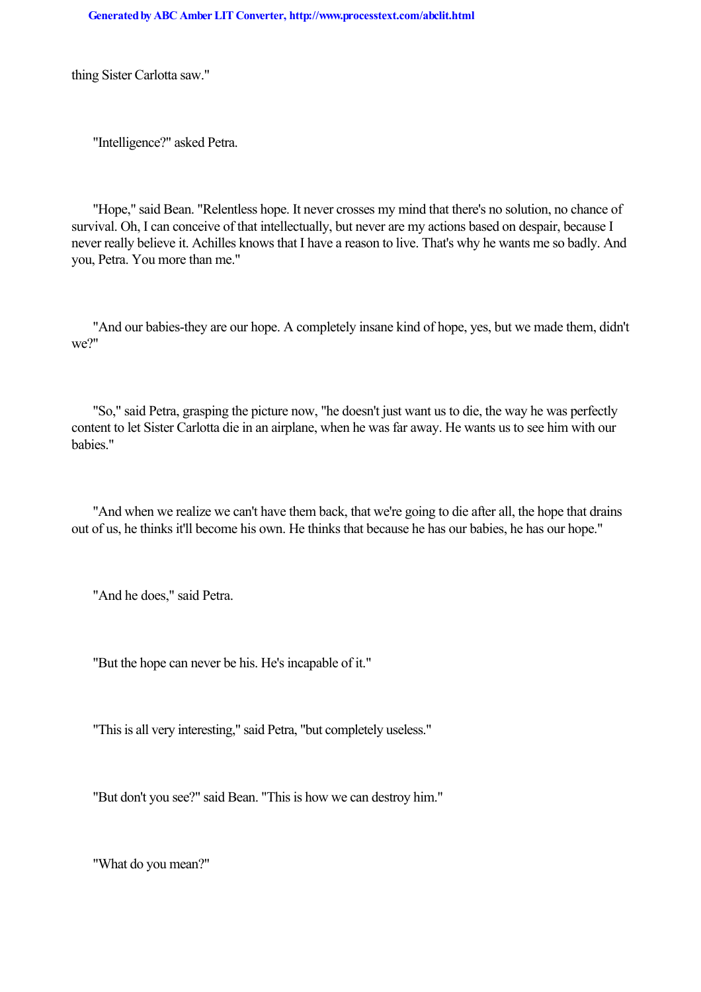thing Sister Carlotta saw."

"Intelligence?" asked Petra.

 "Hope," said Bean. "Relentless hope. It never crosses my mind that there's no solution, no chance of survival. Oh, I can conceive of that intellectually, but never are my actions based on despair, because I never really believe it. Achilles knows that I have a reason to live. That's why he wants me so badly. And you, Petra. You more than me."

 "And our babies-they are our hope. A completely insane kind of hope, yes, but we made them, didn't we?"

 "So," said Petra, grasping the picture now, "he doesn't just want us to die, the way he was perfectly content to let Sister Carlotta die in an airplane, when he was far away. He wants us to see him with our babies."

 "And when we realize we can't have them back, that we're going to die after all, the hope that drains out of us, he thinks it'll become his own. He thinks that because he has our babies, he has our hope."

"And he does," said Petra.

"But the hope can never be his. He's incapable of it."

"This is all very interesting," said Petra, "but completely useless."

"But don't you see?" said Bean. "This is how we can destroy him."

"What do you mean?"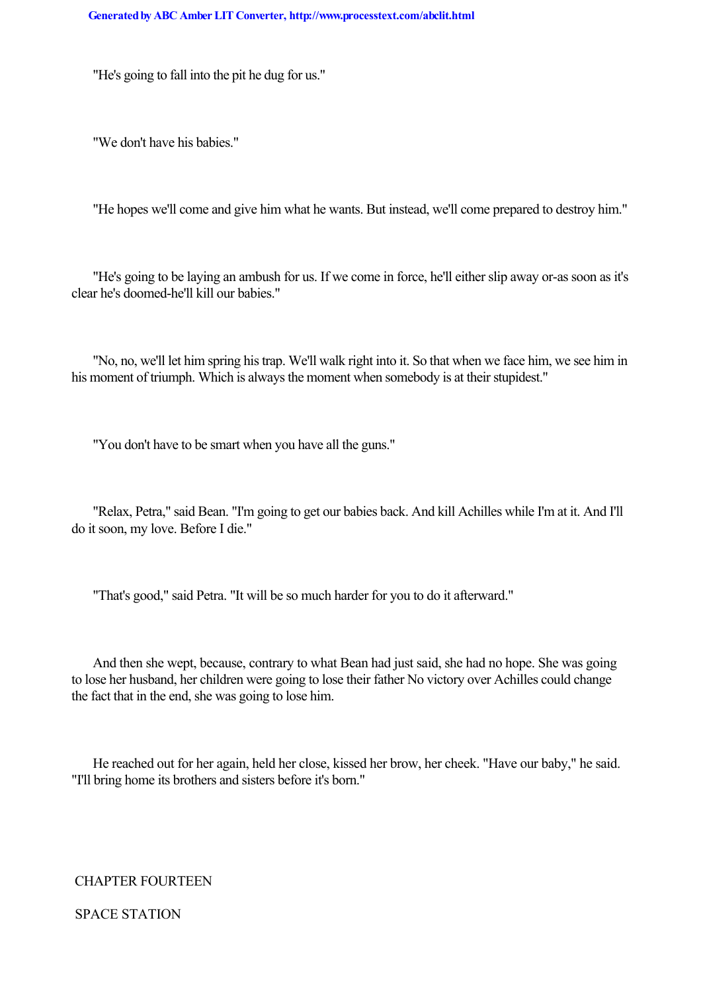"He's going to fall into the pit he dug for us."

"We don't have his babies."

"He hopes we'll come and give him what he wants. But instead, we'll come prepared to destroy him."

 "He's going to be laying an ambush for us. If we come in force, he'll either slip away or-as soon as it's clear he's doomed-he'll kill our babies."

 "No, no, we'll let him spring his trap. We'll walk right into it. So that when we face him, we see him in his moment of triumph. Which is always the moment when somebody is at their stupidest."

"You don't have to be smart when you have all the guns."

 "Relax, Petra," said Bean. "I'm going to get our babies back. And kill Achilles while I'm at it. And I'll do it soon, my love. Before I die."

"That's good," said Petra. "It will be so much harder for you to do it afterward."

 And then she wept, because, contrary to what Bean had just said, she had no hope. She was going to lose her husband, her children were going to lose their father No victory over Achilles could change the fact that in the end, she was going to lose him.

 He reached out for her again, held her close, kissed her brow, her cheek. "Have our baby," he said. "I'll bring home its brothers and sisters before it's born."

CHAPTER FOURTEEN

SPACE STATION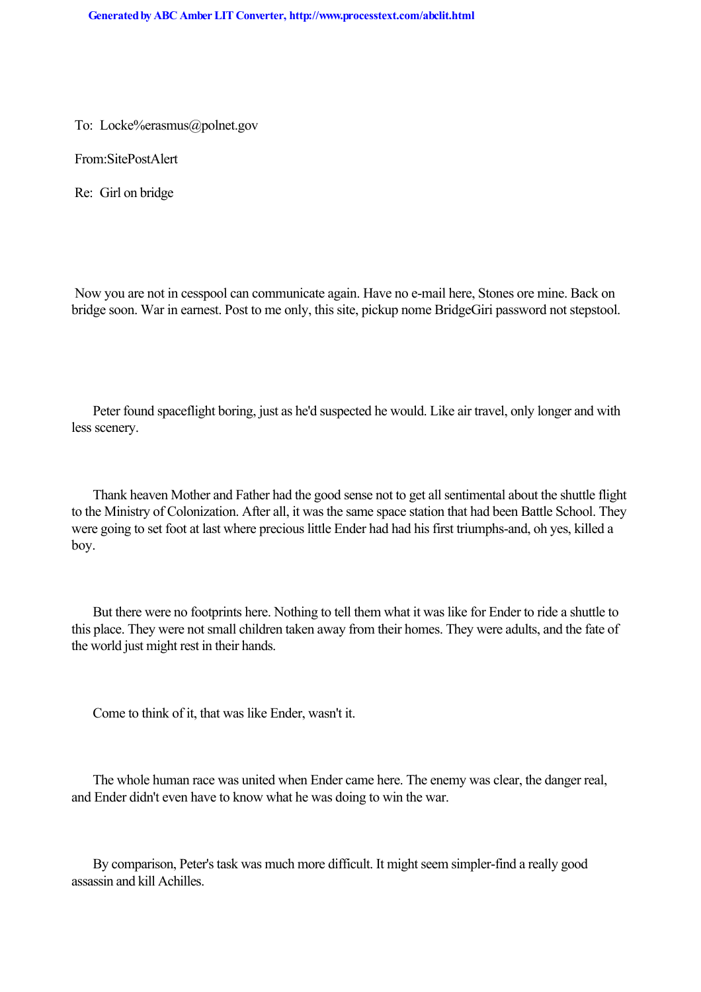To: Locke%erasmus@polnet.gov

From:SitePostAlert

Re: Girl on bridge

 Now you are not in cesspool can communicate again. Have no e-mail here, Stones ore mine. Back on bridge soon. War in earnest. Post to me only, this site, pickup nome BridgeGiri password not stepstool.

 Peter found spaceflight boring, just as he'd suspected he would. Like air travel, only longer and with less scenery.

 Thank heaven Mother and Father had the good sense not to get all sentimental about the shuttle flight to the Ministry of Colonization. After all, it was the same space station that had been Battle School. They were going to set foot at last where precious little Ender had had his first triumphs-and, oh yes, killed a boy.

 But there were no footprints here. Nothing to tell them what it was like for Ender to ride a shuttle to this place. They were not small children taken away from their homes. They were adults, and the fate of the world just might rest in their hands.

Come to think of it, that was like Ender, wasn't it.

 The whole human race was united when Ender came here. The enemy was clear, the danger real, and Ender didn't even have to know what he was doing to win the war.

 By comparison, Peter's task was much more difficult. It might seem simpler-find a really good assassin and kill Achilles.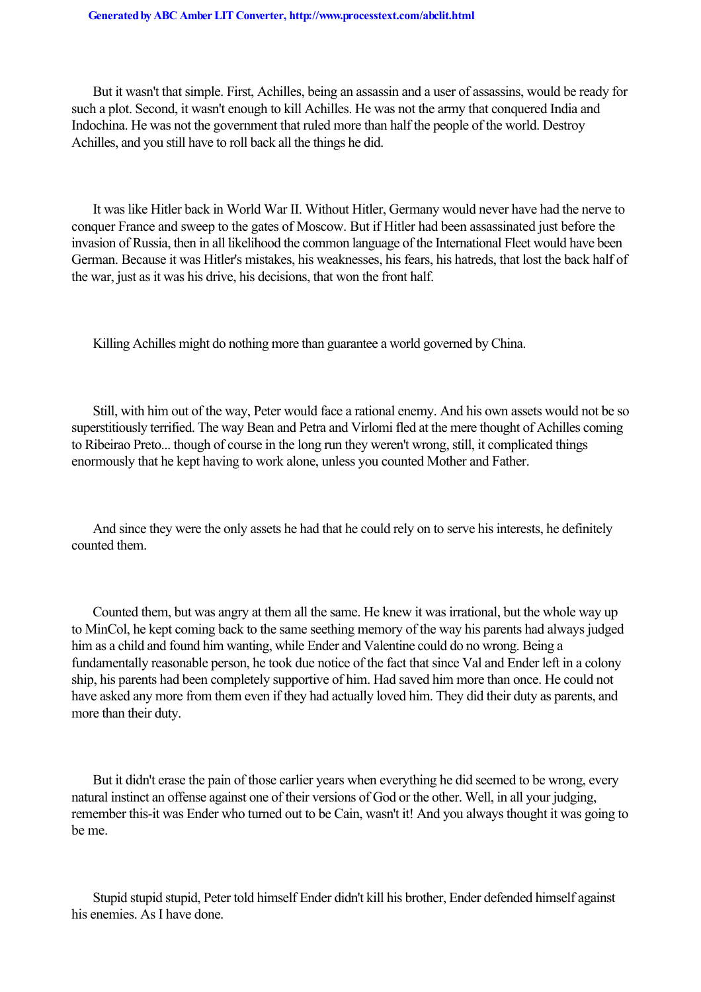But it wasn't that simple. First, Achilles, being an assassin and a user of assassins, would be ready for such a plot. Second, it wasn't enough to kill Achilles. He was not the army that conquered India and Indochina. He was not the government that ruled more than half the people of the world. Destroy Achilles, and you still have to roll back all the things he did.

 It was like Hitler back in World War II. Without Hitler, Germany would never have had the nerve to conquer France and sweep to the gates of Moscow. But if Hitler had been assassinated just before the invasion of Russia, then in all likelihood the common language of the International Fleet would have been German. Because it was Hitler's mistakes, his weaknesses, his fears, his hatreds, that lost the back half of the war, just as it was his drive, his decisions, that won the front half.

Killing Achilles might do nothing more than guarantee a world governed by China.

 Still, with him out of the way, Peter would face a rational enemy. And his own assets would not be so superstitiously terrified. The way Bean and Petra and Virlomi fled at the mere thought of Achilles coming to Ribeirao Preto... though of course in the long run they weren't wrong, still, it complicated things enormously that he kept having to work alone, unless you counted Mother and Father.

 And since they were the only assets he had that he could rely on to serve his interests, he definitely counted them.

 Counted them, but was angry at them all the same. He knew it was irrational, but the whole way up to MinCol, he kept coming back to the same seething memory of the way his parents had always judged him as a child and found him wanting, while Ender and Valentine could do no wrong. Being a fundamentally reasonable person, he took due notice of the fact that since Val and Ender left in a colony ship, his parents had been completely supportive of him. Had saved him more than once. He could not have asked any more from them even if they had actually loved him. They did their duty as parents, and more than their duty.

 But it didn't erase the pain of those earlier years when everything he did seemed to be wrong, every natural instinct an offense against one of their versions of God or the other. Well, in all your judging, remember this-it was Ender who turned out to be Cain, wasn't it! And you always thought it was going to be me.

 Stupid stupid stupid, Peter told himself Ender didn't kill his brother, Ender defended himself against his enemies. As I have done.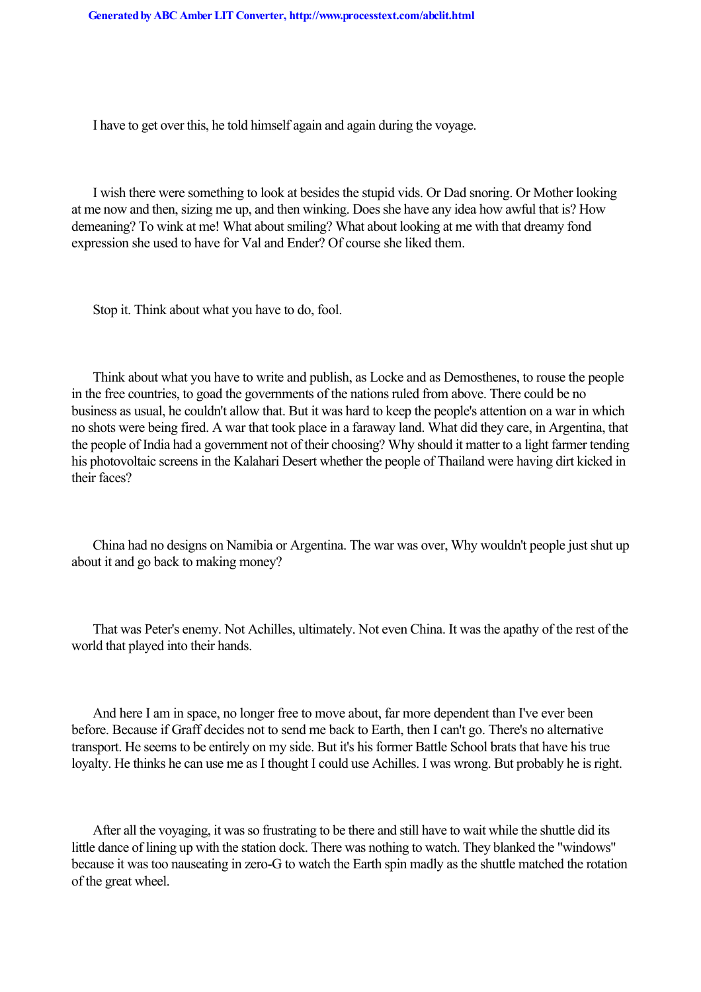I have to get over this, he told himself again and again during the voyage.

 I wish there were something to look at besides the stupid vids. Or Dad snoring. Or Mother looking at me now and then, sizing me up, and then winking. Does she have any idea how awful that is? How demeaning? To wink at me! What about smiling? What about looking at me with that dreamy fond expression she used to have for Val and Ender? Of course she liked them.

Stop it. Think about what you have to do, fool.

 Think about what you have to write and publish, as Locke and as Demosthenes, to rouse the people in the free countries, to goad the governments of the nations ruled from above. There could be no business as usual, he couldn't allow that. But it was hard to keep the people's attention on a war in which no shots were being fired. A war that took place in a faraway land. What did they care, in Argentina, that the people of India had a government not of their choosing? Why should it matter to a light farmer tending his photovoltaic screens in the Kalahari Desert whether the people of Thailand were having dirt kicked in their faces?

 China had no designs on Namibia or Argentina. The war was over, Why wouldn't people just shut up about it and go back to making money?

 That was Peter's enemy. Not Achilles, ultimately. Not even China. It was the apathy of the rest of the world that played into their hands.

 And here I am in space, no longer free to move about, far more dependent than I've ever been before. Because if Graff decides not to send me back to Earth, then I can't go. There's no alternative transport. He seems to be entirely on my side. But it's his former Battle School brats that have his true loyalty. He thinks he can use me as I thought I could use Achilles. I was wrong. But probably he is right.

 After all the voyaging, it was so frustrating to be there and still have to wait while the shuttle did its little dance of lining up with the station dock. There was nothing to watch. They blanked the "windows" because it was too nauseating in zero-G to watch the Earth spin madly as the shuttle matched the rotation of the great wheel.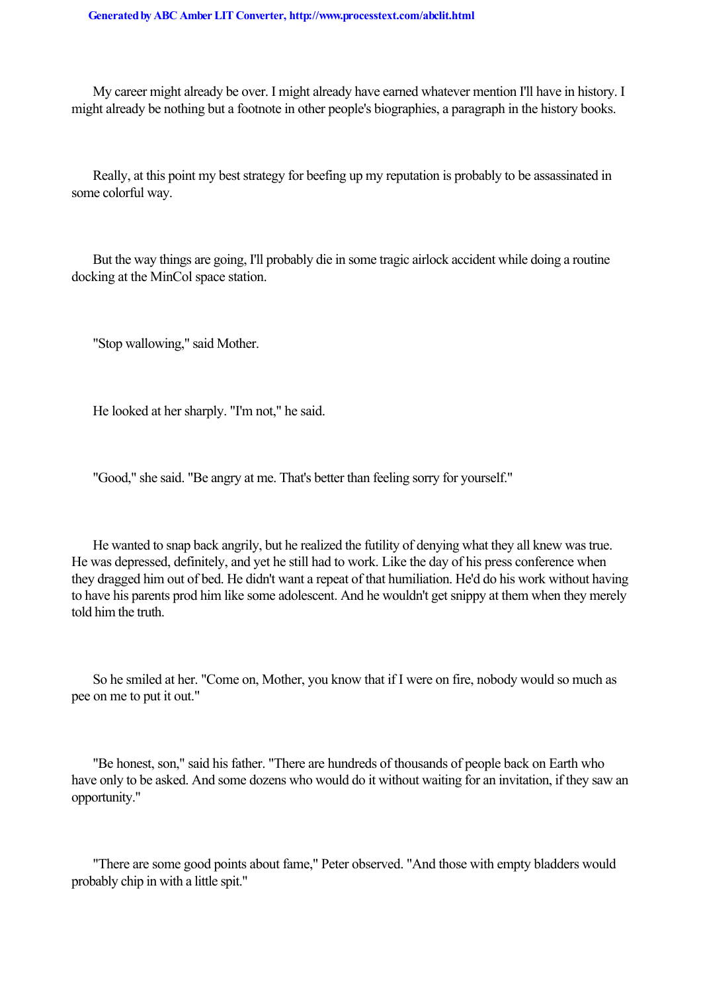My career might already be over. I might already have earned whatever mention I'll have in history. I might already be nothing but a footnote in other people's biographies, a paragraph in the history books.

 Really, at this point my best strategy for beefing up my reputation is probably to be assassinated in some colorful way.

 But the way things are going, I'll probably die in some tragic airlock accident while doing a routine docking at the MinCol space station.

"Stop wallowing," said Mother.

He looked at her sharply. "I'm not," he said.

"Good," she said. "Be angry at me. That's better than feeling sorry for yourself."

 He wanted to snap back angrily, but he realized the futility of denying what they all knew was true. He was depressed, definitely, and yet he still had to work. Like the day of his press conference when they dragged him out of bed. He didn't want a repeat of that humiliation. He'd do his work without having to have his parents prod him like some adolescent. And he wouldn't get snippy at them when they merely told him the truth

 So he smiled at her. "Come on, Mother, you know that if I were on fire, nobody would so much as pee on me to put it out."

 "Be honest, son," said his father. "There are hundreds of thousands of people back on Earth who have only to be asked. And some dozens who would do it without waiting for an invitation, if they saw an opportunity."

 "There are some good points about fame," Peter observed. "And those with empty bladders would probably chip in with a little spit."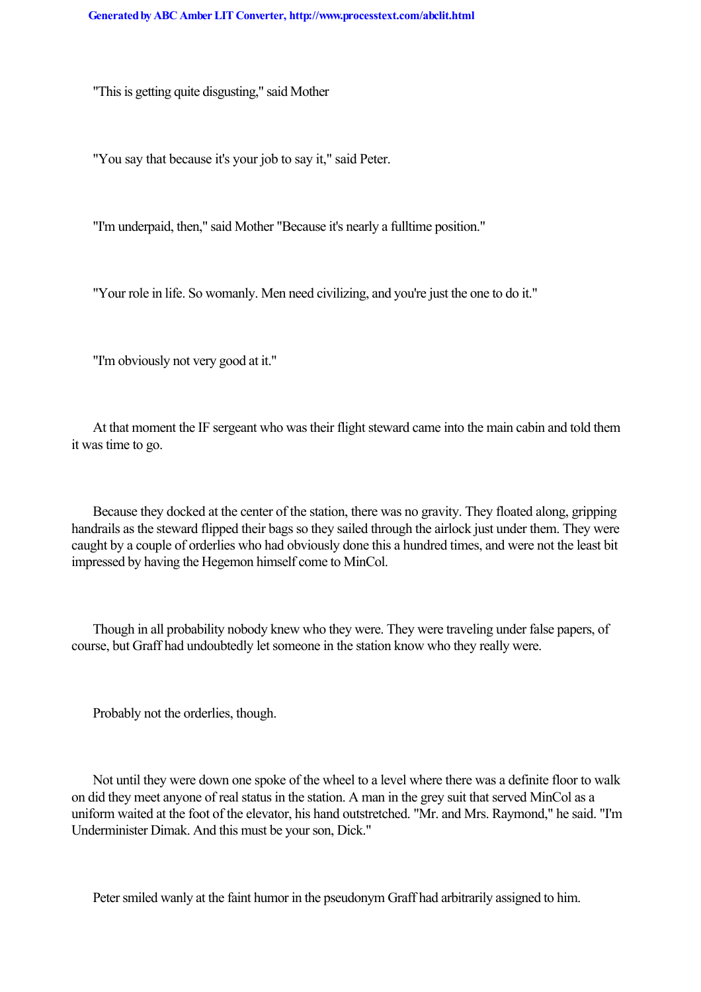"This is getting quite disgusting," said Mother

"You say that because it's your job to say it," said Peter.

"I'm underpaid, then," said Mother "Because it's nearly a fulltime position."

"Your role in life. So womanly. Men need civilizing, and you're just the one to do it."

"I'm obviously not very good at it."

 At that moment the IF sergeant who was their flight steward came into the main cabin and told them it was time to go.

 Because they docked at the center of the station, there was no gravity. They floated along, gripping handrails as the steward flipped their bags so they sailed through the airlock just under them. They were caught by a couple of orderlies who had obviously done this a hundred times, and were not the least bit impressed by having the Hegemon himself come to MinCol.

 Though in all probability nobody knew who they were. They were traveling under false papers, of course, but Graff had undoubtedly let someone in the station know who they really were.

Probably not the orderlies, though.

 Not until they were down one spoke of the wheel to a level where there was a definite floor to walk on did they meet anyone of real status in the station. A man in the grey suit that served MinCol as a uniform waited at the foot of the elevator, his hand outstretched. "Mr. and Mrs. Raymond," he said. "I'm Underminister Dimak. And this must be your son, Dick."

Peter smiled wanly at the faint humor in the pseudonym Graff had arbitrarily assigned to him.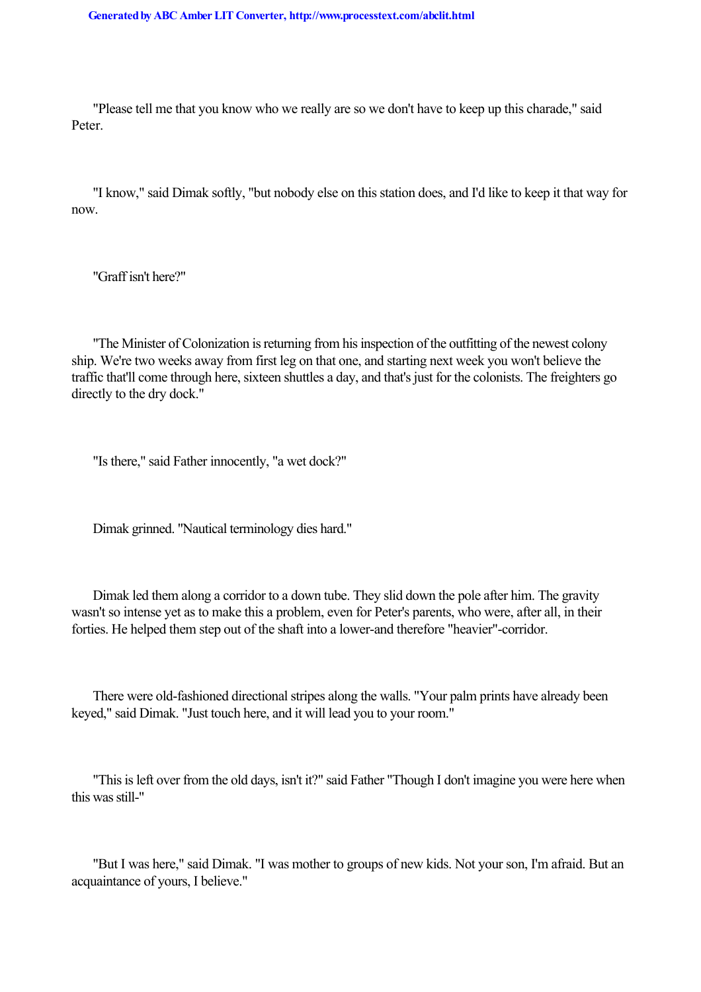"Please tell me that you know who we really are so we don't have to keep up this charade," said **Peter** 

 "I know," said Dimak softly, "but nobody else on this station does, and I'd like to keep it that way for now.

"Graff isn't here?"

 "The Minister of Colonization is returning from his inspection of the outfitting of the newest colony ship. We're two weeks away from first leg on that one, and starting next week you won't believe the traffic that'll come through here, sixteen shuttles a day, and that's just for the colonists. The freighters go directly to the dry dock."

"Is there," said Father innocently, "a wet dock?"

Dimak grinned. "Nautical terminology dies hard."

 Dimak led them along a corridor to a down tube. They slid down the pole after him. The gravity wasn't so intense yet as to make this a problem, even for Peter's parents, who were, after all, in their forties. He helped them step out of the shaft into a lower-and therefore "heavier"-corridor.

 There were old-fashioned directional stripes along the walls. "Your palm prints have already been keyed," said Dimak. "Just touch here, and it will lead you to your room."

 "This is left over from the old days, isn't it?" said Father "Though I don't imagine you were here when this was still-"

 "But I was here," said Dimak. "I was mother to groups of new kids. Not your son, I'm afraid. But an acquaintance of yours, I believe."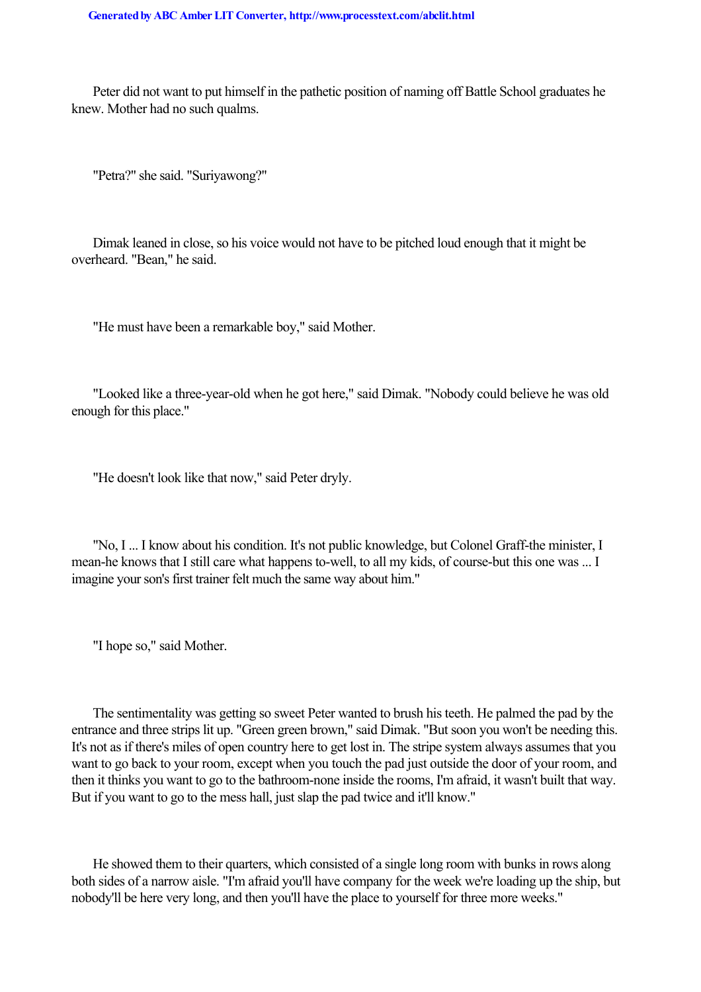Peter did not want to put himself in the pathetic position of naming off Battle School graduates he knew. Mother had no such qualms.

"Petra?" she said. "Suriyawong?"

 Dimak leaned in close, so his voice would not have to be pitched loud enough that it might be overheard. "Bean," he said.

"He must have been a remarkable boy," said Mother.

 "Looked like a three-year-old when he got here," said Dimak. "Nobody could believe he was old enough for this place."

"He doesn't look like that now," said Peter dryly.

 "No, I ... I know about his condition. It's not public knowledge, but Colonel Graff-the minister, I mean-he knows that I still care what happens to-well, to all my kids, of course-but this one was ... I imagine your son's first trainer felt much the same way about him."

"I hope so," said Mother.

 The sentimentality was getting so sweet Peter wanted to brush his teeth. He palmed the pad by the entrance and three strips lit up. "Green green brown," said Dimak. "But soon you won't be needing this. It's not as if there's miles of open country here to get lost in. The stripe system always assumes that you want to go back to your room, except when you touch the pad just outside the door of your room, and then it thinks you want to go to the bathroom-none inside the rooms, I'm afraid, it wasn't built that way. But if you want to go to the mess hall, just slap the pad twice and it'll know."

 He showed them to their quarters, which consisted of a single long room with bunks in rows along both sides of a narrow aisle. "I'm afraid you'll have company for the week we're loading up the ship, but nobody'll be here very long, and then you'll have the place to yourself for three more weeks."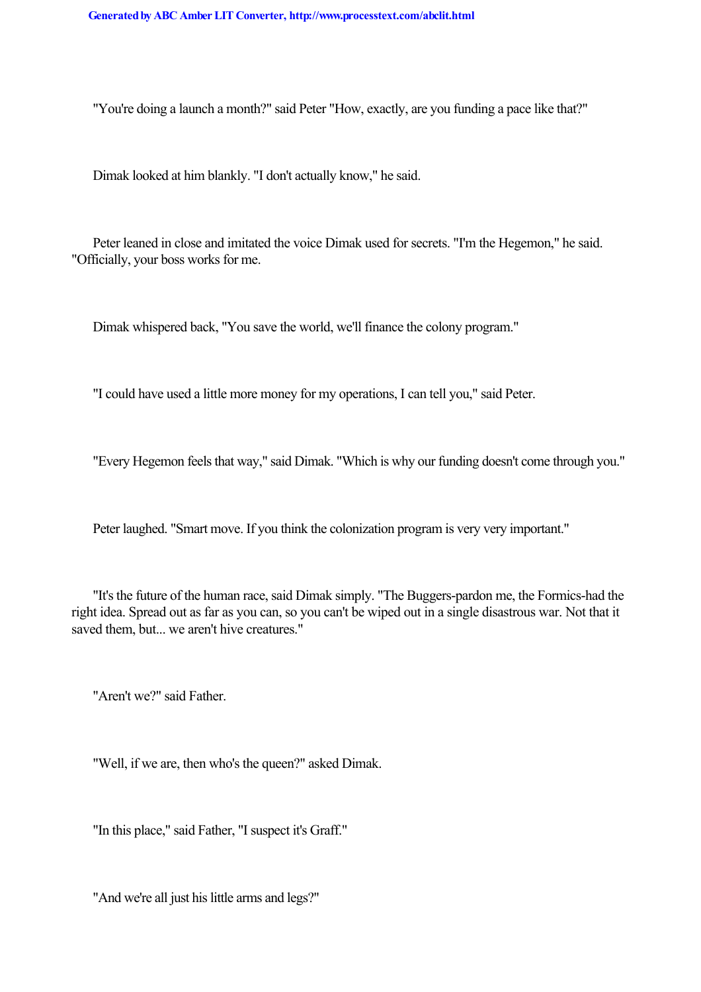"You're doing a launch a month?" said Peter "How, exactly, are you funding a pace like that?"

Dimak looked at him blankly. "I don't actually know," he said.

 Peter leaned in close and imitated the voice Dimak used for secrets. "I'm the Hegemon," he said. "Officially, your boss works for me.

Dimak whispered back, "You save the world, we'll finance the colony program."

"I could have used a little more money for my operations, I can tell you," said Peter.

"Every Hegemon feels that way," said Dimak. "Which is why our funding doesn't come through you."

Peter laughed. "Smart move. If you think the colonization program is very very important."

 "It's the future of the human race, said Dimak simply. "The Buggers-pardon me, the Formics-had the right idea. Spread out as far as you can, so you can't be wiped out in a single disastrous war. Not that it saved them, but... we aren't hive creatures."

"Aren't we?" said Father.

"Well, if we are, then who's the queen?" asked Dimak.

"In this place," said Father, "I suspect it's Graff."

"And we're all just his little arms and legs?"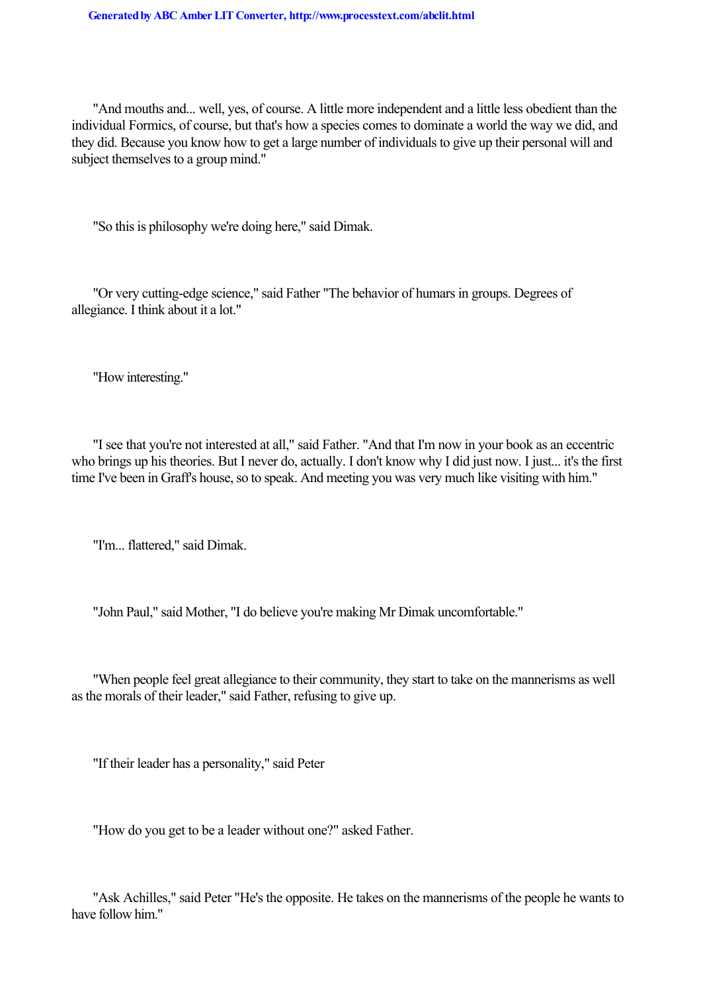"And mouths and... well, yes, of course. A little more independent and a little less obedient than the individual Formics, of course, but that's how a species comes to dominate a world the way we did, and they did. Because you know how to get a large number of individuals to give up their personal will and subject themselves to a group mind."

"So this is philosophy we're doing here," said Dimak.

 "Or very cutting-edge science," said Father "The behavior of humars in groups. Degrees of allegiance. I think about it a lot."

"How interesting."

 "I see that you're not interested at all," said Father. "And that I'm now in your book as an eccentric who brings up his theories. But I never do, actually. I don't know why I did just now. I just... it's the first time I've been in Graff's house, so to speak. And meeting you was very much like visiting with him."

"I'm... flattered," said Dimak.

"John Paul," said Mother, "I do believe you're making Mr Dimak uncomfortable."

 "When people feel great allegiance to their community, they start to take on the mannerisms as well as the morals of their leader," said Father, refusing to give up.

"If their leader has a personality," said Peter

"How do you get to be a leader without one?" asked Father.

 "Ask Achilles," said Peter "He's the opposite. He takes on the mannerisms of the people he wants to have follow him."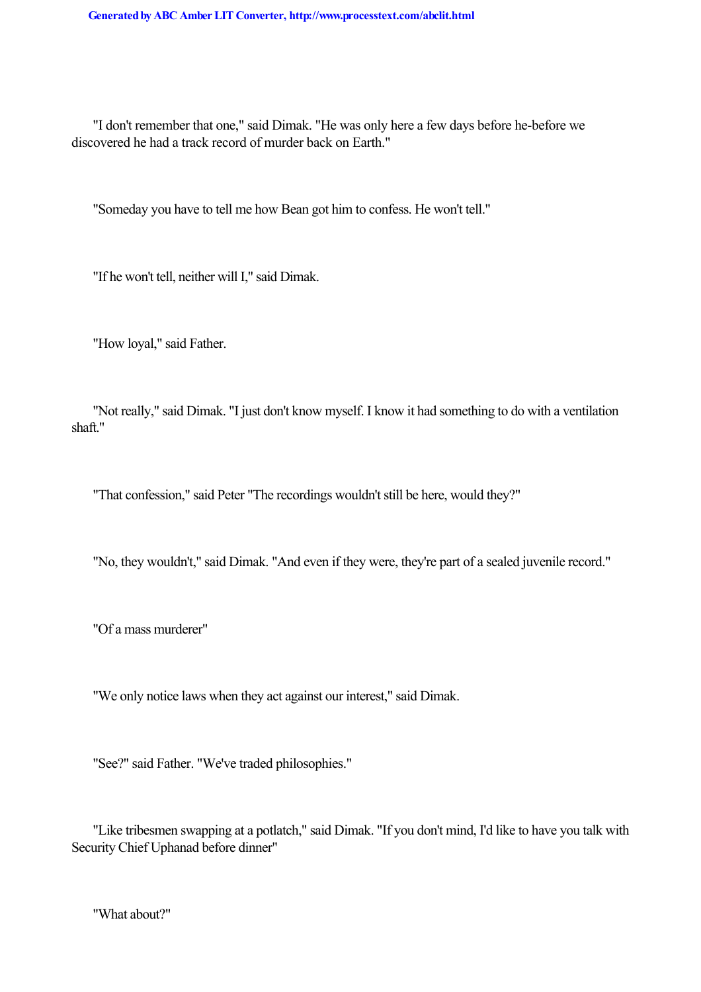"I don't remember that one," said Dimak. "He was only here a few days before he-before we discovered he had a track record of murder back on Earth."

"Someday you have to tell me how Bean got him to confess. He won't tell."

"If he won't tell, neither will I," said Dimak.

"How loyal," said Father.

 "Not really," said Dimak. "I just don't know myself. I know it had something to do with a ventilation shaft."

"That confession," said Peter "The recordings wouldn't still be here, would they?"

"No, they wouldn't," said Dimak. "And even if they were, they're part of a sealed juvenile record."

"Of a mass murderer"

"We only notice laws when they act against our interest," said Dimak.

"See?" said Father. "We've traded philosophies."

 "Like tribesmen swapping at a potlatch," said Dimak. "If you don't mind, I'd like to have you talk with Security Chief Uphanad before dinner"

"What about?"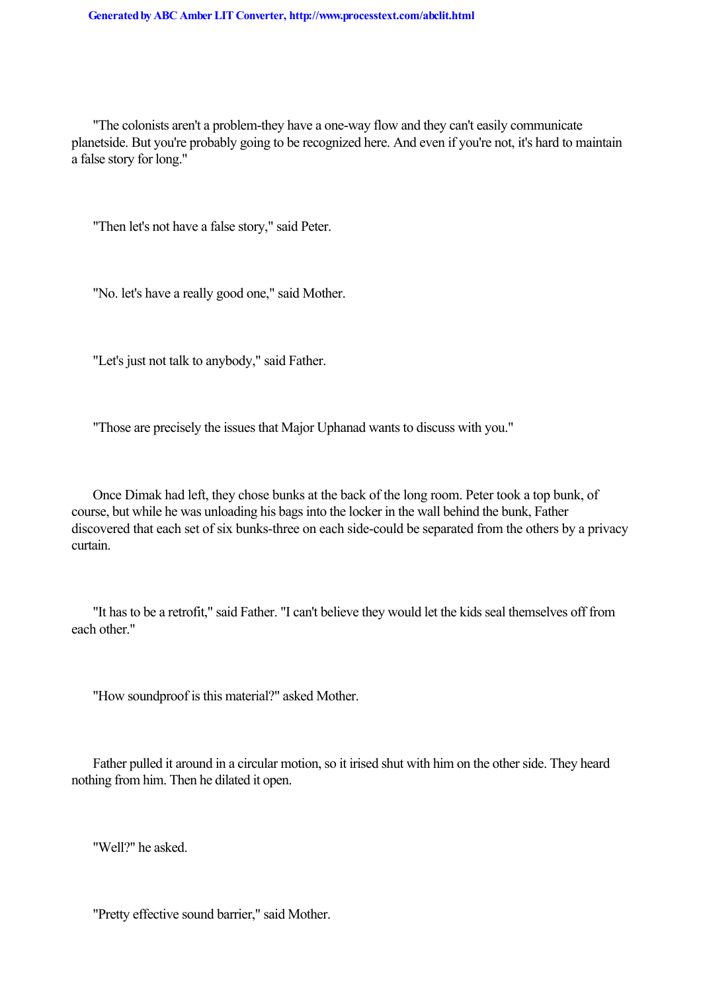"The colonists aren't a problem-they have a one-way flow and they can't easily communicate planetside. But you're probably going to be recognized here. And even if you're not, it's hard to maintain a false story for long."

"Then let's not have a false story," said Peter.

"No. let's have a really good one," said Mother.

"Let's just not talk to anybody," said Father.

"Those are precisely the issues that Major Uphanad wants to discuss with you."

 Once Dimak had left, they chose bunks at the back of the long room. Peter took a top bunk, of course, but while he was unloading his bags into the locker in the wall behind the bunk, Father discovered that each set of six bunks-three on each side-could be separated from the others by a privacy curtain.

 "It has to be a retrofit," said Father. "I can't believe they would let the kids seal themselves off from each other."

"How soundproof is this material?" asked Mother.

 Father pulled it around in a circular motion, so it irised shut with him on the other side. They heard nothing from him. Then he dilated it open.

"Well?" he asked.

"Pretty effective sound barrier," said Mother.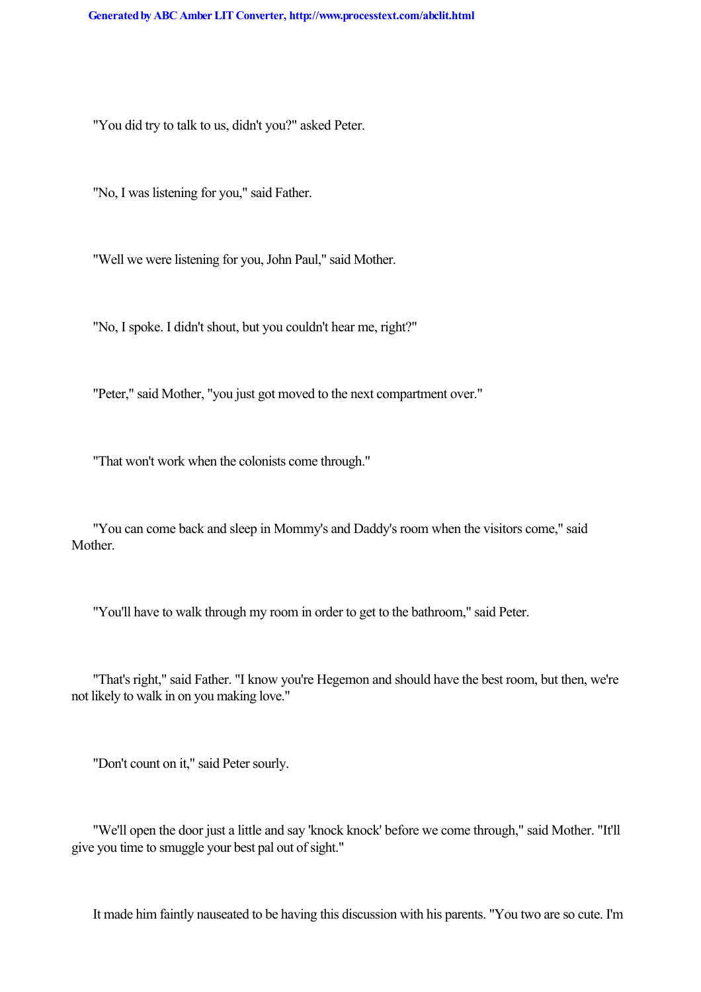"You did try to talk to us, didn't you?" asked Peter.

"No, I was listening for you," said Father.

"Well we were listening for you, John Paul," said Mother.

"No, I spoke. I didn't shout, but you couldn't hear me, right?"

"Peter," said Mother, "you just got moved to the next compartment over."

"That won't work when the colonists come through."

 "You can come back and sleep in Mommy's and Daddy's room when the visitors come," said Mother.

"You'll have to walk through my room in order to get to the bathroom," said Peter.

 "That's right," said Father. "I know you're Hegemon and should have the best room, but then, we're not likely to walk in on you making love."

"Don't count on it," said Peter sourly.

 "We'll open the door just a little and say 'knock knock' before we come through," said Mother. "It'll give you time to smuggle your best pal out of sight."

It made him faintly nauseated to be having this discussion with his parents. "You two are so cute. I'm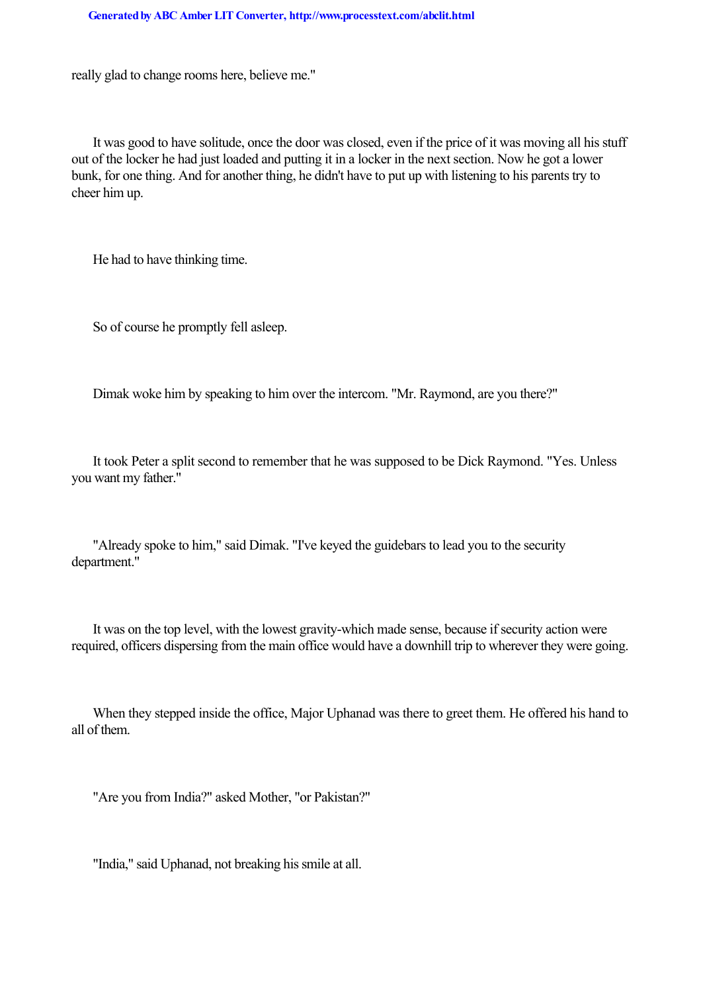really glad to change rooms here, believe me."

 It was good to have solitude, once the door was closed, even if the price of it was moving all his stuff out of the locker he had just loaded and putting it in a locker in the next section. Now he got a lower bunk, for one thing. And for another thing, he didn't have to put up with listening to his parents try to cheer him up.

He had to have thinking time.

So of course he promptly fell asleep.

Dimak woke him by speaking to him over the intercom. "Mr. Raymond, are you there?"

 It took Peter a split second to remember that he was supposed to be Dick Raymond. "Yes. Unless you want my father."

 "Already spoke to him," said Dimak. "I've keyed the guidebars to lead you to the security department."

 It was on the top level, with the lowest gravity-which made sense, because if security action were required, officers dispersing from the main office would have a downhill trip to wherever they were going.

 When they stepped inside the office, Major Uphanad was there to greet them. He offered his hand to all of them.

"Are you from India?" asked Mother, "or Pakistan?"

"India," said Uphanad, not breaking his smile at all.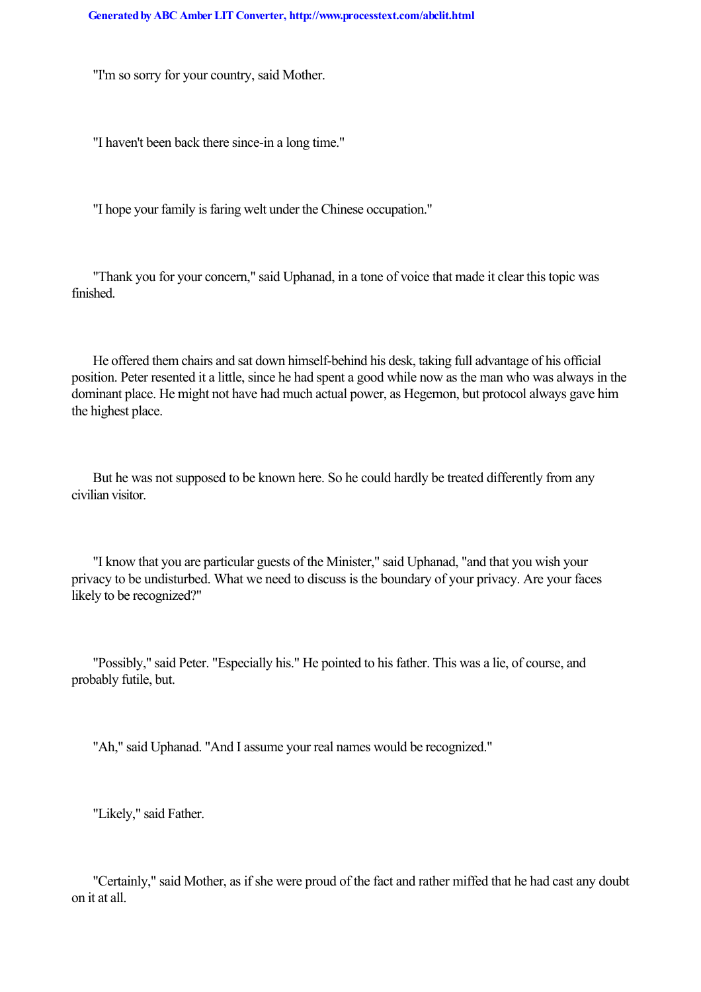"I'm so sorry for your country, said Mother.

"I haven't been back there since-in a long time."

"I hope your family is faring welt under the Chinese occupation."

 "Thank you for your concern," said Uphanad, in a tone of voice that made it clear this topic was finished.

 He offered them chairs and sat down himself-behind his desk, taking full advantage of his official position. Peter resented it a little, since he had spent a good while now as the man who was always in the dominant place. He might not have had much actual power, as Hegemon, but protocol always gave him the highest place.

 But he was not supposed to be known here. So he could hardly be treated differently from any civilian visitor.

 "I know that you are particular guests of the Minister," said Uphanad, "and that you wish your privacy to be undisturbed. What we need to discuss is the boundary of your privacy. Are your faces likely to be recognized?"

 "Possibly," said Peter. "Especially his." He pointed to his father. This was a lie, of course, and probably futile, but.

"Ah," said Uphanad. "And I assume your real names would be recognized."

"Likely," said Father.

 "Certainly," said Mother, as if she were proud of the fact and rather miffed that he had cast any doubt on it at all.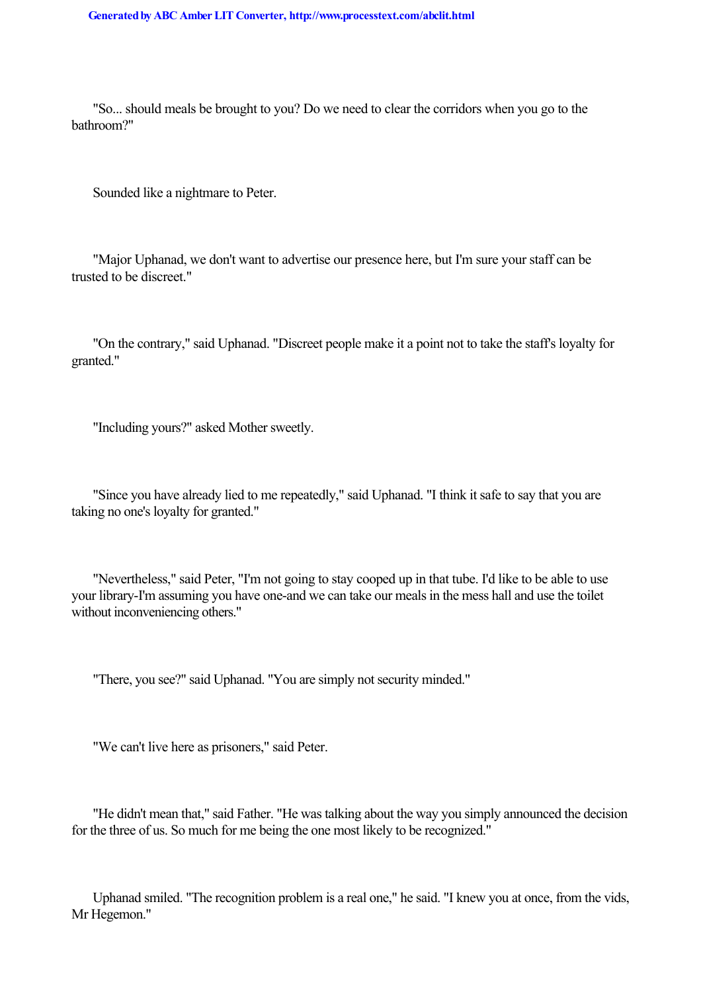"So... should meals be brought to you? Do we need to clear the corridors when you go to the bathroom?"

Sounded like a nightmare to Peter.

 "Major Uphanad, we don't want to advertise our presence here, but I'm sure your staff can be trusted to be discreet."

 "On the contrary," said Uphanad. "Discreet people make it a point not to take the staff's loyalty for granted."

"Including yours?" asked Mother sweetly.

 "Since you have already lied to me repeatedly," said Uphanad. "I think it safe to say that you are taking no one's loyalty for granted."

 "Nevertheless," said Peter, "I'm not going to stay cooped up in that tube. I'd like to be able to use your library-I'm assuming you have one-and we can take our meals in the mess hall and use the toilet without inconveniencing others."

"There, you see?" said Uphanad. "You are simply not security minded."

"We can't live here as prisoners," said Peter.

 "He didn't mean that," said Father. "He was talking about the way you simply announced the decision for the three of us. So much for me being the one most likely to be recognized."

 Uphanad smiled. "The recognition problem is a real one," he said. "I knew you at once, from the vids, Mr Hegemon."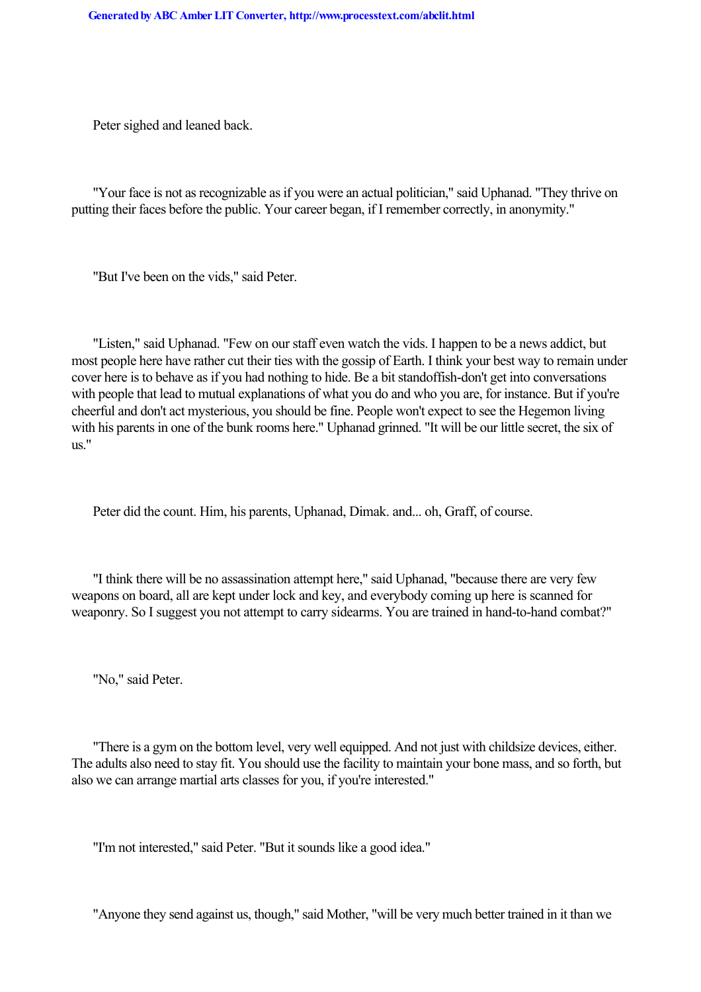Peter sighed and leaned back.

 "Your face is not as recognizable as if you were an actual politician," said Uphanad. "They thrive on putting their faces before the public. Your career began, if I remember correctly, in anonymity."

"But I've been on the vids," said Peter.

 "Listen," said Uphanad. "Few on our staff even watch the vids. I happen to be a news addict, but most people here have rather cut their ties with the gossip of Earth. I think your best way to remain under cover here is to behave as if you had nothing to hide. Be a bit standoffish-don't get into conversations with people that lead to mutual explanations of what you do and who you are, for instance. But if you're cheerful and don't act mysterious, you should be fine. People won't expect to see the Hegemon living with his parents in one of the bunk rooms here." Uphanad grinned. "It will be our little secret, the six of us."

Peter did the count. Him, his parents, Uphanad, Dimak. and... oh, Graff, of course.

 "I think there will be no assassination attempt here," said Uphanad, "because there are very few weapons on board, all are kept under lock and key, and everybody coming up here is scanned for weaponry. So I suggest you not attempt to carry sidearms. You are trained in hand-to-hand combat?"

"No," said Peter.

 "There is a gym on the bottom level, very well equipped. And not just with childsize devices, either. The adults also need to stay fit. You should use the facility to maintain your bone mass, and so forth, but also we can arrange martial arts classes for you, if you're interested."

"I'm not interested," said Peter. "But it sounds like a good idea."

"Anyone they send against us, though," said Mother, "will be very much better trained in it than we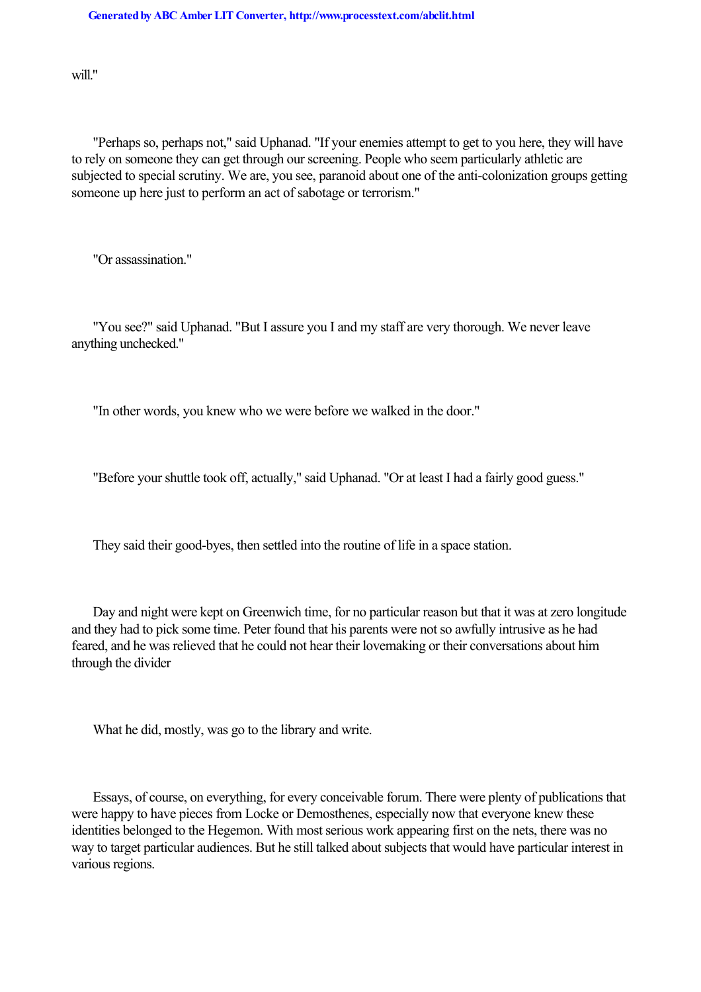will"

 "Perhaps so, perhaps not," said Uphanad. "If your enemies attempt to get to you here, they will have to rely on someone they can get through our screening. People who seem particularly athletic are subjected to special scrutiny. We are, you see, paranoid about one of the anti-colonization groups getting someone up here just to perform an act of sabotage or terrorism."

"Or assassination."

 "You see?" said Uphanad. "But I assure you I and my staff are very thorough. We never leave anything unchecked."

"In other words, you knew who we were before we walked in the door."

"Before your shuttle took off, actually," said Uphanad. "Or at least I had a fairly good guess."

They said their good-byes, then settled into the routine of life in a space station.

 Day and night were kept on Greenwich time, for no particular reason but that it was at zero longitude and they had to pick some time. Peter found that his parents were not so awfully intrusive as he had feared, and he was relieved that he could not hear their lovemaking or their conversations about him through the divider

What he did, mostly, was go to the library and write.

 Essays, of course, on everything, for every conceivable forum. There were plenty of publications that were happy to have pieces from Locke or Demosthenes, especially now that everyone knew these identities belonged to the Hegemon. With most serious work appearing first on the nets, there was no way to target particular audiences. But he still talked about subjects that would have particular interest in various regions.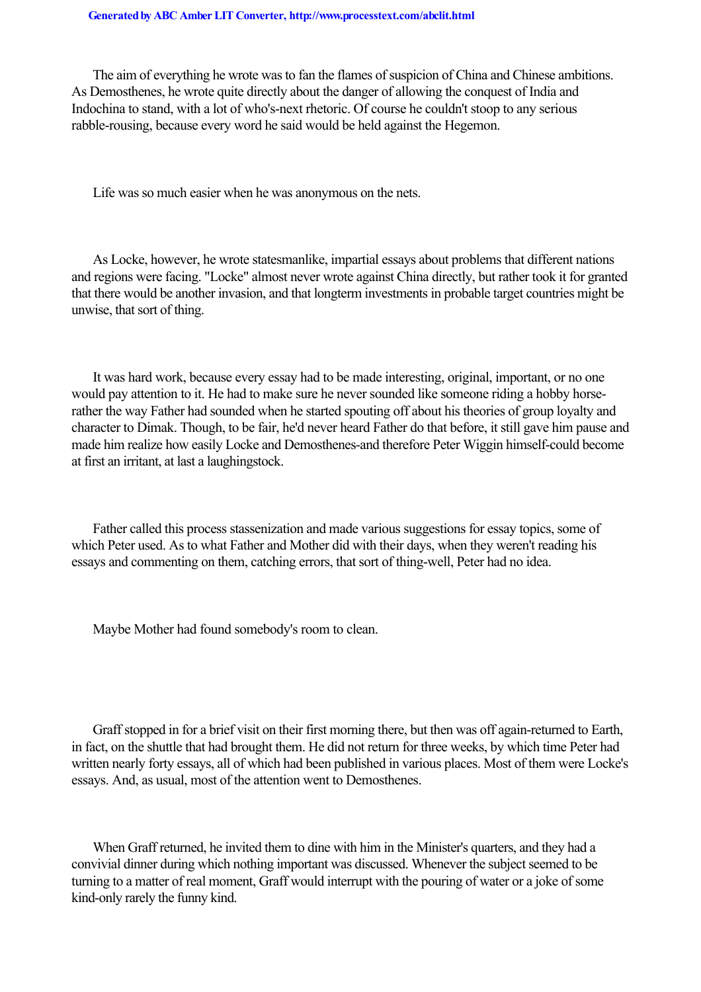The aim of everything he wrote was to fan the flames of suspicion of China and Chinese ambitions. As Demosthenes, he wrote quite directly about the danger of allowing the conquest of India and Indochina to stand, with a lot of who's-next rhetoric. Of course he couldn't stoop to any serious rabble-rousing, because every word he said would be held against the Hegemon.

Life was so much easier when he was anonymous on the nets.

 As Locke, however, he wrote statesmanlike, impartial essays about problems that different nations and regions were facing. "Locke" almost never wrote against China directly, but rather took it for granted that there would be another invasion, and that longterm investments in probable target countries might be unwise, that sort of thing.

 It was hard work, because every essay had to be made interesting, original, important, or no one would pay attention to it. He had to make sure he never sounded like someone riding a hobby horserather the way Father had sounded when he started spouting off about his theories of group loyalty and character to Dimak. Though, to be fair, he'd never heard Father do that before, it still gave him pause and made him realize how easily Locke and Demosthenes-and therefore Peter Wiggin himself-could become at first an irritant, at last a laughingstock.

 Father called this process stassenization and made various suggestions for essay topics, some of which Peter used. As to what Father and Mother did with their days, when they weren't reading his essays and commenting on them, catching errors, that sort of thing-well, Peter had no idea.

Maybe Mother had found somebody's room to clean.

 Graff stopped in for a brief visit on their first morning there, but then was off again-returned to Earth, in fact, on the shuttle that had brought them. He did not return for three weeks, by which time Peter had written nearly forty essays, all of which had been published in various places. Most of them were Locke's essays. And, as usual, most of the attention went to Demosthenes.

 When Graff returned, he invited them to dine with him in the Minister's quarters, and they had a convivial dinner during which nothing important was discussed. Whenever the subject seemed to be turning to a matter of real moment, Graff would interrupt with the pouring of water or a joke of some kind-only rarely the funny kind.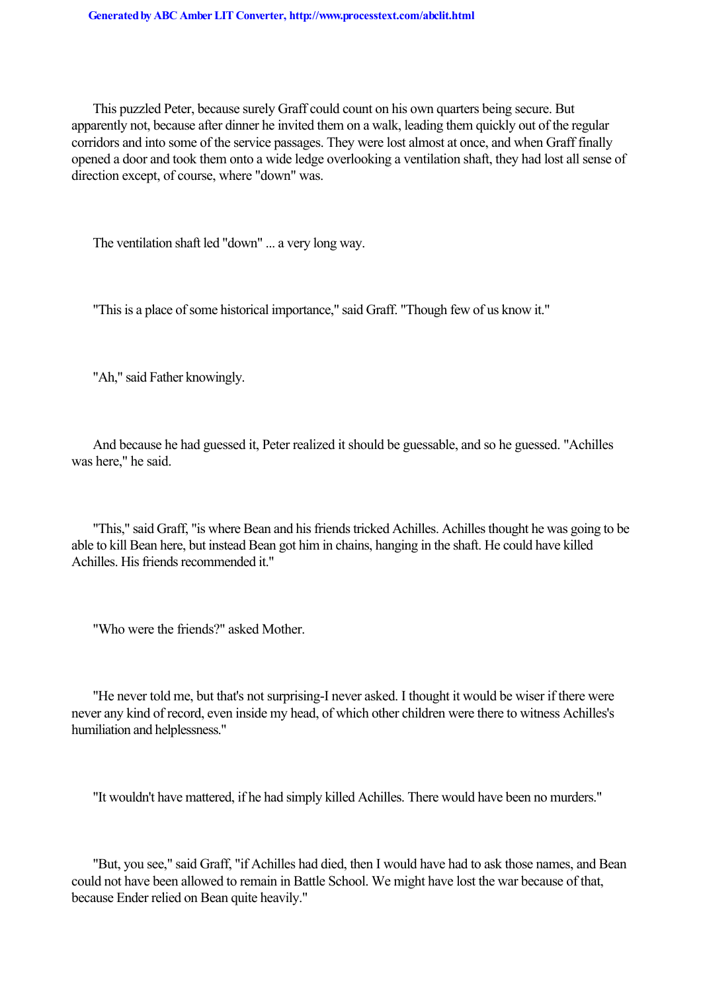This puzzled Peter, because surely Graff could count on his own quarters being secure. But apparently not, because after dinner he invited them on a walk, leading them quickly out of the regular corridors and into some of the service passages. They were lost almost at once, and when Graff finally opened a door and took them onto a wide ledge overlooking a ventilation shaft, they had lost all sense of direction except, of course, where "down" was.

The ventilation shaft led "down" ... a very long way.

"This is a place of some historical importance," said Graff. "Though few of us know it."

"Ah," said Father knowingly.

 And because he had guessed it, Peter realized it should be guessable, and so he guessed. "Achilles was here," he said.

 "This," said Graff, "is where Bean and his friends tricked Achilles. Achilles thought he was going to be able to kill Bean here, but instead Bean got him in chains, hanging in the shaft. He could have killed Achilles. His friends recommended it."

"Who were the friends?" asked Mother.

 "He never told me, but that's not surprising-I never asked. I thought it would be wiser if there were never any kind of record, even inside my head, of which other children were there to witness Achilles's humiliation and helplessness."

"It wouldn't have mattered, if he had simply killed Achilles. There would have been no murders."

 "But, you see," said Graff, "if Achilles had died, then I would have had to ask those names, and Bean could not have been allowed to remain in Battle School. We might have lost the war because of that, because Ender relied on Bean quite heavily."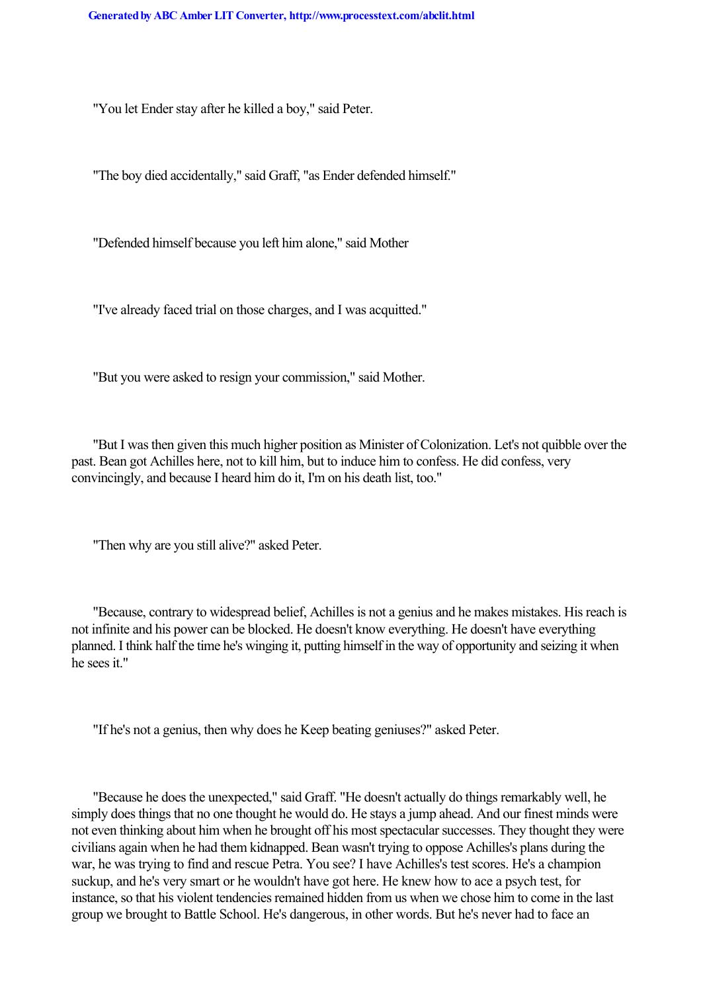"You let Ender stay after he killed a boy," said Peter.

"The boy died accidentally," said Graff, "as Ender defended himself."

"Defended himself because you left him alone," said Mother

"I've already faced trial on those charges, and I was acquitted."

"But you were asked to resign your commission," said Mother.

 "But I was then given this much higher position as Minister of Colonization. Let's not quibble over the past. Bean got Achilles here, not to kill him, but to induce him to confess. He did confess, very convincingly, and because I heard him do it, I'm on his death list, too."

"Then why are you still alive?" asked Peter.

 "Because, contrary to widespread belief, Achilles is not a genius and he makes mistakes. His reach is not infinite and his power can be blocked. He doesn't know everything. He doesn't have everything planned. I think half the time he's winging it, putting himself in the way of opportunity and seizing it when he sees it."

"If he's not a genius, then why does he Keep beating geniuses?" asked Peter.

 "Because he does the unexpected," said Graff. "He doesn't actually do things remarkably well, he simply does things that no one thought he would do. He stays a jump ahead. And our finest minds were not even thinking about him when he brought off his most spectacular successes. They thought they were civilians again when he had them kidnapped. Bean wasn't trying to oppose Achilles's plans during the war, he was trying to find and rescue Petra. You see? I have Achilles's test scores. He's a champion suckup, and he's very smart or he wouldn't have got here. He knew how to ace a psych test, for instance, so that his violent tendencies remained hidden from us when we chose him to come in the last group we brought to Battle School. He's dangerous, in other words. But he's never had to face an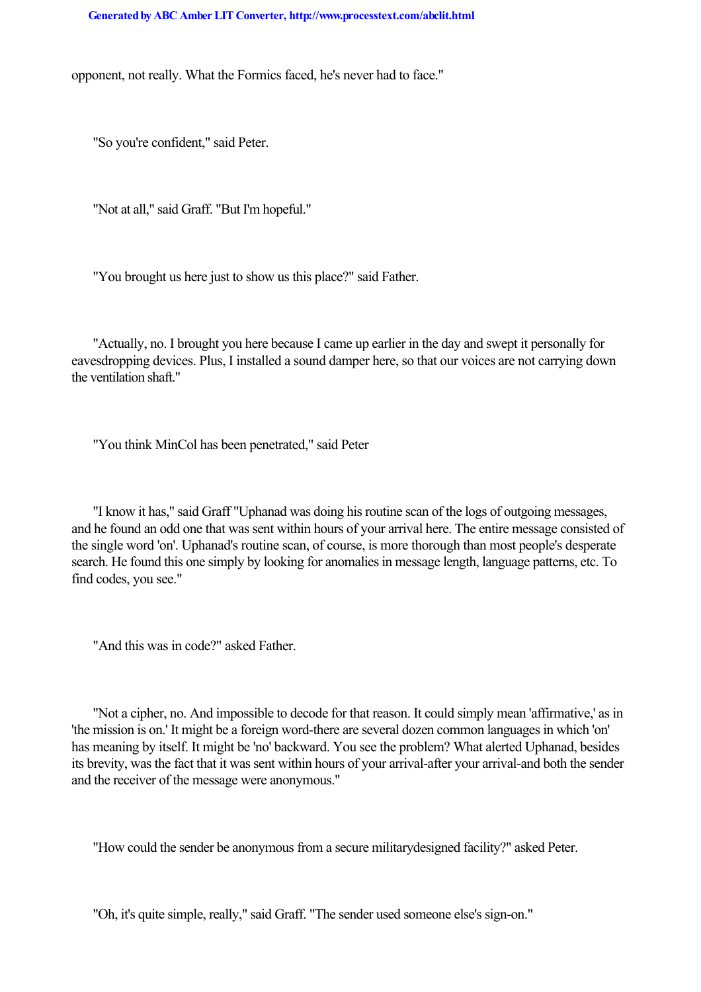opponent, not really. What the Formics faced, he's never had to face."

"So you're confident," said Peter.

"Not at all," said Graff. "But I'm hopeful."

"You brought us here just to show us this place?" said Father.

 "Actually, no. I brought you here because I came up earlier in the day and swept it personally for eavesdropping devices. Plus, I installed a sound damper here, so that our voices are not carrying down the ventilation shaft."

"You think MinCol has been penetrated," said Peter

 "I know it has," said Graff "Uphanad was doing his routine scan of the logs of outgoing messages, and he found an odd one that was sent within hours of your arrival here. The entire message consisted of the single word 'on'. Uphanad's routine scan, of course, is more thorough than most people's desperate search. He found this one simply by looking for anomalies in message length, language patterns, etc. To find codes, you see."

"And this was in code?" asked Father.

 "Not a cipher, no. And impossible to decode for that reason. It could simply mean 'affirmative,' as in 'the mission is on.' It might be a foreign word-there are several dozen common languages in which 'on' has meaning by itself. It might be 'no' backward. You see the problem? What alerted Uphanad, besides its brevity, was the fact that it was sent within hours of your arrival-after your arrival-and both the sender and the receiver of the message were anonymous."

"How could the sender be anonymous from a secure militarydesigned facility?" asked Peter.

"Oh, it's quite simple, really," said Graff. "The sender used someone else's sign-on."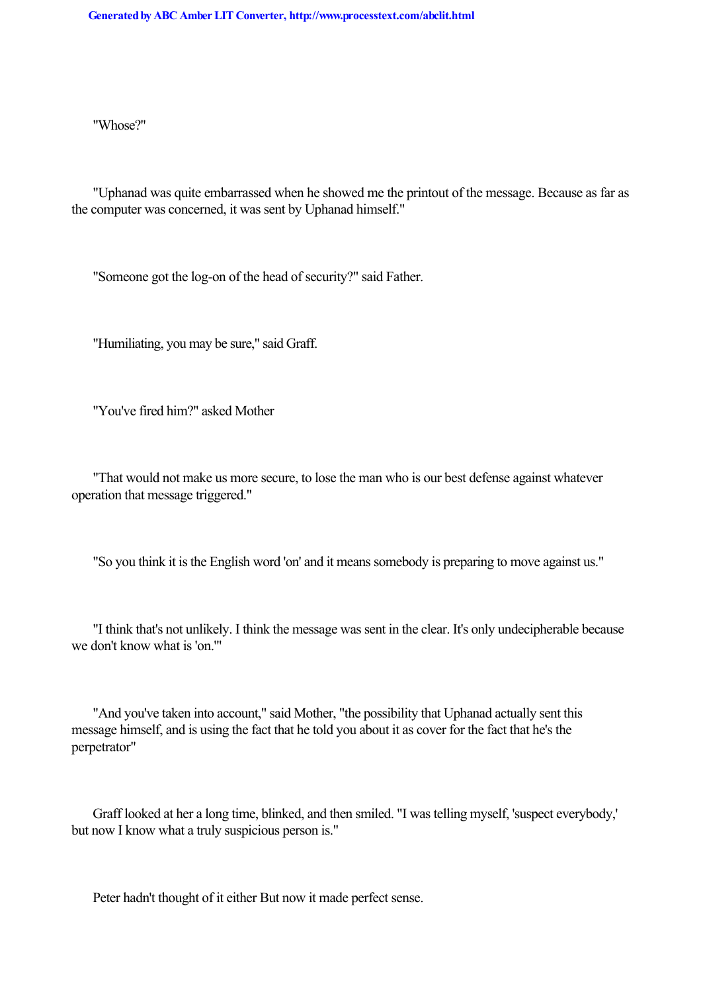"Whose?"

 "Uphanad was quite embarrassed when he showed me the printout of the message. Because as far as the computer was concerned, it was sent by Uphanad himself."

"Someone got the log-on of the head of security?" said Father.

"Humiliating, you may be sure," said Graff.

"You've fired him?" asked Mother

 "That would not make us more secure, to lose the man who is our best defense against whatever operation that message triggered."

"So you think it is the English word 'on' and it means somebody is preparing to move against us."

 "I think that's not unlikely. I think the message was sent in the clear. It's only undecipherable because we don't know what is 'on."

 "And you've taken into account," said Mother, "the possibility that Uphanad actually sent this message himself, and is using the fact that he told you about it as cover for the fact that he's the perpetrator"

 Graff looked at her a long time, blinked, and then smiled. "I was telling myself, 'suspect everybody,' but now I know what a truly suspicious person is."

Peter hadn't thought of it either But now it made perfect sense.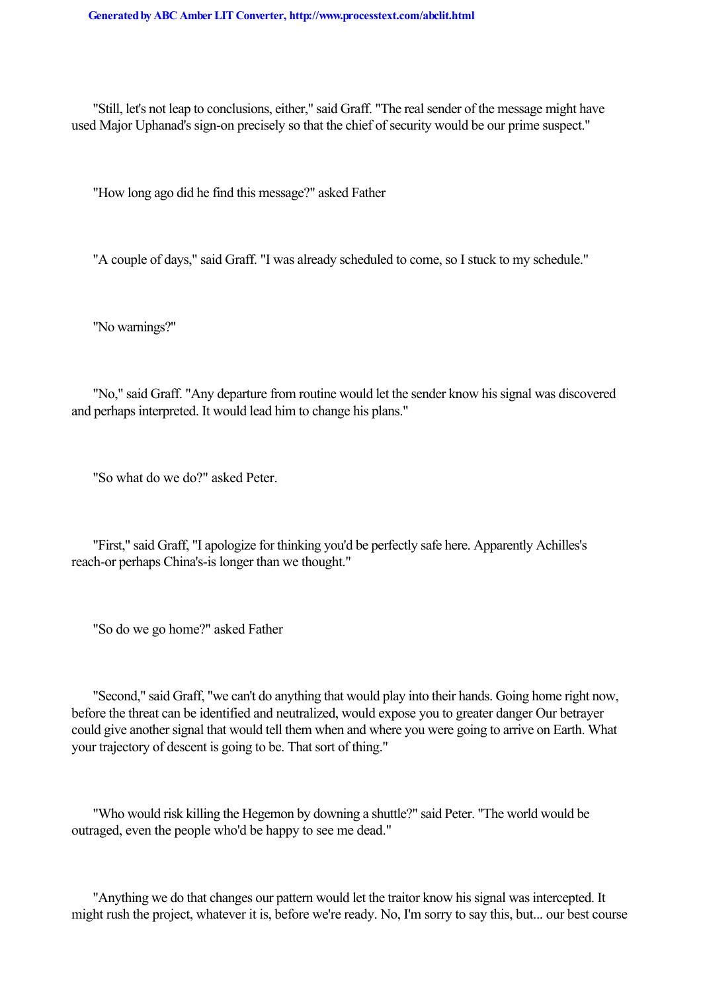"Still, let's not leap to conclusions, either," said Graff. "The real sender of the message might have used Major Uphanad's sign-on precisely so that the chief of security would be our prime suspect."

"How long ago did he find this message?" asked Father

"A couple of days," said Graff. "I was already scheduled to come, so I stuck to my schedule."

"No warnings?"

 "No," said Graff. "Any departure from routine would let the sender know his signal was discovered and perhaps interpreted. It would lead him to change his plans."

"So what do we do?" asked Peter.

 "First," said Graff, "I apologize for thinking you'd be perfectly safe here. Apparently Achilles's reach-or perhaps China's-is longer than we thought."

"So do we go home?" asked Father

 "Second," said Graff, "we can't do anything that would play into their hands. Going home right now, before the threat can be identified and neutralized, would expose you to greater danger Our betrayer could give another signal that would tell them when and where you were going to arrive on Earth. What your trajectory of descent is going to be. That sort of thing."

 "Who would risk killing the Hegemon by downing a shuttle?" said Peter. "The world would be outraged, even the people who'd be happy to see me dead."

 "Anything we do that changes our pattern would let the traitor know his signal was intercepted. It might rush the project, whatever it is, before we're ready. No, I'm sorry to say this, but... our best course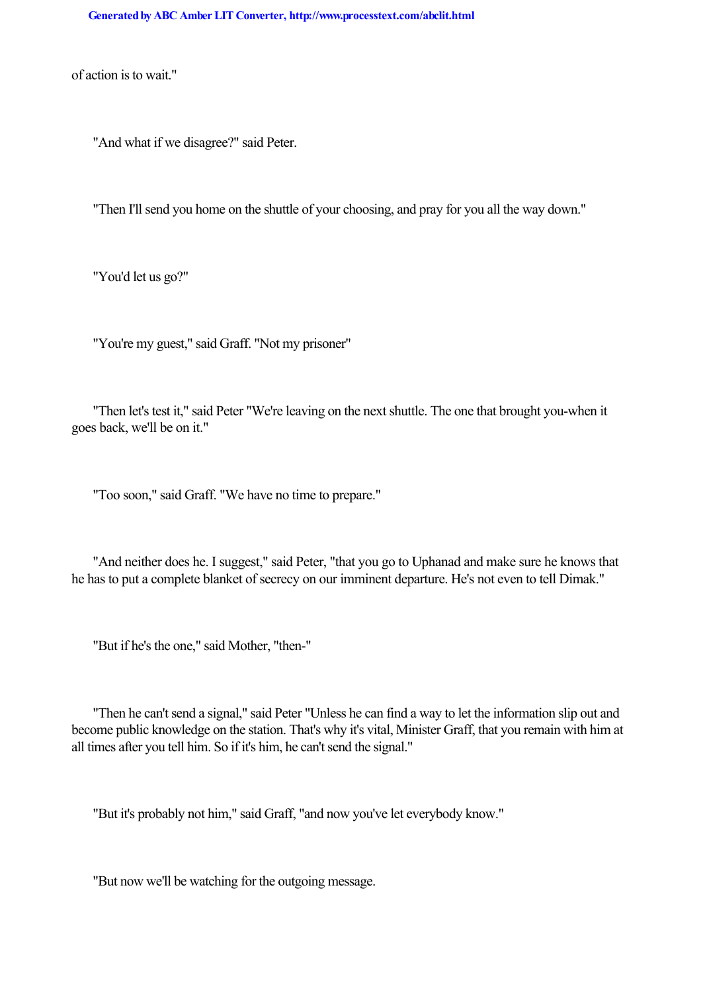of action is to wait."

"And what if we disagree?" said Peter.

"Then I'll send you home on the shuttle of your choosing, and pray for you all the way down."

"You'd let us go?"

"You're my guest," said Graff. "Not my prisoner"

 "Then let's test it," said Peter "We're leaving on the next shuttle. The one that brought you-when it goes back, we'll be on it."

"Too soon," said Graff. "We have no time to prepare."

 "And neither does he. I suggest," said Peter, "that you go to Uphanad and make sure he knows that he has to put a complete blanket of secrecy on our imminent departure. He's not even to tell Dimak."

"But if he's the one," said Mother, "then-"

 "Then he can't send a signal," said Peter "Unless he can find a way to let the information slip out and become public knowledge on the station. That's why it's vital, Minister Graff, that you remain with him at all times after you tell him. So if it's him, he can't send the signal."

"But it's probably not him," said Graff, "and now you've let everybody know."

"But now we'll be watching for the outgoing message.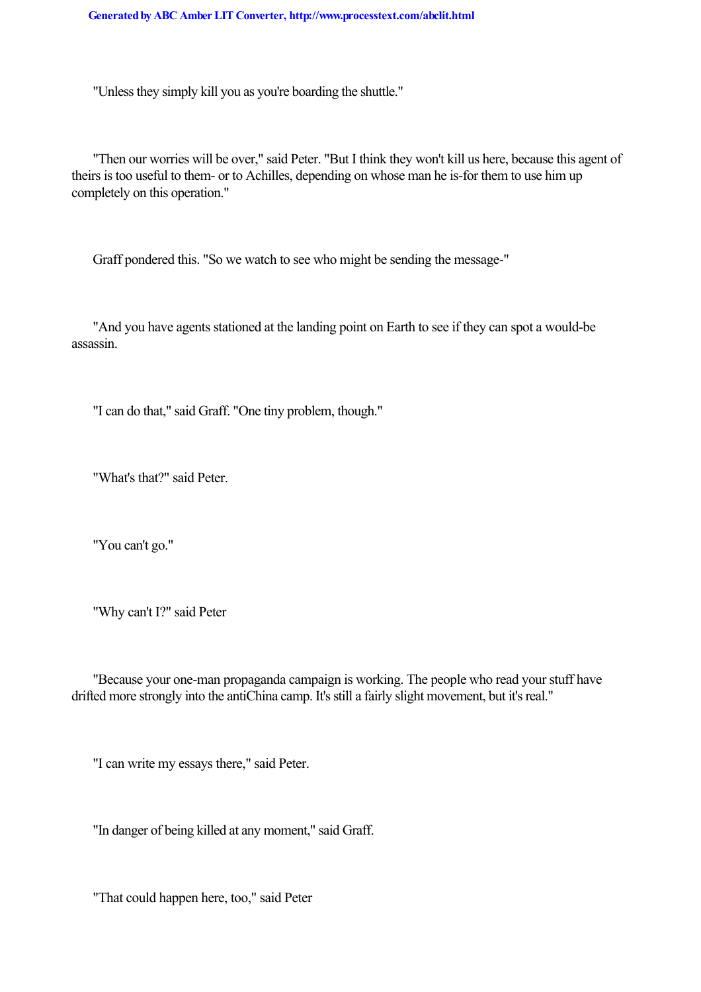"Unless they simply kill you as you're boarding the shuttle."

 "Then our worries will be over," said Peter. "But I think they won't kill us here, because this agent of theirs is too useful to them- or to Achilles, depending on whose man he is-for them to use him up completely on this operation."

Graff pondered this. "So we watch to see who might be sending the message-"

 "And you have agents stationed at the landing point on Earth to see if they can spot a would-be assassin.

"I can do that," said Graff. "One tiny problem, though."

"What's that?" said Peter.

"You can't go."

"Why can't I?" said Peter

 "Because your one-man propaganda campaign is working. The people who read your stuff have drifted more strongly into the antiChina camp. It's still a fairly slight movement, but it's real."

"I can write my essays there," said Peter.

"In danger of being killed at any moment," said Graff.

"That could happen here, too," said Peter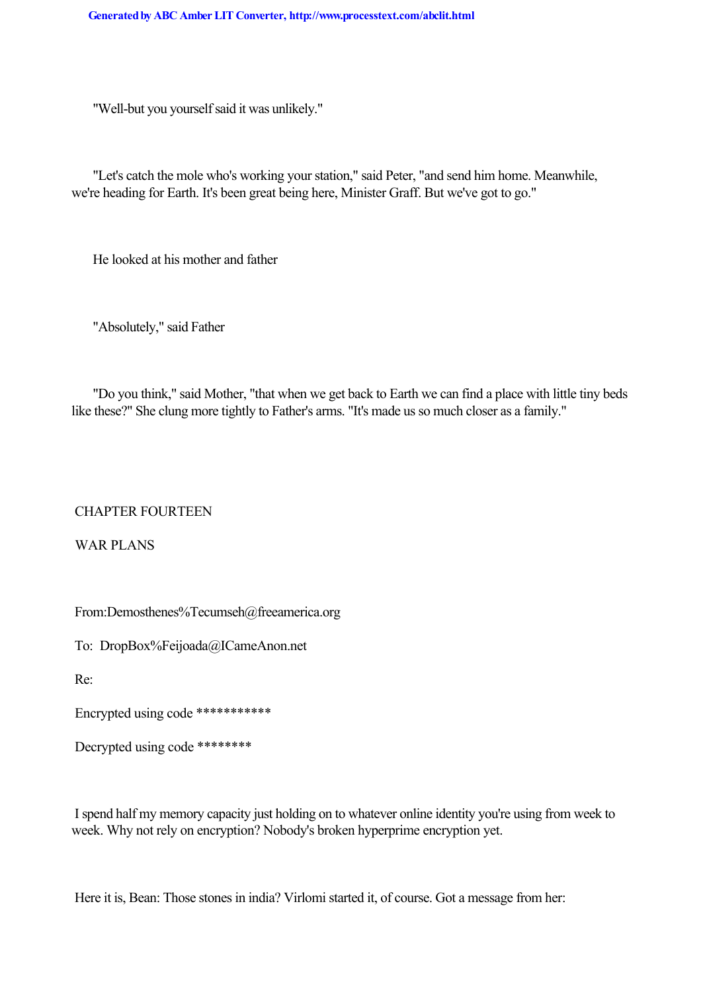"Well-but you yourself said it was unlikely."

 "Let's catch the mole who's working your station," said Peter, "and send him home. Meanwhile, we're heading for Earth. It's been great being here, Minister Graff. But we've got to go."

He looked at his mother and father

"Absolutely," said Father

 "Do you think," said Mother, "that when we get back to Earth we can find a place with little tiny beds like these?" She clung more tightly to Father's arms. "It's made us so much closer as a family."

CHAPTER FOURTEEN

WAR PLANS

From:Demosthenes%Tecumseh@freeamerica.org

To: DropBox%Feijoada@ICameAnon.net

Re:

Encrypted using code \*\*\*\*\*\*\*\*\*\*\*

Decrypted using code \*\*\*\*\*\*\*\*

 I spend half my memory capacity just holding on to whatever online identity you're using from week to week. Why not rely on encryption? Nobody's broken hyperprime encryption yet.

Here it is, Bean: Those stones in india? Virlomi started it, of course. Got a message from her: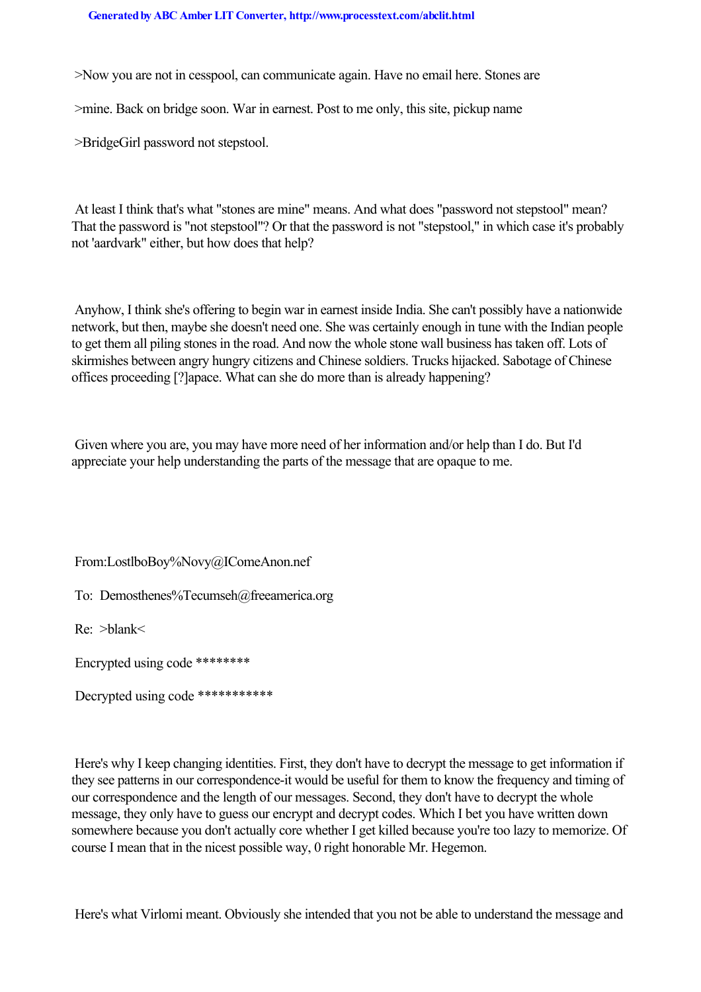>Now you are not in cesspool, can communicate again. Have no email here. Stones are

>mine. Back on bridge soon. War in earnest. Post to me only, this site, pickup name

>BridgeGirl password not stepstool.

 At least I think that's what "stones are mine" means. And what does "password not stepstool" mean? That the password is "not stepstool"? Or that the password is not "stepstool," in which case it's probably not 'aardvark" either, but how does that help?

 Anyhow, I think she's offering to begin war in earnest inside India. She can't possibly have a nationwide network, but then, maybe she doesn't need one. She was certainly enough in tune with the Indian people to get them all piling stones in the road. And now the whole stone wall business has taken off. Lots of skirmishes between angry hungry citizens and Chinese soldiers. Trucks hijacked. Sabotage of Chinese offices proceeding [?]apace. What can she do more than is already happening?

 Given where you are, you may have more need of her information and/or help than I do. But I'd appreciate your help understanding the parts of the message that are opaque to me.

From:LostlboBoy%Novy@IComeAnon.nef

To: Demosthenes%Tecumseh@freeamerica.org

Re: >blank<

Encrypted using code \*\*\*\*\*\*\*\*

Decrypted using code \*\*\*\*\*\*\*\*\*\*\*

 Here's why I keep changing identities. First, they don't have to decrypt the message to get information if they see patterns in our correspondence-it would be useful for them to know the frequency and timing of our correspondence and the length of our messages. Second, they don't have to decrypt the whole message, they only have to guess our encrypt and decrypt codes. Which I bet you have written down somewhere because you don't actually core whether I get killed because you're too lazy to memorize. Of course I mean that in the nicest possible way, 0 right honorable Mr. Hegemon.

Here's what Virlomi meant. Obviously she intended that you not be able to understand the message and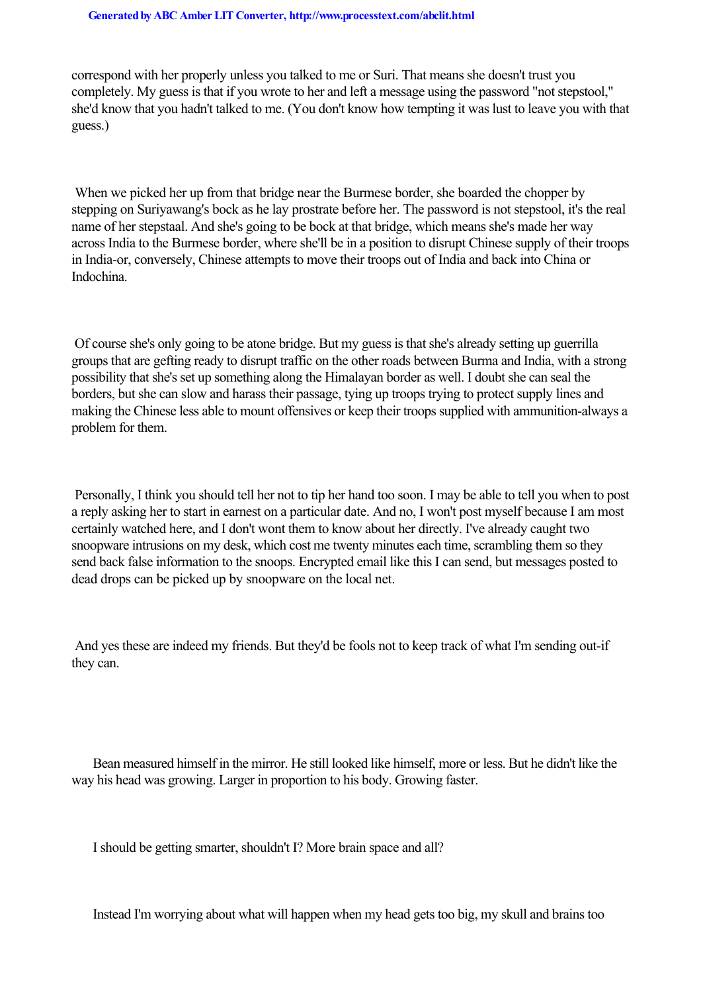correspond with her properly unless you talked to me or Suri. That means she doesn't trust you completely. My guess is that if you wrote to her and left a message using the password "not stepstool," she'd know that you hadn't talked to me. (You don't know how tempting it was lust to leave you with that guess.)

 When we picked her up from that bridge near the Burmese border, she boarded the chopper by stepping on Suriyawang's bock as he lay prostrate before her. The password is not stepstool, it's the real name of her stepstaal. And she's going to be bock at that bridge, which means she's made her way across India to the Burmese border, where she'll be in a position to disrupt Chinese supply of their troops in India-or, conversely, Chinese attempts to move their troops out of India and back into China or Indochina.

 Of course she's only going to be atone bridge. But my guess is that she's already setting up guerrilla groups that are gefting ready to disrupt traffic on the other roads between Burma and India, with a strong possibility that she's set up something along the Himalayan border as well. I doubt she can seal the borders, but she can slow and harass their passage, tying up troops trying to protect supply lines and making the Chinese less able to mount offensives or keep their troops supplied with ammunition-always a problem for them.

 Personally, I think you should tell her not to tip her hand too soon. I may be able to tell you when to post a reply asking her to start in earnest on a particular date. And no, I won't post myself because I am most certainly watched here, and I don't wont them to know about her directly. I've already caught two snoopware intrusions on my desk, which cost me twenty minutes each time, scrambling them so they send back false information to the snoops. Encrypted email like this I can send, but messages posted to dead drops can be picked up by snoopware on the local net.

 And yes these are indeed my friends. But they'd be fools not to keep track of what I'm sending out-if they can.

 Bean measured himself in the mirror. He still looked like himself, more or less. But he didn't like the way his head was growing. Larger in proportion to his body. Growing faster.

I should be getting smarter, shouldn't I? More brain space and all?

Instead I'm worrying about what will happen when my head gets too big, my skull and brains too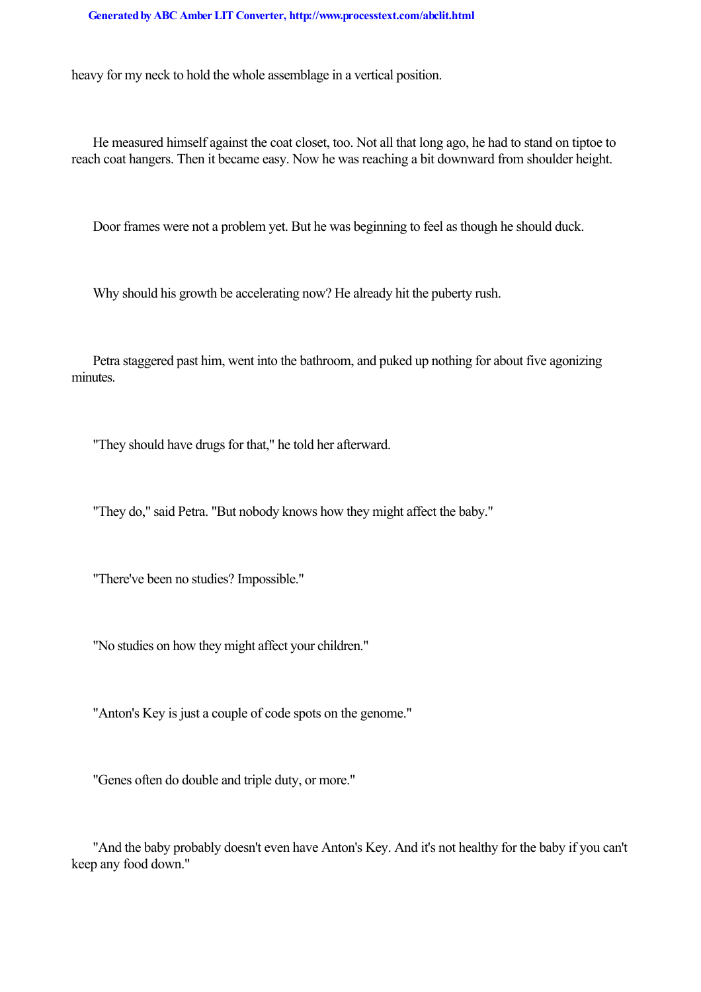heavy for my neck to hold the whole assemblage in a vertical position.

 He measured himself against the coat closet, too. Not all that long ago, he had to stand on tiptoe to reach coat hangers. Then it became easy. Now he was reaching a bit downward from shoulder height.

Door frames were not a problem yet. But he was beginning to feel as though he should duck.

Why should his growth be accelerating now? He already hit the puberty rush.

 Petra staggered past him, went into the bathroom, and puked up nothing for about five agonizing minutes.

"They should have drugs for that," he told her afterward.

"They do," said Petra. "But nobody knows how they might affect the baby."

"There've been no studies? Impossible."

"No studies on how they might affect your children."

"Anton's Key is just a couple of code spots on the genome."

"Genes often do double and triple duty, or more."

 "And the baby probably doesn't even have Anton's Key. And it's not healthy for the baby if you can't keep any food down."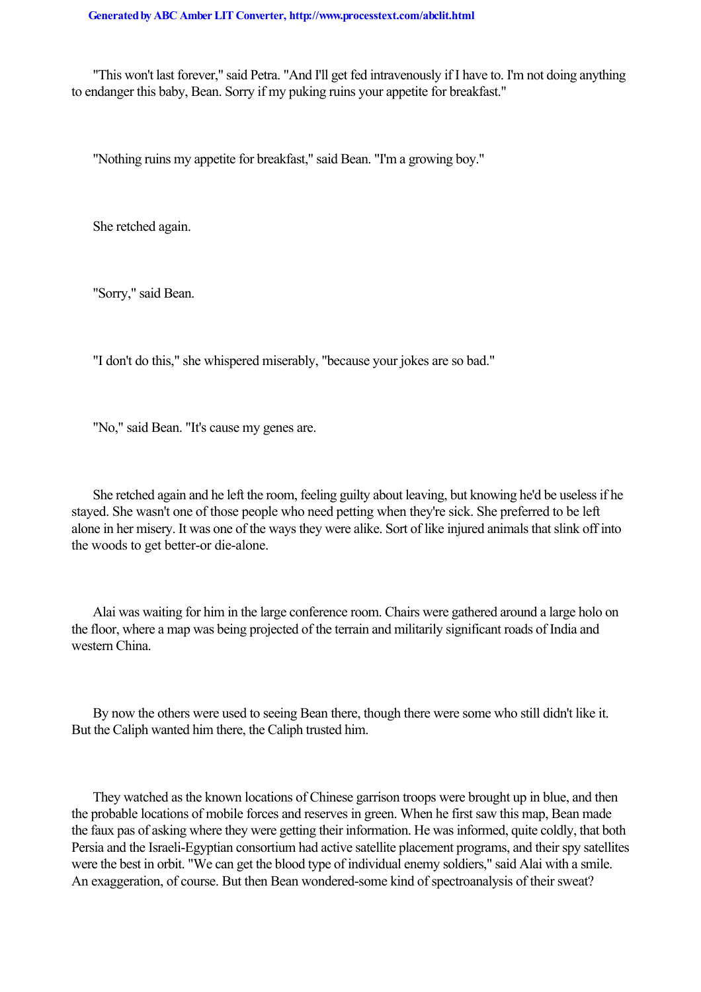"This won't last forever," said Petra. "And I'll get fed intravenously if I have to. I'm not doing anything to endanger this baby, Bean. Sorry if my puking ruins your appetite for breakfast."

"Nothing ruins my appetite for breakfast," said Bean. "I'm a growing boy."

She retched again.

"Sorry," said Bean.

"I don't do this," she whispered miserably, "because your jokes are so bad."

"No," said Bean. "It's cause my genes are.

 She retched again and he left the room, feeling guilty about leaving, but knowing he'd be useless if he stayed. She wasn't one of those people who need petting when they're sick. She preferred to be left alone in her misery. It was one of the ways they were alike. Sort of like injured animals that slink off into the woods to get better-or die-alone.

 Alai was waiting for him in the large conference room. Chairs were gathered around a large holo on the floor, where a map was being projected of the terrain and militarily significant roads of India and western China.

 By now the others were used to seeing Bean there, though there were some who still didn't like it. But the Caliph wanted him there, the Caliph trusted him.

 They watched as the known locations of Chinese garrison troops were brought up in blue, and then the probable locations of mobile forces and reserves in green. When he first saw this map, Bean made the faux pas of asking where they were getting their information. He was informed, quite coldly, that both Persia and the Israeli-Egyptian consortium had active satellite placement programs, and their spy satellites were the best in orbit. "We can get the blood type of individual enemy soldiers," said Alai with a smile. An exaggeration, of course. But then Bean wondered-some kind of spectroanalysis of their sweat?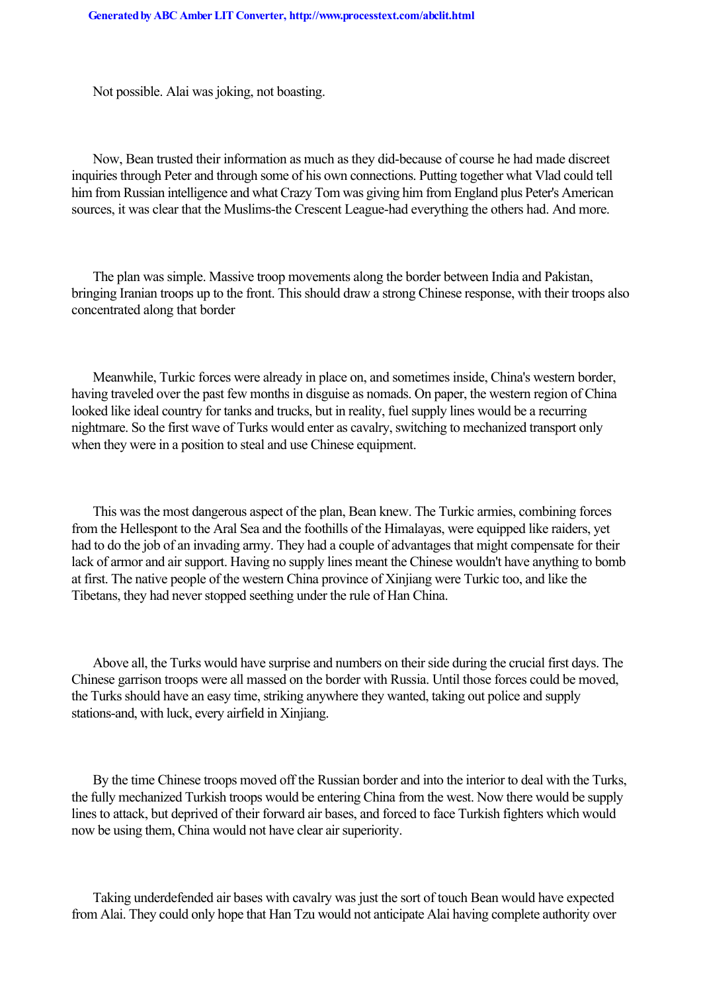Not possible. Alai was joking, not boasting.

 Now, Bean trusted their information as much as they did-because of course he had made discreet inquiries through Peter and through some of his own connections. Putting together what Vlad could tell him from Russian intelligence and what Crazy Tom was giving him from England plus Peter's American sources, it was clear that the Muslims-the Crescent League-had everything the others had. And more.

 The plan was simple. Massive troop movements along the border between India and Pakistan, bringing Iranian troops up to the front. This should draw a strong Chinese response, with their troops also concentrated along that border

 Meanwhile, Turkic forces were already in place on, and sometimes inside, China's western border, having traveled over the past few months in disguise as nomads. On paper, the western region of China looked like ideal country for tanks and trucks, but in reality, fuel supply lines would be a recurring nightmare. So the first wave of Turks would enter as cavalry, switching to mechanized transport only when they were in a position to steal and use Chinese equipment.

 This was the most dangerous aspect of the plan, Bean knew. The Turkic armies, combining forces from the Hellespont to the Aral Sea and the foothills of the Himalayas, were equipped like raiders, yet had to do the job of an invading army. They had a couple of advantages that might compensate for their lack of armor and air support. Having no supply lines meant the Chinese wouldn't have anything to bomb at first. The native people of the western China province of Xinjiang were Turkic too, and like the Tibetans, they had never stopped seething under the rule of Han China.

 Above all, the Turks would have surprise and numbers on their side during the crucial first days. The Chinese garrison troops were all massed on the border with Russia. Until those forces could be moved, the Turks should have an easy time, striking anywhere they wanted, taking out police and supply stations-and, with luck, every airfield in Xinjiang.

 By the time Chinese troops moved off the Russian border and into the interior to deal with the Turks, the fully mechanized Turkish troops would be entering China from the west. Now there would be supply lines to attack, but deprived of their forward air bases, and forced to face Turkish fighters which would now be using them, China would not have clear air superiority.

 Taking underdefended air bases with cavalry was just the sort of touch Bean would have expected from Alai. They could only hope that Han Tzu would not anticipate Alai having complete authority over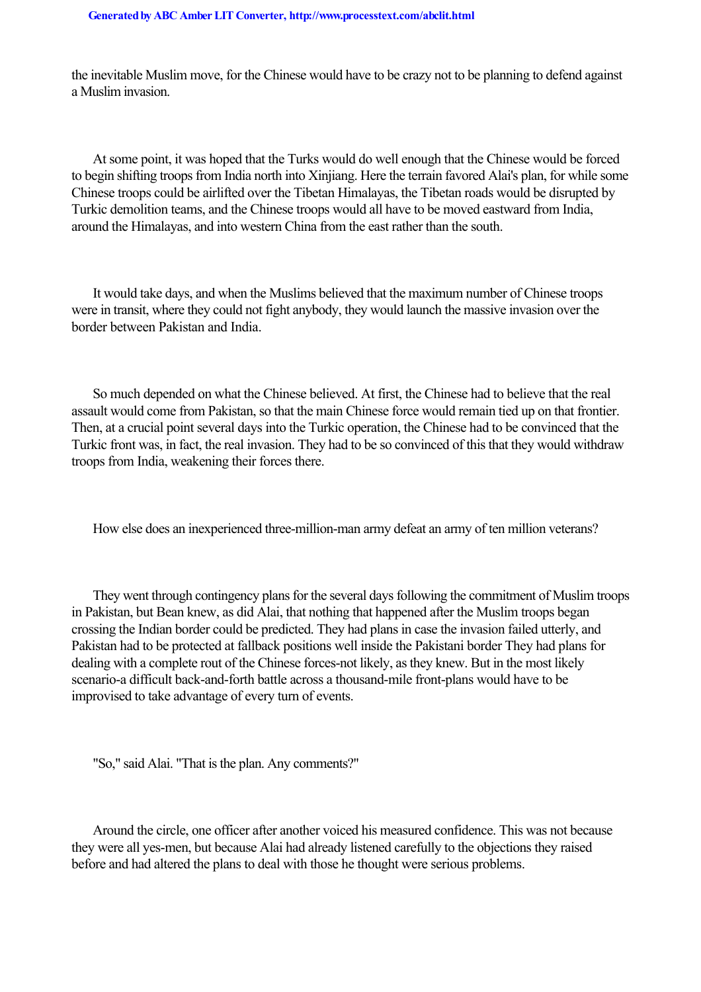the inevitable Muslim move, for the Chinese would have to be crazy not to be planning to defend against a Muslim invasion.

 At some point, it was hoped that the Turks would do well enough that the Chinese would be forced to begin shifting troops from India north into Xinjiang. Here the terrain favored Alai's plan, for while some Chinese troops could be airlifted over the Tibetan Himalayas, the Tibetan roads would be disrupted by Turkic demolition teams, and the Chinese troops would all have to be moved eastward from India, around the Himalayas, and into western China from the east rather than the south.

 It would take days, and when the Muslims believed that the maximum number of Chinese troops were in transit, where they could not fight anybody, they would launch the massive invasion over the border between Pakistan and India.

 So much depended on what the Chinese believed. At first, the Chinese had to believe that the real assault would come from Pakistan, so that the main Chinese force would remain tied up on that frontier. Then, at a crucial point several days into the Turkic operation, the Chinese had to be convinced that the Turkic front was, in fact, the real invasion. They had to be so convinced of this that they would withdraw troops from India, weakening their forces there.

How else does an inexperienced three-million-man army defeat an army of ten million veterans?

 They went through contingency plans for the several days following the commitment of Muslim troops in Pakistan, but Bean knew, as did Alai, that nothing that happened after the Muslim troops began crossing the Indian border could be predicted. They had plans in case the invasion failed utterly, and Pakistan had to be protected at fallback positions well inside the Pakistani border They had plans for dealing with a complete rout of the Chinese forces-not likely, as they knew. But in the most likely scenario-a difficult back-and-forth battle across a thousand-mile front-plans would have to be improvised to take advantage of every turn of events.

"So," said Alai. "That is the plan. Any comments?"

 Around the circle, one officer after another voiced his measured confidence. This was not because they were all yes-men, but because Alai had already listened carefully to the objections they raised before and had altered the plans to deal with those he thought were serious problems.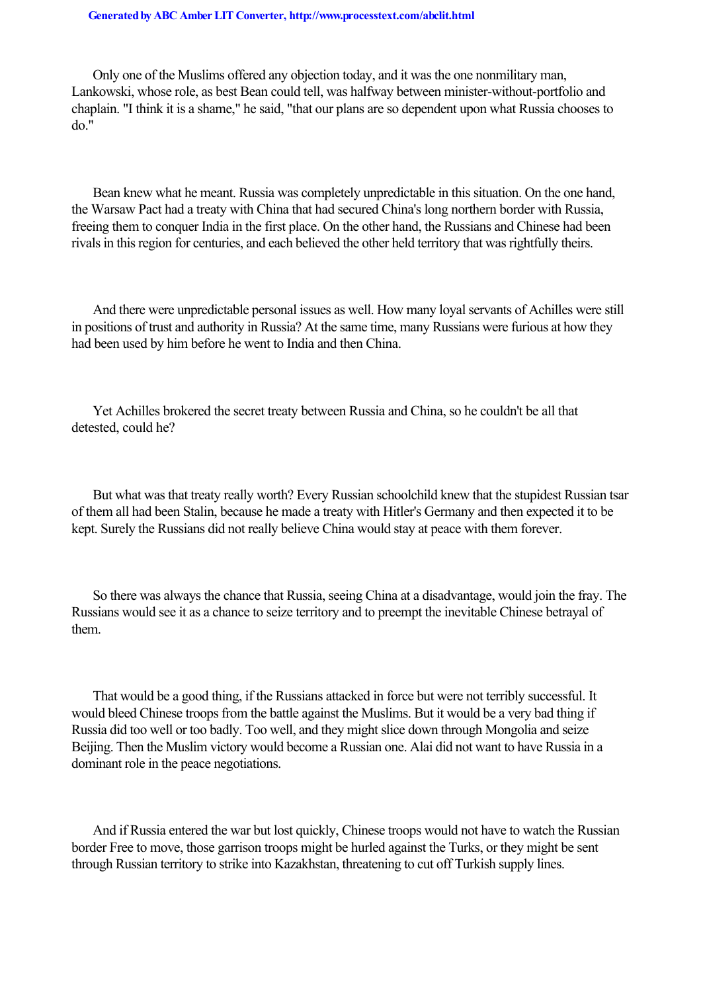Only one of the Muslims offered any objection today, and it was the one nonmilitary man, Lankowski, whose role, as best Bean could tell, was halfway between minister-without-portfolio and chaplain. "I think it is a shame," he said, "that our plans are so dependent upon what Russia chooses to do."

 Bean knew what he meant. Russia was completely unpredictable in this situation. On the one hand, the Warsaw Pact had a treaty with China that had secured China's long northern border with Russia, freeing them to conquer India in the first place. On the other hand, the Russians and Chinese had been rivals in this region for centuries, and each believed the other held territory that was rightfully theirs.

 And there were unpredictable personal issues as well. How many loyal servants of Achilles were still in positions of trust and authority in Russia? At the same time, many Russians were furious at how they had been used by him before he went to India and then China.

 Yet Achilles brokered the secret treaty between Russia and China, so he couldn't be all that detested, could he?

 But what was that treaty really worth? Every Russian schoolchild knew that the stupidest Russian tsar of them all had been Stalin, because he made a treaty with Hitler's Germany and then expected it to be kept. Surely the Russians did not really believe China would stay at peace with them forever.

 So there was always the chance that Russia, seeing China at a disadvantage, would join the fray. The Russians would see it as a chance to seize territory and to preempt the inevitable Chinese betrayal of them.

 That would be a good thing, if the Russians attacked in force but were not terribly successful. It would bleed Chinese troops from the battle against the Muslims. But it would be a very bad thing if Russia did too well or too badly. Too well, and they might slice down through Mongolia and seize Beijing. Then the Muslim victory would become a Russian one. Alai did not want to have Russia in a dominant role in the peace negotiations.

 And if Russia entered the war but lost quickly, Chinese troops would not have to watch the Russian border Free to move, those garrison troops might be hurled against the Turks, or they might be sent through Russian territory to strike into Kazakhstan, threatening to cut off Turkish supply lines.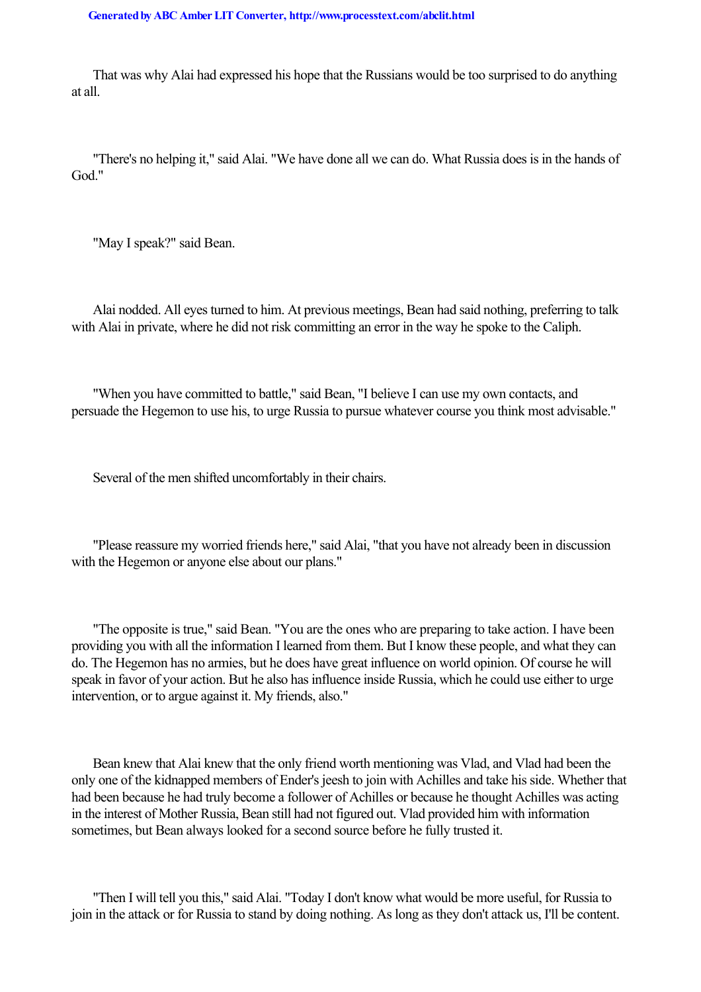That was why Alai had expressed his hope that the Russians would be too surprised to do anything at all.

 "There's no helping it," said Alai. "We have done all we can do. What Russia does is in the hands of God<sup>"</sup>

"May I speak?" said Bean.

 Alai nodded. All eyes turned to him. At previous meetings, Bean had said nothing, preferring to talk with Alai in private, where he did not risk committing an error in the way he spoke to the Caliph.

 "When you have committed to battle," said Bean, "I believe I can use my own contacts, and persuade the Hegemon to use his, to urge Russia to pursue whatever course you think most advisable."

Several of the men shifted uncomfortably in their chairs.

 "Please reassure my worried friends here," said Alai, "that you have not already been in discussion with the Hegemon or anyone else about our plans."

 "The opposite is true," said Bean. "You are the ones who are preparing to take action. I have been providing you with all the information I learned from them. But I know these people, and what they can do. The Hegemon has no armies, but he does have great influence on world opinion. Of course he will speak in favor of your action. But he also has influence inside Russia, which he could use either to urge intervention, or to argue against it. My friends, also."

 Bean knew that Alai knew that the only friend worth mentioning was Vlad, and Vlad had been the only one of the kidnapped members of Ender's jeesh to join with Achilles and take his side. Whether that had been because he had truly become a follower of Achilles or because he thought Achilles was acting in the interest of Mother Russia, Bean still had not figured out. Vlad provided him with information sometimes, but Bean always looked for a second source before he fully trusted it.

 "Then I will tell you this," said Alai. "Today I don't know what would be more useful, for Russia to join in the attack or for Russia to stand by doing nothing. As long as they don't attack us, I'll be content.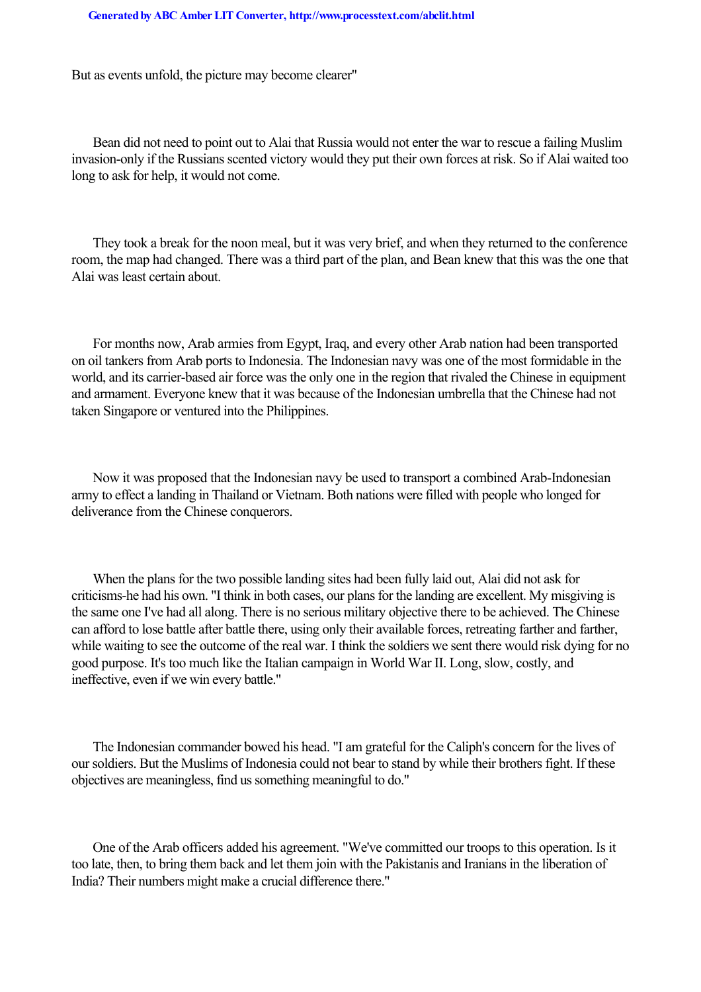But as events unfold, the picture may become clearer"

 Bean did not need to point out to Alai that Russia would not enter the war to rescue a failing Muslim invasion-only if the Russians scented victory would they put their own forces at risk. So if Alai waited too long to ask for help, it would not come.

 They took a break for the noon meal, but it was very brief, and when they returned to the conference room, the map had changed. There was a third part of the plan, and Bean knew that this was the one that Alai was least certain about.

 For months now, Arab armies from Egypt, Iraq, and every other Arab nation had been transported on oil tankers from Arab ports to Indonesia. The Indonesian navy was one of the most formidable in the world, and its carrier-based air force was the only one in the region that rivaled the Chinese in equipment and armament. Everyone knew that it was because of the Indonesian umbrella that the Chinese had not taken Singapore or ventured into the Philippines.

 Now it was proposed that the Indonesian navy be used to transport a combined Arab-Indonesian army to effect a landing in Thailand or Vietnam. Both nations were filled with people who longed for deliverance from the Chinese conquerors.

 When the plans for the two possible landing sites had been fully laid out, Alai did not ask for criticisms-he had his own. "I think in both cases, our plans for the landing are excellent. My misgiving is the same one I've had all along. There is no serious military objective there to be achieved. The Chinese can afford to lose battle after battle there, using only their available forces, retreating farther and farther, while waiting to see the outcome of the real war. I think the soldiers we sent there would risk dying for no good purpose. It's too much like the Italian campaign in World War II. Long, slow, costly, and ineffective, even if we win every battle."

 The Indonesian commander bowed his head. "I am grateful for the Caliph's concern for the lives of our soldiers. But the Muslims of Indonesia could not bear to stand by while their brothers fight. If these objectives are meaningless, find us something meaningful to do."

 One of the Arab officers added his agreement. "We've committed our troops to this operation. Is it too late, then, to bring them back and let them join with the Pakistanis and Iranians in the liberation of India? Their numbers might make a crucial difference there."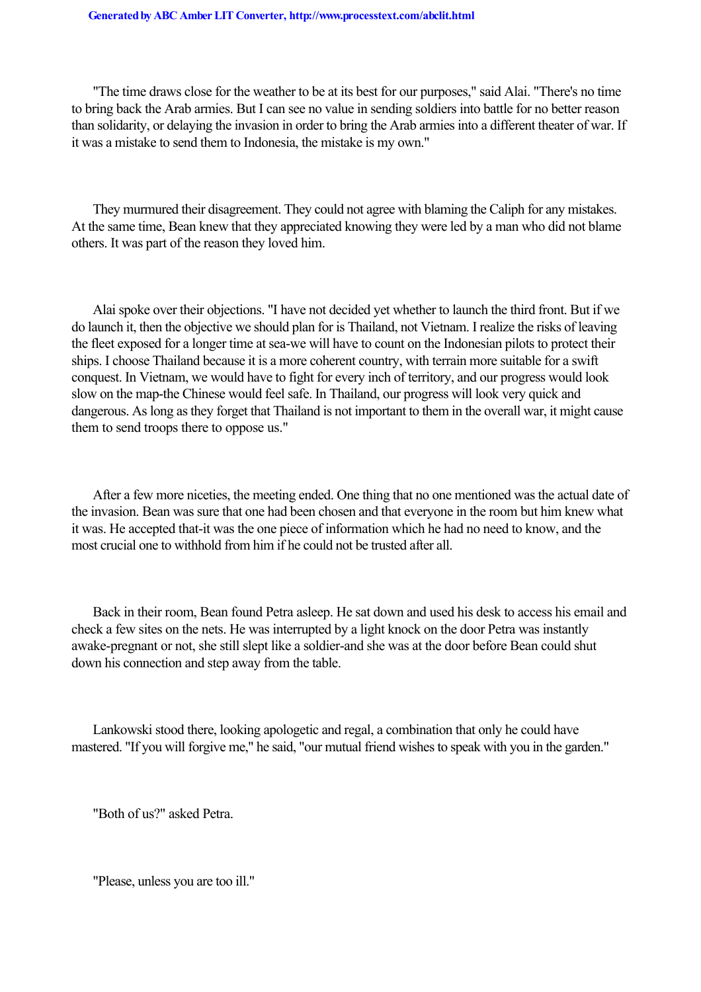"The time draws close for the weather to be at its best for our purposes," said Alai. "There's no time to bring back the Arab armies. But I can see no value in sending soldiers into battle for no better reason than solidarity, or delaying the invasion in order to bring the Arab armies into a different theater of war. If it was a mistake to send them to Indonesia, the mistake is my own."

 They murmured their disagreement. They could not agree with blaming the Caliph for any mistakes. At the same time, Bean knew that they appreciated knowing they were led by a man who did not blame others. It was part of the reason they loved him.

 Alai spoke over their objections. "I have not decided yet whether to launch the third front. But if we do launch it, then the objective we should plan for is Thailand, not Vietnam. I realize the risks of leaving the fleet exposed for a longer time at sea-we will have to count on the Indonesian pilots to protect their ships. I choose Thailand because it is a more coherent country, with terrain more suitable for a swift conquest. In Vietnam, we would have to fight for every inch of territory, and our progress would look slow on the map-the Chinese would feel safe. In Thailand, our progress will look very quick and dangerous. As long as they forget that Thailand is not important to them in the overall war, it might cause them to send troops there to oppose us."

 After a few more niceties, the meeting ended. One thing that no one mentioned was the actual date of the invasion. Bean was sure that one had been chosen and that everyone in the room but him knew what it was. He accepted that-it was the one piece of information which he had no need to know, and the most crucial one to withhold from him if he could not be trusted after all.

 Back in their room, Bean found Petra asleep. He sat down and used his desk to access his email and check a few sites on the nets. He was interrupted by a light knock on the door Petra was instantly awake-pregnant or not, she still slept like a soldier-and she was at the door before Bean could shut down his connection and step away from the table.

 Lankowski stood there, looking apologetic and regal, a combination that only he could have mastered. "If you will forgive me," he said, "our mutual friend wishes to speak with you in the garden."

"Both of us?" asked Petra.

"Please, unless you are too ill."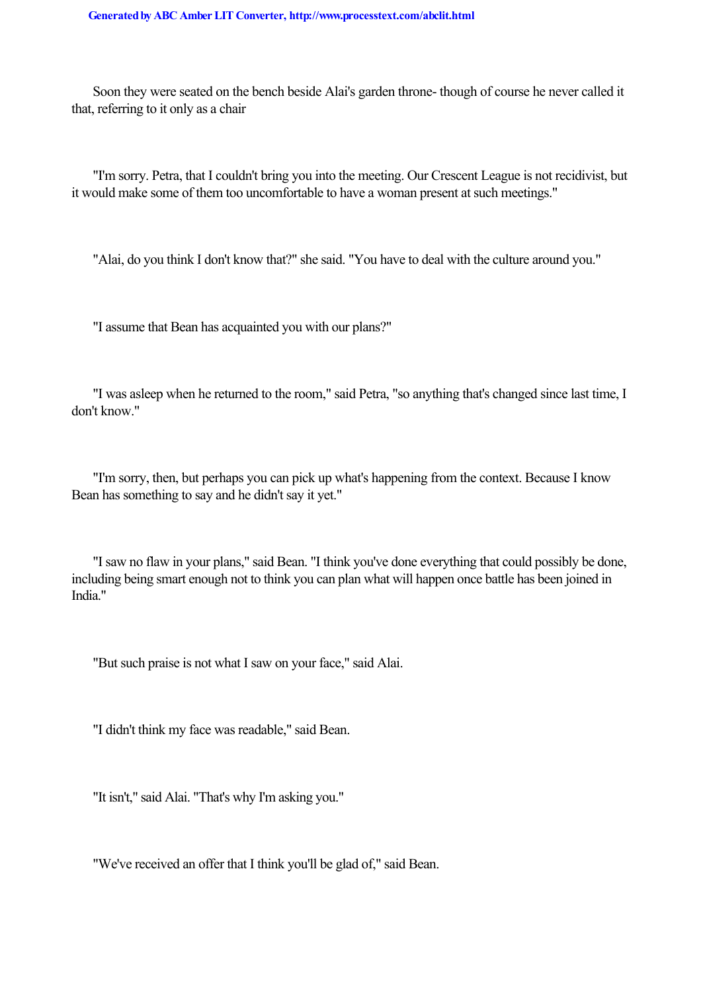Soon they were seated on the bench beside Alai's garden throne- though of course he never called it that, referring to it only as a chair

 "I'm sorry. Petra, that I couldn't bring you into the meeting. Our Crescent League is not recidivist, but it would make some of them too uncomfortable to have a woman present at such meetings."

"Alai, do you think I don't know that?" she said. "You have to deal with the culture around you."

"I assume that Bean has acquainted you with our plans?"

 "I was asleep when he returned to the room," said Petra, "so anything that's changed since last time, I don't know."

 "I'm sorry, then, but perhaps you can pick up what's happening from the context. Because I know Bean has something to say and he didn't say it yet."

 "I saw no flaw in your plans," said Bean. "I think you've done everything that could possibly be done, including being smart enough not to think you can plan what will happen once battle has been joined in India."

"But such praise is not what I saw on your face," said Alai.

"I didn't think my face was readable," said Bean.

"It isn't," said Alai. "That's why I'm asking you."

"We've received an offer that I think you'll be glad of," said Bean.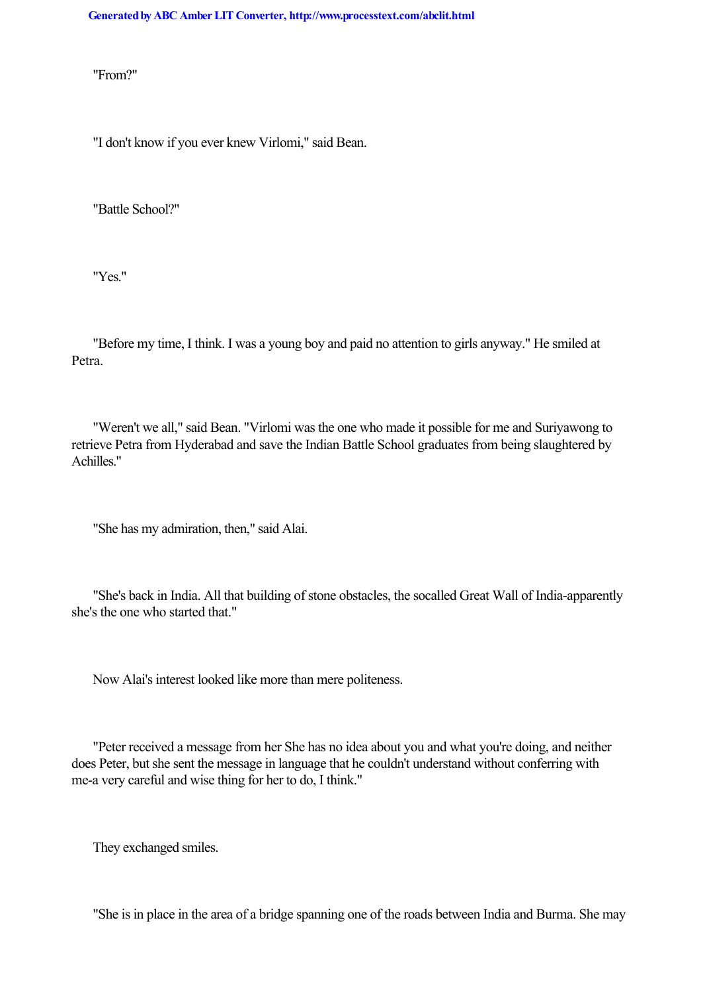"From?"

"I don't know if you ever knew Virlomi," said Bean.

"Battle School?"

"Yes."

 "Before my time, I think. I was a young boy and paid no attention to girls anyway." He smiled at Petra.

 "Weren't we all," said Bean. "Virlomi was the one who made it possible for me and Suriyawong to retrieve Petra from Hyderabad and save the Indian Battle School graduates from being slaughtered by Achilles."

"She has my admiration, then," said Alai.

 "She's back in India. All that building of stone obstacles, the socalled Great Wall of India-apparently she's the one who started that."

Now Alai's interest looked like more than mere politeness.

 "Peter received a message from her She has no idea about you and what you're doing, and neither does Peter, but she sent the message in language that he couldn't understand without conferring with me-a very careful and wise thing for her to do, I think."

They exchanged smiles.

"She is in place in the area of a bridge spanning one of the roads between India and Burma. She may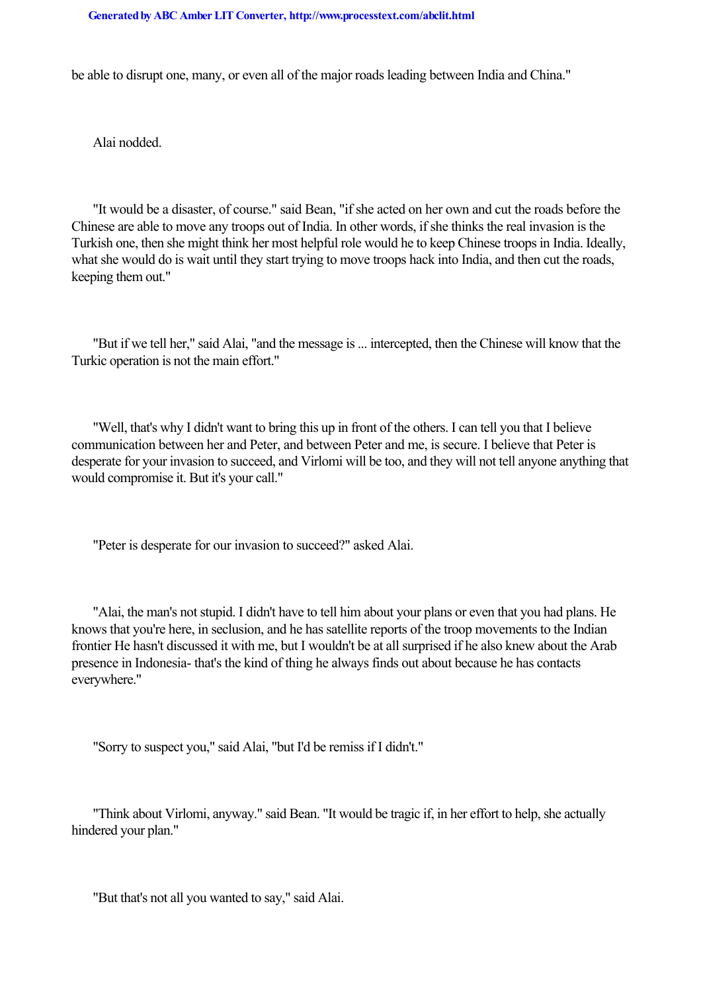be able to disrupt one, many, or even all of the major roads leading between India and China."

Alai nodded.

 "It would be a disaster, of course." said Bean, "if she acted on her own and cut the roads before the Chinese are able to move any troops out of India. In other words, if she thinks the real invasion is the Turkish one, then she might think her most helpful role would he to keep Chinese troops in India. Ideally, what she would do is wait until they start trying to move troops hack into India, and then cut the roads, keeping them out."

 "But if we tell her," said Alai, "and the message is ... intercepted, then the Chinese will know that the Turkic operation is not the main effort."

 "Well, that's why I didn't want to bring this up in front of the others. I can tell you that I believe communication between her and Peter, and between Peter and me, is secure. I believe that Peter is desperate for your invasion to succeed, and Virlomi will be too, and they will not tell anyone anything that would compromise it. But it's your call."

"Peter is desperate for our invasion to succeed?" asked Alai.

 "Alai, the man's not stupid. I didn't have to tell him about your plans or even that you had plans. He knows that you're here, in seclusion, and he has satellite reports of the troop movements to the Indian frontier He hasn't discussed it with me, but I wouldn't be at all surprised if he also knew about the Arab presence in Indonesia- that's the kind of thing he always finds out about because he has contacts everywhere."

"Sorry to suspect you," said Alai, "but I'd be remiss if I didn't."

 "Think about Virlomi, anyway." said Bean. "It would be tragic if, in her effort to help, she actually hindered your plan."

"But that's not all you wanted to say," said Alai.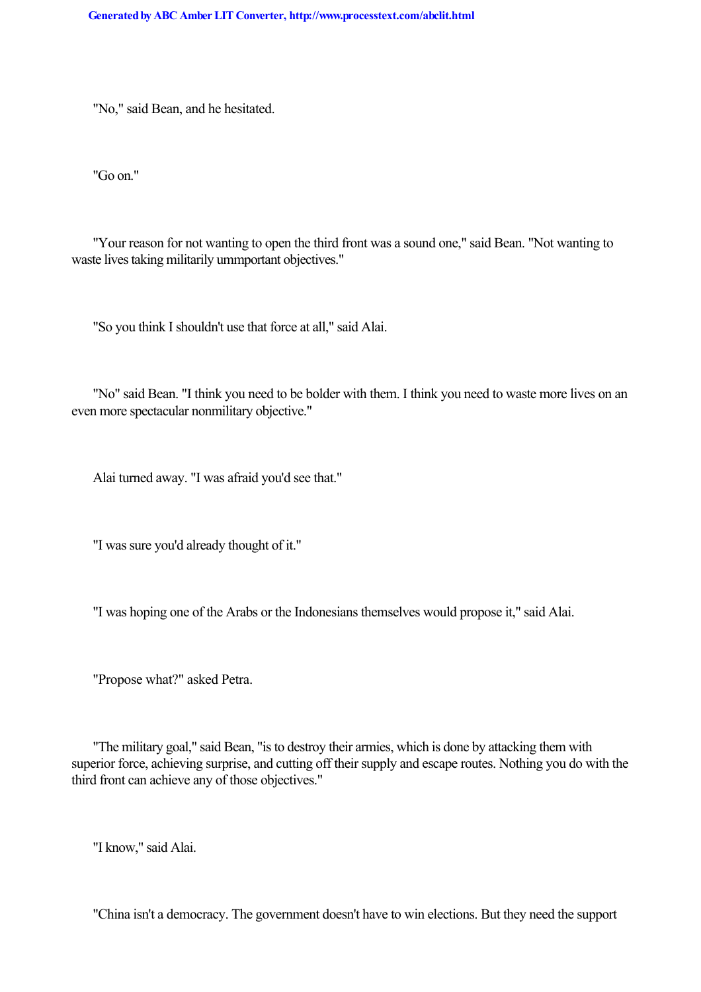"No," said Bean, and he hesitated.

"Go on."

 "Your reason for not wanting to open the third front was a sound one," said Bean. "Not wanting to waste lives taking militarily ummportant objectives."

"So you think I shouldn't use that force at all," said Alai.

 "No" said Bean. "I think you need to be bolder with them. I think you need to waste more lives on an even more spectacular nonmilitary objective."

Alai turned away. "I was afraid you'd see that."

"I was sure you'd already thought of it."

"I was hoping one of the Arabs or the Indonesians themselves would propose it," said Alai.

"Propose what?" asked Petra.

 "The military goal," said Bean, "is to destroy their armies, which is done by attacking them with superior force, achieving surprise, and cutting off their supply and escape routes. Nothing you do with the third front can achieve any of those objectives."

"I know," said Alai.

"China isn't a democracy. The government doesn't have to win elections. But they need the support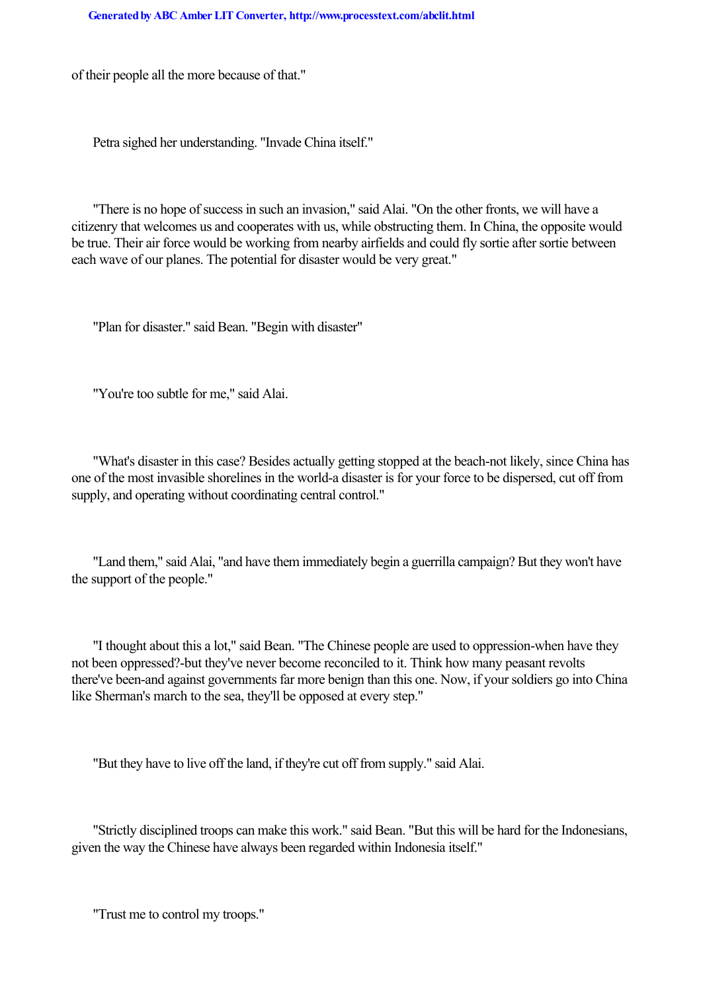of their people all the more because of that."

Petra sighed her understanding. "Invade China itself."

 "There is no hope of success in such an invasion," said Alai. "On the other fronts, we will have a citizenry that welcomes us and cooperates with us, while obstructing them. In China, the opposite would be true. Their air force would be working from nearby airfields and could fly sortie after sortie between each wave of our planes. The potential for disaster would be very great."

"Plan for disaster." said Bean. "Begin with disaster"

"You're too subtle for me," said Alai.

 "What's disaster in this case? Besides actually getting stopped at the beach-not likely, since China has one of the most invasible shorelines in the world-a disaster is for your force to be dispersed, cut off from supply, and operating without coordinating central control."

 "Land them," said Alai, "and have them immediately begin a guerrilla campaign? But they won't have the support of the people."

 "I thought about this a lot," said Bean. "The Chinese people are used to oppression-when have they not been oppressed?-but they've never become reconciled to it. Think how many peasant revolts there've been-and against governments far more benign than this one. Now, if your soldiers go into China like Sherman's march to the sea, they'll be opposed at every step."

"But they have to live off the land, if they're cut off from supply." said Alai.

 "Strictly disciplined troops can make this work." said Bean. "But this will be hard for the Indonesians, given the way the Chinese have always been regarded within Indonesia itself."

"Trust me to control my troops."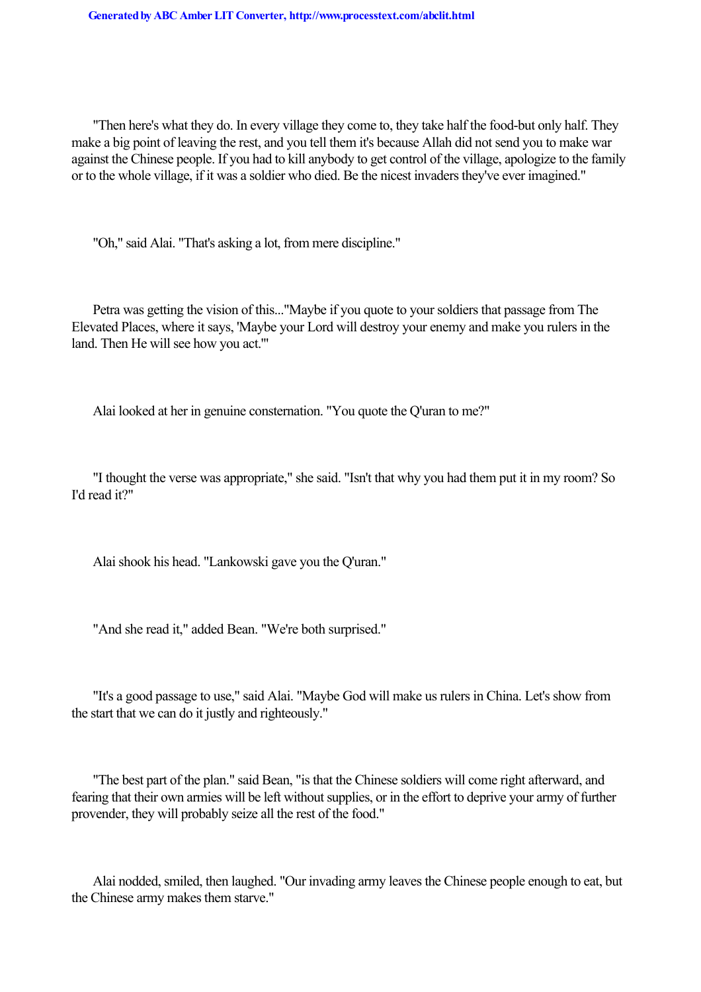"Then here's what they do. In every village they come to, they take half the food-but only half. They make a big point of leaving the rest, and you tell them it's because Allah did not send you to make war against the Chinese people. If you had to kill anybody to get control of the village, apologize to the family or to the whole village, if it was a soldier who died. Be the nicest invaders they've ever imagined."

"Oh," said Alai. "That's asking a lot, from mere discipline."

 Petra was getting the vision of this..."Maybe if you quote to your soldiers that passage from The Elevated Places, where it says, 'Maybe your Lord will destroy your enemy and make you rulers in the land. Then He will see how you act.'"

Alai looked at her in genuine consternation. "You quote the Q'uran to me?"

 "I thought the verse was appropriate," she said. "Isn't that why you had them put it in my room? So I'd read it?"

Alai shook his head. "Lankowski gave you the Q'uran."

"And she read it," added Bean. "We're both surprised."

 "It's a good passage to use," said Alai. "Maybe God will make us rulers in China. Let's show from the start that we can do it justly and righteously."

 "The best part of the plan." said Bean, "is that the Chinese soldiers will come right afterward, and fearing that their own armies will be left without supplies, or in the effort to deprive your army of further provender, they will probably seize all the rest of the food."

 Alai nodded, smiled, then laughed. "Our invading army leaves the Chinese people enough to eat, but the Chinese army makes them starve."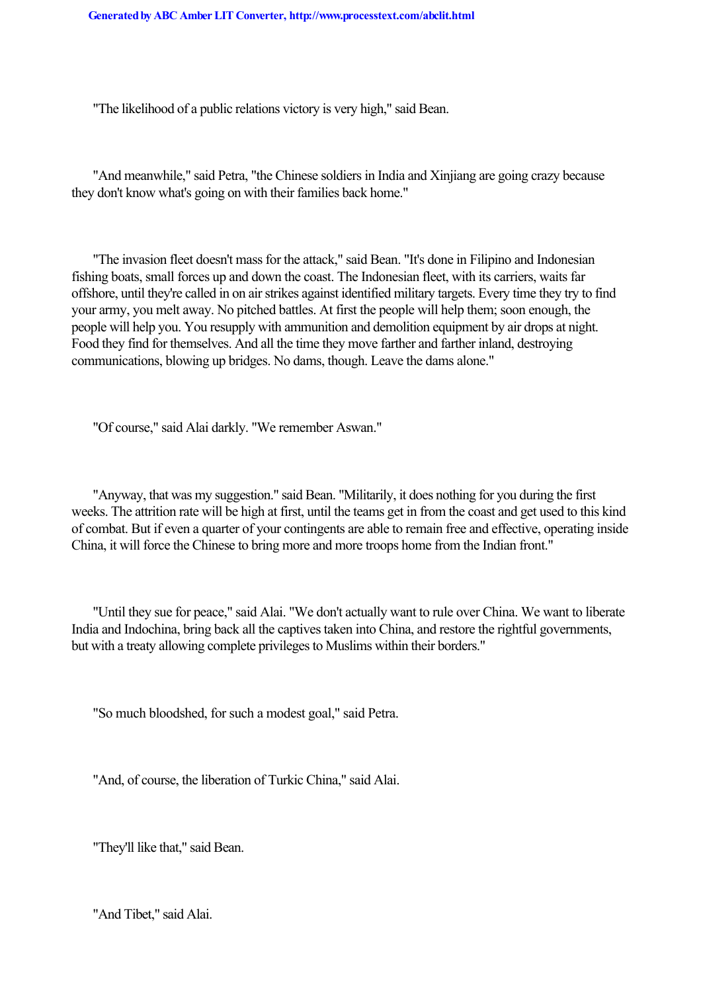"The likelihood of a public relations victory is very high," said Bean.

 "And meanwhile," said Petra, "the Chinese soldiers in India and Xinjiang are going crazy because they don't know what's going on with their families back home."

 "The invasion fleet doesn't mass for the attack," said Bean. "It's done in Filipino and Indonesian fishing boats, small forces up and down the coast. The Indonesian fleet, with its carriers, waits far offshore, until they're called in on air strikes against identified military targets. Every time they try to find your army, you melt away. No pitched battles. At first the people will help them; soon enough, the people will help you. You resupply with ammunition and demolition equipment by air drops at night. Food they find for themselves. And all the time they move farther and farther inland, destroying communications, blowing up bridges. No dams, though. Leave the dams alone."

"Of course," said Alai darkly. "We remember Aswan."

 "Anyway, that was my suggestion." said Bean. "Militarily, it does nothing for you during the first weeks. The attrition rate will be high at first, until the teams get in from the coast and get used to this kind of combat. But if even a quarter of your contingents are able to remain free and effective, operating inside China, it will force the Chinese to bring more and more troops home from the Indian front."

 "Until they sue for peace," said Alai. "We don't actually want to rule over China. We want to liberate India and Indochina, bring back all the captives taken into China, and restore the rightful governments, but with a treaty allowing complete privileges to Muslims within their borders."

"So much bloodshed, for such a modest goal," said Petra.

"And, of course, the liberation of Turkic China," said Alai.

"They'll like that," said Bean.

"And Tibet," said Alai.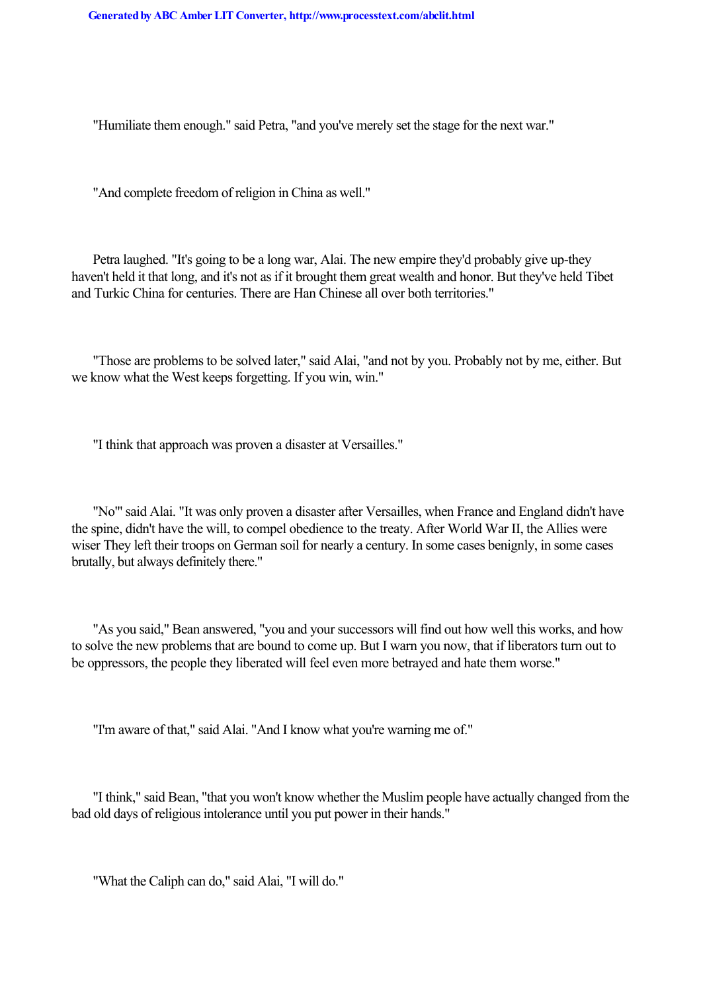"Humiliate them enough." said Petra, "and you've merely set the stage for the next war."

"And complete freedom of religion in China as well."

 Petra laughed. "It's going to be a long war, Alai. The new empire they'd probably give up-they haven't held it that long, and it's not as if it brought them great wealth and honor. But they've held Tibet and Turkic China for centuries. There are Han Chinese all over both territories."

 "Those are problems to be solved later," said Alai, "and not by you. Probably not by me, either. But we know what the West keeps forgetting. If you win, win."

"I think that approach was proven a disaster at Versailles."

 "No"' said Alai. "It was only proven a disaster after Versailles, when France and England didn't have the spine, didn't have the will, to compel obedience to the treaty. After World War II, the Allies were wiser They left their troops on German soil for nearly a century. In some cases benignly, in some cases brutally, but always definitely there."

 "As you said," Bean answered, "you and your successors will find out how well this works, and how to solve the new problems that are bound to come up. But I warn you now, that if liberators turn out to be oppressors, the people they liberated will feel even more betrayed and hate them worse."

"I'm aware of that," said Alai. "And I know what you're warning me of."

 "I think," said Bean, "that you won't know whether the Muslim people have actually changed from the bad old days of religious intolerance until you put power in their hands."

"What the Caliph can do," said Alai, "I will do."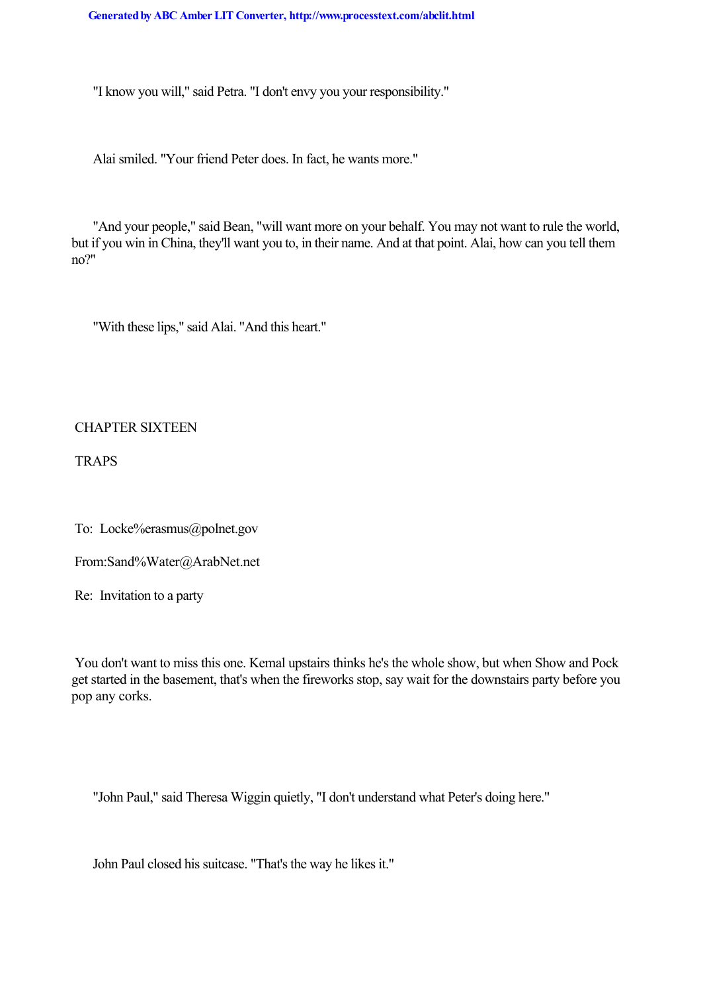"I know you will," said Petra. "I don't envy you your responsibility."

Alai smiled. "Your friend Peter does. In fact, he wants more."

 "And your people," said Bean, "will want more on your behalf. You may not want to rule the world, but if you win in China, they'll want you to, in their name. And at that point. Alai, how can you tell them no?"

"With these lips," said Alai. "And this heart."

CHAPTER SIXTEEN

**TRAPS** 

To: Locke%erasmus@polnet.gov

From:Sand%Water@ArabNet.net

Re: Invitation to a party

 You don't want to miss this one. Kemal upstairs thinks he's the whole show, but when Show and Pock get started in the basement, that's when the fireworks stop, say wait for the downstairs party before you pop any corks.

"John Paul," said Theresa Wiggin quietly, "I don't understand what Peter's doing here."

John Paul closed his suitcase. "That's the way he likes it."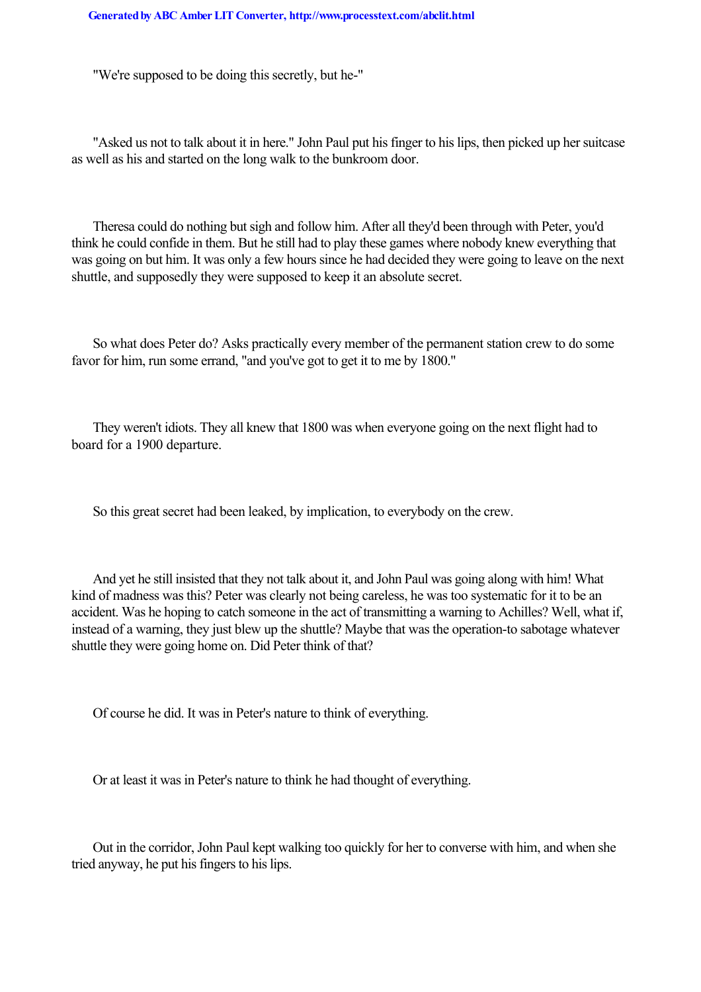"We're supposed to be doing this secretly, but he-"

 "Asked us not to talk about it in here." John Paul put his finger to his lips, then picked up her suitcase as well as his and started on the long walk to the bunkroom door.

 Theresa could do nothing but sigh and follow him. After all they'd been through with Peter, you'd think he could confide in them. But he still had to play these games where nobody knew everything that was going on but him. It was only a few hours since he had decided they were going to leave on the next shuttle, and supposedly they were supposed to keep it an absolute secret.

 So what does Peter do? Asks practically every member of the permanent station crew to do some favor for him, run some errand, "and you've got to get it to me by 1800."

 They weren't idiots. They all knew that 1800 was when everyone going on the next flight had to board for a 1900 departure.

So this great secret had been leaked, by implication, to everybody on the crew.

 And yet he still insisted that they not talk about it, and John Paul was going along with him! What kind of madness was this? Peter was clearly not being careless, he was too systematic for it to be an accident. Was he hoping to catch someone in the act of transmitting a warning to Achilles? Well, what if, instead of a warning, they just blew up the shuttle? Maybe that was the operation-to sabotage whatever shuttle they were going home on. Did Peter think of that?

Of course he did. It was in Peter's nature to think of everything.

Or at least it was in Peter's nature to think he had thought of everything.

 Out in the corridor, John Paul kept walking too quickly for her to converse with him, and when she tried anyway, he put his fingers to his lips.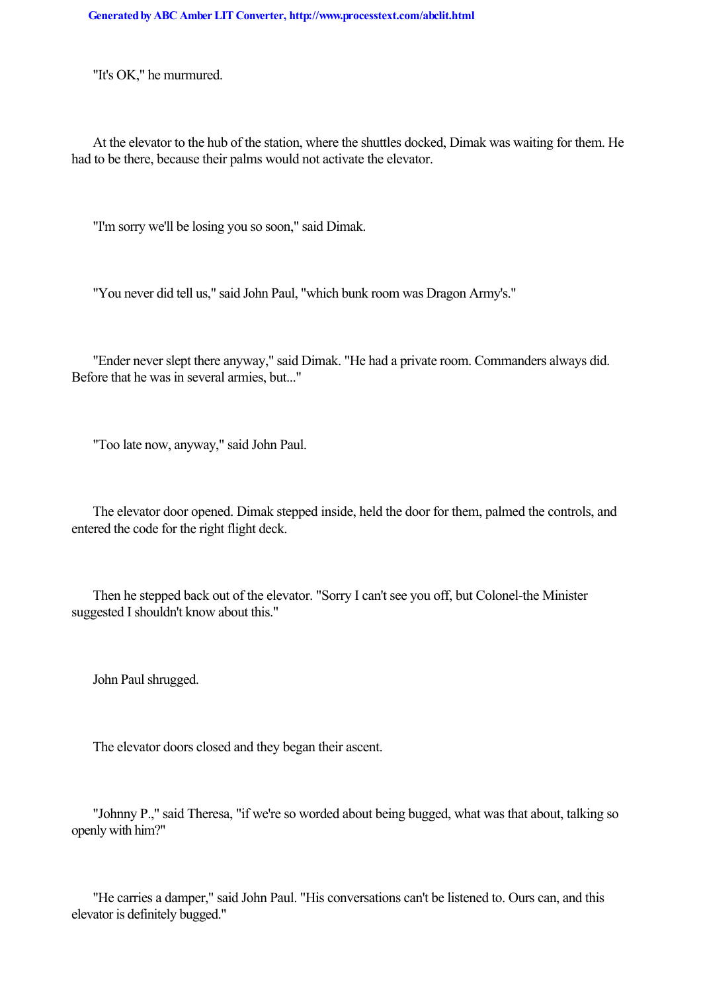"It's OK," he murmured.

 At the elevator to the hub of the station, where the shuttles docked, Dimak was waiting for them. He had to be there, because their palms would not activate the elevator.

"I'm sorry we'll be losing you so soon," said Dimak.

"You never did tell us," said John Paul, "which bunk room was Dragon Army's."

 "Ender never slept there anyway," said Dimak. "He had a private room. Commanders always did. Before that he was in several armies, but..."

"Too late now, anyway," said John Paul.

 The elevator door opened. Dimak stepped inside, held the door for them, palmed the controls, and entered the code for the right flight deck.

 Then he stepped back out of the elevator. "Sorry I can't see you off, but Colonel-the Minister suggested I shouldn't know about this."

John Paul shrugged.

The elevator doors closed and they began their ascent.

 "Johnny P.," said Theresa, "if we're so worded about being bugged, what was that about, talking so openly with him?"

 "He carries a damper," said John Paul. "His conversations can't be listened to. Ours can, and this elevator is definitely bugged."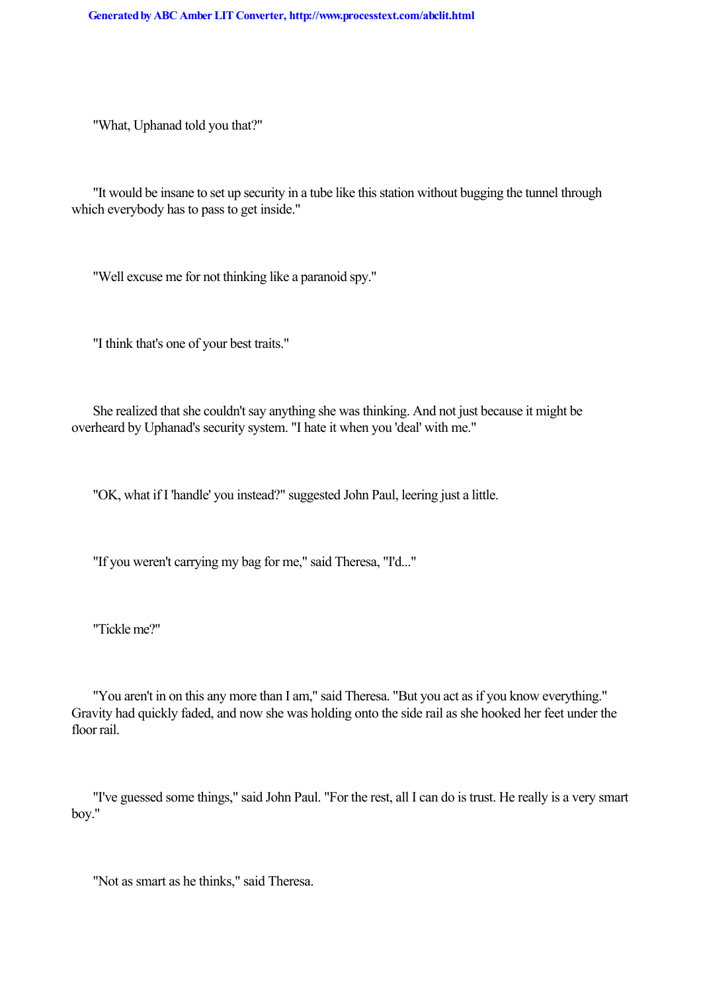"What, Uphanad told you that?"

 "It would be insane to set up security in a tube like this station without bugging the tunnel through which everybody has to pass to get inside."

"Well excuse me for not thinking like a paranoid spy."

"I think that's one of your best traits."

 She realized that she couldn't say anything she was thinking. And not just because it might be overheard by Uphanad's security system. "I hate it when you 'deal' with me."

"OK, what if I 'handle' you instead?" suggested John Paul, leering just a little.

"If you weren't carrying my bag for me," said Theresa, "I'd..."

"Tickle me?"

 "You aren't in on this any more than I am," said Theresa. "But you act as if you know everything." Gravity had quickly faded, and now she was holding onto the side rail as she hooked her feet under the floor rail.

 "I've guessed some things," said John Paul. "For the rest, all I can do is trust. He really is a very smart boy."

"Not as smart as he thinks," said Theresa.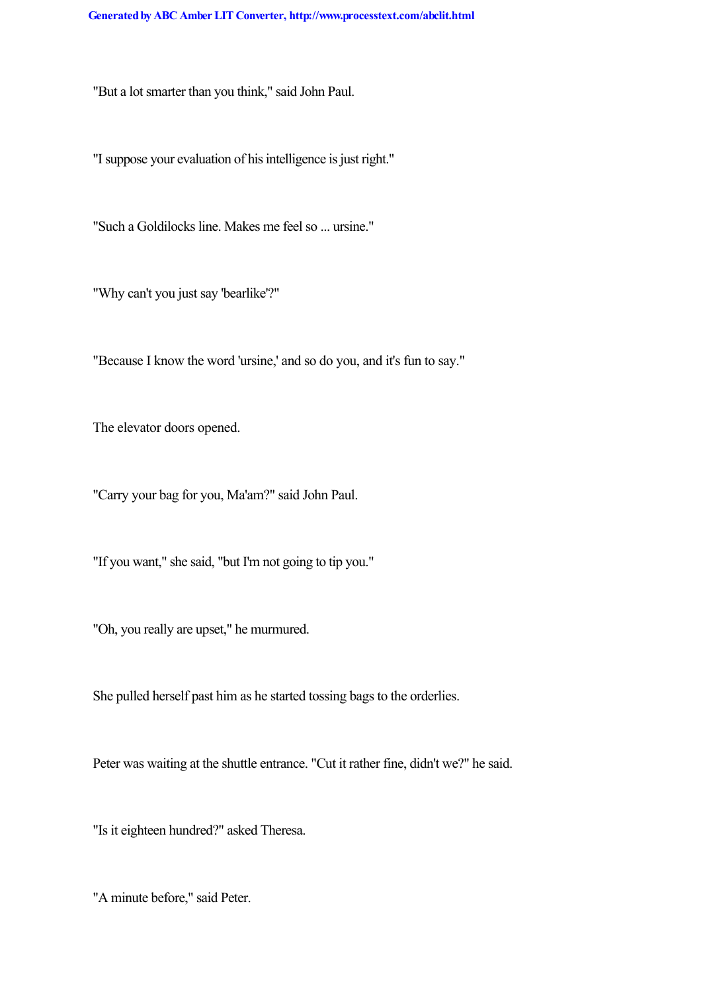"But a lot smarter than you think," said John Paul.

"I suppose your evaluation of his intelligence is just right."

"Such a Goldilocks line. Makes me feel so ... ursine."

"Why can't you just say 'bearlike'?"

"Because I know the word 'ursine,' and so do you, and it's fun to say."

The elevator doors opened.

"Carry your bag for you, Ma'am?" said John Paul.

"If you want," she said, "but I'm not going to tip you."

"Oh, you really are upset," he murmured.

She pulled herself past him as he started tossing bags to the orderlies.

Peter was waiting at the shuttle entrance. "Cut it rather fine, didn't we?" he said.

"Is it eighteen hundred?" asked Theresa.

"A minute before," said Peter.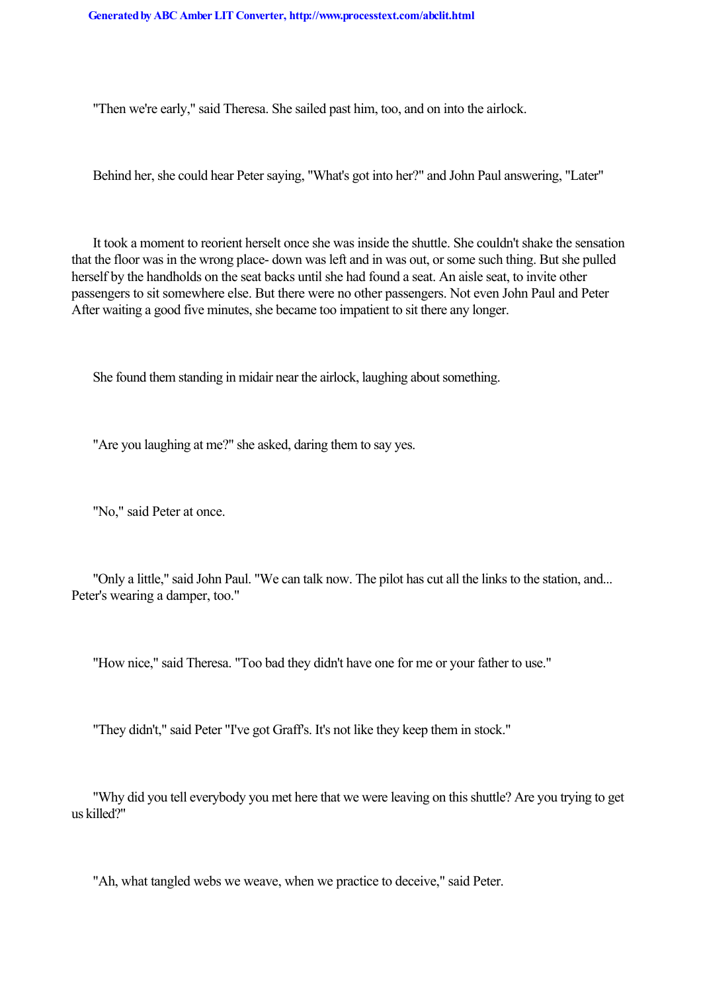"Then we're early," said Theresa. She sailed past him, too, and on into the airlock.

Behind her, she could hear Peter saying, "What's got into her?" and John Paul answering, "Later"

 It took a moment to reorient herselt once she was inside the shuttle. She couldn't shake the sensation that the floor was in the wrong place- down was left and in was out, or some such thing. But she pulled herself by the handholds on the seat backs until she had found a seat. An aisle seat, to invite other passengers to sit somewhere else. But there were no other passengers. Not even John Paul and Peter After waiting a good five minutes, she became too impatient to sit there any longer.

She found them standing in midair near the airlock, laughing about something.

"Are you laughing at me?" she asked, daring them to say yes.

"No," said Peter at once.

 "Only a little," said John Paul. "We can talk now. The pilot has cut all the links to the station, and... Peter's wearing a damper, too."

"How nice," said Theresa. "Too bad they didn't have one for me or your father to use."

"They didn't," said Peter "I've got Graff's. It's not like they keep them in stock."

 "Why did you tell everybody you met here that we were leaving on this shuttle? Are you trying to get us killed?"

"Ah, what tangled webs we weave, when we practice to deceive," said Peter.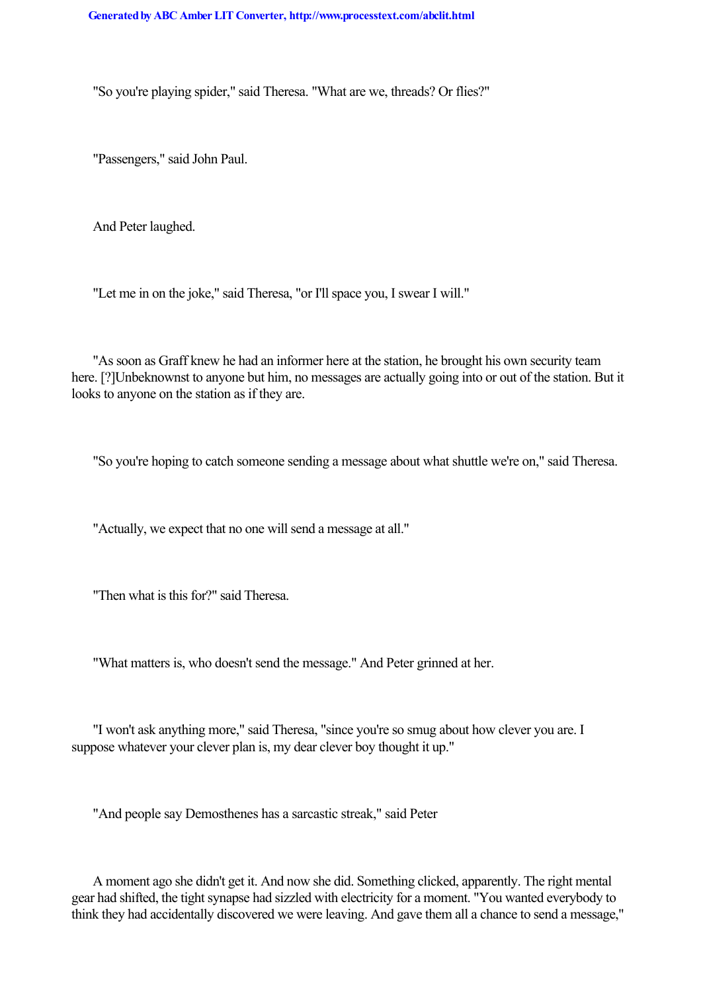"So you're playing spider," said Theresa. "What are we, threads? Or flies?"

"Passengers," said John Paul.

And Peter laughed.

"Let me in on the joke," said Theresa, "or I'll space you, I swear I will."

 "As soon as Graff knew he had an informer here at the station, he brought his own security team here. [?] Unbeknownst to anyone but him, no messages are actually going into or out of the station. But it looks to anyone on the station as if they are.

"So you're hoping to catch someone sending a message about what shuttle we're on," said Theresa.

"Actually, we expect that no one will send a message at all."

"Then what is this for?" said Theresa.

"What matters is, who doesn't send the message." And Peter grinned at her.

 "I won't ask anything more," said Theresa, "since you're so smug about how clever you are. I suppose whatever your clever plan is, my dear clever boy thought it up."

"And people say Demosthenes has a sarcastic streak," said Peter

 A moment ago she didn't get it. And now she did. Something clicked, apparently. The right mental gear had shifted, the tight synapse had sizzled with electricity for a moment. "You wanted everybody to think they had accidentally discovered we were leaving. And gave them all a chance to send a message,"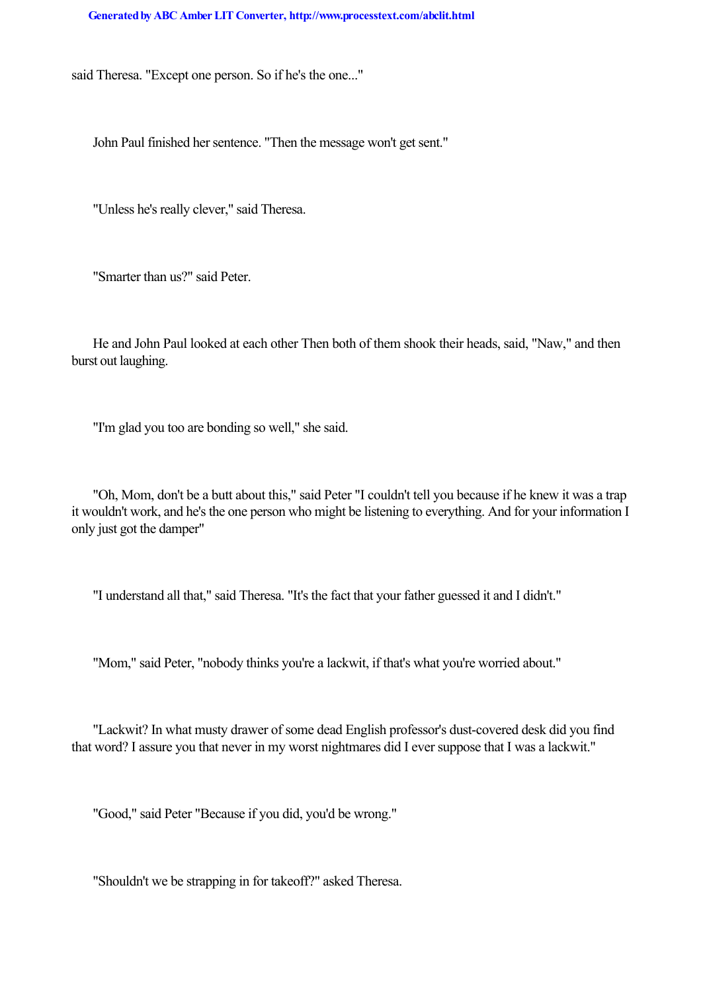said Theresa. "Except one person. So if he's the one..."

John Paul finished her sentence. "Then the message won't get sent."

"Unless he's really clever," said Theresa.

"Smarter than us?" said Peter.

 He and John Paul looked at each other Then both of them shook their heads, said, "Naw," and then burst out laughing.

"I'm glad you too are bonding so well," she said.

 "Oh, Mom, don't be a butt about this," said Peter "I couldn't tell you because if he knew it was a trap it wouldn't work, and he's the one person who might be listening to everything. And for your information I only just got the damper"

"I understand all that," said Theresa. "It's the fact that your father guessed it and I didn't."

"Mom," said Peter, "nobody thinks you're a lackwit, if that's what you're worried about."

 "Lackwit? In what musty drawer of some dead English professor's dust-covered desk did you find that word? I assure you that never in my worst nightmares did I ever suppose that I was a lackwit."

"Good," said Peter "Because if you did, you'd be wrong."

"Shouldn't we be strapping in for takeoff?" asked Theresa.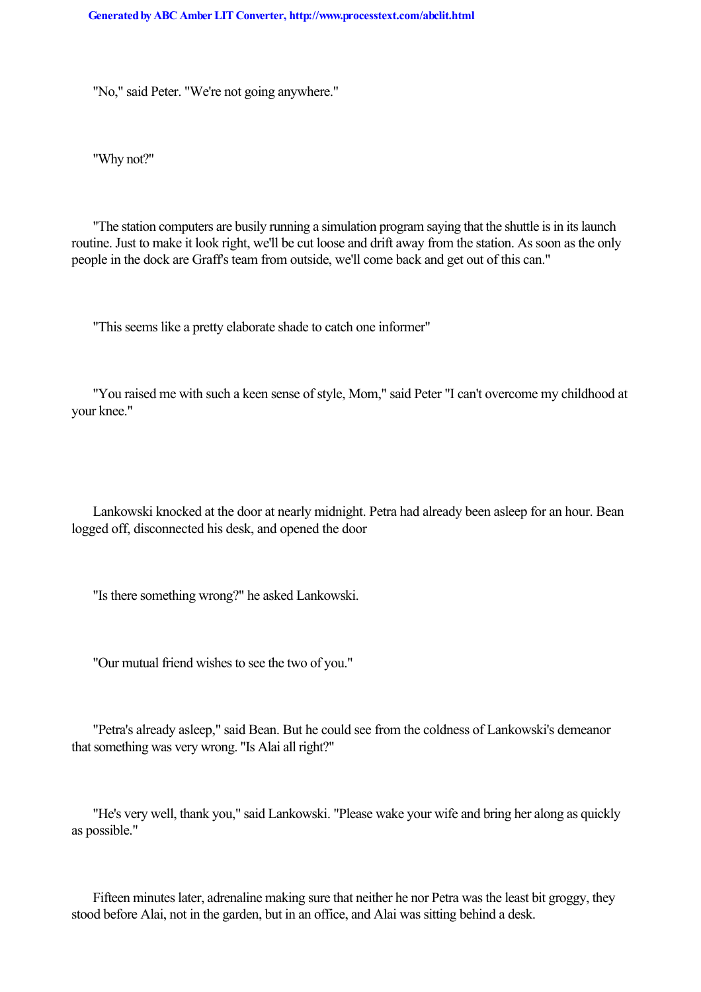"No," said Peter. "We're not going anywhere."

"Why not?"

 "The station computers are busily running a simulation program saying that the shuttle is in its launch routine. Just to make it look right, we'll be cut loose and drift away from the station. As soon as the only people in the dock are Graff's team from outside, we'll come back and get out of this can."

"This seems like a pretty elaborate shade to catch one informer"

 "You raised me with such a keen sense of style, Mom," said Peter "I can't overcome my childhood at your knee."

 Lankowski knocked at the door at nearly midnight. Petra had already been asleep for an hour. Bean logged off, disconnected his desk, and opened the door

"Is there something wrong?" he asked Lankowski.

"Our mutual friend wishes to see the two of you."

 "Petra's already asleep," said Bean. But he could see from the coldness of Lankowski's demeanor that something was very wrong. "Is Alai all right?"

 "He's very well, thank you," said Lankowski. "Please wake your wife and bring her along as quickly as possible."

 Fifteen minutes later, adrenaline making sure that neither he nor Petra was the least bit groggy, they stood before Alai, not in the garden, but in an office, and Alai was sitting behind a desk.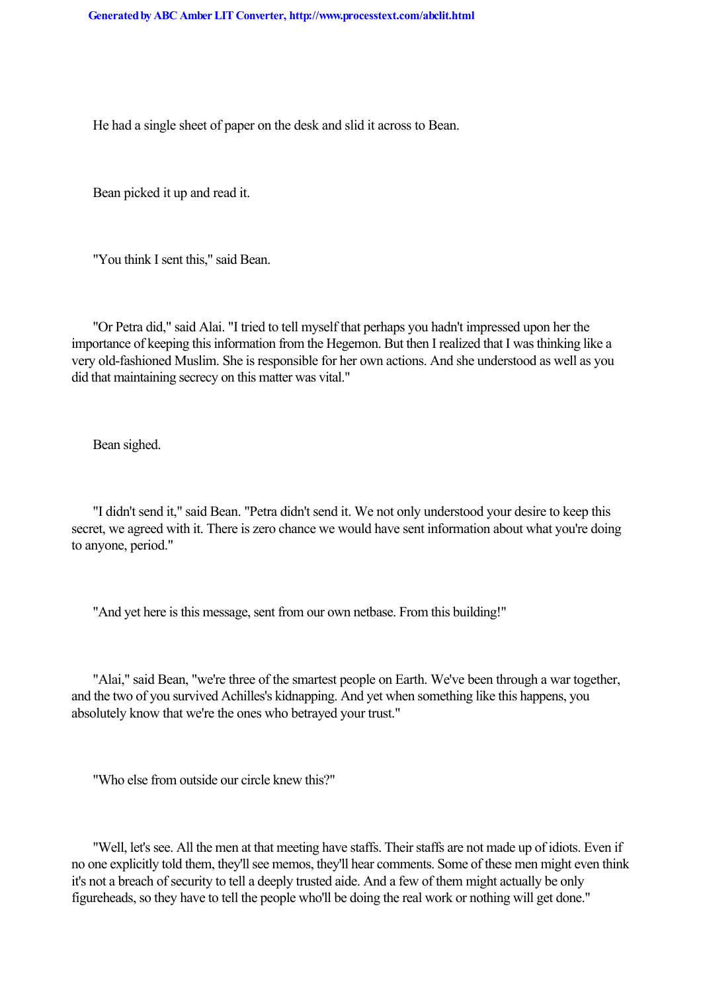He had a single sheet of paper on the desk and slid it across to Bean.

Bean picked it up and read it.

"You think I sent this," said Bean.

 "Or Petra did," said Alai. "I tried to tell myself that perhaps you hadn't impressed upon her the importance of keeping this information from the Hegemon. But then I realized that I was thinking like a very old-fashioned Muslim. She is responsible for her own actions. And she understood as well as you did that maintaining secrecy on this matter was vital."

Bean sighed.

 "I didn't send it," said Bean. "Petra didn't send it. We not only understood your desire to keep this secret, we agreed with it. There is zero chance we would have sent information about what you're doing to anyone, period."

"And yet here is this message, sent from our own netbase. From this building!"

 "Alai," said Bean, "we're three of the smartest people on Earth. We've been through a war together, and the two of you survived Achilles's kidnapping. And yet when something like this happens, you absolutely know that we're the ones who betrayed your trust."

"Who else from outside our circle knew this?"

 "Well, let's see. All the men at that meeting have staffs. Their staffs are not made up of idiots. Even if no one explicitly told them, they'll see memos, they'll hear comments. Some of these men might even think it's not a breach of security to tell a deeply trusted aide. And a few of them might actually be only figureheads, so they have to tell the people who'll be doing the real work or nothing will get done."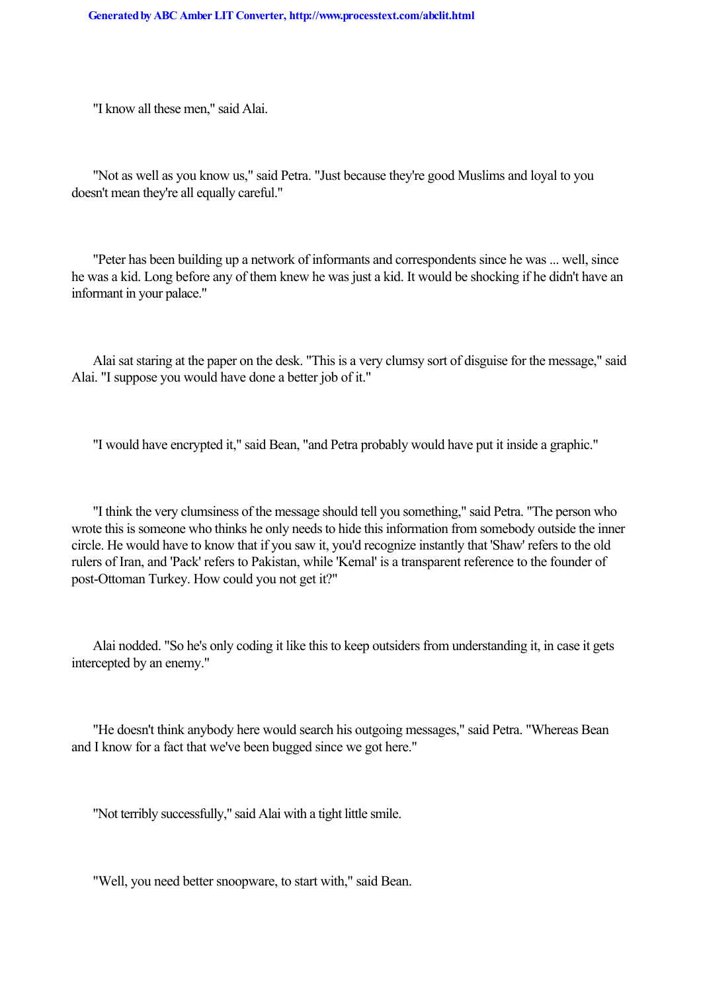"I know all these men," said Alai.

 "Not as well as you know us," said Petra. "Just because they're good Muslims and loyal to you doesn't mean they're all equally careful."

 "Peter has been building up a network of informants and correspondents since he was ... well, since he was a kid. Long before any of them knew he was just a kid. It would be shocking if he didn't have an informant in your palace."

 Alai sat staring at the paper on the desk. "This is a very clumsy sort of disguise for the message," said Alai. "I suppose you would have done a better job of it."

"I would have encrypted it," said Bean, "and Petra probably would have put it inside a graphic."

 "I think the very clumsiness of the message should tell you something," said Petra. "The person who wrote this is someone who thinks he only needs to hide this information from somebody outside the inner circle. He would have to know that if you saw it, you'd recognize instantly that 'Shaw' refers to the old rulers of Iran, and 'Pack' refers to Pakistan, while 'Kemal' is a transparent reference to the founder of post-Ottoman Turkey. How could you not get it?"

 Alai nodded. "So he's only coding it like this to keep outsiders from understanding it, in case it gets intercepted by an enemy."

 "He doesn't think anybody here would search his outgoing messages," said Petra. "Whereas Bean and I know for a fact that we've been bugged since we got here."

"Not terribly successfully," said Alai with a tight little smile.

"Well, you need better snoopware, to start with," said Bean.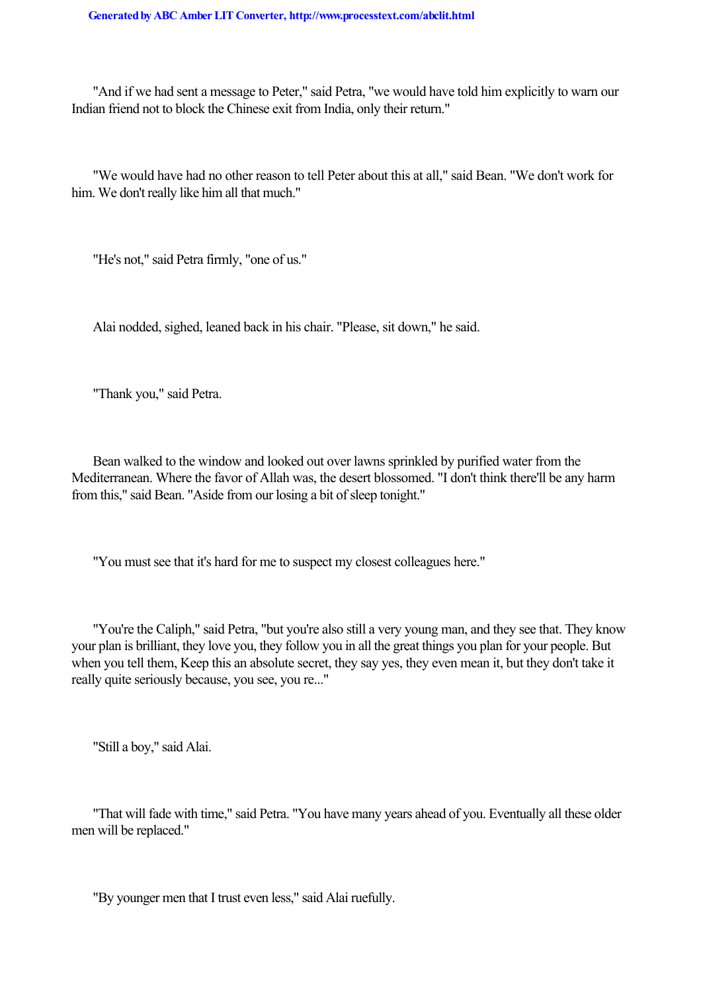"And if we had sent a message to Peter," said Petra, "we would have told him explicitly to warn our Indian friend not to block the Chinese exit from India, only their return."

 "We would have had no other reason to tell Peter about this at all," said Bean. "We don't work for him. We don't really like him all that much."

"He's not," said Petra firmly, "one of us."

Alai nodded, sighed, leaned back in his chair. "Please, sit down," he said.

"Thank you," said Petra.

 Bean walked to the window and looked out over lawns sprinkled by purified water from the Mediterranean. Where the favor of Allah was, the desert blossomed. "I don't think there'll be any harm from this," said Bean. "Aside from our losing a bit of sleep tonight."

"You must see that it's hard for me to suspect my closest colleagues here."

 "You're the Caliph," said Petra, "but you're also still a very young man, and they see that. They know your plan is brilliant, they love you, they follow you in all the great things you plan for your people. But when you tell them, Keep this an absolute secret, they say yes, they even mean it, but they don't take it really quite seriously because, you see, you re..."

"Still a boy," said Alai.

 "That will fade with time," said Petra. "You have many years ahead of you. Eventually all these older men will be replaced."

"By younger men that I trust even less," said Alai ruefully.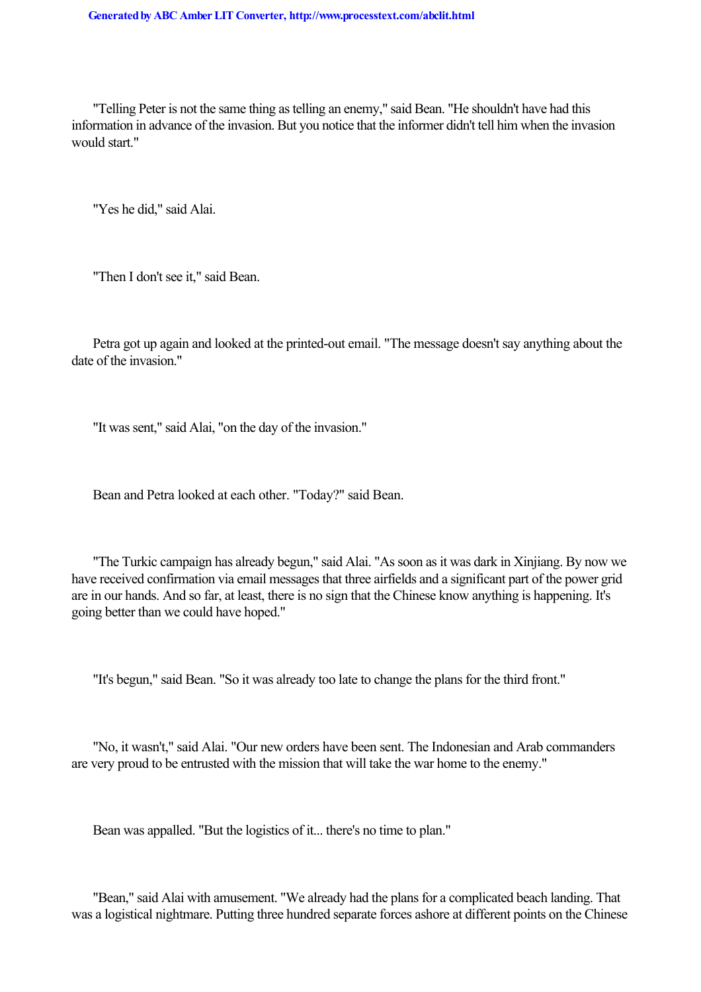"Telling Peter is not the same thing as telling an enemy," said Bean. "He shouldn't have had this information in advance of the invasion. But you notice that the informer didn't tell him when the invasion would start."

"Yes he did," said Alai.

"Then I don't see it," said Bean.

 Petra got up again and looked at the printed-out email. "The message doesn't say anything about the date of the invasion."

"It was sent," said Alai, "on the day of the invasion."

Bean and Petra looked at each other. "Today?" said Bean.

 "The Turkic campaign has already begun," said Alai. "As soon as it was dark in Xinjiang. By now we have received confirmation via email messages that three airfields and a significant part of the power grid are in our hands. And so far, at least, there is no sign that the Chinese know anything is happening. It's going better than we could have hoped."

"It's begun," said Bean. "So it was already too late to change the plans for the third front."

 "No, it wasn't," said Alai. "Our new orders have been sent. The Indonesian and Arab commanders are very proud to be entrusted with the mission that will take the war home to the enemy."

Bean was appalled. "But the logistics of it... there's no time to plan."

 "Bean," said Alai with amusement. "We already had the plans for a complicated beach landing. That was a logistical nightmare. Putting three hundred separate forces ashore at different points on the Chinese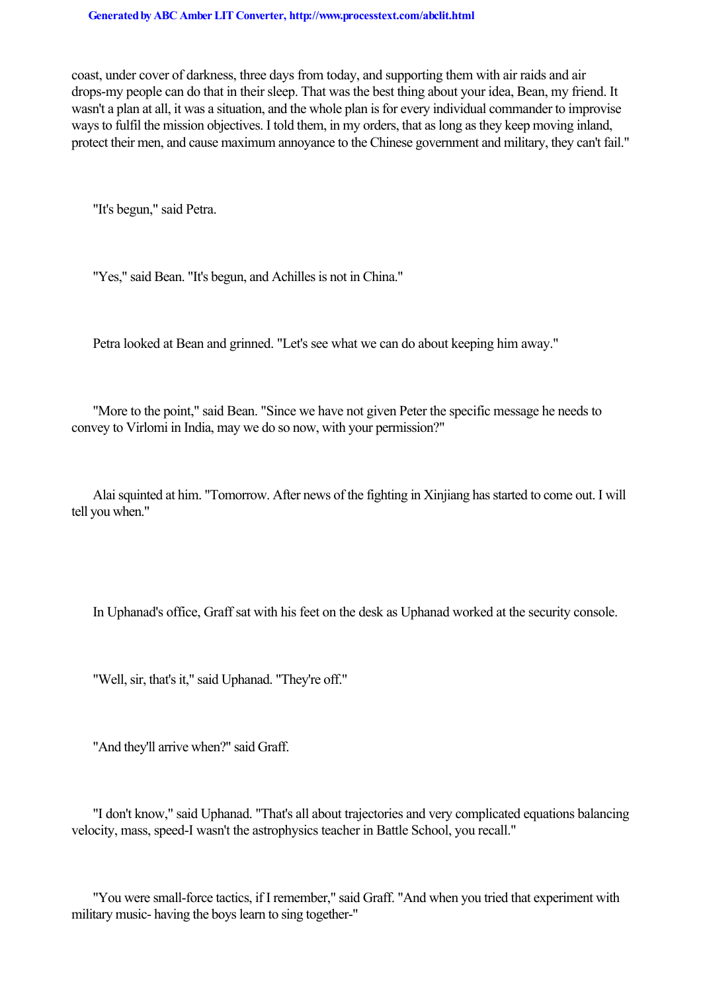coast, under cover of darkness, three days from today, and supporting them with air raids and air drops-my people can do that in their sleep. That was the best thing about your idea, Bean, my friend. It wasn't a plan at all, it was a situation, and the whole plan is for every individual commander to improvise ways to fulfil the mission objectives. I told them, in my orders, that as long as they keep moving inland, protect their men, and cause maximum annoyance to the Chinese government and military, they can't fail."

"It's begun," said Petra.

"Yes," said Bean. "It's begun, and Achilles is not in China."

Petra looked at Bean and grinned. "Let's see what we can do about keeping him away."

 "More to the point," said Bean. "Since we have not given Peter the specific message he needs to convey to Virlomi in India, may we do so now, with your permission?"

 Alai squinted at him. "Tomorrow. After news of the fighting in Xinjiang has started to come out. I will tell you when."

In Uphanad's office, Graff sat with his feet on the desk as Uphanad worked at the security console.

"Well, sir, that's it," said Uphanad. "They're off."

"And they'll arrive when?" said Graff.

 "I don't know," said Uphanad. "That's all about trajectories and very complicated equations balancing velocity, mass, speed-I wasn't the astrophysics teacher in Battle School, you recall."

 "You were small-force tactics, if I remember," said Graff. "And when you tried that experiment with military music- having the boys learn to sing together-"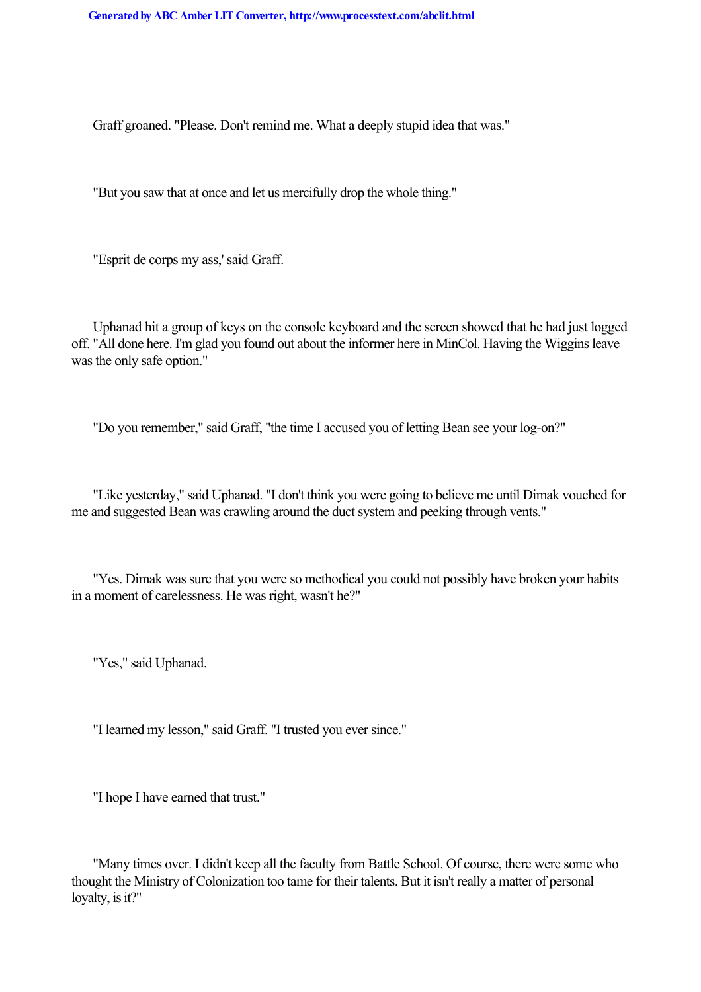Graff groaned. "Please. Don't remind me. What a deeply stupid idea that was."

"But you saw that at once and let us mercifully drop the whole thing."

"Esprit de corps my ass,' said Graff.

 Uphanad hit a group of keys on the console keyboard and the screen showed that he had just logged off. "All done here. I'm glad you found out about the informer here in MinCol. Having the Wiggins leave was the only safe option."

"Do you remember," said Graff, "the time I accused you of letting Bean see your log-on?"

 "Like yesterday," said Uphanad. "I don't think you were going to believe me until Dimak vouched for me and suggested Bean was crawling around the duct system and peeking through vents."

 "Yes. Dimak was sure that you were so methodical you could not possibly have broken your habits in a moment of carelessness. He was right, wasn't he?"

"Yes," said Uphanad.

"I learned my lesson," said Graff. "I trusted you ever since."

"I hope I have earned that trust."

 "Many times over. I didn't keep all the faculty from Battle School. Of course, there were some who thought the Ministry of Colonization too tame for their talents. But it isn't really a matter of personal loyalty, is it?"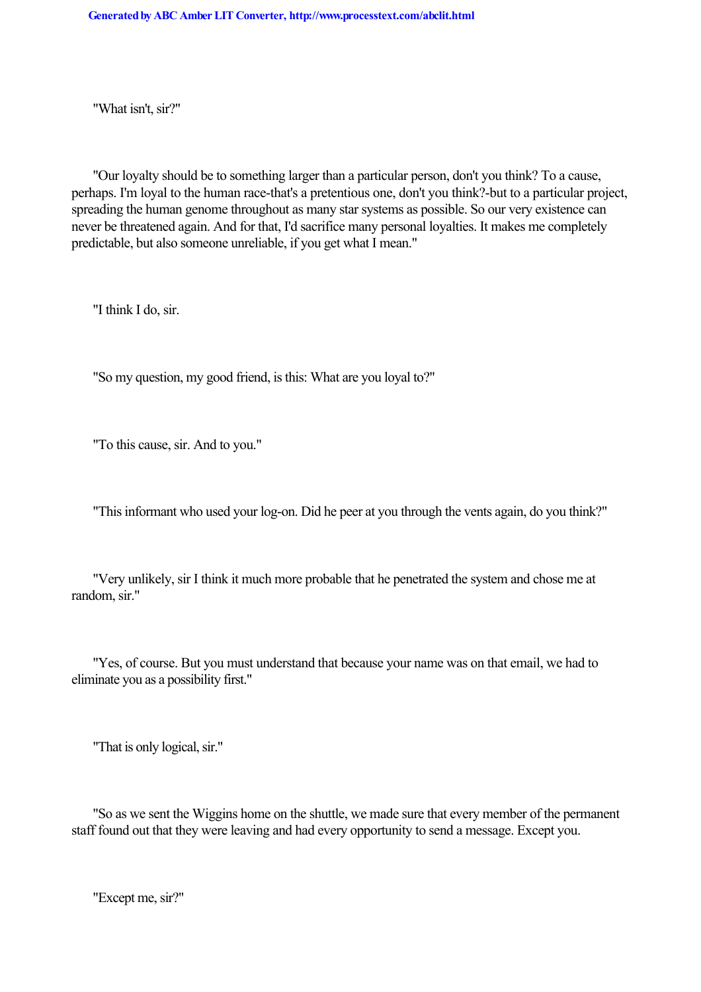"What isn't, sir?"

 "Our loyalty should be to something larger than a particular person, don't you think? To a cause, perhaps. I'm loyal to the human race-that's a pretentious one, don't you think?-but to a particular project, spreading the human genome throughout as many star systems as possible. So our very existence can never be threatened again. And for that, I'd sacrifice many personal loyalties. It makes me completely predictable, but also someone unreliable, if you get what I mean."

"I think I do, sir.

"So my question, my good friend, is this: What are you loyal to?"

"To this cause, sir. And to you."

"This informant who used your log-on. Did he peer at you through the vents again, do you think?"

 "Very unlikely, sir I think it much more probable that he penetrated the system and chose me at random, sir."

 "Yes, of course. But you must understand that because your name was on that email, we had to eliminate you as a possibility first."

"That is only logical, sir."

 "So as we sent the Wiggins home on the shuttle, we made sure that every member of the permanent staff found out that they were leaving and had every opportunity to send a message. Except you.

"Except me, sir?"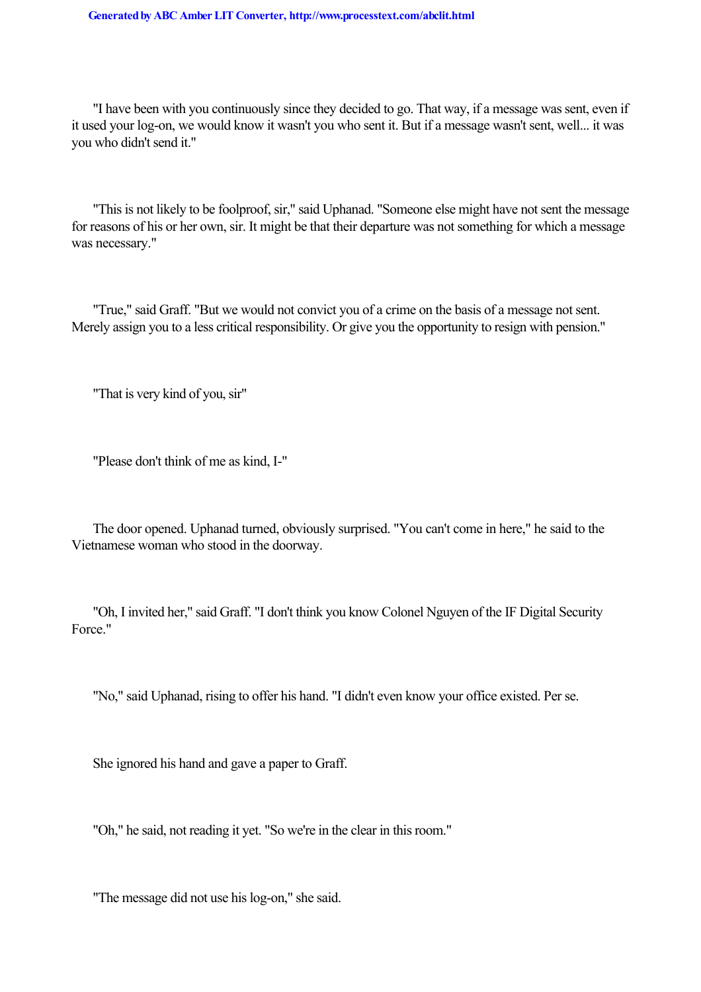"I have been with you continuously since they decided to go. That way, if a message was sent, even if it used your log-on, we would know it wasn't you who sent it. But if a message wasn't sent, well... it was you who didn't send it."

 "This is not likely to be foolproof, sir," said Uphanad. "Someone else might have not sent the message for reasons of his or her own, sir. It might be that their departure was not something for which a message was necessary."

 "True," said Graff. "But we would not convict you of a crime on the basis of a message not sent. Merely assign you to a less critical responsibility. Or give you the opportunity to resign with pension."

"That is very kind of you, sir"

"Please don't think of me as kind, I-"

 The door opened. Uphanad turned, obviously surprised. "You can't come in here," he said to the Vietnamese woman who stood in the doorway.

 "Oh, I invited her," said Graff. "I don't think you know Colonel Nguyen of the IF Digital Security Force."

"No," said Uphanad, rising to offer his hand. "I didn't even know your office existed. Per se.

She ignored his hand and gave a paper to Graff.

"Oh," he said, not reading it yet. "So we're in the clear in this room."

"The message did not use his log-on," she said.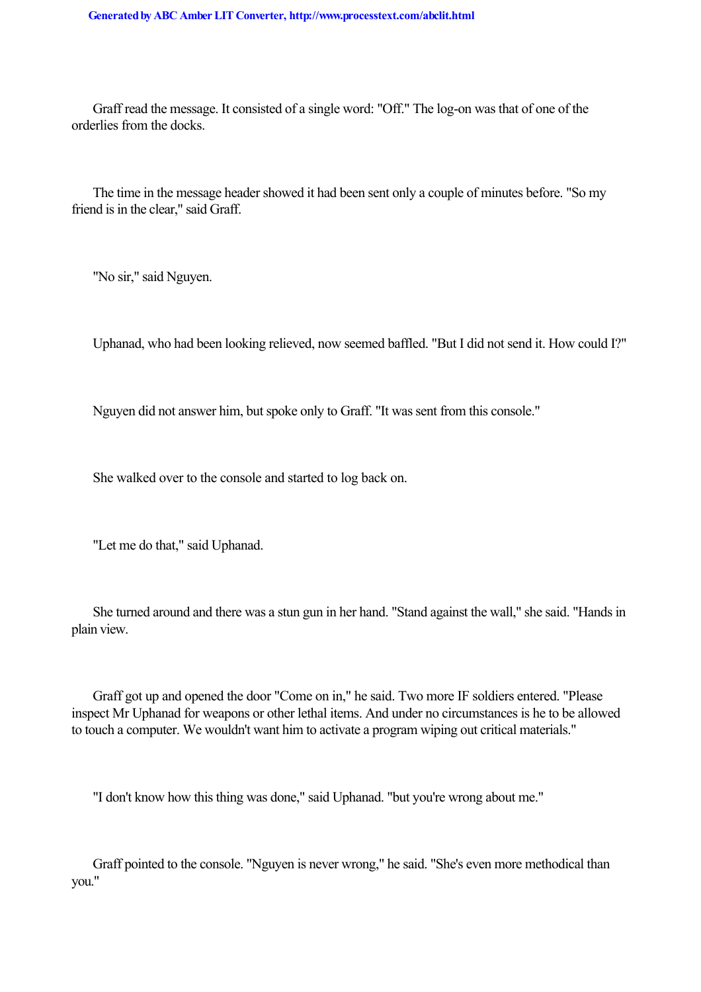Graff read the message. It consisted of a single word: "Off." The log-on was that of one of the orderlies from the docks.

 The time in the message header showed it had been sent only a couple of minutes before. "So my friend is in the clear," said Graff.

"No sir," said Nguyen.

Uphanad, who had been looking relieved, now seemed baffled. "But I did not send it. How could I?"

Nguyen did not answer him, but spoke only to Graff. "It was sent from this console."

She walked over to the console and started to log back on.

"Let me do that," said Uphanad.

 She turned around and there was a stun gun in her hand. "Stand against the wall," she said. "Hands in plain view.

 Graff got up and opened the door "Come on in," he said. Two more IF soldiers entered. "Please inspect Mr Uphanad for weapons or other lethal items. And under no circumstances is he to be allowed to touch a computer. We wouldn't want him to activate a program wiping out critical materials."

"I don't know how this thing was done," said Uphanad. "but you're wrong about me."

 Graff pointed to the console. "Nguyen is never wrong," he said. "She's even more methodical than you."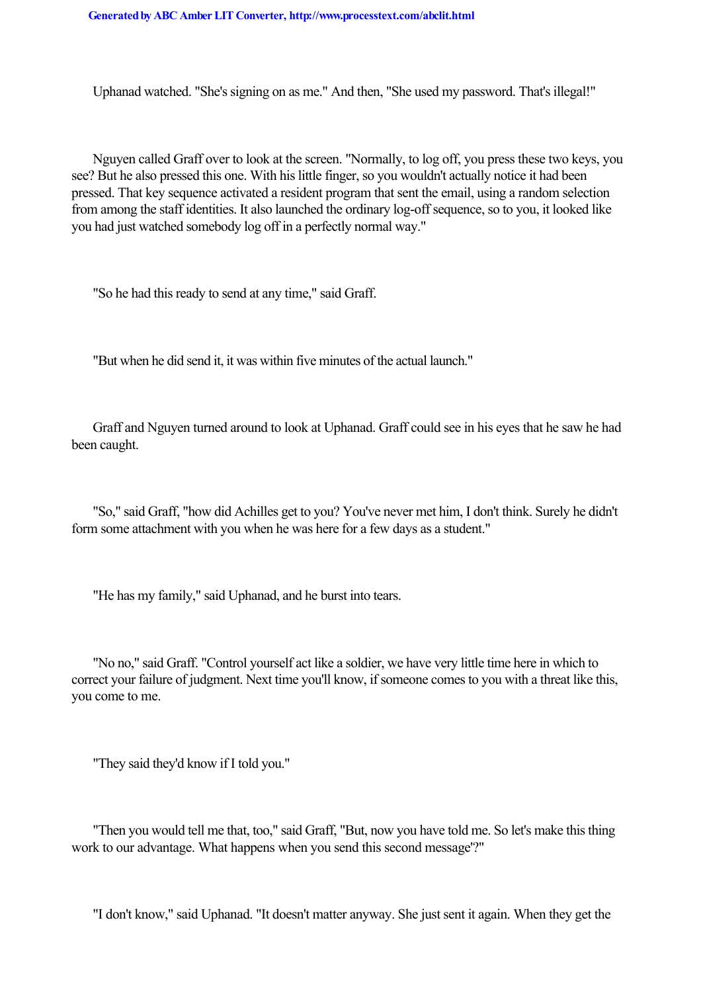Uphanad watched. "She's signing on as me." And then, "She used my password. That's illegal!"

 Nguyen called Graff over to look at the screen. "Normally, to log off, you press these two keys, you see? But he also pressed this one. With his little finger, so you wouldn't actually notice it had been pressed. That key sequence activated a resident program that sent the email, using a random selection from among the staff identities. It also launched the ordinary log-off sequence, so to you, it looked like you had just watched somebody log off in a perfectly normal way."

"So he had this ready to send at any time," said Graff.

"But when he did send it, it was within five minutes of the actual launch."

 Graff and Nguyen turned around to look at Uphanad. Graff could see in his eyes that he saw he had been caught.

 "So," said Graff, "how did Achilles get to you? You've never met him, I don't think. Surely he didn't form some attachment with you when he was here for a few days as a student."

"He has my family," said Uphanad, and he burst into tears.

 "No no," said Graff. "Control yourself act like a soldier, we have very little time here in which to correct your failure of judgment. Next time you'll know, if someone comes to you with a threat like this, you come to me.

"They said they'd know if I told you."

 "Then you would tell me that, too," said Graff, "But, now you have told me. So let's make this thing work to our advantage. What happens when you send this second message'?"

"I don't know," said Uphanad. "It doesn't matter anyway. She just sent it again. When they get the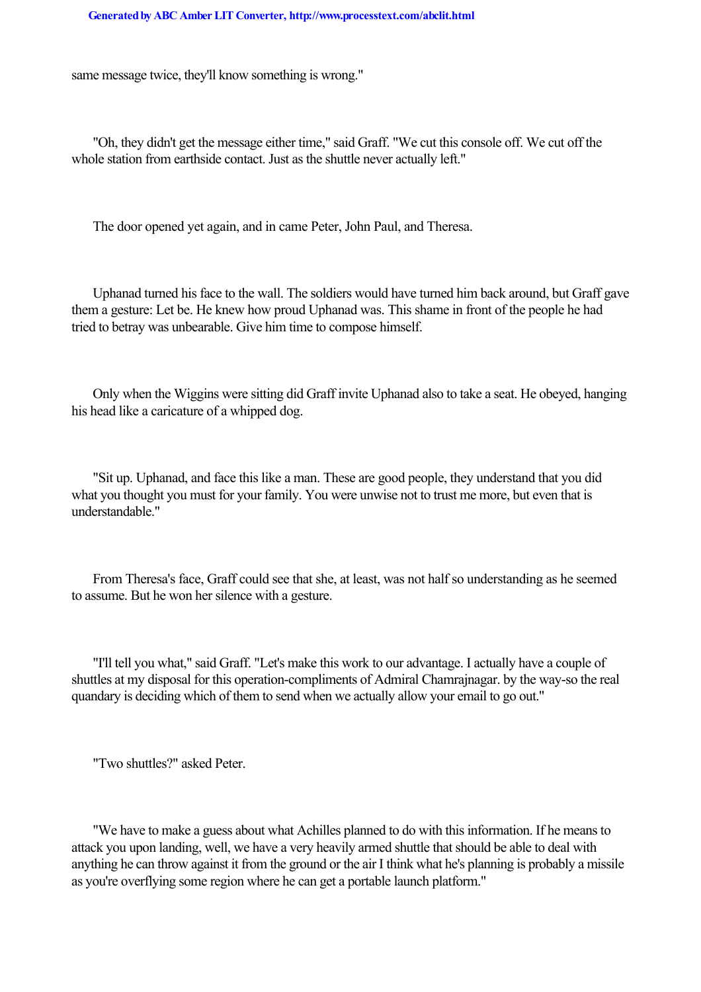same message twice, they'll know something is wrong."

 "Oh, they didn't get the message either time," said Graff. "We cut this console off. We cut off the whole station from earthside contact. Just as the shuttle never actually left."

The door opened yet again, and in came Peter, John Paul, and Theresa.

 Uphanad turned his face to the wall. The soldiers would have turned him back around, but Graff gave them a gesture: Let be. He knew how proud Uphanad was. This shame in front of the people he had tried to betray was unbearable. Give him time to compose himself.

 Only when the Wiggins were sitting did Graff invite Uphanad also to take a seat. He obeyed, hanging his head like a caricature of a whipped dog.

 "Sit up. Uphanad, and face this like a man. These are good people, they understand that you did what you thought you must for your family. You were unwise not to trust me more, but even that is understandable."

 From Theresa's face, Graff could see that she, at least, was not half so understanding as he seemed to assume. But he won her silence with a gesture.

 "I'll tell you what," said Graff. "Let's make this work to our advantage. I actually have a couple of shuttles at my disposal for this operation-compliments of Admiral Chamrajnagar. by the way-so the real quandary is deciding which of them to send when we actually allow your email to go out."

"Two shuttles?" asked Peter.

 "We have to make a guess about what Achilles planned to do with this information. If he means to attack you upon landing, well, we have a very heavily armed shuttle that should be able to deal with anything he can throw against it from the ground or the air I think what he's planning is probably a missile as you're overflying some region where he can get a portable launch platform."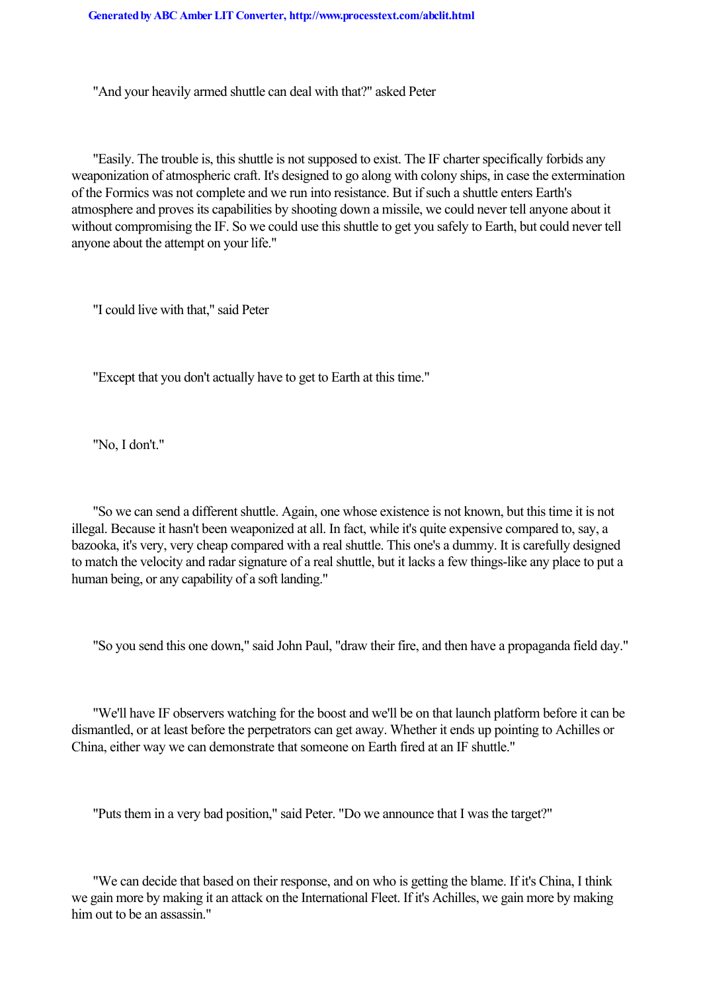"And your heavily armed shuttle can deal with that?" asked Peter

 "Easily. The trouble is, this shuttle is not supposed to exist. The IF charter specifically forbids any weaponization of atmospheric craft. It's designed to go along with colony ships, in case the extermination of the Formics was not complete and we run into resistance. But if such a shuttle enters Earth's atmosphere and proves its capabilities by shooting down a missile, we could never tell anyone about it without compromising the IF. So we could use this shuttle to get you safely to Earth, but could never tell anyone about the attempt on your life."

"I could live with that," said Peter

"Except that you don't actually have to get to Earth at this time."

"No, I don't."

 "So we can send a different shuttle. Again, one whose existence is not known, but this time it is not illegal. Because it hasn't been weaponized at all. In fact, while it's quite expensive compared to, say, a bazooka, it's very, very cheap compared with a real shuttle. This one's a dummy. It is carefully designed to match the velocity and radar signature of a real shuttle, but it lacks a few things-like any place to put a human being, or any capability of a soft landing."

"So you send this one down," said John Paul, "draw their fire, and then have a propaganda field day."

 "We'll have IF observers watching for the boost and we'll be on that launch platform before it can be dismantled, or at least before the perpetrators can get away. Whether it ends up pointing to Achilles or China, either way we can demonstrate that someone on Earth fired at an IF shuttle."

"Puts them in a very bad position," said Peter. "Do we announce that I was the target?"

 "We can decide that based on their response, and on who is getting the blame. If it's China, I think we gain more by making it an attack on the International Fleet. If it's Achilles, we gain more by making him out to be an assassin."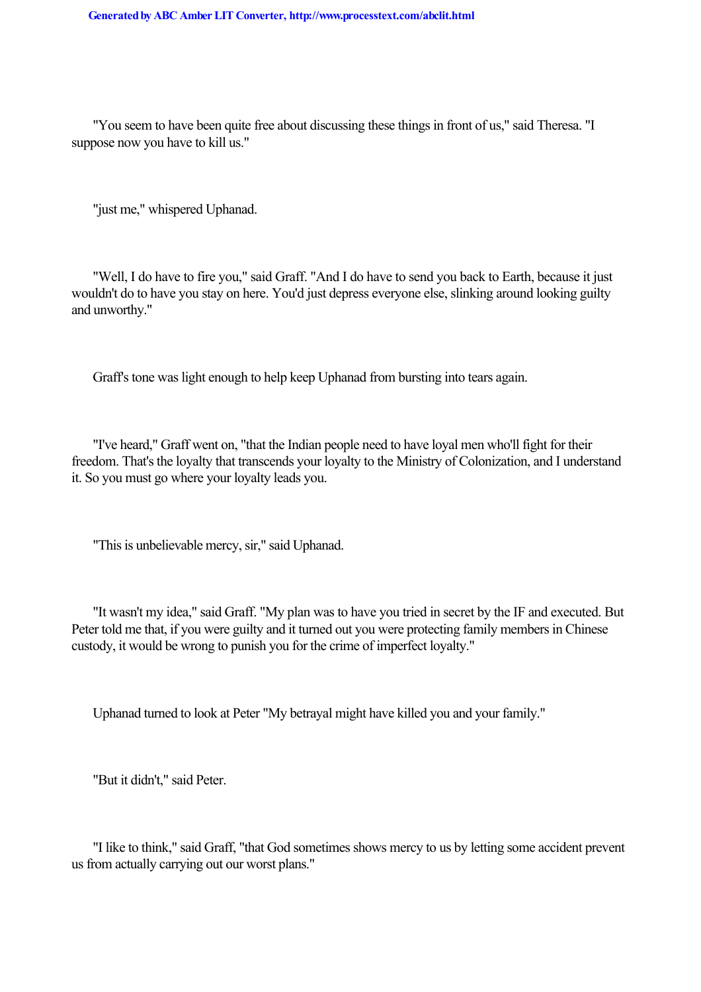"You seem to have been quite free about discussing these things in front of us," said Theresa. "I suppose now you have to kill us."

"just me," whispered Uphanad.

 "Well, I do have to fire you," said Graff. "And I do have to send you back to Earth, because it just wouldn't do to have you stay on here. You'd just depress everyone else, slinking around looking guilty and unworthy."

Graff's tone was light enough to help keep Uphanad from bursting into tears again.

 "I've heard," Graff went on, "that the Indian people need to have loyal men who'll fight for their freedom. That's the loyalty that transcends your loyalty to the Ministry of Colonization, and I understand it. So you must go where your loyalty leads you.

"This is unbelievable mercy, sir," said Uphanad.

 "It wasn't my idea," said Graff. "My plan was to have you tried in secret by the IF and executed. But Peter told me that, if you were guilty and it turned out you were protecting family members in Chinese custody, it would be wrong to punish you for the crime of imperfect loyalty."

Uphanad turned to look at Peter "My betrayal might have killed you and your family."

"But it didn't," said Peter.

 "I like to think," said Graff, "that God sometimes shows mercy to us by letting some accident prevent us from actually carrying out our worst plans."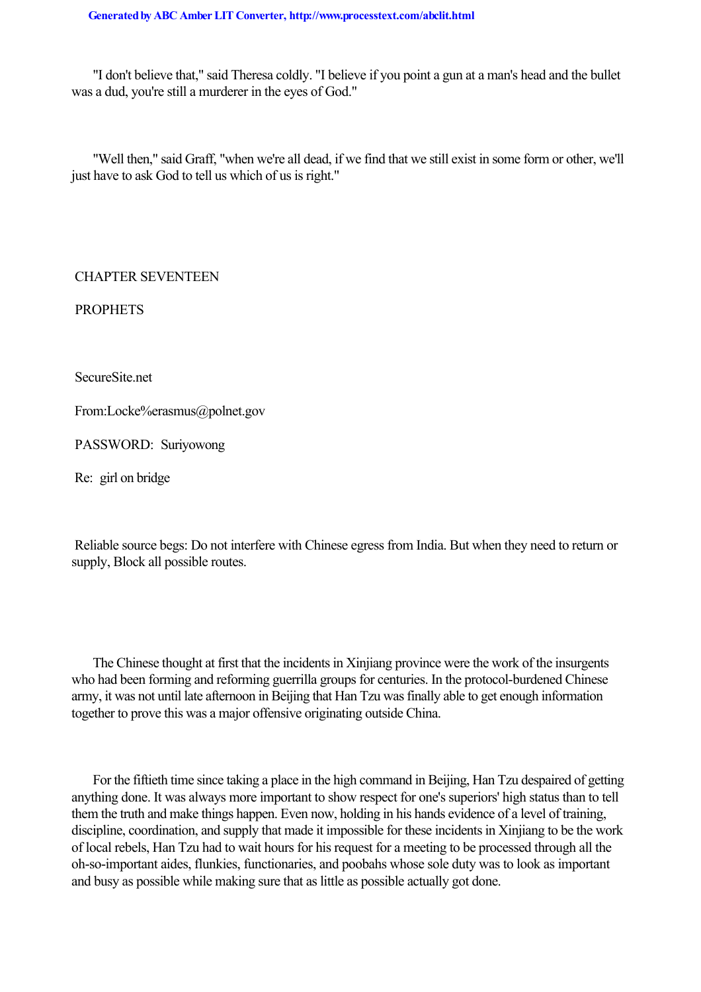"I don't believe that," said Theresa coldly. "I believe if you point a gun at a man's head and the bullet was a dud, you're still a murderer in the eyes of God."

 "Well then," said Graff, "when we're all dead, if we find that we still exist in some form or other, we'll just have to ask God to tell us which of us is right."

CHAPTER SEVENTEEN

**PROPHETS** 

SecureSite net

From:Locke%erasmus@polnet.gov

PASSWORD: Suriyowong

Re: girl on bridge

 Reliable source begs: Do not interfere with Chinese egress from India. But when they need to return or supply, Block all possible routes.

 The Chinese thought at first that the incidents in Xinjiang province were the work of the insurgents who had been forming and reforming guerrilla groups for centuries. In the protocol-burdened Chinese army, it was not until late afternoon in Beijing that Han Tzu was finally able to get enough information together to prove this was a major offensive originating outside China.

 For the fiftieth time since taking a place in the high command in Beijing, Han Tzu despaired of getting anything done. It was always more important to show respect for one's superiors' high status than to tell them the truth and make things happen. Even now, holding in his hands evidence of a level of training, discipline, coordination, and supply that made it impossible for these incidents in Xinjiang to be the work of local rebels, Han Tzu had to wait hours for his request for a meeting to be processed through all the oh-so-important aides, flunkies, functionaries, and poobahs whose sole duty was to look as important and busy as possible while making sure that as little as possible actually got done.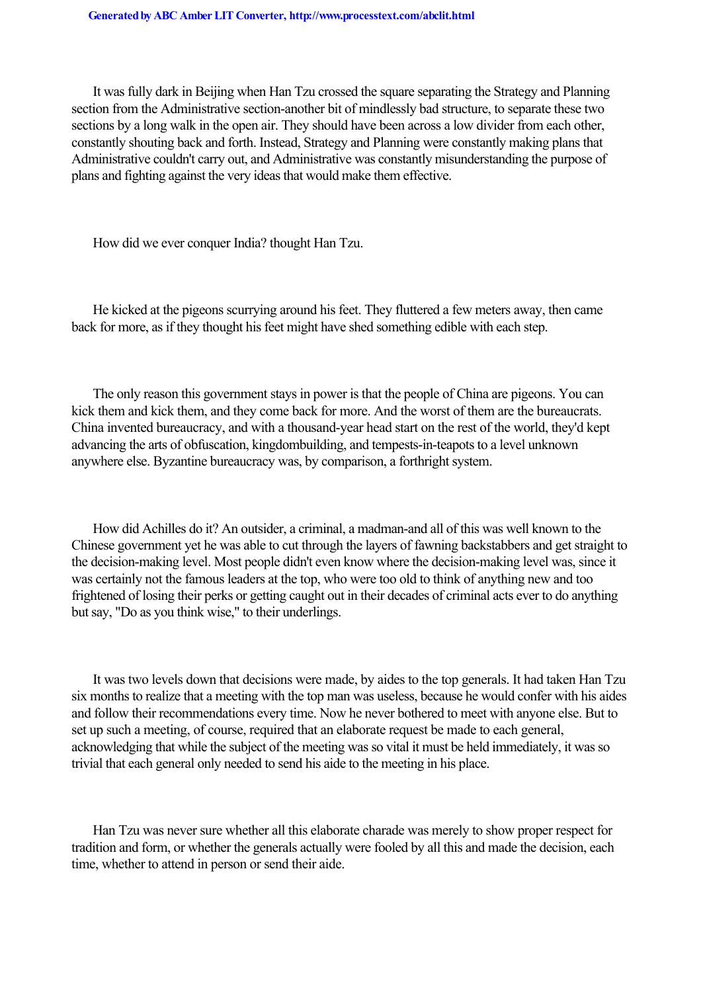It was fully dark in Beijing when Han Tzu crossed the square separating the Strategy and Planning section from the Administrative section-another bit of mindlessly bad structure, to separate these two sections by a long walk in the open air. They should have been across a low divider from each other, constantly shouting back and forth. Instead, Strategy and Planning were constantly making plans that Administrative couldn't carry out, and Administrative was constantly misunderstanding the purpose of plans and fighting against the very ideas that would make them effective.

How did we ever conquer India? thought Han Tzu.

 He kicked at the pigeons scurrying around his feet. They fluttered a few meters away, then came back for more, as if they thought his feet might have shed something edible with each step.

 The only reason this government stays in power is that the people of China are pigeons. You can kick them and kick them, and they come back for more. And the worst of them are the bureaucrats. China invented bureaucracy, and with a thousand-year head start on the rest of the world, they'd kept advancing the arts of obfuscation, kingdombuilding, and tempests-in-teapots to a level unknown anywhere else. Byzantine bureaucracy was, by comparison, a forthright system.

 How did Achilles do it? An outsider, a criminal, a madman-and all of this was well known to the Chinese government yet he was able to cut through the layers of fawning backstabbers and get straight to the decision-making level. Most people didn't even know where the decision-making level was, since it was certainly not the famous leaders at the top, who were too old to think of anything new and too frightened of losing their perks or getting caught out in their decades of criminal acts ever to do anything but say, "Do as you think wise," to their underlings.

 It was two levels down that decisions were made, by aides to the top generals. It had taken Han Tzu six months to realize that a meeting with the top man was useless, because he would confer with his aides and follow their recommendations every time. Now he never bothered to meet with anyone else. But to set up such a meeting, of course, required that an elaborate request be made to each general, acknowledging that while the subject of the meeting was so vital it must be held immediately, it was so trivial that each general only needed to send his aide to the meeting in his place.

 Han Tzu was never sure whether all this elaborate charade was merely to show proper respect for tradition and form, or whether the generals actually were fooled by all this and made the decision, each time, whether to attend in person or send their aide.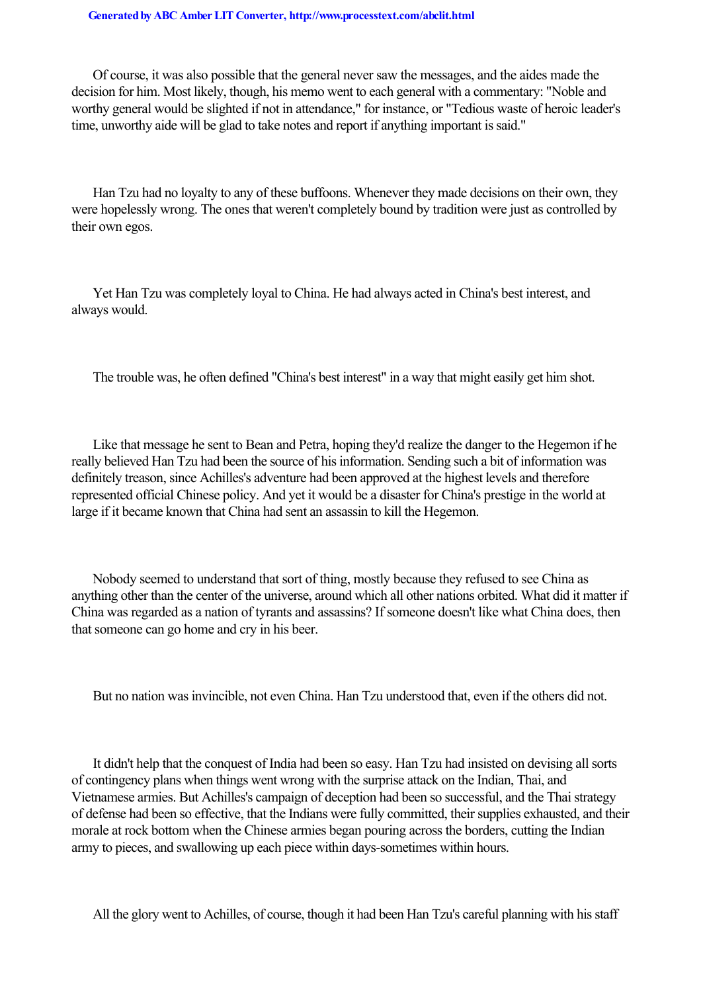Of course, it was also possible that the general never saw the messages, and the aides made the decision for him. Most likely, though, his memo went to each general with a commentary: "Noble and worthy general would be slighted if not in attendance," for instance, or "Tedious waste of heroic leader's time, unworthy aide will be glad to take notes and report if anything important is said."

 Han Tzu had no loyalty to any of these buffoons. Whenever they made decisions on their own, they were hopelessly wrong. The ones that weren't completely bound by tradition were just as controlled by their own egos.

 Yet Han Tzu was completely loyal to China. He had always acted in China's best interest, and always would.

The trouble was, he often defined "China's best interest" in a way that might easily get him shot.

 Like that message he sent to Bean and Petra, hoping they'd realize the danger to the Hegemon if he really believed Han Tzu had been the source of his information. Sending such a bit of information was definitely treason, since Achilles's adventure had been approved at the highest levels and therefore represented official Chinese policy. And yet it would be a disaster for China's prestige in the world at large if it became known that China had sent an assassin to kill the Hegemon.

 Nobody seemed to understand that sort of thing, mostly because they refused to see China as anything other than the center of the universe, around which all other nations orbited. What did it matter if China was regarded as a nation of tyrants and assassins? If someone doesn't like what China does, then that someone can go home and cry in his beer.

But no nation was invincible, not even China. Han Tzu understood that, even if the others did not.

 It didn't help that the conquest of India had been so easy. Han Tzu had insisted on devising all sorts of contingency plans when things went wrong with the surprise attack on the Indian, Thai, and Vietnamese armies. But Achilles's campaign of deception had been so successful, and the Thai strategy of defense had been so effective, that the Indians were fully committed, their supplies exhausted, and their morale at rock bottom when the Chinese armies began pouring across the borders, cutting the Indian army to pieces, and swallowing up each piece within days-sometimes within hours.

All the glory went to Achilles, of course, though it had been Han Tzu's careful planning with his staff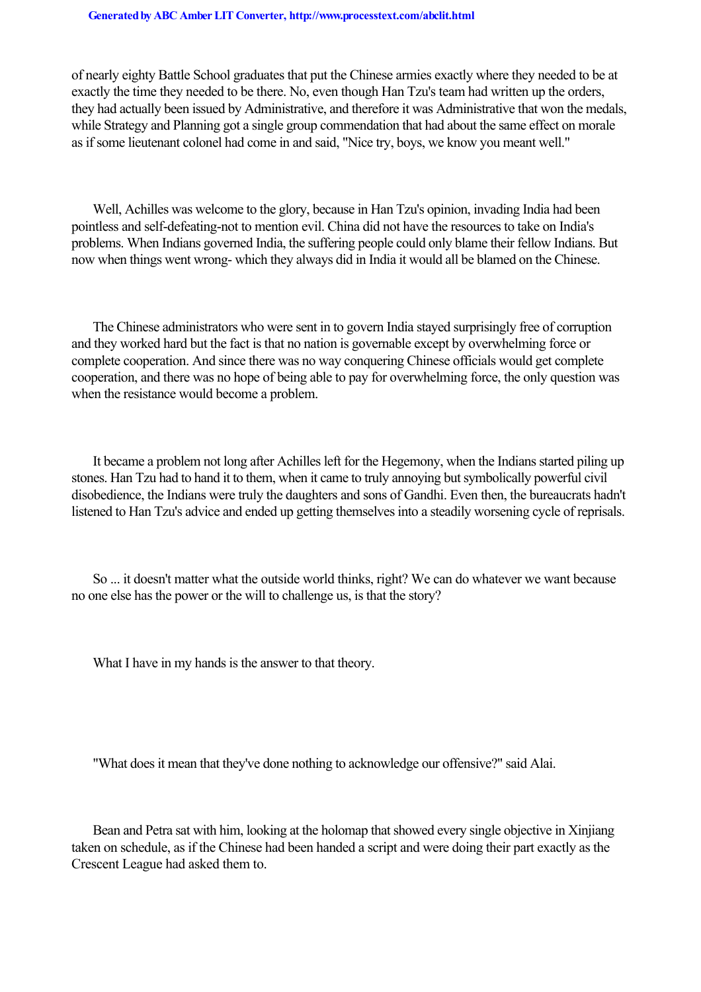of nearly eighty Battle School graduates that put the Chinese armies exactly where they needed to be at exactly the time they needed to be there. No, even though Han Tzu's team had written up the orders, they had actually been issued by Administrative, and therefore it was Administrative that won the medals, while Strategy and Planning got a single group commendation that had about the same effect on morale as if some lieutenant colonel had come in and said, "Nice try, boys, we know you meant well."

 Well, Achilles was welcome to the glory, because in Han Tzu's opinion, invading India had been pointless and self-defeating-not to mention evil. China did not have the resources to take on India's problems. When Indians governed India, the suffering people could only blame their fellow Indians. But now when things went wrong- which they always did in India it would all be blamed on the Chinese.

 The Chinese administrators who were sent in to govern India stayed surprisingly free of corruption and they worked hard but the fact is that no nation is governable except by overwhelming force or complete cooperation. And since there was no way conquering Chinese officials would get complete cooperation, and there was no hope of being able to pay for overwhelming force, the only question was when the resistance would become a problem.

 It became a problem not long after Achilles left for the Hegemony, when the Indians started piling up stones. Han Tzu had to hand it to them, when it came to truly annoying but symbolically powerful civil disobedience, the Indians were truly the daughters and sons of Gandhi. Even then, the bureaucrats hadn't listened to Han Tzu's advice and ended up getting themselves into a steadily worsening cycle of reprisals.

 So ... it doesn't matter what the outside world thinks, right? We can do whatever we want because no one else has the power or the will to challenge us, is that the story?

What I have in my hands is the answer to that theory.

"What does it mean that they've done nothing to acknowledge our offensive?" said Alai.

 Bean and Petra sat with him, looking at the holomap that showed every single objective in Xinjiang taken on schedule, as if the Chinese had been handed a script and were doing their part exactly as the Crescent League had asked them to.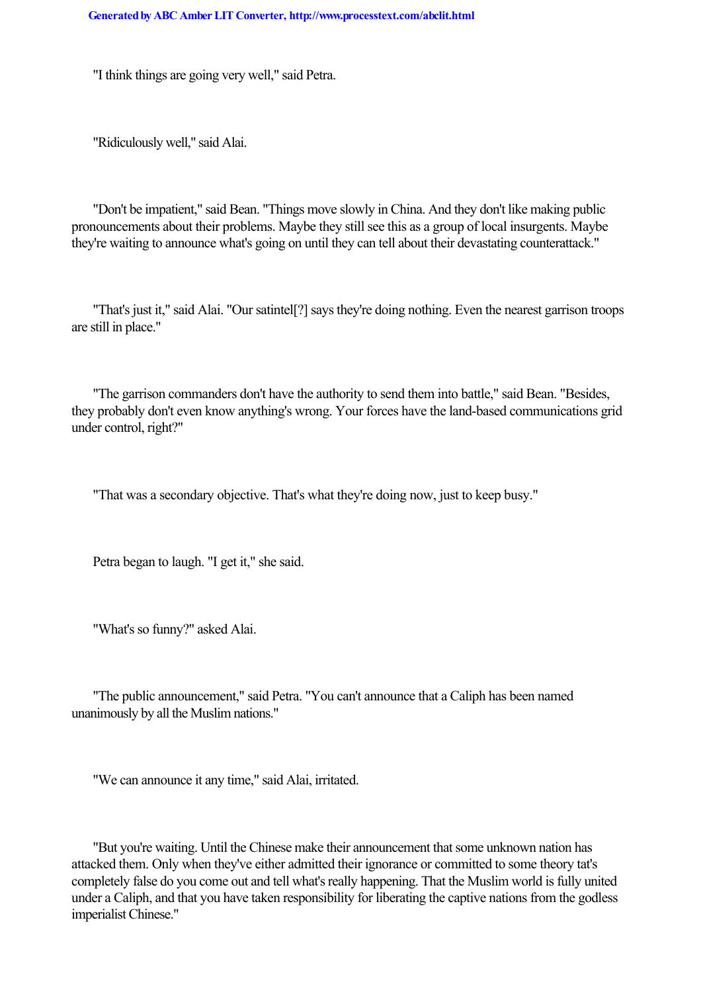"I think things are going very well," said Petra.

"Ridiculously well," said Alai.

 "Don't be impatient," said Bean. "Things move slowly in China. And they don't like making public pronouncements about their problems. Maybe they still see this as a group of local insurgents. Maybe they're waiting to announce what's going on until they can tell about their devastating counterattack."

 "That's just it," said Alai. "Our satintel[?] says they're doing nothing. Even the nearest garrison troops are still in place."

 "The garrison commanders don't have the authority to send them into battle," said Bean. "Besides, they probably don't even know anything's wrong. Your forces have the land-based communications grid under control, right?"

"That was a secondary objective. That's what they're doing now, just to keep busy."

Petra began to laugh. "I get it," she said.

"What's so funny?" asked Alai.

 "The public announcement," said Petra. "You can't announce that a Caliph has been named unanimously by all the Muslim nations."

"We can announce it any time," said Alai, irritated.

 "But you're waiting. Until the Chinese make their announcement that some unknown nation has attacked them. Only when they've either admitted their ignorance or committed to some theory tat's completely false do you come out and tell what's really happening. That the Muslim world is fully united under a Caliph, and that you have taken responsibility for liberating the captive nations from the godless imperialist Chinese."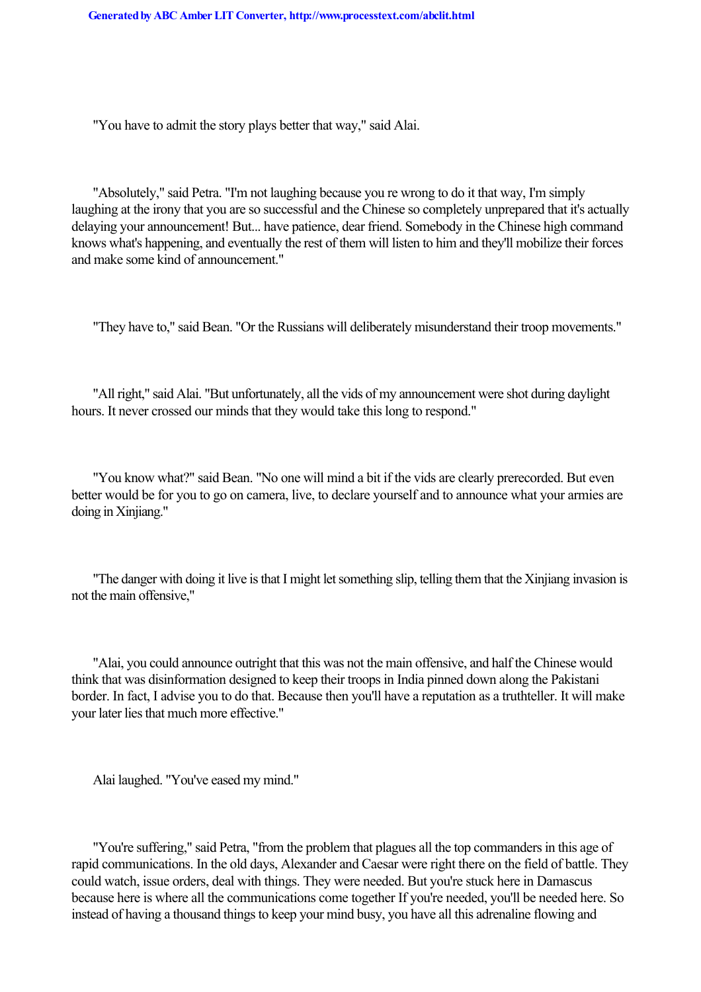"You have to admit the story plays better that way," said Alai.

 "Absolutely," said Petra. "I'm not laughing because you re wrong to do it that way, I'm simply laughing at the irony that you are so successful and the Chinese so completely unprepared that it's actually delaying your announcement! But... have patience, dear friend. Somebody in the Chinese high command knows what's happening, and eventually the rest of them will listen to him and they'll mobilize their forces and make some kind of announcement."

"They have to," said Bean. "Or the Russians will deliberately misunderstand their troop movements."

 "All right," said Alai. "But unfortunately, all the vids of my announcement were shot during daylight hours. It never crossed our minds that they would take this long to respond."

 "You know what?" said Bean. "No one will mind a bit if the vids are clearly prerecorded. But even better would be for you to go on camera, live, to declare yourself and to announce what your armies are doing in Xiniiang."

 "The danger with doing it live is that I might let something slip, telling them that the Xinjiang invasion is not the main offensive,"

 "Alai, you could announce outright that this was not the main offensive, and half the Chinese would think that was disinformation designed to keep their troops in India pinned down along the Pakistani border. In fact, I advise you to do that. Because then you'll have a reputation as a truthteller. It will make your later lies that much more effective."

Alai laughed. "You've eased my mind."

 "You're suffering," said Petra, "from the problem that plagues all the top commanders in this age of rapid communications. In the old days, Alexander and Caesar were right there on the field of battle. They could watch, issue orders, deal with things. They were needed. But you're stuck here in Damascus because here is where all the communications come together If you're needed, you'll be needed here. So instead of having a thousand things to keep your mind busy, you have all this adrenaline flowing and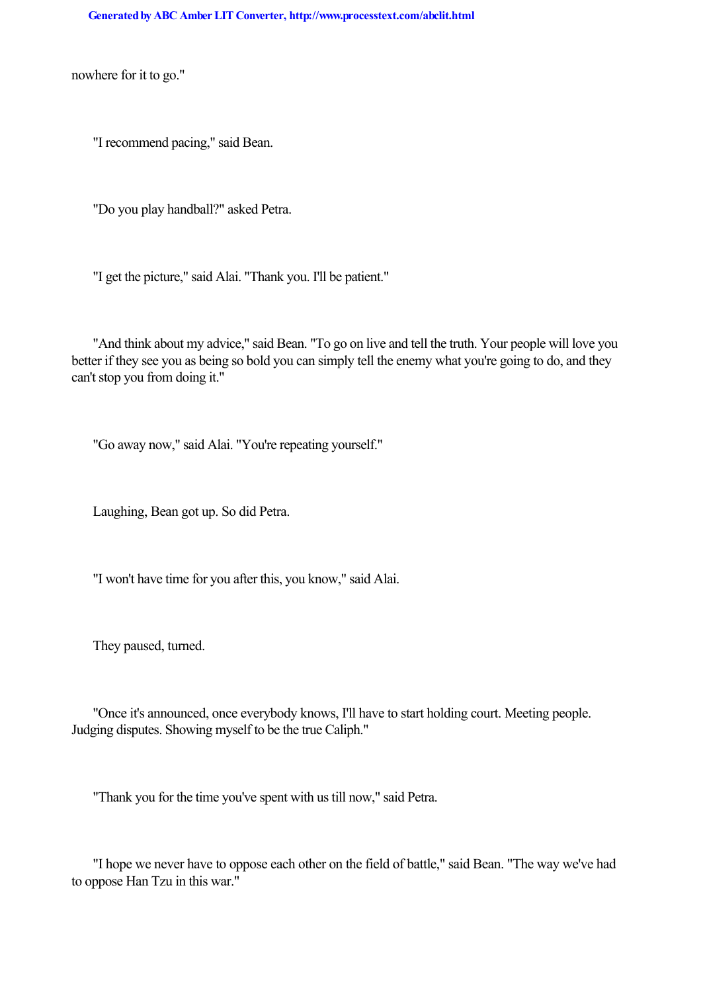nowhere for it to go."

"I recommend pacing," said Bean.

"Do you play handball?" asked Petra.

"I get the picture," said Alai. "Thank you. I'll be patient."

 "And think about my advice," said Bean. "To go on live and tell the truth. Your people will love you better if they see you as being so bold you can simply tell the enemy what you're going to do, and they can't stop you from doing it."

"Go away now," said Alai. "You're repeating yourself."

Laughing, Bean got up. So did Petra.

"I won't have time for you after this, you know," said Alai.

They paused, turned.

 "Once it's announced, once everybody knows, I'll have to start holding court. Meeting people. Judging disputes. Showing myself to be the true Caliph."

"Thank you for the time you've spent with us till now," said Petra.

 "I hope we never have to oppose each other on the field of battle," said Bean. "The way we've had to oppose Han Tzu in this war."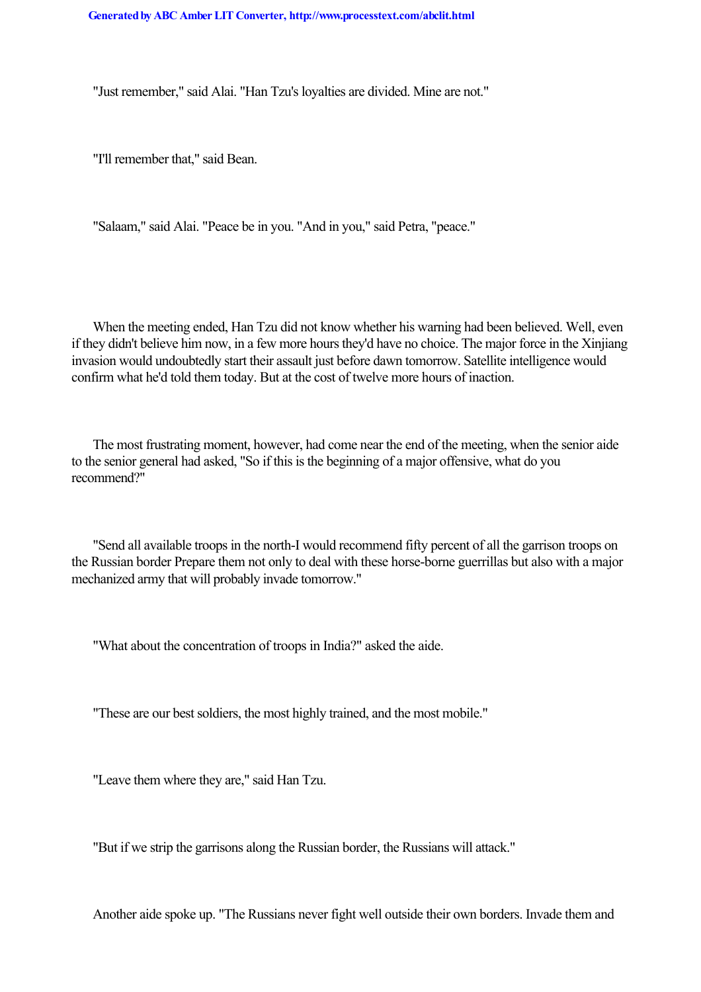"Just remember," said Alai. "Han Tzu's loyalties are divided. Mine are not."

"I'll remember that," said Bean.

"Salaam," said Alai. "Peace be in you. "And in you," said Petra, "peace."

 When the meeting ended, Han Tzu did not know whether his warning had been believed. Well, even if they didn't believe him now, in a few more hours they'd have no choice. The major force in the Xinjiang invasion would undoubtedly start their assault just before dawn tomorrow. Satellite intelligence would confirm what he'd told them today. But at the cost of twelve more hours of inaction.

 The most frustrating moment, however, had come near the end of the meeting, when the senior aide to the senior general had asked, "So if this is the beginning of a major offensive, what do you recommend?"

 "Send all available troops in the north-I would recommend fifty percent of all the garrison troops on the Russian border Prepare them not only to deal with these horse-borne guerrillas but also with a major mechanized army that will probably invade tomorrow."

"What about the concentration of troops in India?" asked the aide.

"These are our best soldiers, the most highly trained, and the most mobile."

"Leave them where they are," said Han Tzu.

"But if we strip the garrisons along the Russian border, the Russians will attack."

Another aide spoke up. "The Russians never fight well outside their own borders. Invade them and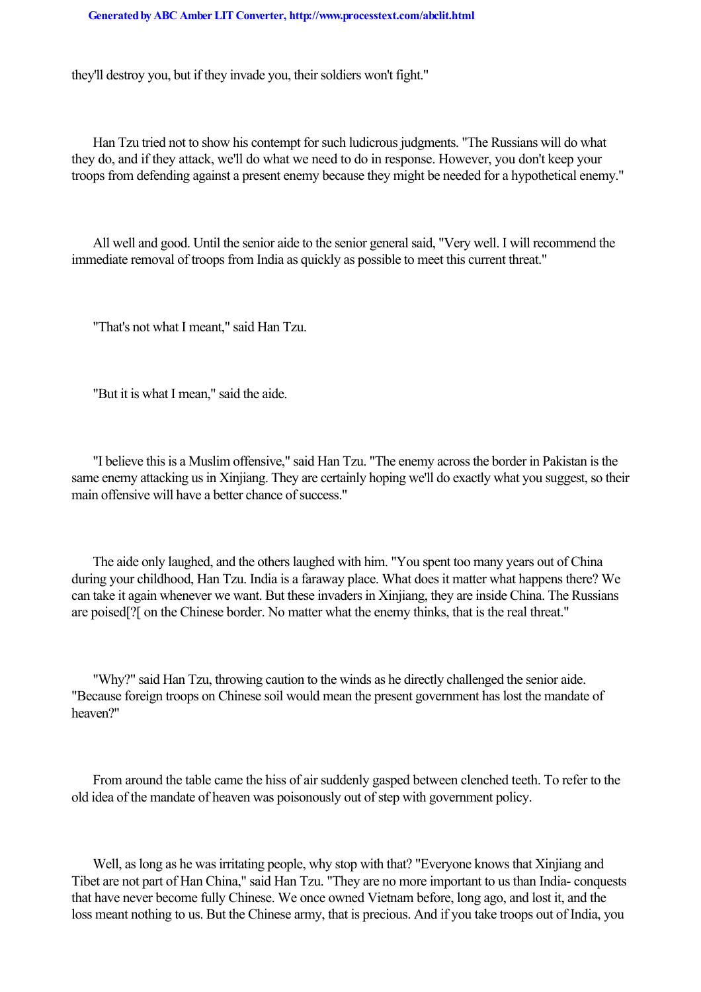they'll destroy you, but if they invade you, their soldiers won't fight."

 Han Tzu tried not to show his contempt for such ludicrous judgments. "The Russians will do what they do, and if they attack, we'll do what we need to do in response. However, you don't keep your troops from defending against a present enemy because they might be needed for a hypothetical enemy."

 All well and good. Until the senior aide to the senior general said, "Very well. I will recommend the immediate removal of troops from India as quickly as possible to meet this current threat."

"That's not what I meant," said Han Tzu.

"But it is what I mean," said the aide.

 "I believe this is a Muslim offensive," said Han Tzu. "The enemy across the border in Pakistan is the same enemy attacking us in Xinjiang. They are certainly hoping we'll do exactly what you suggest, so their main offensive will have a better chance of success."

 The aide only laughed, and the others laughed with him. "You spent too many years out of China during your childhood, Han Tzu. India is a faraway place. What does it matter what happens there? We can take it again whenever we want. But these invaders in Xinjiang, they are inside China. The Russians are poised[?[ on the Chinese border. No matter what the enemy thinks, that is the real threat."

 "Why?" said Han Tzu, throwing caution to the winds as he directly challenged the senior aide. "Because foreign troops on Chinese soil would mean the present government has lost the mandate of heaven?"

 From around the table came the hiss of air suddenly gasped between clenched teeth. To refer to the old idea of the mandate of heaven was poisonously out of step with government policy.

 Well, as long as he was irritating people, why stop with that? "Everyone knows that Xinjiang and Tibet are not part of Han China," said Han Tzu. "They are no more important to us than India- conquests that have never become fully Chinese. We once owned Vietnam before, long ago, and lost it, and the loss meant nothing to us. But the Chinese army, that is precious. And if you take troops out of India, you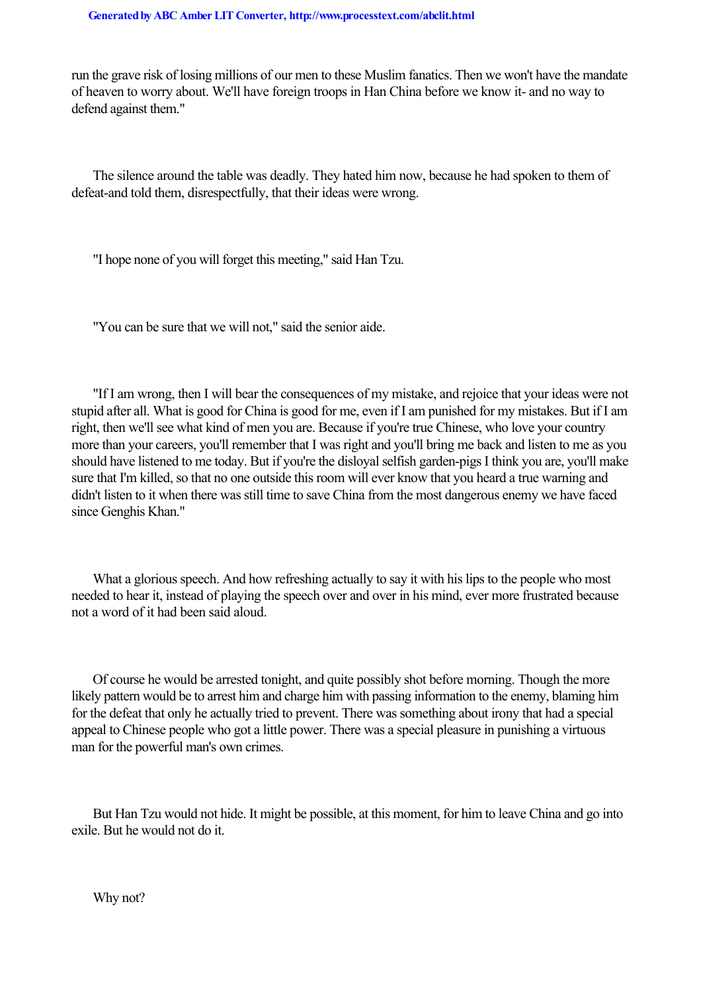run the grave risk of losing millions of our men to these Muslim fanatics. Then we won't have the mandate of heaven to worry about. We'll have foreign troops in Han China before we know it- and no way to defend against them."

 The silence around the table was deadly. They hated him now, because he had spoken to them of defeat-and told them, disrespectfully, that their ideas were wrong.

"I hope none of you will forget this meeting," said Han Tzu.

"You can be sure that we will not," said the senior aide.

 "If I am wrong, then I will bear the consequences of my mistake, and rejoice that your ideas were not stupid after all. What is good for China is good for me, even if I am punished for my mistakes. But if I am right, then we'll see what kind of men you are. Because if you're true Chinese, who love your country more than your careers, you'll remember that I was right and you'll bring me back and listen to me as you should have listened to me today. But if you're the disloyal selfish garden-pigs I think you are, you'll make sure that I'm killed, so that no one outside this room will ever know that you heard a true warning and didn't listen to it when there was still time to save China from the most dangerous enemy we have faced since Genghis Khan."

What a glorious speech. And how refreshing actually to say it with his lips to the people who most needed to hear it, instead of playing the speech over and over in his mind, ever more frustrated because not a word of it had been said aloud.

 Of course he would be arrested tonight, and quite possibly shot before morning. Though the more likely pattern would be to arrest him and charge him with passing information to the enemy, blaming him for the defeat that only he actually tried to prevent. There was something about irony that had a special appeal to Chinese people who got a little power. There was a special pleasure in punishing a virtuous man for the powerful man's own crimes.

 But Han Tzu would not hide. It might be possible, at this moment, for him to leave China and go into exile. But he would not do it.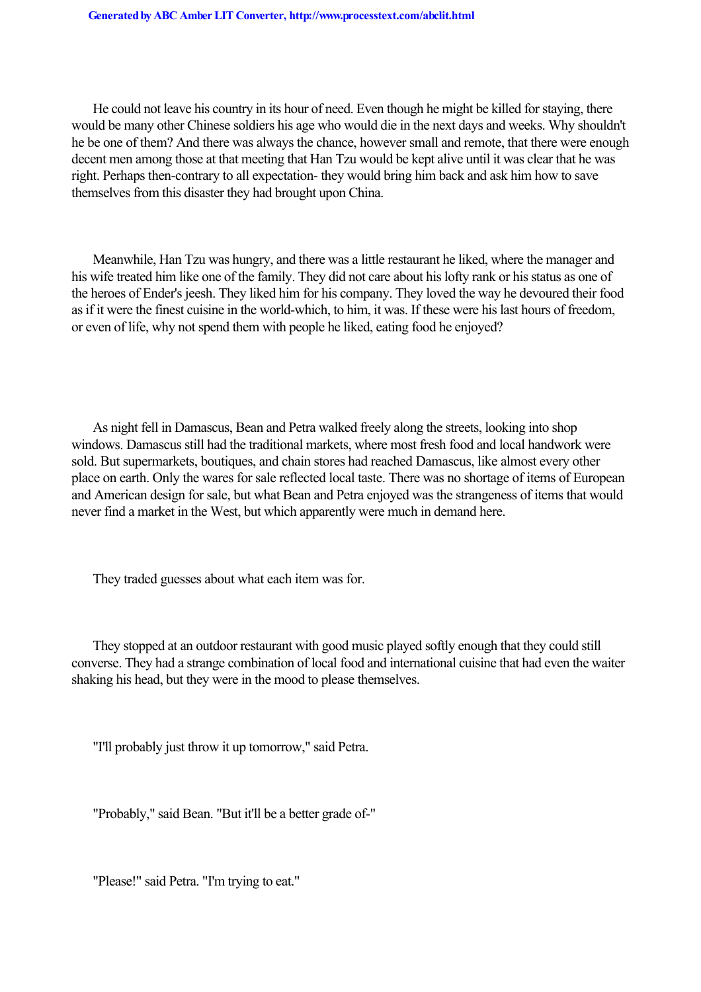He could not leave his country in its hour of need. Even though he might be killed for staying, there would be many other Chinese soldiers his age who would die in the next days and weeks. Why shouldn't he be one of them? And there was always the chance, however small and remote, that there were enough decent men among those at that meeting that Han Tzu would be kept alive until it was clear that he was right. Perhaps then-contrary to all expectation- they would bring him back and ask him how to save themselves from this disaster they had brought upon China.

 Meanwhile, Han Tzu was hungry, and there was a little restaurant he liked, where the manager and his wife treated him like one of the family. They did not care about his lofty rank or his status as one of the heroes of Ender's jeesh. They liked him for his company. They loved the way he devoured their food as if it were the finest cuisine in the world-which, to him, it was. If these were his last hours of freedom, or even of life, why not spend them with people he liked, eating food he enjoyed?

 As night fell in Damascus, Bean and Petra walked freely along the streets, looking into shop windows. Damascus still had the traditional markets, where most fresh food and local handwork were sold. But supermarkets, boutiques, and chain stores had reached Damascus, like almost every other place on earth. Only the wares for sale reflected local taste. There was no shortage of items of European and American design for sale, but what Bean and Petra enjoyed was the strangeness of items that would never find a market in the West, but which apparently were much in demand here.

They traded guesses about what each item was for.

 They stopped at an outdoor restaurant with good music played softly enough that they could still converse. They had a strange combination of local food and international cuisine that had even the waiter shaking his head, but they were in the mood to please themselves.

"I'll probably just throw it up tomorrow," said Petra.

"Probably," said Bean. "But it'll be a better grade of-"

"Please!" said Petra. "I'm trying to eat."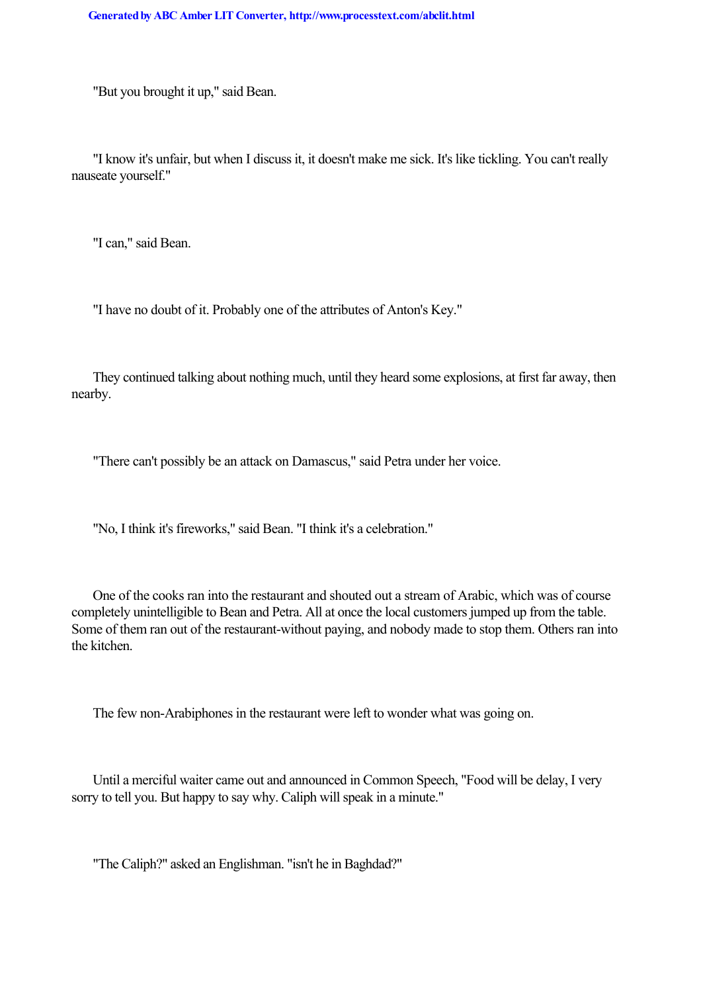"But you brought it up," said Bean.

 "I know it's unfair, but when I discuss it, it doesn't make me sick. It's like tickling. You can't really nauseate yourself."

"I can," said Bean.

"I have no doubt of it. Probably one of the attributes of Anton's Key."

 They continued talking about nothing much, until they heard some explosions, at first far away, then nearby.

"There can't possibly be an attack on Damascus," said Petra under her voice.

"No, I think it's fireworks," said Bean. "I think it's a celebration."

 One of the cooks ran into the restaurant and shouted out a stream of Arabic, which was of course completely unintelligible to Bean and Petra. All at once the local customers jumped up from the table. Some of them ran out of the restaurant-without paying, and nobody made to stop them. Others ran into the kitchen.

The few non-Arabiphones in the restaurant were left to wonder what was going on.

 Until a merciful waiter came out and announced in Common Speech, "Food will be delay, I very sorry to tell you. But happy to say why. Caliph will speak in a minute."

"The Caliph?" asked an Englishman. "isn't he in Baghdad?"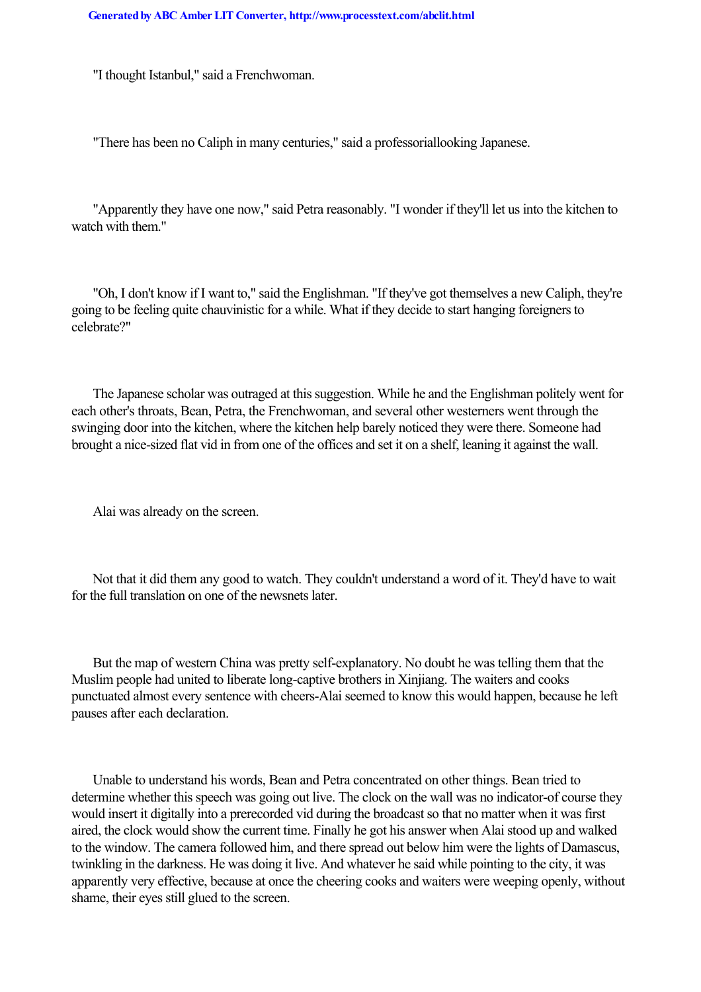"I thought Istanbul," said a Frenchwoman.

"There has been no Caliph in many centuries," said a professoriallooking Japanese.

 "Apparently they have one now," said Petra reasonably. "I wonder if they'll let us into the kitchen to watch with them."

 "Oh, I don't know if I want to," said the Englishman. "If they've got themselves a new Caliph, they're going to be feeling quite chauvinistic for a while. What if they decide to start hanging foreigners to celebrate?"

 The Japanese scholar was outraged at this suggestion. While he and the Englishman politely went for each other's throats, Bean, Petra, the Frenchwoman, and several other westerners went through the swinging door into the kitchen, where the kitchen help barely noticed they were there. Someone had brought a nice-sized flat vid in from one of the offices and set it on a shelf, leaning it against the wall.

Alai was already on the screen.

 Not that it did them any good to watch. They couldn't understand a word of it. They'd have to wait for the full translation on one of the newsnets later.

 But the map of western China was pretty self-explanatory. No doubt he was telling them that the Muslim people had united to liberate long-captive brothers in Xinjiang. The waiters and cooks punctuated almost every sentence with cheers-Alai seemed to know this would happen, because he left pauses after each declaration.

 Unable to understand his words, Bean and Petra concentrated on other things. Bean tried to determine whether this speech was going out live. The clock on the wall was no indicator-of course they would insert it digitally into a prerecorded vid during the broadcast so that no matter when it was first aired, the clock would show the current time. Finally he got his answer when Alai stood up and walked to the window. The camera followed him, and there spread out below him were the lights of Damascus, twinkling in the darkness. He was doing it live. And whatever he said while pointing to the city, it was apparently very effective, because at once the cheering cooks and waiters were weeping openly, without shame, their eyes still glued to the screen.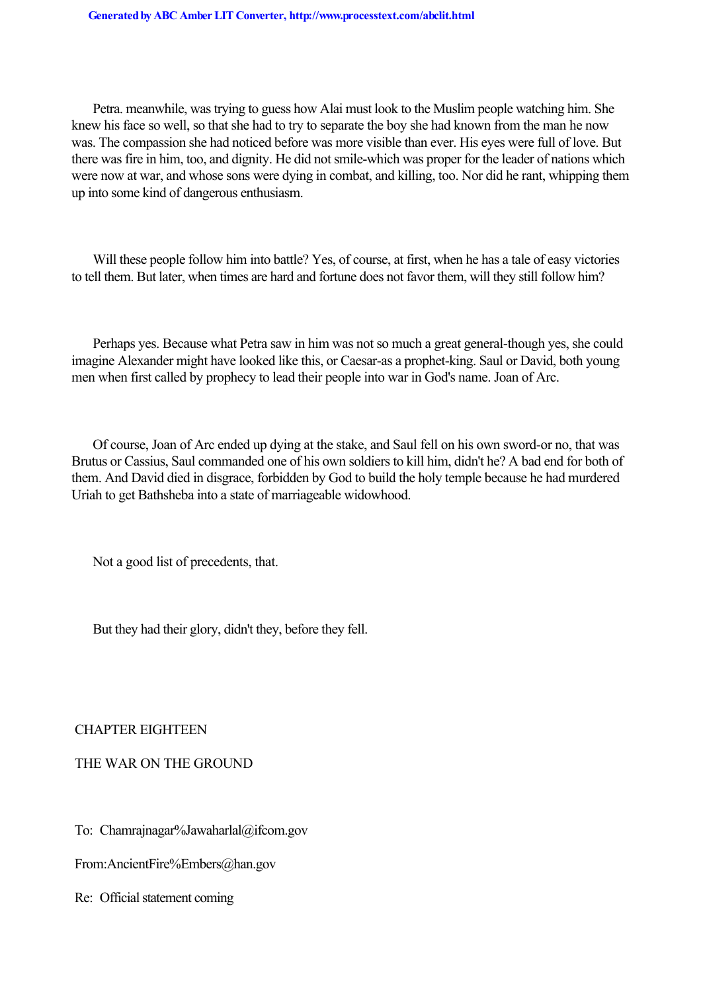Petra. meanwhile, was trying to guess how Alai must look to the Muslim people watching him. She knew his face so well, so that she had to try to separate the boy she had known from the man he now was. The compassion she had noticed before was more visible than ever. His eyes were full of love. But there was fire in him, too, and dignity. He did not smile-which was proper for the leader of nations which were now at war, and whose sons were dying in combat, and killing, too. Nor did he rant, whipping them up into some kind of dangerous enthusiasm.

Will these people follow him into battle? Yes, of course, at first, when he has a tale of easy victories to tell them. But later, when times are hard and fortune does not favor them, will they still follow him?

 Perhaps yes. Because what Petra saw in him was not so much a great general-though yes, she could imagine Alexander might have looked like this, or Caesar-as a prophet-king. Saul or David, both young men when first called by prophecy to lead their people into war in God's name. Joan of Arc.

 Of course, Joan of Arc ended up dying at the stake, and Saul fell on his own sword-or no, that was Brutus or Cassius, Saul commanded one of his own soldiers to kill him, didn't he? A bad end for both of them. And David died in disgrace, forbidden by God to build the holy temple because he had murdered Uriah to get Bathsheba into a state of marriageable widowhood.

Not a good list of precedents, that.

But they had their glory, didn't they, before they fell.

CHAPTER EIGHTEEN

THE WAR ON THE GROUND

To: Chamrajnagar%Jawaharlal@ifcom.gov

From:AncientFire%Embers@han.gov

Re: Official statement coming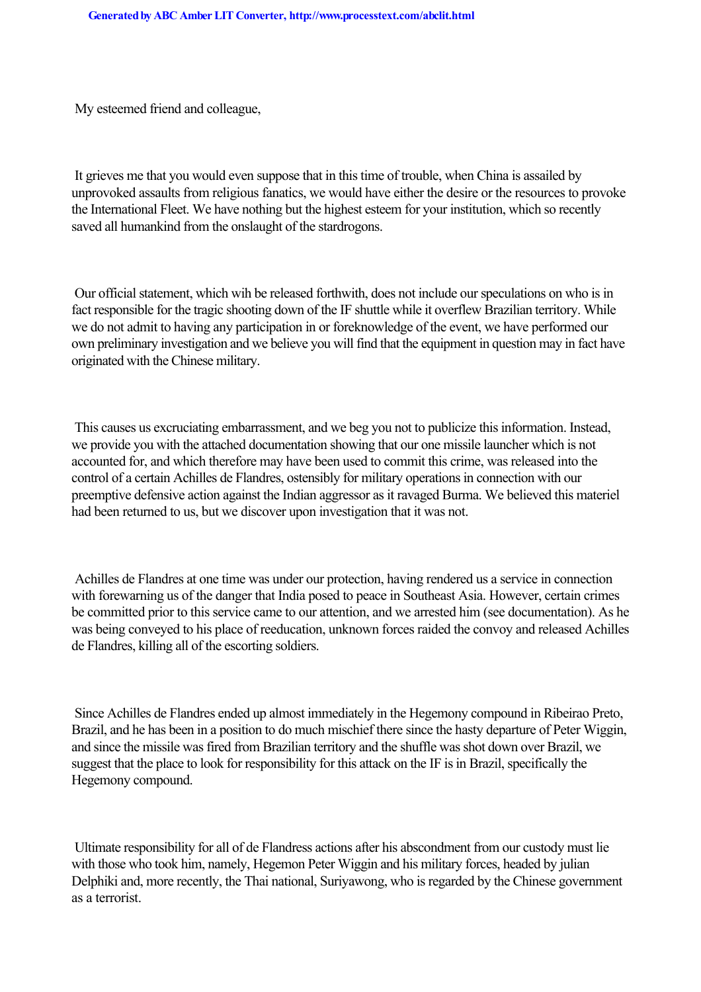My esteemed friend and colleague,

 It grieves me that you would even suppose that in this time of trouble, when China is assailed by unprovoked assaults from religious fanatics, we would have either the desire or the resources to provoke the International Fleet. We have nothing but the highest esteem for your institution, which so recently saved all humankind from the onslaught of the stardrogons.

 Our official statement, which wih be released forthwith, does not include our speculations on who is in fact responsible for the tragic shooting down of the IF shuttle while it overflew Brazilian territory. While we do not admit to having any participation in or foreknowledge of the event, we have performed our own preliminary investigation and we believe you will find that the equipment in question may in fact have originated with the Chinese military.

 This causes us excruciating embarrassment, and we beg you not to publicize this information. Instead, we provide you with the attached documentation showing that our one missile launcher which is not accounted for, and which therefore may have been used to commit this crime, was released into the control of a certain Achilles de Flandres, ostensibly for military operations in connection with our preemptive defensive action against the Indian aggressor as it ravaged Burma. We believed this materiel had been returned to us, but we discover upon investigation that it was not.

 Achilles de Flandres at one time was under our protection, having rendered us a service in connection with forewarning us of the danger that India posed to peace in Southeast Asia. However, certain crimes be committed prior to this service came to our attention, and we arrested him (see documentation). As he was being conveyed to his place of reeducation, unknown forces raided the convoy and released Achilles de Flandres, killing all of the escorting soldiers.

 Since Achilles de Flandres ended up almost immediately in the Hegemony compound in Ribeirao Preto, Brazil, and he has been in a position to do much mischief there since the hasty departure of Peter Wiggin, and since the missile was fired from Brazilian territory and the shuffle was shot down over Brazil, we suggest that the place to look for responsibility for this attack on the IF is in Brazil, specifically the Hegemony compound.

 Ultimate responsibility for all of de Flandress actions after his abscondment from our custody must lie with those who took him, namely, Hegemon Peter Wiggin and his military forces, headed by julian Delphiki and, more recently, the Thai national, Suriyawong, who is regarded by the Chinese government as a terrorist.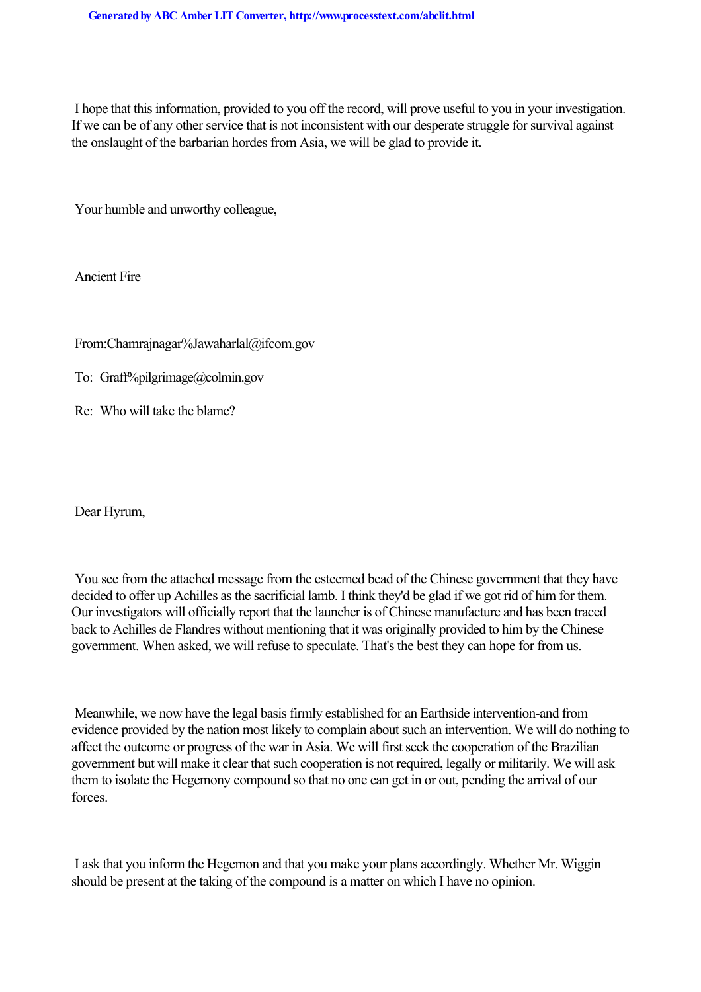I hope that this information, provided to you off the record, will prove useful to you in your investigation. If we can be of any other service that is not inconsistent with our desperate struggle for survival against the onslaught of the barbarian hordes from Asia, we will be glad to provide it.

Your humble and unworthy colleague,

Ancient Fire

From:Chamrajnagar%Jawaharlal@ifcom.gov

To: Graff%pilgrimage@colmin.gov

Re: Who will take the blame?

Dear Hyrum,

 You see from the attached message from the esteemed bead of the Chinese government that they have decided to offer up Achilles as the sacrificial lamb. I think they'd be glad if we got rid of him for them. Our investigators will officially report that the launcher is of Chinese manufacture and has been traced back to Achilles de Flandres without mentioning that it was originally provided to him by the Chinese government. When asked, we will refuse to speculate. That's the best they can hope for from us.

 Meanwhile, we now have the legal basis firmly established for an Earthside intervention-and from evidence provided by the nation most likely to complain about such an intervention. We will do nothing to affect the outcome or progress of the war in Asia. We will first seek the cooperation of the Brazilian government but will make it clear that such cooperation is not required, legally or militarily. We will ask them to isolate the Hegemony compound so that no one can get in or out, pending the arrival of our forces.

 I ask that you inform the Hegemon and that you make your plans accordingly. Whether Mr. Wiggin should be present at the taking of the compound is a matter on which I have no opinion.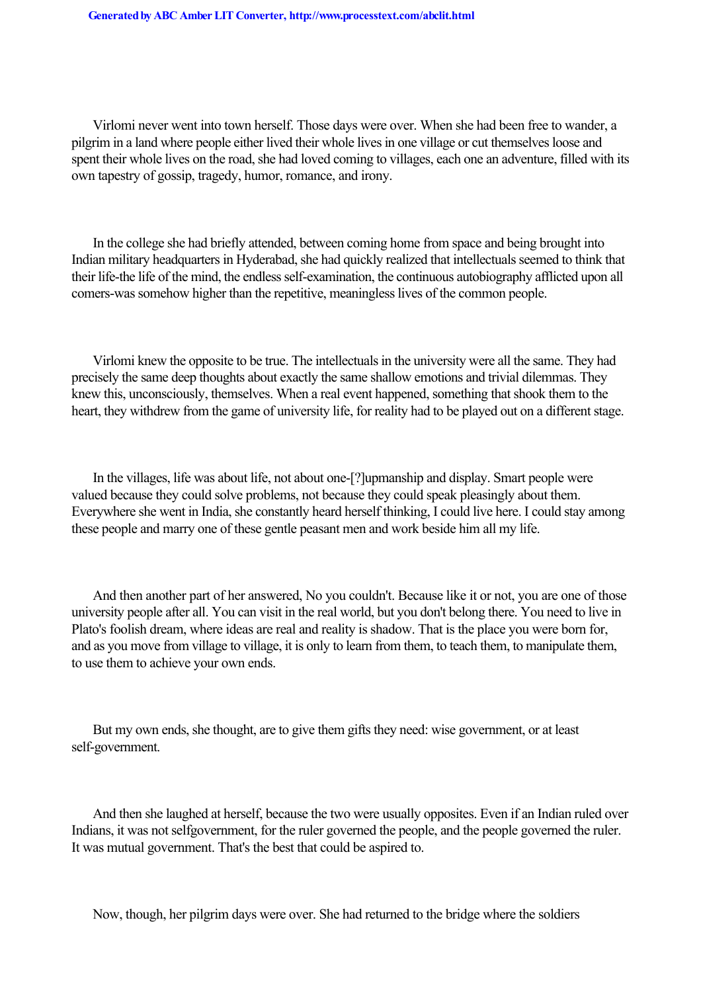Virlomi never went into town herself. Those days were over. When she had been free to wander, a pilgrim in a land where people either lived their whole lives in one village or cut themselves loose and spent their whole lives on the road, she had loved coming to villages, each one an adventure, filled with its own tapestry of gossip, tragedy, humor, romance, and irony.

 In the college she had briefly attended, between coming home from space and being brought into Indian military headquarters in Hyderabad, she had quickly realized that intellectuals seemed to think that their life-the life of the mind, the endless self-examination, the continuous autobiography afflicted upon all comers-was somehow higher than the repetitive, meaningless lives of the common people.

 Virlomi knew the opposite to be true. The intellectuals in the university were all the same. They had precisely the same deep thoughts about exactly the same shallow emotions and trivial dilemmas. They knew this, unconsciously, themselves. When a real event happened, something that shook them to the heart, they withdrew from the game of university life, for reality had to be played out on a different stage.

 In the villages, life was about life, not about one-[?]upmanship and display. Smart people were valued because they could solve problems, not because they could speak pleasingly about them. Everywhere she went in India, she constantly heard herself thinking, I could live here. I could stay among these people and marry one of these gentle peasant men and work beside him all my life.

 And then another part of her answered, No you couldn't. Because like it or not, you are one of those university people after all. You can visit in the real world, but you don't belong there. You need to live in Plato's foolish dream, where ideas are real and reality is shadow. That is the place you were born for, and as you move from village to village, it is only to learn from them, to teach them, to manipulate them, to use them to achieve your own ends.

 But my own ends, she thought, are to give them gifts they need: wise government, or at least self-government.

 And then she laughed at herself, because the two were usually opposites. Even if an Indian ruled over Indians, it was not selfgovernment, for the ruler governed the people, and the people governed the ruler. It was mutual government. That's the best that could be aspired to.

Now, though, her pilgrim days were over. She had returned to the bridge where the soldiers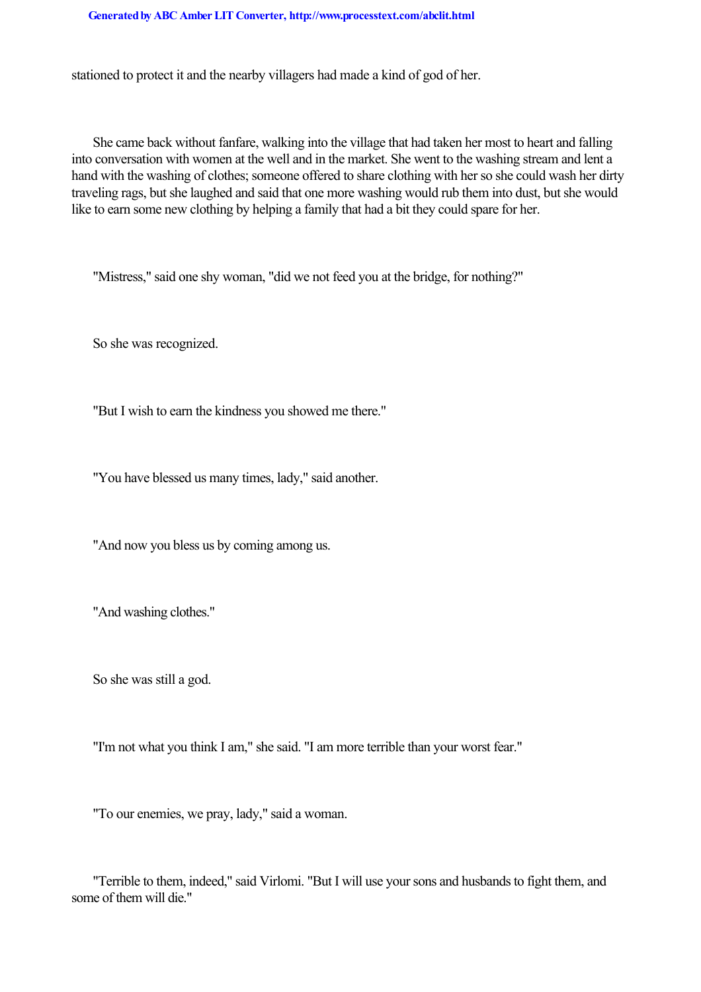stationed to protect it and the nearby villagers had made a kind of god of her.

 She came back without fanfare, walking into the village that had taken her most to heart and falling into conversation with women at the well and in the market. She went to the washing stream and lent a hand with the washing of clothes; someone offered to share clothing with her so she could wash her dirty traveling rags, but she laughed and said that one more washing would rub them into dust, but she would like to earn some new clothing by helping a family that had a bit they could spare for her.

"Mistress," said one shy woman, "did we not feed you at the bridge, for nothing?"

So she was recognized.

"But I wish to earn the kindness you showed me there."

"You have blessed us many times, lady," said another.

"And now you bless us by coming among us.

"And washing clothes."

So she was still a god.

"I'm not what you think I am," she said. "I am more terrible than your worst fear."

"To our enemies, we pray, lady," said a woman.

 "Terrible to them, indeed," said Virlomi. "But I will use your sons and husbands to fight them, and some of them will die."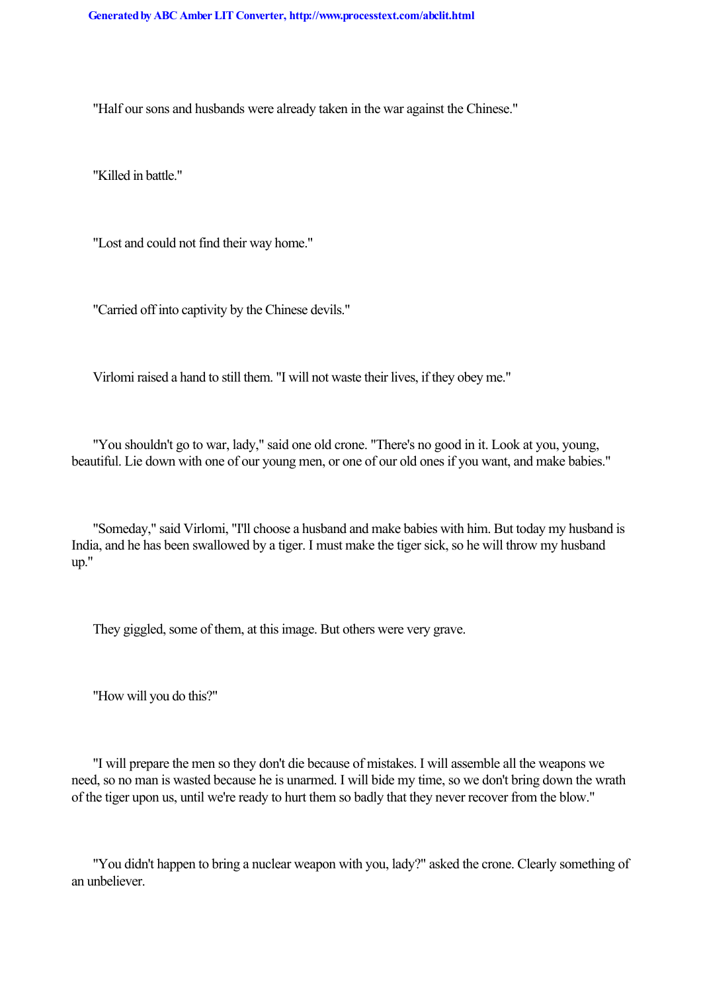"Half our sons and husbands were already taken in the war against the Chinese."

"Killed in battle."

"Lost and could not find their way home."

"Carried off into captivity by the Chinese devils."

Virlomi raised a hand to still them. "I will not waste their lives, if they obey me."

 "You shouldn't go to war, lady," said one old crone. "There's no good in it. Look at you, young, beautiful. Lie down with one of our young men, or one of our old ones if you want, and make babies."

 "Someday," said Virlomi, "I'll choose a husband and make babies with him. But today my husband is India, and he has been swallowed by a tiger. I must make the tiger sick, so he will throw my husband up."

They giggled, some of them, at this image. But others were very grave.

"How will you do this?"

 "I will prepare the men so they don't die because of mistakes. I will assemble all the weapons we need, so no man is wasted because he is unarmed. I will bide my time, so we don't bring down the wrath of the tiger upon us, until we're ready to hurt them so badly that they never recover from the blow."

 "You didn't happen to bring a nuclear weapon with you, lady?" asked the crone. Clearly something of an unbeliever.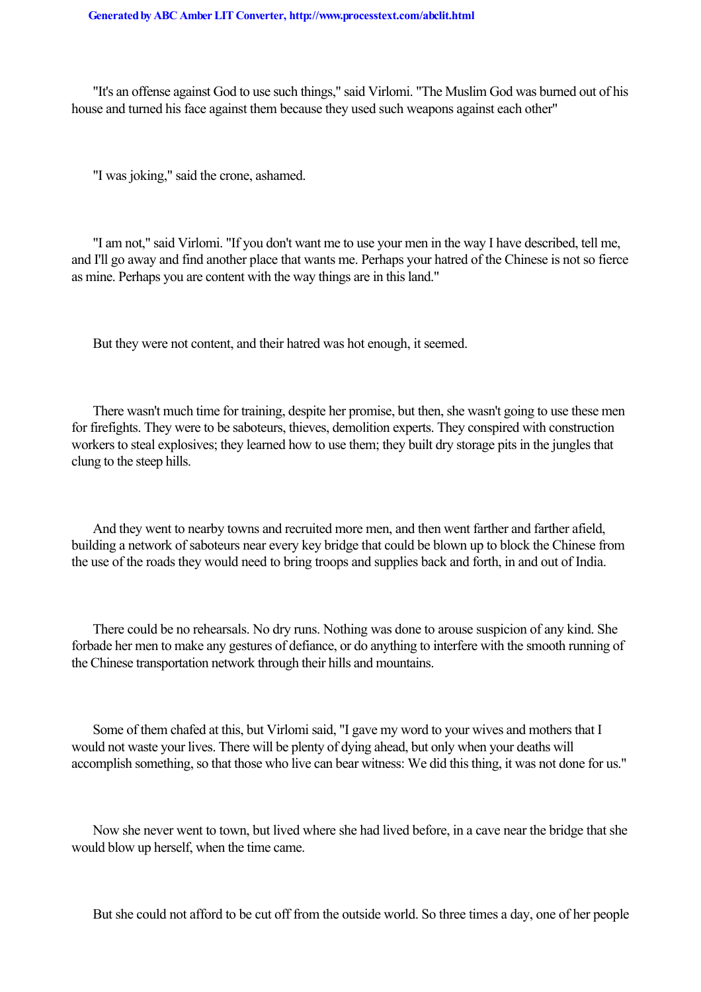"It's an offense against God to use such things," said Virlomi. "The Muslim God was burned out of his house and turned his face against them because they used such weapons against each other"

"I was joking," said the crone, ashamed.

 "I am not," said Virlomi. "If you don't want me to use your men in the way I have described, tell me, and I'll go away and find another place that wants me. Perhaps your hatred of the Chinese is not so fierce as mine. Perhaps you are content with the way things are in this land."

But they were not content, and their hatred was hot enough, it seemed.

 There wasn't much time for training, despite her promise, but then, she wasn't going to use these men for firefights. They were to be saboteurs, thieves, demolition experts. They conspired with construction workers to steal explosives; they learned how to use them; they built dry storage pits in the jungles that clung to the steep hills.

 And they went to nearby towns and recruited more men, and then went farther and farther afield, building a network of saboteurs near every key bridge that could be blown up to block the Chinese from the use of the roads they would need to bring troops and supplies back and forth, in and out of India.

 There could be no rehearsals. No dry runs. Nothing was done to arouse suspicion of any kind. She forbade her men to make any gestures of defiance, or do anything to interfere with the smooth running of the Chinese transportation network through their hills and mountains.

 Some of them chafed at this, but Virlomi said, "I gave my word to your wives and mothers that I would not waste your lives. There will be plenty of dying ahead, but only when your deaths will accomplish something, so that those who live can bear witness: We did this thing, it was not done for us."

 Now she never went to town, but lived where she had lived before, in a cave near the bridge that she would blow up herself, when the time came.

But she could not afford to be cut off from the outside world. So three times a day, one of her people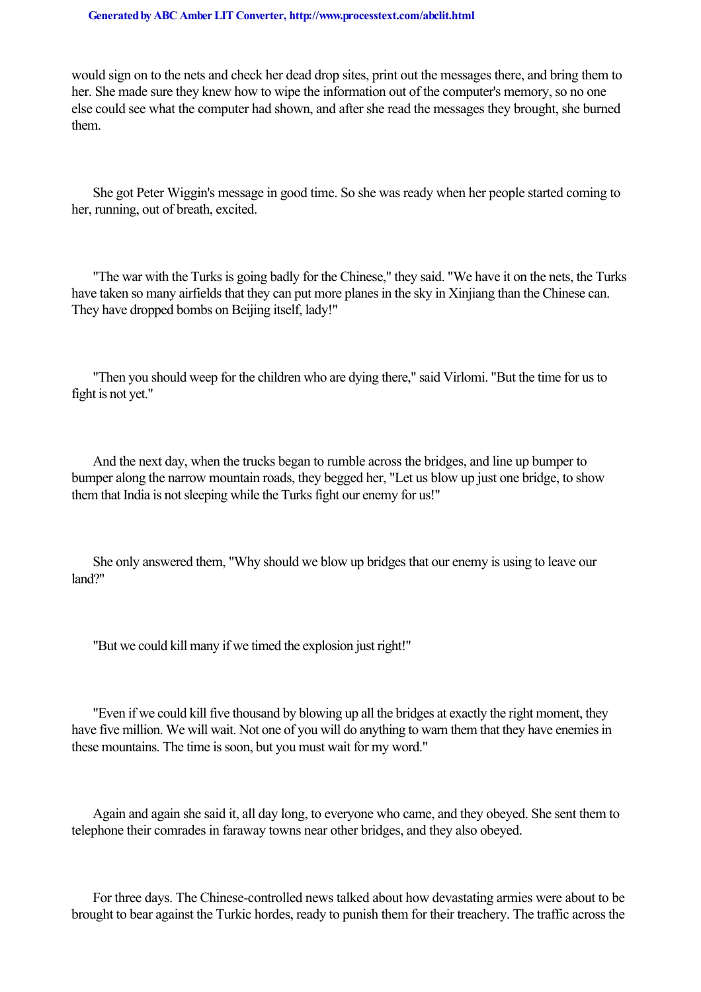would sign on to the nets and check her dead drop sites, print out the messages there, and bring them to her. She made sure they knew how to wipe the information out of the computer's memory, so no one else could see what the computer had shown, and after she read the messages they brought, she burned them.

 She got Peter Wiggin's message in good time. So she was ready when her people started coming to her, running, out of breath, excited.

 "The war with the Turks is going badly for the Chinese," they said. "We have it on the nets, the Turks have taken so many airfields that they can put more planes in the sky in Xinjiang than the Chinese can. They have dropped bombs on Beijing itself, lady!"

 "Then you should weep for the children who are dying there," said Virlomi. "But the time for us to fight is not yet."

 And the next day, when the trucks began to rumble across the bridges, and line up bumper to bumper along the narrow mountain roads, they begged her, "Let us blow up just one bridge, to show them that India is not sleeping while the Turks fight our enemy for us!"

 She only answered them, "Why should we blow up bridges that our enemy is using to leave our land?"

"But we could kill many if we timed the explosion just right!"

 "Even if we could kill five thousand by blowing up all the bridges at exactly the right moment, they have five million. We will wait. Not one of you will do anything to warn them that they have enemies in these mountains. The time is soon, but you must wait for my word."

 Again and again she said it, all day long, to everyone who came, and they obeyed. She sent them to telephone their comrades in faraway towns near other bridges, and they also obeyed.

 For three days. The Chinese-controlled news talked about how devastating armies were about to be brought to bear against the Turkic hordes, ready to punish them for their treachery. The traffic across the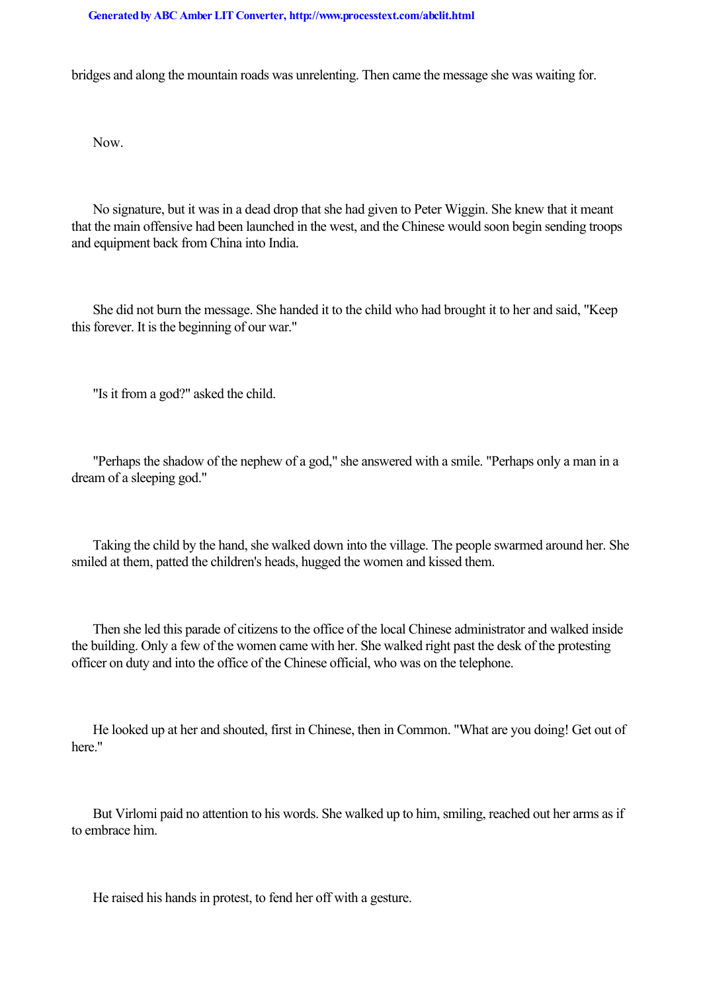bridges and along the mountain roads was unrelenting. Then came the message she was waiting for.

Now.

 No signature, but it was in a dead drop that she had given to Peter Wiggin. She knew that it meant that the main offensive had been launched in the west, and the Chinese would soon begin sending troops and equipment back from China into India.

 She did not burn the message. She handed it to the child who had brought it to her and said, "Keep this forever. It is the beginning of our war."

"Is it from a god?" asked the child.

 "Perhaps the shadow of the nephew of a god," she answered with a smile. "Perhaps only a man in a dream of a sleeping god."

 Taking the child by the hand, she walked down into the village. The people swarmed around her. She smiled at them, patted the children's heads, hugged the women and kissed them.

 Then she led this parade of citizens to the office of the local Chinese administrator and walked inside the building. Only a few of the women came with her. She walked right past the desk of the protesting officer on duty and into the office of the Chinese official, who was on the telephone.

 He looked up at her and shouted, first in Chinese, then in Common. "What are you doing! Get out of here."

 But Virlomi paid no attention to his words. She walked up to him, smiling, reached out her arms as if to embrace him.

He raised his hands in protest, to fend her off with a gesture.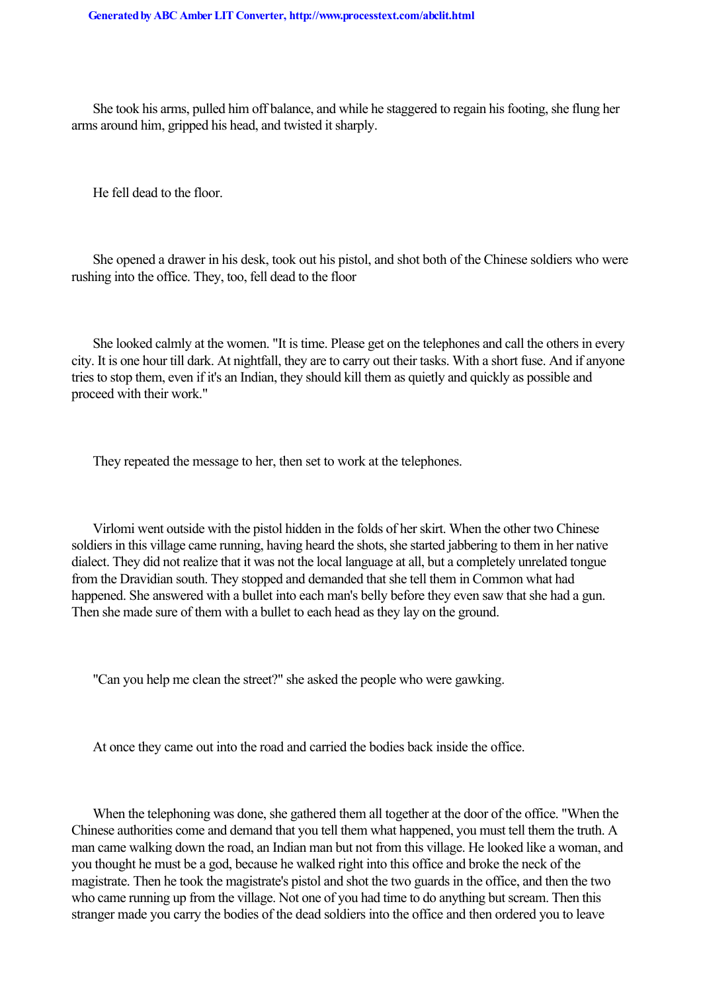She took his arms, pulled him off balance, and while he staggered to regain his footing, she flung her arms around him, gripped his head, and twisted it sharply.

He fell dead to the floor.

 She opened a drawer in his desk, took out his pistol, and shot both of the Chinese soldiers who were rushing into the office. They, too, fell dead to the floor

 She looked calmly at the women. "It is time. Please get on the telephones and call the others in every city. It is one hour till dark. At nightfall, they are to carry out their tasks. With a short fuse. And if anyone tries to stop them, even if it's an Indian, they should kill them as quietly and quickly as possible and proceed with their work."

They repeated the message to her, then set to work at the telephones.

 Virlomi went outside with the pistol hidden in the folds of her skirt. When the other two Chinese soldiers in this village came running, having heard the shots, she started jabbering to them in her native dialect. They did not realize that it was not the local language at all, but a completely unrelated tongue from the Dravidian south. They stopped and demanded that she tell them in Common what had happened. She answered with a bullet into each man's belly before they even saw that she had a gun. Then she made sure of them with a bullet to each head as they lay on the ground.

"Can you help me clean the street?" she asked the people who were gawking.

At once they came out into the road and carried the bodies back inside the office.

 When the telephoning was done, she gathered them all together at the door of the office. "When the Chinese authorities come and demand that you tell them what happened, you must tell them the truth. A man came walking down the road, an Indian man but not from this village. He looked like a woman, and you thought he must be a god, because he walked right into this office and broke the neck of the magistrate. Then he took the magistrate's pistol and shot the two guards in the office, and then the two who came running up from the village. Not one of you had time to do anything but scream. Then this stranger made you carry the bodies of the dead soldiers into the office and then ordered you to leave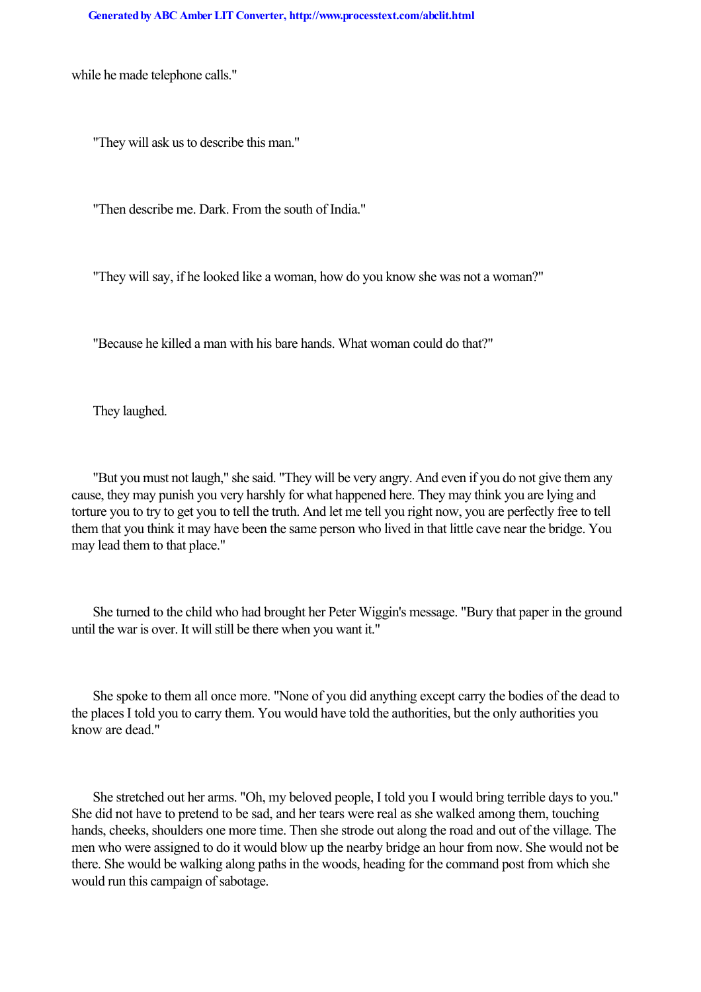while he made telephone calls."

"They will ask us to describe this man."

"Then describe me. Dark. From the south of India."

"They will say, if he looked like a woman, how do you know she was not a woman?"

"Because he killed a man with his bare hands. What woman could do that?"

They laughed.

 "But you must not laugh," she said. "They will be very angry. And even if you do not give them any cause, they may punish you very harshly for what happened here. They may think you are lying and torture you to try to get you to tell the truth. And let me tell you right now, you are perfectly free to tell them that you think it may have been the same person who lived in that little cave near the bridge. You may lead them to that place."

 She turned to the child who had brought her Peter Wiggin's message. "Bury that paper in the ground until the war is over. It will still be there when you want it."

 She spoke to them all once more. "None of you did anything except carry the bodies of the dead to the places I told you to carry them. You would have told the authorities, but the only authorities you know are dead."

 She stretched out her arms. "Oh, my beloved people, I told you I would bring terrible days to you." She did not have to pretend to be sad, and her tears were real as she walked among them, touching hands, cheeks, shoulders one more time. Then she strode out along the road and out of the village. The men who were assigned to do it would blow up the nearby bridge an hour from now. She would not be there. She would be walking along paths in the woods, heading for the command post from which she would run this campaign of sabotage.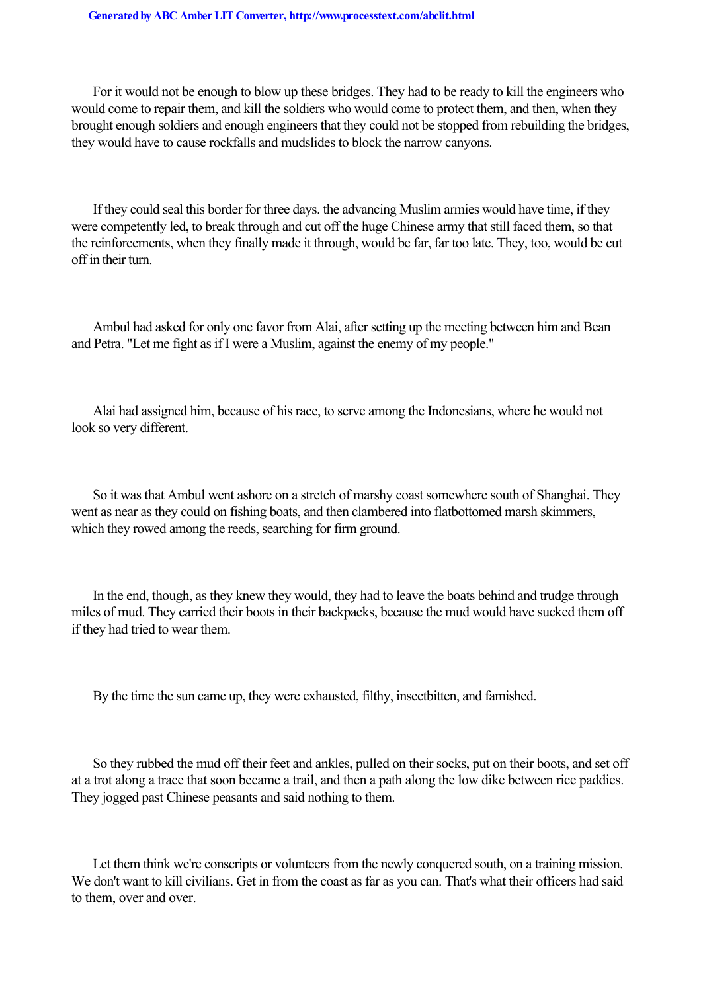For it would not be enough to blow up these bridges. They had to be ready to kill the engineers who would come to repair them, and kill the soldiers who would come to protect them, and then, when they brought enough soldiers and enough engineers that they could not be stopped from rebuilding the bridges, they would have to cause rockfalls and mudslides to block the narrow canyons.

 If they could seal this border for three days. the advancing Muslim armies would have time, if they were competently led, to break through and cut off the huge Chinese army that still faced them, so that the reinforcements, when they finally made it through, would be far, far too late. They, too, would be cut off in their turn.

 Ambul had asked for only one favor from Alai, after setting up the meeting between him and Bean and Petra. "Let me fight as if I were a Muslim, against the enemy of my people."

 Alai had assigned him, because of his race, to serve among the Indonesians, where he would not look so very different.

 So it was that Ambul went ashore on a stretch of marshy coast somewhere south of Shanghai. They went as near as they could on fishing boats, and then clambered into flatbottomed marsh skimmers, which they rowed among the reeds, searching for firm ground.

 In the end, though, as they knew they would, they had to leave the boats behind and trudge through miles of mud. They carried their boots in their backpacks, because the mud would have sucked them off if they had tried to wear them.

By the time the sun came up, they were exhausted, filthy, insectbitten, and famished.

 So they rubbed the mud off their feet and ankles, pulled on their socks, put on their boots, and set off at a trot along a trace that soon became a trail, and then a path along the low dike between rice paddies. They jogged past Chinese peasants and said nothing to them.

 Let them think we're conscripts or volunteers from the newly conquered south, on a training mission. We don't want to kill civilians. Get in from the coast as far as you can. That's what their officers had said to them, over and over.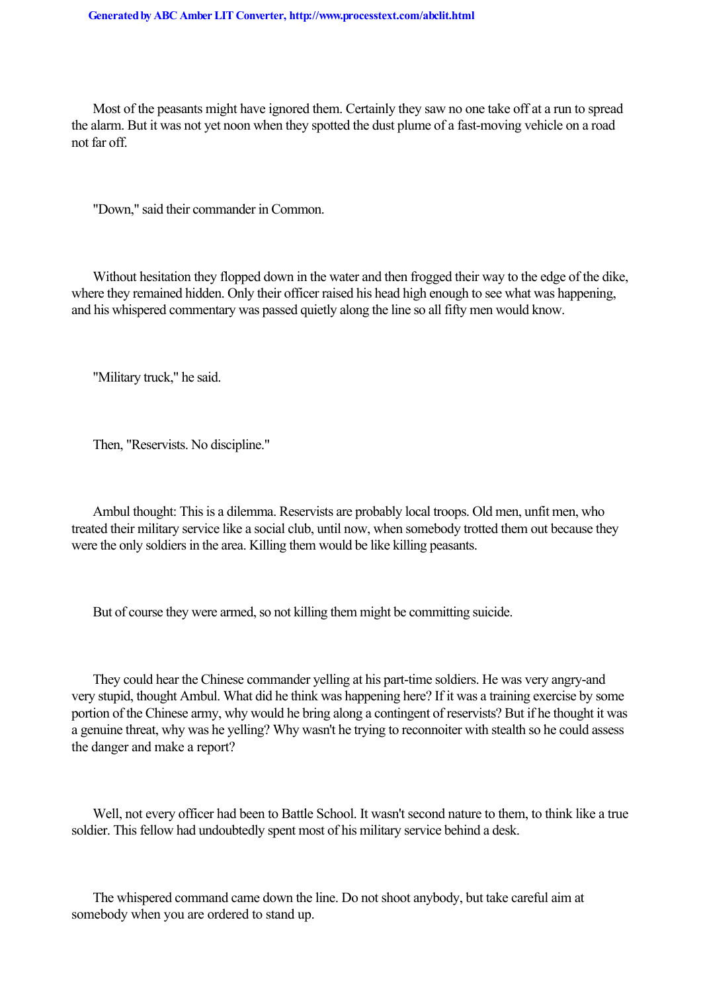Most of the peasants might have ignored them. Certainly they saw no one take off at a run to spread the alarm. But it was not yet noon when they spotted the dust plume of a fast-moving vehicle on a road not far off.

"Down," said their commander in Common.

 Without hesitation they flopped down in the water and then frogged their way to the edge of the dike, where they remained hidden. Only their officer raised his head high enough to see what was happening. and his whispered commentary was passed quietly along the line so all fifty men would know.

"Military truck," he said.

Then, "Reservists. No discipline."

 Ambul thought: This is a dilemma. Reservists are probably local troops. Old men, unfit men, who treated their military service like a social club, until now, when somebody trotted them out because they were the only soldiers in the area. Killing them would be like killing peasants.

But of course they were armed, so not killing them might be committing suicide.

 They could hear the Chinese commander yelling at his part-time soldiers. He was very angry-and very stupid, thought Ambul. What did he think was happening here? If it was a training exercise by some portion of the Chinese army, why would he bring along a contingent of reservists? But if he thought it was a genuine threat, why was he yelling? Why wasn't he trying to reconnoiter with stealth so he could assess the danger and make a report?

 Well, not every officer had been to Battle School. It wasn't second nature to them, to think like a true soldier. This fellow had undoubtedly spent most of his military service behind a desk.

 The whispered command came down the line. Do not shoot anybody, but take careful aim at somebody when you are ordered to stand up.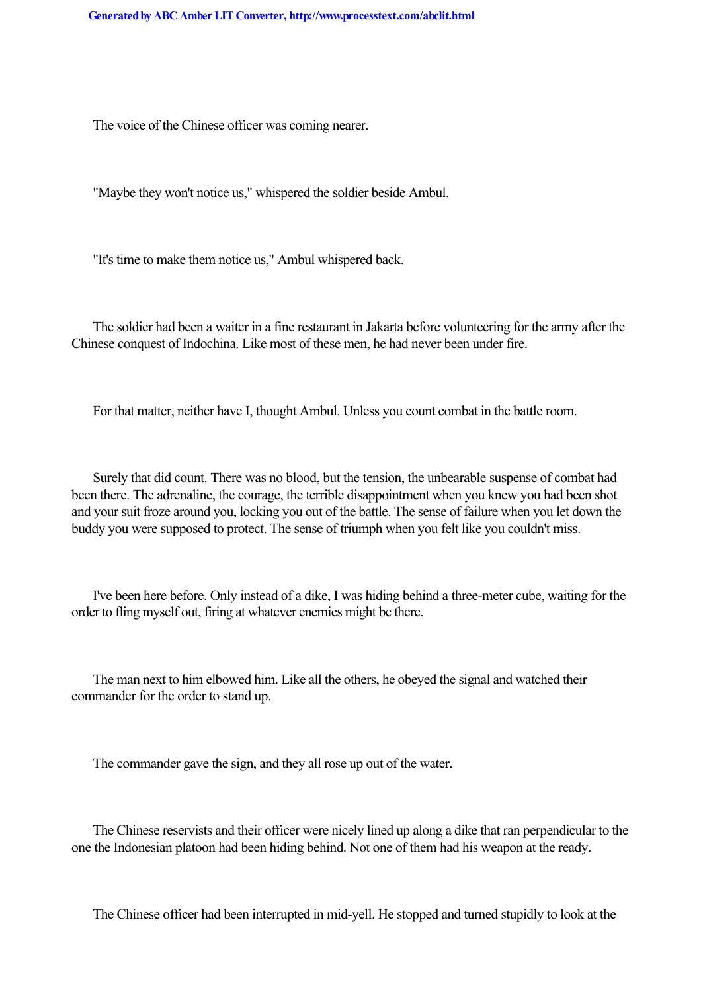The voice of the Chinese officer was coming nearer.

"Maybe they won't notice us," whispered the soldier beside Ambul.

"It's time to make them notice us," Ambul whispered back.

 The soldier had been a waiter in a fine restaurant in Jakarta before volunteering for the army after the Chinese conquest of Indochina. Like most of these men, he had never been under fire.

For that matter, neither have I, thought Ambul. Unless you count combat in the battle room.

 Surely that did count. There was no blood, but the tension, the unbearable suspense of combat had been there. The adrenaline, the courage, the terrible disappointment when you knew you had been shot and your suit froze around you, locking you out of the battle. The sense of failure when you let down the buddy you were supposed to protect. The sense of triumph when you felt like you couldn't miss.

 I've been here before. Only instead of a dike, I was hiding behind a three-meter cube, waiting for the order to fling myself out, firing at whatever enemies might be there.

 The man next to him elbowed him. Like all the others, he obeyed the signal and watched their commander for the order to stand up.

The commander gave the sign, and they all rose up out of the water.

 The Chinese reservists and their officer were nicely lined up along a dike that ran perpendicular to the one the Indonesian platoon had been hiding behind. Not one of them had his weapon at the ready.

The Chinese officer had been interrupted in mid-yell. He stopped and turned stupidly to look at the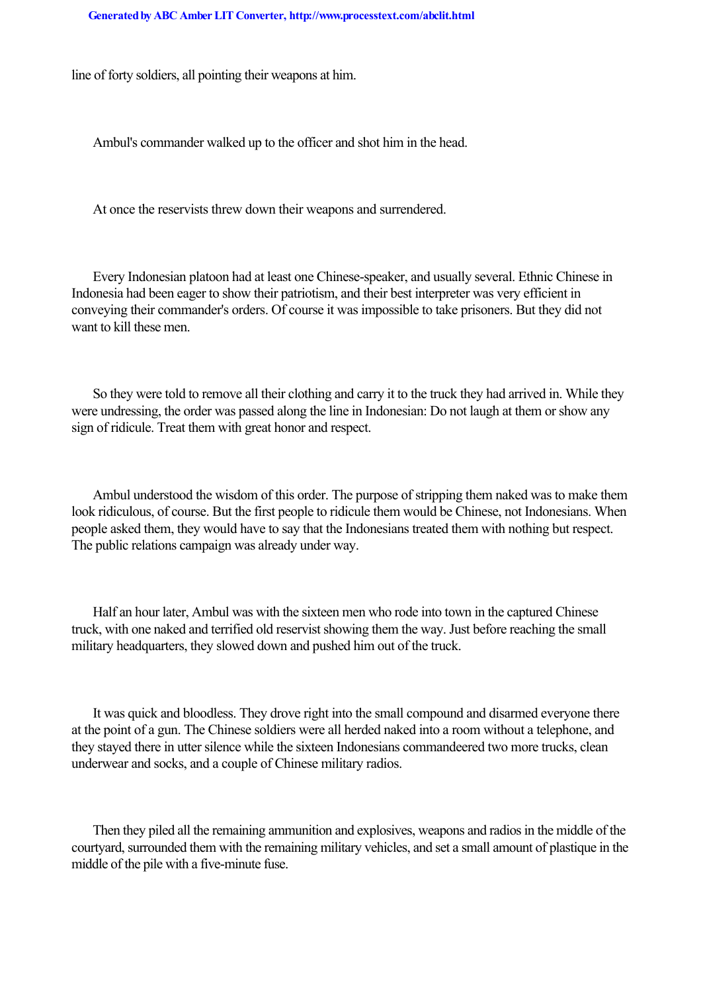line of forty soldiers, all pointing their weapons at him.

Ambul's commander walked up to the officer and shot him in the head.

At once the reservists threw down their weapons and surrendered.

 Every Indonesian platoon had at least one Chinese-speaker, and usually several. Ethnic Chinese in Indonesia had been eager to show their patriotism, and their best interpreter was very efficient in conveying their commander's orders. Of course it was impossible to take prisoners. But they did not want to kill these men.

 So they were told to remove all their clothing and carry it to the truck they had arrived in. While they were undressing, the order was passed along the line in Indonesian: Do not laugh at them or show any sign of ridicule. Treat them with great honor and respect.

 Ambul understood the wisdom of this order. The purpose of stripping them naked was to make them look ridiculous, of course. But the first people to ridicule them would be Chinese, not Indonesians. When people asked them, they would have to say that the Indonesians treated them with nothing but respect. The public relations campaign was already under way.

 Half an hour later, Ambul was with the sixteen men who rode into town in the captured Chinese truck, with one naked and terrified old reservist showing them the way. Just before reaching the small military headquarters, they slowed down and pushed him out of the truck.

 It was quick and bloodless. They drove right into the small compound and disarmed everyone there at the point of a gun. The Chinese soldiers were all herded naked into a room without a telephone, and they stayed there in utter silence while the sixteen Indonesians commandeered two more trucks, clean underwear and socks, and a couple of Chinese military radios.

 Then they piled all the remaining ammunition and explosives, weapons and radios in the middle of the courtyard, surrounded them with the remaining military vehicles, and set a small amount of plastique in the middle of the pile with a five-minute fuse.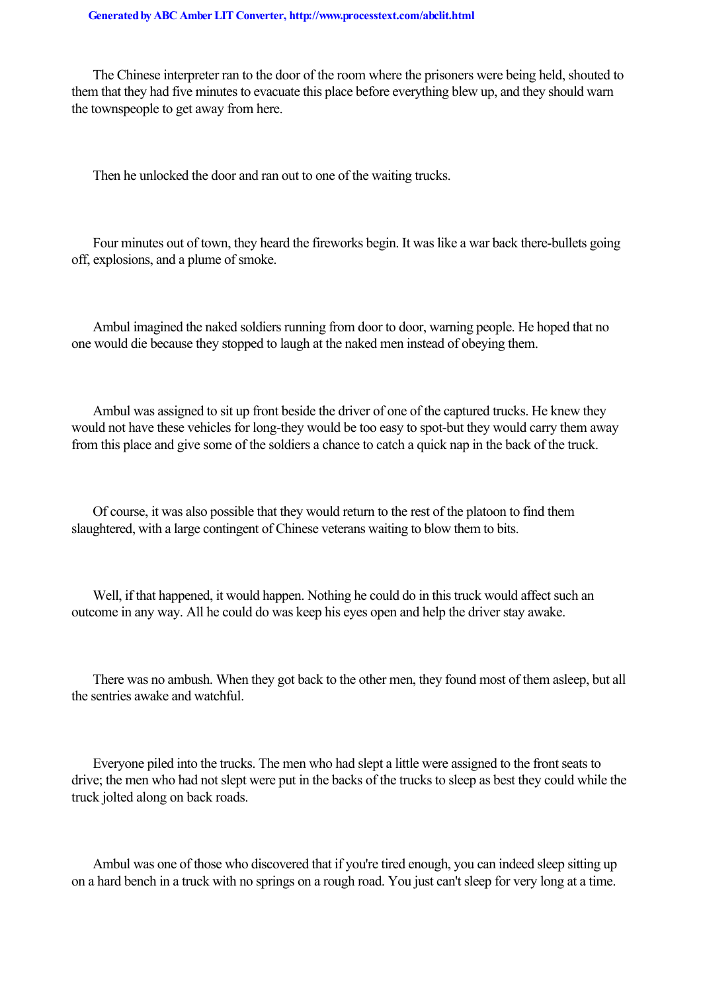The Chinese interpreter ran to the door of the room where the prisoners were being held, shouted to them that they had five minutes to evacuate this place before everything blew up, and they should warn the townspeople to get away from here.

Then he unlocked the door and ran out to one of the waiting trucks.

 Four minutes out of town, they heard the fireworks begin. It was like a war back there-bullets going off, explosions, and a plume of smoke.

 Ambul imagined the naked soldiers running from door to door, warning people. He hoped that no one would die because they stopped to laugh at the naked men instead of obeying them.

 Ambul was assigned to sit up front beside the driver of one of the captured trucks. He knew they would not have these vehicles for long-they would be too easy to spot-but they would carry them away from this place and give some of the soldiers a chance to catch a quick nap in the back of the truck.

 Of course, it was also possible that they would return to the rest of the platoon to find them slaughtered, with a large contingent of Chinese veterans waiting to blow them to bits.

Well, if that happened, it would happen. Nothing he could do in this truck would affect such an outcome in any way. All he could do was keep his eyes open and help the driver stay awake.

 There was no ambush. When they got back to the other men, they found most of them asleep, but all the sentries awake and watchful.

 Everyone piled into the trucks. The men who had slept a little were assigned to the front seats to drive; the men who had not slept were put in the backs of the trucks to sleep as best they could while the truck jolted along on back roads.

 Ambul was one of those who discovered that if you're tired enough, you can indeed sleep sitting up on a hard bench in a truck with no springs on a rough road. You just can't sleep for very long at a time.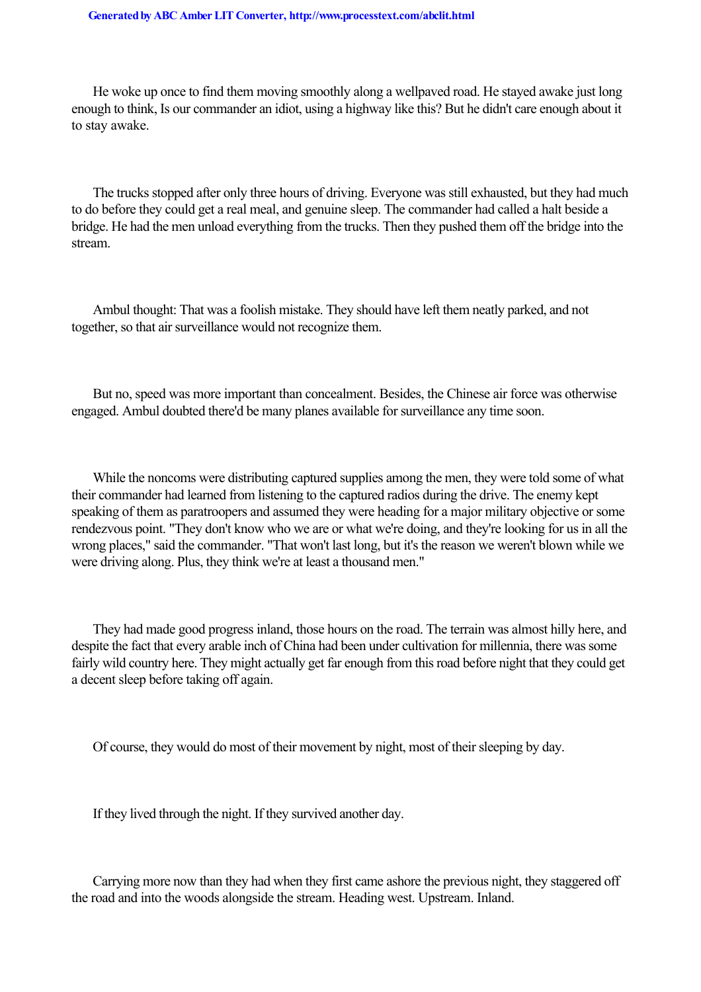He woke up once to find them moving smoothly along a wellpaved road. He stayed awake just long enough to think, Is our commander an idiot, using a highway like this? But he didn't care enough about it to stay awake.

 The trucks stopped after only three hours of driving. Everyone was still exhausted, but they had much to do before they could get a real meal, and genuine sleep. The commander had called a halt beside a bridge. He had the men unload everything from the trucks. Then they pushed them off the bridge into the stream.

 Ambul thought: That was a foolish mistake. They should have left them neatly parked, and not together, so that air surveillance would not recognize them.

 But no, speed was more important than concealment. Besides, the Chinese air force was otherwise engaged. Ambul doubted there'd be many planes available for surveillance any time soon.

 While the noncoms were distributing captured supplies among the men, they were told some of what their commander had learned from listening to the captured radios during the drive. The enemy kept speaking of them as paratroopers and assumed they were heading for a major military objective or some rendezvous point. "They don't know who we are or what we're doing, and they're looking for us in all the wrong places," said the commander. "That won't last long, but it's the reason we weren't blown while we were driving along. Plus, they think we're at least a thousand men."

 They had made good progress inland, those hours on the road. The terrain was almost hilly here, and despite the fact that every arable inch of China had been under cultivation for millennia, there was some fairly wild country here. They might actually get far enough from this road before night that they could get a decent sleep before taking off again.

Of course, they would do most of their movement by night, most of their sleeping by day.

If they lived through the night. If they survived another day.

 Carrying more now than they had when they first came ashore the previous night, they staggered off the road and into the woods alongside the stream. Heading west. Upstream. Inland.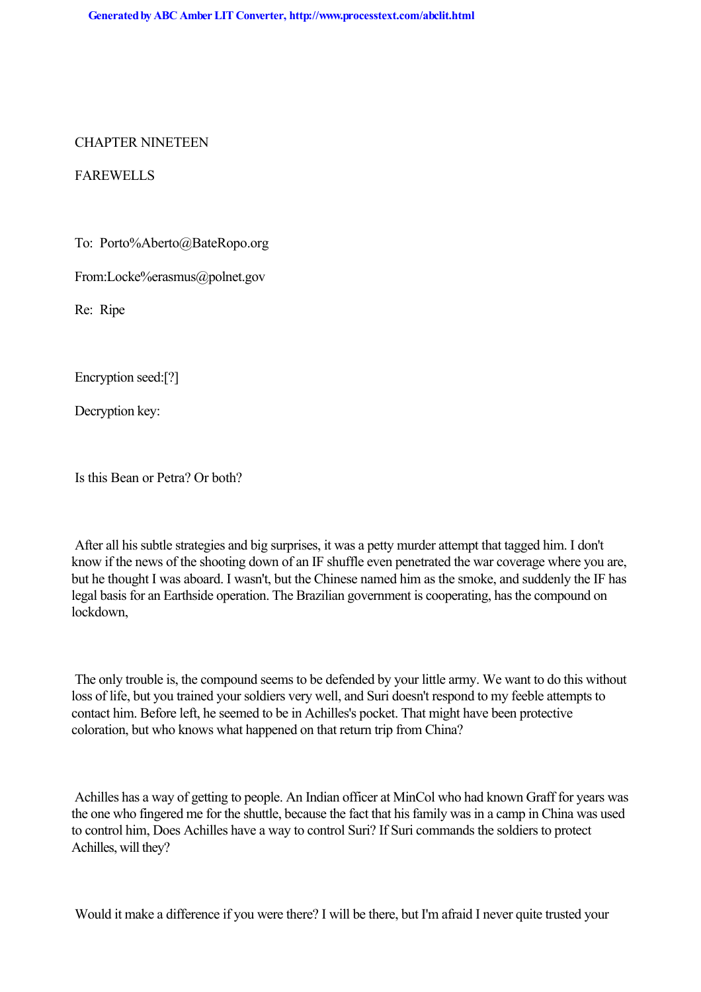# CHAPTER NINETEEN

# **FAREWELLS**

To: Porto%Aberto@BateRopo.org

From:Locke%erasmus@polnet.gov

Re: Ripe

Encryption seed:[?]

Decryption key:

Is this Bean or Petra? Or both?

 After all his subtle strategies and big surprises, it was a petty murder attempt that tagged him. I don't know if the news of the shooting down of an IF shuffle even penetrated the war coverage where you are, but he thought I was aboard. I wasn't, but the Chinese named him as the smoke, and suddenly the IF has legal basis for an Earthside operation. The Brazilian government is cooperating, has the compound on lockdown,

 The only trouble is, the compound seems to be defended by your little army. We want to do this without loss of life, but you trained your soldiers very well, and Suri doesn't respond to my feeble attempts to contact him. Before left, he seemed to be in Achilles's pocket. That might have been protective coloration, but who knows what happened on that return trip from China?

 Achilles has a way of getting to people. An Indian officer at MinCol who had known Graff for years was the one who fingered me for the shuttle, because the fact that his family was in a camp in China was used to control him, Does Achilles have a way to control Suri? If Suri commands the soldiers to protect Achilles, will they?

Would it make a difference if you were there? I will be there, but I'm afraid I never quite trusted your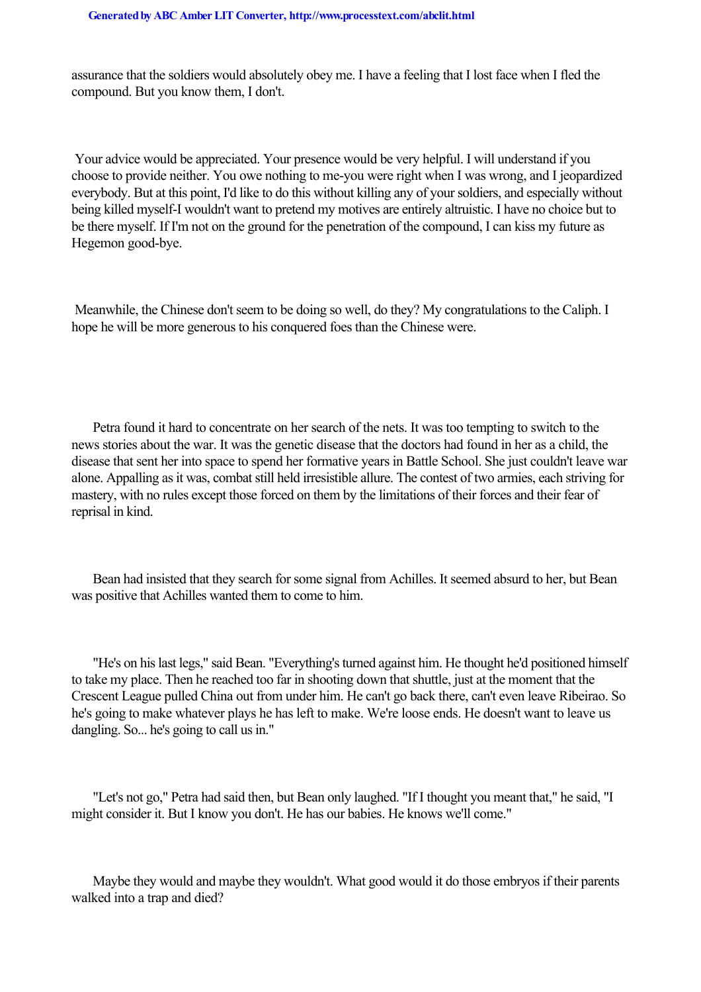assurance that the soldiers would absolutely obey me. I have a feeling that I lost face when I fled the compound. But you know them, I don't.

 Your advice would be appreciated. Your presence would be very helpful. I will understand if you choose to provide neither. You owe nothing to me-you were right when I was wrong, and I jeopardized everybody. But at this point, I'd like to do this without killing any of your soldiers, and especially without being killed myself-I wouldn't want to pretend my motives are entirely altruistic. I have no choice but to be there myself. If I'm not on the ground for the penetration of the compound, I can kiss my future as Hegemon good-bye.

 Meanwhile, the Chinese don't seem to be doing so well, do they? My congratulations to the Caliph. I hope he will be more generous to his conquered foes than the Chinese were.

 Petra found it hard to concentrate on her search of the nets. It was too tempting to switch to the news stories about the war. It was the genetic disease that the doctors had found in her as a child, the disease that sent her into space to spend her formative years in Battle School. She just couldn't leave war alone. Appalling as it was, combat still held irresistible allure. The contest of two armies, each striving for mastery, with no rules except those forced on them by the limitations of their forces and their fear of reprisal in kind.

 Bean had insisted that they search for some signal from Achilles. It seemed absurd to her, but Bean was positive that Achilles wanted them to come to him.

 "He's on his last legs," said Bean. "Everything's turned against him. He thought he'd positioned himself to take my place. Then he reached too far in shooting down that shuttle, just at the moment that the Crescent League pulled China out from under him. He can't go back there, can't even leave Ribeirao. So he's going to make whatever plays he has left to make. We're loose ends. He doesn't want to leave us dangling. So... he's going to call us in."

 "Let's not go," Petra had said then, but Bean only laughed. "If I thought you meant that," he said, "I might consider it. But I know you don't. He has our babies. He knows we'll come."

 Maybe they would and maybe they wouldn't. What good would it do those embryos if their parents walked into a trap and died?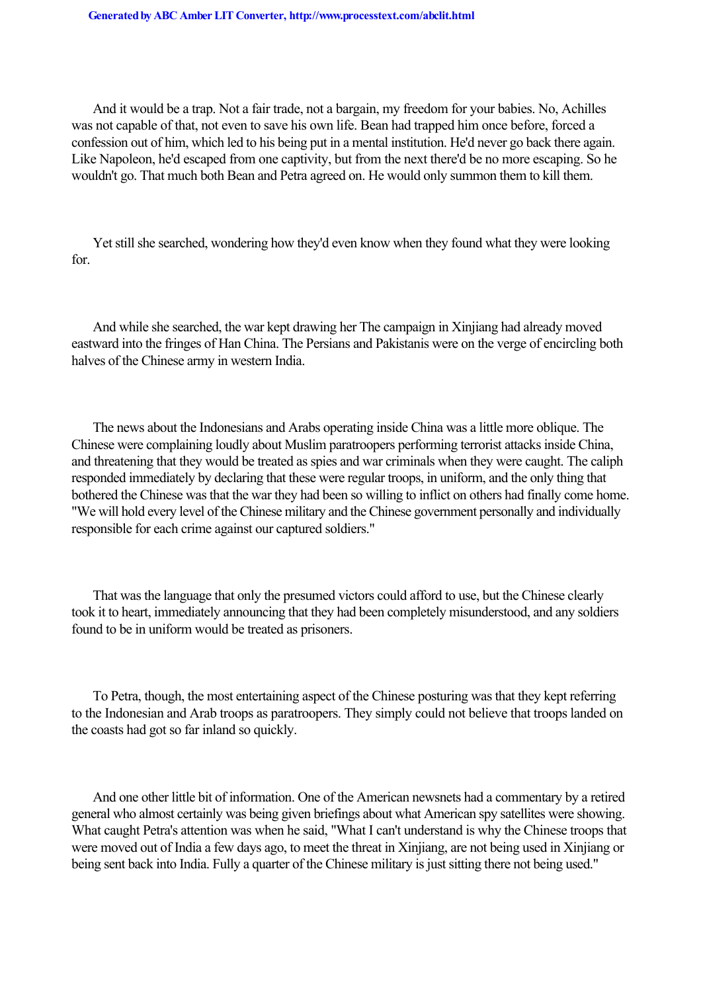And it would be a trap. Not a fair trade, not a bargain, my freedom for your babies. No, Achilles was not capable of that, not even to save his own life. Bean had trapped him once before, forced a confession out of him, which led to his being put in a mental institution. He'd never go back there again. Like Napoleon, he'd escaped from one captivity, but from the next there'd be no more escaping. So he wouldn't go. That much both Bean and Petra agreed on. He would only summon them to kill them.

 Yet still she searched, wondering how they'd even know when they found what they were looking for.

 And while she searched, the war kept drawing her The campaign in Xinjiang had already moved eastward into the fringes of Han China. The Persians and Pakistanis were on the verge of encircling both halves of the Chinese army in western India.

 The news about the Indonesians and Arabs operating inside China was a little more oblique. The Chinese were complaining loudly about Muslim paratroopers performing terrorist attacks inside China, and threatening that they would be treated as spies and war criminals when they were caught. The caliph responded immediately by declaring that these were regular troops, in uniform, and the only thing that bothered the Chinese was that the war they had been so willing to inflict on others had finally come home. "We will hold every level of the Chinese military and the Chinese government personally and individually responsible for each crime against our captured soldiers."

 That was the language that only the presumed victors could afford to use, but the Chinese clearly took it to heart, immediately announcing that they had been completely misunderstood, and any soldiers found to be in uniform would be treated as prisoners.

 To Petra, though, the most entertaining aspect of the Chinese posturing was that they kept referring to the Indonesian and Arab troops as paratroopers. They simply could not believe that troops landed on the coasts had got so far inland so quickly.

 And one other little bit of information. One of the American newsnets had a commentary by a retired general who almost certainly was being given briefings about what American spy satellites were showing. What caught Petra's attention was when he said, "What I can't understand is why the Chinese troops that were moved out of India a few days ago, to meet the threat in Xinjiang, are not being used in Xinjiang or being sent back into India. Fully a quarter of the Chinese military is just sitting there not being used."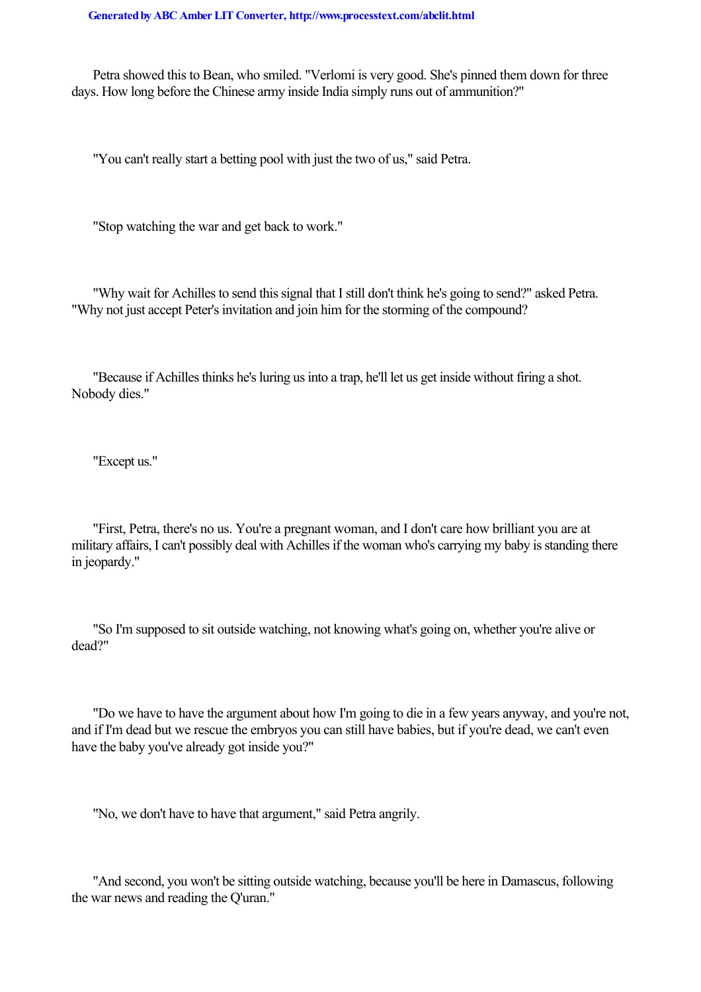Petra showed this to Bean, who smiled. "Verlomi is very good. She's pinned them down for three days. How long before the Chinese army inside India simply runs out of ammunition?"

"You can't really start a betting pool with just the two of us," said Petra.

"Stop watching the war and get back to work."

 "Why wait for Achilles to send this signal that I still don't think he's going to send?" asked Petra. "Why not just accept Peter's invitation and join him for the storming of the compound?

 "Because if Achilles thinks he's luring us into a trap, he'll let us get inside without firing a shot. Nobody dies."

"Except us."

 "First, Petra, there's no us. You're a pregnant woman, and I don't care how brilliant you are at military affairs, I can't possibly deal with Achilles if the woman who's carrying my baby is standing there in jeopardy."

 "So I'm supposed to sit outside watching, not knowing what's going on, whether you're alive or dead?"

 "Do we have to have the argument about how I'm going to die in a few years anyway, and you're not, and if I'm dead but we rescue the embryos you can still have babies, but if you're dead, we can't even have the baby you've already got inside you?"

"No, we don't have to have that argument," said Petra angrily.

 "And second, you won't be sitting outside watching, because you'll be here in Damascus, following the war news and reading the Q'uran."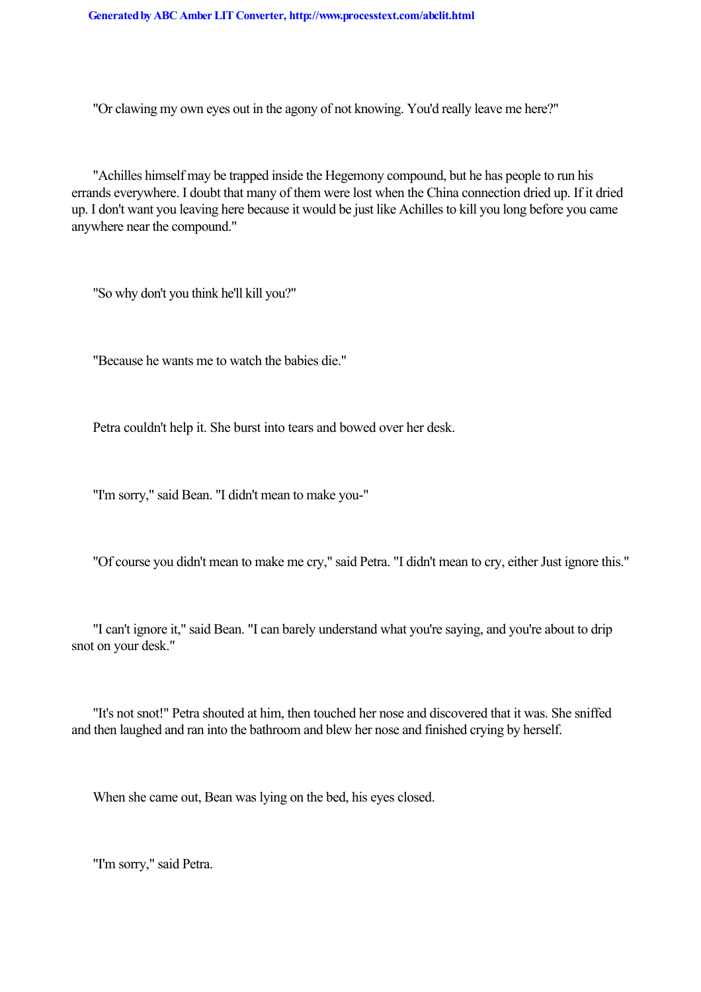"Or clawing my own eyes out in the agony of not knowing. You'd really leave me here?"

 "Achilles himself may be trapped inside the Hegemony compound, but he has people to run his errands everywhere. I doubt that many of them were lost when the China connection dried up. If it dried up. I don't want you leaving here because it would be just like Achilles to kill you long before you came anywhere near the compound."

"So why don't you think he'll kill you?"

"Because he wants me to watch the babies die."

Petra couldn't help it. She burst into tears and bowed over her desk.

"I'm sorry," said Bean. "I didn't mean to make you-"

"Of course you didn't mean to make me cry," said Petra. "I didn't mean to cry, either Just ignore this."

 "I can't ignore it," said Bean. "I can barely understand what you're saying, and you're about to drip snot on your desk."

 "It's not snot!" Petra shouted at him, then touched her nose and discovered that it was. She sniffed and then laughed and ran into the bathroom and blew her nose and finished crying by herself.

When she came out, Bean was lying on the bed, his eyes closed.

"I'm sorry," said Petra.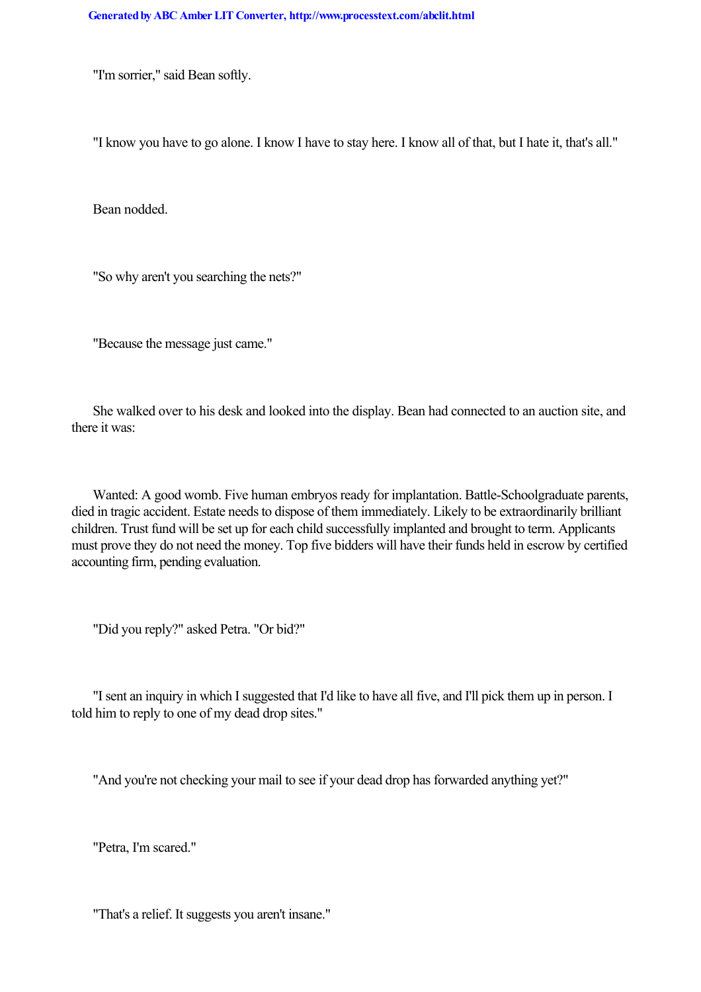"I'm sorrier," said Bean softly.

"I know you have to go alone. I know I have to stay here. I know all of that, but I hate it, that's all."

Bean nodded.

"So why aren't you searching the nets?"

"Because the message just came."

 She walked over to his desk and looked into the display. Bean had connected to an auction site, and there it was:

 Wanted: A good womb. Five human embryos ready for implantation. Battle-Schoolgraduate parents, died in tragic accident. Estate needs to dispose of them immediately. Likely to be extraordinarily brilliant children. Trust fund will be set up for each child successfully implanted and brought to term. Applicants must prove they do not need the money. Top five bidders will have their funds held in escrow by certified accounting firm, pending evaluation.

"Did you reply?" asked Petra. "Or bid?"

 "I sent an inquiry in which I suggested that I'd like to have all five, and I'll pick them up in person. I told him to reply to one of my dead drop sites."

"And you're not checking your mail to see if your dead drop has forwarded anything yet?"

"Petra, I'm scared."

"That's a relief. It suggests you aren't insane."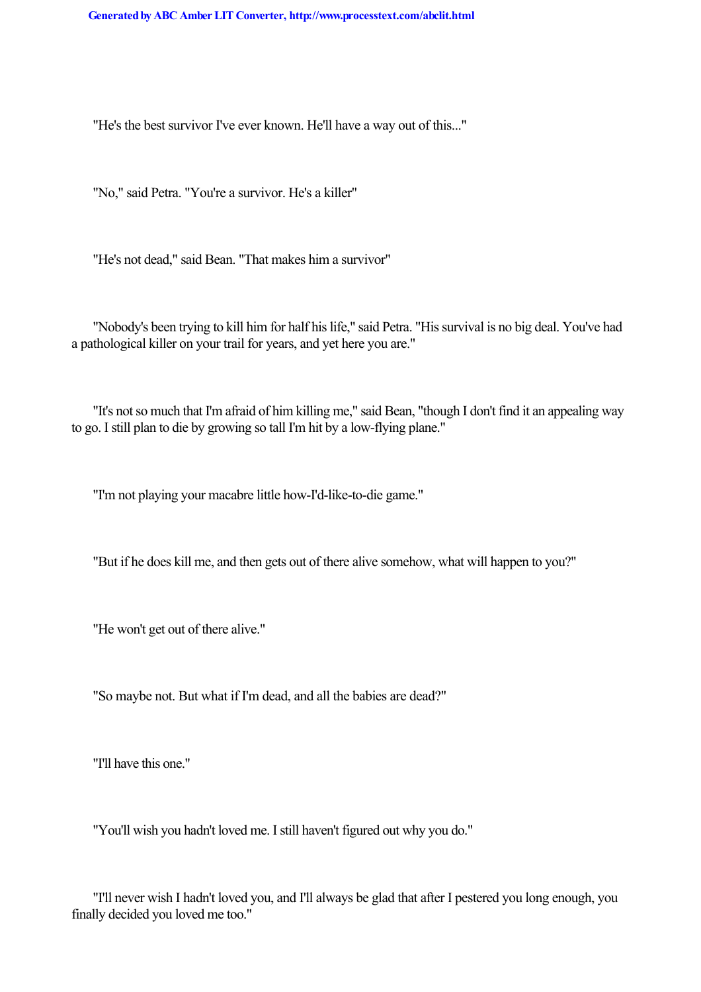"He's the best survivor I've ever known. He'll have a way out of this..."

"No," said Petra. "You're a survivor. He's a killer"

"He's not dead," said Bean. "That makes him a survivor"

 "Nobody's been trying to kill him for half his life," said Petra. "His survival is no big deal. You've had a pathological killer on your trail for years, and yet here you are."

 "It's not so much that I'm afraid of him killing me," said Bean, "though I don't find it an appealing way to go. I still plan to die by growing so tall I'm hit by a low-flying plane."

"I'm not playing your macabre little how-I'd-like-to-die game."

"But if he does kill me, and then gets out of there alive somehow, what will happen to you?"

"He won't get out of there alive."

"So maybe not. But what if I'm dead, and all the babies are dead?"

"I'll have this one."

"You'll wish you hadn't loved me. I still haven't figured out why you do."

 "I'll never wish I hadn't loved you, and I'll always be glad that after I pestered you long enough, you finally decided you loved me too."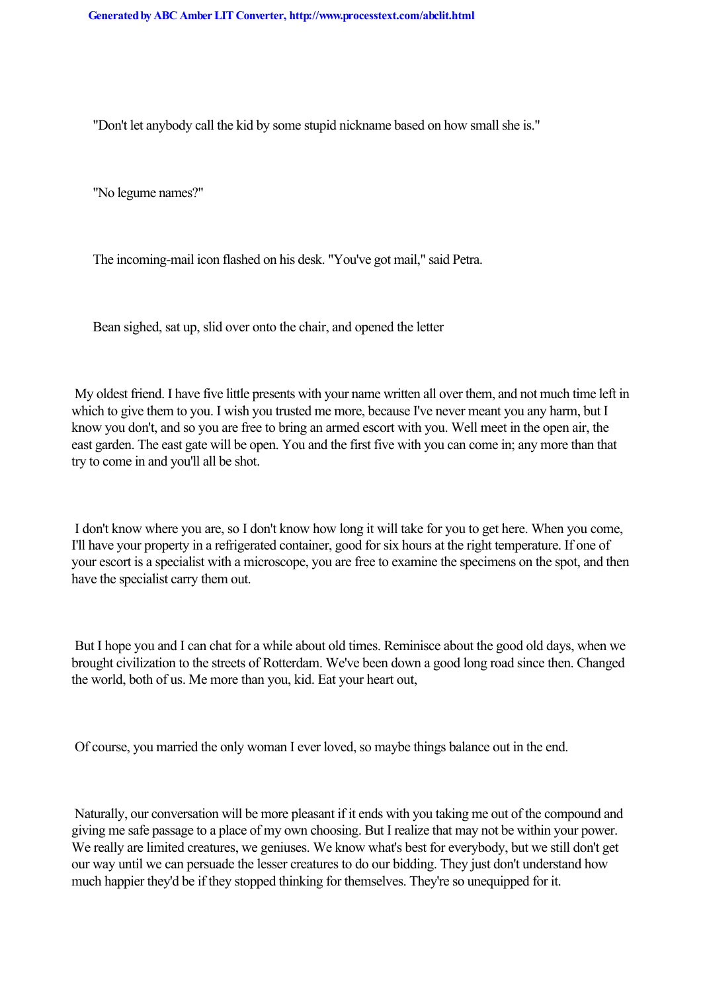"Don't let anybody call the kid by some stupid nickname based on how small she is."

"No legume names?"

The incoming-mail icon flashed on his desk. "You've got mail," said Petra.

Bean sighed, sat up, slid over onto the chair, and opened the letter

 My oldest friend. I have five little presents with your name written all over them, and not much time left in which to give them to you. I wish you trusted me more, because I've never meant you any harm, but I know you don't, and so you are free to bring an armed escort with you. Well meet in the open air, the east garden. The east gate will be open. You and the first five with you can come in; any more than that try to come in and you'll all be shot.

 I don't know where you are, so I don't know how long it will take for you to get here. When you come, I'll have your property in a refrigerated container, good for six hours at the right temperature. If one of your escort is a specialist with a microscope, you are free to examine the specimens on the spot, and then have the specialist carry them out.

 But I hope you and I can chat for a while about old times. Reminisce about the good old days, when we brought civilization to the streets of Rotterdam. We've been down a good long road since then. Changed the world, both of us. Me more than you, kid. Eat your heart out,

Of course, you married the only woman I ever loved, so maybe things balance out in the end.

 Naturally, our conversation will be more pleasant if it ends with you taking me out of the compound and giving me safe passage to a place of my own choosing. But I realize that may not be within your power. We really are limited creatures, we geniuses. We know what's best for everybody, but we still don't get our way until we can persuade the lesser creatures to do our bidding. They just don't understand how much happier they'd be if they stopped thinking for themselves. They're so unequipped for it.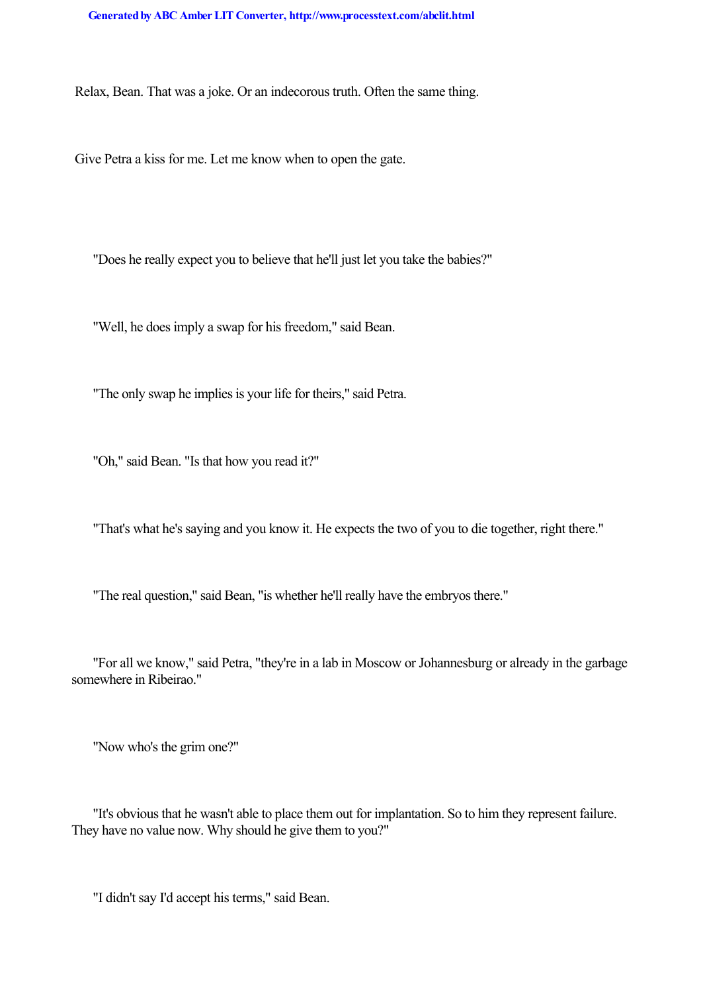Relax, Bean. That was a joke. Or an indecorous truth. Often the same thing.

Give Petra a kiss for me. Let me know when to open the gate.

"Does he really expect you to believe that he'll just let you take the babies?"

"Well, he does imply a swap for his freedom," said Bean.

"The only swap he implies is your life for theirs," said Petra.

"Oh," said Bean. "Is that how you read it?"

"That's what he's saying and you know it. He expects the two of you to die together, right there."

"The real question," said Bean, "is whether he'll really have the embryos there."

 "For all we know," said Petra, "they're in a lab in Moscow or Johannesburg or already in the garbage somewhere in Ribeirao."

"Now who's the grim one?"

 "It's obvious that he wasn't able to place them out for implantation. So to him they represent failure. They have no value now. Why should he give them to you?"

"I didn't say I'd accept his terms," said Bean.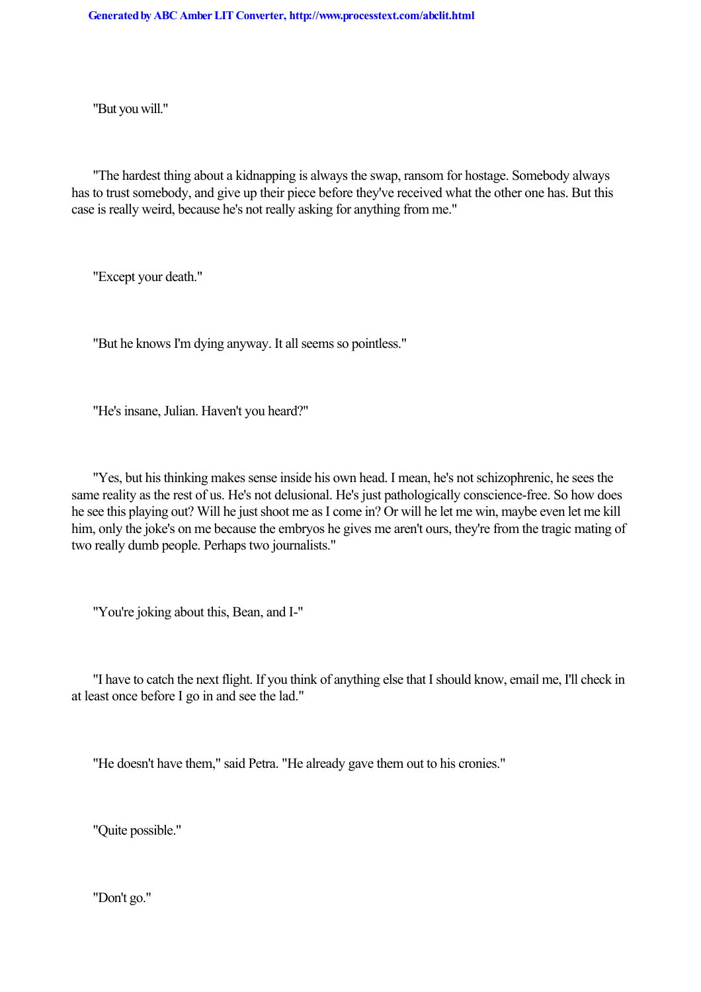"But you will."

 "The hardest thing about a kidnapping is always the swap, ransom for hostage. Somebody always has to trust somebody, and give up their piece before they've received what the other one has. But this case is really weird, because he's not really asking for anything from me."

"Except your death."

"But he knows I'm dying anyway. It all seems so pointless."

"He's insane, Julian. Haven't you heard?"

 "Yes, but his thinking makes sense inside his own head. I mean, he's not schizophrenic, he sees the same reality as the rest of us. He's not delusional. He's just pathologically conscience-free. So how does he see this playing out? Will he just shoot me as I come in? Or will he let me win, maybe even let me kill him, only the joke's on me because the embryos he gives me aren't ours, they're from the tragic mating of two really dumb people. Perhaps two journalists."

"You're joking about this, Bean, and I-"

 "I have to catch the next flight. If you think of anything else that I should know, email me, I'll check in at least once before I go in and see the lad."

"He doesn't have them," said Petra. "He already gave them out to his cronies."

"Quite possible."

"Don't go."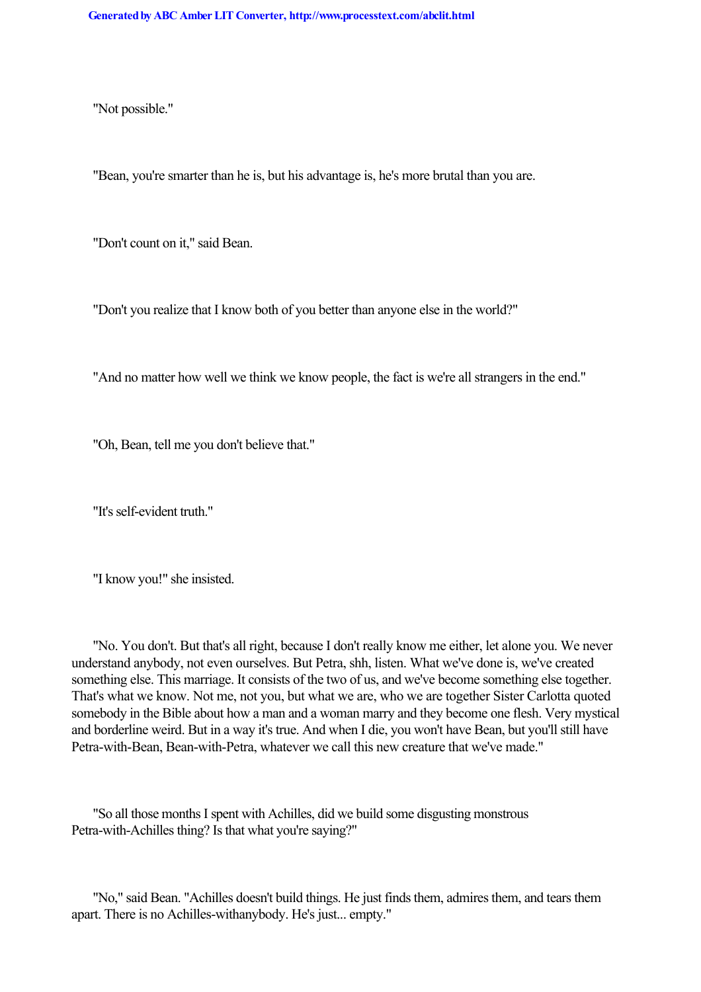"Not possible."

"Bean, you're smarter than he is, but his advantage is, he's more brutal than you are.

"Don't count on it," said Bean.

"Don't you realize that I know both of you better than anyone else in the world?"

"And no matter how well we think we know people, the fact is we're all strangers in the end."

"Oh, Bean, tell me you don't believe that."

"It's self-evident truth."

"I know you!" she insisted.

 "No. You don't. But that's all right, because I don't really know me either, let alone you. We never understand anybody, not even ourselves. But Petra, shh, listen. What we've done is, we've created something else. This marriage. It consists of the two of us, and we've become something else together. That's what we know. Not me, not you, but what we are, who we are together Sister Carlotta quoted somebody in the Bible about how a man and a woman marry and they become one flesh. Very mystical and borderline weird. But in a way it's true. And when I die, you won't have Bean, but you'll still have Petra-with-Bean, Bean-with-Petra, whatever we call this new creature that we've made."

 "So all those months I spent with Achilles, did we build some disgusting monstrous Petra-with-Achilles thing? Is that what you're saying?"

 "No," said Bean. "Achilles doesn't build things. He just finds them, admires them, and tears them apart. There is no Achilles-withanybody. He's just... empty."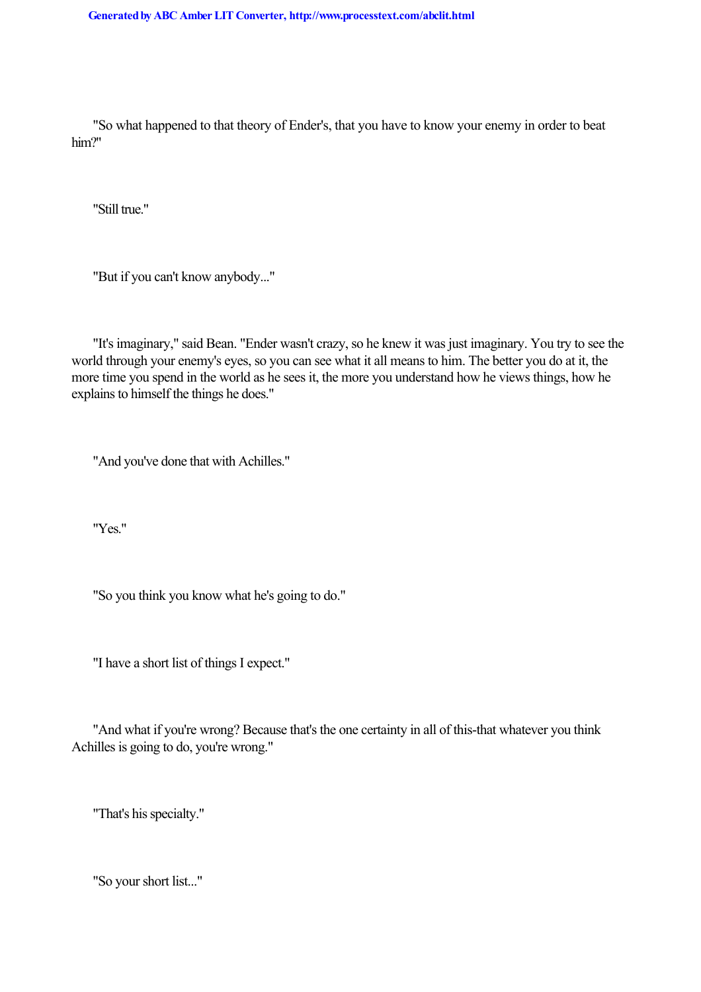"So what happened to that theory of Ender's, that you have to know your enemy in order to beat him?"

"Still true."

"But if you can't know anybody..."

 "It's imaginary," said Bean. "Ender wasn't crazy, so he knew it was just imaginary. You try to see the world through your enemy's eyes, so you can see what it all means to him. The better you do at it, the more time you spend in the world as he sees it, the more you understand how he views things, how he explains to himself the things he does."

"And you've done that with Achilles."

"Yes."

"So you think you know what he's going to do."

"I have a short list of things I expect."

"And what if you're wrong? Because that's the one certainty in all of this-that whatever you think Achilles is going to do, you're wrong."

"That's his specialty."

"So your short list..."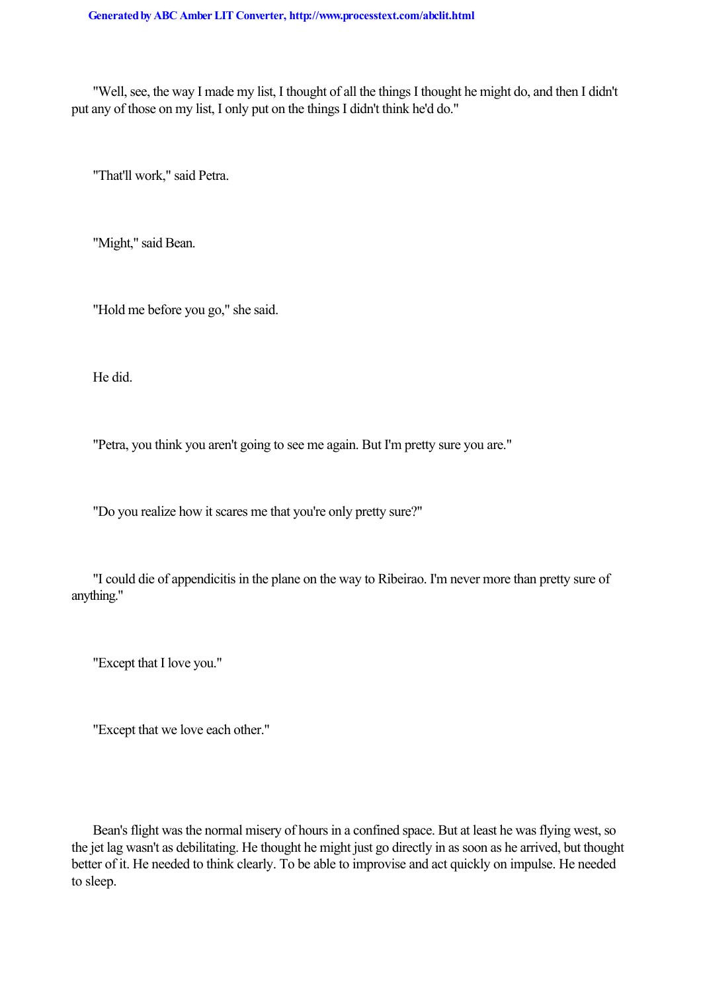"Well, see, the way I made my list, I thought of all the things I thought he might do, and then I didn't put any of those on my list, I only put on the things I didn't think he'd do."

"That'll work," said Petra.

"Might," said Bean.

"Hold me before you go," she said.

He did.

"Petra, you think you aren't going to see me again. But I'm pretty sure you are."

"Do you realize how it scares me that you're only pretty sure?"

 "I could die of appendicitis in the plane on the way to Ribeirao. I'm never more than pretty sure of anything."

"Except that I love you."

"Except that we love each other."

 Bean's flight was the normal misery of hours in a confined space. But at least he was flying west, so the jet lag wasn't as debilitating. He thought he might just go directly in as soon as he arrived, but thought better of it. He needed to think clearly. To be able to improvise and act quickly on impulse. He needed to sleep.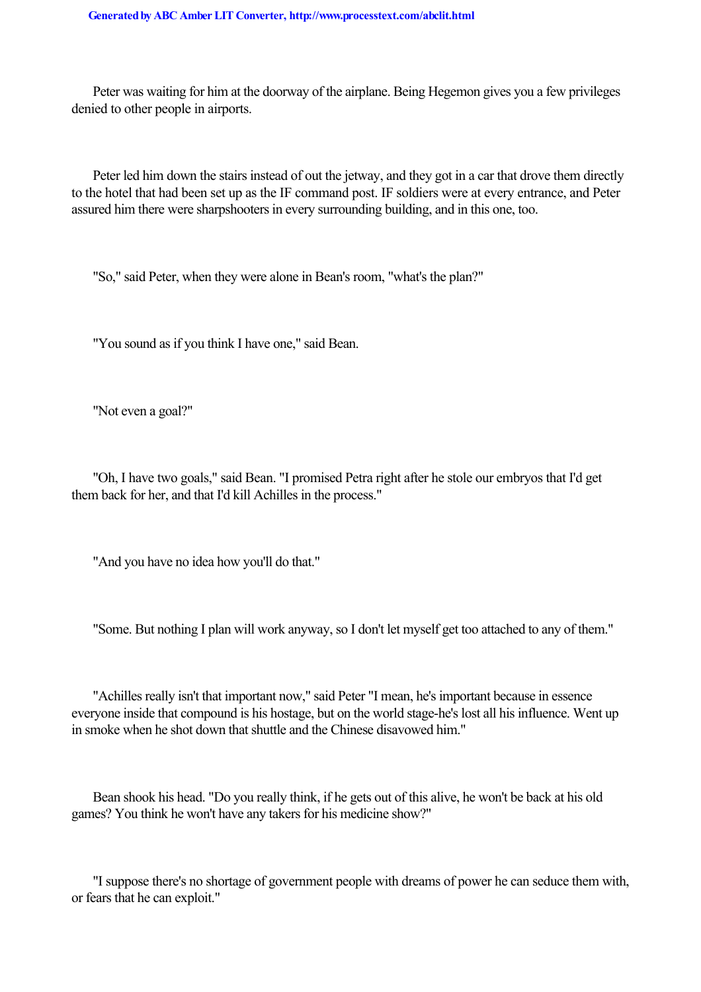Peter was waiting for him at the doorway of the airplane. Being Hegemon gives you a few privileges denied to other people in airports.

 Peter led him down the stairs instead of out the jetway, and they got in a car that drove them directly to the hotel that had been set up as the IF command post. IF soldiers were at every entrance, and Peter assured him there were sharpshooters in every surrounding building, and in this one, too.

"So," said Peter, when they were alone in Bean's room, "what's the plan?"

"You sound as if you think I have one," said Bean.

"Not even a goal?"

 "Oh, I have two goals," said Bean. "I promised Petra right after he stole our embryos that I'd get them back for her, and that I'd kill Achilles in the process."

"And you have no idea how you'll do that."

"Some. But nothing I plan will work anyway, so I don't let myself get too attached to any of them."

 "Achilles really isn't that important now," said Peter "I mean, he's important because in essence everyone inside that compound is his hostage, but on the world stage-he's lost all his influence. Went up in smoke when he shot down that shuttle and the Chinese disavowed him."

 Bean shook his head. "Do you really think, if he gets out of this alive, he won't be back at his old games? You think he won't have any takers for his medicine show?"

 "I suppose there's no shortage of government people with dreams of power he can seduce them with, or fears that he can exploit."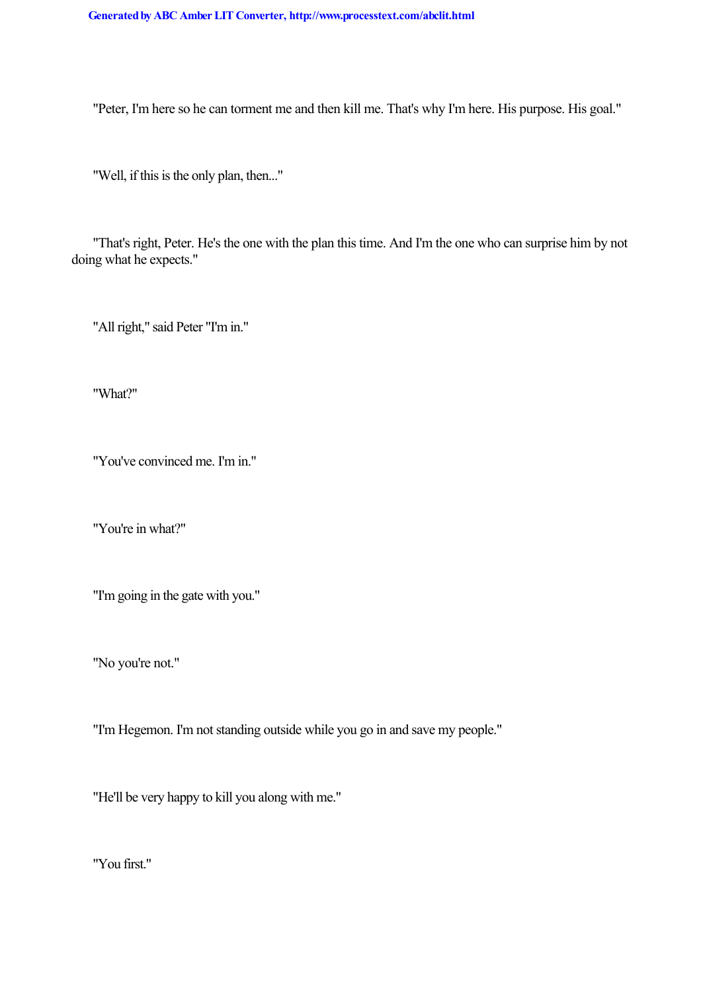"Peter, I'm here so he can torment me and then kill me. That's why I'm here. His purpose. His goal."

"Well, if this is the only plan, then..."

 "That's right, Peter. He's the one with the plan this time. And I'm the one who can surprise him by not doing what he expects."

"All right," said Peter "I'm in."

"What?"

"You've convinced me. I'm in."

"You're in what?"

"I'm going in the gate with you."

"No you're not."

"I'm Hegemon. I'm not standing outside while you go in and save my people."

"He'll be very happy to kill you along with me."

"You first."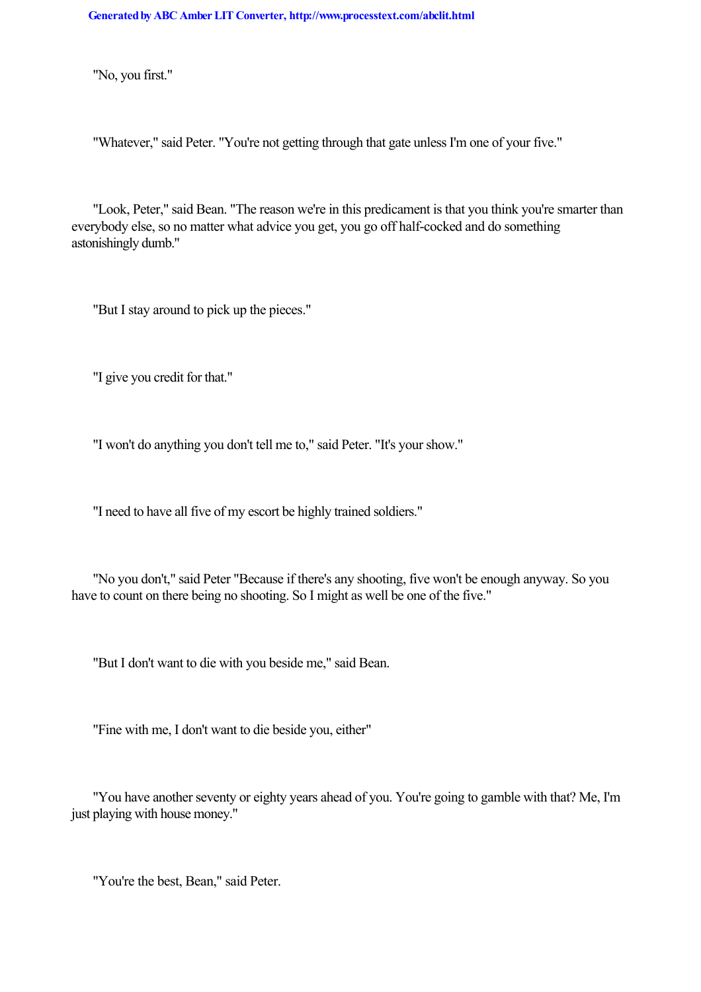"No, you first."

"Whatever," said Peter. "You're not getting through that gate unless I'm one of your five."

 "Look, Peter," said Bean. "The reason we're in this predicament is that you think you're smarter than everybody else, so no matter what advice you get, you go off half-cocked and do something astonishingly dumb."

"But I stay around to pick up the pieces."

"I give you credit for that."

"I won't do anything you don't tell me to," said Peter. "It's your show."

"I need to have all five of my escort be highly trained soldiers."

 "No you don't," said Peter "Because if there's any shooting, five won't be enough anyway. So you have to count on there being no shooting. So I might as well be one of the five."

"But I don't want to die with you beside me," said Bean.

"Fine with me, I don't want to die beside you, either"

 "You have another seventy or eighty years ahead of you. You're going to gamble with that? Me, I'm just playing with house money."

"You're the best, Bean," said Peter.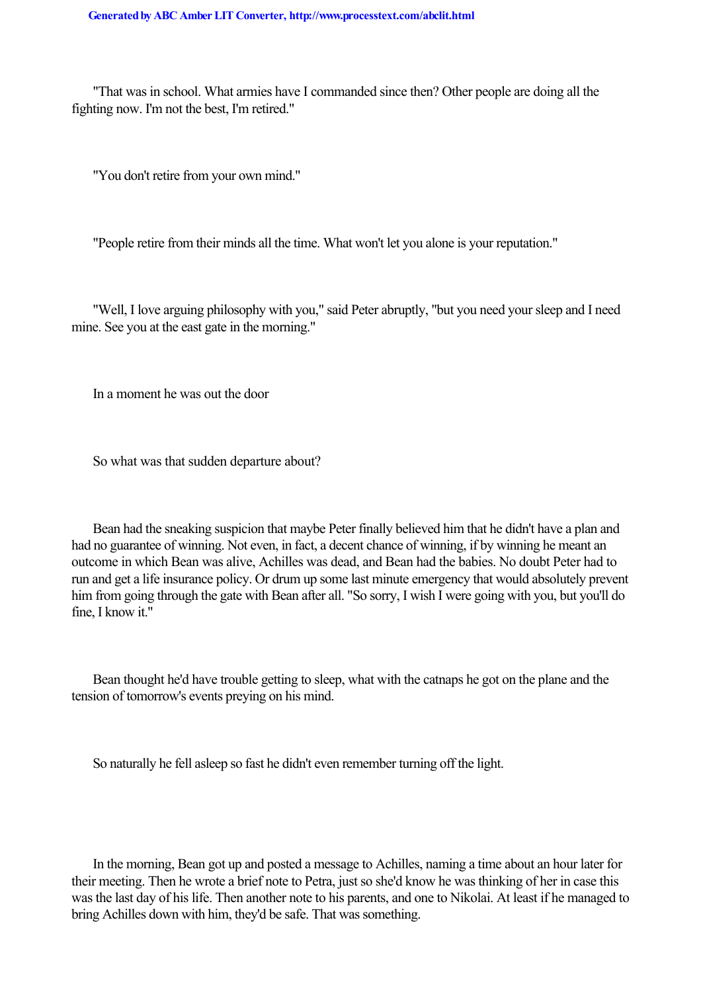"That was in school. What armies have I commanded since then? Other people are doing all the fighting now. I'm not the best, I'm retired."

"You don't retire from your own mind."

"People retire from their minds all the time. What won't let you alone is your reputation."

 "Well, I love arguing philosophy with you," said Peter abruptly, "but you need your sleep and I need mine. See you at the east gate in the morning."

In a moment he was out the door

So what was that sudden departure about?

 Bean had the sneaking suspicion that maybe Peter finally believed him that he didn't have a plan and had no guarantee of winning. Not even, in fact, a decent chance of winning, if by winning he meant an outcome in which Bean was alive, Achilles was dead, and Bean had the babies. No doubt Peter had to run and get a life insurance policy. Or drum up some last minute emergency that would absolutely prevent him from going through the gate with Bean after all. "So sorry, I wish I were going with you, but you'll do fine, I know it."

 Bean thought he'd have trouble getting to sleep, what with the catnaps he got on the plane and the tension of tomorrow's events preying on his mind.

So naturally he fell asleep so fast he didn't even remember turning off the light.

 In the morning, Bean got up and posted a message to Achilles, naming a time about an hour later for their meeting. Then he wrote a brief note to Petra, just so she'd know he was thinking of her in case this was the last day of his life. Then another note to his parents, and one to Nikolai. At least if he managed to bring Achilles down with him, they'd be safe. That was something.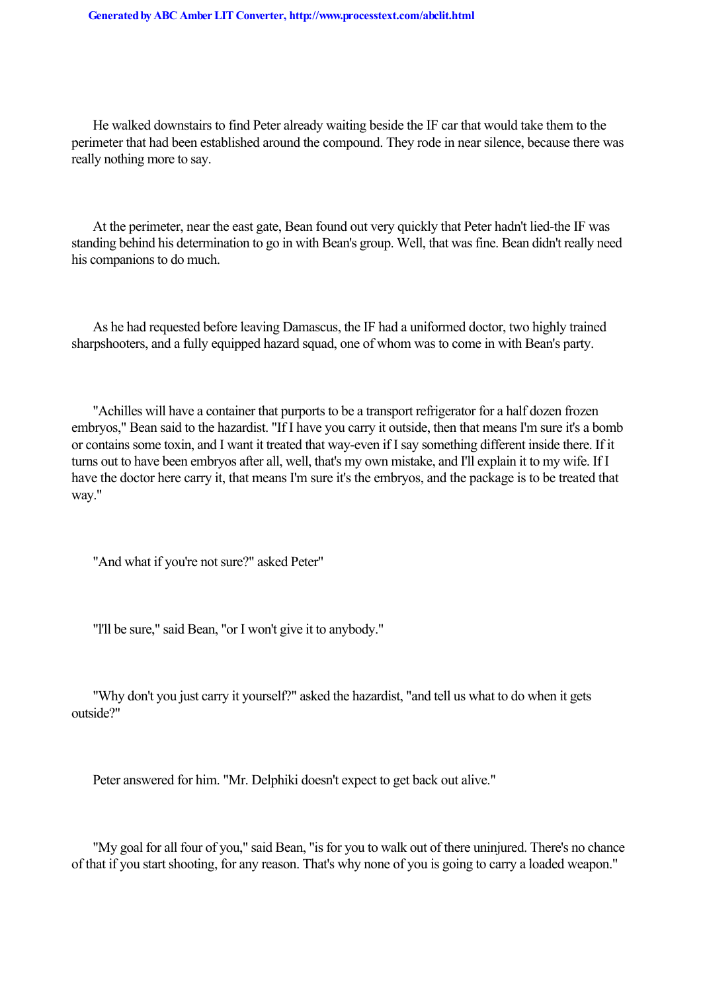He walked downstairs to find Peter already waiting beside the IF car that would take them to the perimeter that had been established around the compound. They rode in near silence, because there was really nothing more to say.

 At the perimeter, near the east gate, Bean found out very quickly that Peter hadn't lied-the IF was standing behind his determination to go in with Bean's group. Well, that was fine. Bean didn't really need his companions to do much.

 As he had requested before leaving Damascus, the IF had a uniformed doctor, two highly trained sharpshooters, and a fully equipped hazard squad, one of whom was to come in with Bean's party.

 "Achilles will have a container that purports to be a transport refrigerator for a half dozen frozen embryos," Bean said to the hazardist. "If I have you carry it outside, then that means I'm sure it's a bomb or contains some toxin, and I want it treated that way-even if I say something different inside there. If it turns out to have been embryos after all, well, that's my own mistake, and I'll explain it to my wife. If I have the doctor here carry it, that means I'm sure it's the embryos, and the package is to be treated that way."

"And what if you're not sure?" asked Peter"

"l'll be sure," said Bean, "or I won't give it to anybody."

 "Why don't you just carry it yourself?" asked the hazardist, "and tell us what to do when it gets outside?"

Peter answered for him. "Mr. Delphiki doesn't expect to get back out alive."

 "My goal for all four of you," said Bean, "is for you to walk out of there uninjured. There's no chance of that if you start shooting, for any reason. That's why none of you is going to carry a loaded weapon."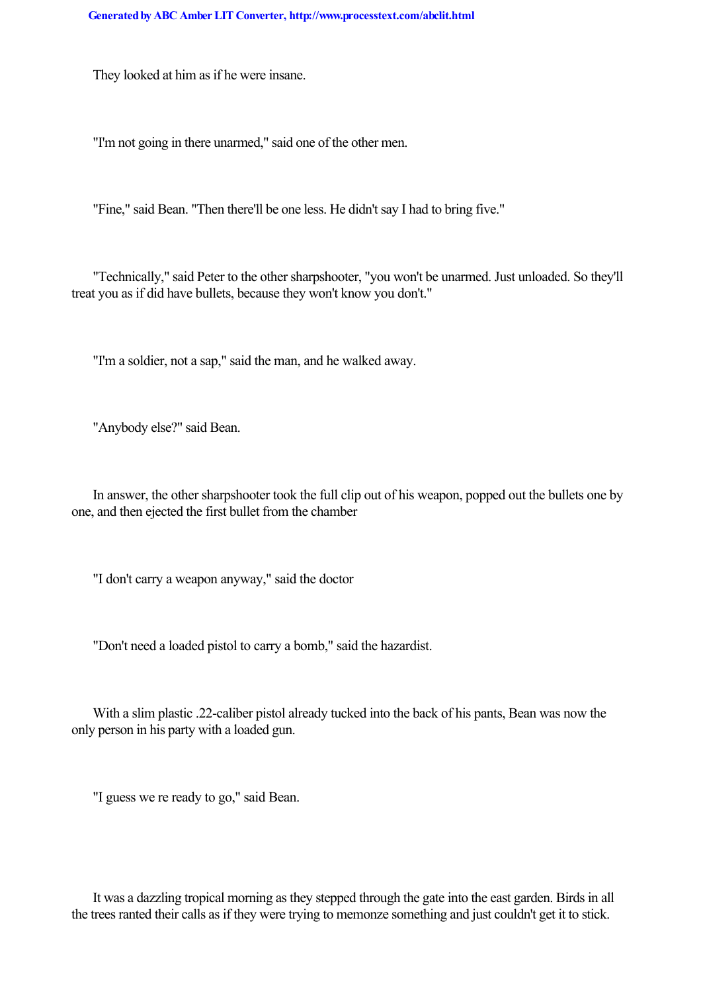They looked at him as if he were insane.

"I'm not going in there unarmed," said one of the other men.

"Fine," said Bean. "Then there'll be one less. He didn't say I had to bring five."

 "Technically," said Peter to the other sharpshooter, "you won't be unarmed. Just unloaded. So they'll treat you as if did have bullets, because they won't know you don't."

"I'm a soldier, not a sap," said the man, and he walked away.

"Anybody else?" said Bean.

 In answer, the other sharpshooter took the full clip out of his weapon, popped out the bullets one by one, and then ejected the first bullet from the chamber

"I don't carry a weapon anyway," said the doctor

"Don't need a loaded pistol to carry a bomb," said the hazardist.

 With a slim plastic .22-caliber pistol already tucked into the back of his pants, Bean was now the only person in his party with a loaded gun.

"I guess we re ready to go," said Bean.

 It was a dazzling tropical morning as they stepped through the gate into the east garden. Birds in all the trees ranted their calls as if they were trying to memonze something and just couldn't get it to stick.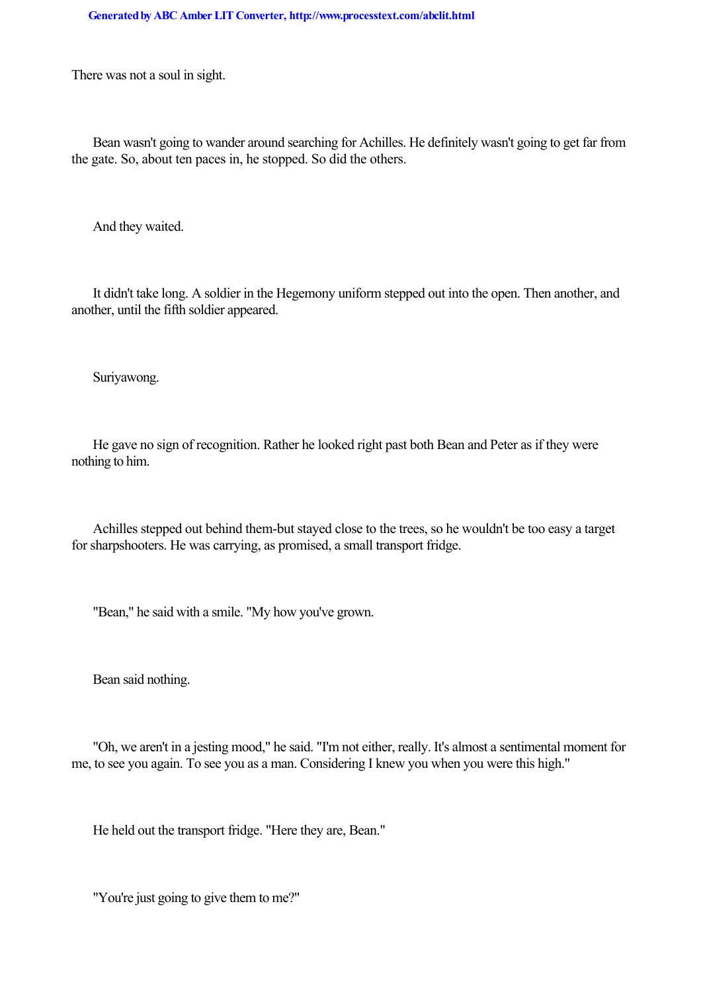There was not a soul in sight.

 Bean wasn't going to wander around searching for Achilles. He definitely wasn't going to get far from the gate. So, about ten paces in, he stopped. So did the others.

And they waited.

 It didn't take long. A soldier in the Hegemony uniform stepped out into the open. Then another, and another, until the fifth soldier appeared.

Suriyawong.

 He gave no sign of recognition. Rather he looked right past both Bean and Peter as if they were nothing to him.

 Achilles stepped out behind them-but stayed close to the trees, so he wouldn't be too easy a target for sharpshooters. He was carrying, as promised, a small transport fridge.

"Bean," he said with a smile. "My how you've grown.

Bean said nothing.

 "Oh, we aren't in a jesting mood," he said. "I'm not either, really. It's almost a sentimental moment for me, to see you again. To see you as a man. Considering I knew you when you were this high."

He held out the transport fridge. "Here they are, Bean."

"You're just going to give them to me?"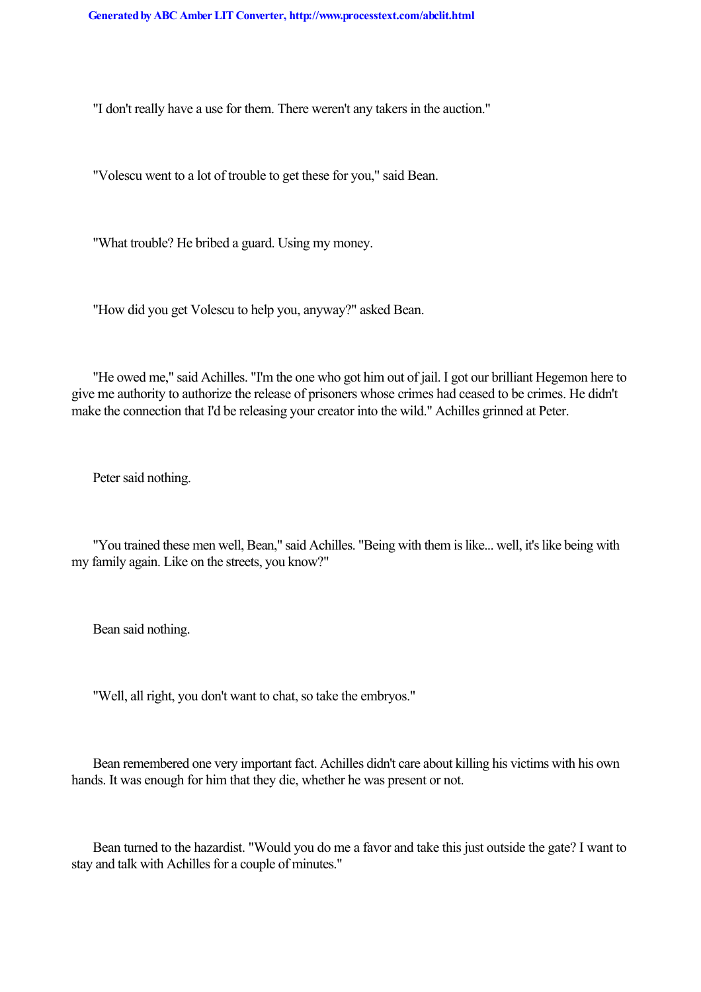"I don't really have a use for them. There weren't any takers in the auction."

"Volescu went to a lot of trouble to get these for you," said Bean.

"What trouble? He bribed a guard. Using my money.

"How did you get Volescu to help you, anyway?" asked Bean.

 "He owed me," said Achilles. "I'm the one who got him out of jail. I got our brilliant Hegemon here to give me authority to authorize the release of prisoners whose crimes had ceased to be crimes. He didn't make the connection that I'd be releasing your creator into the wild." Achilles grinned at Peter.

Peter said nothing.

 "You trained these men well, Bean," said Achilles. "Being with them is like... well, it's like being with my family again. Like on the streets, you know?"

Bean said nothing.

"Well, all right, you don't want to chat, so take the embryos."

 Bean remembered one very important fact. Achilles didn't care about killing his victims with his own hands. It was enough for him that they die, whether he was present or not.

 Bean turned to the hazardist. "Would you do me a favor and take this just outside the gate? I want to stay and talk with Achilles for a couple of minutes."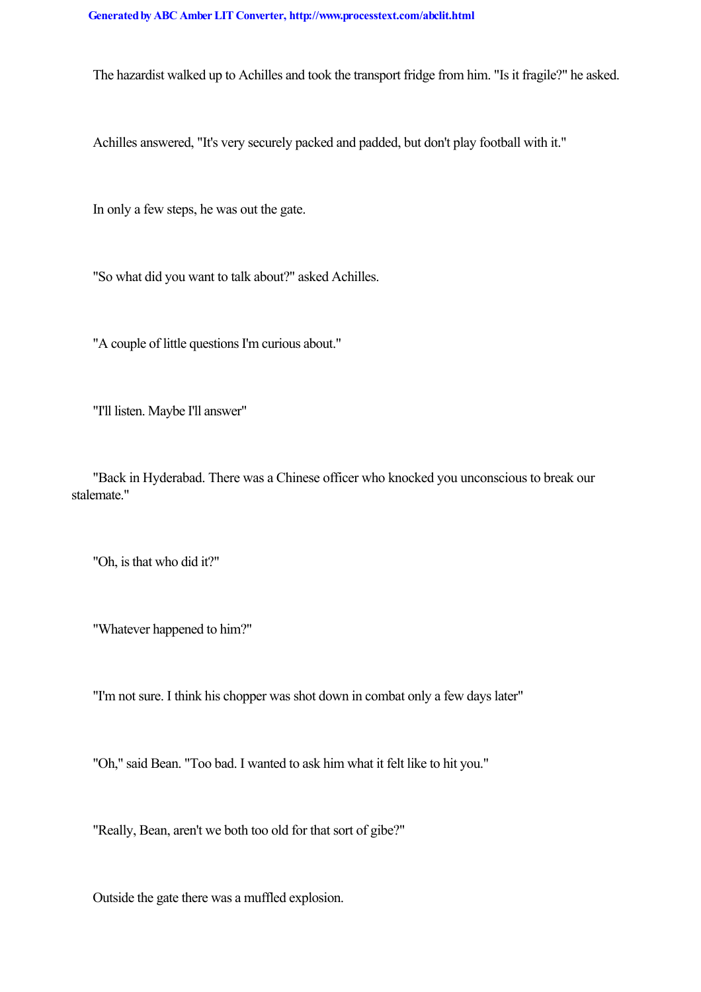The hazardist walked up to Achilles and took the transport fridge from him. "Is it fragile?" he asked.

Achilles answered, "It's very securely packed and padded, but don't play football with it."

In only a few steps, he was out the gate.

"So what did you want to talk about?" asked Achilles.

"A couple of little questions I'm curious about."

"I'll listen. Maybe I'll answer"

 "Back in Hyderabad. There was a Chinese officer who knocked you unconscious to break our stalemate."

"Oh, is that who did it?"

"Whatever happened to him?"

"I'm not sure. I think his chopper was shot down in combat only a few days later"

"Oh," said Bean. "Too bad. I wanted to ask him what it felt like to hit you."

"Really, Bean, aren't we both too old for that sort of gibe?"

Outside the gate there was a muffled explosion.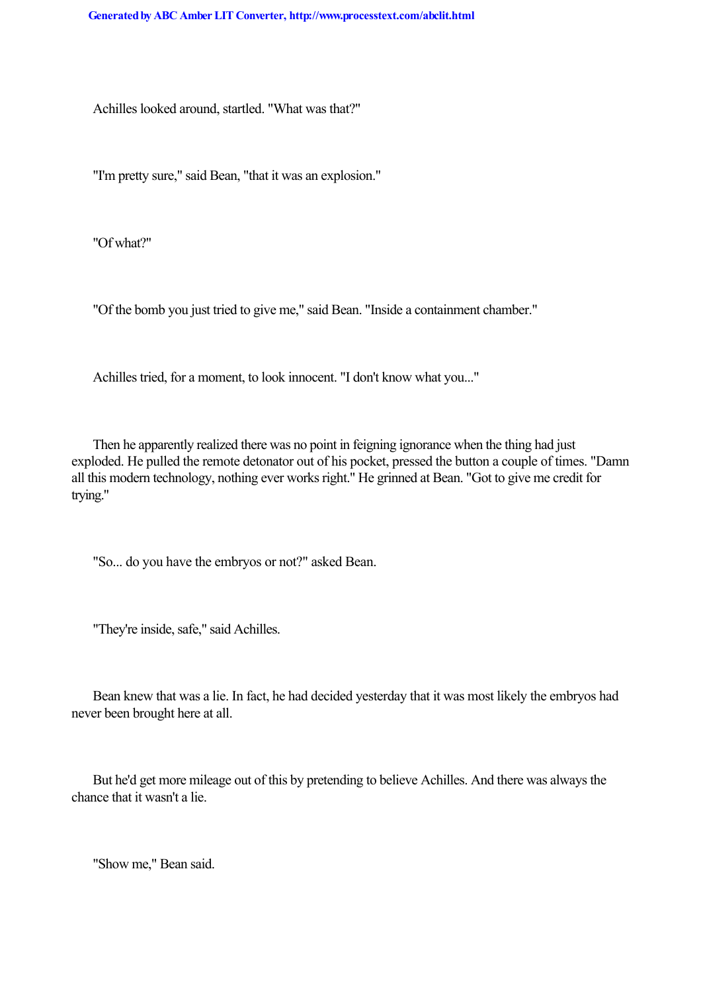Achilles looked around, startled. "What was that?"

"I'm pretty sure," said Bean, "that it was an explosion."

"Of what?"

"Of the bomb you just tried to give me," said Bean. "Inside a containment chamber."

Achilles tried, for a moment, to look innocent. "I don't know what you..."

 Then he apparently realized there was no point in feigning ignorance when the thing had just exploded. He pulled the remote detonator out of his pocket, pressed the button a couple of times. "Damn all this modern technology, nothing ever works right." He grinned at Bean. "Got to give me credit for trying."

"So... do you have the embryos or not?" asked Bean.

"They're inside, safe," said Achilles.

 Bean knew that was a lie. In fact, he had decided yesterday that it was most likely the embryos had never been brought here at all.

 But he'd get more mileage out of this by pretending to believe Achilles. And there was always the chance that it wasn't a lie.

"Show me," Bean said.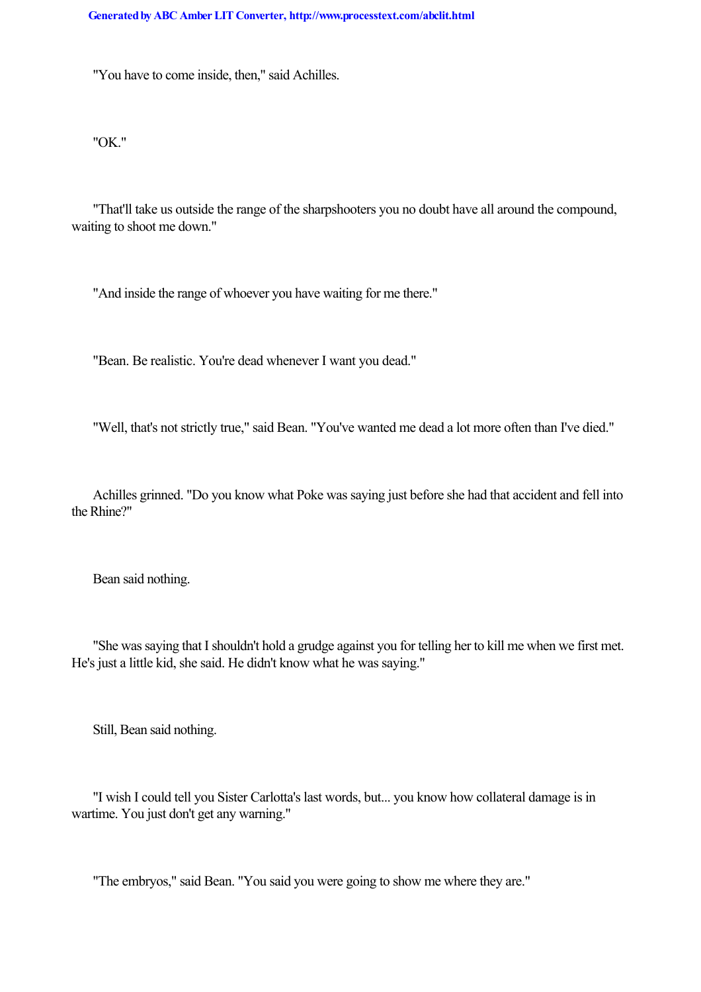"You have to come inside, then," said Achilles.

"OK."

 "That'll take us outside the range of the sharpshooters you no doubt have all around the compound, waiting to shoot me down."

"And inside the range of whoever you have waiting for me there."

"Bean. Be realistic. You're dead whenever I want you dead."

"Well, that's not strictly true," said Bean. "You've wanted me dead a lot more often than I've died."

 Achilles grinned. "Do you know what Poke was saying just before she had that accident and fell into the Rhine?"

Bean said nothing.

 "She was saying that I shouldn't hold a grudge against you for telling her to kill me when we first met. He's just a little kid, she said. He didn't know what he was saying."

Still, Bean said nothing.

 "I wish I could tell you Sister Carlotta's last words, but... you know how collateral damage is in wartime. You just don't get any warning."

"The embryos," said Bean. "You said you were going to show me where they are."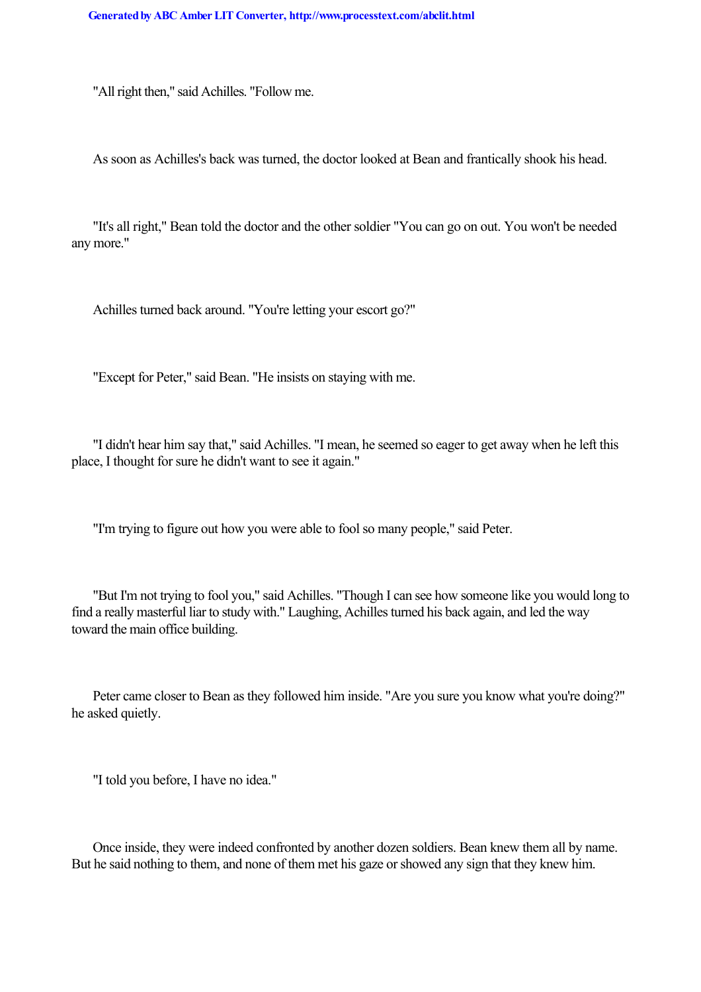"All right then," said Achilles. "Follow me.

As soon as Achilles's back was turned, the doctor looked at Bean and frantically shook his head.

 "It's all right," Bean told the doctor and the other soldier "You can go on out. You won't be needed any more."

Achilles turned back around. "You're letting your escort go?"

"Except for Peter," said Bean. "He insists on staying with me.

 "I didn't hear him say that," said Achilles. "I mean, he seemed so eager to get away when he left this place, I thought for sure he didn't want to see it again."

"I'm trying to figure out how you were able to fool so many people," said Peter.

 "But I'm not trying to fool you," said Achilles. "Though I can see how someone like you would long to find a really masterful liar to study with." Laughing, Achilles turned his back again, and led the way toward the main office building.

Peter came closer to Bean as they followed him inside. "Are you sure you know what you're doing?" he asked quietly.

"I told you before, I have no idea."

 Once inside, they were indeed confronted by another dozen soldiers. Bean knew them all by name. But he said nothing to them, and none of them met his gaze or showed any sign that they knew him.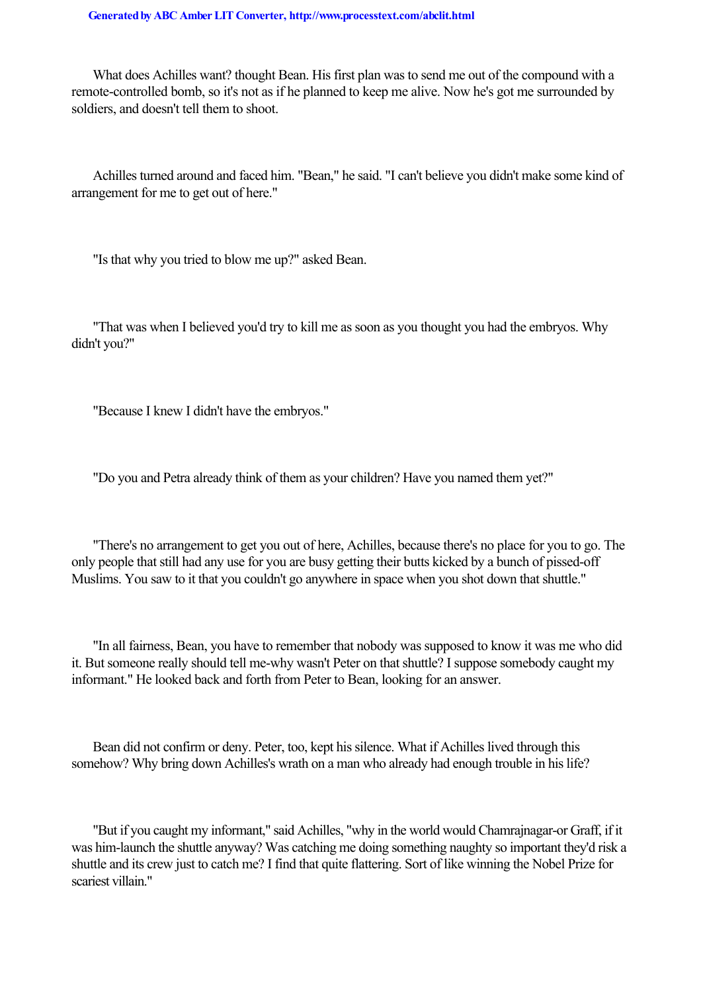What does Achilles want? thought Bean. His first plan was to send me out of the compound with a remote-controlled bomb, so it's not as if he planned to keep me alive. Now he's got me surrounded by soldiers, and doesn't tell them to shoot.

 Achilles turned around and faced him. "Bean," he said. "I can't believe you didn't make some kind of arrangement for me to get out of here."

"Is that why you tried to blow me up?" asked Bean.

 "That was when I believed you'd try to kill me as soon as you thought you had the embryos. Why didn't you?"

"Because I knew I didn't have the embryos."

"Do you and Petra already think of them as your children? Have you named them yet?"

 "There's no arrangement to get you out of here, Achilles, because there's no place for you to go. The only people that still had any use for you are busy getting their butts kicked by a bunch of pissed-off Muslims. You saw to it that you couldn't go anywhere in space when you shot down that shuttle."

 "In all fairness, Bean, you have to remember that nobody was supposed to know it was me who did it. But someone really should tell me-why wasn't Peter on that shuttle? I suppose somebody caught my informant." He looked back and forth from Peter to Bean, looking for an answer.

 Bean did not confirm or deny. Peter, too, kept his silence. What if Achilles lived through this somehow? Why bring down Achilles's wrath on a man who already had enough trouble in his life?

 "But if you caught my informant," said Achilles, "why in the world would Chamrajnagar-or Graff, if it was him-launch the shuttle anyway? Was catching me doing something naughty so important they'd risk a shuttle and its crew just to catch me? I find that quite flattering. Sort of like winning the Nobel Prize for scariest villain."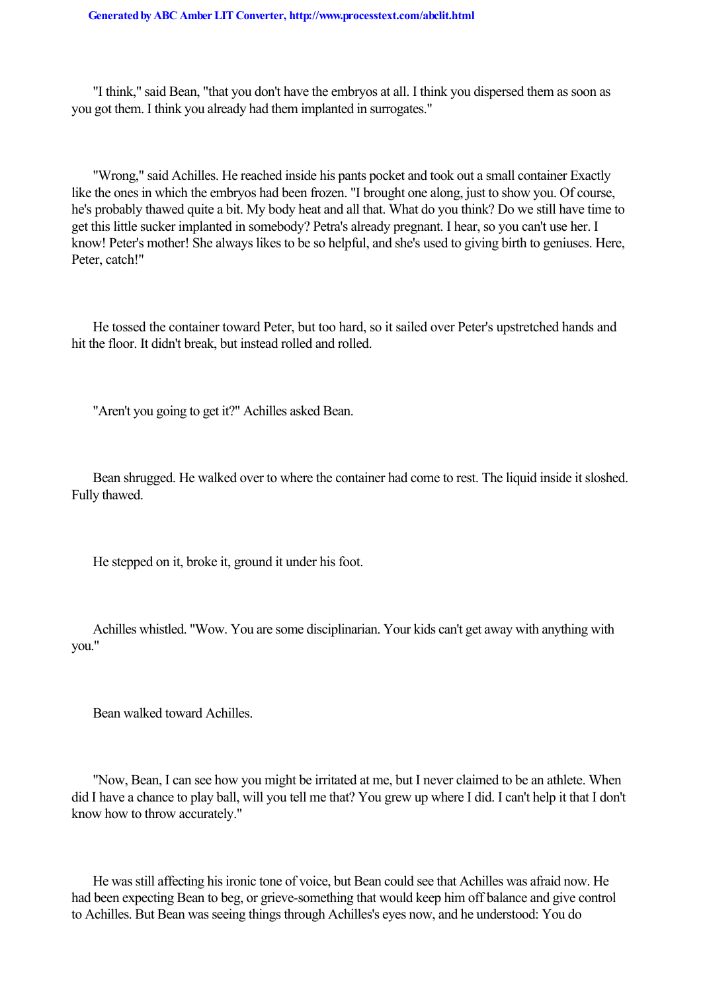"I think," said Bean, "that you don't have the embryos at all. I think you dispersed them as soon as you got them. I think you already had them implanted in surrogates."

 "Wrong," said Achilles. He reached inside his pants pocket and took out a small container Exactly like the ones in which the embryos had been frozen. "I brought one along, just to show you. Of course, he's probably thawed quite a bit. My body heat and all that. What do you think? Do we still have time to get this little sucker implanted in somebody? Petra's already pregnant. I hear, so you can't use her. I know! Peter's mother! She always likes to be so helpful, and she's used to giving birth to geniuses. Here, Peter, catch!"

 He tossed the container toward Peter, but too hard, so it sailed over Peter's upstretched hands and hit the floor. It didn't break, but instead rolled and rolled.

"Aren't you going to get it?" Achilles asked Bean.

 Bean shrugged. He walked over to where the container had come to rest. The liquid inside it sloshed. Fully thawed.

He stepped on it, broke it, ground it under his foot.

 Achilles whistled. "Wow. You are some disciplinarian. Your kids can't get away with anything with you."

Bean walked toward Achilles.

 "Now, Bean, I can see how you might be irritated at me, but I never claimed to be an athlete. When did I have a chance to play ball, will you tell me that? You grew up where I did. I can't help it that I don't know how to throw accurately."

 He was still affecting his ironic tone of voice, but Bean could see that Achilles was afraid now. He had been expecting Bean to beg, or grieve-something that would keep him off balance and give control to Achilles. But Bean was seeing things through Achilles's eyes now, and he understood: You do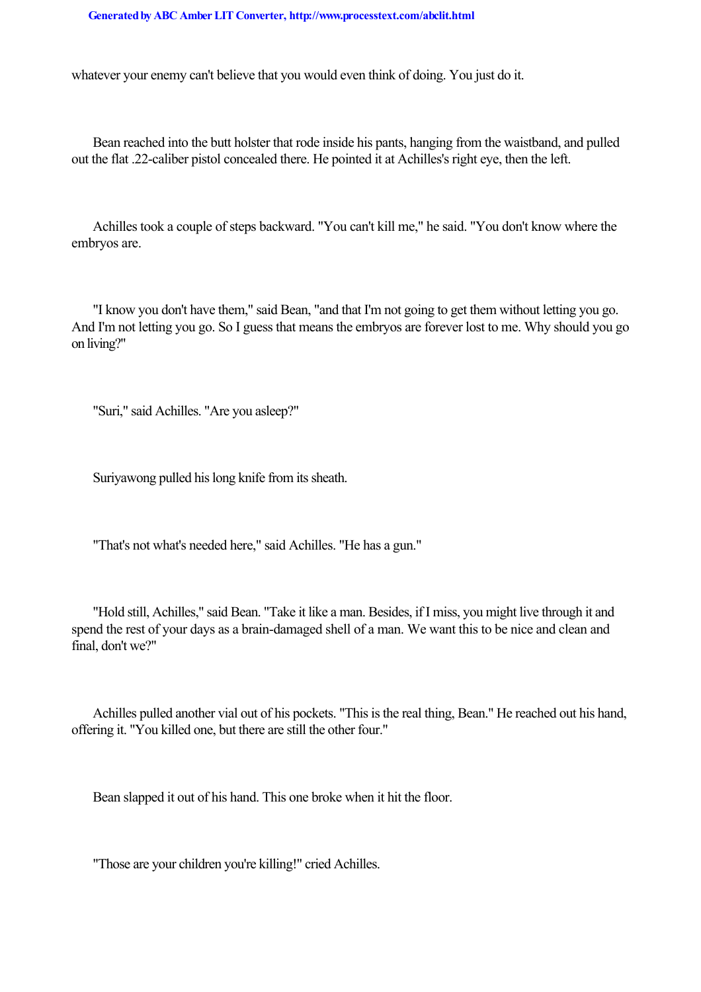whatever your enemy can't believe that you would even think of doing. You just do it.

 Bean reached into the butt holster that rode inside his pants, hanging from the waistband, and pulled out the flat .22-caliber pistol concealed there. He pointed it at Achilles's right eye, then the left.

 Achilles took a couple of steps backward. "You can't kill me," he said. "You don't know where the embryos are.

 "I know you don't have them," said Bean, "and that I'm not going to get them without letting you go. And I'm not letting you go. So I guess that means the embryos are forever lost to me. Why should you go on living?"

"Suri," said Achilles. "Are you asleep?"

Suriyawong pulled his long knife from its sheath.

"That's not what's needed here," said Achilles. "He has a gun."

 "Hold still, Achilles," said Bean. "Take it like a man. Besides, if I miss, you might live through it and spend the rest of your days as a brain-damaged shell of a man. We want this to be nice and clean and final, don't we?"

 Achilles pulled another vial out of his pockets. "This is the real thing, Bean." He reached out his hand, offering it. "You killed one, but there are still the other four."

Bean slapped it out of his hand. This one broke when it hit the floor.

"Those are your children you're killing!" cried Achilles.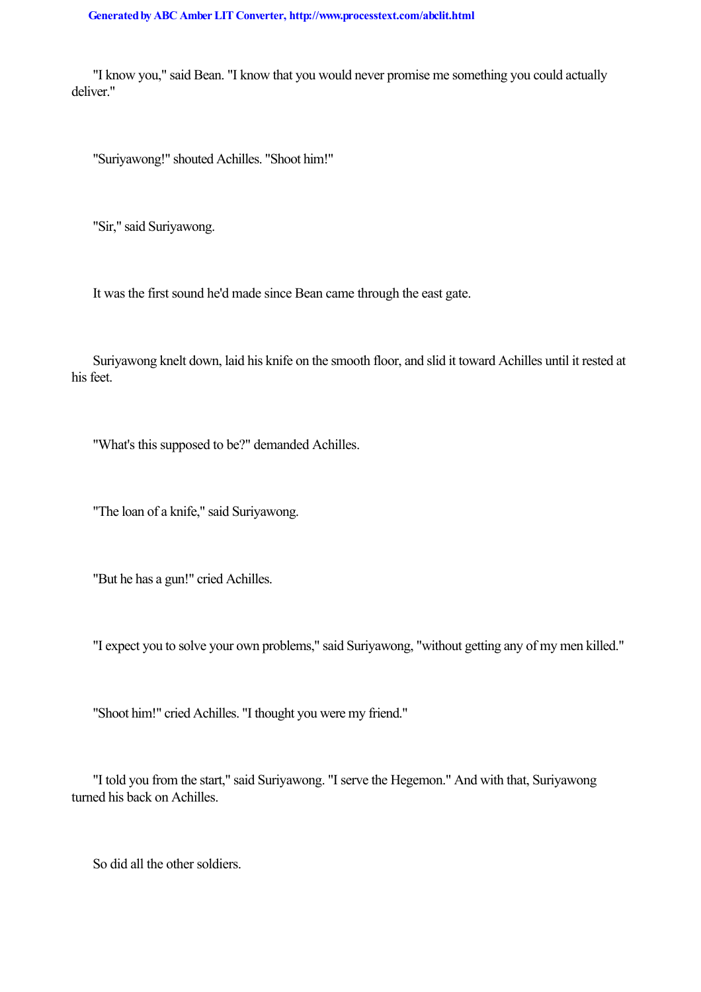"I know you," said Bean. "I know that you would never promise me something you could actually deliver."

"Suriyawong!" shouted Achilles. "Shoot him!"

"Sir," said Suriyawong.

It was the first sound he'd made since Bean came through the east gate.

 Suriyawong knelt down, laid his knife on the smooth floor, and slid it toward Achilles until it rested at his feet.

"What's this supposed to be?" demanded Achilles.

"The loan of a knife," said Suriyawong.

"But he has a gun!" cried Achilles.

"I expect you to solve your own problems," said Suriyawong, "without getting any of my men killed."

"Shoot him!" cried Achilles. "I thought you were my friend."

 "I told you from the start," said Suriyawong. "I serve the Hegemon." And with that, Suriyawong turned his back on Achilles.

So did all the other soldiers.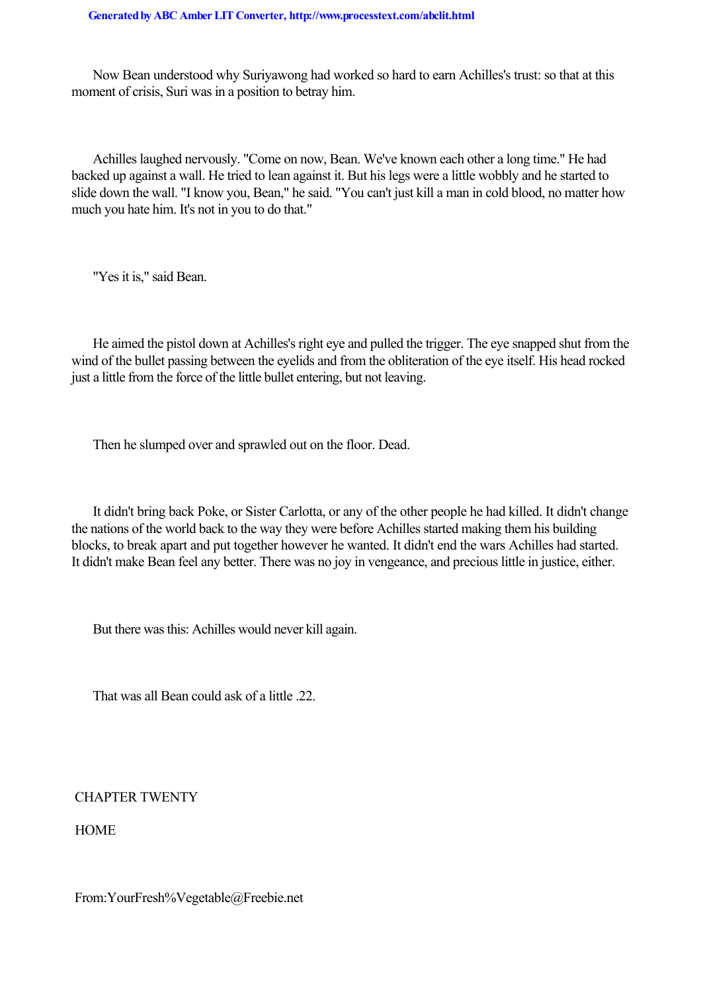Now Bean understood why Suriyawong had worked so hard to earn Achilles's trust: so that at this moment of crisis, Suri was in a position to betray him.

 Achilles laughed nervously. "Come on now, Bean. We've known each other a long time." He had backed up against a wall. He tried to lean against it. But his legs were a little wobbly and he started to slide down the wall. "I know you, Bean," he said. "You can't just kill a man in cold blood, no matter how much you hate him. It's not in you to do that."

"Yes it is," said Bean.

 He aimed the pistol down at Achilles's right eye and pulled the trigger. The eye snapped shut from the wind of the bullet passing between the evelids and from the obliteration of the eve itself. His head rocked just a little from the force of the little bullet entering, but not leaving.

Then he slumped over and sprawled out on the floor. Dead.

 It didn't bring back Poke, or Sister Carlotta, or any of the other people he had killed. It didn't change the nations of the world back to the way they were before Achilles started making them his building blocks, to break apart and put together however he wanted. It didn't end the wars Achilles had started. It didn't make Bean feel any better. There was no joy in vengeance, and precious little in justice, either.

But there was this: Achilles would never kill again.

That was all Bean could ask of a little 22.

CHAPTER TWENTY

**HOME** 

From:YourFresh%Vegetable@Freebie.net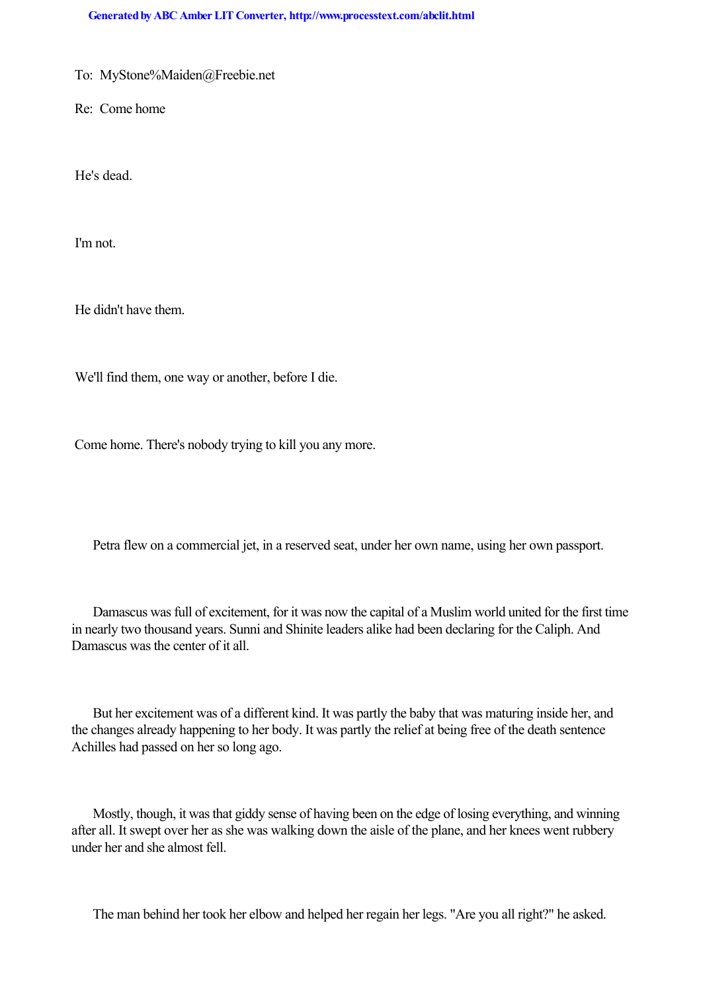To: MyStone%Maiden@Freebie.net

Re: Come home

He's dead.

I'm not.

He didn't have them.

We'll find them, one way or another, before I die.

Come home. There's nobody trying to kill you any more.

Petra flew on a commercial jet, in a reserved seat, under her own name, using her own passport.

 Damascus was full of excitement, for it was now the capital of a Muslim world united for the first time in nearly two thousand years. Sunni and Shinite leaders alike had been declaring for the Caliph. And Damascus was the center of it all.

 But her excitement was of a different kind. It was partly the baby that was maturing inside her, and the changes already happening to her body. It was partly the relief at being free of the death sentence Achilles had passed on her so long ago.

 Mostly, though, it was that giddy sense of having been on the edge of losing everything, and winning after all. It swept over her as she was walking down the aisle of the plane, and her knees went rubbery under her and she almost fell.

The man behind her took her elbow and helped her regain her legs. "Are you all right?" he asked.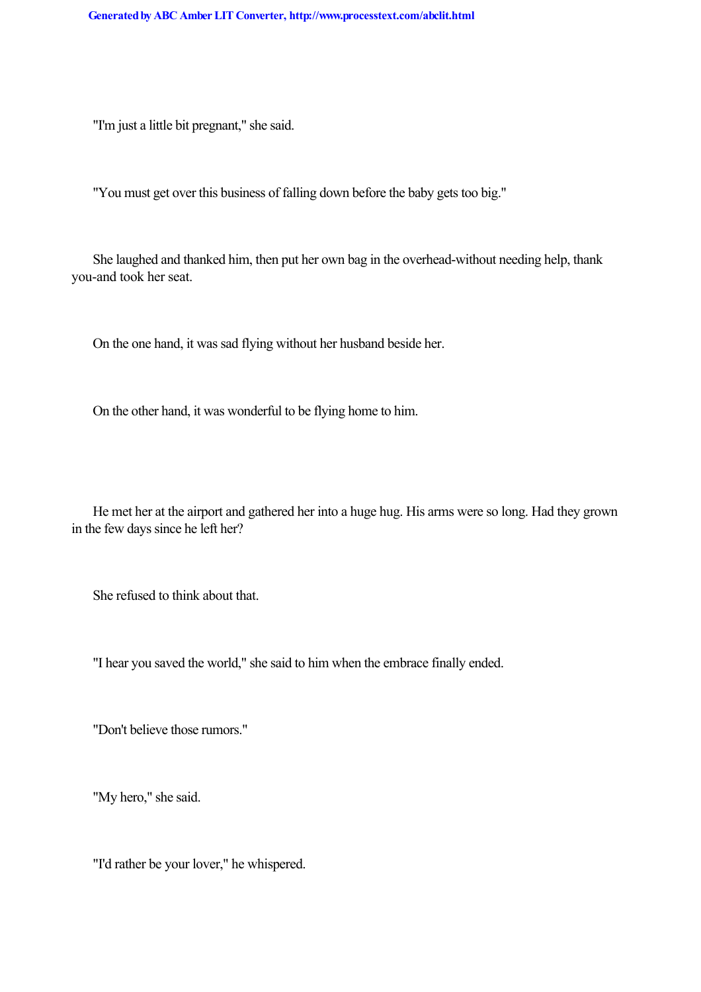"I'm just a little bit pregnant," she said.

"You must get over this business of falling down before the baby gets too big."

 She laughed and thanked him, then put her own bag in the overhead-without needing help, thank you-and took her seat.

On the one hand, it was sad flying without her husband beside her.

On the other hand, it was wonderful to be flying home to him.

 He met her at the airport and gathered her into a huge hug. His arms were so long. Had they grown in the few days since he left her?

She refused to think about that.

"I hear you saved the world," she said to him when the embrace finally ended.

"Don't believe those rumors."

"My hero," she said.

"I'd rather be your lover," he whispered.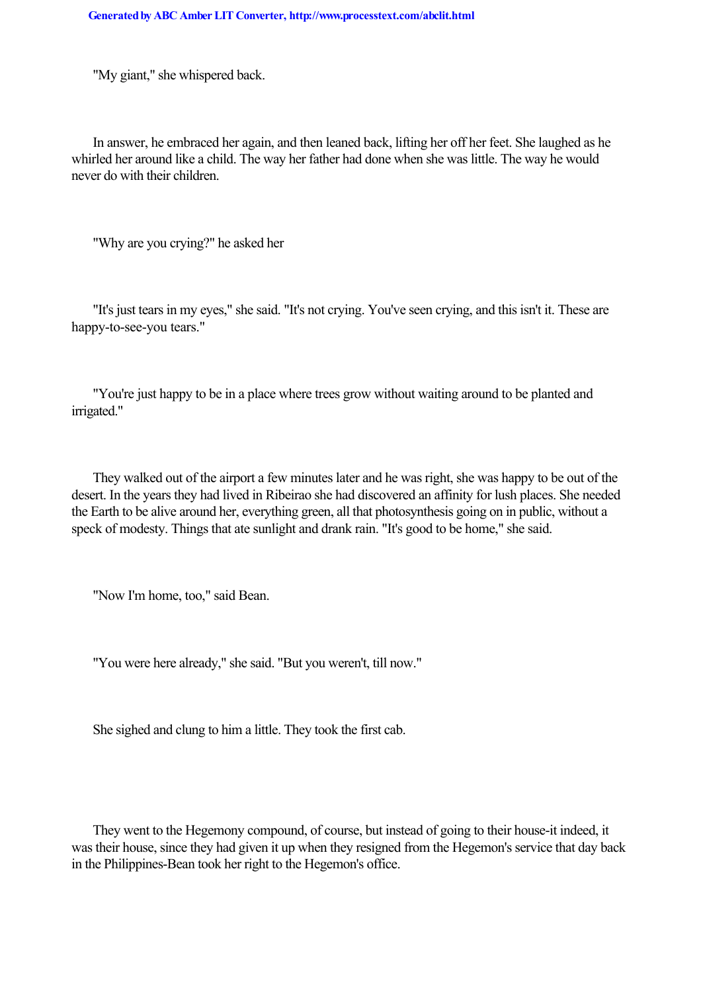"My giant," she whispered back.

 In answer, he embraced her again, and then leaned back, lifting her off her feet. She laughed as he whirled her around like a child. The way her father had done when she was little. The way he would never do with their children.

"Why are you crying?" he asked her

 "It's just tears in my eyes," she said. "It's not crying. You've seen crying, and this isn't it. These are happy-to-see-you tears."

 "You're just happy to be in a place where trees grow without waiting around to be planted and irrigated."

 They walked out of the airport a few minutes later and he was right, she was happy to be out of the desert. In the years they had lived in Ribeirao she had discovered an affinity for lush places. She needed the Earth to be alive around her, everything green, all that photosynthesis going on in public, without a speck of modesty. Things that ate sunlight and drank rain. "It's good to be home," she said.

"Now I'm home, too," said Bean.

"You were here already," she said. "But you weren't, till now."

She sighed and clung to him a little. They took the first cab.

 They went to the Hegemony compound, of course, but instead of going to their house-it indeed, it was their house, since they had given it up when they resigned from the Hegemon's service that day back in the Philippines-Bean took her right to the Hegemon's office.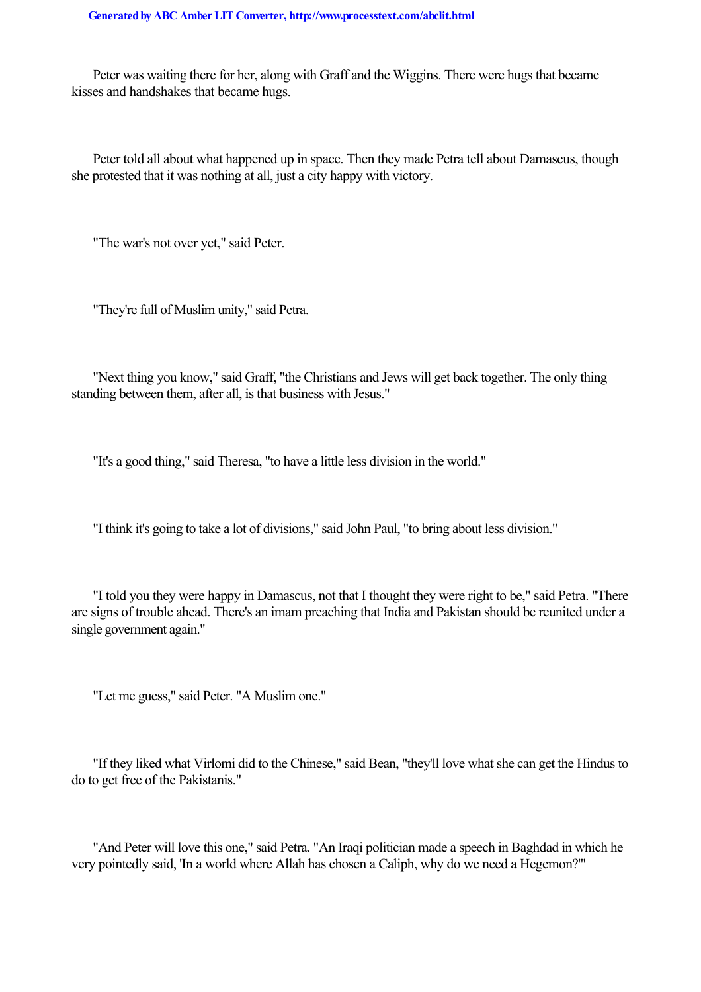Peter was waiting there for her, along with Graff and the Wiggins. There were hugs that became kisses and handshakes that became hugs.

 Peter told all about what happened up in space. Then they made Petra tell about Damascus, though she protested that it was nothing at all, just a city happy with victory.

"The war's not over yet," said Peter.

"They're full of Muslim unity," said Petra.

 "Next thing you know," said Graff, "the Christians and Jews will get back together. The only thing standing between them, after all, is that business with Jesus."

"It's a good thing," said Theresa, "to have a little less division in the world."

"I think it's going to take a lot of divisions," said John Paul, "to bring about less division."

 "I told you they were happy in Damascus, not that I thought they were right to be," said Petra. "There are signs of trouble ahead. There's an imam preaching that India and Pakistan should be reunited under a single government again."

"Let me guess," said Peter. "A Muslim one."

 "If they liked what Virlomi did to the Chinese," said Bean, "they'll love what she can get the Hindus to do to get free of the Pakistanis."

 "And Peter will love this one," said Petra. "An Iraqi politician made a speech in Baghdad in which he very pointedly said, 'In a world where Allah has chosen a Caliph, why do we need a Hegemon?'"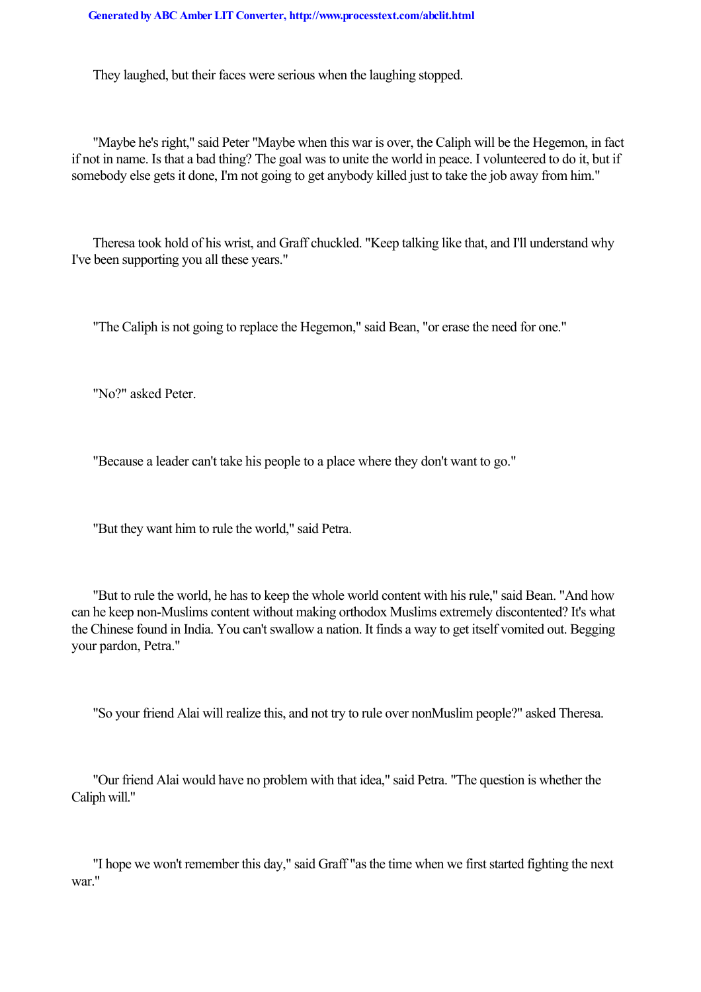They laughed, but their faces were serious when the laughing stopped.

 "Maybe he's right," said Peter "Maybe when this war is over, the Caliph will be the Hegemon, in fact if not in name. Is that a bad thing? The goal was to unite the world in peace. I volunteered to do it, but if somebody else gets it done, I'm not going to get anybody killed just to take the job away from him."

 Theresa took hold of his wrist, and Graff chuckled. "Keep talking like that, and I'll understand why I've been supporting you all these years."

"The Caliph is not going to replace the Hegemon," said Bean, "or erase the need for one."

"No?" asked Peter.

"Because a leader can't take his people to a place where they don't want to go."

"But they want him to rule the world," said Petra.

 "But to rule the world, he has to keep the whole world content with his rule," said Bean. "And how can he keep non-Muslims content without making orthodox Muslims extremely discontented? It's what the Chinese found in India. You can't swallow a nation. It finds a way to get itself vomited out. Begging your pardon, Petra."

"So your friend Alai will realize this, and not try to rule over nonMuslim people?" asked Theresa.

 "Our friend Alai would have no problem with that idea," said Petra. "The question is whether the Caliph will."

 "I hope we won't remember this day," said Graff "as the time when we first started fighting the next war."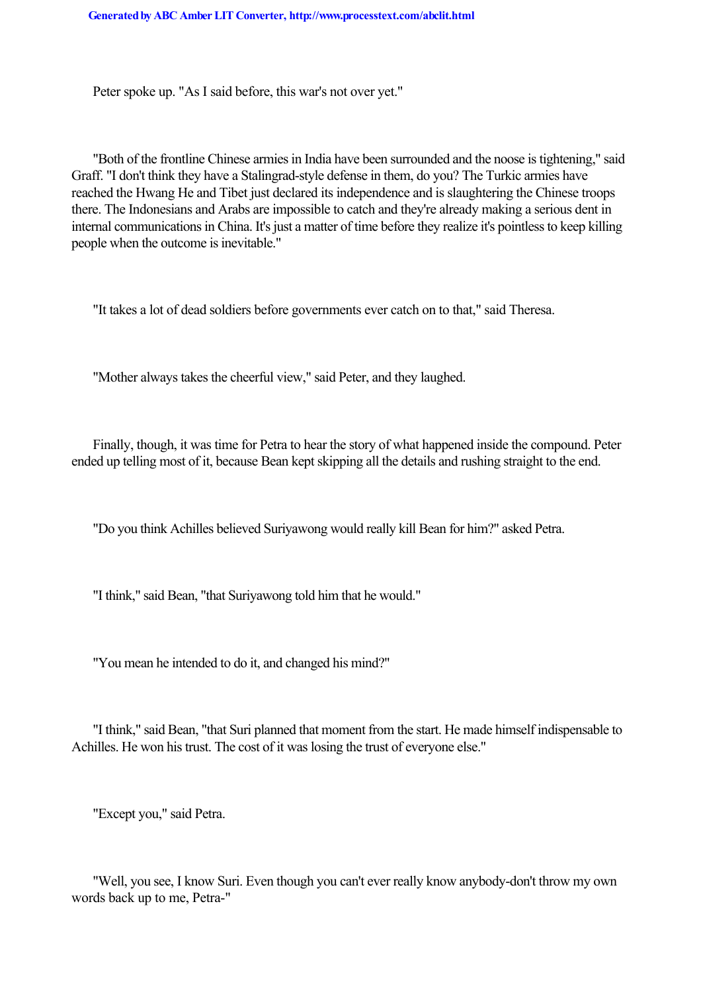Peter spoke up. "As I said before, this war's not over yet."

 "Both of the frontline Chinese armies in India have been surrounded and the noose is tightening," said Graff. "I don't think they have a Stalingrad-style defense in them, do you? The Turkic armies have reached the Hwang He and Tibet just declared its independence and is slaughtering the Chinese troops there. The Indonesians and Arabs are impossible to catch and they're already making a serious dent in internal communications in China. It's just a matter of time before they realize it's pointless to keep killing people when the outcome is inevitable."

"It takes a lot of dead soldiers before governments ever catch on to that," said Theresa.

"Mother always takes the cheerful view," said Peter, and they laughed.

 Finally, though, it was time for Petra to hear the story of what happened inside the compound. Peter ended up telling most of it, because Bean kept skipping all the details and rushing straight to the end.

"Do you think Achilles believed Suriyawong would really kill Bean for him?" asked Petra.

"I think," said Bean, "that Suriyawong told him that he would."

"You mean he intended to do it, and changed his mind?"

 "I think," said Bean, "that Suri planned that moment from the start. He made himself indispensable to Achilles. He won his trust. The cost of it was losing the trust of everyone else."

"Except you," said Petra.

 "Well, you see, I know Suri. Even though you can't ever really know anybody-don't throw my own words back up to me, Petra-"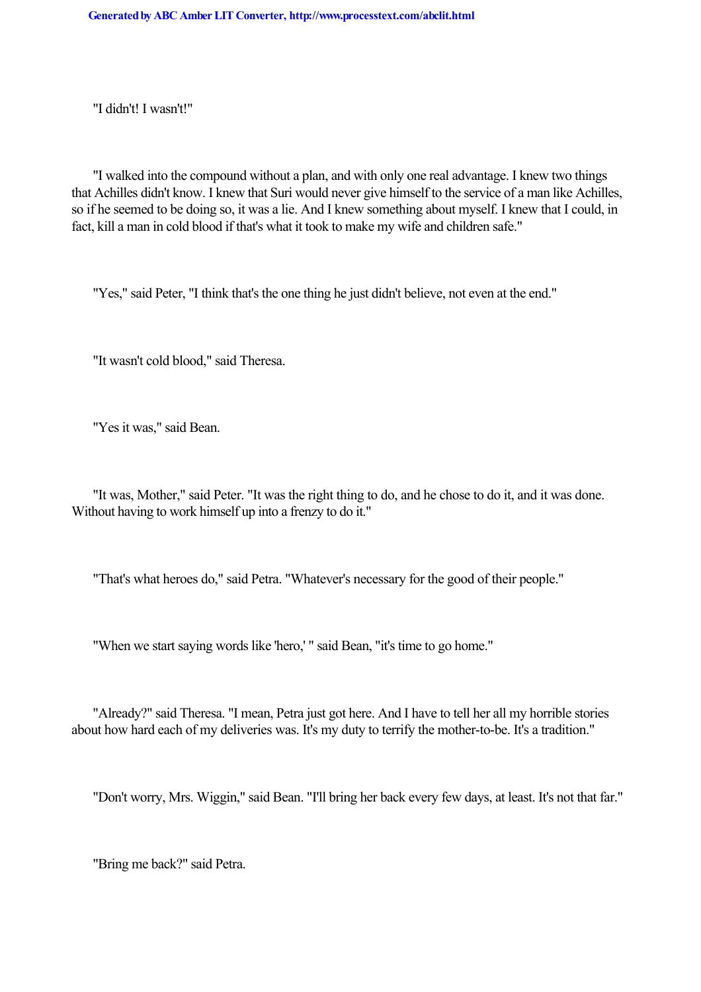"I didn't! I wasn't!"

 "I walked into the compound without a plan, and with only one real advantage. I knew two things that Achilles didn't know. I knew that Suri would never give himself to the service of a man like Achilles, so if he seemed to be doing so, it was a lie. And I knew something about myself. I knew that I could, in fact, kill a man in cold blood if that's what it took to make my wife and children safe."

"Yes," said Peter, "I think that's the one thing he just didn't believe, not even at the end."

"It wasn't cold blood," said Theresa.

"Yes it was," said Bean.

 "It was, Mother," said Peter. "It was the right thing to do, and he chose to do it, and it was done. Without having to work himself up into a frenzy to do it."

"That's what heroes do," said Petra. "Whatever's necessary for the good of their people."

"When we start saying words like 'hero,' " said Bean, "it's time to go home."

 "Already?" said Theresa. "I mean, Petra just got here. And I have to tell her all my horrible stories about how hard each of my deliveries was. It's my duty to terrify the mother-to-be. It's a tradition."

"Don't worry, Mrs. Wiggin," said Bean. "I'll bring her back every few days, at least. It's not that far."

"Bring me back?" said Petra.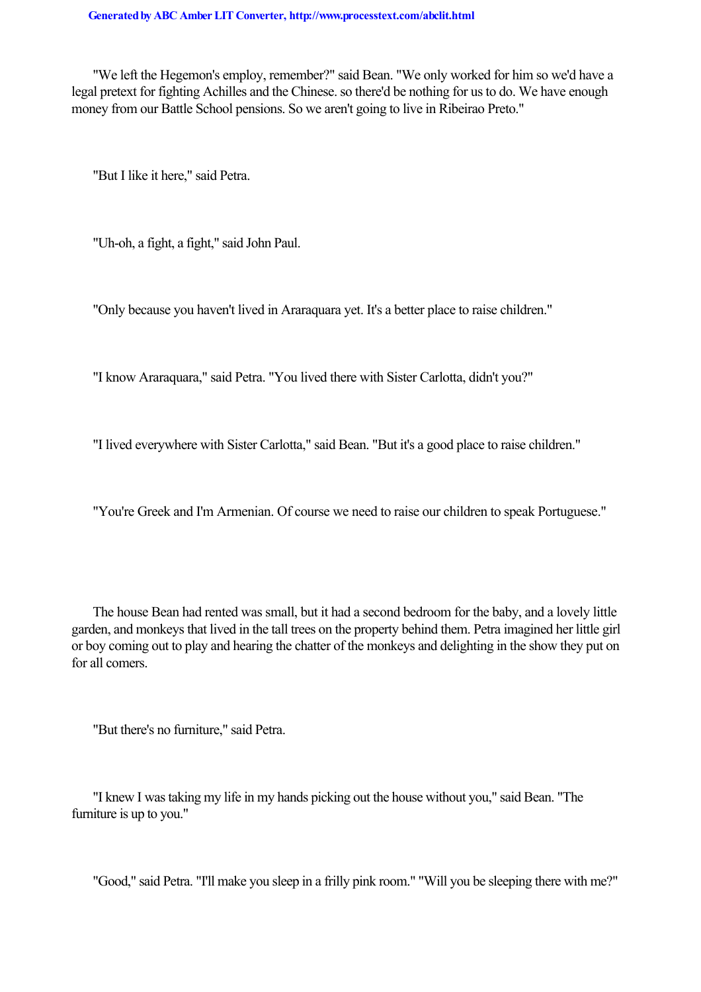"We left the Hegemon's employ, remember?" said Bean. "We only worked for him so we'd have a legal pretext for fighting Achilles and the Chinese. so there'd be nothing for us to do. We have enough money from our Battle School pensions. So we aren't going to live in Ribeirao Preto."

"But I like it here," said Petra.

"Uh-oh, a fight, a fight," said John Paul.

"Only because you haven't lived in Araraquara yet. It's a better place to raise children."

"I know Araraquara," said Petra. "You lived there with Sister Carlotta, didn't you?"

"I lived everywhere with Sister Carlotta," said Bean. "But it's a good place to raise children."

"You're Greek and I'm Armenian. Of course we need to raise our children to speak Portuguese."

 The house Bean had rented was small, but it had a second bedroom for the baby, and a lovely little garden, and monkeys that lived in the tall trees on the property behind them. Petra imagined her little girl or boy coming out to play and hearing the chatter of the monkeys and delighting in the show they put on for all comers.

"But there's no furniture," said Petra.

 "I knew I was taking my life in my hands picking out the house without you," said Bean. "The furniture is up to you."

"Good," said Petra. "I'll make you sleep in a frilly pink room." "Will you be sleeping there with me?"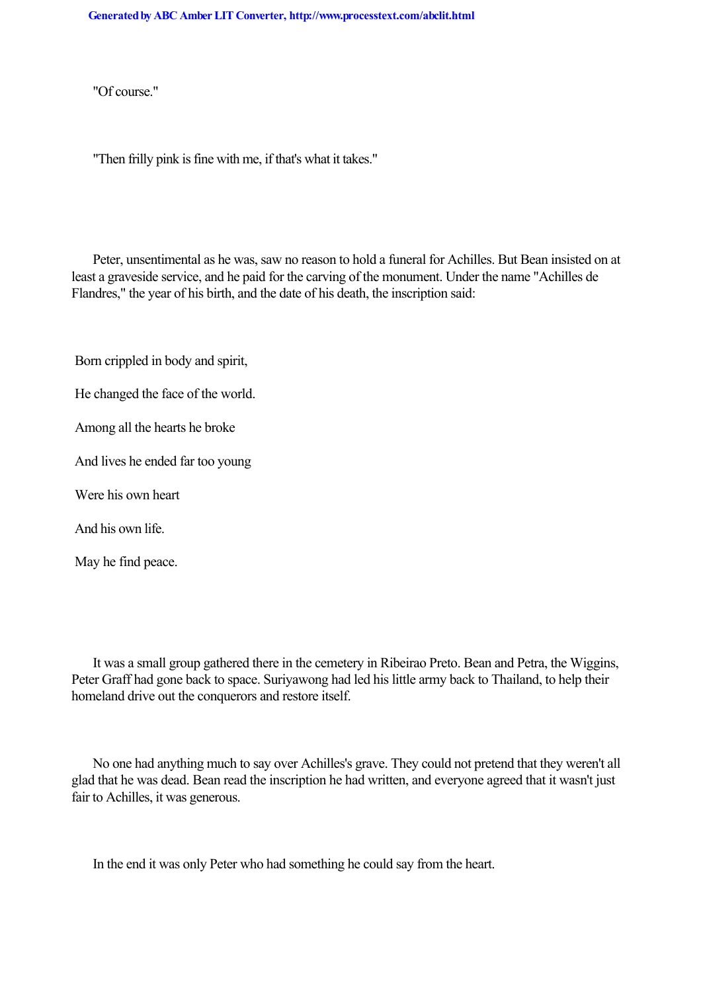"Of course."

"Then frilly pink is fine with me, if that's what it takes."

 Peter, unsentimental as he was, saw no reason to hold a funeral for Achilles. But Bean insisted on at least a graveside service, and he paid for the carving of the monument. Under the name "Achilles de Flandres," the year of his birth, and the date of his death, the inscription said:

Born crippled in body and spirit,

He changed the face of the world.

Among all the hearts he broke

And lives he ended far too young

Were his own heart

And his own life.

May he find peace.

 It was a small group gathered there in the cemetery in Ribeirao Preto. Bean and Petra, the Wiggins, Peter Graff had gone back to space. Suriyawong had led his little army back to Thailand, to help their homeland drive out the conquerors and restore itself.

 No one had anything much to say over Achilles's grave. They could not pretend that they weren't all glad that he was dead. Bean read the inscription he had written, and everyone agreed that it wasn't just fair to Achilles, it was generous.

In the end it was only Peter who had something he could say from the heart.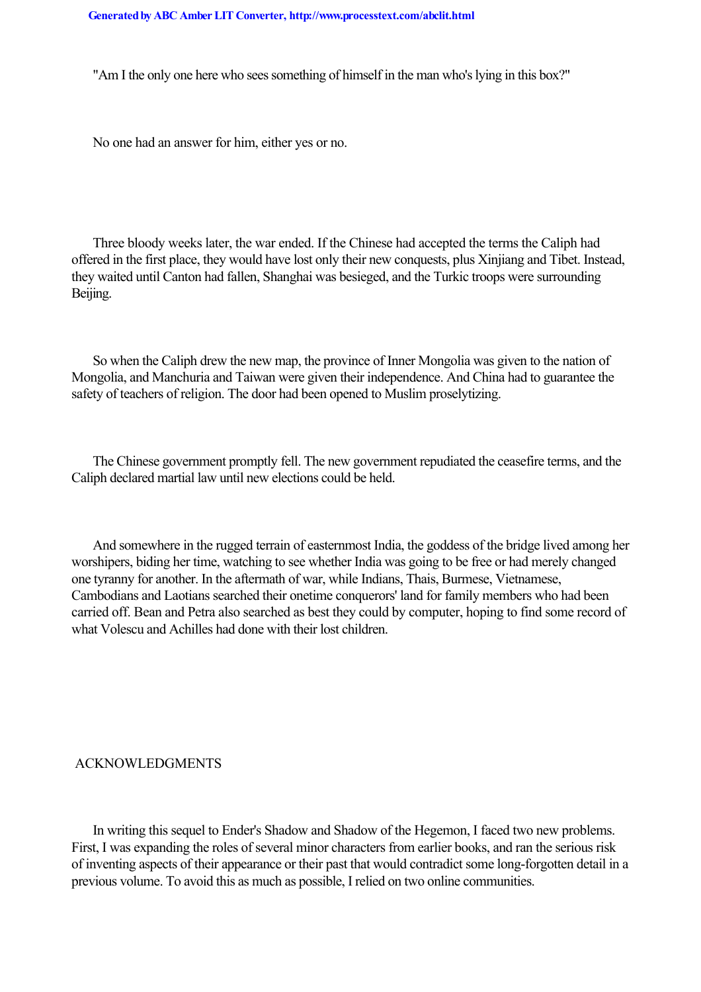"Am I the only one here who sees something of himself in the man who's lying in this box?"

No one had an answer for him, either yes or no.

 Three bloody weeks later, the war ended. If the Chinese had accepted the terms the Caliph had offered in the first place, they would have lost only their new conquests, plus Xinjiang and Tibet. Instead, they waited until Canton had fallen, Shanghai was besieged, and the Turkic troops were surrounding Beijing.

 So when the Caliph drew the new map, the province of Inner Mongolia was given to the nation of Mongolia, and Manchuria and Taiwan were given their independence. And China had to guarantee the safety of teachers of religion. The door had been opened to Muslim proselytizing.

 The Chinese government promptly fell. The new government repudiated the ceasefire terms, and the Caliph declared martial law until new elections could be held.

 And somewhere in the rugged terrain of easternmost India, the goddess of the bridge lived among her worshipers, biding her time, watching to see whether India was going to be free or had merely changed one tyranny for another. In the aftermath of war, while Indians, Thais, Burmese, Vietnamese, Cambodians and Laotians searched their onetime conquerors' land for family members who had been carried off. Bean and Petra also searched as best they could by computer, hoping to find some record of what Volescu and Achilles had done with their lost children.

# ACKNOWLEDGMENTS

 In writing this sequel to Ender's Shadow and Shadow of the Hegemon, I faced two new problems. First, I was expanding the roles of several minor characters from earlier books, and ran the serious risk of inventing aspects of their appearance or their past that would contradict some long-forgotten detail in a previous volume. To avoid this as much as possible, I relied on two online communities.